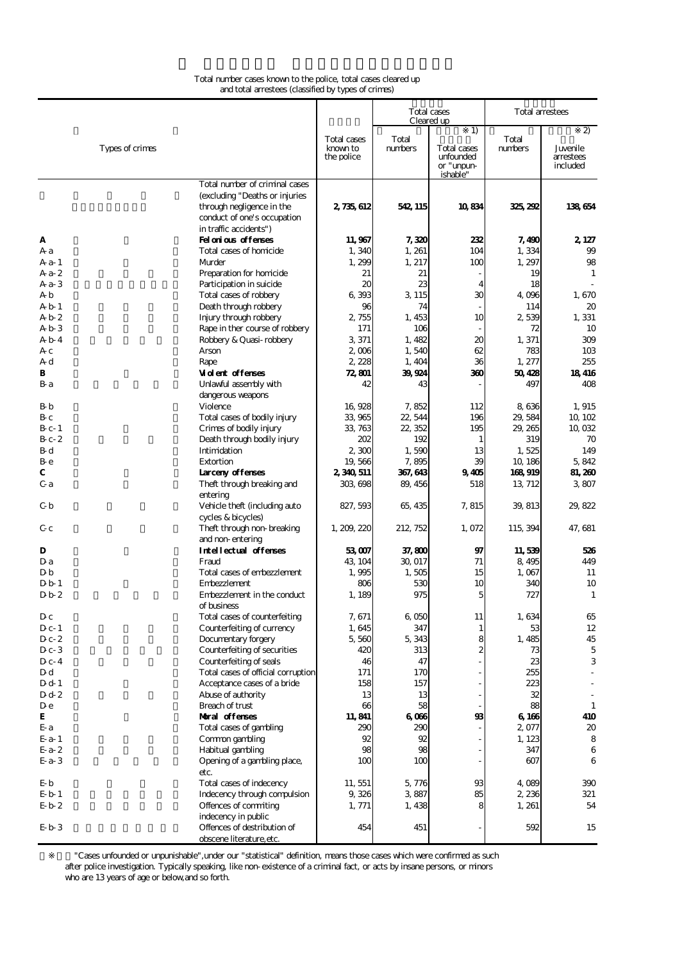## Total number cases known to the police, total cases cleared up and total arrestees (classified by types of crimes)

|                          |                                                                                                                                                        |                                       |                  | Total cases<br>Cleared up                                | Total arrestees  |                                          |  |
|--------------------------|--------------------------------------------------------------------------------------------------------------------------------------------------------|---------------------------------------|------------------|----------------------------------------------------------|------------------|------------------------------------------|--|
| Types of crimes          |                                                                                                                                                        | Total cases<br>known to<br>the police | Total<br>numbers | 1)<br>Total cases<br>unfounded<br>or "unpun-<br>ishable" | Total<br>numbers | 2)<br>Juvenile.<br>arrestees<br>included |  |
|                          | Total number of criminal cases<br>(excluding "Deaths or injuries<br>through negligence in the<br>conduct of one's occupation<br>in traffic accidents") | 2, 735, 612                           | 542 115          | 10834                                                    | 325, 292         | 138654                                   |  |
| A                        | Felatias afferses                                                                                                                                      | 11,967                                | 7,320            | 232                                                      | 7,490            | 2, 127                                   |  |
| Аa                       | Total cases of homicide                                                                                                                                | 1,340                                 | 1, 261           | 104                                                      | 1,334            | 99                                       |  |
| A a- 1                   | Murder                                                                                                                                                 | 1,299                                 | 1, 217           | 100                                                      | 1, 297           | 98                                       |  |
| $Aa-2$                   | Preparation for homicide                                                                                                                               | 21                                    | 21               |                                                          | 19               | 1                                        |  |
| $Aa-3$                   | Participation in suicide                                                                                                                               | $\boldsymbol{\chi}$                   | 23               | $\overline{4}$                                           | 18               |                                          |  |
| AЬ                       | Total cases of robbery                                                                                                                                 | 6 393                                 | 3 1 1 5          | 30                                                       | 4 096            | 1,670                                    |  |
| Ab 1                     | Death through robbery                                                                                                                                  | 96                                    | 74               |                                                          | 114              | 20                                       |  |
| Ab 2<br>AЬЗ              | Injury through robbery<br>Rape in ther course of robbery                                                                                               | 2 755<br>171                          | 1, 453<br>106    | 10                                                       | 2539<br>72       | 1, 331<br>10                             |  |
| A <sub>b</sub> 4         | Robbery & Quasi-robbery                                                                                                                                | 3 371                                 | 1,482            | 20                                                       | 1, 371           | 309                                      |  |
| Aс                       | Arson                                                                                                                                                  | 2006                                  | 1,540            | 62                                                       | 783              | 10 <sub>3</sub>                          |  |
| Αd                       | Rape                                                                                                                                                   | 2 2 2 8                               | 1,404            | 36                                                       | 1,277            | 255                                      |  |
| в                        | <b>Vident offenses</b>                                                                                                                                 | 72.801                                | 39924            | 360                                                      | 50428            | 18416                                    |  |
| Вa                       | Unlawful assembly with<br>dangerous weapons                                                                                                            | 42                                    | 43               |                                                          | 497              | 408                                      |  |
| Вb                       | Violence                                                                                                                                               | 16,928                                | 7,852            | 112                                                      | 8636             | 1,915                                    |  |
| Bс                       | Total cases of bodily injury                                                                                                                           | 33 965                                | 22, 544          | 196                                                      | 29,584           | 10, 10 <sub>2</sub>                      |  |
| B c-1<br>$B_C 2$         | Crimes of bodily injury<br>Death through bodily injury                                                                                                 | 33, 763<br>202                        | 22 352<br>192    | 195<br>1                                                 | 29, 265<br>319   | 10,032<br>70                             |  |
| Βd                       | Intimidation                                                                                                                                           | 2300                                  | 1,590            | 13                                                       | 1,525            | 149                                      |  |
| Bе                       | Extortion                                                                                                                                              | 19,566                                | 7,895            | 39                                                       | 10, 186          | 5,842                                    |  |
| С                        | <b>Larcery offerses</b>                                                                                                                                | 2,340,511                             | 367, 643         | 9405                                                     | 168919           | 81,260                                   |  |
| Сa                       | Theft through breaking and                                                                                                                             | 303 698                               | 89, 456          | 518                                                      | 13 712           | 3,807                                    |  |
| Сb                       | entering<br>Vehicle theft (including auto                                                                                                              | 827, 593                              | 65, 435          | 7, 815                                                   | 39, 813          | 29,822                                   |  |
| Gс                       | cycles & bicycles)<br>Theft through non-breaking<br>and non-entering                                                                                   | 1, 209, 220                           | 212, 752         | 1,072                                                    | 115, 394         | 47, 681                                  |  |
| D                        | <b>Intellectual offenses</b>                                                                                                                           | 53007                                 | 37,800           | 97                                                       | 11,539           | 526                                      |  |
| D a                      | Fraud                                                                                                                                                  | 43, 104                               | 30, 017          | 71                                                       | 8,495            | 449                                      |  |
| DЬ                       | Total cases of embezzlement                                                                                                                            | 1,995                                 | 1,505            | 15                                                       | 1,067            | 11                                       |  |
| Db 1                     | Embezzlement                                                                                                                                           | 806                                   | 530              | 10                                                       | 340              | 10                                       |  |
| D <sub>b</sub> 2         | Embezzlement in the conduct<br>of business                                                                                                             | 1, 189                                | 975              | 5                                                        | 727              | 1                                        |  |
| Dс                       | Total cases of counterfeiting                                                                                                                          | 7.671                                 | 6.050            | 11                                                       | 1,634            | 65                                       |  |
| $D_{c-1}$                | Counterfeiting of currency                                                                                                                             | 1,645                                 | 347              | $\mathbf{1}$                                             | 53               | 12                                       |  |
| D c- 2<br>D c- 3         | Documentary forgery<br>Counterfeiting of securities                                                                                                    | 5,560<br>420                          | 5,343<br>313     | 8<br>2                                                   | 1,485<br>73      | 45<br>5                                  |  |
| $D_{c-4}$                | Counterfeiting of seals                                                                                                                                | 46                                    | 47               |                                                          | 23               | 3                                        |  |
| Dd                       | Total cases of official corruption                                                                                                                     | 171                                   | 170              |                                                          | 255              |                                          |  |
| D d- 1                   | Acceptance cases of a bride                                                                                                                            | 158                                   | 157              |                                                          | 223              |                                          |  |
| D d-2                    | Abuse of authority                                                                                                                                     | 13                                    | 13               |                                                          | 32               |                                          |  |
| D e                      | Breach of trust                                                                                                                                        | 66                                    | 58               |                                                          | 88               | $\mathbf{1}$                             |  |
| E                        | Maral offenses                                                                                                                                         | 11,841                                | 6066             | 98                                                       | 6 166            | 410                                      |  |
| E a                      | Total cases of gambling                                                                                                                                | 290                                   | 290              |                                                          | 2,077            | 20                                       |  |
| E a- 1                   | Common gambling                                                                                                                                        | 92<br>98                              | 92<br>98         |                                                          | 1, 123           | 8                                        |  |
| $Ea-2$<br>$E$ a-3        | Habitual gambling<br>Opening of a gambling place,                                                                                                      | 100                                   | 100              |                                                          | 347<br>607       | 6<br>6                                   |  |
|                          | etc.                                                                                                                                                   |                                       |                  |                                                          |                  |                                          |  |
| Еb                       | Total cases of indecency<br>Indecency through compulsion                                                                                               | 11, 551                               | 5,776            | 93                                                       | 4,089            | 390                                      |  |
| Eb 1<br>E <sub>b</sub> 2 | Offences of commiting                                                                                                                                  | 9,326<br>1, 771                       | 3,887<br>1, 438  | 85<br>8                                                  | 2,236<br>1, 261  | 321<br>54                                |  |
|                          | indecency in public                                                                                                                                    |                                       |                  |                                                          |                  |                                          |  |
| $Eb$ 3                   | Offences of destribution of<br>obscene literature.etc.                                                                                                 | 454                                   | 451              |                                                          | 592              | 15                                       |  |

注※1)"Cases unfounded or unpunishable",under our "statistical" definition, means those cases which were confirmed as such after police investigation. Typically speaking, like non-existence of a criminal fact, or acts by insane persons, or minors who are 13 years of age or below,and so forth.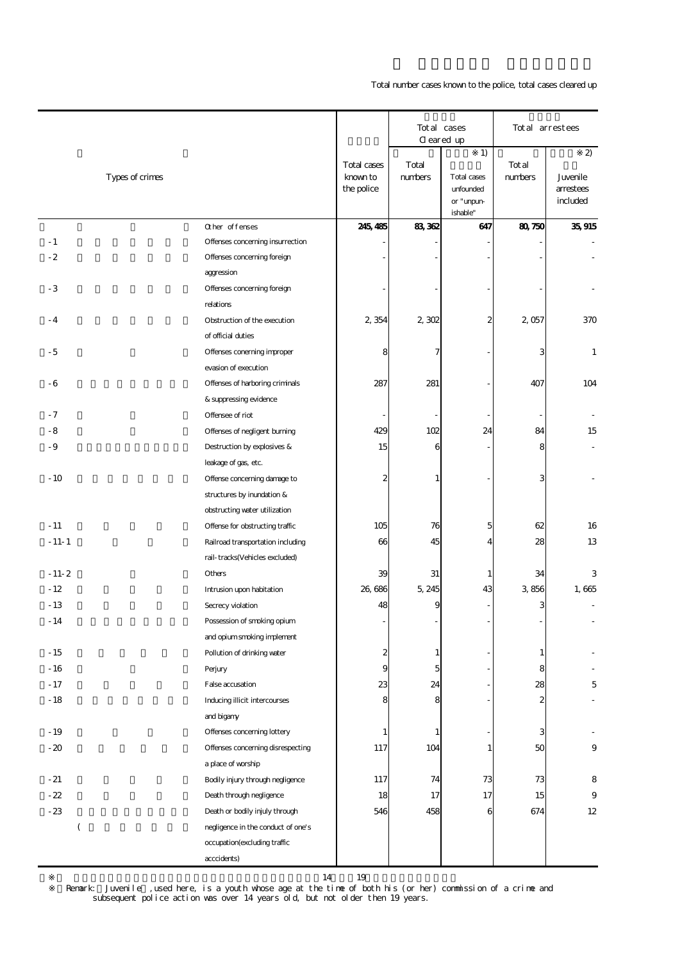Total number cases known to the police, total cases cleared up

|                  |                                    |                         |                  | Total cases<br>Cleared up |                  | Total arrestees  |
|------------------|------------------------------------|-------------------------|------------------|---------------------------|------------------|------------------|
|                  |                                    |                         |                  | 1)                        |                  | $\boldsymbol{2}$ |
| Types of crimes  |                                    | Total cases<br>known to | Total<br>numbers | Total cases               | Total<br>numbers | Juvenile         |
|                  |                                    | the police              |                  | unfounded                 |                  | arrestees        |
|                  |                                    |                         |                  | or "unpun-                |                  | included         |
|                  | Other offenses                     | 245, 485                | 83362            | ishable"<br>647           | 80750            | 35, 915          |
| $-1$             | Offenses concerning insurrection   |                         |                  |                           |                  |                  |
| $-2$             | Offenses concerning foreign        |                         |                  |                           |                  |                  |
|                  | aggression                         |                         |                  |                           |                  |                  |
| $-3$             | Offenses concerning foreign        |                         |                  |                           |                  |                  |
|                  | relations                          |                         |                  |                           |                  |                  |
| $-4$             | Obstruction of the execution       | 2,354                   | 2,302            | 2                         | 2,057            | 370              |
|                  | of official duties                 |                         |                  |                           |                  |                  |
| - 5              | Offenses coneming improper         | 8                       | 7                |                           | 3                | $\mathbf{1}$     |
|                  | evasion of execution               |                         |                  |                           |                  |                  |
| - 6              | Offenses of harboring criminals    | 287                     | 281              |                           | 407              | 104              |
|                  | & suppressing evidence             |                         |                  |                           |                  |                  |
| $-7$             | Offensee of riot                   |                         |                  |                           |                  |                  |
| - 8              | Offenses of negligent burning      | 429                     | 102              | 24                        | 84               | 15               |
| - 9              | Destruction by explosives &        | 15                      | 6                |                           | 8                |                  |
|                  | leakage of gas, etc.               |                         |                  |                           |                  |                  |
| $-10$            | Offense concerning damage to       | 2                       | 1                |                           | 3                |                  |
|                  | structures by inundation &         |                         |                  |                           |                  |                  |
|                  | obstructing water utilization      |                         |                  |                           |                  |                  |
| $-11$            | Offense for obstructing traffic    | 105                     | 76               | 5                         | 62               | 16               |
| $-11-1$          | Railroad transportation including  | 66                      | 45               | 4                         | 28               | 13               |
|                  | rail-tracks(Vehicles excluded)     |                         |                  |                           |                  |                  |
| $-11-2$          | Others                             | 39                      | 31               | 1                         | 34               | 3                |
| $-12$            | Intrusion upon habitation          | 26,686                  | 5, 245           | 43                        | 3856             | 1,665            |
| $-13$            | Secrecy violation                  | 48                      | 9                |                           | 3                |                  |
| $-14$            | Possession of smoking opium        |                         |                  |                           |                  |                  |
|                  | and opium smoking implement        |                         |                  |                           |                  |                  |
| $-15$            | Pollution of drinking water        | 2                       | 1                |                           | 1                |                  |
| $-16$            | Perjury                            | 9                       | 5                |                           | 8                |                  |
| $-17$            | False accusation                   | 23                      | 24               |                           | 28               | 5                |
| $-18$            | Inducing illicit intercourses      |                         |                  |                           |                  |                  |
|                  | and bigany                         |                         |                  |                           |                  |                  |
| $-19$            | Offenses concerning lottery        | 1                       | 1                |                           | 3                |                  |
| $-20$            | Offenses concerning disrespecting  | 117                     | 104              | 1                         | 50               | 9                |
|                  | a place of worship                 |                         |                  |                           |                  |                  |
| $-21$            | Bodily injury through negligence   | 117                     | 74               | 73                        | 73               | 8                |
| $-22$            | Death through negligence           | 18                      | 17               | 17                        | 15               | 9                |
| $-23$            | Death or bodily injuly through     | 546                     | 458              | 6                         | 674              | 12               |
| $\overline{(\ }$ | negligence in the conduct of one's |                         |                  |                           |                  |                  |
|                  | occupation(excluding traffic       |                         |                  |                           |                  |                  |
|                  | acccidents)                        |                         |                  |                           |                  |                  |

 subsequent police action was over 14 years old, but not older then 19 years. 14 19<br>Remark: Juvenile ,used here, is a youth whose age at the time of both his (or her) commission of a crime and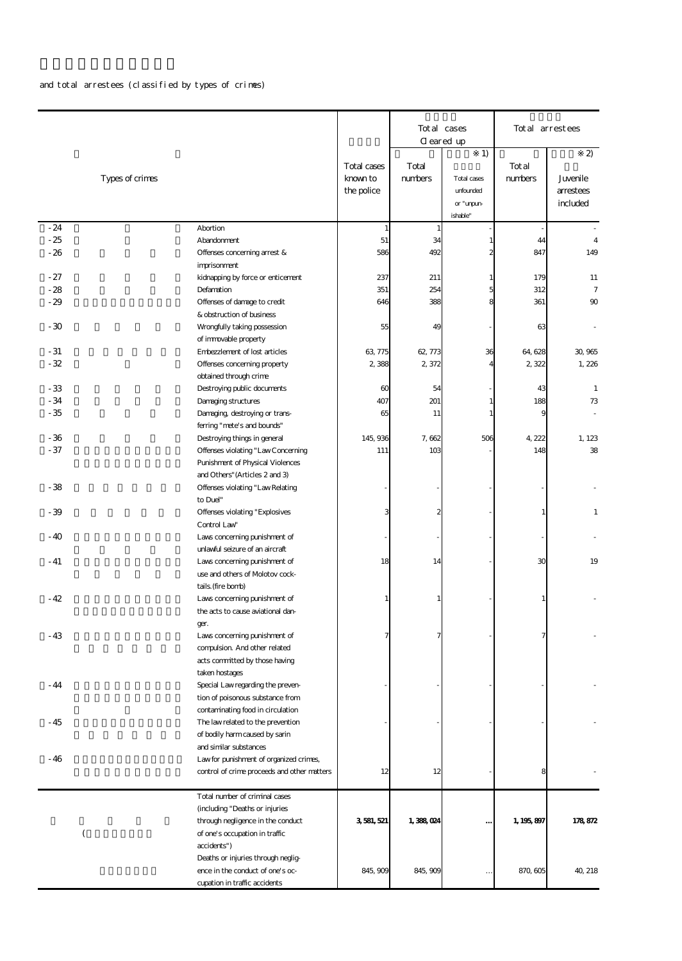## and total arrestees (classified by types of crimes)

| 1)<br>$\boldsymbol{z}$<br>Total cases<br>Total<br>Total<br>numbers<br>numbers<br>Types of crimes<br>known to<br>Juvenile<br>Total cases<br>the police<br>unfounded<br>arrestees<br>included<br>or "unpun-<br>ishable"<br>$-24$<br>Abortion<br>$\mathbf{1}$<br>1<br>$-25$<br>51<br>34<br>Abandonment<br>$\mathbf{1}$<br>44<br>$\overline{4}$<br>586<br>492<br>$\overline{c}$<br>847<br>$-26$<br>Offenses concerning arrest &<br>149<br>imprisonment<br>$-27$<br>kidnapping by force or enticement<br>237<br>211<br>$\mathbf{1}$<br>179<br>11<br>5<br>$-28$<br>Defamation<br>351<br>254<br>312<br>$\overline{7}$<br>388<br>361<br>$-29$<br>Offenses of damage to credit<br>646<br>8<br>90<br>& obstruction of business<br>$-30$<br>Wrongfully taking possession<br>55<br>49<br>63<br>of immovable property<br>$-31$<br>36<br>Enbezzlement of lost articles<br>63 775<br>62, 773<br>64,628<br>30,965<br>$-32$<br>Offenses concerning property<br>2388<br>2,372<br>2322<br>1,226<br>4<br>obtained through crime<br>$-33$<br>$\boldsymbol{\omega}$<br>54<br>43<br>$\mathbf{1}$<br>Destroying public documents<br>$-34$<br>407<br>201<br>188<br>Damaging structures<br>73<br>1<br>$-35$<br>Damaging, destroying or trans-<br>65<br>11<br>$\mathbf{1}$<br>9<br>ferring "mete's and bounds"<br>$-36$<br>145, 936<br>7,662<br>506<br>4 222<br>Destroying things in general<br>$-37$<br>103<br>Offenses violating "Law Concerning<br>111<br>148<br>Punishment of Physical Violences<br>and Others" (Articles 2 and 3)<br>$-38$<br>Offenses violating "Law Relating<br>to Duel"<br>$-39$<br>Offenses violating "Explosives<br>3<br>Control Law<br>$-40$<br>Laws concerning punishment of<br>unlawful seizure of an aircraft<br>18<br>30<br>$-41$<br>Laws concerning punishment of<br>14<br>use and others of Molotov cock-<br>tails. (fire bonb)<br>$-42$<br>Laws concerning punishment of<br>1<br>the acts to cause aviational dan-<br>ger.<br>$-43$<br>Laws concerning punishment of<br>7<br>compulsion And other related<br>acts committed by those having<br>taken hostages<br>$-44$<br>Special Law regarding the preven-<br>tion of poisonous substance from<br>contaminating food in circulation<br>$-45$<br>The law related to the prevention<br>of bodily harm caused by sarin<br>and similar substances<br>- 46<br>Law for punishment of organized crimes,<br>control of crime proceeds and other matters<br>12<br>12<br>Total number of criminal cases<br>(including "Deaths or injuries<br>through negligence in the conduct<br>3581,521<br>1,388,024<br>1, 195, 897<br><br>(<br>of one's occupation in traffic<br>accidents")<br>Deaths or injuries through neglig-<br>ence in the conduct of one's oc-<br>845, 909<br>845, 909<br>870, 605<br>cupation in traffic accidents |  |  | Total cases<br>Cleared up | Total arrestees |
|-------------------------------------------------------------------------------------------------------------------------------------------------------------------------------------------------------------------------------------------------------------------------------------------------------------------------------------------------------------------------------------------------------------------------------------------------------------------------------------------------------------------------------------------------------------------------------------------------------------------------------------------------------------------------------------------------------------------------------------------------------------------------------------------------------------------------------------------------------------------------------------------------------------------------------------------------------------------------------------------------------------------------------------------------------------------------------------------------------------------------------------------------------------------------------------------------------------------------------------------------------------------------------------------------------------------------------------------------------------------------------------------------------------------------------------------------------------------------------------------------------------------------------------------------------------------------------------------------------------------------------------------------------------------------------------------------------------------------------------------------------------------------------------------------------------------------------------------------------------------------------------------------------------------------------------------------------------------------------------------------------------------------------------------------------------------------------------------------------------------------------------------------------------------------------------------------------------------------------------------------------------------------------------------------------------------------------------------------------------------------------------------------------------------------------------------------------------------------------------------------------------------------------------------------------------------------------------------------------------------------------------------------------------------------------------------------------------------------------------------------------------------------------|--|--|---------------------------|-----------------|
|                                                                                                                                                                                                                                                                                                                                                                                                                                                                                                                                                                                                                                                                                                                                                                                                                                                                                                                                                                                                                                                                                                                                                                                                                                                                                                                                                                                                                                                                                                                                                                                                                                                                                                                                                                                                                                                                                                                                                                                                                                                                                                                                                                                                                                                                                                                                                                                                                                                                                                                                                                                                                                                                                                                                                                               |  |  |                           |                 |
|                                                                                                                                                                                                                                                                                                                                                                                                                                                                                                                                                                                                                                                                                                                                                                                                                                                                                                                                                                                                                                                                                                                                                                                                                                                                                                                                                                                                                                                                                                                                                                                                                                                                                                                                                                                                                                                                                                                                                                                                                                                                                                                                                                                                                                                                                                                                                                                                                                                                                                                                                                                                                                                                                                                                                                               |  |  |                           |                 |
|                                                                                                                                                                                                                                                                                                                                                                                                                                                                                                                                                                                                                                                                                                                                                                                                                                                                                                                                                                                                                                                                                                                                                                                                                                                                                                                                                                                                                                                                                                                                                                                                                                                                                                                                                                                                                                                                                                                                                                                                                                                                                                                                                                                                                                                                                                                                                                                                                                                                                                                                                                                                                                                                                                                                                                               |  |  |                           |                 |
|                                                                                                                                                                                                                                                                                                                                                                                                                                                                                                                                                                                                                                                                                                                                                                                                                                                                                                                                                                                                                                                                                                                                                                                                                                                                                                                                                                                                                                                                                                                                                                                                                                                                                                                                                                                                                                                                                                                                                                                                                                                                                                                                                                                                                                                                                                                                                                                                                                                                                                                                                                                                                                                                                                                                                                               |  |  |                           |                 |
|                                                                                                                                                                                                                                                                                                                                                                                                                                                                                                                                                                                                                                                                                                                                                                                                                                                                                                                                                                                                                                                                                                                                                                                                                                                                                                                                                                                                                                                                                                                                                                                                                                                                                                                                                                                                                                                                                                                                                                                                                                                                                                                                                                                                                                                                                                                                                                                                                                                                                                                                                                                                                                                                                                                                                                               |  |  |                           |                 |
|                                                                                                                                                                                                                                                                                                                                                                                                                                                                                                                                                                                                                                                                                                                                                                                                                                                                                                                                                                                                                                                                                                                                                                                                                                                                                                                                                                                                                                                                                                                                                                                                                                                                                                                                                                                                                                                                                                                                                                                                                                                                                                                                                                                                                                                                                                                                                                                                                                                                                                                                                                                                                                                                                                                                                                               |  |  |                           |                 |
|                                                                                                                                                                                                                                                                                                                                                                                                                                                                                                                                                                                                                                                                                                                                                                                                                                                                                                                                                                                                                                                                                                                                                                                                                                                                                                                                                                                                                                                                                                                                                                                                                                                                                                                                                                                                                                                                                                                                                                                                                                                                                                                                                                                                                                                                                                                                                                                                                                                                                                                                                                                                                                                                                                                                                                               |  |  |                           |                 |
|                                                                                                                                                                                                                                                                                                                                                                                                                                                                                                                                                                                                                                                                                                                                                                                                                                                                                                                                                                                                                                                                                                                                                                                                                                                                                                                                                                                                                                                                                                                                                                                                                                                                                                                                                                                                                                                                                                                                                                                                                                                                                                                                                                                                                                                                                                                                                                                                                                                                                                                                                                                                                                                                                                                                                                               |  |  |                           |                 |
|                                                                                                                                                                                                                                                                                                                                                                                                                                                                                                                                                                                                                                                                                                                                                                                                                                                                                                                                                                                                                                                                                                                                                                                                                                                                                                                                                                                                                                                                                                                                                                                                                                                                                                                                                                                                                                                                                                                                                                                                                                                                                                                                                                                                                                                                                                                                                                                                                                                                                                                                                                                                                                                                                                                                                                               |  |  |                           |                 |
|                                                                                                                                                                                                                                                                                                                                                                                                                                                                                                                                                                                                                                                                                                                                                                                                                                                                                                                                                                                                                                                                                                                                                                                                                                                                                                                                                                                                                                                                                                                                                                                                                                                                                                                                                                                                                                                                                                                                                                                                                                                                                                                                                                                                                                                                                                                                                                                                                                                                                                                                                                                                                                                                                                                                                                               |  |  |                           |                 |
|                                                                                                                                                                                                                                                                                                                                                                                                                                                                                                                                                                                                                                                                                                                                                                                                                                                                                                                                                                                                                                                                                                                                                                                                                                                                                                                                                                                                                                                                                                                                                                                                                                                                                                                                                                                                                                                                                                                                                                                                                                                                                                                                                                                                                                                                                                                                                                                                                                                                                                                                                                                                                                                                                                                                                                               |  |  |                           |                 |
|                                                                                                                                                                                                                                                                                                                                                                                                                                                                                                                                                                                                                                                                                                                                                                                                                                                                                                                                                                                                                                                                                                                                                                                                                                                                                                                                                                                                                                                                                                                                                                                                                                                                                                                                                                                                                                                                                                                                                                                                                                                                                                                                                                                                                                                                                                                                                                                                                                                                                                                                                                                                                                                                                                                                                                               |  |  |                           |                 |
|                                                                                                                                                                                                                                                                                                                                                                                                                                                                                                                                                                                                                                                                                                                                                                                                                                                                                                                                                                                                                                                                                                                                                                                                                                                                                                                                                                                                                                                                                                                                                                                                                                                                                                                                                                                                                                                                                                                                                                                                                                                                                                                                                                                                                                                                                                                                                                                                                                                                                                                                                                                                                                                                                                                                                                               |  |  |                           |                 |
|                                                                                                                                                                                                                                                                                                                                                                                                                                                                                                                                                                                                                                                                                                                                                                                                                                                                                                                                                                                                                                                                                                                                                                                                                                                                                                                                                                                                                                                                                                                                                                                                                                                                                                                                                                                                                                                                                                                                                                                                                                                                                                                                                                                                                                                                                                                                                                                                                                                                                                                                                                                                                                                                                                                                                                               |  |  |                           |                 |
| 1,123<br>38<br>$\mathbf{1}$<br>19<br>178,872<br>40, 218                                                                                                                                                                                                                                                                                                                                                                                                                                                                                                                                                                                                                                                                                                                                                                                                                                                                                                                                                                                                                                                                                                                                                                                                                                                                                                                                                                                                                                                                                                                                                                                                                                                                                                                                                                                                                                                                                                                                                                                                                                                                                                                                                                                                                                                                                                                                                                                                                                                                                                                                                                                                                                                                                                                       |  |  |                           |                 |
|                                                                                                                                                                                                                                                                                                                                                                                                                                                                                                                                                                                                                                                                                                                                                                                                                                                                                                                                                                                                                                                                                                                                                                                                                                                                                                                                                                                                                                                                                                                                                                                                                                                                                                                                                                                                                                                                                                                                                                                                                                                                                                                                                                                                                                                                                                                                                                                                                                                                                                                                                                                                                                                                                                                                                                               |  |  |                           |                 |
|                                                                                                                                                                                                                                                                                                                                                                                                                                                                                                                                                                                                                                                                                                                                                                                                                                                                                                                                                                                                                                                                                                                                                                                                                                                                                                                                                                                                                                                                                                                                                                                                                                                                                                                                                                                                                                                                                                                                                                                                                                                                                                                                                                                                                                                                                                                                                                                                                                                                                                                                                                                                                                                                                                                                                                               |  |  |                           |                 |
|                                                                                                                                                                                                                                                                                                                                                                                                                                                                                                                                                                                                                                                                                                                                                                                                                                                                                                                                                                                                                                                                                                                                                                                                                                                                                                                                                                                                                                                                                                                                                                                                                                                                                                                                                                                                                                                                                                                                                                                                                                                                                                                                                                                                                                                                                                                                                                                                                                                                                                                                                                                                                                                                                                                                                                               |  |  |                           |                 |
|                                                                                                                                                                                                                                                                                                                                                                                                                                                                                                                                                                                                                                                                                                                                                                                                                                                                                                                                                                                                                                                                                                                                                                                                                                                                                                                                                                                                                                                                                                                                                                                                                                                                                                                                                                                                                                                                                                                                                                                                                                                                                                                                                                                                                                                                                                                                                                                                                                                                                                                                                                                                                                                                                                                                                                               |  |  |                           |                 |
|                                                                                                                                                                                                                                                                                                                                                                                                                                                                                                                                                                                                                                                                                                                                                                                                                                                                                                                                                                                                                                                                                                                                                                                                                                                                                                                                                                                                                                                                                                                                                                                                                                                                                                                                                                                                                                                                                                                                                                                                                                                                                                                                                                                                                                                                                                                                                                                                                                                                                                                                                                                                                                                                                                                                                                               |  |  |                           |                 |
|                                                                                                                                                                                                                                                                                                                                                                                                                                                                                                                                                                                                                                                                                                                                                                                                                                                                                                                                                                                                                                                                                                                                                                                                                                                                                                                                                                                                                                                                                                                                                                                                                                                                                                                                                                                                                                                                                                                                                                                                                                                                                                                                                                                                                                                                                                                                                                                                                                                                                                                                                                                                                                                                                                                                                                               |  |  |                           |                 |
|                                                                                                                                                                                                                                                                                                                                                                                                                                                                                                                                                                                                                                                                                                                                                                                                                                                                                                                                                                                                                                                                                                                                                                                                                                                                                                                                                                                                                                                                                                                                                                                                                                                                                                                                                                                                                                                                                                                                                                                                                                                                                                                                                                                                                                                                                                                                                                                                                                                                                                                                                                                                                                                                                                                                                                               |  |  |                           |                 |
|                                                                                                                                                                                                                                                                                                                                                                                                                                                                                                                                                                                                                                                                                                                                                                                                                                                                                                                                                                                                                                                                                                                                                                                                                                                                                                                                                                                                                                                                                                                                                                                                                                                                                                                                                                                                                                                                                                                                                                                                                                                                                                                                                                                                                                                                                                                                                                                                                                                                                                                                                                                                                                                                                                                                                                               |  |  |                           |                 |
|                                                                                                                                                                                                                                                                                                                                                                                                                                                                                                                                                                                                                                                                                                                                                                                                                                                                                                                                                                                                                                                                                                                                                                                                                                                                                                                                                                                                                                                                                                                                                                                                                                                                                                                                                                                                                                                                                                                                                                                                                                                                                                                                                                                                                                                                                                                                                                                                                                                                                                                                                                                                                                                                                                                                                                               |  |  |                           |                 |
|                                                                                                                                                                                                                                                                                                                                                                                                                                                                                                                                                                                                                                                                                                                                                                                                                                                                                                                                                                                                                                                                                                                                                                                                                                                                                                                                                                                                                                                                                                                                                                                                                                                                                                                                                                                                                                                                                                                                                                                                                                                                                                                                                                                                                                                                                                                                                                                                                                                                                                                                                                                                                                                                                                                                                                               |  |  |                           |                 |
|                                                                                                                                                                                                                                                                                                                                                                                                                                                                                                                                                                                                                                                                                                                                                                                                                                                                                                                                                                                                                                                                                                                                                                                                                                                                                                                                                                                                                                                                                                                                                                                                                                                                                                                                                                                                                                                                                                                                                                                                                                                                                                                                                                                                                                                                                                                                                                                                                                                                                                                                                                                                                                                                                                                                                                               |  |  |                           |                 |
|                                                                                                                                                                                                                                                                                                                                                                                                                                                                                                                                                                                                                                                                                                                                                                                                                                                                                                                                                                                                                                                                                                                                                                                                                                                                                                                                                                                                                                                                                                                                                                                                                                                                                                                                                                                                                                                                                                                                                                                                                                                                                                                                                                                                                                                                                                                                                                                                                                                                                                                                                                                                                                                                                                                                                                               |  |  |                           |                 |
|                                                                                                                                                                                                                                                                                                                                                                                                                                                                                                                                                                                                                                                                                                                                                                                                                                                                                                                                                                                                                                                                                                                                                                                                                                                                                                                                                                                                                                                                                                                                                                                                                                                                                                                                                                                                                                                                                                                                                                                                                                                                                                                                                                                                                                                                                                                                                                                                                                                                                                                                                                                                                                                                                                                                                                               |  |  |                           |                 |
|                                                                                                                                                                                                                                                                                                                                                                                                                                                                                                                                                                                                                                                                                                                                                                                                                                                                                                                                                                                                                                                                                                                                                                                                                                                                                                                                                                                                                                                                                                                                                                                                                                                                                                                                                                                                                                                                                                                                                                                                                                                                                                                                                                                                                                                                                                                                                                                                                                                                                                                                                                                                                                                                                                                                                                               |  |  |                           |                 |
|                                                                                                                                                                                                                                                                                                                                                                                                                                                                                                                                                                                                                                                                                                                                                                                                                                                                                                                                                                                                                                                                                                                                                                                                                                                                                                                                                                                                                                                                                                                                                                                                                                                                                                                                                                                                                                                                                                                                                                                                                                                                                                                                                                                                                                                                                                                                                                                                                                                                                                                                                                                                                                                                                                                                                                               |  |  |                           |                 |
|                                                                                                                                                                                                                                                                                                                                                                                                                                                                                                                                                                                                                                                                                                                                                                                                                                                                                                                                                                                                                                                                                                                                                                                                                                                                                                                                                                                                                                                                                                                                                                                                                                                                                                                                                                                                                                                                                                                                                                                                                                                                                                                                                                                                                                                                                                                                                                                                                                                                                                                                                                                                                                                                                                                                                                               |  |  |                           |                 |
|                                                                                                                                                                                                                                                                                                                                                                                                                                                                                                                                                                                                                                                                                                                                                                                                                                                                                                                                                                                                                                                                                                                                                                                                                                                                                                                                                                                                                                                                                                                                                                                                                                                                                                                                                                                                                                                                                                                                                                                                                                                                                                                                                                                                                                                                                                                                                                                                                                                                                                                                                                                                                                                                                                                                                                               |  |  |                           |                 |
|                                                                                                                                                                                                                                                                                                                                                                                                                                                                                                                                                                                                                                                                                                                                                                                                                                                                                                                                                                                                                                                                                                                                                                                                                                                                                                                                                                                                                                                                                                                                                                                                                                                                                                                                                                                                                                                                                                                                                                                                                                                                                                                                                                                                                                                                                                                                                                                                                                                                                                                                                                                                                                                                                                                                                                               |  |  |                           |                 |
|                                                                                                                                                                                                                                                                                                                                                                                                                                                                                                                                                                                                                                                                                                                                                                                                                                                                                                                                                                                                                                                                                                                                                                                                                                                                                                                                                                                                                                                                                                                                                                                                                                                                                                                                                                                                                                                                                                                                                                                                                                                                                                                                                                                                                                                                                                                                                                                                                                                                                                                                                                                                                                                                                                                                                                               |  |  |                           |                 |
|                                                                                                                                                                                                                                                                                                                                                                                                                                                                                                                                                                                                                                                                                                                                                                                                                                                                                                                                                                                                                                                                                                                                                                                                                                                                                                                                                                                                                                                                                                                                                                                                                                                                                                                                                                                                                                                                                                                                                                                                                                                                                                                                                                                                                                                                                                                                                                                                                                                                                                                                                                                                                                                                                                                                                                               |  |  |                           |                 |
|                                                                                                                                                                                                                                                                                                                                                                                                                                                                                                                                                                                                                                                                                                                                                                                                                                                                                                                                                                                                                                                                                                                                                                                                                                                                                                                                                                                                                                                                                                                                                                                                                                                                                                                                                                                                                                                                                                                                                                                                                                                                                                                                                                                                                                                                                                                                                                                                                                                                                                                                                                                                                                                                                                                                                                               |  |  |                           |                 |
|                                                                                                                                                                                                                                                                                                                                                                                                                                                                                                                                                                                                                                                                                                                                                                                                                                                                                                                                                                                                                                                                                                                                                                                                                                                                                                                                                                                                                                                                                                                                                                                                                                                                                                                                                                                                                                                                                                                                                                                                                                                                                                                                                                                                                                                                                                                                                                                                                                                                                                                                                                                                                                                                                                                                                                               |  |  |                           |                 |
|                                                                                                                                                                                                                                                                                                                                                                                                                                                                                                                                                                                                                                                                                                                                                                                                                                                                                                                                                                                                                                                                                                                                                                                                                                                                                                                                                                                                                                                                                                                                                                                                                                                                                                                                                                                                                                                                                                                                                                                                                                                                                                                                                                                                                                                                                                                                                                                                                                                                                                                                                                                                                                                                                                                                                                               |  |  |                           |                 |
|                                                                                                                                                                                                                                                                                                                                                                                                                                                                                                                                                                                                                                                                                                                                                                                                                                                                                                                                                                                                                                                                                                                                                                                                                                                                                                                                                                                                                                                                                                                                                                                                                                                                                                                                                                                                                                                                                                                                                                                                                                                                                                                                                                                                                                                                                                                                                                                                                                                                                                                                                                                                                                                                                                                                                                               |  |  |                           |                 |
|                                                                                                                                                                                                                                                                                                                                                                                                                                                                                                                                                                                                                                                                                                                                                                                                                                                                                                                                                                                                                                                                                                                                                                                                                                                                                                                                                                                                                                                                                                                                                                                                                                                                                                                                                                                                                                                                                                                                                                                                                                                                                                                                                                                                                                                                                                                                                                                                                                                                                                                                                                                                                                                                                                                                                                               |  |  |                           |                 |
|                                                                                                                                                                                                                                                                                                                                                                                                                                                                                                                                                                                                                                                                                                                                                                                                                                                                                                                                                                                                                                                                                                                                                                                                                                                                                                                                                                                                                                                                                                                                                                                                                                                                                                                                                                                                                                                                                                                                                                                                                                                                                                                                                                                                                                                                                                                                                                                                                                                                                                                                                                                                                                                                                                                                                                               |  |  |                           |                 |
|                                                                                                                                                                                                                                                                                                                                                                                                                                                                                                                                                                                                                                                                                                                                                                                                                                                                                                                                                                                                                                                                                                                                                                                                                                                                                                                                                                                                                                                                                                                                                                                                                                                                                                                                                                                                                                                                                                                                                                                                                                                                                                                                                                                                                                                                                                                                                                                                                                                                                                                                                                                                                                                                                                                                                                               |  |  |                           |                 |
|                                                                                                                                                                                                                                                                                                                                                                                                                                                                                                                                                                                                                                                                                                                                                                                                                                                                                                                                                                                                                                                                                                                                                                                                                                                                                                                                                                                                                                                                                                                                                                                                                                                                                                                                                                                                                                                                                                                                                                                                                                                                                                                                                                                                                                                                                                                                                                                                                                                                                                                                                                                                                                                                                                                                                                               |  |  |                           |                 |
|                                                                                                                                                                                                                                                                                                                                                                                                                                                                                                                                                                                                                                                                                                                                                                                                                                                                                                                                                                                                                                                                                                                                                                                                                                                                                                                                                                                                                                                                                                                                                                                                                                                                                                                                                                                                                                                                                                                                                                                                                                                                                                                                                                                                                                                                                                                                                                                                                                                                                                                                                                                                                                                                                                                                                                               |  |  |                           |                 |
|                                                                                                                                                                                                                                                                                                                                                                                                                                                                                                                                                                                                                                                                                                                                                                                                                                                                                                                                                                                                                                                                                                                                                                                                                                                                                                                                                                                                                                                                                                                                                                                                                                                                                                                                                                                                                                                                                                                                                                                                                                                                                                                                                                                                                                                                                                                                                                                                                                                                                                                                                                                                                                                                                                                                                                               |  |  |                           |                 |
|                                                                                                                                                                                                                                                                                                                                                                                                                                                                                                                                                                                                                                                                                                                                                                                                                                                                                                                                                                                                                                                                                                                                                                                                                                                                                                                                                                                                                                                                                                                                                                                                                                                                                                                                                                                                                                                                                                                                                                                                                                                                                                                                                                                                                                                                                                                                                                                                                                                                                                                                                                                                                                                                                                                                                                               |  |  |                           |                 |
|                                                                                                                                                                                                                                                                                                                                                                                                                                                                                                                                                                                                                                                                                                                                                                                                                                                                                                                                                                                                                                                                                                                                                                                                                                                                                                                                                                                                                                                                                                                                                                                                                                                                                                                                                                                                                                                                                                                                                                                                                                                                                                                                                                                                                                                                                                                                                                                                                                                                                                                                                                                                                                                                                                                                                                               |  |  |                           |                 |
|                                                                                                                                                                                                                                                                                                                                                                                                                                                                                                                                                                                                                                                                                                                                                                                                                                                                                                                                                                                                                                                                                                                                                                                                                                                                                                                                                                                                                                                                                                                                                                                                                                                                                                                                                                                                                                                                                                                                                                                                                                                                                                                                                                                                                                                                                                                                                                                                                                                                                                                                                                                                                                                                                                                                                                               |  |  |                           |                 |
|                                                                                                                                                                                                                                                                                                                                                                                                                                                                                                                                                                                                                                                                                                                                                                                                                                                                                                                                                                                                                                                                                                                                                                                                                                                                                                                                                                                                                                                                                                                                                                                                                                                                                                                                                                                                                                                                                                                                                                                                                                                                                                                                                                                                                                                                                                                                                                                                                                                                                                                                                                                                                                                                                                                                                                               |  |  |                           |                 |
|                                                                                                                                                                                                                                                                                                                                                                                                                                                                                                                                                                                                                                                                                                                                                                                                                                                                                                                                                                                                                                                                                                                                                                                                                                                                                                                                                                                                                                                                                                                                                                                                                                                                                                                                                                                                                                                                                                                                                                                                                                                                                                                                                                                                                                                                                                                                                                                                                                                                                                                                                                                                                                                                                                                                                                               |  |  |                           |                 |
|                                                                                                                                                                                                                                                                                                                                                                                                                                                                                                                                                                                                                                                                                                                                                                                                                                                                                                                                                                                                                                                                                                                                                                                                                                                                                                                                                                                                                                                                                                                                                                                                                                                                                                                                                                                                                                                                                                                                                                                                                                                                                                                                                                                                                                                                                                                                                                                                                                                                                                                                                                                                                                                                                                                                                                               |  |  |                           |                 |
|                                                                                                                                                                                                                                                                                                                                                                                                                                                                                                                                                                                                                                                                                                                                                                                                                                                                                                                                                                                                                                                                                                                                                                                                                                                                                                                                                                                                                                                                                                                                                                                                                                                                                                                                                                                                                                                                                                                                                                                                                                                                                                                                                                                                                                                                                                                                                                                                                                                                                                                                                                                                                                                                                                                                                                               |  |  |                           |                 |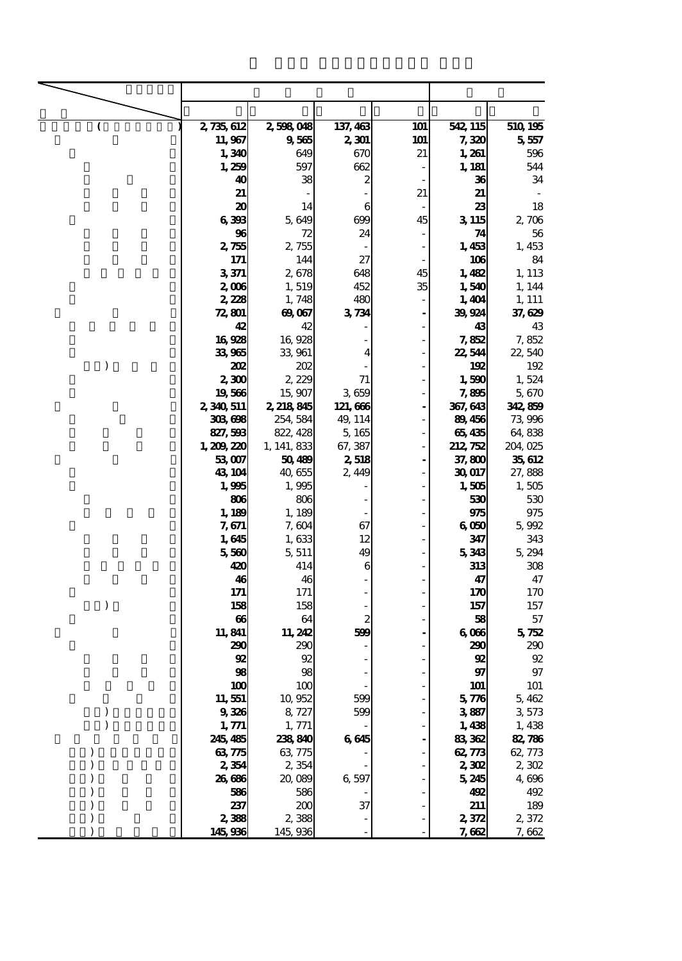|               | 2,735,612      | 2,598,048       | 137, 463         | 101                      | 542, 115     | 510 195      |
|---------------|----------------|-----------------|------------------|--------------------------|--------------|--------------|
|               | 11,967         | 9,565           | 2,301            | 101                      | 7,320        | 5,557        |
|               | 1,340          | 649             | 670              | 21                       | 1,261        | 596          |
|               | 1,259          | 597             | 662              |                          | 1, 181       | 544          |
|               | 40             | 38              | $\boldsymbol{z}$ |                          | 36           | 34           |
|               | 21             |                 |                  | 21                       | 21           |              |
|               | 20             | 14              | 6                |                          | 23           | 18           |
|               | 6398           | 5,649           | 699              | 45                       | 3 1 15       | 2,706        |
|               | 96             | 72              | 24               |                          | 74           | 56           |
|               | 2,755          | 2,755           |                  |                          | 1,453        | 1,453        |
|               | 171            | 144             | 27               |                          | 106          | 84           |
|               | 3371           | 2,678           | 648              | 45                       | 1,482        | 1, 113       |
|               | 2,006          | 1,519           | 452              | 35                       | 1,540        | 1, 144       |
|               | 2,228          | 1,748           | 480              |                          | 1,404        | 1, 111       |
|               | 72,801         | 69,067          | 3734             | $\overline{\phantom{a}}$ | 39,924       | 37,629       |
|               | 42             | 42              |                  |                          | 43           | 43           |
|               | 16928          | 16,928          |                  |                          | 7,852        | 7,852        |
|               | 33,965         | 33,961          | 4                |                          | 22,544       | 22,540       |
| $\mathcal{E}$ | 202            | 202             |                  |                          | 192          | 192          |
|               | 2,300          | 2,229           | 71               |                          | 1,590        | 1,524        |
|               | 19566          | 15,907          | 3,659            |                          | 7,895        | 5,670        |
|               | 2, 340, 511    | 2, 218, 845     | 121, 666         |                          | 367, 643     | 342,859      |
|               | 308698         | 254, 584        | 49, 114          |                          | 89456        | 73,996       |
|               | 827, 593       | 822, 428        | 5,165            |                          | 65435        | 64,838       |
|               | 1, 209, 220    | 1, 141, 833     | 67, 387          |                          | 212, 752     | 204, 025     |
|               | 53,007         | 50,489          | 2,518            |                          | 37,800       | 35,612       |
|               | 43 104         | 40,655          | 2,449            |                          | 30 017       | 27,888       |
|               | 1,995          | 1,995           |                  |                          | 1,505        | 1,505        |
|               | 806            | 806             |                  |                          |              | 530          |
|               |                |                 |                  |                          | 530          | 975          |
|               | 1,189          | 1, 189          | 67               |                          | 975          |              |
|               | 7,671          | 7, 604          | 12               |                          | 6000         | 5,992<br>343 |
|               | 1,645<br>5,560 | 1,633<br>5, 511 | 49               |                          | 347<br>5,343 | 5,294        |
|               | 420            | 414             | 6                |                          | 313          | 308          |
|               | 46             | 46              |                  |                          | 47           | 47           |
|               | 171            | 171             |                  |                          | 170          |              |
|               |                |                 |                  |                          |              | 170          |
| $\lambda$     | 158            | 158             |                  |                          | 157          | 157          |
|               | 66             | 64              | 2                |                          | 58           | 57           |
|               | 11,841         | 11, 242         | 599              |                          | 6066         | 572          |
|               | 290            | 290             |                  |                          | 290          | 290          |
|               | 92             | 92              |                  |                          | 92           | 92           |
|               | 98             | 98              |                  |                          | 97           | $97\,$       |
|               | 100            | 100             |                  |                          | <b>101</b>   | <b>101</b>   |
|               | 11,551         | 10,952          | 599              |                          | 576          | 5,462        |
|               | 9336           | 8,727           | 599              |                          | 3887         | 3,573        |
|               | 1,771          | 1, 771          |                  |                          | 1,438        | 1,438        |
|               | 245, 485       | 238,840         | 6645             |                          | 83,362       | 82,786       |
|               | 63775          | 63,775          |                  |                          | 62, 773      | 62, 773      |
|               | 2,354          | 2,354           |                  |                          | <b>2,302</b> | 2,302        |
|               | 26,686         | 20,089          | 6,597            |                          | 5,245        | 4,696        |
|               | 586            | 586             |                  |                          | 492          | 492          |
|               | 237            | 200             | 37               |                          | 211          | 189          |
|               | 2,388          | 2,388           |                  |                          | 2,372        | 2,372        |
|               | 145,936        | 145,936         |                  |                          | 7,662        | 7,662        |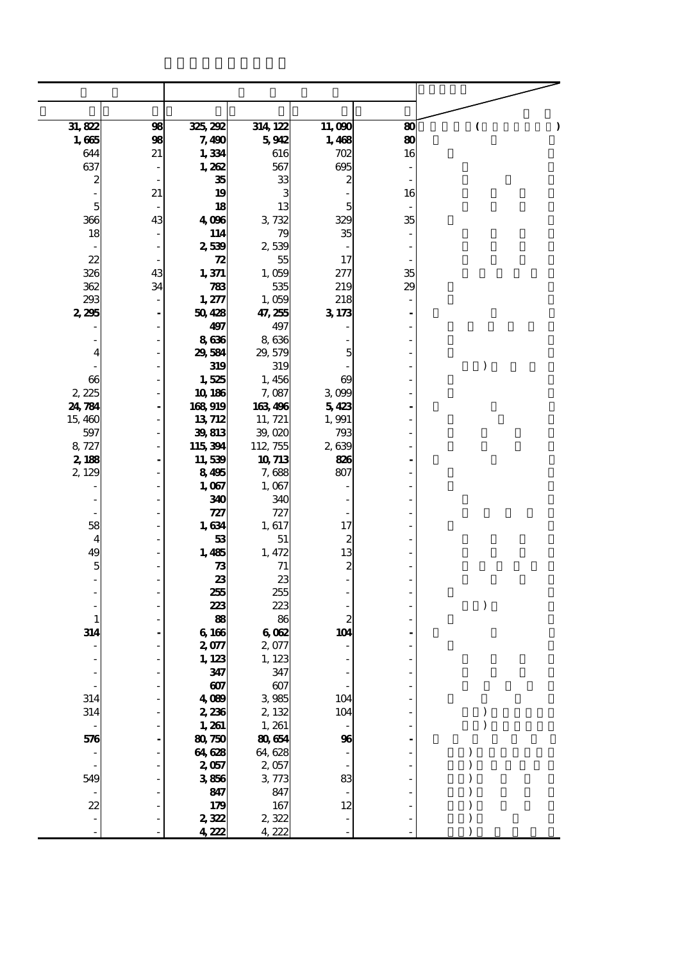| 31,822                          | 98            | 325, 292        | 314 122         | 11,090<br>1,468  | 80<br>$\bf{80}$ | )<br>(                               |
|---------------------------------|---------------|-----------------|-----------------|------------------|-----------------|--------------------------------------|
| 1,665<br>644                    | 98<br>21      | 7,490<br>1,334  | 5912<br>616     | 702              | 16              |                                      |
| 637                             |               | 1,262           | 567             | 695              |                 |                                      |
| 2                               |               | 35              | 33              | $\boldsymbol{z}$ |                 |                                      |
| $\frac{1}{2}$                   | 21            | 19              | 3               |                  | 16              |                                      |
| 5                               |               | 18              | 13              | 5                |                 |                                      |
| 366                             | 43            | 4,096           | 3,732           | 329              | 35              |                                      |
| 18                              |               | 114             | 79              | 35               |                 |                                      |
|                                 |               | 2,539           | 2,539           |                  |                 |                                      |
| 22                              |               | 72              | 55              | 17               |                 |                                      |
| 326                             | 43            | 1,371           | 1,059           | 277              | 35              |                                      |
| 362                             | 34            | 783             | 535             | 219              | 29              |                                      |
| 293                             | $\frac{1}{2}$ | 1,277           | 1,059           | 218              |                 |                                      |
| 2,295                           |               | 50428           | 47, 255         | 3173             |                 |                                      |
|                                 |               | 497             | 497             |                  |                 |                                      |
| $\qquad \qquad \blacksquare$    |               | 8636            | 8,636           |                  |                 |                                      |
| 4                               |               | 29,584          | 29, 579         | 5                |                 |                                      |
|                                 |               | 319             | 319             |                  |                 | $\mathcal{E}$                        |
| 66                              |               | 1,525           | 1,456           | 69               |                 |                                      |
| 2, 225                          |               | 10 186          | 7,087           | 3,099            |                 |                                      |
| 24, 784                         |               | 168919          | 163,496         | 5423             |                 |                                      |
| 15,460                          |               | 13712           | 11, 721         | 1,991            |                 |                                      |
| 597                             |               | 39,813          | 39,020          | 793              |                 |                                      |
| 8,727                           |               | 115,394         | 112, 755        | 2639             |                 |                                      |
| 2,188<br>2, 129                 |               | 11,539<br>8495  | 10 713<br>7,688 | 826<br>807       |                 |                                      |
|                                 |               | 1,067           | 1,067           |                  |                 |                                      |
|                                 |               | 340             | 340             |                  |                 |                                      |
|                                 |               | 727             | 727             |                  |                 |                                      |
| 58                              |               | 1,634           | 1,617           | 17               |                 |                                      |
| $\overline{4}$                  |               | 53              | 51              | $\boldsymbol{z}$ |                 |                                      |
| 49                              |               | 1,485           | 1, 472          | 13               |                 |                                      |
| $\mathbf{5}$                    |               | 73              | 71              | $\boldsymbol{z}$ |                 |                                      |
|                                 |               | 23              | 23              |                  |                 |                                      |
| ÷                               |               | 255             | 255             |                  |                 |                                      |
| -                               |               | 223             | 223             |                  |                 | $\mathcal{E}$                        |
| $\mathbf{1}$                    |               | 88              | 86              | $\boldsymbol{2}$ |                 |                                      |
| 314                             |               | 6 166           | 6082            | 104              |                 |                                      |
|                                 |               | 2,077           | 2,077           |                  |                 |                                      |
|                                 |               | 1, 123          | 1,123           |                  |                 |                                      |
|                                 |               | 347             | 347             |                  |                 |                                      |
| $\frac{1}{2}$                   |               | 607             | 607             |                  |                 |                                      |
| 314                             |               | 4,089           | 3 985           | 104              |                 |                                      |
| 314                             |               | 2,236           | 2,132           | 104              |                 | $\bm{\mathcal{E}}$<br>$\overline{)}$ |
| $\overline{\phantom{a}}$<br>576 |               | 1, 261<br>80750 | 1, 261<br>80654 | 96               |                 |                                      |
|                                 |               | 64,628          | 64, 628         |                  |                 |                                      |
|                                 |               | 2,057           | 2,057           |                  |                 |                                      |
| 549                             |               | 3856            | 3,773           | 83               |                 |                                      |
|                                 |               | 847             | 847             |                  |                 |                                      |
| 22                              |               | 179             | 167             | 12               |                 |                                      |
|                                 |               | 2,322           | 2,322           |                  |                 |                                      |
|                                 |               | 4,222           | 4,222           |                  |                 |                                      |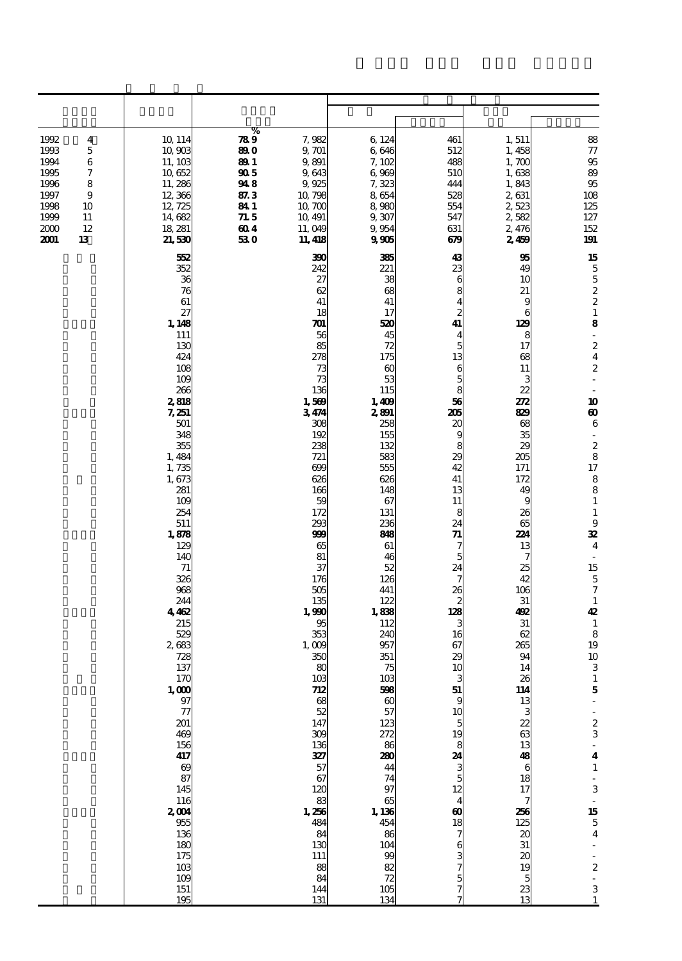| 1992<br>4<br>1993<br>5<br>1994<br>6<br>1995<br>7<br>1996<br>8<br>1997<br>9<br>1998<br>10<br>1999<br>11<br>12<br>2000<br>2001<br>13 | 10 114<br>10,903<br>11, 103<br>10 652<br>11,286<br>12,366<br>12, 725<br>14,682<br>18, 281<br>21,530                                                                                                                                                                                                                                                                                                                                                        | %<br>789<br>7,982<br>9, 701<br>89 O<br>9,891<br>89 1<br>905<br>9,643<br>948<br>9,925<br>87.3<br>10,798<br>841<br>10,700<br>71.5<br>10, 491<br>604<br>11,049<br>530<br>11, 418                                                                                                                                                                                                                                                  | 6 124<br>6,646<br>7,102<br>6,969<br>7,323<br>8654<br>8,980<br>9,307<br>9,954<br>9905                                                                                                                                                                                                                                                                                                                                                                      | 461<br>512<br>488<br>510<br>444<br>528<br>554<br>547<br>631<br>679                                                                                                                                                                                                                                                                                                                                          | 1,511<br>1,458<br>1,700<br>1,638<br>1,843<br>2,631<br>2,523<br>2,582<br>2,476<br>2,459                                                                                                                                                                                                                                                                                                                  | 88<br>$\frac{77}{95}$<br>89<br>95<br>108<br>125<br>127<br>152<br>191                                                                                                                                                                                                                                                                                                                                                                                                                                                                                                                                                                                                                                                                                     |  |  |
|------------------------------------------------------------------------------------------------------------------------------------|------------------------------------------------------------------------------------------------------------------------------------------------------------------------------------------------------------------------------------------------------------------------------------------------------------------------------------------------------------------------------------------------------------------------------------------------------------|--------------------------------------------------------------------------------------------------------------------------------------------------------------------------------------------------------------------------------------------------------------------------------------------------------------------------------------------------------------------------------------------------------------------------------|-----------------------------------------------------------------------------------------------------------------------------------------------------------------------------------------------------------------------------------------------------------------------------------------------------------------------------------------------------------------------------------------------------------------------------------------------------------|-------------------------------------------------------------------------------------------------------------------------------------------------------------------------------------------------------------------------------------------------------------------------------------------------------------------------------------------------------------------------------------------------------------|---------------------------------------------------------------------------------------------------------------------------------------------------------------------------------------------------------------------------------------------------------------------------------------------------------------------------------------------------------------------------------------------------------|----------------------------------------------------------------------------------------------------------------------------------------------------------------------------------------------------------------------------------------------------------------------------------------------------------------------------------------------------------------------------------------------------------------------------------------------------------------------------------------------------------------------------------------------------------------------------------------------------------------------------------------------------------------------------------------------------------------------------------------------------------|--|--|
|                                                                                                                                    | 552<br>352<br>36<br>76<br>61<br>27<br>1,148<br>111<br>130<br>424<br>108<br>109<br>266<br>2,818<br>7,251<br>501<br>348<br>355<br>1,484<br>1,735<br>1,673<br>281<br>109<br>254<br>511<br>1,878<br>129<br>140<br>71<br>326<br>968<br>244<br>4462<br>215<br>529<br>2683<br>728<br>137<br>170<br>$\frac{1,000}{97}$<br>$\tau$<br>201<br>469<br>156<br>417<br>69<br>87<br>145<br>116<br>2004<br>955<br>136<br>180<br>175<br>10 <sup>3</sup><br>109<br>151<br>195 | 390<br>242<br>27<br>62<br>41<br>18<br>701<br>56<br>85<br>278<br>73<br>73<br>136<br>1,569<br>3474<br>308<br>192<br>238<br>721<br>699<br>626<br>166<br>59<br>172<br>293<br>999<br>65<br>81<br>37<br>176<br>505<br>135<br>1,990<br>95<br>353<br>1,009<br>350<br>80<br>10 <sub>3</sub><br>712<br>$\infty$<br>52<br>147<br>309<br>136<br>327<br>57<br>67<br>120<br>83<br>1,256<br>484<br>84<br>130<br>111<br>88<br>84<br>144<br>131 | 385<br>221<br>38<br>68<br>41<br>17<br>520<br>45<br>72<br>175<br>$\boldsymbol{\omega}$<br>53<br>115<br>1,409<br>2801<br>258<br>155<br>132<br>583<br>555<br>626<br>148<br>67<br>131<br>236<br>88<br>61<br>46<br>52<br>126<br>441<br>122<br>1,838<br>112<br>240<br>957<br>351<br>75<br>103<br>598<br>$\boldsymbol{\omega}$<br>57<br>123<br>272<br>86<br>280<br>44<br>74<br>97<br>65<br>1, 136<br>454<br>86<br>104<br>99<br>82<br>$\mathcal{R}$<br>105<br>134 | 43<br>23<br>6<br>8<br>4<br>$\overline{c}$<br>41<br>4<br>5<br>13<br>$6\overline{5}$<br>56<br>205<br>20<br>9<br>8<br>29<br>42<br>41<br>13<br>11<br>8<br>24<br>71<br>7<br>5<br>24<br>7<br>26<br>2<br>128<br>3<br>16<br>67<br>29<br>10<br>3<br>51<br>9<br>10<br>5<br>19<br>8<br>24<br>$\begin{array}{c} 3 \\ 5 \\ 12 \end{array}$<br>$\overline{\mathbf{4}}$<br>$\boldsymbol{\omega}$<br>$\frac{18}{7}$<br>7577 | 95<br>49<br>10<br>21<br>9<br>6<br>129<br>8<br>17<br>68<br>11<br>з<br>22<br>272<br>829<br>68<br>35<br>29<br>205<br>171<br>172<br>49<br>9<br>26<br>65<br>224<br>13<br>7<br>25<br>42<br>106<br>31<br>492<br>31<br>62<br>265<br>94<br>14<br>26<br>114<br>13<br>3<br>22<br>63<br>13<br>48<br>6<br>18<br>17<br>7<br>256<br>125<br>$\boldsymbol{\alpha}$<br>31<br>$\boldsymbol{\alpha}$<br>19<br>5<br>23<br>13 | 15<br>$\overline{5}$<br>$\frac{5}{2}$<br>$\mathbf{1}% _{T}\left  \mathbf{1}\right\rangle$<br>8<br>$\overline{\phantom{a}}$<br>$\overline{\mathbf{c}}$<br>$\overline{\mathbf{4}}$<br>$\boldsymbol{2}$<br>$\sim$<br>10<br>$\boldsymbol{\omega}$<br>6<br>$\overline{\phantom{a}}$<br>$\boldsymbol{2}$<br>8<br>17<br>8<br>8<br>$\mathbf 1$<br>$\mathbf 1$<br>$\boldsymbol{9}$<br>32<br>$\overline{\mathbf{4}}$<br>$\overline{\phantom{a}}$<br>15<br>$\overline{5}$<br>$\overline{7}$<br>$\mathbf{1}$<br>42<br>$\mathbf 1$<br>8<br>19<br>10<br>3<br>$\mathbf{1}$<br>$\bf{5}$<br>÷.<br>$\begin{array}{c} 2 \\ 3 \end{array}$<br>$\overline{\mathbf{4}}$<br>$\mathbf{1}$<br>$-3$<br>$-15$<br>$5$<br>$4$<br>$\frac{1}{2}$<br>$\mathbb{Z}^2$<br>3<br>$\mathbf{1}$ |  |  |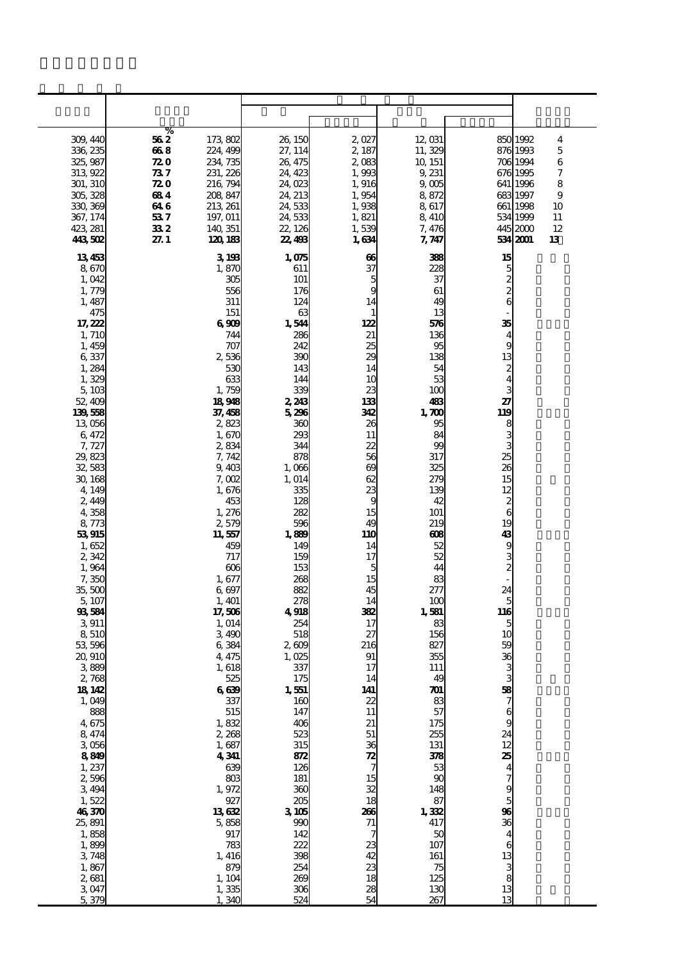|                      | %                                    |                    |                 |                          |                          |                                  |
|----------------------|--------------------------------------|--------------------|-----------------|--------------------------|--------------------------|----------------------------------|
| 309, 44C<br>336, 235 | 562<br>173,802<br>668<br>224, 499    | 26, 15C<br>27, 114 | 2027<br>2, 187  | 12,031<br>11,329         | 850                      | 1992<br>4<br>5<br>876 1993       |
| 325, 987             | 72 O<br>234, 735                     | 26, 475            | 2,083           | 10 151                   |                          | 6<br>706 1994                    |
| 313, 922             | 231, 226<br>73 7                     | 24, 423            | 1,993           | 9,231                    |                          | 676 1995<br>7                    |
| 301, 310             | <b>720</b><br>216, 794               | 24, Q23            | 1,916           | 9 <sub>005</sub>         |                          | 641 1996<br>8                    |
| 305, 328             | 208, 847<br>684                      | 24, 213            | 1,954           | 8872                     | 683                      | 1997<br>9                        |
| 330, 369<br>367, 174 | 213, 261<br>64 6<br>53 7<br>197, 011 | 24,533<br>24,533   | 1,938<br>1,821  | 8617<br>8 410            |                          | 661 1998<br>10<br>534 1999<br>11 |
| 423, 281             | 332<br>140, 351                      | 22, 126            | 1,539           | 7,476                    |                          | 445 2000<br>12                   |
| 443,502              | 27.1<br>120 183                      | 22,493             | 1,634           | 7, 747                   |                          | 534 2001<br>13                   |
| 13453                | 3, 198                               | 1,075              | 66              | 38                       | 15                       |                                  |
| 8670                 | 1,87C                                | 611                | 37              | 228                      | 5                        |                                  |
| 1,042                | 305                                  | 101                | 5               | 37                       | $\frac{2}{2}$            |                                  |
| 1,775<br>1,487       | 556<br>311                           | 176<br>124         | g<br>14         | 61<br>49                 | 6                        |                                  |
| 475                  | 151                                  | 63                 | 1               | 13                       |                          |                                  |
| 17, 222              | 6 SOE                                | 1,544              | 122             | 576                      | 35                       |                                  |
| 1, 71 <sub>C</sub>   | 744                                  | 286                | 21              | 136                      | 4                        |                                  |
| 1,450                | 707                                  | 242                | 25<br>29        | 95<br>138                | 9                        |                                  |
| 6337<br>1,284        | 2,536<br>530                         | 390<br>143         | 14              | 54                       | 13<br>2                  |                                  |
| 1,325                | 633                                  | 144                | 1C              | 53                       | 4                        |                                  |
| 5,103                | 1,759                                | 339                | 23              | 100                      | 3                        |                                  |
| 52,409               | 18948                                | 2, 243             | 133             | 483                      | 27                       |                                  |
| 139,558<br>13 056    | 37, 458<br>282                       | 5,296<br>ЗЗС       | 342<br>26       | 1,700<br>95              | 119<br>8                 |                                  |
| 6,472                | 1,67C                                | 293                | 11              | 84                       | 3                        |                                  |
| 7,727                | 2,834                                | 344                | 22              | $90^{\circ}$             |                          |                                  |
| 29,823               | 7,742                                | 878                | 56              | 317                      | 25                       |                                  |
| 32,583<br>30, 168    | 9,403<br>7,002                       | 1,006<br>1, 014    | $\infty$<br>62  | 325<br>27C               | 26<br>15                 |                                  |
| 4,149                | 1,676                                | 335                | 23              | 13C                      | 12                       |                                  |
| 2,449                | 453                                  | 128                | g               | 42                       | $\boldsymbol{z}$         |                                  |
| 4,358                | 1,276                                | 282                | 15              | 101                      | 6                        |                                  |
| 8,773<br>53915       | 2,575<br>11,557                      | 596<br>1,889       | 49<br>110       | 219<br>ങ                 | 19<br>43                 |                                  |
| 1,652                | 459                                  | 14 <sup>C</sup>    | 14              | 52                       | 9                        |                                  |
| 2,342                | 717                                  | 159                | 17              | 52                       | 3                        |                                  |
| 1,964                | $\infty$                             | 153                | 5               | 44                       | $\overline{\mathbf{z}}$  |                                  |
| 7,350<br>35, 50C     | 1,677<br>6.697                       | 268<br>882         | 15<br>45        | 83<br>277                | 24                       |                                  |
| 5,107                | 1, 401                               | 278                | 14              | 100                      | 5                        |                                  |
| 93,584               | 17,506                               | 4918               | 332             | 1,581                    | 116                      |                                  |
| 3911                 | 1, 014                               | 254                | 17              | 83                       | 5                        |                                  |
| 8,510<br>53,596      | 3,490<br>6,384                       | 518<br>$2 \omega$  | 27<br>216       | 156<br>827               | 10<br>59                 |                                  |
| 20, 91C              | 4, 475                               | 1,025              | 91              | 355                      | 36                       |                                  |
| 3889                 | 1, 618                               | 337                | 17              | 111                      | 3                        |                                  |
| 2768                 | 525                                  | 175                | 14<br>141       | 49                       | 3                        |                                  |
| 18, 142<br>1,049     | 669<br>337                           | 1,551<br>16C       | 22              | $\boldsymbol{\pi}$<br>83 | 58<br>7                  |                                  |
| 889                  | 515                                  | 147                | 11              | 57                       | 6                        |                                  |
| 4,675                | 1,832                                | 406                | 21              | 175                      | 9                        |                                  |
| 8,474<br>3056        | 2,268<br>1,687                       | 523<br>315         | 51<br>36        | 255<br>131               | 24<br>12                 |                                  |
| 8819                 | 4341                                 | 872                | $\mathbb{Z}$    | 378                      | 25                       |                                  |
| 1, 237               | 63C                                  | 126                | 7               | 53                       | $\overline{\mathbf{4}}$  |                                  |
| 2,596                | 803                                  | 181                | 15              | $\alpha$                 | $\overline{\phantom{a}}$ |                                  |
| 3,494<br>1,522       | 1,972<br>927                         | 360<br>205         | 32<br>18        | 148<br>87                | $\frac{9}{5}$            |                                  |
| 46,370               | 13682                                | 3105               | 266             | 1,332                    | 96                       |                                  |
| 25,891               | 5,858                                | 990                | 71              | 417                      | 36                       |                                  |
| 1,858                | 917                                  | 142                | 7               | 5C                       | 4                        |                                  |
| 1,899<br>3,748       | 783<br>1, 416                        | 222<br>398         | $\frac{23}{42}$ | 107<br>161               | 6<br>13                  |                                  |
| 1,867                | 879                                  | 254                | 23              | 75                       |                          |                                  |
| 2,681                | 1, 104                               | 200                | 18              | 125                      | $\frac{3}{8}$            |                                  |
| 3.047                | 1,335                                | 306                | 28              | 13C                      | 13                       |                                  |
| 5,379                | 1,340                                | 524                | 54              | 267                      | 13                       |                                  |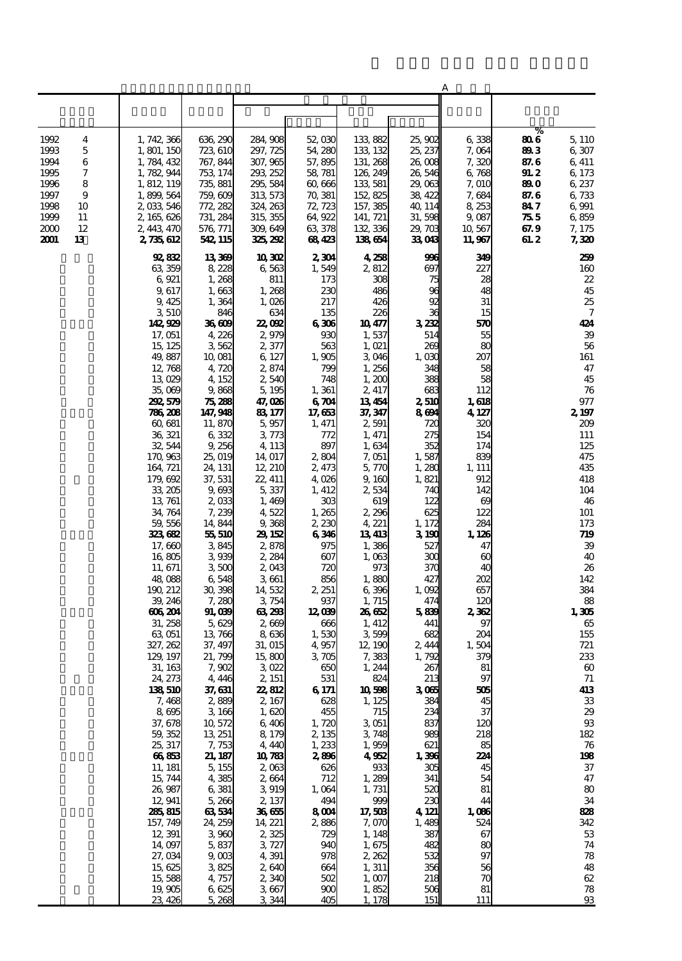|                   |                          |                      |                      |                  |                          |                  | A              |               |                       |
|-------------------|--------------------------|----------------------|----------------------|------------------|--------------------------|------------------|----------------|---------------|-----------------------|
|                   |                          |                      |                      |                  |                          |                  |                |               |                       |
|                   |                          |                      |                      |                  |                          |                  |                |               |                       |
|                   |                          |                      |                      |                  |                          |                  |                | %             |                       |
| 1992<br>4         | 1, 742, 366              | 636, 290             | 284, 908             | 52,030           | 133,882                  | 25,902           | 6338           | 806           | 5, 110                |
| 1993<br>5         | 1, 801, 150              | 723, 610             | 297, 725             | 54, 280          | 133, 132                 | 25, 237          | 7,064          | 893           | 6,307                 |
| 1994<br>6<br>7    | 1, 784, 432<br>1,782,944 | 767, 844             | 307, 965             | 57,895           | 131, 268<br>126, 249     | 26,008           | 7,320<br>6.768 | 87.6          | 6,411                 |
| 1995<br>1996<br>8 | 1, 812, 119              | 753, 174<br>735, 881 | 293, 252<br>295, 584 | 58,781<br>60,666 | 133, 581                 | 26,546<br>29,063 | 7,010          | 91. 2<br>89 O | 6, 173<br>6, 237      |
| 1997<br>9         | 1,899,564                | 759, 609             | 313, 573             | 70, 381          | 152,825                  | 38, 422          | 7,684          | 87.6          | 6,733                 |
| 1998<br>10        | 2,033,546                | 772, 282             | 324, 263             | 72, 723          | 157, 385                 | 40, 114          | 8, 253         | 84 7          | 6,991                 |
| 1999<br>11        | 2, 165, 626              | 731, 284             | 315, 355             | 64,922           | 141, 721                 | 31,598           | 9,087          | 755           | 6859                  |
| 12<br>2000        | 2, 443, 470              | 576, 771             | 309, 649             | 63 378           | 132, 336                 | 29,703           | 10,567         | 67.9          | 7, 175                |
| 2001<br>13        | 2, 735, 612              | 542, 115             | 325, 292             | 68423            | 138654                   | 33,043           | 11,967         | 61. 2         | 7,320                 |
|                   | 92,832                   | 13369                | 10 30 <sub>2</sub>   | 2304             | 4258                     | 996              | 349            |               | 259                   |
|                   | 63, 359                  | 8,228                | 6,563                | 1,549            | 2,812                    | 697              | 227            |               | 160                   |
|                   | 6,921                    | 1,268                | 811                  | 173              | 308                      | 75               | 28             |               | 22                    |
|                   | 9,617                    | 1,663                | 1,268                | 230              | 486                      | 96               | 48             |               | 45                    |
|                   | 9,425                    | 1,364                | 1,026                | 217              | 426                      | 92<br>36         | 31             |               | 25                    |
|                   | 3510<br>142,929          | 846<br>36 GOB        | 634<br>22, QP        | 135<br>6306      | 226<br>10 <sub>477</sub> | 3232             | 15<br>570      |               | 7<br>424              |
|                   | 17,051                   | 4,226                | 2,979                | 930              | 1,537                    | 514              | 55             |               | 39                    |
|                   | 15, 125                  | 3562                 | 2,377                | 563              | 1,021                    | 269              | 80             |               | 56                    |
|                   | 49,887                   | 10,081               | 6, 127               | 1,905            | 3,046                    | 1,030            | 207            |               | 161                   |
|                   | 12,768                   | 4,720                | 2,874                | 799              | 1,256                    | 348              | 58             |               | 47                    |
|                   | 13,029                   | 4, 152               | 2,540                | 748              | 1,200                    | 388              | 58             |               | 45                    |
|                   | 35,009                   | 9,868                | 5, 195               | 1,361            | 2, 417                   | 683              | 112            |               | 76                    |
|                   | 292, 579<br>786,208      | 75,288<br>147,948    | 47,026<br>83, 177    | 6704<br>17,653   | 13454<br>37, 347         | 2,510<br>8604    | 1,618<br>4 127 |               | 977<br>2, 197         |
|                   | 60,681                   | 11,870               | 5,957                | 1, 471           | 2,591                    | 720              | 320            |               | 209                   |
|                   | 36, 321                  | 6332                 | 3, 773               | 772              | 1, 471                   | 275              | 154            |               | 111                   |
|                   | 32, 544                  | 9,256                | 4, 113               | 897              | 1,634                    | 352              | 174            |               | 125                   |
|                   | 170,963                  | 25,019               | 14, 017              | 2,804            | 7,051                    | 1,587            | 839            |               | 475                   |
|                   | 164, 721                 | 24, 131              | 12, 210              | 2, 473           | 5,770                    | 1,280            | 1, 111         |               | 435                   |
|                   | 179,692                  | 37, 531              | 22, 411              | 4,026            | 9, 160                   | 1,821            | 912<br>142     |               | 418                   |
|                   | 33, 205<br>13, 761       | 9,693<br>2,033       | 5,337<br>1,469       | 1, 412<br>303    | 2,534<br>619             | 740<br>122       | 69             |               | 104<br>46             |
|                   | 34, 764                  | 7,239                | 4,522                | 1,265            | 2,296                    | 625              | 122            |               | 101                   |
|                   | 59,556                   | 14,844               | 9,368                | 2,230            | 4, 221                   | 1, 172           | 284            |               | 173                   |
|                   | 323,682                  | 55,510               | 29, 152              | 6346             | 13413                    | 3,190            | 1, 126         |               | 719                   |
|                   | 17,660                   | 3845                 | 2,878                | 975              | 1,386                    | 527              | 47             |               | 39                    |
|                   | 16,805                   | 3939                 | 2, 284               | 607              | 1,063                    | 300              | $_{60}$        |               | 40                    |
|                   | 11, 671<br>48,088        | 3500<br>6548         | 2,043<br>3661        | 720<br>856       | 973<br>1,880             | 370<br>427       | 40<br>202      |               | 26<br>142             |
|                   | 190, 212                 | 30, 398              | 14,532               | 2, 251           | 6,396                    | 1,092            | 657            |               | 384                   |
|                   | 39, 246                  | 7,280                | 3, 754               | 937              | 1, 715                   | 474              | 120            |               | 88                    |
|                   | 606,204                  | 91,089               | 63,293               | 12,039           | 2662                     | 5839             | 2362           |               | 1,305                 |
|                   | 31, 258                  | 5629                 | 2,669                | 666              | 1, 412                   | 441              | 97             |               | 65                    |
|                   | 63,051                   | 13 766               | 8636                 | 1,530            | 3500                     | 682              | 204            |               | 155                   |
|                   | 327, 262<br>129, 197     | 37, 497<br>21,799    | 31, 015<br>15,800    | 4,957<br>3705    | 12, 190<br>7,383         | 2, 444<br>1,792  | 1,504<br>379   |               | 721<br>233            |
|                   | 31, 163                  | 7, 902               | 3022                 | 650              | 1, 244                   | 267              | 81             |               | $\boldsymbol{\omega}$ |
|                   | 24, 273                  | 4, 446               | 2, 151               | 531              | 824                      | 213              | 97             |               | 71                    |
|                   | 138,510                  | 37, 631              | 22,812               | 6 171            | 10598                    | 3065             | 505            |               | 413                   |
|                   | 7,468                    | 2,889                | 2, 167               | 628              | 1, 125                   | 384              | 45             |               | ${\bf 33}$            |
|                   | 8,695                    | 3,166                | 1,620                | 455              | 715                      | 234              | 37             |               | $2\!9$                |
|                   | 37, 678                  | 10,572               | 6,406                | 1,720<br>2, 135  | 3.051<br>3,748           | 837              | 120<br>218     |               | $93$<br>182           |
|                   | 59, 352<br>25, 317       | 13, 251<br>7,753     | 8, 179<br>4,440      | 1,233            | 1,959                    | 989<br>621       | 85             |               | 76                    |
|                   | 66,853                   | 21, 187              | 10783                | 2,896            | 4952                     | 1,396            | 224            |               | 198                   |
|                   | 11, 181                  | 5,155                | 2,063                | 626              | 933                      | 305              | 45             |               | $37\,$                |
|                   | 15, 744                  | 4 385                | 2664                 | 712              | 1,289                    | 341              | 54             |               | 47                    |
|                   | 26,987                   | 6,381                | 3919                 | 1,064            | 1,731                    | 520              | 81             |               | 80                    |
|                   | 12,941                   | 5,266                | 2, 137               | 494              | 999                      | 230              | 44             |               | 34                    |
|                   | 285, 815<br>157, 749     | 63534<br>24, 259     | 36655<br>14, 221     | 8004<br>2,886    | 17,508<br>7,070          | 4,121<br>1,489   | 1,086<br>524   |               | 88<br>342             |
|                   | 12, 391                  | 3 960                | 2,325                | 729              | 1, 148                   | 387              | 67             |               | 53                    |
|                   | 14,097                   | 5,837                | 3,727                | 940              | 1,675                    | 482              | 80             |               | 74                    |
|                   | 27,034                   | 9,003                | 4,391                | 978              | 2,262                    | 532              | 97             |               | 78                    |
|                   | 15,625                   | 3825                 | 2,640                | 664              | 1, 311                   | 356              | 56             |               | ${\bf 48}$            |
|                   | 15,588                   | 4, 757               | 2,340                | 502              | 1,007                    | 218              | 70             |               | 62                    |
|                   | 19,905                   | 6625                 | 3667                 | 900              | 1,852                    | 506              | 81             |               | 78                    |
|                   | 23, 426                  | 5,268                | 3 344                | 405              | 1, 178                   | 151              | <u>111</u>     |               | $93$                  |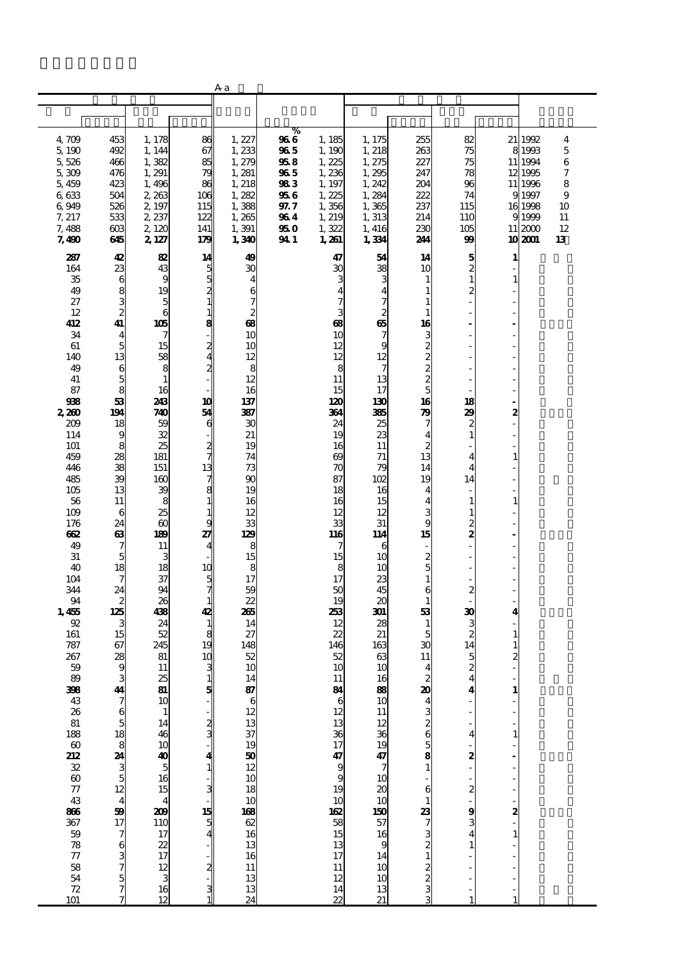|                                                                                                                                                                                                                                                                                                                                                                                                                                      |                                                                                                                                                                                                                                                                                                                                                |                                                                                                                                                                                                                                                                                                                                                                                                                                                        |                                                                                                                                                                                                                                                                                                                                           | Aа                                                                                                                                                                                                                                                                                                                                                                |                                                                            |                                                                                                                                                                                                                                                                                                                                                                                           |                                                                                                                                                                                                                                                                                                                                                                                                     |                                                                                                                                                                                                                                                             |                                                                                                                                                                                                                                                                                                     |                                                                                                                            |                                                                                                         |                                                                                   |
|--------------------------------------------------------------------------------------------------------------------------------------------------------------------------------------------------------------------------------------------------------------------------------------------------------------------------------------------------------------------------------------------------------------------------------------|------------------------------------------------------------------------------------------------------------------------------------------------------------------------------------------------------------------------------------------------------------------------------------------------------------------------------------------------|--------------------------------------------------------------------------------------------------------------------------------------------------------------------------------------------------------------------------------------------------------------------------------------------------------------------------------------------------------------------------------------------------------------------------------------------------------|-------------------------------------------------------------------------------------------------------------------------------------------------------------------------------------------------------------------------------------------------------------------------------------------------------------------------------------------|-------------------------------------------------------------------------------------------------------------------------------------------------------------------------------------------------------------------------------------------------------------------------------------------------------------------------------------------------------------------|----------------------------------------------------------------------------|-------------------------------------------------------------------------------------------------------------------------------------------------------------------------------------------------------------------------------------------------------------------------------------------------------------------------------------------------------------------------------------------|-----------------------------------------------------------------------------------------------------------------------------------------------------------------------------------------------------------------------------------------------------------------------------------------------------------------------------------------------------------------------------------------------------|-------------------------------------------------------------------------------------------------------------------------------------------------------------------------------------------------------------------------------------------------------------|-----------------------------------------------------------------------------------------------------------------------------------------------------------------------------------------------------------------------------------------------------------------------------------------------------|----------------------------------------------------------------------------------------------------------------------------|---------------------------------------------------------------------------------------------------------|-----------------------------------------------------------------------------------|
|                                                                                                                                                                                                                                                                                                                                                                                                                                      |                                                                                                                                                                                                                                                                                                                                                |                                                                                                                                                                                                                                                                                                                                                                                                                                                        |                                                                                                                                                                                                                                                                                                                                           |                                                                                                                                                                                                                                                                                                                                                                   |                                                                            |                                                                                                                                                                                                                                                                                                                                                                                           |                                                                                                                                                                                                                                                                                                                                                                                                     |                                                                                                                                                                                                                                                             |                                                                                                                                                                                                                                                                                                     |                                                                                                                            |                                                                                                         |                                                                                   |
|                                                                                                                                                                                                                                                                                                                                                                                                                                      |                                                                                                                                                                                                                                                                                                                                                |                                                                                                                                                                                                                                                                                                                                                                                                                                                        |                                                                                                                                                                                                                                                                                                                                           |                                                                                                                                                                                                                                                                                                                                                                   |                                                                            |                                                                                                                                                                                                                                                                                                                                                                                           |                                                                                                                                                                                                                                                                                                                                                                                                     |                                                                                                                                                                                                                                                             |                                                                                                                                                                                                                                                                                                     |                                                                                                                            |                                                                                                         |                                                                                   |
| 4,709<br>5,190<br>5,526<br>5,309<br>5,459<br>6,633<br>6,949<br>7, 217<br>7,488<br>7,490<br>287                                                                                                                                                                                                                                                                                                                                       | 453<br>492<br>466<br>476<br>423<br>504<br>526<br>533<br>603<br>645<br>42                                                                                                                                                                                                                                                                       | 1, 178<br>1, 144<br>1,382<br>1,291<br>1,496<br>2,263<br>2, 197<br>2 237<br>2,120<br>2, 127<br>82                                                                                                                                                                                                                                                                                                                                                       | 86<br>67<br>85<br>79<br>86<br>106<br>115<br>122<br>141<br>179<br>14                                                                                                                                                                                                                                                                       | 1, 227<br>1,233<br>1,279<br>1,281<br>1, 218<br>1,282<br>1,388<br>1,265<br>1,391<br>1,340<br>49                                                                                                                                                                                                                                                                    | %<br>966<br>965<br>958<br>965<br>983<br>956<br>97.7<br>964<br>95 O<br>94 1 | 1, 185<br>1, 190<br>1,225<br>1,236<br>1, 197<br>1,225<br>1,356<br>1, 219<br>1,322<br>1,261<br>47                                                                                                                                                                                                                                                                                          | 1, 175<br>1, 218<br>1, 275<br>1,295<br>1,242<br>1,284<br>1,365<br>1,313<br>1, 416<br>1,334<br>54                                                                                                                                                                                                                                                                                                    | 255<br>263<br>227<br>247<br>204<br>222<br>237<br>214<br>230<br>244<br>14                                                                                                                                                                                    | 82<br>75<br>75<br>78<br>96<br>74<br>115<br>110<br>105<br>99<br>5                                                                                                                                                                                                                                    | 1                                                                                                                          | 21 1992<br>8 1993<br>11 1994<br>12 1995<br>11 1996<br>9 1997<br>16 1998<br>9 1999<br>11 2000<br>10 2001 | $\overline{\mathbf{4}}$<br>$\sqrt{5}$<br>6<br>7<br>8<br>9<br>10<br>11<br>12<br>13 |
| 164<br>35<br>49<br>27<br>12<br>412<br>34<br>61<br>140<br>49<br>41<br>87<br>938<br>2,260<br>209<br>114<br>101<br>459<br>446<br>485<br>105<br>56<br>109<br>176<br>662<br>49<br>31<br>40<br>104<br>344<br>94<br>1,455<br>92<br>161<br>787<br>267<br>59<br>89<br>308<br>43<br>26<br>81<br>$\frac{188}{60}$<br>212<br>$\frac{32}{60}$<br>$\frac{77}{60}$<br>43<br>806<br>367<br>59<br>78<br>77<br>$\begin{array}{c} 58 \\ 54 \end{array}$ | 23<br>6<br>8<br>$\frac{3}{2}$<br>41<br>$\overline{\mathbf{4}}$<br>$\overline{5}$<br>13<br>6<br>5<br>8<br>53<br>194<br>18<br>9<br>8<br>28<br>38<br>39<br>13<br>11<br>6<br>24<br>$\boldsymbol{\omega}$<br>7<br>5<br>18<br>7<br>24<br>$\boldsymbol{z}$<br>125<br>3<br>15<br>67<br>28<br>9<br>41<br>ว<br>7 ธ x อ อ ส ฌ ม ม ม ม ม ม ม อ ส ๗ ๗ ๗ ๑ ว | 43<br>9<br>19<br>$\frac{5}{6}$<br>105<br>7<br>15<br>58<br>8<br>$\mathbf{1}$<br>16<br>243<br>740<br>59<br>32<br>25<br>181<br>151<br>160<br>39<br>8<br>25<br>$\boldsymbol{\omega}$<br>189<br>11<br>3<br>18<br>37<br>94<br>26<br>438<br>24<br>52<br>245<br>81<br>11<br>$\overline{\mathbf{a}}$<br>10<br>$\mathbf{1}$<br>14<br>46<br>$10$<br>$40$<br>$5$<br>$16$<br>$15$<br>$\overline{\mathbf{4}}$<br>209<br>110<br>17<br>$rac{22}{17}$<br>$\frac{12}{3}$ | 5<br>5<br>$\overline{\mathbf{z}}$<br>$\mathbf{1}$<br>$\mathbf{1}$<br>8<br>$\overline{\mathbf{z}}$<br>$\overline{\mathbf{z}}$<br>10<br>54<br>6<br>$\frac{2}{7}$<br>13<br>7<br>8<br>$\mathbf{1}$<br>$\mathbf{1}$<br>g<br>27<br>10<br>5<br>7<br>$\mathbf{1}$<br>42<br>$\mathbf{1}$<br>8<br>19<br>10<br>3<br>1<br>5<br>2<br>3<br>15<br>5<br>2 | ЗС<br>4<br>6<br>7<br>$\overline{\mathbf{c}}$<br>œ<br>10<br>10<br>12<br>8<br>12<br>16<br>137<br>387<br>30<br>21<br>19<br>74<br>73<br>90<br>19<br>16<br>12<br>33<br>129<br>8<br>15<br>8<br>17<br>59<br>22<br>265<br>14<br>27<br>148<br>52<br>10<br>14<br>87<br>6<br>12<br>13<br>37<br>19<br>$\frac{50}{12}$<br>18<br>10<br>$\frac{108}{62}$<br>13<br>16<br>11<br>13 |                                                                            | 30<br>3<br><b>B</b><br>10<br>12<br>12<br>8<br>11<br>15<br>120<br>364<br>24<br>19<br>16<br>$\boldsymbol{\omega}$<br>$\pi$<br>87<br>18<br>16<br>12<br>33<br>116<br>7<br>15<br>8<br>17<br>50<br>19<br>253<br>12<br>22<br>146<br>52<br>10<br>11<br>$\frac{84}{6}$<br>$\overline{12}$<br>13 36 13 36 9<br>19<br>$\frac{10}{16}$<br>$\frac{10}{35}$<br>13<br>$\overline{17}$<br>$\frac{11}{12}$ | 38<br>з<br>$\frac{4}{7}$<br>$\frac{2}{65}$<br>7<br>9<br>12<br>7<br>13<br>17<br>130<br>385<br>25<br>23<br>11<br>71<br>79<br>102<br>16<br>15<br>12<br>31<br>114<br>6<br>10<br>10<br>23<br>45<br>20<br>301<br>28<br>21<br>163<br>63<br>10<br>16<br>88<br>10<br>$\overline{11}$<br>$\frac{12}{30}$ $\frac{30}{7}$<br>10<br>$\frac{20}{150}$<br>16<br>9<br>14<br>$\begin{array}{c} 10 \\ 10 \end{array}$ | 10<br>1<br>1<br>1<br>1<br>16<br>3<br><b>588888</b><br>16<br>79<br>7<br>4<br>2<br>13<br>14<br>19<br>4<br>4<br>3<br>9<br>15<br>$\frac{2}{5}$<br>$\mathbf{1}$<br>6<br>1<br>53<br>1<br>5<br>30<br>11<br>4<br>$\frac{2}{20}$<br>2<br>6<br>5<br>8<br>6<br>23<br>2 | $\overline{c}$<br>$\mathbf{1}$<br>2<br>18<br>29<br>$\boldsymbol{z}$<br>$\mathbf{1}$<br>$\overline{\mathbf{4}}$<br>4<br>14<br>$\mathbf{1}$<br>1<br>$\overline{\mathbf{c}}$<br>2<br>$\boldsymbol{z}$<br>30<br>3<br>$\boldsymbol{z}$<br>14<br>5<br>$\boldsymbol{z}$<br>4<br>4<br>4<br>2<br>2<br>9<br>1 | $\mathbf{1}$<br>2<br>$\mathbf{1}$<br>$\mathbf{1}$<br>4<br>1<br>1<br>$\overline{\mathbf{c}}$<br>1<br>1<br>2<br>$\mathbf{1}$ |                                                                                                         |                                                                                   |
| 72<br>101                                                                                                                                                                                                                                                                                                                                                                                                                            |                                                                                                                                                                                                                                                                                                                                                | $\frac{16}{12}$                                                                                                                                                                                                                                                                                                                                                                                                                                        |                                                                                                                                                                                                                                                                                                                                           | 13<br>24                                                                                                                                                                                                                                                                                                                                                          |                                                                            | 14<br>$\overline{\mathbb{Z}}$                                                                                                                                                                                                                                                                                                                                                             | $\frac{13}{21}$                                                                                                                                                                                                                                                                                                                                                                                     | $\frac{2}{2}$<br>3<br>3                                                                                                                                                                                                                                     | 1                                                                                                                                                                                                                                                                                                   | 1                                                                                                                          |                                                                                                         |                                                                                   |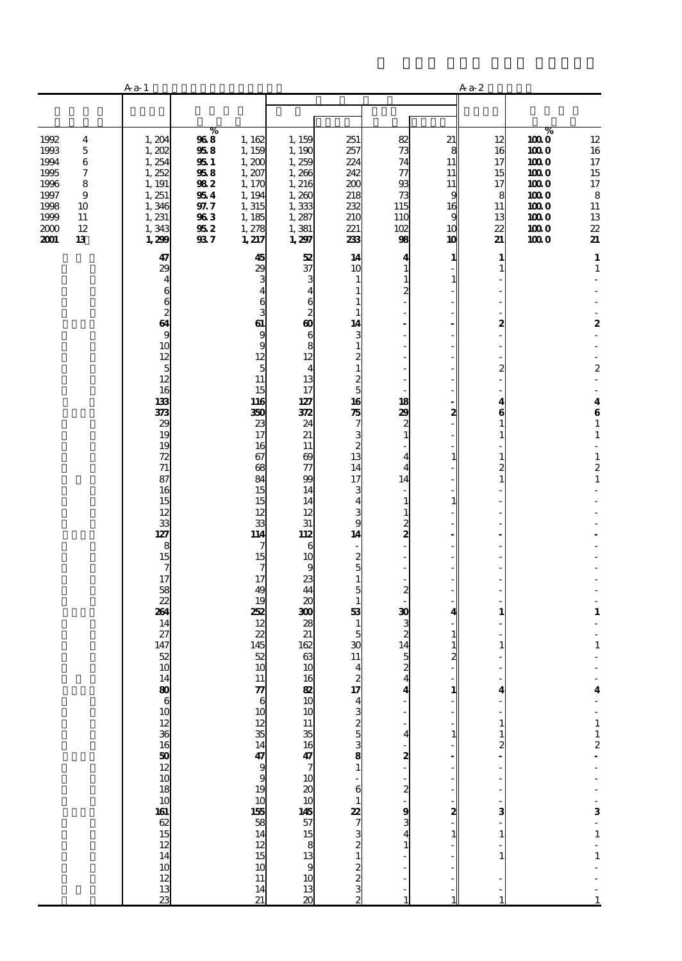|                                                                                                                                                                    | A <sub>a</sub> 1                                                                                                                        |                                                                           |                                                                                                |                                                                                                                                       |                                                                                                                                   |                                                                                              | $Aa-2$                                                     |                                                                         |                                                                                   |                                                                                                                           |
|--------------------------------------------------------------------------------------------------------------------------------------------------------------------|-----------------------------------------------------------------------------------------------------------------------------------------|---------------------------------------------------------------------------|------------------------------------------------------------------------------------------------|---------------------------------------------------------------------------------------------------------------------------------------|-----------------------------------------------------------------------------------------------------------------------------------|----------------------------------------------------------------------------------------------|------------------------------------------------------------|-------------------------------------------------------------------------|-----------------------------------------------------------------------------------|---------------------------------------------------------------------------------------------------------------------------|
|                                                                                                                                                                    |                                                                                                                                         |                                                                           |                                                                                                |                                                                                                                                       |                                                                                                                                   |                                                                                              |                                                            |                                                                         |                                                                                   |                                                                                                                           |
| 1992<br>$\overline{\mathbf{4}}$<br>1993<br>$\mathbf 5$<br>1994<br>6<br>1995<br>7<br>1996<br>8<br>1997<br>9<br>1998<br>10<br>1999<br>11<br>2000<br>12<br>2001<br>13 | 1,204<br>1,202<br>1,254<br>1,252<br>1, 191<br>1, 251<br>1,346<br>1, 231<br>1,343<br>1,299<br>47                                         | ℅<br>968<br>958<br>951<br>958<br>982<br>954<br>97.7<br>963<br>952<br>93 7 | 1,162<br>1,159<br>1,200<br>1,207<br>1,170<br>1, 194<br>1,315<br>1, 185<br>1,278<br>1,217<br>45 | 1,159<br>1, 190<br>1,259<br>1,266<br>1, 216<br>1,260<br>1,333<br>1,287<br>1,381<br>1,297<br>52                                        | 251<br>257<br>224<br>242<br>200<br>218<br>232<br>210<br>221<br>233<br>14                                                          | 82<br>73<br>74<br>$\tau$<br>93<br>73<br>115<br>110<br>102<br>98<br>4                         | 21<br>8<br>11<br>11<br>11<br>g<br>16<br>9<br>10<br>10<br>1 | 12<br>16<br>17<br>15<br>17<br>8<br>11<br>13<br>22<br>21<br>$\mathbf{1}$ | %<br>1000<br>1000<br>1000<br>1000<br>1000<br>1000<br>1000<br>1000<br>1000<br>1000 | $12\,$<br>16<br>$17\,$<br>$15\,$<br>$17\,$<br>$\bf8$<br>11<br>13<br>$\boldsymbol{\mathit{z}}$<br>21<br>$\mathbf{1}$       |
|                                                                                                                                                                    | 29<br>$\overline{\mathbf{4}}$<br>6<br>$\begin{smallmatrix}6&&\&2\64&&\end{smallmatrix}$<br>$\bf{9}$<br>10<br>12<br>$\overline{5}$<br>12 |                                                                           | 29<br>з<br>4<br>6<br>3<br>61<br>9<br>9<br>12<br>5<br>11                                        | 37<br>3<br>$\overline{\mathbf{4}}$<br>6<br>$\boldsymbol{2}$<br>$\boldsymbol{\omega}$<br>6<br>8<br>12<br>$\overline{\mathbf{4}}$<br>13 | 10<br>1<br>$\mathbf{1}$<br>1<br>1<br>14<br>3<br>$\mathbf 1$<br>$\overline{\mathcal{Z}}$<br>$\mathbf{1}$<br>$\frac{2}{5}$          | $\mathbf{1}$<br>$\mathbf{1}$<br>$\overline{c}$<br>L,<br>÷,                                   | 1                                                          | $\mathbf{1}$<br>2<br>$\overline{a}$                                     |                                                                                   | $\mathbf 1$<br>$\boldsymbol{2}$<br>$\boldsymbol{2}$                                                                       |
|                                                                                                                                                                    | 16<br>133<br>373<br>29<br>19<br>19<br>72<br>$71\,$<br>87<br>16<br>15<br>12                                                              |                                                                           | 15<br><b>116</b><br>350<br>23<br>17<br>16<br>67<br>68<br>84<br>15<br>15<br>12                  | 17<br>127<br>372<br>24<br>21<br>11<br>69<br>$\tau$<br>99<br>14<br>14<br>12                                                            | 16<br>$rac{1}{7}$<br>$\begin{array}{c} 3 \\ 2 \\ 13 \end{array}$<br>14<br>17<br>3<br>4<br>3                                       | 18<br>29<br>$\boldsymbol{z}$<br>$\mathbf{1}$<br>4<br>4<br>14<br>$\mathbf{1}$<br>$\mathbf{1}$ | 2<br>1<br>$\mathbf{1}$                                     | 4<br>6<br>1<br>1                                                        |                                                                                   | $\overline{\mathbf{4}}$<br>$\bf{6}$<br>$\mathbf 1$<br>$\mathbf 1$<br>÷,<br>$\mathbf 1$<br>$\boldsymbol{2}$<br>$\mathbf 1$ |
|                                                                                                                                                                    | 33<br>127<br>8<br>15<br>7<br>17<br>58<br>$\overline{2}$<br>264<br>14<br>27                                                              |                                                                           | 33<br>114<br>7<br>15<br>7<br>17<br>49<br>19<br>252<br>12<br>22                                 | 31<br>112<br>6<br>10<br>9<br>23<br>44<br>20<br>300<br>28<br>21                                                                        | 9<br>14<br>$\frac{2}{5}$<br>$\mathbf{1}$<br>5<br>$\mathbf{1}$<br>53<br>$\mathbf{1}$<br>5                                          | $\frac{2}{2}$<br>Ĭ.<br>Ĭ.<br>L,<br>$\boldsymbol{z}$<br>30<br>3<br>$\overline{c}$             | 1                                                          | 1                                                                       |                                                                                   | $\mathbf{1}$                                                                                                              |
|                                                                                                                                                                    | 147<br>52<br>10                                                                                                                         |                                                                           | 145<br>52<br>10<br>11<br>$\frac{7}{6}$<br>30<br>34<br>34                                       | 162<br>63<br>10<br>$\frac{16}{10}$<br>10                                                                                              | $\boldsymbol{\mathfrak{D}}$<br>11<br>$\overline{\mathbf{4}}$                                                                      | 14<br>5<br>$\boldsymbol{z}$<br>4<br>4<br>4                                                   | 2<br>1<br>1                                                | 4<br>$\mathbf{1}$<br>$\mathbf{1}$<br>$\frac{2}{\cdot}$                  |                                                                                   | $\mathbf{1}$<br>$\overline{\mathbf{4}}$<br>$\begin{array}{c} 1 \\ 1 \\ 2 \end{array}$                                     |
|                                                                                                                                                                    | 148061012361650121018101812141012131323                                                                                                 |                                                                           | $47$ 9 9 19 10 15 58 14 12 15 15 14 12 15<br>10<br>11<br>14<br>21                              | 11 35 16 47 7 10 20 10 14 57 15 8 13 9 10<br>$\frac{13}{20}$                                                                          | $\alpha$ a $\alpha$ a $\alpha$ a $\alpha$ a $\alpha$ a $\alpha$ a $\alpha$ a $\alpha$ a $\alpha$ a $\alpha$ a $\alpha$ a $\alpha$ | $\frac{2}{1}$<br>$\frac{2}{1}$<br>$\frac{9}{3}$<br>4<br>$\mathbf{1}$                         | 2<br>1                                                     | 3<br>$\mathbf{1}$                                                       |                                                                                   | 3<br>$\frac{1}{1}$<br>$\frac{1}{1}$                                                                                       |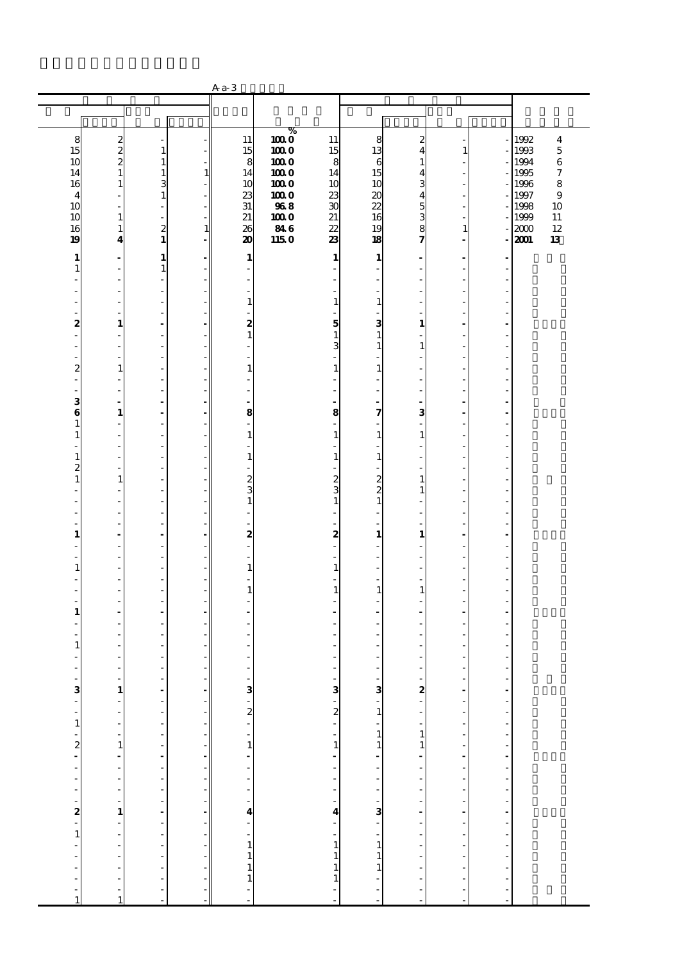|                          |                                                      |                                            |                          | $Aa-3$                                     |             |                             |                                            |                                                                 |                                |                        |              |                    |
|--------------------------|------------------------------------------------------|--------------------------------------------|--------------------------|--------------------------------------------|-------------|-----------------------------|--------------------------------------------|-----------------------------------------------------------------|--------------------------------|------------------------|--------------|--------------------|
|                          |                                                      |                                            |                          |                                            |             |                             |                                            |                                                                 |                                |                        |              |                    |
|                          |                                                      |                                            |                          |                                            |             |                             |                                            |                                                                 |                                |                        |              |                    |
|                          |                                                      |                                            |                          |                                            | %           |                             |                                            |                                                                 |                                |                        |              |                    |
| 8                        | $\frac{2}{2}$                                        |                                            |                          | 11                                         | 1000        | 11                          | 8                                          | 2                                                               |                                |                        | 1992         | $\overline{\bf 4}$ |
| 15                       |                                                      | $\mathbf{1}$                               |                          | 15                                         | 1000        | 15                          | 13                                         | 4                                                               | 1                              |                        | 1993         | $\mathbf 5$        |
| 10                       | $\overline{\mathbf{c}}$                              | $1\,$                                      |                          | 8                                          | 1000        | 8                           | 6                                          | 1                                                               |                                |                        | 1994         | $\,6$              |
| 14                       | $\mathbf{1}$                                         | $\mathbf{1}$                               | $\mathbf{1}$             | 14                                         | 1000        | 14                          | 15                                         | 4                                                               | ÷.                             |                        | 1995         | $\boldsymbol{7}$   |
| 16                       | $\mathbf{1}% _{T}\left  \mathbf{1}\right\rangle$     | 3<br>$\mathbf{1}$                          |                          | 10                                         | 1000        | 10                          | 10                                         | 3                                                               | $\frac{1}{2}$                  |                        | 1996         | 8                  |
| $\overline{4}$<br>10     | ÷<br>L.                                              | $\overline{\phantom{a}}$                   |                          | 23<br>31                                   | 1000<br>968 | 23<br>30                    | 20<br>22                                   | 4<br>5                                                          | $\overline{\phantom{m}}$<br>÷, |                        | 1997<br>1998 | $\mathbf{9}$<br>10 |
| 10                       | $\mathbf 1$                                          | Ĭ,                                         |                          | 21                                         | 1000        | 21                          | 16                                         | 3                                                               |                                |                        | 1999         | 11                 |
| 16                       | $\mathbf{1}$                                         | $\overline{\mathbf{c}}$                    | $\mathbf{1}$             | 26                                         | 846         | 22                          | 19                                         | 8                                                               | $\mathbf{1}$                   |                        | 2000         | 12                 |
| 19                       | $\overline{\mathbf{4}}$                              | $\mathbf{1}$                               | Ĭ.                       | 20                                         | 115 O       | 23                          | 18                                         | 7                                                               | $\frac{1}{2}$                  |                        | 2001         | 13                 |
|                          |                                                      |                                            |                          |                                            |             |                             |                                            |                                                                 |                                |                        |              |                    |
| 1                        | $\blacksquare$                                       | $\mathbf{1}$                               |                          | 1                                          |             | $\mathbf{1}$                | 1                                          |                                                                 | $\blacksquare$                 |                        |              |                    |
| $\mathbf{1}$<br>٠        | $\overline{\phantom{a}}$<br>$\overline{\phantom{a}}$ | $\mathbf{1}$<br>$\overline{\phantom{a}}$   |                          | ٠                                          |             |                             | ٠                                          |                                                                 | ٠                              |                        |              |                    |
|                          | $\overline{\phantom{a}}$                             | $\overline{\phantom{a}}$                   |                          | $\overline{\phantom{a}}$                   |             |                             | $\overline{\phantom{a}}$                   |                                                                 |                                |                        |              |                    |
| ٠                        | ÷,                                                   | Ĭ,                                         |                          | $\mathbf{1}$                               |             | $\mathbf{1}$                | $\mathbf{1}$                               |                                                                 | J.                             | J.                     |              |                    |
| Ĭ.                       | ÷,                                                   | $\overline{\phantom{a}}$                   |                          | ÷,                                         |             |                             | $\overline{a}$                             |                                                                 | Ĭ.                             |                        |              |                    |
| 2                        | $\mathbf{1}$                                         | ÷,                                         |                          | 2                                          |             | 5                           | 3                                          | $\mathbf{1}$                                                    |                                |                        |              |                    |
| ä,                       | $\overline{\phantom{a}}$                             | L,                                         |                          | $\mathbf{1}$                               |             | $\mathbf{1}$                | $\mathbf{1}$                               | ٠                                                               | L,                             | ٠                      |              |                    |
|                          | $\overline{\phantom{a}}$                             | $\overline{\phantom{a}}$                   |                          | $\overline{a}$                             |             | 3                           | $\mathbf{1}$                               | 1                                                               |                                |                        |              |                    |
| Ĭ.                       | ÷,                                                   | L,                                         |                          | ÷,                                         |             |                             |                                            |                                                                 | L,                             | ÷.                     |              |                    |
| 2                        | $\mathbf{1}$                                         | $\overline{\phantom{a}}$                   |                          | $\mathbf{1}$                               |             | $\mathbf{1}$                | $\mathbf{1}$                               |                                                                 | Ĭ.                             |                        |              |                    |
|                          | Ĭ.                                                   | $\frac{1}{2}$                              |                          |                                            |             |                             |                                            |                                                                 |                                |                        |              |                    |
| ٠<br>з                   | $\overline{\phantom{a}}$<br>$\blacksquare$           | L,<br>÷,                                   |                          | $\overline{\phantom{a}}$<br>$\blacksquare$ |             | ٠                           | ٠                                          |                                                                 | L,<br>÷,                       | Ĭ.                     |              |                    |
| 6                        | $\mathbf{1}$                                         | $\overline{a}$                             |                          | 8                                          |             | 8                           | $\overline{\phantom{a}}$<br>7              | 3                                                               | ä,                             | ÷.                     |              |                    |
| 1                        | ÷                                                    | $\overline{\phantom{a}}$                   |                          | ÷,                                         |             |                             |                                            |                                                                 | Ĭ.                             |                        |              |                    |
| $\mathbf{1}$             | L,                                                   | $\frac{1}{2}$                              |                          | $\mathbf{1}$                               |             | 1                           | $\mathbf{1}$                               | 1                                                               |                                |                        |              |                    |
| ä,                       | $\overline{\phantom{a}}$                             | L,                                         |                          | $\overline{\phantom{a}}$                   |             | ÷,                          | $\overline{\phantom{a}}$                   |                                                                 | L,                             | Ĭ.                     |              |                    |
| $\mathbf{1}$             | $\overline{\phantom{a}}$                             | $\overline{\phantom{a}}$                   |                          | $\mathbf{1}$                               |             | $\mathbf{1}$                | $\mathbf{1}$                               |                                                                 |                                |                        |              |                    |
| 2                        | L,                                                   | L,                                         |                          |                                            |             |                             | $\overline{\phantom{a}}$                   |                                                                 | L,                             | ÷.                     |              |                    |
| $\mathbf{1}$             | $\mathbf{1}$                                         | $\overline{\phantom{a}}$                   |                          | $\overline{\mathcal{L}}$                   |             | $\frac{2}{3}$               | $\frac{2}{2}$                              | $\mathbf{1}$                                                    | Ĭ.                             |                        |              |                    |
|                          | Ĭ.                                                   | $\frac{1}{2}$                              |                          | 3                                          |             |                             |                                            | 1                                                               |                                |                        |              |                    |
| ä,                       | ÷,                                                   | L,                                         |                          | $1\,$                                      |             | 1                           | $\mathbf{1}$                               |                                                                 | L,                             | Ĭ.                     |              |                    |
|                          | ÷,<br>÷,                                             | $\overline{\phantom{a}}$<br>Ĭ,             |                          | $\overline{\phantom{a}}$<br>÷,             |             |                             | ÷.                                         |                                                                 | L,                             | ÷.                     |              |                    |
| 1                        | $\overline{\phantom{a}}$                             | ÷.                                         |                          | 2                                          |             | 2                           | $\mathbf{1}$                               | 1                                                               | L,                             |                        |              |                    |
|                          | Ĩ.                                                   | $\frac{1}{2}$                              |                          | ÷,                                         |             |                             |                                            |                                                                 |                                |                        |              |                    |
| ٠                        | ÷,                                                   | L,                                         |                          | $\overline{\phantom{a}}$                   |             | ÷,                          | ٠                                          | ٠                                                               | L,                             | Ĭ.                     |              |                    |
| $\mathbf{1}$             | ÷,                                                   | ÷,                                         |                          | $\mathbf{1}$                               |             | 1                           | $\overline{\phantom{a}}$                   |                                                                 | ÷,                             |                        |              |                    |
|                          | ÷,                                                   | L,                                         |                          | ÷,                                         |             |                             | $\overline{\phantom{a}}$                   |                                                                 | L,                             | ÷.                     |              |                    |
|                          | ÷,                                                   | $\overline{\phantom{a}}$                   |                          | $\mathbf{1}$                               |             | $\mathbf{1}$                | $\mathbf{1}$                               | $\mathbf{1}$                                                    | Ĭ.                             |                        |              |                    |
|                          | Ĭ.                                                   | $\frac{1}{2}$                              |                          |                                            |             |                             |                                            |                                                                 |                                |                        |              |                    |
| 1                        | ÷,                                                   | L,                                         |                          | $\blacksquare$                             |             |                             | $\blacksquare$                             | ٠                                                               | ä,                             | ä,                     |              |                    |
|                          | L,<br>÷,                                             | ÷,                                         |                          | ÷,                                         |             |                             | ÷.                                         |                                                                 | ä,<br>J.                       |                        |              |                    |
| 1                        | J.                                                   | $\overline{\phantom{a}}$<br>$\overline{a}$ |                          |                                            |             |                             |                                            |                                                                 |                                |                        |              |                    |
|                          |                                                      | Ĭ.                                         |                          |                                            |             |                             |                                            |                                                                 |                                |                        |              |                    |
| ٠                        | Ĭ.                                                   | ÷,                                         |                          | ÷,                                         |             |                             | ٠                                          | $\overline{\phantom{a}}$                                        | ä,                             |                        |              |                    |
| $\overline{\phantom{0}}$ | $\overline{\phantom{a}}$                             |                                            |                          |                                            |             |                             |                                            | $\overline{\phantom{a}}$                                        |                                |                        |              |                    |
|                          | $\frac{1}{1}$                                        |                                            | ۰                        |                                            |             | $3 - 2$                     | $\frac{1}{3}$ - 1                          | $\begin{array}{c} \n\bullet \\ \bullet \\ \bullet\n\end{array}$ |                                |                        |              |                    |
|                          |                                                      |                                            |                          |                                            |             |                             |                                            |                                                                 |                                |                        |              |                    |
|                          | $\frac{1}{2}$                                        |                                            |                          |                                            |             |                             |                                            |                                                                 |                                |                        |              |                    |
|                          | $\overline{a}$                                       |                                            | $\overline{\phantom{a}}$ |                                            |             |                             |                                            |                                                                 |                                |                        |              |                    |
|                          |                                                      |                                            | $\overline{\phantom{a}}$ |                                            |             |                             |                                            | $\mathbf{1}$<br>$\mathbf{1}$                                    |                                |                        |              |                    |
|                          |                                                      |                                            | ۳<br>÷,                  |                                            |             |                             |                                            |                                                                 |                                |                        |              |                    |
|                          |                                                      |                                            | ۳                        |                                            |             |                             |                                            |                                                                 |                                |                        |              |                    |
|                          |                                                      |                                            | $\overline{\phantom{a}}$ |                                            |             |                             |                                            |                                                                 |                                |                        |              |                    |
|                          | $\begin{array}{c} 1 \\ -1 \\ -1 \\ -1 \end{array}$   |                                            | $\overline{\phantom{a}}$ |                                            |             | $\frac{1}{4}$               |                                            |                                                                 |                                |                        |              |                    |
|                          |                                                      |                                            | ۳                        |                                            |             |                             |                                            |                                                                 |                                |                        |              |                    |
|                          | $\mathbf{1}$                                         |                                            | ÷                        |                                            |             |                             |                                            |                                                                 |                                |                        |              |                    |
|                          |                                                      |                                            |                          |                                            |             | $\frac{1}{2}$               |                                            |                                                                 |                                |                        |              |                    |
|                          |                                                      |                                            | $\overline{\phantom{a}}$ |                                            |             |                             |                                            |                                                                 |                                |                        |              |                    |
|                          |                                                      | ----------------------                     | $\overline{\phantom{a}}$ |                                            |             | $\mathbf{1}$                | $\begin{array}{c} 1 \\ 1 \\ 1 \end{array}$ | - - - - - - - - - - - - -                                       | ----------------------         | ---------------------- |              |                    |
|                          |                                                      |                                            | ÷                        |                                            |             | $\mathbf{1}$                |                                            |                                                                 |                                |                        |              |                    |
|                          |                                                      |                                            | ÷                        |                                            |             | $\mathbf 1$<br>$\mathbf{1}$ | $\frac{1}{2}$                              |                                                                 | $\overline{a}$                 |                        |              |                    |
|                          | $\frac{1}{2}$                                        |                                            |                          |                                            |             |                             | $\overline{\phantom{a}}$                   | ÷,                                                              | $\overline{a}$                 | $\frac{1}{2}$          |              |                    |
| $\mathbf{1}$             | $\mathbf{1}$                                         | ÷,                                         |                          | $\frac{1}{1}$                              |             |                             | $\overline{\phantom{a}}$                   |                                                                 |                                |                        |              |                    |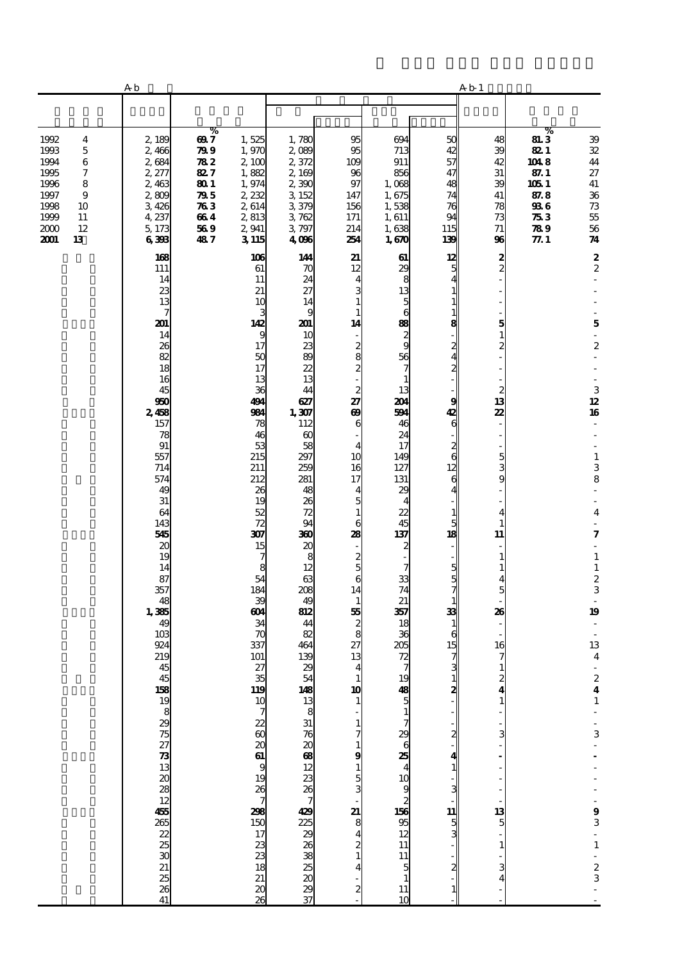|                                                                                                                                    | A <sub>b</sub>                                                                               |                                                                             |                                                                                              |                                                                                                        |                                                                                                                                                                    |                                                                                                            | A b 1                                                                               |                                                                                                          |                                                                                         |                                                                                                                                                  |
|------------------------------------------------------------------------------------------------------------------------------------|----------------------------------------------------------------------------------------------|-----------------------------------------------------------------------------|----------------------------------------------------------------------------------------------|--------------------------------------------------------------------------------------------------------|--------------------------------------------------------------------------------------------------------------------------------------------------------------------|------------------------------------------------------------------------------------------------------------|-------------------------------------------------------------------------------------|----------------------------------------------------------------------------------------------------------|-----------------------------------------------------------------------------------------|--------------------------------------------------------------------------------------------------------------------------------------------------|
|                                                                                                                                    |                                                                                              |                                                                             |                                                                                              |                                                                                                        |                                                                                                                                                                    |                                                                                                            |                                                                                     |                                                                                                          |                                                                                         |                                                                                                                                                  |
| 1992<br>4<br>1993<br>5<br>1994<br>6<br>1995<br>7<br>1996<br>8<br>1997<br>9<br>1998<br>10<br>1999<br>11<br>2000<br>12<br>2001<br>13 | 2,189<br>2,466<br>2684<br>2, 277<br>2,463<br>2,809<br>3,426<br>4,237<br>5,173<br>6398<br>168 | ℅<br>697<br>799<br>782<br>827<br>801<br>795<br>$\pi_3$<br>664<br>569<br>487 | 1,525<br>1,970<br>2,100<br>1,882<br>1,974<br>2,232<br>2,614<br>2,813<br>2,941<br>3115<br>106 | 1,780<br>2,089<br>2,372<br>2,169<br>2,390<br>3 152<br>3,379<br>3762<br>3,797<br>4006<br>144            | 95<br>95<br>109<br>96<br>97<br>147<br>156<br>171<br>214<br>254<br>21                                                                                               | 694<br>713<br>911<br>856<br>1,068<br>1,675<br>1,538<br>1,611<br>1,638<br>1,670<br>61                       | 50<br>42<br>57<br>47<br>48<br>74<br>76<br>94<br>115<br>139<br>12                    | 48<br>39<br>42<br>31<br>39<br>41<br>78<br>73<br>71<br>96                                                 | %<br><b>813</b><br>821<br>1048<br>87.1<br>1051<br>87.8<br>936<br>$\pi_3$<br>789<br>77.1 | 39<br>32<br>44<br>27<br>41<br>36<br>$7\!3$<br>$5\!$<br>$56\,$<br>74                                                                              |
|                                                                                                                                    | 111<br>14<br>23<br>13<br>7<br>201<br>14<br>26<br>82<br>18<br>16<br>45                        |                                                                             | 61<br>11<br>21<br>10<br>3<br>142<br>9<br>17<br>50<br>17<br>13<br>36                          | 70<br>24<br>27<br>14<br>9<br>201<br>10<br>23<br>89<br>22<br>13<br>44                                   | 12<br>$\overline{\mathbf{4}}$<br>3<br>$\mathbf{1}$<br>$\mathbf{1}$<br>14<br>$\overline{\phantom{a}}$<br>$\frac{2}{8}$<br>$\overline{\mathbf{c}}$<br>$\frac{2}{27}$ | 29<br>8<br>13<br>5<br>6<br>88<br>$\frac{2}{9}$<br>56<br>7<br>$\mathbf{1}$<br>13                            | 5<br>4<br>$\mathbf{1}$<br>1<br>$\mathbf{1}$<br>8<br>2<br>4<br>2                     | $\frac{2}{2}$<br>5<br>$\frac{1}{2}$<br>$\begin{array}{c} 2 \\ 13 \end{array}$                            |                                                                                         | $\frac{2}{2}$<br>$\overline{\phantom{a}}$<br>$\mathbf{5}$<br>$\overline{\phantom{a}}$<br>$\boldsymbol{2}$<br>$\,$ 3 $\,$                         |
|                                                                                                                                    | 950<br>2,458<br>157<br>78<br>91<br>557<br>714<br>574<br>49<br>31<br>64<br>143<br>545         |                                                                             | 491<br>984<br>78<br>46<br>53<br>215<br>211<br>212<br>26<br>19<br>52<br>72<br>307             | 627<br>1,307<br>112<br>$\boldsymbol{\omega}$<br>58<br>297<br>259<br>281<br>48<br>26<br>72<br>94<br>360 | $\boldsymbol{\omega}$<br>6<br>4<br>10<br>16<br>17<br>$\overline{\mathbf{4}}$<br>5<br>$\mathbf 1$<br>6<br>28                                                        | 201<br>594<br>46<br>24<br>17<br>149<br>127<br>131<br>29<br>4<br>22<br>45<br>137                            | 9<br>42<br>6<br>$\frac{2}{6}$<br>12<br>6<br>4<br>$\mathbf{1}$<br>5<br>18            | 22<br>$\overline{\phantom{a}}$<br>$\qquad \qquad \blacksquare$<br>5<br>3<br>9<br>4<br>$\mathbf{1}$<br>11 |                                                                                         | $12 \,$<br>16<br>$\overline{\phantom{a}}$<br>$\mathbf 1$<br>3<br>8<br>$\frac{1}{2}$<br>$\frac{1}{2}$<br>$\overline{\mathbf{4}}$<br>7             |
|                                                                                                                                    | 20<br>19<br>14<br>87<br>357<br>48<br>1,385<br>49<br>10 <sup>3</sup><br>924<br>219<br>45      |                                                                             | 15<br>7<br>8<br>54<br>184<br>39<br>ത്<br>34<br>70<br>337<br>101<br>27                        | 20<br>8<br>12<br>63<br>208<br>49<br>812<br>44<br>82<br>464<br>139<br>29                                | $\overline{\phantom{a}}$<br>$\frac{2}{5}$<br>6<br>14<br>$\mathbf{1}$<br>55<br>$\boldsymbol{z}$<br>8<br>27<br>13<br>$\overline{\mathbf{4}}$                         | $\boldsymbol{z}$<br>7<br>33<br>74<br>21<br>357<br>18<br>36<br>205<br>72<br>$\overline{7}$                  | $\frac{5}{7}$<br>$\mathbf{1}$<br>33<br>$\mathbf{1}$<br>6<br>15<br>7<br>$\mathbf{3}$ | $\overline{a}$<br>$\mathbf{1}$<br>$\mathbf{1}$<br>5<br>26<br>16<br>$\mathbf{1}$                          |                                                                                         | $\overline{\phantom{a}}$<br>$\mathbf 1$<br>$\frac{1}{2}$<br>$\overline{\phantom{a}}$<br>19<br>13<br>$\boldsymbol{4}$<br>$\overline{\phantom{a}}$ |
|                                                                                                                                    | ± ខ្លួន កាន់ ដូច ខ្លួន ម្រុះ នេ នា នា នា នា នា នា នា កា <u>ព</u>                             |                                                                             | $\frac{35}{119}$<br>$\begin{array}{c} 10 \\ 7 \end{array}$<br>$\frac{26}{7}$                 |                                                                                                        | 10<br>1<br>$\frac{1}{7}$<br>$\mathbf{1}$<br>9<br>$\begin{array}{c} 1 \\ 4 \end{array}$                                                                             | 19<br>$\frac{48}{5}$<br>$\mathbf{1}$<br>7<br>$\mathbf{a} \bullet \mathbf{a}$<br>10<br>12<br>95<br>13<br>12 | 2<br>2<br>3                                                                         | 2<br>4<br>$\mathbf{1}$<br>3                                                                              |                                                                                         | $\begin{array}{c} 2 \\ 4 \\ 1 \end{array}$<br>$\frac{1}{3}$                                                                                      |
|                                                                                                                                    |                                                                                              |                                                                             | <b>298</b><br>150<br>17<br>ಜ ಜ ಜ ಜ ಜ                                                         |                                                                                                        | $\begin{smallmatrix}2\2\1\end{smallmatrix}$<br>4<br>$\boldsymbol{z}$                                                                                               | 11<br>11<br>$\frac{5}{1}$<br>11<br>10                                                                      | 11<br>$\frac{5}{3}$                                                                 | $\frac{13}{5}$<br>1                                                                                      |                                                                                         | $93 - 1 - 23$                                                                                                                                    |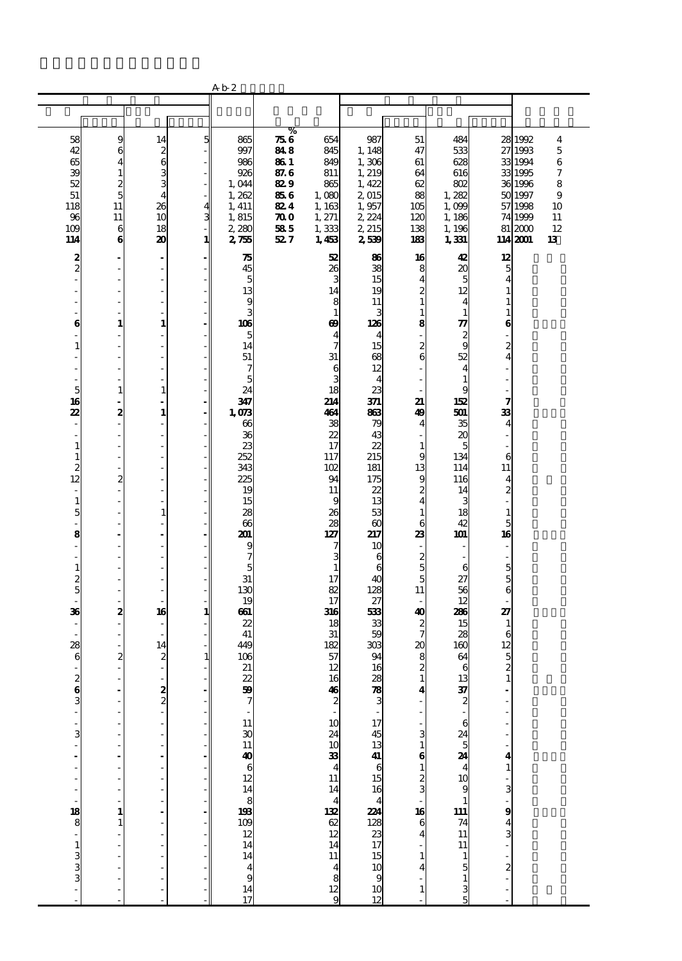|                                        |                    |                                                     |                   | A b 2                        |                         |                               |                      |                         |                                         |                          |                    |                              |
|----------------------------------------|--------------------|-----------------------------------------------------|-------------------|------------------------------|-------------------------|-------------------------------|----------------------|-------------------------|-----------------------------------------|--------------------------|--------------------|------------------------------|
|                                        |                    |                                                     |                   |                              |                         |                               |                      |                         |                                         |                          |                    |                              |
|                                        |                    |                                                     |                   |                              |                         |                               |                      |                         |                                         |                          |                    |                              |
|                                        |                    |                                                     |                   |                              | %                       |                               |                      |                         |                                         |                          |                    |                              |
| 58<br>42                               | 9<br>6             | 14                                                  | 5                 | 865<br>997                   | 756<br>848              | 654<br>845                    | 987<br>1, 148        | 51<br>47                | 484<br>533                              | 28                       | 1992<br>27 1993    | $\overline{\mathbf{4}}$<br>5 |
| 65                                     | 4                  | $\begin{smallmatrix} 2 \\ 3 \\ 3 \end{smallmatrix}$ |                   | 986                          | 86 1                    | 849                           | 1,306                | 61                      | 628                                     |                          | 33 1994            | 6                            |
| 39                                     | 1                  |                                                     |                   | 926                          | 87.6                    | 811                           | 1, 219               | 64                      | 616                                     |                          | 33 1995            | $\boldsymbol{7}$             |
| 52                                     | 2                  |                                                     |                   | 1,044                        | 829                     | 865                           | 1,422                | 62                      | 802                                     |                          | 36 1996            | 8                            |
| 51                                     | $\overline{5}$     | $\overline{\mathbf{4}}$                             |                   | 1,262                        | 856                     | 1,080                         | 2,015                | 88                      | 1,282                                   |                          | 50 1997            | 9                            |
| 118<br>96                              | 11<br>11           | 26<br>10                                            | 4<br>$\mathbf{3}$ | 1, 411<br>1,815              | 824<br>$\boldsymbol{x}$ | 1,163<br>1, 271               | 1,957<br>2,224       | 105<br>120              | 1,099<br>1,186                          |                          | 57 1998<br>74 1999 | 10<br>11                     |
| 109                                    | 6                  | 18                                                  |                   | 2,280                        | 585                     | 1,333                         | 2, 215               | 138                     | 1, 196                                  |                          | 81 2000            | 12                           |
| 114                                    | 6                  | 20                                                  | 1                 | 275                          | 527                     | 1,453                         | 2,539                | 183                     | 1,331                                   |                          | 114 2001           | 13                           |
|                                        |                    |                                                     |                   |                              |                         | 52                            | 86                   | 16                      |                                         | 12                       |                    |                              |
| $\frac{2}{2}$                          | J.                 | $\qquad \qquad \blacksquare$<br>÷,                  |                   | 75<br>45                     |                         | 26                            | 38                   | 8                       | 42<br>20                                |                          |                    |                              |
| L,                                     | Ĭ.                 | ÷,                                                  |                   | 5                            |                         | 3                             | 15                   | 4                       | 5                                       | $\frac{5}{4}$            |                    |                              |
| L                                      | ÷,                 | L,                                                  |                   | 13                           |                         | 14                            | 19                   | $\overline{c}$          | 12                                      | $\mathbf{1}$             |                    |                              |
|                                        | Ĭ.                 | L,                                                  |                   | 9                            |                         | 8                             | 11                   | 1                       | 4                                       | 1                        |                    |                              |
|                                        |                    | $\overline{\phantom{0}}$                            |                   | 3                            |                         | $\mathbf{1}$                  | 3                    | $\mathbf{1}$            | $\mathbf{1}$                            | $\mathbf{1}$             |                    |                              |
| 6<br>Ĭ.                                | $\mathbf{1}$<br>Ĭ. | $\mathbf{1}$<br>$\overline{a}$                      |                   | 106<br>5                     |                         | 69<br>$\overline{\mathbf{4}}$ | 126<br>4             | 8                       | 77                                      | 6                        |                    |                              |
| $\mathbf{1}$                           | ÷,                 | $\overline{a}$                                      |                   | 14                           |                         | $\overline{7}$                | 15                   | $\boldsymbol{z}$        | $\frac{2}{9}$                           | $\overline{c}$           |                    |                              |
| ÷,                                     | Ĭ.                 | L,                                                  |                   | 51                           |                         | 31                            | 68                   | 6                       | 52                                      | 4                        |                    |                              |
|                                        |                    | $\overline{\phantom{0}}$                            |                   | 7                            |                         | $\mathbf{6}$                  | 12                   |                         | $\overline{4}$                          |                          |                    |                              |
|                                        |                    | L.                                                  |                   | 5<br>24                      |                         | 3<br>18                       | $\overline{4}$<br>23 |                         | $\mathbf{1}$<br>9                       |                          |                    |                              |
| 5<br>16                                | 1<br>÷,            | $\mathbf{1}$<br>$\Box$                              |                   | 347                          |                         | 214                           | 371                  | 21                      | 152                                     | 7                        |                    |                              |
| 22                                     | 2                  | $\mathbf{1}$                                        |                   | 1,073                        |                         | 464                           | 863                  | 49                      | 501                                     | 33                       |                    |                              |
| ÷                                      | i,                 | L,                                                  |                   | 66                           |                         | 38                            | 79                   | 4                       | 35                                      | $\overline{4}$           |                    |                              |
| ÷,                                     | J.                 | L,                                                  |                   | 36                           |                         | 22                            | 43                   |                         | 20                                      | L,                       |                    |                              |
| $\mathbf{1}$                           | ÷,                 | $\overline{\phantom{a}}$                            |                   | 23                           |                         | 17                            | 22                   | $\mathbf{1}$            | 5                                       |                          |                    |                              |
| $\mathbf{1}$                           | l,<br>÷,           | L<br>L,                                             |                   | 252<br>343                   |                         | 117<br>102                    | 215<br>181           | g<br>13                 | 134<br>114                              | 6<br>11                  |                    |                              |
| $\begin{array}{c} 2 \\ 12 \end{array}$ | $\mathbf{z}$       | ÷,                                                  |                   | 225                          |                         | 94                            | 175                  | 9                       | 116                                     | $\overline{\mathbf{4}}$  |                    |                              |
| $\overline{\phantom{a}}$               | J.                 | ÷,                                                  |                   | 19                           |                         | 11                            | 22                   | 2                       | 14                                      | $\overline{c}$           |                    |                              |
| $\mathbf{1}$                           | ÷,                 | ÷,                                                  |                   | 15                           |                         | 9                             | 13                   | $\overline{4}$          | 3                                       |                          |                    |                              |
| 5                                      | l.                 | $\mathbf{1}$                                        |                   | 28                           |                         | 26                            | 53                   | 1                       | 18                                      | $\mathbf{1}$             |                    |                              |
| $\overline{a}$<br>8                    | Ĭ.                 | ÷,<br>÷,                                            |                   | 66<br>201                    |                         | 28<br>127                     | $\infty$<br>217      | 6<br>23                 | 42<br>101                               | 5<br>16                  |                    |                              |
| ÷,                                     |                    | ÷,                                                  |                   | 9                            |                         | 7                             | 10                   |                         |                                         | $\overline{\phantom{a}}$ |                    |                              |
| ÷,                                     | J.                 | $\overline{a}$                                      |                   | 7                            |                         | 3                             | 6                    | $\boldsymbol{z}$        |                                         | $\frac{1}{2}$            |                    |                              |
| $\mathbf{1}$                           |                    | $\overline{\phantom{0}}$                            |                   | 5                            |                         | $\mathbf{1}$                  | 6                    | 5                       | 6                                       | $\overline{5}$           |                    |                              |
| $\frac{2}{5}$                          | ÷,                 | ÷,                                                  |                   | 31                           |                         | 17                            | 40                   | 5                       | 27                                      | 5                        |                    |                              |
| ÷,                                     |                    | $\overline{\phantom{0}}$                            |                   | 130<br>19                    |                         | 82<br>17                      | 128<br>27            | 11                      | 56<br>12                                | 6                        |                    |                              |
| 36                                     | $\boldsymbol{2}$   | 16                                                  | 1                 | 661                          |                         | 316                           | 533                  | 40                      | 286                                     | 27                       |                    |                              |
|                                        |                    | $\overline{\phantom{0}}$                            |                   | 22                           |                         | 18                            | 33                   | $\boldsymbol{z}$        | 15                                      | $\mathbf{1}$             |                    |                              |
|                                        | J.                 |                                                     |                   | 41                           |                         | 31                            | 59                   | 7                       | 28                                      | $\epsilon$               |                    |                              |
| 28                                     |                    | 14                                                  |                   | 449                          |                         | 182                           | 303                  | $\boldsymbol{\chi}$     | 160                                     | 12                       |                    |                              |
| 6<br>÷,                                | 2                  | $\boldsymbol{z}$<br>$\overline{\phantom{a}}$        | 1                 | 106<br>21                    |                         | 57<br>12                      | 94<br>16             | 8<br>$\mathbf{z}$       | 64<br>6                                 | $\frac{5}{2}$            |                    |                              |
|                                        |                    |                                                     |                   |                              |                         |                               |                      | $\mathbf{1}$            |                                         | $\mathbf{1}$             |                    |                              |
| $\frac{2}{3}$                          |                    | $\frac{2}{2}$                                       |                   | 22<br>50                     |                         | $\frac{16}{2}$                | ය ක් හි              | 4                       | $\frac{13}{37}$                         |                          |                    |                              |
|                                        |                    |                                                     |                   | $\overline{7}$               |                         |                               |                      |                         |                                         |                          |                    |                              |
|                                        |                    |                                                     |                   |                              |                         |                               |                      |                         |                                         |                          |                    |                              |
| ÷                                      |                    | $\overline{a}$                                      |                   | 11                           |                         |                               | $\frac{17}{45}$      | 3                       |                                         |                          |                    |                              |
| $\cdot$ $\circ$                        |                    | ä,                                                  |                   | $\frac{1}{30}$               |                         | $10 \n34$<br>$11 \n14$        |                      | 1                       | $624$ 5<br>24<br>4<br>4<br>10<br>9      |                          |                    |                              |
|                                        |                    |                                                     |                   | $\frac{40}{6}$               |                         |                               | $13$ 44 6<br>$15$ 16 | 6                       |                                         | 4                        |                    |                              |
|                                        |                    |                                                     |                   |                              |                         |                               |                      |                         |                                         | $\mathbf{1}$             |                    |                              |
|                                        |                    | Ĭ.                                                  |                   |                              |                         |                               |                      | $\frac{2}{3}$           |                                         | $\frac{1}{3}$            |                    |                              |
|                                        |                    |                                                     |                   | 14<br>8                      |                         |                               | 4                    |                         |                                         |                          |                    |                              |
|                                        | 1                  |                                                     |                   |                              |                         | $\frac{4}{132}$               | 224                  | 16                      | $\begin{array}{c} 1 \\ 111 \end{array}$ | $\frac{1}{3}$            |                    |                              |
|                                        |                    |                                                     |                   | $193$<br>$109$<br>$12$       |                         | $rac{62}{12}$                 | $\frac{128}{23}$     | 6                       | $\begin{array}{c} 74 \\ 11 \end{array}$ |                          |                    |                              |
|                                        |                    |                                                     |                   |                              |                         |                               |                      | $\overline{\mathbf{4}}$ |                                         |                          |                    |                              |
|                                        |                    |                                                     |                   | 14                           |                         | 14                            |                      |                         | $\overline{11}$                         |                          |                    |                              |
| <b>38</b><br>30 - 10 00 00 00          |                    |                                                     |                   | 14                           |                         | $\frac{11}{4}$ $\frac{4}{9}$  | $\frac{15}{10}$      |                         | $\mathbf{1}$                            | $\frac{1}{2}$            |                    |                              |
|                                        |                    |                                                     |                   | $\overline{\mathbf{4}}$<br>9 |                         |                               |                      |                         | 5<br>$\mathbf{1}$                       |                          |                    |                              |
|                                        |                    |                                                     |                   | 14                           |                         |                               |                      | 1                       |                                         |                          |                    |                              |
|                                        |                    |                                                     |                   | 17                           |                         |                               | $\frac{10}{12}$      |                         | $\frac{3}{5}$                           |                          |                    |                              |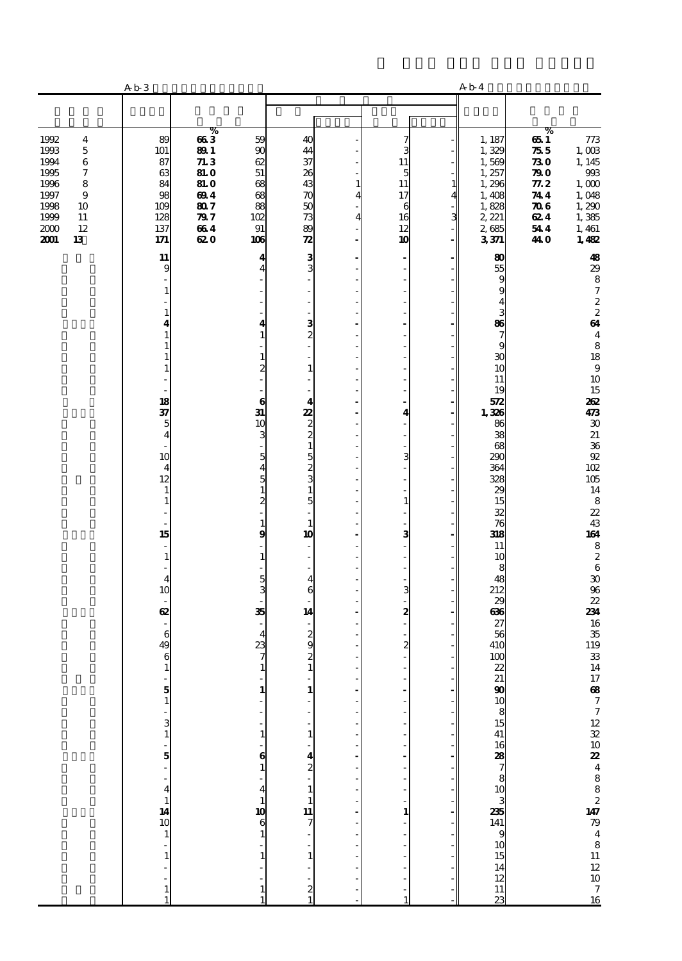|                                                                                                                                                                    | A b 3                                                         |                                                                                            |                                                            |                                                                    |                        |                                                      |        | A b 4                                                                                    |                                                                                                                                                                                       |
|--------------------------------------------------------------------------------------------------------------------------------------------------------------------|---------------------------------------------------------------|--------------------------------------------------------------------------------------------|------------------------------------------------------------|--------------------------------------------------------------------|------------------------|------------------------------------------------------|--------|------------------------------------------------------------------------------------------|---------------------------------------------------------------------------------------------------------------------------------------------------------------------------------------|
|                                                                                                                                                                    |                                                               |                                                                                            |                                                            |                                                                    |                        |                                                      |        |                                                                                          |                                                                                                                                                                                       |
| 1992<br>$\overline{\mathbf{4}}$<br>1993<br>$\bf 5$<br>1994<br>6<br>1995<br>7<br>1996<br>8<br>1997<br>9<br>1998<br>10<br>1999<br>$11\,$<br>2000<br>12<br>2001<br>13 | 89<br>101<br>87<br>63<br>84<br>98<br>109<br>128<br>137<br>171 | %<br>663<br><b>891</b><br>71.3<br><b>81.0</b><br>81. O<br>694<br>807<br>797<br>664<br>62 O | 59<br>90<br>62<br>51<br>68<br>68<br>88<br>102<br>91<br>106 | 40<br>44<br>37<br>26<br>43<br>70<br>50<br>73<br>89<br>$\mathbf{z}$ | $\mathbf{1}$<br>4<br>4 | 7<br>3<br>11<br>5<br>11<br>17<br>6<br>16<br>12<br>10 | 1<br>3 | 1, 187<br>1,329<br>1,569<br>1, 257<br>1,296<br>1,408<br>1,828<br>2, 221<br>2,685<br>3371 | %<br>651<br>773<br>$1,003$<br>755<br>1, 145<br>730<br>$993\,$<br>$\boldsymbol{v}$<br>1,000<br>77.2<br>1,048<br>744<br>1,290<br>$\pi$<br>624<br>1,385<br>544<br>1, 461<br>1,482<br>440 |
|                                                                                                                                                                    | 11<br>9                                                       |                                                                                            | 4<br>Δ                                                     | 3<br>3                                                             |                        | ÷,                                                   |        | 80<br>55                                                                                 | $\boldsymbol{48}$<br>29                                                                                                                                                               |
|                                                                                                                                                                    | 1                                                             |                                                                                            |                                                            | $\overline{a}$<br>ä,                                               |                        | ÷,<br>$\overline{a}$                                 |        | 9<br>9                                                                                   | $\begin{array}{c} 8 \\ 7 \end{array}$                                                                                                                                                 |
|                                                                                                                                                                    | 1                                                             |                                                                                            | 4                                                          | $\overline{a}$                                                     |                        | ٠<br>J.                                              |        | 4<br>3<br>86                                                                             | $\frac{2}{2}$<br>64                                                                                                                                                                   |
|                                                                                                                                                                    |                                                               |                                                                                            |                                                            | $\frac{3}{2}$<br>$\overline{a}$                                    |                        | L,<br>$\overline{a}$                                 |        | $\overline{\phantom{a}}$<br>9                                                            | $\overline{\mathbf{4}}$<br>8                                                                                                                                                          |
|                                                                                                                                                                    | 1                                                             |                                                                                            | 1<br>2                                                     | ä,<br>$\mathbf{1}$                                                 |                        | ٠<br>J.                                              |        | 30<br>10                                                                                 | 18<br>$\boldsymbol{9}$<br>10                                                                                                                                                          |
|                                                                                                                                                                    |                                                               |                                                                                            | 6                                                          | ÷,<br>$\overline{\mathbf{4}}$                                      |                        | ÷,<br>ä,                                             |        | 11<br>19<br>572                                                                          | 15<br>262                                                                                                                                                                             |
|                                                                                                                                                                    | $\frac{18}{37}$<br>$\overline{5}$                             |                                                                                            | 31<br>10                                                   | $\frac{2}{2}$                                                      |                        | 4                                                    |        | 1,326<br>86                                                                              | 473<br>$\pmb{\mathcal{X}}$                                                                                                                                                            |
|                                                                                                                                                                    | $\overline{\mathbf{4}}$<br>÷,<br>10                           |                                                                                            | 3<br>5                                                     | $\mathbf{1}$<br>5                                                  |                        | ÷,<br>3                                              |        | 38<br>68<br>290                                                                          | 21<br>$\frac{36}{92}$                                                                                                                                                                 |
|                                                                                                                                                                    | $\overline{\mathbf{4}}$<br>12                                 |                                                                                            | 4<br>5                                                     | $\frac{2}{3}$                                                      |                        |                                                      |        | 364<br>328                                                                               | 102<br>$105\,$                                                                                                                                                                        |
|                                                                                                                                                                    | $\mathbf{1}$<br>$\mathbf{1}$                                  |                                                                                            | 1<br>2                                                     | $\mathbf{1}$<br>5<br>÷,                                            |                        | $\mathbf{1}$                                         |        | $\boldsymbol{\chi}$<br>15<br>32                                                          | 14<br>$\bf8$<br>22                                                                                                                                                                    |
|                                                                                                                                                                    | 15                                                            |                                                                                            | 1<br>9                                                     | $\mathbf{1}$<br>10                                                 |                        | 3                                                    |        | $\overline{76}$<br>318                                                                   | $\frac{43}{164}$                                                                                                                                                                      |
|                                                                                                                                                                    | $\mathbf{1}$                                                  |                                                                                            | 1                                                          | ä,<br>$\overline{\phantom{a}}$                                     |                        | L,                                                   |        | 11<br>10                                                                                 | $\begin{array}{c} 8 \\ 2 \end{array}$                                                                                                                                                 |
|                                                                                                                                                                    | $\overline{\mathbf{4}}$<br>10                                 |                                                                                            | 5<br>з                                                     | 4<br>6                                                             |                        | 3                                                    |        | 8<br>48<br>212                                                                           | $\bf 6$<br>$\pmb{\mathcal{X}}$<br>$96\,$                                                                                                                                              |
|                                                                                                                                                                    | ÷,<br>62                                                      |                                                                                            | 35                                                         | 14                                                                 |                        | 2                                                    |        | 29<br>636                                                                                | 22<br>234                                                                                                                                                                             |
|                                                                                                                                                                    | 6<br>49                                                       |                                                                                            | 4<br>23                                                    | $\frac{2}{9}$                                                      |                        | $\boldsymbol{z}$                                     |        | 27<br>56<br>410                                                                          | 16<br>$\frac{35}{119}$                                                                                                                                                                |
|                                                                                                                                                                    | $\boldsymbol{6}$<br>$\mathbf{1}$                              |                                                                                            | $\mathbf{1}$                                               | $\overline{\mathcal{Z}}$<br>$\mathbf{1}$                           |                        | $\frac{1}{2}$                                        |        | 100<br>22                                                                                | ${\bf 33}$<br>14                                                                                                                                                                      |
|                                                                                                                                                                    | $\frac{5}{1}$                                                 |                                                                                            |                                                            | 1                                                                  |                        |                                                      |        |                                                                                          |                                                                                                                                                                                       |
|                                                                                                                                                                    |                                                               |                                                                                            |                                                            |                                                                    |                        |                                                      |        |                                                                                          |                                                                                                                                                                                       |
|                                                                                                                                                                    | $\frac{3}{1}$<br>-<br>5                                       |                                                                                            |                                                            | $\mathbf{1}$                                                       |                        |                                                      |        |                                                                                          |                                                                                                                                                                                       |
|                                                                                                                                                                    |                                                               |                                                                                            | 6                                                          | 4<br>$\overline{\mathbf{c}}$                                       |                        |                                                      |        |                                                                                          |                                                                                                                                                                                       |
|                                                                                                                                                                    |                                                               |                                                                                            | 4                                                          | $\mathbf{1}$<br>$\mathbf{1}$                                       |                        |                                                      |        | 21 90 10 8 15 41 16 28 7 8 10 3 235                                                      |                                                                                                                                                                                       |
|                                                                                                                                                                    | $\frac{4}{14}$<br>10<br>10<br>1                               |                                                                                            | 10<br>6                                                    | 11<br>7                                                            |                        | $\mathbf{1}$                                         |        |                                                                                          | $17$ 68 7 7 12 32 10 22 4 8 8 2 2 14 7 79 4 8 11 12 10 7 16                                                                                                                           |
|                                                                                                                                                                    |                                                               |                                                                                            |                                                            | 1                                                                  |                        |                                                      |        | $\begin{bmatrix}\n141 \\ 9 \\ 10\n\end{bmatrix}$                                         |                                                                                                                                                                                       |
|                                                                                                                                                                    |                                                               |                                                                                            |                                                            |                                                                    |                        |                                                      |        | $\frac{15}{14}$                                                                          |                                                                                                                                                                                       |
|                                                                                                                                                                    | 1                                                             |                                                                                            |                                                            | 2                                                                  |                        |                                                      |        | $\frac{12}{11}$                                                                          |                                                                                                                                                                                       |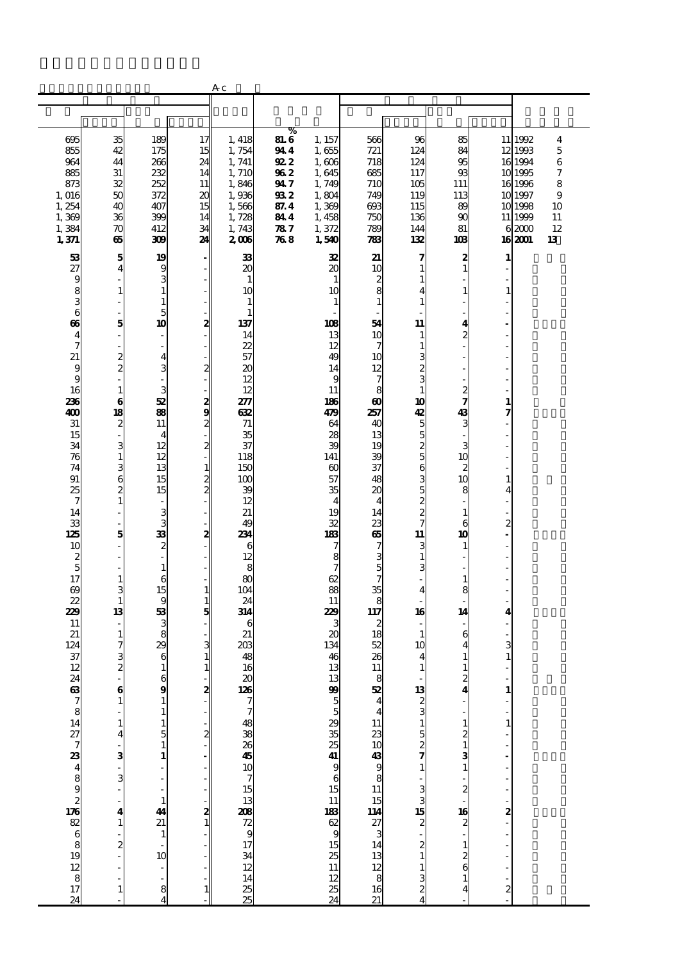|                                                  |                                                  |                                            |                              | Aс                                                          |             |                                                     |                               |                         |                                                 |                         |                    |          |
|--------------------------------------------------|--------------------------------------------------|--------------------------------------------|------------------------------|-------------------------------------------------------------|-------------|-----------------------------------------------------|-------------------------------|-------------------------|-------------------------------------------------|-------------------------|--------------------|----------|
|                                                  |                                                  |                                            |                              |                                                             |             |                                                     |                               |                         |                                                 |                         |                    |          |
|                                                  |                                                  |                                            |                              |                                                             | %           |                                                     |                               |                         |                                                 |                         |                    |          |
| 695                                              | 35                                               | 189                                        | 17                           | 1, 418                                                      | <b>81.6</b> | 1, 157                                              | 566                           | 96                      | 85                                              |                         | 11 1992            | 4        |
| 855<br>964                                       | 42                                               | 175                                        | 15                           | 1,754                                                       | 944         | 1,655                                               | 721<br>718                    | 124                     | 84<br>95                                        |                         | 12 1993<br>16 1994 | 5        |
| 885                                              | 44<br>31                                         | 266<br>232                                 | 24<br>14                     | 1, 741<br>1, 710                                            | 922<br>962  | 1,606<br>1,645                                      | 685                           | 124<br>117              | 93                                              |                         | 10 1995            | 6<br>7   |
| 873                                              | 32                                               | 252                                        | 11                           | 1,846                                                       | 947         | 1,749                                               | 710                           | 105                     | 111                                             |                         | 16 1996            | 8        |
| 1,016                                            | 50                                               | 372                                        | 20                           | 1,936                                                       | 932         | 1,804                                               | 749                           | 119                     | 113                                             |                         | 10 1997            | 9        |
| 1, 254<br>1,369                                  | 40<br>36                                         | 407<br>399                                 | 15<br>14                     | 1,566<br>1,728                                              | 87.4<br>844 | 1,369<br>1,458                                      | 693<br>750                    | 115<br>136              | 89<br>90                                        |                         | 10 1998<br>11 1999 | 10<br>11 |
| 1,384                                            | 70                                               | 412                                        | 34                           | 1,743                                                       | 787         | 1,372                                               | 789                           | 144                     | 81                                              |                         | 62000              | 12       |
| 1,371                                            | 65                                               | 309                                        | 24                           | 2006                                                        | 768         | 1,540                                               | 783                           | 132                     | 103                                             |                         | 16 2001            | 13       |
| 53                                               | 5                                                | 19                                         | $\overline{\phantom{a}}$     | 33                                                          |             | 32                                                  | 21                            | 7                       | 2                                               | 1                       |                    |          |
| 27                                               | $\overline{\mathbf{4}}$                          | 9                                          | ۰                            | 20                                                          |             | 20                                                  | 10                            | 1                       | $\mathbf{1}$                                    |                         |                    |          |
| 9<br>8                                           | $\mathbf{1}$                                     | 3<br>$1\,$                                 |                              | $\mathbf{1}$<br>10                                          |             | $\mathbf{1}$<br>10                                  | $\frac{2}{8}$                 | 1<br>4                  | $\mathbf{1}$                                    | 1                       |                    |          |
| 3                                                | ÷                                                | $\mathbf{1}$                               |                              | $\mathbf{1}$                                                |             | $\mathbf{1}$                                        | $\mathbf{1}$                  | 1                       |                                                 |                         |                    |          |
| 6                                                | ÷,                                               | 5                                          | $\overline{\phantom{a}}$     | $\mathbf{1}$                                                |             |                                                     |                               |                         |                                                 |                         |                    |          |
| $\boldsymbol{\omega}$<br>$\overline{\mathbf{4}}$ | 5<br>L,                                          | 10<br>٠                                    | 2                            | 137<br>14                                                   |             | 108<br>13                                           | 54<br>10                      | 11<br>1                 | 4<br>2                                          |                         |                    |          |
| 7                                                |                                                  | $\overline{\phantom{a}}$                   |                              | 22                                                          |             | 12                                                  | 7                             | 1                       |                                                 |                         |                    |          |
| 21                                               | $\frac{2}{2}$                                    | $\overline{\mathbf{4}}$                    |                              | 57                                                          |             | 49                                                  | 10                            | 3                       |                                                 |                         |                    |          |
| 9<br>9                                           | $\overline{\phantom{a}}$                         | 3<br>$\blacksquare$                        | $\mathbf{z}$                 | 20<br>12                                                    |             | 14<br>9                                             | 12<br>7                       | $\boldsymbol{z}$<br>3   |                                                 |                         |                    |          |
| 16                                               | $\mathbf{1}$                                     | 3                                          |                              | 12                                                          |             | 11                                                  | 8                             | $\mathbf{1}$            | $\frac{2}{7}$                                   |                         |                    |          |
| 236<br>400                                       | $\bf{6}$<br>18                                   | 52<br>88                                   |                              | 277                                                         |             | 186                                                 | $\boldsymbol{\omega}$         | 10                      | 43                                              | $\mathbf{1}$<br>7       |                    |          |
| $31\,$                                           | $\overline{\mathbf{c}}$                          | 11                                         | $\frac{2}{2}$                | 632<br>71                                                   |             | 479<br>64                                           | 257<br>40                     | 42<br>5                 | 3                                               |                         |                    |          |
| 15                                               | $\blacksquare$                                   | $\overline{4}$                             |                              | 35                                                          |             | 28                                                  | 13                            | 5                       |                                                 |                         |                    |          |
| 34<br>76                                         | 3                                                | 12<br>12                                   | $\frac{2}{1}$                | 37<br>118                                                   |             | 39<br>141                                           | 19<br>39                      | $\frac{2}{5}$           | 3<br>10                                         |                         |                    |          |
| 74                                               | $\mathbf{1}$<br>3                                | 13                                         |                              | 150                                                         |             | $\infty$                                            | 37                            | 6                       | $\boldsymbol{z}$                                |                         |                    |          |
| 91                                               | 6                                                | 15                                         | $\frac{1}{2}$                | 100                                                         |             | 57                                                  | 48                            | 3                       | 10                                              | 1                       |                    |          |
| 25<br>7                                          | $\overline{\mathbf{c}}$<br>$\mathbf 1$           | 15<br>$\overline{\phantom{a}}$             |                              | 39<br>12                                                    |             | 35<br>$\overline{4}$                                | 20<br>$\overline{\mathbf{4}}$ | 5                       | 8                                               | 4                       |                    |          |
| 14                                               | ÷                                                | 3                                          |                              | 21                                                          |             | 19                                                  | 14                            | $\frac{2}{2}$           | $\mathbf{1}$                                    |                         |                    |          |
| 33                                               | ÷.                                               | 3                                          |                              | 49                                                          |             | 32                                                  | 23                            | 7                       | 6                                               | $\overline{c}$          |                    |          |
| 125<br>10                                        | 5                                                | 33<br>$\boldsymbol{z}$                     | 2                            | 234<br>6                                                    |             | 183<br>7                                            | ஞ<br>7                        | 11<br>3                 | 10<br>$\mathbf{1}$                              |                         |                    |          |
| 2                                                | L,                                               | $\frac{1}{2}$                              |                              | 12                                                          |             | 8                                                   |                               | $\mathbf{1}$            | $\overline{a}$                                  |                         |                    |          |
| 5                                                | ÷,                                               | $\mathbf 1$                                |                              | 8                                                           |             | 7                                                   | $\frac{3}{7}$                 | 3                       |                                                 |                         |                    |          |
| 17<br>$\boldsymbol{\omega}$                      | $\mathbf{1}$<br>3                                | 6<br>15                                    | $\mathbf{1}$                 | 80<br>104                                                   |             | 62<br>88                                            | 35                            | 4                       | $\mathbf{1}$<br>8                               |                         |                    |          |
| 22                                               | $\mathbf{1}$                                     | 9                                          | $\mathbf{1}$                 | 24                                                          |             | 11                                                  | 8                             |                         |                                                 |                         |                    |          |
| 229                                              | 13                                               | 53                                         | 5                            | 314                                                         |             | 229                                                 | 117                           | 16                      | 14                                              | 4                       |                    |          |
| 11<br>21                                         | $\mathbf{1}$                                     | 3<br>8                                     |                              | 6<br>21                                                     |             | 3<br>$\boldsymbol{\alpha}$                          | 2<br>18                       | $\mathbf{1}$            | 6                                               |                         |                    |          |
| 124                                              | 7                                                | 29                                         | 3                            | 203                                                         |             | 134                                                 | 52                            | 10                      | 4                                               | 3                       |                    |          |
| 37                                               | 3<br>$\overline{\mathbf{z}}$                     | 6                                          | $\mathbf{1}$<br>$\mathbf{1}$ | 48<br>16                                                    |             | 46<br>13                                            | 26<br>11                      | 4                       | 1                                               | $\mathbf{1}$            |                    |          |
| 12                                               |                                                  | $\mathbf{1}$                               |                              |                                                             |             |                                                     |                               | 1                       | $\mathbf{1}$                                    |                         |                    |          |
|                                                  | 6                                                | $\frac{6}{9}$                              | 2                            | $\begin{array}{c}\n 20 \\  \hline\n 126\n \end{array}$      |             |                                                     | $\frac{8}{52}$                |                         | $\frac{2}{4}$                                   | $\mathbf{1}$            |                    |          |
|                                                  | $\mathbf 1$                                      | $\mathbf{1}$<br>$\mathbf{1}$               |                              | 7                                                           |             | $\begin{array}{c}\n13 \\ 99 \\ 5 \\ 5\n\end{array}$ | $\frac{4}{4}$                 | $\frac{13}{2}$          |                                                 | f                       |                    |          |
|                                                  | $\mathbf{1}% _{T}\left  \mathbf{1}\right\rangle$ |                                            |                              |                                                             |             |                                                     |                               | 1                       |                                                 | $\mathbf{1}$            |                    |          |
|                                                  | $\overline{\mathbf{4}}$                          | $\begin{array}{c} 1 \\ 5 \\ 1 \end{array}$ | $\overline{\mathbf{z}}$      |                                                             |             |                                                     |                               |                         |                                                 |                         |                    |          |
|                                                  | 3                                                | $\mathbf{1}$                               |                              |                                                             |             |                                                     |                               | $\frac{5}{2}$           |                                                 |                         |                    |          |
|                                                  |                                                  |                                            |                              |                                                             |             | 293525419615                                        |                               | $\mathbf{1}$            | $\begin{array}{c} 1 \\ 2 \\ 3 \\ 1 \end{array}$ |                         |                    |          |
|                                                  | 3                                                | $\overline{a}$                             |                              |                                                             |             |                                                     |                               |                         |                                                 |                         |                    |          |
|                                                  | $\overline{\phantom{a}}$                         | ÷<br>$\mathbf{1}$                          |                              |                                                             |             |                                                     |                               |                         | $\frac{2}{1}$                                   |                         |                    |          |
|                                                  | 4                                                | 44                                         |                              |                                                             |             | $\frac{11}{9}$                                      |                               | . ស <b>ភ</b> សេយ        |                                                 |                         |                    |          |
|                                                  | $\mathbf 1$                                      | 21                                         | $\frac{2}{1}$                |                                                             |             |                                                     |                               |                         | $\frac{16}{2}$                                  | $\mathbf{z}$            |                    |          |
|                                                  | $\boldsymbol{z}$                                 | $\mathbf{1}$<br>$\overline{a}$             |                              |                                                             |             |                                                     |                               | $\overline{\mathbf{c}}$ |                                                 |                         |                    |          |
|                                                  |                                                  | 10                                         |                              |                                                             |             |                                                     |                               |                         | $\frac{1}{2}$                                   |                         |                    |          |
|                                                  |                                                  | $\frac{1}{2}$                              |                              |                                                             |             | $\frac{15}{25}$ $\frac{11}{12}$                     |                               | 1                       |                                                 |                         |                    |          |
| 73 89 73 89 89 89 89 89 89 89 89 80 80 81        | $\mathbf{1}$                                     | 8                                          |                              | ននាង ក្នុង ក្នុង <b>ន្លា</b><br>នាង ក្នុង ក្នុង <b>ន្លា</b> |             |                                                     |                               | 3<br>2                  | $\mathbf{1}$<br>4                               | $\overline{\mathbf{c}}$ |                    |          |
| 24                                               |                                                  | $\overline{\mathbf{4}}$                    | 1                            |                                                             |             | $\frac{25}{24}$                                     |                               | 4                       |                                                 |                         |                    |          |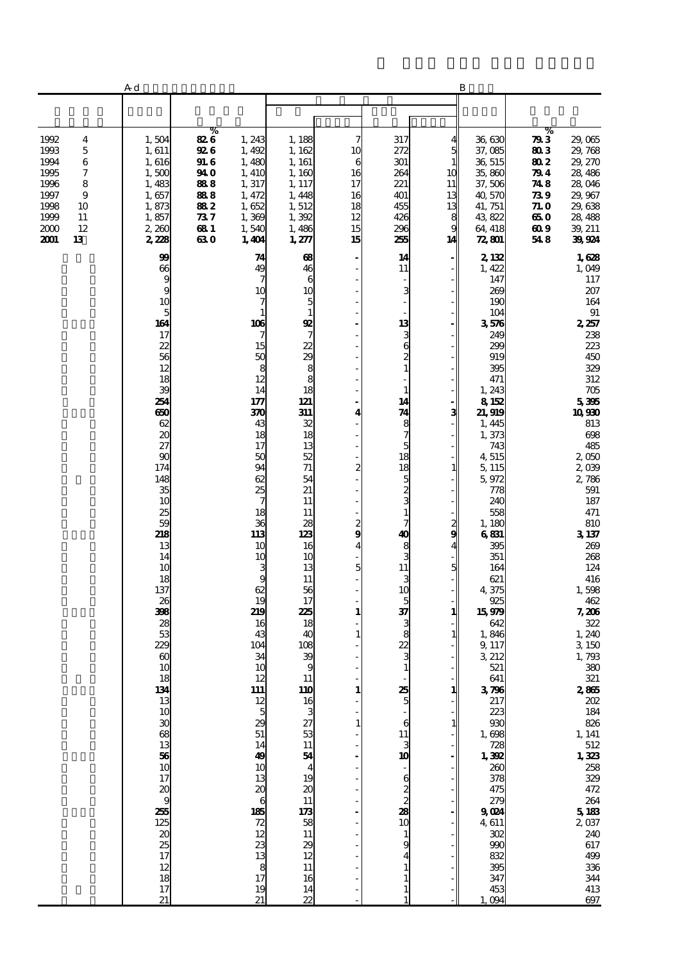|                                                                                                                                    | A d                                                                                                                                                                                                                                                                                                                                                                                                                                             |                                                                             |                                                                                                                                                                                                                                                                                                                                                                                     |                                                                                                                                                                                                                                                                                                                                                                                                                               |                                                        |                                                                                                                                                                                                                                                                                                          |                                                           | B                                                                                                                                                                                                                                                                                                                                                                                                                                                                     |                                                                             |                                                                                                                                                                                                                                                                                                                                                                                                                                                                                                  |
|------------------------------------------------------------------------------------------------------------------------------------|-------------------------------------------------------------------------------------------------------------------------------------------------------------------------------------------------------------------------------------------------------------------------------------------------------------------------------------------------------------------------------------------------------------------------------------------------|-----------------------------------------------------------------------------|-------------------------------------------------------------------------------------------------------------------------------------------------------------------------------------------------------------------------------------------------------------------------------------------------------------------------------------------------------------------------------------|-------------------------------------------------------------------------------------------------------------------------------------------------------------------------------------------------------------------------------------------------------------------------------------------------------------------------------------------------------------------------------------------------------------------------------|--------------------------------------------------------|----------------------------------------------------------------------------------------------------------------------------------------------------------------------------------------------------------------------------------------------------------------------------------------------------------|-----------------------------------------------------------|-----------------------------------------------------------------------------------------------------------------------------------------------------------------------------------------------------------------------------------------------------------------------------------------------------------------------------------------------------------------------------------------------------------------------------------------------------------------------|-----------------------------------------------------------------------------|--------------------------------------------------------------------------------------------------------------------------------------------------------------------------------------------------------------------------------------------------------------------------------------------------------------------------------------------------------------------------------------------------------------------------------------------------------------------------------------------------|
|                                                                                                                                    |                                                                                                                                                                                                                                                                                                                                                                                                                                                 |                                                                             |                                                                                                                                                                                                                                                                                                                                                                                     |                                                                                                                                                                                                                                                                                                                                                                                                                               |                                                        |                                                                                                                                                                                                                                                                                                          |                                                           |                                                                                                                                                                                                                                                                                                                                                                                                                                                                       |                                                                             |                                                                                                                                                                                                                                                                                                                                                                                                                                                                                                  |
| 1992<br>4<br>1993<br>5<br>1994<br>6<br>1995<br>7<br>1996<br>8<br>1997<br>9<br>1998<br>10<br>1999<br>11<br>2000<br>12<br>2001<br>13 | 1,504<br>1,611<br>1,616<br>1,500<br>1,483<br>1,657<br>1,873<br>1,857<br>2,260<br>2,228                                                                                                                                                                                                                                                                                                                                                          | %<br>826<br>92 6<br>91. G<br>94 O<br>888<br>888<br>882<br>737<br>681<br>630 | 1,243<br>1,492<br>1,480<br>1, 410<br>1,317<br>1, 472<br>1,652<br>1,369<br>1,540<br>1,401                                                                                                                                                                                                                                                                                            | 1, 188<br>1,162<br>1, 161<br>1,160<br>1, 117<br>1,448<br>1,512<br>1,392<br>1,486<br>1,277                                                                                                                                                                                                                                                                                                                                     | 7<br>10<br>6<br>16<br>17<br>16<br>18<br>12<br>15<br>15 | 317<br>272<br>301<br>264<br>221<br>401<br>455<br>426<br>296<br>255                                                                                                                                                                                                                                       | 5<br>$\mathbf{1}$<br>10<br>11<br>13<br>13<br>8<br>g<br>14 | 36,630<br>37,085<br>36, 515<br>35,860<br>37,506<br>40,570<br>41, 751<br>43,822<br>64, 418<br>72,801                                                                                                                                                                                                                                                                                                                                                                   | %<br>793<br>803<br>802<br>79 4<br>748<br>73 9<br>71. O<br>650<br>609<br>548 | 29,065<br>29,768<br>29, 270<br>28, 486<br>28,046<br>29,967<br>29,638<br>28, 488<br>39, 211<br>39924                                                                                                                                                                                                                                                                                                                                                                                              |
|                                                                                                                                    | 99<br>66<br>9<br>9<br>10<br>$\overline{5}$<br>164<br>17<br>22<br>56<br>12<br>18<br>39<br>254<br>650<br>62<br>20<br>27<br>90<br>174<br>148<br>35<br>10<br>25<br>59<br>218<br>13<br>14<br>10<br>18<br>137<br>26<br>398<br>28<br>53<br>229<br>$\infty$<br>10<br>18<br>134<br>13<br>10<br>$\boldsymbol{\mathfrak{D}}$<br>$\overline{\mathbf{68}}$<br>13<br>$\frac{56}{10}$<br>17<br>20<br>9<br>255<br>125<br>20<br>25<br>17<br>12<br>18<br>17<br>21 |                                                                             | 74<br>49<br>7<br>10<br>7<br>1<br>106<br>7<br>15<br>50<br>8<br>12<br>14<br>177<br>370<br>43<br>18<br>17<br>50<br>94<br>62<br>25<br>7<br>18<br>36<br>113<br>10<br>10<br>3<br>9<br>62<br>19<br>219<br>16<br>43<br>104<br>34<br>10<br>12<br>111<br>12<br>5<br>29<br>51<br>14<br>49<br>10<br>13<br>$\boldsymbol{\mathsf{20}}$<br>6<br>185<br>72<br>12<br>23<br>13<br>8<br>17<br>19<br>21 | 68<br>46<br>6<br>10<br>5<br>$\mathbf{1}$<br>92<br>$\overline{7}$<br>22<br>$\begin{array}{c}\n 29 \\  8 \\  8\n \end{array}$<br>18<br>121<br>311<br>32<br>18<br>13<br>52<br>71<br>54<br>21<br>11<br>11<br>28<br>123<br>16<br>10<br>13<br>11<br>56<br>17<br>225<br>18<br>40<br>108<br>$\frac{39}{9}$<br><b>11</b><br>110<br>16<br>27<br>53<br>11<br>54<br>19<br>20<br>11<br>173<br>58<br>11<br>29<br>12<br>11<br>16<br>14<br>22 | 4<br>2<br>$\frac{2}{9}$<br>4<br>5<br>1<br>1<br>1<br>1  | 14<br>11<br>3<br>13<br>3<br>6<br>2<br>$\mathbf{1}$<br>1<br>14<br>74<br>8<br>7<br>5<br>18<br>18<br>5<br>$\frac{2}{3}$<br>$\mathbf{1}$<br>7<br>40<br>8<br>3<br>11<br>3<br>10<br>5<br>37<br>3<br>8<br>22<br>$\mathbf{1}$<br>25<br>5<br>6<br>11<br>3<br>10<br>6<br>2<br>$\overline{c}$<br>28<br>10<br>1<br>9 | з<br>1<br>2<br>9<br>5<br>1<br>1<br>1                      | 2,132<br>1,422<br>147<br>269<br>190<br>104<br>3576<br>249<br>299<br>919<br>395<br>471<br>1,243<br>8152<br>21,919<br>1, 445<br>1,373<br>743<br>4,515<br>5, 115<br>5,972<br>778<br>240<br>558<br>1,180<br>6831<br>395<br>351<br>164<br>621<br>4,375<br>925<br>15979<br>642<br>1,846<br>9, 117<br>3 212<br>521<br>641<br>3796<br>217<br>223<br>930<br>1,698<br>728<br>1,392<br>260<br>378<br>475<br>279<br>9024<br>4611<br>302<br>990<br>832<br>395<br>347<br>453<br>094 |                                                                             | 1,628<br>1,049<br>117<br>207<br>164<br>$91\,$<br>2,257<br>238<br>223<br>450<br>329<br>312<br>$705\,$<br>5395<br>10930<br>813<br>698<br>485<br>2,050<br>2,039<br>2,786<br>591<br>187<br>471<br>810<br>3137<br>269<br>268<br>124<br>416<br>1,598<br>462<br>7,206<br>322<br>1, 240<br>3 150<br>1,793<br>$380\,$<br>321<br>$2865$<br>$202\,$<br>184<br>826<br>1, 141<br>$\frac{512}{1,323}$<br>258<br>329<br>$472\,$<br>$\frac{264}{5}$ 183<br>2037<br>240<br>617<br>499<br>336<br>344<br>413<br>697 |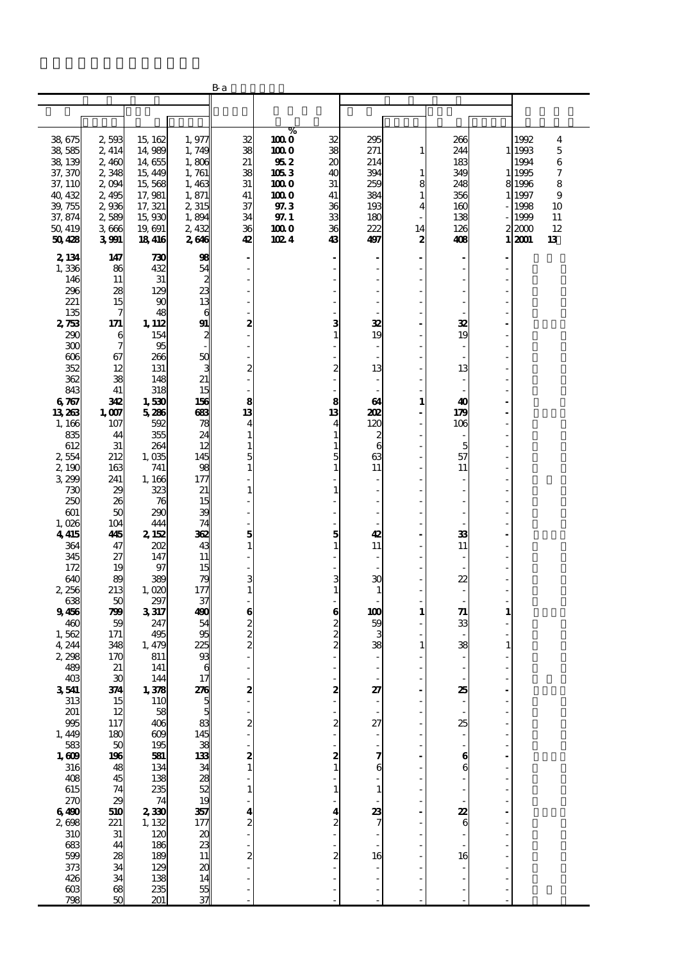|                             |                                          |                   |                       | Вa                      |                |                              |              |                        |               |                |                |                              |
|-----------------------------|------------------------------------------|-------------------|-----------------------|-------------------------|----------------|------------------------------|--------------|------------------------|---------------|----------------|----------------|------------------------------|
|                             |                                          |                   |                       |                         |                |                              |              |                        |               |                |                |                              |
|                             |                                          |                   |                       |                         |                |                              |              |                        |               |                |                |                              |
|                             |                                          |                   |                       |                         | %              |                              |              |                        |               |                |                |                              |
| 38,675<br>38 585            | 2503<br>2, 414                           | 15, 162<br>14,989 | 1,977<br>1,749        | 32<br>38                | 100 O<br>100 O | 32<br>38                     | 295<br>271   | $\mathbf{1}$           | 266<br>244    |                | 1992<br>1 1993 | $\overline{\mathbf{4}}$<br>5 |
| 38, 139                     | 2,460                                    | 14,655            | 1,806                 | 21                      | 95 2           | $\boldsymbol{\mathsf{20}}$   | 214          |                        | 183           |                | 1994           | 6                            |
| 37, 370                     | 2,348                                    | 15, 449           | 1,761                 | 38                      | 1053           | 40                           | 394          | $\mathbf{1}$           | 349           | $\mathbf{1}$   | 1995           | 7                            |
| 37, 110                     | 2004                                     | 15,568            | 1,463                 | 31                      | 100 O          | 31                           | 259          | 8                      | 248           |                | 8 1996         | 8                            |
| 40, 432                     | 2,495                                    | 17,981            | 1,871                 | 41                      | 100 O          | 41                           | 384          | $\mathbf{1}$           | 356           | 1              | 1997           | 9                            |
| 39, 755                     | 2936                                     | 17, 321           | 2,315                 | 37                      | 97.3           | 36                           | 193          | 4                      | 160           |                | 1998           | 10                           |
| 37, 874                     | 2589                                     | 15,930            | 1,894                 | 34                      | 97.1           | 33                           | 180          |                        | 138           |                | 1999           | 11                           |
| 50 419<br>50428             | 3666<br>3991                             | 19, 691<br>18416  | 2,432<br>2646         | 36<br>42                | 100 O<br>102 4 | 36<br>43                     | 222<br>497   | 14<br>$\boldsymbol{2}$ | 126<br>408    | 1              | 22000<br>2001  | 12<br>13                     |
|                             |                                          |                   |                       |                         |                |                              |              |                        |               |                |                |                              |
| 2, 134                      | 147                                      | 730               | 98                    |                         |                |                              |              |                        |               |                |                |                              |
| 1,336<br>146                | 86<br>11                                 | 432<br>31         | 54<br>2               |                         |                |                              |              |                        |               |                |                |                              |
| 296                         | 28                                       | 129               | 23                    |                         |                |                              |              |                        |               |                |                |                              |
| 221                         | 15                                       | 90                | 13                    |                         |                |                              |              |                        |               |                |                |                              |
| 135                         | 7                                        | 48                | 6                     |                         |                |                              |              |                        |               |                |                |                              |
| 2733                        | 171                                      | 1, 112            | 91                    | 2                       |                | з                            | 32           |                        | 32            |                |                |                              |
| 290                         | 6                                        | 154               | 2                     |                         |                | $\mathbf{1}$                 | 19           |                        | 19            |                |                |                              |
| 300                         | 7                                        | 95                |                       |                         |                |                              |              |                        |               |                |                |                              |
| 606<br>352                  | 67<br>12                                 | 266<br>131        | 50<br>3               | 2                       |                | $\boldsymbol{2}$             | 13           |                        | ÷.<br>13      | L,             |                |                              |
| 362                         | 38                                       | 148               | 21                    |                         |                |                              |              |                        |               |                |                |                              |
| 843                         | 41                                       | 318               | 15                    |                         |                |                              |              |                        |               |                |                |                              |
| 6767                        | 342                                      | 1,530             | 156                   | 8                       |                | 8                            | 64           | $\mathbf{1}$           | 40            | $\overline{a}$ |                |                              |
| 13 263                      | 1,007                                    | 5286              | 683                   | 13                      |                | 13                           | 202          | $\overline{a}$         | 179           | ä,             |                |                              |
| 1,166                       | 107                                      | 592               | 78                    | 4                       |                | $\overline{\mathbf{4}}$      | 120          | L,                     | 106           | L,             |                |                              |
| 835<br>612                  | 44<br>31                                 | 355<br>264        | 24<br>12              | $\mathbf{1}$<br>1       |                | $\mathbf{1}$<br>$\mathbf{1}$ | 2<br>6       | $\frac{1}{2}$          | 5             |                |                |                              |
| 2554                        | 212                                      | 1,035             | 145                   | 5                       |                | 5                            | 63           |                        | 57            |                |                |                              |
| 2,190                       | 163                                      | 741               | 98                    | $\mathbf{1}$            |                | $\mathbf{1}$                 | 11           |                        | 11            |                |                |                              |
| 3 299                       | 241                                      | 1,166             | 177                   |                         |                |                              |              |                        | $\frac{1}{2}$ | L,             |                |                              |
| 730                         | 29                                       | 323               | 21                    | $\mathbf{1}$            |                | $\mathbf{1}$                 |              |                        |               |                |                |                              |
| 250                         | 26                                       | 76                | 15                    |                         |                |                              |              |                        |               |                |                |                              |
| 601<br>1,026                | 50<br>104                                | 290<br>444        | 39<br>74              |                         |                |                              |              |                        |               |                |                |                              |
| 4415                        | 445                                      | 2,152             | 362                   | 5                       |                | 5                            | 42           |                        | 33            | L.             |                |                              |
| 364                         | 47                                       | 202               | 43                    | $\mathbf{1}$            |                | $\mathbf{1}$                 | 11           |                        | 11            |                |                |                              |
| 345                         | 27                                       | 147               | 11                    |                         |                | ÷                            |              |                        | ÷,            |                |                |                              |
| 172                         | 19                                       | 97                | 15                    |                         |                |                              |              |                        |               |                |                |                              |
| 640<br>2,256                | 89<br>213                                | 389<br>1,020      | 79<br>177             | 3<br>$\mathbf{1}$       |                | 3<br>$\mathbf{1}$            | $\mathbf{C}$ |                        | 22<br>÷,      | L,             |                |                              |
| 638                         | 50                                       | 297               | 37                    |                         |                |                              | 1            |                        |               |                |                |                              |
| 9456                        | 799                                      | 3317              | 490                   | 6                       |                | 6                            | 100          | $\mathbf{1}$           | 71            | $\mathbf{1}$   |                |                              |
| 460                         | 59                                       | 247               | 54                    |                         |                |                              | 59           |                        | 33            |                |                |                              |
| 1,562                       | 171                                      | 495               | 95                    | $\frac{2}{2}$           |                | $\frac{2}{2}$                | 3            |                        |               |                |                |                              |
| 4,244                       | 348                                      | 1,479             | 225                   |                         |                |                              | 38           | $\mathbf{1}$           | 38            | $\mathbf{1}$   |                |                              |
| 2,298<br>489                | 170<br>21                                | 811<br>141        | 93<br>6               |                         |                |                              | ÷,           |                        |               | ä,             |                |                              |
| 403                         | 30                                       | 144               | 17                    |                         |                |                              |              |                        |               |                |                |                              |
| 3541                        | 34                                       | 1,378             | 276                   | 2                       |                | 2                            | 27           |                        | 25            |                |                |                              |
| 313                         | 15                                       | 110               | 5                     |                         |                |                              |              |                        |               | L,             |                |                              |
| 201                         | 12                                       | 58                | 5                     |                         |                |                              |              |                        |               |                |                |                              |
| 995                         | 117<br>180                               | 406<br>609        | 83<br>145             | 2                       |                | 2                            | 27           |                        | 25            | ä,<br>L,       |                |                              |
| $1,449$<br>$583$<br>$1,609$ |                                          | 195               | 38                    |                         |                |                              |              |                        |               |                |                |                              |
|                             | $\begin{array}{c} 50 \\ 196 \end{array}$ | 581               | 133                   |                         |                |                              |              |                        | 6             | $\overline{a}$ |                |                              |
| 316                         | 48                                       | 134               | 34<br>28              | $\frac{2}{1}$           |                | $\frac{2}{1}$                | 6            |                        | 6             |                |                |                              |
| 408                         | 45                                       | 138               |                       |                         |                |                              |              |                        |               |                |                |                              |
| 615                         | 74                                       | 235               | 52                    | $\mathbf{1}$            |                | $\mathbf 1$                  |              |                        |               |                |                |                              |
| $rac{270}{6400}$            | 29<br>510                                | 74<br>2330        | 19<br>357             | 4                       |                | 4                            | 23           |                        | 22            | L.             |                |                              |
| 2608                        | 221                                      | 1, 132            | 177                   | $\overline{\mathbf{c}}$ |                | $\overline{\mathbf{c}}$      |              |                        | 6             |                |                |                              |
| 310                         | 31                                       | 120               | $\boldsymbol{\alpha}$ |                         |                |                              |              |                        |               |                |                |                              |
| 683<br>599                  | 44                                       | 186               | 23<br>11              |                         |                |                              |              |                        |               |                |                |                              |
|                             | 28                                       | 189               |                       | $\overline{c}$          |                | $\overline{c}$               | 16           |                        | 16            |                |                |                              |
| 373<br>426                  | 34                                       | 129               | $\frac{20}{14}$       |                         |                |                              |              |                        |               | ٠              |                |                              |
| $\infty$                    | 34<br>68                                 | 138<br>235        | 55                    |                         |                |                              |              |                        |               |                |                |                              |
| 798                         | 50                                       | 201               | 37                    |                         |                |                              |              |                        |               |                |                |                              |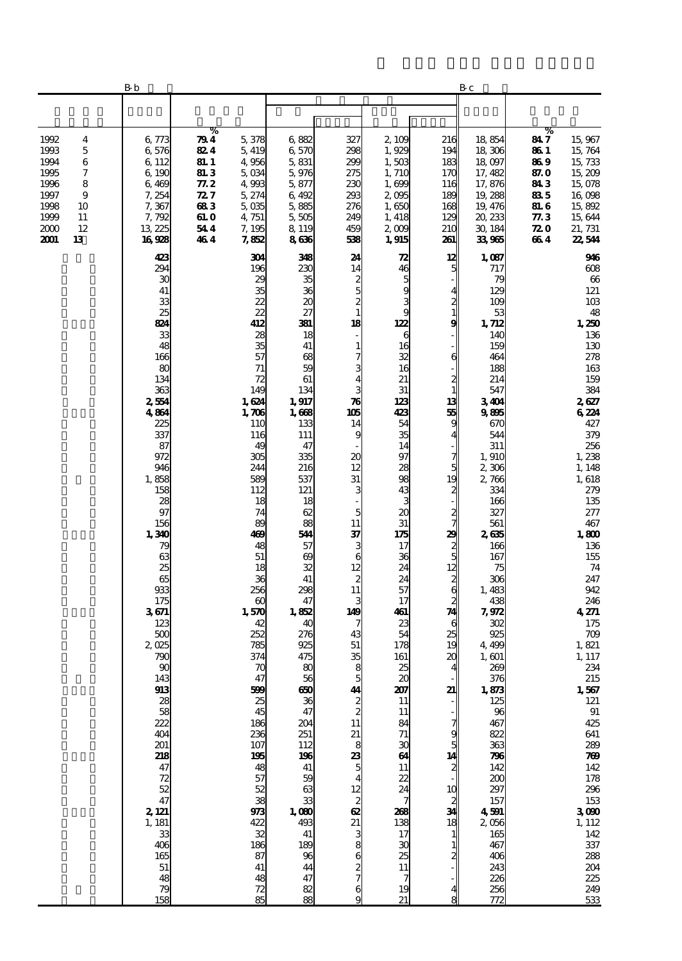|                                                                                                                                    | B b                                                                                                                                                                                                                                                                                                                                                                                                                              |                                                                                         |                                                                                                                                                                                                                                                                                                                                                                                                      |                                                                                                                                                                                                                                                                                                                                                                                                                   |                                                                                                                                                                                                                                                                                                                                                                                                        |                                                                                                                                                                                                                                                                                                                                                                                      |                                                                                                                                                                                                                                                                                                    | Bс                                                                                                                                                                                                                                                                                                                                                                                                                                                           |                                                                                 |                                                                                                                                                                                                                                                                                                                                                                                                                                                                                                              |
|------------------------------------------------------------------------------------------------------------------------------------|----------------------------------------------------------------------------------------------------------------------------------------------------------------------------------------------------------------------------------------------------------------------------------------------------------------------------------------------------------------------------------------------------------------------------------|-----------------------------------------------------------------------------------------|------------------------------------------------------------------------------------------------------------------------------------------------------------------------------------------------------------------------------------------------------------------------------------------------------------------------------------------------------------------------------------------------------|-------------------------------------------------------------------------------------------------------------------------------------------------------------------------------------------------------------------------------------------------------------------------------------------------------------------------------------------------------------------------------------------------------------------|--------------------------------------------------------------------------------------------------------------------------------------------------------------------------------------------------------------------------------------------------------------------------------------------------------------------------------------------------------------------------------------------------------|--------------------------------------------------------------------------------------------------------------------------------------------------------------------------------------------------------------------------------------------------------------------------------------------------------------------------------------------------------------------------------------|----------------------------------------------------------------------------------------------------------------------------------------------------------------------------------------------------------------------------------------------------------------------------------------------------|--------------------------------------------------------------------------------------------------------------------------------------------------------------------------------------------------------------------------------------------------------------------------------------------------------------------------------------------------------------------------------------------------------------------------------------------------------------|---------------------------------------------------------------------------------|--------------------------------------------------------------------------------------------------------------------------------------------------------------------------------------------------------------------------------------------------------------------------------------------------------------------------------------------------------------------------------------------------------------------------------------------------------------------------------------------------------------|
|                                                                                                                                    |                                                                                                                                                                                                                                                                                                                                                                                                                                  |                                                                                         |                                                                                                                                                                                                                                                                                                                                                                                                      |                                                                                                                                                                                                                                                                                                                                                                                                                   |                                                                                                                                                                                                                                                                                                                                                                                                        |                                                                                                                                                                                                                                                                                                                                                                                      |                                                                                                                                                                                                                                                                                                    |                                                                                                                                                                                                                                                                                                                                                                                                                                                              |                                                                                 |                                                                                                                                                                                                                                                                                                                                                                                                                                                                                                              |
| 1992<br>4<br>1993<br>5<br>1994<br>6<br>7<br>1995<br>1996<br>8<br>1997<br>9<br>1998<br>10<br>1999<br>11<br>2000<br>12<br>2001<br>13 | 6, 773<br>6,576<br>6, 112<br>6, 190<br>6,469<br>7, 254<br>7,367<br>7,792<br>13 225<br>16928                                                                                                                                                                                                                                                                                                                                      | %<br>79 4<br>824<br>81. I<br><b>81.3</b><br>77. 2<br>72 7<br>683<br>61. O<br>544<br>464 | 5,378<br>5, 419<br>4,956<br>5,034<br>4,993<br>5, 274<br>$5 \, \times$<br>4, 751<br>7,195<br>7,852                                                                                                                                                                                                                                                                                                    | 6882<br>6,570<br>5,831<br>5,976<br>5,877<br>6,492<br>5,885<br>5,505<br>8, 119<br>8636                                                                                                                                                                                                                                                                                                                             | 327<br>298<br>299<br>275<br>230<br>293<br>276<br>249<br>459<br>533                                                                                                                                                                                                                                                                                                                                     | 2, 109<br>1,929<br>1,503<br>1,710<br>1,699<br>2005<br>1,650<br>1, 418<br>2009<br>1,915                                                                                                                                                                                                                                                                                               | 216<br>194<br>183<br>170<br>116<br>189<br>168<br>129<br>210<br>261                                                                                                                                                                                                                                 | 18,854<br>18,306<br>18,097<br>17, 482<br>17,876<br>19,288<br>19, 476<br>20, 233<br>30, 184<br>33,965                                                                                                                                                                                                                                                                                                                                                         | %<br>847<br>86 1<br>86 9<br>87. O<br>843<br>835<br>81. G<br>77.3<br>72 O<br>664 | 15,967<br>15, 764<br>15,733<br>15,209<br>15,078<br>16,098<br>15,892<br>15,644<br>21, 731<br>22,544                                                                                                                                                                                                                                                                                                                                                                                                           |
|                                                                                                                                    | 423<br>294<br>30<br>41<br>33<br>25<br>824<br>33<br>48<br>166<br>80<br>134<br>363<br>2554<br>4864<br>225<br>337<br>87<br>972<br>946<br>1,858<br>158<br>28<br>97<br>156<br>1,340<br>79<br>63<br>25<br>65<br>933<br>175<br>3671<br>123<br>500<br>2,025<br>790<br>90<br>143<br>913<br>38<br>58<br>222<br>404<br>201<br>218<br>47<br>72<br>52<br>$\frac{1}{47}$<br>2, 121<br>$\frac{1}{3}$ 181<br>406<br>165<br>51<br>48<br>79<br>158 |                                                                                         | 304<br>196<br>29<br>35<br>22<br>22<br>412<br>28<br>35<br>57<br>71<br>72<br>149<br>1,624<br>1,706<br>110<br>116<br>49<br>305<br>244<br>589<br>112<br>18<br>74<br>89<br>469<br>48<br>51<br>18<br>36<br>256<br>$\alpha$<br>1,570<br>42<br>252<br>785<br>374<br>70<br>47<br>599<br>25<br>45<br>186<br>236<br>107<br>195<br>48<br>57<br>52<br>38<br>973<br>422<br>32<br>186<br>87<br>41<br>48<br>72<br>85 | 348<br>230<br>35<br>36<br>$\boldsymbol{\chi}$<br>27<br>381<br>18<br>41<br>68<br>59<br>61<br>134<br>1,917<br>1,668<br>133<br>111<br>47<br>335<br>216<br>537<br>121<br>18<br>62<br>88<br>544<br>57<br>69<br>32<br>41<br>298<br>47<br>1,852<br>40<br>276<br>925<br>475<br>80<br>56<br>650<br>36<br>47<br>204<br>251<br>112<br>196<br>41<br>59<br>63<br>33<br>1,000<br>493<br>41<br>189<br>96<br>44<br>47<br>82<br>88 | 24<br>14<br>2<br>5<br>$\frac{2}{1}$<br>18<br>$\mathbf{1}$<br>7<br>3<br>4<br>3<br>$\boldsymbol{\pi}$<br>105<br>14<br>9<br>20<br>12<br>31<br>3<br>5<br>11<br>37<br>3<br>6<br>12<br>$\boldsymbol{z}$<br>11<br>3<br>149<br>7<br>43<br>51<br>35<br>8<br>5<br>$\frac{41}{2}$<br>11<br>$23.88$ $5$<br>$\overline{\mathbf{4}}$<br>$rac{12}{8}$<br>$rac{21}{3}$<br>8<br>6<br>$\frac{2}{7}$<br>6<br>$\mathbf{Q}$ | 72<br>46<br>5<br>9<br>3<br>9<br>122<br>6<br>16<br>32<br>16<br>21<br>31<br>123<br>423<br>54<br>35<br>14<br>97<br>28<br>98<br>43<br>3<br>20<br>31<br>175<br>17<br>36<br>24<br>24<br>57<br>17<br>461<br>23<br>54<br>178<br>161<br>25<br>20<br>207<br>11<br>11<br>84<br>71<br>30<br>64<br>11<br>22<br>24<br>268<br>138<br>17<br>$\boldsymbol{\mathfrak{A}}$<br>25<br>11<br>7<br>19<br>21 | 12<br>5<br>4<br>$\frac{2}{1}$<br>9<br>6<br>$\mathbf{z}$<br>$\mathbf{1}$<br>13<br>55<br>g<br>4<br>7<br>5<br>19<br>$\mathbf{z}$<br>$\frac{2}{7}$<br>29<br>$\frac{2}{5}$<br>12<br>$\frac{2}{2}$<br>74<br>6<br>25<br>19<br>20<br>4<br>21<br>g<br>5<br>14<br>$\mathbf{z}$<br>10<br>$\frac{2}{34}$<br>18 | 1,087<br>717<br>79<br>12C<br>10 <sup>c</sup><br>53<br>1, 712<br>14C<br>159<br>464<br>188<br>214<br>547<br>3404<br>9895<br>670<br>544<br>311<br>1,910<br>2,306<br>2,766<br>334<br>166<br>327<br>561<br>2635<br>166<br>167<br>75<br>306<br>1,483<br>438<br>7,972<br>302<br>925<br>4,498<br>1, 601<br>269<br>376<br>1,873<br>125<br>96<br>467<br>822<br>363<br>796<br>142<br>200<br>297<br>157<br>4501<br>2056<br>165<br>467<br>406<br>243<br>226<br>256<br>772 |                                                                                 | 946<br>$\boldsymbol{\alpha}$<br>66<br>121<br>10B<br>48<br>1,250<br>136<br>130<br>278<br>163<br>159<br>384<br>2627<br>6224<br>427<br>379<br>256<br>1,238<br>1,148<br>1,618<br>279<br>135<br>277<br>467<br>1,800<br>136<br>155<br>74<br>247<br>942<br>246<br>4271<br>$175\,$<br>709<br>1,821<br>1, 117<br>234<br>215<br>$1,567$<br>$121$<br>$91\,$<br>425<br>641<br>289<br>700<br>142<br>178<br>296<br>$\begin{array}{c} 153 \\ 3\,000 \end{array}$<br>1, 112<br>142<br>337<br>288<br>204<br>225<br>249<br>533 |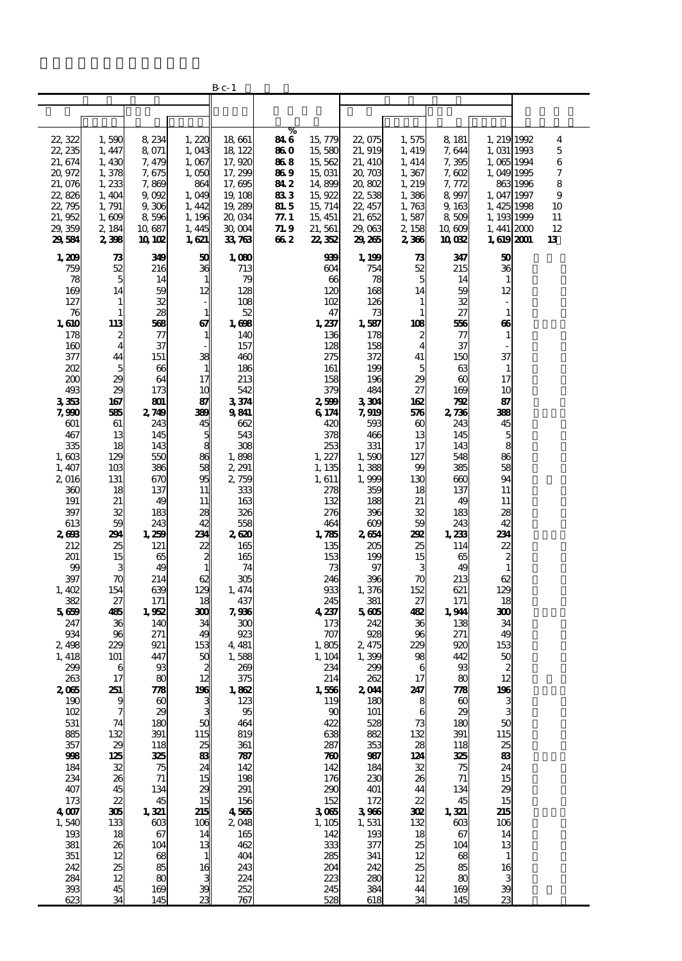|                   |                              |                              |                 | B c- 1            |               |                              |                   |                       |                              |                            |                    |
|-------------------|------------------------------|------------------------------|-----------------|-------------------|---------------|------------------------------|-------------------|-----------------------|------------------------------|----------------------------|--------------------|
|                   |                              |                              |                 |                   |               |                              |                   |                       |                              |                            |                    |
|                   |                              |                              |                 |                   |               |                              |                   |                       |                              |                            |                    |
| 22, 322           | 1,590                        | 8,234                        | 1,220           | 18,661            | %<br>84 6     | 15, 779                      | 22,075            | 1,575                 | 8 181                        | 1, 219 1992                | $\overline{\bf 4}$ |
| 22, 235           | 1, 447                       | 8 071                        | 1,043           | 18, 122           | 86 O          | 15,580                       | 21, 919           | 1, 419                | 7,644                        | 1,031 1993                 | 5                  |
| 21, 674           | 1,430                        | 7, 479                       | 1,067           | 17,920            | 868           | 15,562                       | 21, 410           | 1, 414                | 7,395                        | 1,065 1994                 | 6                  |
| 20,972            | 1,378                        | 7,675                        | 1,050           | 17, 299           | 86 9          | 15,031                       | 20,703            | 1,367                 | 7,602                        | 1,049 1995                 | 7                  |
| 21,076            | 1, 233                       | 7,869                        | 864             | 17, 695           | 84 2          | 14,899<br>15,922             | 20,802<br>22, 538 | 1, 219                | 7, 772<br>8997               | 8631996                    | 8<br>9             |
| 22,826<br>22, 795 | 1,404<br>1, 791              | 9,002<br>9,306               | 1,049<br>1, 442 | 19, 108<br>19,289 | 83 3<br>81. 5 | 15, 714                      | 22, 457           | 1,386<br>1,763        | 9, 163                       | 1, 047 1997<br>1, 425 1998 | 10                 |
| 21,952            | 1,609                        | 8596                         | 1, 196          | 20,034            | 77. 1         | 15, 451                      | 21, 652           | 1,587                 | 8509                         | 1, 193 1999                | 11                 |
| 29, 359           | 2, 184                       | 10,687                       | 1, 445          | 30, OO4           | 71. 9         | 21, 561                      | 29,063            | 2, 158                | 10,609                       | $1,441$ $200$              | 12                 |
| 29,584            | 2,398                        | <b>10 102</b>                | 1,621           | 33, 763           | 66 2          | 22, 352                      | 29,265            | 2,336                 | 10082                        | 1,619 2001                 | 13                 |
| 1,209             | 73                           | 349                          | 50              | 1,080             |               | 939                          | 1, 199            | 73                    | 347                          | 50                         |                    |
| 759<br>78         | 52<br>5                      | 216                          | 36              | 713<br>79         |               | 604<br>$\boldsymbol{\omega}$ | 754               | 52<br>5               | 215<br>14                    | 36<br>$\mathbf{1}$         |                    |
| 169               | 14                           | 14<br>59                     | 12              | 128               |               | 120                          | 78<br>168         | 14                    | 59                           | 12                         |                    |
| 127               | $\mathbf{1}$                 | 32                           |                 | 108               |               | 102                          | 126               | 1                     | 32                           | ÷                          |                    |
| 76                | 1                            | 28                           | 1               | 52                |               | 47                           | 73                | 1                     | 27                           | $\mathbf{1}$               |                    |
| 1,610<br>178      | 113                          | 568<br>77                    | 67              | 1,698<br>140      |               | 1,237<br>136                 | 1,587<br>178      | 108                   | 56<br>77                     | 66                         |                    |
| 160               | 2<br>$\overline{\mathbf{4}}$ | 37                           | 1               | 157               |               | 128                          | 158               | 2<br>4                | 37                           | $\mathbf{1}$               |                    |
| 377               | 44                           | 151                          | 38              | 460               |               | 275                          | 372               | 41                    | 150                          | 37                         |                    |
| 202               | 5                            | 66                           |                 | 186               |               | 161                          | 199               | 5                     | 63                           | $\mathbf{1}$               |                    |
| $_{200}$<br>493   | 29<br>29                     | 64<br>173                    | 17<br>10        | 213<br>542        |               | 158<br>379                   | 196<br>484        | 29<br>27              | $\alpha$<br>169              | 17<br>10                   |                    |
| 3353              | 167                          | 801                          | 87              | 3374              |               | 2,599                        | 3304              | 162                   | Æ                            | 87                         |                    |
| 7,990             | 585                          | 2749                         | 399             | 9841              |               | 6174                         | 7,919             | 576                   | 2,736                        | 338                        |                    |
| 601               | 61                           | 243                          | 45              | 662               |               | 42C                          | 593               | $\boldsymbol{\omega}$ | 243                          | 45                         |                    |
| 467<br>335        | 13<br>18                     | 145<br>143                   | 5<br>8          | 543<br>308        |               | 378<br>253                   | 466<br>331        | 13<br>17              | 145<br>143                   | 5<br>8                     |                    |
| 1,603             | 129                          | 550                          | 86              | 1,898             |               | 1, 227                       | 1,590             | 127                   | 548                          | 86                         |                    |
| 1, 407            | 10 <sub>3</sub>              | 386                          | 58              | 2, 291            |               | 1, 135                       | 1,388             | 99                    | 385                          | 58                         |                    |
| 2016              | 131                          | 670                          | 95              | 2,759             |               | 1, 611                       | 1,999             | 130                   | $\rm 60$                     | 94                         |                    |
| 360<br>191        | 18<br>21                     | 137<br>49                    | 11<br>11        | 333<br>163        |               | 278<br>132                   | 359<br>188        | 18<br>21              | 137<br>49                    | 11<br>11                   |                    |
| 397               | 32                           | 183                          | 28              | 326               |               | 276                          | 396               | 32                    | 183                          | 28                         |                    |
| 613               | 59                           | 243                          | 42              | 558               |               | 464                          | 609               | 59                    | 243                          | 42                         |                    |
| 2603              | 291                          | 1,259                        | 231             | 2,620             |               | 1,785                        | 2654              | 292                   | 1,233                        | 234                        |                    |
| 212<br>201        | 25<br>15                     | 121<br>65                    | 22<br>2         | 165<br>165        |               | 135<br>153                   | 205<br>199        | 25<br>15              | 114<br>65                    | 22<br>$\boldsymbol{z}$     |                    |
| 99                | 3                            | 49                           |                 | 74                |               | 73                           | 97                | 3                     | 49                           | $\mathbf{1}$               |                    |
| 397               | $\boldsymbol{\pi}$           | 214                          | 62              | 305               |               | 246                          | 396               | 70                    | 213                          | 62                         |                    |
| 1,402<br>382      | 154<br>27                    | 639<br>171                   | 129<br>18       | 1, 474<br>437     |               | 933<br>245                   | 1,376<br>381      | 152<br>27             | 621<br>171                   | 129<br>18                  |                    |
| 5669              | 485                          | 1,952                        | 300             | 7,936             |               | 4,237                        | 5605              | 432                   | 1,944                        | 300                        |                    |
| 247               | 36                           | 140                          | 34              | $_{\rm 300}$      |               | 173                          | 242               | 36                    | 138                          | 34                         |                    |
| 934               | 96                           | 271                          | 49              | 923               |               | 707                          | 928               | 96                    | 271                          | 49<br>153                  |                    |
| 2,498<br>1, 418   | 229<br>101                   | 921<br>447                   | 153<br>50       | 4, 481<br>1,588   |               | 1,805<br>1, 104              | 2, 475<br>1,399   | 229<br>98             | 920<br>442                   | 50                         |                    |
| 299               | 6                            | 93                           | 2               | 269               |               | 234                          | 299               | 6                     | 93                           | $\boldsymbol{z}$           |                    |
| 263               | 17                           | 80                           | 12              | 375               |               | 214                          | 262               | 17                    | 80                           | 12                         |                    |
| 2065<br>190       | 251<br>9                     | 778<br>$\boldsymbol{\omega}$ | 196             | 1,862<br>123      |               | 1,556<br>119                 | 2,044<br>180      | 247<br>8              | 778<br>$\boldsymbol{\omega}$ | $\frac{1}{3}$              |                    |
| 102               | 7                            | 29                           |                 | 95                |               | 90                           | 101               | 6                     | 29                           |                            |                    |
| 531               | 74                           | 180                          | 50              | 464               |               | 422                          | 528               | 73                    | 180                          | 50                         |                    |
| 885<br>357        | 132                          | 391                          | 115             | 819               |               | 638                          | 882               | 132                   | 391                          | 115                        |                    |
| 998               | $\frac{29}{125}$             | 118<br>325                   | 25<br>83        | 361<br>787        |               | 287<br>780                   | 353<br>987        | 28<br>124             | 118<br>325                   | $\frac{25}{83}$            |                    |
| 184               | 32                           | 75                           | 24              | 142               |               | 142                          | 184               | 32                    | 75                           | 24                         |                    |
| 234               | 26                           | 71                           | 15              | 198               |               | 176                          | 230               | 26                    | 71                           | 15                         |                    |
| 407<br>173        | 45<br>22                     | 134<br>45                    | 29<br>15        | 291<br>156        |               | 290<br>152                   | 401<br>172        | 44<br>22              | 134<br>45                    | 29<br>15                   |                    |
| 4007              | 305                          | 1,321                        | 215             | 4,565             |               | 3065                         | 3986              | 302                   | 1,321                        | 215                        |                    |
| 1,540             | 133                          | 603                          | 106             | 2,048             |               | 1,105                        | 1,531             | 132                   | $\cos$                       | 106                        |                    |
| 193               | 18                           | 67                           | 14              | 165               |               | 142                          | 193               | 18                    | 67                           | 14                         |                    |
| 381<br>351        | 26<br>12                     | 104<br>68                    | 13              | 462<br>404        |               | 333<br>285                   | 377<br>341        | 25<br>12              | 104<br>68                    | 13<br>$\mathbf{1}$         |                    |
| 242               | 25                           | 85                           | 16              | 243               |               | 204                          | 242               | 25                    | 85                           | 16                         |                    |
| $\overline{284}$  | 12                           | 80                           |                 | 224               |               | 223                          | 280               | 12                    | 80                           | 3                          |                    |
| 393               | 45                           | 169                          | 39              | 252               |               | 245                          | 384               | 44                    | 169                          | 39                         |                    |
| 623               | 34                           | 145                          | 23              | 767               |               | 528                          | 618               | 34                    | 145                          | 23                         |                    |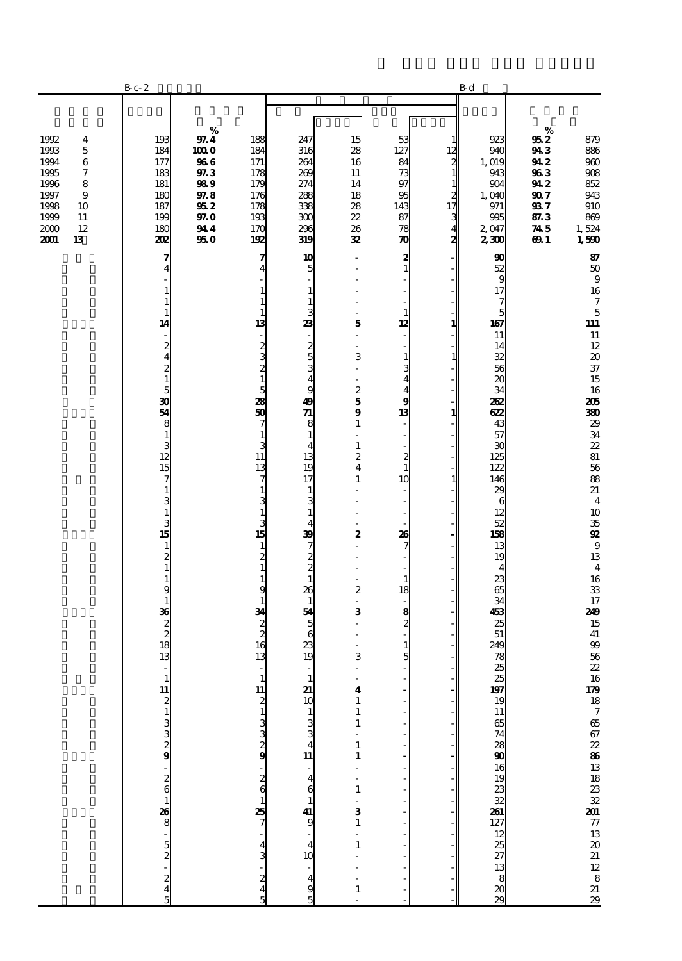|                                                                                                                                                             | $\rm B$ c- $\rm 2$                                                                                                                                                                                                                                                                                                                                                                                                                                                                                                                               |                                                                                     |                                                                                                                                                                                                                                                                            |                                                                                                                                                                                                                                                                                                                                                                                                                                                                                                                                                                         |                                                                                                                                                                                                                                |                                                                                                                                                                                                                                                        |                                                                                                          | $\mathbf B$ d                                                                                                                                                                                                                                                                                    |                                                                                   |                                                                                                                                                                                                                                                                                                                                                                                                                                                                                                                                             |
|-------------------------------------------------------------------------------------------------------------------------------------------------------------|--------------------------------------------------------------------------------------------------------------------------------------------------------------------------------------------------------------------------------------------------------------------------------------------------------------------------------------------------------------------------------------------------------------------------------------------------------------------------------------------------------------------------------------------------|-------------------------------------------------------------------------------------|----------------------------------------------------------------------------------------------------------------------------------------------------------------------------------------------------------------------------------------------------------------------------|-------------------------------------------------------------------------------------------------------------------------------------------------------------------------------------------------------------------------------------------------------------------------------------------------------------------------------------------------------------------------------------------------------------------------------------------------------------------------------------------------------------------------------------------------------------------------|--------------------------------------------------------------------------------------------------------------------------------------------------------------------------------------------------------------------------------|--------------------------------------------------------------------------------------------------------------------------------------------------------------------------------------------------------------------------------------------------------|----------------------------------------------------------------------------------------------------------|--------------------------------------------------------------------------------------------------------------------------------------------------------------------------------------------------------------------------------------------------------------------------------------------------|-----------------------------------------------------------------------------------|---------------------------------------------------------------------------------------------------------------------------------------------------------------------------------------------------------------------------------------------------------------------------------------------------------------------------------------------------------------------------------------------------------------------------------------------------------------------------------------------------------------------------------------------|
|                                                                                                                                                             |                                                                                                                                                                                                                                                                                                                                                                                                                                                                                                                                                  |                                                                                     |                                                                                                                                                                                                                                                                            |                                                                                                                                                                                                                                                                                                                                                                                                                                                                                                                                                                         |                                                                                                                                                                                                                                |                                                                                                                                                                                                                                                        |                                                                                                          |                                                                                                                                                                                                                                                                                                  |                                                                                   |                                                                                                                                                                                                                                                                                                                                                                                                                                                                                                                                             |
| 1992<br>4<br>1993<br>$\mathbf 5$<br>1994<br>6<br>$\boldsymbol{7}$<br>1995<br>1996<br>8<br>1997<br>9<br>1998<br>10<br>1999<br>11<br>2000<br>12<br>2001<br>13 | 193<br>184<br>177<br>183<br>181<br>180<br>187<br>199<br>180<br>202                                                                                                                                                                                                                                                                                                                                                                                                                                                                               | %<br>97.4<br>100 O<br>966<br>$97.3\,$<br>989<br>97.8<br>95 2<br>97.O<br>944<br>95 O | 188<br>184<br>171<br>178<br>179<br>176<br>178<br>193<br>170<br>192                                                                                                                                                                                                         | 247<br>316<br>264<br>269<br>274<br>288<br>338<br>300<br>296<br>319                                                                                                                                                                                                                                                                                                                                                                                                                                                                                                      | 15<br>28<br>16<br>11<br>14<br>18<br>28<br>$\frac{22}{26}$<br>32                                                                                                                                                                | 53<br>127<br>84<br>73<br>97<br>95<br>143<br>87<br>78<br>$\boldsymbol{\pi}$                                                                                                                                                                             | 1<br>12<br>$\frac{2}{1}$<br>$\mathbf{1}$<br>$\begin{array}{c} 2 \\ 17 \end{array}$<br>$\frac{3}{4}$<br>2 | 923<br>940<br>1,019<br>943<br>904<br>1,040<br>971<br>995<br>2,047<br>2,300                                                                                                                                                                                                                       | %<br>952<br>943<br>94 2<br>963<br>942<br><b>907</b><br>937<br>87.3<br>745<br>69 1 | 879<br>886<br>$960\,$<br>$908\,$<br>852<br>943<br>910<br>869<br>1,524<br>1,590                                                                                                                                                                                                                                                                                                                                                                                                                                                              |
|                                                                                                                                                             | 7<br>4<br>1<br>1<br>$\mathbf{1}$<br>14<br>$\overline{\phantom{a}}$<br>$\boldsymbol{z}$<br>$\overline{\bf{4}}$<br>$\begin{smallmatrix}2\2\1\end{smallmatrix}$<br>$\overline{5}$<br>30<br>54<br>8<br>$\mathbf{1}$<br>3<br>$\frac{12}{15}$<br>7<br>$\mathbf{1}$<br>3<br>$\mathbf 1$<br>3<br>15<br>$\mathbf{1}$<br>$\overline{\mathbf{c}}$<br>$\mathbf{1}$<br>$\mathbf{1}$<br>9<br>$\mathbf 1$<br>36<br>$\begin{array}{c} 2 \\ 2 \\ 18 \end{array}$<br>13<br>$\overline{\phantom{a}}$<br><b>11</b> מ – מ מ מ מ י מ 6 – 68 מ <sup>.</sup> מ מ – מ מ ה |                                                                                     | 7<br>4<br>1<br>1<br>1<br>13<br>2<br>3<br>2<br>$\mathbf{1}$<br>5<br>28<br>50<br>7<br>1<br>3<br>11<br>13<br>7<br>1<br>1<br>з<br>15<br>1<br>2<br>$\mathbf{1}$<br>1<br>9<br>1<br>34<br>$\overline{c}$<br>16<br>13<br>11<br>2<br>380<br>$\frac{2}{6}$<br>25<br>4<br>2<br>4<br>5 | 10<br>5<br>$\mathbf{1}$<br>$\mathbf{1}$<br>3<br>23<br>-<br>$\frac{2}{5}$<br>3<br>$\overline{4}$<br>9<br>49<br>$\overline{a}$<br>8<br>$\mathbf{1}$<br>$\overline{4}$<br>13<br>19<br>17<br>$\mathbf{1}$<br>3<br>$\mathbf{1}$<br>4<br>39<br>$\overline{7}$<br>$\frac{2}{2}$<br>$\mathbf{1}$<br>26<br>$\mathbf{1}$<br>54<br>5<br>6<br>23<br>19<br>$\overline{\phantom{a}}$<br>$\frac{21}{10}$<br>$\frac{1}{3}$<br>$\frac{3}{3}$<br>4<br>$\begin{array}{c}\n11 \\ -4 \\ 6\n\end{array}$<br>$\mathbf{1}$<br>$\frac{41}{9}$<br>$\overline{4}$<br>10<br>$\frac{1}{4}$<br>9<br>5 | 5<br>3<br>$\frac{2}{5}$<br>9<br>$\mathbf{1}$<br>$\mathbf{1}$<br>$\overline{\mathcal{Z}}$<br>$\overline{\mathbf{4}}$<br>$\mathbf{1}$<br>2<br>$\boldsymbol{z}$<br>3<br>3<br>1<br>1<br>1<br>1<br>$\mathbf{1}$<br>з<br>1<br>1<br>1 | 2<br>$\mathbf{1}$<br>÷,<br>$\mathbf{1}$<br>12<br>$\mathbf{1}$<br>3<br>$\overline{4}$<br>4<br>9<br>13<br>L,<br>÷,<br>$\boldsymbol{z}$<br>$\mathbf{1}$<br>10<br>÷,<br>26<br>7<br>$\mathbf{1}$<br>18<br>8<br>$\overline{\mathbf{c}}$<br>$\mathbf{1}$<br>5 | 1<br>1<br>1<br>1                                                                                         | 90<br>52<br>$\mathbf{g}$<br>17<br>7<br>5<br>167<br>11<br>14<br>32<br>56<br>$\boldsymbol{\chi}$<br>34<br>262<br>622<br>43<br>57<br>30<br>125<br>122<br>146<br>$\mathbf{x}$<br>6<br>12<br>52<br>158<br>13<br>19<br>$\overline{\mathbf{4}}$<br>23<br>65<br>34<br>453<br>25<br>51<br>249<br>78<br>25 |                                                                                   | 87<br>$50\,$<br>$\boldsymbol{9}$<br>16<br>$\boldsymbol{7}$<br>$\mathbf 5$<br>$111$<br>${\bf 11}$<br>12<br>$\boldsymbol{\boldsymbol{\lambda}}$<br>37<br>15<br>16<br>205<br>380<br>29<br>34<br>$\boldsymbol{\mathit{22}}$<br>$8\!1$<br>56<br>88<br>21<br>$\overline{\mathbf{4}}$<br>10<br>${\bf 35}$<br>$\mathbf{Q}$<br>$\boldsymbol{9}$<br>13<br>$\overline{\mathbf{4}}$<br>16<br>${\bf 33}$<br>17<br>249<br>15<br>${\bf 41}$<br>$99$<br>56<br>$\boldsymbol{\mathit{22}}$<br>1679 18 7 65 67 22 86 13 18 23 32 201 77 13 20 21 12 8 21 22 23 |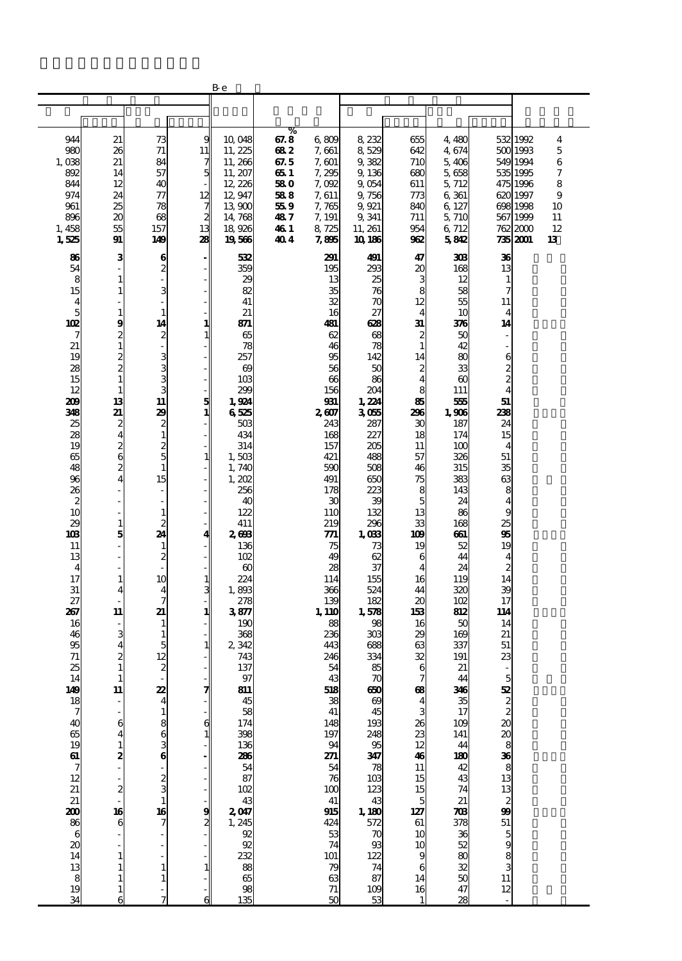|                                               |                                              |                                          |                                     | Bе                                       |                     |                                              |                                     |                              |                           |                                                    |                                  |                |
|-----------------------------------------------|----------------------------------------------|------------------------------------------|-------------------------------------|------------------------------------------|---------------------|----------------------------------------------|-------------------------------------|------------------------------|---------------------------|----------------------------------------------------|----------------------------------|----------------|
|                                               |                                              |                                          |                                     |                                          |                     |                                              |                                     |                              |                           |                                                    |                                  |                |
|                                               |                                              |                                          |                                     |                                          |                     |                                              |                                     |                              |                           |                                                    |                                  |                |
| 944<br>98C                                    | 21<br>26                                     | 73<br>71                                 | 9<br>11                             | 10,048<br>11, 225                        | %<br>67.8<br>682    | 6,809<br>7,661                               | 8,232<br>8,529                      | 655<br>642                   | 4 480<br>4,674            |                                                    | 532 1992<br>500 1993             | 4<br>5         |
| 1,038<br>892                                  | 21<br>14<br>12                               | 84<br>57                                 | 7<br>5                              | 11, 266<br>11, 207                       | 67.5<br>65 1        | 7, 601<br>7,295                              | 9,382<br>9,136                      | 710<br>680                   | 5,406<br>5,658            |                                                    | 549 1994<br>535 1995             | 6<br>7         |
| 844<br>974<br>961                             | 24<br>25                                     | 40<br>$\tau\tau$<br>78                   | 12<br>7                             | 12, 226<br>12,947<br>13,900              | 58 O<br>588<br>55 9 | 7,092<br>7, 611<br>7,765                     | 9,054<br>9,756<br>9,921             | 611<br>773<br>840            | 5, 712<br>6 361<br>6, 127 |                                                    | 475 1996<br>620 1997<br>698 1998 | 8<br>9<br>10   |
| 896<br>1,458<br>1,525                         | 20<br>55<br>91                               | 68<br>157<br>149                         | $\overline{\mathbf{z}}$<br>13<br>28 | 14,768<br>18,926<br>19566                | 487<br>46 1<br>40 4 | 7, 191<br>8,725<br>7,895                     | 9,341<br>11, 261<br>10 186          | 711<br>954<br>962            | 5,710<br>6 712<br>5842    |                                                    | 567 1999<br>762 2000<br>735 2001 | 11<br>12<br>13 |
| 86<br>54                                      | 3                                            | 6<br>$\boldsymbol{z}$                    |                                     | 532<br>359                               |                     | 291<br>195                                   | 491<br>293                          | 47<br>20                     | 308<br>168                | 36<br>13                                           |                                  |                |
| 8<br>15                                       | $\mathbf{1}$<br>$\mathbf{1}$                 | $\overline{\phantom{a}}$<br>3            |                                     | 29<br>82                                 |                     | 13<br>35                                     | 25<br>76                            | 3<br>8                       | 12<br>58                  | $\mathbf{1}$<br>7                                  |                                  |                |
| 4<br>5<br>10 <sub>2</sub>                     | $\mathbf{1}$<br>9                            | ÷,<br>$\mathbf 1$<br>14                  | 1                                   | 41<br>21<br>871                          |                     | 32<br>16<br>481                              | 70<br>27<br>628                     | 12<br>$\overline{4}$<br>31   | 55<br>10<br>376           | 11<br>4<br>14                                      |                                  |                |
| 7<br>21<br>19                                 | 2<br>$\mathbf{1}$                            | $\boldsymbol{z}$                         | $\mathbf{1}$                        | 65<br>78<br>257                          |                     | 62<br>46<br>95                               | 68<br>78<br>142                     | 2<br>$\mathbf{1}$<br>14      | 50<br>42<br>80            | L,<br>6                                            |                                  |                |
| 28<br>15                                      | $\frac{2}{2}$<br>$\mathbf{1}$                | $\frac{3}{3}$<br>3                       |                                     | $\boldsymbol{\omega}$<br>10 <sub>3</sub> |                     | 56<br>66                                     | 50<br>86                            | 2<br>$\overline{\mathbf{4}}$ | 33<br>$\infty$            | $\overline{\mathcal{Z}}$<br>$\overline{c}$         |                                  |                |
| 12<br>209<br>348                              | $\mathbf{1}$<br>13<br>21                     | 3<br>11<br>29                            | $\frac{5}{1}$                       | 299<br>1,924<br>6525                     |                     | 156<br>931<br>2607                           | 204<br>1.224<br>3055                | 8<br>85<br>296               | 111<br>555<br>1,906       | $\overline{\mathbf{4}}$<br>51<br>238               |                                  |                |
| 25<br>28<br>19                                | 2<br>$\overline{4}$                          | 2<br>$\mathbf{1}$                        |                                     | 503<br>434<br>314                        |                     | 243<br>168<br>157                            | 287<br>227<br>205                   | 30<br>18<br>11               | 187<br>174<br>100         | 24<br>15<br>$\overline{\mathbf{4}}$                |                                  |                |
| 65<br>48                                      | $\frac{2}{6}$<br>2                           | $\frac{2}{5}$<br>$\mathbf{1}$            | 1                                   | 1,503<br>1,740                           |                     | 421<br>590                                   | 488<br>508                          | 57<br>46                     | 326<br>315                | 51<br>35                                           |                                  |                |
| 96<br>26<br>$\boldsymbol{2}$                  | $\overline{\mathbf{4}}$                      | 15<br>$\qquad \qquad \blacksquare$<br>÷, |                                     | 1,202<br>256<br>4C                       |                     | 491<br>178<br>30                             | 650<br>223<br>39                    | 75<br>8<br>5                 | 383<br>143<br>24          | 63<br>8<br>$\overline{4}$                          |                                  |                |
| 10<br>29<br>108                               | $\mathbf{1}$<br>5                            | $\mathbf{1}$<br>$\overline{c}$<br>24     | 4                                   | 122<br>411<br>268                        |                     | 110<br>219<br>771                            | 132<br>296<br>1,033                 | 13<br>33<br>109              | 86<br>168<br>661          | 9<br>25<br>95                                      |                                  |                |
| 11<br>13                                      |                                              | $\mathbf{1}$<br>$\boldsymbol{z}$         |                                     | 136<br>102                               |                     | 75<br>49                                     | 73<br>62                            | 19<br>6                      | 52<br>44                  | 19<br>4                                            |                                  |                |
| $\boldsymbol{4}$<br>17<br>31                  | $\mathbf{1}$<br>4                            | 10<br>$\overline{\mathbf{4}}$            | $\frac{1}{3}$                       | $\boldsymbol{\omega}$<br>224<br>1,893    |                     | 28<br>114<br>366                             | 37<br>155<br>524                    | $\overline{4}$<br>16<br>44   | 24<br>119<br>320          | $\boldsymbol{z}$<br>14<br>39                       |                                  |                |
| 27<br>267<br>16                               | 11                                           | 7<br>21<br>1                             | 1                                   | 278<br>3877<br>190                       |                     | 139<br>1, 110<br>88                          | 182<br>1,578<br>98                  | 20<br>153<br>16              | 102<br>812<br>50          | 17<br>114<br>14                                    |                                  |                |
| 46<br>95<br>71                                | 3<br>4<br>2                                  | 1<br>5<br>12                             | $\mathbf{1}$                        | 368<br>2 342<br>743                      |                     | 236<br>443<br>246                            | 303<br>688<br>334                   | 29<br>63<br>32               | 169<br>337<br>191         | 21<br>51<br>23                                     |                                  |                |
| 25<br>14                                      | $\mathbf{1}$<br>1                            | $\boldsymbol{z}$                         |                                     | 137<br>97                                |                     | 54<br>$\frac{43}{518}$                       | 85<br>$\frac{70}{60}$               | 6                            | 21<br>44                  |                                                    |                                  |                |
| 149<br>$\frac{18}{7}$                         | 11                                           | 22<br>4<br>$\mathbf 1$                   | 7                                   | 811<br>45<br>58                          |                     | $\begin{array}{c}\n 38 \\  41\n \end{array}$ | $\boldsymbol{\omega}$<br>45         | œ<br>4<br>3                  | 346<br>35<br>17           |                                                    |                                  |                |
| 40<br>65<br>19                                | 6<br>4                                       | 863                                      | $\mathbf{c}$<br>$\mathbf{1}$        | 174<br>398<br>136                        |                     | 148<br>197                                   | 193                                 | 26<br>23<br>12               | 109<br>141<br>44          |                                                    |                                  |                |
| $rac{61}{7}$                                  | $\frac{1}{2}$                                |                                          |                                     | <b>286</b><br>54<br>87                   |                     | $\frac{94}{271}$<br>$\frac{54}{76}$          | 248<br>95<br>347<br>103             | 46<br>$\overline{11}$        | 180<br>42                 |                                                    |                                  |                |
| 12<br>$\begin{array}{c} 21 \\ 21 \end{array}$ | $\frac{2}{1}$                                | $\frac{1}{2}$<br>3<br>1                  |                                     | 102                                      |                     | 100                                          | 123<br>43                           | 15<br>15<br>$\overline{5}$   | 43<br>74<br>21            | 51 සි හෙය සි හෙවි වි හොසි ව                        |                                  |                |
| <b>200</b><br>86<br>$\boldsymbol{6}$          | 16<br>6                                      | 16<br>7                                  | 9<br>2                              | $2007$<br>1, 245                         |                     | $\frac{41}{915}$<br>53                       | 1, 180<br>572<br>$\boldsymbol{\pi}$ | 127<br>61<br>10              | $\boldsymbol{\pi}$        |                                                    |                                  |                |
| $\boldsymbol{\alpha}$<br>14                   | $\mathbf{1}$                                 |                                          |                                     | 92<br>232                                |                     | 74<br>101                                    | 93<br>122                           | 10<br>9                      | 378<br>88<br>88           | $\begin{array}{c}\n5 \\ 9 \\ 3 \\ 11\n\end{array}$ |                                  |                |
| $\begin{array}{c} 13 \\ 8 \end{array}$<br>19  | $\mathbf{1}$<br>$\mathbf{1}$<br>$\mathbf{1}$ | 1<br>$\mathbf{1}$                        | $\mathbf{1}$                        | 88<br>65<br>98                           |                     | $\frac{79}{63}$<br>$\frac{71}{50}$           | 74<br>87<br>$\frac{109}{53}$        | 6<br>14<br>$\frac{16}{1}$    | 32<br>50<br>47            | 12                                                 |                                  |                |
| 34                                            | 6                                            |                                          | 6                                   | 135                                      |                     |                                              |                                     |                              | $\overline{28}$           |                                                    |                                  |                |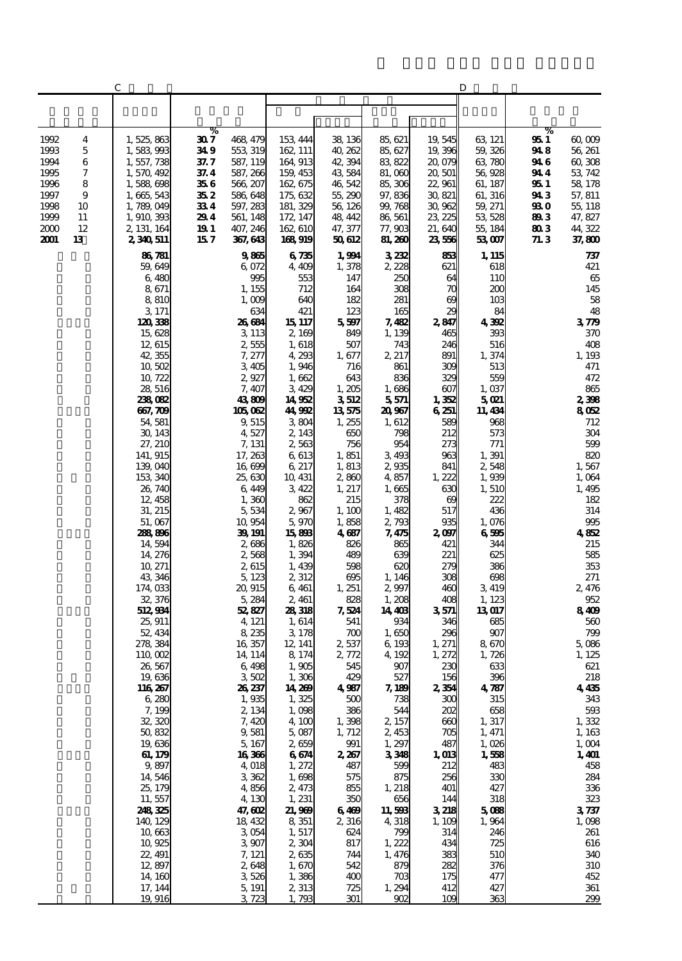|              |          | С                                |             |                      |                      |                  |                   |                   | D                      |              |                    |
|--------------|----------|----------------------------------|-------------|----------------------|----------------------|------------------|-------------------|-------------------|------------------------|--------------|--------------------|
|              |          |                                  |             |                      |                      |                  |                   |                   |                        |              |                    |
|              |          |                                  |             |                      |                      |                  |                   |                   |                        |              |                    |
| 1992         | 4        | 1,525,863                        | %<br>30 7   | 468, 479             | 153 444              | 38, 136          | 85, 621           | 19, 545           | 63, 121                | %<br>95 I    | 60,009             |
| 1993         | 5        | 1,583,993                        | 349         | 553 319              | 162, 111             | 40, 262          | 85, 627           | 19,396            | 59,326                 | 94 8         | 56, 261            |
| 1994         | 6        | 1, 557, 738                      | 37. 7       | 587, 119             | 164 913              | 42, 394          | 83 822            | 20,079            | 63,780                 | 94 6         | 60,308             |
| 1995<br>1996 | 7<br>8   | 1,570,492<br>1,588,698           | 37.4<br>356 | 587, 266<br>566, 207 | 159, 453<br>162, 675 | 43584<br>46,542  | 81,000<br>85,306  | 20, 501<br>22,961 | 56,928<br>61, 187      | 94 4<br>95 I | 53, 742<br>58, 178 |
| 1997         | 9        | 1,665,543                        | 35 2        | 586,648              | 175, 632             | 55, 290          | 97,836            | 30, 821           | 61, 316                | 94 3         | 57, 811            |
| 1998         | 10       | 1,789,049                        | 334         | 597, 283             | 181, 329             | 56, 126          | 99, 768           | 30,962            | 59, 271                | 93 O         | 55, 118            |
| 1999         | 11       | 1,910,393                        | 294         | 561, 148             | 172, 147             | 48, 442          | 86, 561           | 23, 225           | 53, 528                | 893          | 47, 827            |
| 2000<br>2001 | 12<br>13 | 2, 131, 164<br>2340511           | 191<br>15 7 | 407, 246<br>367, 643 | 162,610<br>168,919   | 47, 377<br>50612 | 77, 903<br>81,260 | 21,640<br>23,556  | 55, 184<br>53,007      | 803<br>71.3  | 44, 322<br>37,800  |
|              |          | 86781                            |             | 985                  | 6735                 | 1,994            | 3232              | 853               | 1, 115                 |              | 737                |
|              |          | 59,649                           |             | 6,072                | 4,409                | 1,378            | 2, 228            | 621               | 618                    |              | 421                |
|              |          | 6,480                            |             | 995                  | 553                  | 147              | 250               | 64                | 110                    |              | 65                 |
|              |          | 8,671<br>8,810                   |             | 1, 155<br>1,009      | 712<br>640           | 164<br>182       | 308<br>281        | 70<br>œ           | 200<br>10 <sub>3</sub> |              | 145<br>58          |
|              |          | 3, 171                           |             | 634                  | 421                  | 123              | 165               | 29                | 84                     |              | 48                 |
|              |          | 120,338                          |             | 26684                | 15 117               | 5,597            | 7,482             | 2,847             | 4.392                  |              | 370                |
|              |          | 15,628<br>12, 615                |             | 3 1 1 3<br>2,555     | 2, 169<br>1, 618     | 849<br>507       | 1, 139<br>743     | 465<br>246        | 393<br>516             |              | 370<br>408         |
|              |          | 42,355                           |             | 7,277                | 4,293                | 1,677            | 2, 217            | 891               | 1, 374                 |              | 1,193              |
|              |          | 10,502                           |             | 3405                 | 1,946                | 716              | 861               | 309               | 513                    |              | 471                |
|              |          | 10,722<br>28,516                 |             | 2,927<br>7,407       | 1,662<br>3429        | 643<br>1,205     | 836<br>1,686      | 329<br>607        | 559<br>1,037           |              | 472<br>865         |
|              |          | 238082                           |             | 43809                | 14952                | 3512             | 5,571             | 1,352             | <b>5021</b>            |              | 2,398              |
|              |          | 667,709                          |             | 105 062              | 44,992               | 13575            | 20,967            | 6251              | 11, 434                |              | 8052               |
|              |          | 54, 581<br>30, 143               |             | 9515<br>4,527        | 3804<br>2, 143       | 1, 255<br>650    | 1, 612<br>798     | 589<br>212        | 968<br>573             |              | 712<br>304         |
|              |          | 27, 210                          |             | 7, 131               | 2,563                | 756              | 954               | 273               | 771                    |              | 599                |
|              |          | 141, 915                         |             | 17, 263              | 6,613                | 1,851            | 3,493             | 963               | 1,391                  |              | 820                |
|              |          | 139,040<br>153, 340              |             | 16,699<br>25,630     | 6 217<br>10, 431     | 1,813<br>2,860   | 2,935<br>4857     | 841<br>1, 222     | 2,548<br>1,939         |              | 1,567<br>1,064     |
|              |          | 26, 740                          |             | 6,449                | 3,422                | 1, 217           | 1,665             | 630               | 1, 510                 |              | 1,495              |
|              |          | 12, 458                          |             | 1,360                | 862                  | 215              | 378               | $\infty$          | 222                    |              | 182                |
|              |          | 31, 215<br>51,067                |             | 5,534<br>10,954      | 2,967<br>5,970       | 1, 100<br>1,858  | 1,482<br>2,793    | 517<br>935        | 436<br>1,076           |              | 314<br>995         |
|              |          | 288806                           |             | 39, 191              | 15,898               | 4687             | 7,475             | 2097              | 6596                   |              | 4852               |
|              |          | 14,594                           |             | 2686                 | 1,826                | 826              | 865               | 421               | 344                    |              | 215                |
|              |          | 14, 276<br>10, 271               |             | 2,568<br>2,615       | 1,394<br>1,439       | 489<br>598       | 639<br>620        | 221<br>279        | 625<br>386             |              | 585<br>353         |
|              |          | 43,346                           |             | 5,123                | 2,312                | 695              | 1, 146            | 308               | 698                    |              | 271                |
|              |          | 174,033                          |             | 20,915               | 6, 461               | 1, 251           | 2,997             | 460               | 3,419                  |              | 2,476              |
|              |          | 32, 376<br>512,934               |             | 5, 284<br>52,827     | 2, 461<br>28,318     | 828<br>7,524     | 1, 208<br>14, 403 | 408<br>3571       | 1, 123<br>13017        |              | 952<br>8409        |
|              |          | 25, 911                          |             | 4, 121               | 1, 614               | 541              | 934               | 346               | 685                    |              | 560                |
|              |          | 52, 434                          |             | 8,235                | 3,178                | 700              | 1,650<br>6 193    | 296               | 907                    |              | 799<br>5,086       |
|              |          | 278, 384<br>$110 \text{ }$ $002$ |             | 16, 357<br>14, 114   | 12, 141<br>8 1 7 4   | 2,537<br>2,772   | 4, 192            | 1, 271<br>1, 272  | 8670<br>1,726          |              | 1, 125             |
|              |          | 26, 567                          |             | 6,498                | 1,905                | 545              | 907               | 230               | 633                    |              | 621                |
|              |          | 19,636<br>116,267                |             | 3502<br>26,237       | 1,306<br>14,269      | 429<br>4987      | 527<br>7, 189     | 156<br>2,354      | 396<br>4787            |              | 218<br>4435        |
|              |          | 6,280                            |             | 1,935                | 1,325                | 500              | 738               | 300               | 315                    |              | 343                |
|              |          | 7,199                            |             | 2, 134               | 1,098                | 386              | 544               | 202               | 658                    |              | 593                |
|              |          | 32, 320<br>50,832                |             | 7,420<br>9,581       | 4, 100<br>5,087      | 1,398<br>1, 712  | 2, 157<br>2,453   | 660<br>705        | 1, 317<br>1, 471       |              | 1,332<br>1,163     |
|              |          | 19,636                           |             | 5,167                | 2,659                | 991              | 1,297             | 487               | 1,026                  |              | 1,004              |
|              |          | 61, 179                          |             | 16366                | 664                  | 2,267            | 3348              | 1,013             | 1,558                  |              | 1,401              |
|              |          | 9,897<br>14,546                  |             | 4,018<br>3362        | 1,272<br>1,698       | 487<br>575       | 599<br>875        | 212<br>256        | 483<br>330             |              | 458<br>284         |
|              |          | 25, 179                          |             | 4,856                | 2, 473               | 855              | 1, 218            | 401               | 427                    |              | 336                |
|              |          | 11,557                           |             | 4,130                | 1, 231               | 350              | 656               | 144               | 318                    |              | 323                |
|              |          | 248325<br>140, 129               |             | 47, GCL<br>18,432    | 21,969<br>8 351      | 6469<br>2,316    | 11,598<br>4,318   | 3218<br>1, 109    | 5088<br>1,964          |              | 3737<br>1,098      |
|              |          | 10,663                           |             | 3054                 | 1, 517               | 624              | 799               | 314               | 246                    |              | 261                |
|              |          | 10,925                           |             | 3,907                | 2,304                | 817              | 1,222             | 434               | 725                    |              | 616                |
|              |          | 22, 491<br>12,897                |             | 7, 121<br>2,648      | 2,635<br>1,670       | 744<br>542       | 1,476<br>879      | 383<br>282        | 510<br>376             |              | 340<br>310         |
|              |          | 14, 160                          |             | 3,526                | 1,386                | 400              | 703               | 175               | 477                    |              | 452                |
|              |          | 17, 144                          |             | 5, 191               | 2, 313               | 725              | 1,294             | 412               | 427                    |              | 361                |
|              |          | 19,916                           |             | 3723                 | 1,793                | 301              | 902               | 10 <sup>o</sup>   | 363                    |              | 299                |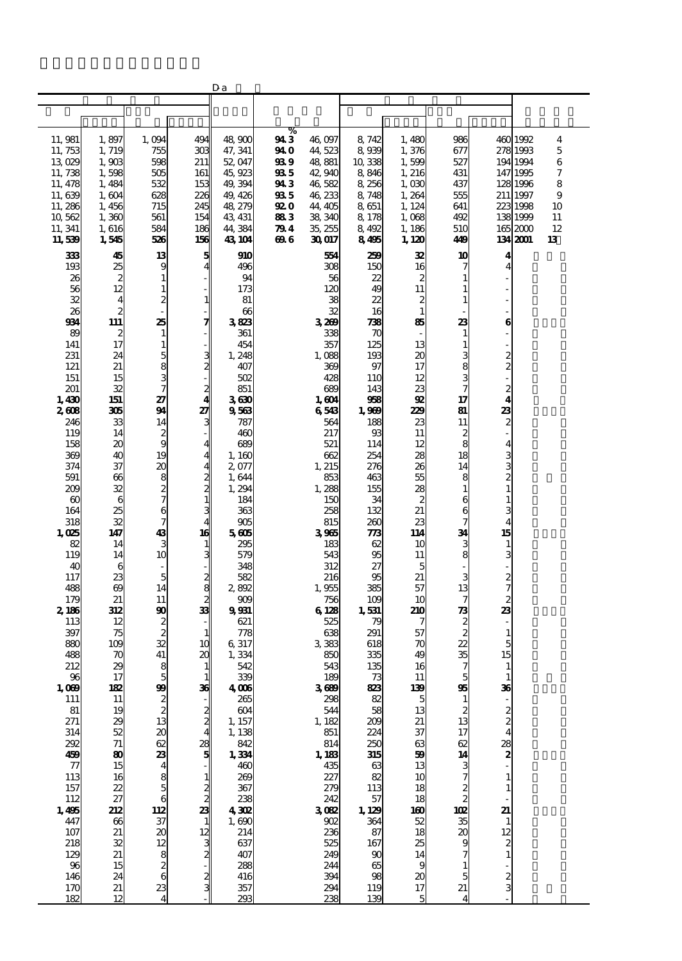|                   |                         |                                                         |                                                                  | Da                 |             |                   |               |                  |                         |                          |                      |                    |
|-------------------|-------------------------|---------------------------------------------------------|------------------------------------------------------------------|--------------------|-------------|-------------------|---------------|------------------|-------------------------|--------------------------|----------------------|--------------------|
|                   |                         |                                                         |                                                                  |                    |             |                   |               |                  |                         |                          |                      |                    |
|                   |                         |                                                         |                                                                  |                    |             |                   |               |                  |                         |                          |                      |                    |
|                   |                         |                                                         |                                                                  |                    | %           |                   |               |                  |                         |                          |                      |                    |
| 11, 981           | 1,897                   | 1,094                                                   | 494                                                              | 48 900             | 94 3        | 46,097            | 8,742         | 1,480            | 986                     |                          | 460 1992             | $\overline{\bf 4}$ |
| 11, 753           | 1, 719                  | 755                                                     | 303                                                              | 47, 341            | 94 O        | 44, 523           | 8,939         | 1,376            | 677                     |                          | 278 1993             | 5                  |
| 13,029            | 1,903                   | 598                                                     | 211                                                              | 52, 047            | 93 9        | 48,881            | 10,338        | 1,599            | 527                     |                          | 194 1994             | 6                  |
| 11, 738           | 1,598                   | 505                                                     | 161                                                              | 45.923             | 935         | 42,940            | 8,846         | 1, 216           | 431                     |                          | 147 1995             | 7                  |
| 11, 478           | 1,484                   | 532                                                     | 153                                                              | 49, 394            | 94 3        | 46,582            | 8,256         | 1,000            | 437                     |                          | 128 1996             | 8                  |
| 11,639<br>11,286  | 1,604                   | 628                                                     | 226                                                              | 49, 426            | 935<br>92 O | 46, 233           | 8,748<br>8651 | 1,264            | 555<br>641              |                          | 211 1997<br>223 1998 | 9<br>10            |
| 10,562            | 1,456<br>1,360          | 715<br>561                                              | 245<br>154                                                       | 48, 279<br>43, 431 | 883         | 44, 405<br>38,340 | 8,178         | 1, 124<br>1,068  | 492                     |                          | 138 1999             | 11                 |
| 11, 341           | 1,616                   | 584                                                     | 186                                                              | 44, 384            | 79 4        | 35, 255           | 8,492         | 1, 186           | 510                     |                          | 1652000              | 12                 |
| 11,539            | 1,545                   | 526                                                     | 156                                                              | 43, 104            | 696         | 30017             | 8495          | 1, 120           | 449                     |                          | 134 2001             | 13                 |
| 333               |                         |                                                         |                                                                  |                    |             |                   |               | 32               | 10                      |                          |                      |                    |
| 193               | 45<br>25                | 13<br>9                                                 | 5<br>4                                                           | 910<br>496         |             | 554<br>308        | 259<br>150    | 16               | 7                       | 4<br>4                   |                      |                    |
| 26                | $\boldsymbol{2}$        | $\mathbf{1}$                                            |                                                                  | 94                 |             | 56                | 22            | 2                |                         |                          |                      |                    |
| 56                | 12                      | $\mathbf{1}$                                            |                                                                  | 173                |             | 120               | 49            | 11               | 1                       |                          |                      |                    |
| 32                | $\overline{\mathbf{4}}$ | $\overline{\mathcal{Z}}$                                | $\mathbf{1}$                                                     | 81                 |             | 38                | 22            | $\boldsymbol{2}$ | 1                       |                          |                      |                    |
| 26                | $\overline{\mathbf{z}}$ | $\overline{a}$                                          |                                                                  | 66                 |             | 32                | 16            | $\mathbf{1}$     |                         |                          |                      |                    |
| 934               | 111                     | 25                                                      | 7                                                                | 3823               |             | 3,269             | 738           | 85               | 23                      | 6                        |                      |                    |
| 89                | 2                       | $\mathbf{1}$                                            |                                                                  | 361                |             | 338               | 70            |                  | 1                       |                          |                      |                    |
| 141               | 17                      | $\mathbf 1$                                             |                                                                  | 454                |             | 357               | 125           | 13               | 1                       |                          |                      |                    |
| 231               | 24                      | 5                                                       | $\frac{3}{2}$                                                    | 1,248              |             | 1,088             | 193           | 20               | 3                       | $\overline{c}$           |                      |                    |
| 121<br>151        | 21<br>15                |                                                         |                                                                  | 407<br>502         |             | 369<br>428        | 97            | 17               | 8<br>3                  | $\overline{c}$           |                      |                    |
| 201               | 32                      | $\frac{8}{7}$                                           |                                                                  | 851                |             | 689               | 110<br>143    | 12<br>23         |                         | $\overline{c}$           |                      |                    |
| 1,430             | 151                     | 27                                                      | $\frac{2}{4}$                                                    | 3630               |             | 1, 604            | 968           | 92               | 17                      | 4                        |                      |                    |
| 2608              | 305                     | 94                                                      | 27                                                               | 9563               |             | 6543              | 1,969         | 229              | 81                      | 23                       |                      |                    |
| 246               | 33                      | 14                                                      | 3                                                                | 787                |             | 564               | 188           | 23               | 11                      | $\overline{\mathbf{c}}$  |                      |                    |
| 119               | 14                      | $\boldsymbol{z}$                                        |                                                                  | 460                |             | 217               | 93            | 11               | 2                       |                          |                      |                    |
| 158               | 20                      | 9                                                       | $\frac{4}{4}$                                                    | 689                |             | 521               | 114           | 12               | 8                       | 4                        |                      |                    |
| 369               | 40                      | 19                                                      |                                                                  | 1,160              |             | 662               | 254           | 28               | 18                      | 3                        |                      |                    |
| 374               | 37                      | 20                                                      |                                                                  | 2077               |             | 1, 215            | 276           | 26               | 14                      | 3                        |                      |                    |
| 591<br>209        | 66<br>32                |                                                         |                                                                  | 1,644              |             | 853               | 463           | 55               | 8<br>1                  | 2<br>$\mathbf{1}$        |                      |                    |
| $\omega$          | 6                       | $\frac{8}{7}$                                           | $\frac{4}{3}$ $\frac{2}{3}$                                      | 1,294<br>184       |             | 1,288<br>150      | 155<br>34     | 28<br>2          | 6                       | 1                        |                      |                    |
| 164               | 25                      | 6                                                       |                                                                  | 363                |             | 258               | 132           | 21               | 6                       | 3                        |                      |                    |
| 318               | 32                      | $\overline{7}$                                          | 4                                                                | 905                |             | 815               | 260           | 23               |                         | $\overline{4}$           |                      |                    |
| 1,025             | 147                     | 43                                                      | 16                                                               | 5605               |             | 3965              | 773           | 114              | 34                      | 15                       |                      |                    |
| 82                | 14                      | 3                                                       |                                                                  | 295                |             | 183               | 62            | 10               | 3                       | $\mathbf{1}$             |                      |                    |
| 119               | 14                      | 10                                                      | $\frac{1}{3}$                                                    | 579                |             | 543               | 95            | 11               | 8                       | 3                        |                      |                    |
| 40                | 6                       | $\overline{\phantom{a}}$                                |                                                                  | 348                |             | 312               | 27            | 5                |                         |                          |                      |                    |
| 117               | 23                      | 5                                                       | 33 ಎಂ ಖ<br>33                                                    | 582                |             | 216               | 95            | 21               | 3                       | 2                        |                      |                    |
| 488<br>179        | $\omega$<br>21          | 14<br>11                                                |                                                                  | 2892               |             | 1,955             | 385           | 57               | 13<br>7                 | 7<br>$\boldsymbol{z}$    |                      |                    |
| 2,186             | 312                     | 90                                                      |                                                                  | 909<br>9931        |             | 756<br>6128       | 109<br>1,531  | 10<br>210        | 73                      | 23                       |                      |                    |
| 113               | 12                      | $\overline{\mathcal{Z}}$                                |                                                                  | 621                |             | 525               | 79            | 7                | $\boldsymbol{z}$        |                          |                      |                    |
| 397               | 75                      | $\overline{\mathbf{c}}$                                 | $\mathbf{1}$                                                     | 778                |             | 638               | 291           | 57               | $\boldsymbol{z}$        | $\mathbf{1}$             |                      |                    |
| 880               | 109                     | 32                                                      | 10                                                               | 6,317              |             | 3383              | 618           | 70               | 22                      | 5                        |                      |                    |
| 488               | 70                      | 41                                                      | 20                                                               | 1,334              |             | 850               | 335           | 49               | 35                      | 15                       |                      |                    |
| 212               | 29                      | 8<br><b>C</b>                                           | $\mathbf{1}$                                                     | 542                |             | 543               | 135           | 16               | 7                       | $\mathbf{1}$             |                      |                    |
| 96                | 17                      |                                                         | 36                                                               | 33                 |             | 189               | 73            | 11               |                         |                          |                      |                    |
| 1,039<br>111      | 182<br>11               | 99                                                      |                                                                  | 4@6<br>265         |             | 3689<br>298       | 823<br>82     | 139<br>5         | 95<br>1                 | 36                       |                      |                    |
| 81                | 19                      | $\begin{array}{c} 2 \\ 2 \\ 13 \end{array}$             |                                                                  | 604                |             | 544               | 58            | 13               | 2                       |                          |                      |                    |
| 271               |                         |                                                         | $\frac{2}{4}$                                                    | 1, 157             |             | 1, 182            | 209           | 21               | 13                      | $\frac{2}{2}$            |                      |                    |
| 314               | $\frac{29}{52}$         | $\boldsymbol{\alpha}$                                   |                                                                  | 1, 138             |             | 851               | 224           | 37               | 17                      |                          |                      |                    |
| 292               | $71\,$                  |                                                         |                                                                  | 842                |             | 814               | 250           | 63               | 62                      | 28                       |                      |                    |
| 459               | $\bf{80}$               |                                                         | $\frac{28}{5}$                                                   | 1,334              |             | 1,183             | 315           | 59               | 14                      | 2                        |                      |                    |
| $\overline{\tau}$ | 15                      |                                                         |                                                                  | 460                |             | 435               | 63            | 13               | з                       |                          |                      |                    |
| 113               | 16                      |                                                         |                                                                  | 269                |             | 227               | 82            | 10               |                         | $\mathbf{1}$             |                      |                    |
| 157<br>112        | 22<br>27                |                                                         |                                                                  | 367<br>238         |             | 279<br>242        | 113<br>57     | 18<br>18         | $\frac{2}{2}$           | $\mathbf{1}$             |                      |                    |
| 1,495             | 212                     | 112                                                     |                                                                  | 4302               |             | 3082              | 1, 129        | 160              | 102                     | 21                       |                      |                    |
| 447               | 66                      | 37                                                      |                                                                  | 1,690              |             | 902               | 364           | 52               | 35                      | $\mathbf{1}$             |                      |                    |
| 107               | 21                      | $\boldsymbol{\alpha}$                                   |                                                                  | 214                |             | 236               | 87            | 18               | $\overline{\mathbf{z}}$ | 12                       |                      |                    |
| 218<br>129        | $\frac{32}{21}$         |                                                         |                                                                  | 637                |             | 525               | 167           | 25               | 9                       | $\overline{\mathcal{Z}}$ |                      |                    |
|                   |                         |                                                         | $\frac{1}{2}$<br>$\frac{2}{3}$<br>$\frac{3}{4}$<br>$\frac{1}{2}$ | 407                |             | 249               | 90            | 14               |                         | $\mathbf{1}$             |                      |                    |
| 96                | 15                      | $\begin{array}{c}\n 12 \\  8 \\  2 \\  6\n \end{array}$ |                                                                  | 288                |             | 244               | 65            | 9                |                         |                          |                      |                    |
| 146               | 24                      |                                                         | $\frac{2}{3}$                                                    | 416                |             | 394               | 98            | 20               | 5                       | $\frac{2}{3}$            |                      |                    |
| 170<br>182        | ${\bf 21}$<br>12        | $\overline{a}$<br>$\overline{4}$                        |                                                                  | 357<br>293         |             | 294<br>238        | 119<br>139    | 17<br>5          | 21<br>4                 |                          |                      |                    |
|                   |                         |                                                         |                                                                  |                    |             |                   |               |                  |                         |                          |                      |                    |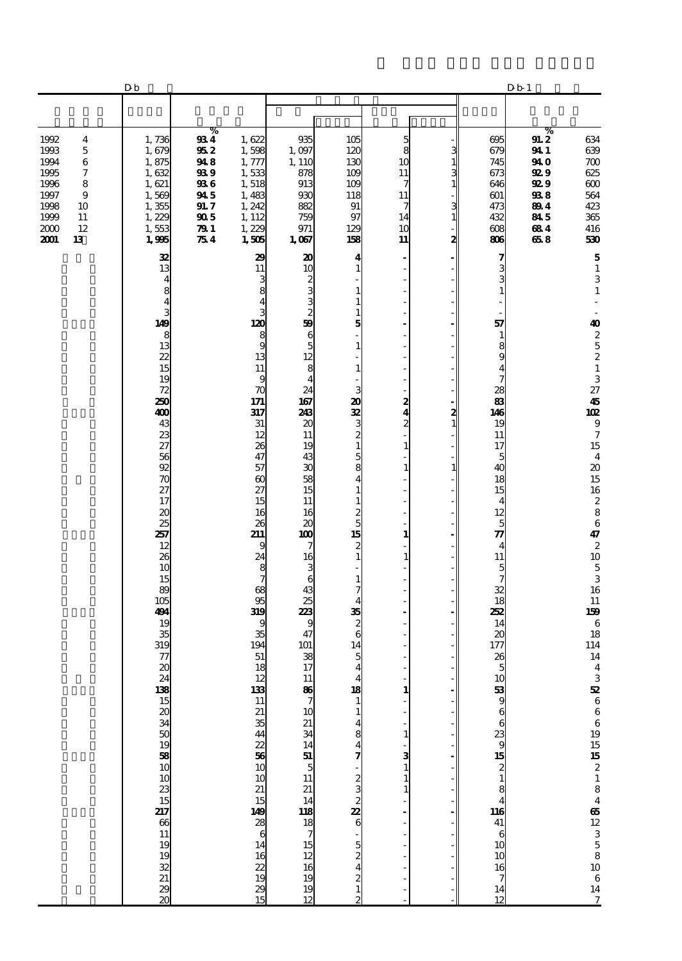|                                                                                                                                              | Db                                                                                                                          |                                                                           |                                                                                                                              |                                                                                                                                              |                                                                                                                                                                                    |                                                                                                                       |                                 |                                                                                                                                                                                                       | D b 1                                                                             |                                                                                                                                                                                                               |
|----------------------------------------------------------------------------------------------------------------------------------------------|-----------------------------------------------------------------------------------------------------------------------------|---------------------------------------------------------------------------|------------------------------------------------------------------------------------------------------------------------------|----------------------------------------------------------------------------------------------------------------------------------------------|------------------------------------------------------------------------------------------------------------------------------------------------------------------------------------|-----------------------------------------------------------------------------------------------------------------------|---------------------------------|-------------------------------------------------------------------------------------------------------------------------------------------------------------------------------------------------------|-----------------------------------------------------------------------------------|---------------------------------------------------------------------------------------------------------------------------------------------------------------------------------------------------------------|
|                                                                                                                                              |                                                                                                                             |                                                                           |                                                                                                                              |                                                                                                                                              |                                                                                                                                                                                    |                                                                                                                       |                                 |                                                                                                                                                                                                       |                                                                                   |                                                                                                                                                                                                               |
| 1992<br>4<br>1993<br>$\mathbf 5$<br>1994<br>6<br>1995<br>7<br>8<br>1996<br>1997<br>9<br>1998<br>10<br>1999<br>11<br>2000<br>12<br>2001<br>13 | 1,736<br>1,679<br>1,875<br>1,632<br>1,621<br>1,569<br>1,355<br>1,229<br>1,553<br>1,995                                      | %<br>934<br>952<br>948<br>93 9<br>936<br>945<br>91.7<br>905<br>791<br>754 | 1,622<br>1,598<br>1,777<br>1,533<br>1,518<br>1,483<br>1,242<br>1, 112<br>1,229<br>1,505                                      | 935<br>1,097<br>1, 110<br>878<br>913<br>930<br>882<br>759<br>971<br>1,067                                                                    | 105<br>120<br>130<br>109<br>109<br>118<br>91<br>97<br>129<br>158                                                                                                                   | 5<br>8<br>10<br>11<br>7<br>11<br>7<br>14<br>10<br>11                                                                  | 3<br>1<br>3<br>1<br>3<br>1<br>2 | 695<br>679<br>745<br>673<br>646<br>601<br>473<br>432<br>608<br>806                                                                                                                                    | %<br>91.2<br>941<br>94 O<br><b>929</b><br>92 9<br>938<br>894<br>845<br>684<br>658 | 634<br>639<br>$700\,$<br>625<br>600<br>564<br>423<br>365<br>416<br>530                                                                                                                                        |
|                                                                                                                                              | 32<br>13<br>4<br>8<br>4<br>3<br>149<br>8<br>13<br>22<br>15<br>19<br>72<br>250<br>400<br>43<br>23                            |                                                                           | 29<br>11<br>3<br>8<br>120<br>8<br>9<br>13<br>11<br>9<br>70<br>171<br>317<br>31<br>12                                         | 20<br>10<br>2<br>3<br>3<br>$\frac{2}{59}$<br>$\boldsymbol{6}$<br>$\overline{5}$<br>12<br>8<br>$\overline{4}$<br>24<br>167<br>243<br>20<br>11 | 4<br>$\mathbf{1}$<br>$\mathbf{1}$<br>$\mathbf{1}$<br>$\mathbf{1}$<br>5<br>$\mathbf{1}$<br>$\mathbf{1}$<br>3<br>20<br>32<br>$\frac{3}{2}$                                           | $\overline{\phantom{a}}$<br>Ĭ.<br>Ĭ.<br>٠<br>Ĭ.<br>L,<br>Ĭ.<br>2<br>$\overline{\mathbf{4}}$<br>$\boldsymbol{z}$<br>÷, | $\frac{2}{1}$                   | 7<br>3<br>$\mathbf{1}$<br>57<br>$\mathbf{1}$<br>8<br>9<br>$\overline{\mathbf{4}}$<br>$\overline{7}$<br>28<br>83<br>146<br>19<br>11                                                                    |                                                                                   | ${\bf 5}$<br>$\mathbf 1$<br>$\ensuremath{\mathsf{3}}$<br>$\mathbf 1$<br>40<br>$\begin{array}{c} 2 \\ 5 \\ 2 \\ 1 \end{array}$<br>3<br>27<br>45<br>102<br>$\boldsymbol{9}$<br>$\boldsymbol{7}$                 |
|                                                                                                                                              | $\overline{z}$<br>56<br>92<br>$\boldsymbol{\pi}$<br>27<br>17<br>20<br>25<br>257<br>12<br>26<br>10<br>15<br>89<br>105<br>494 |                                                                           | 26<br>47<br>57<br>$\boldsymbol{\omega}$<br>27<br>15<br>16<br>26<br>211<br>9<br>24<br>8<br>7<br>68<br>95<br>319               | 19<br>43<br>30<br>58<br>15<br>11<br>16<br>20<br>100<br>7<br>16<br>3<br>6<br>43<br>25<br>223                                                  | $\mathbf{1}$<br>5<br>8<br>$\overline{\mathbf{4}}$<br>$\mathbf{1}$<br>$\mathbf 1$<br>$\frac{2}{5}$<br>15<br>2<br>$\mathbf{1}$<br>$\mathbf{1}$<br>7<br>$\overline{\mathbf{4}}$<br>35 | $\mathbf{1}$<br>$\mathbf{1}$<br>L,<br>÷,<br>$\mathbf{1}$<br>$\mathbf{1}$                                              | 1                               | 17<br>5<br>40<br>18<br>15<br>$\overline{4}$<br>12<br>5<br>$\boldsymbol{\pi}$<br>$\overline{4}$<br>11<br>$\frac{5}{7}$<br>32<br>18<br>252                                                              |                                                                                   | $15\,$<br>$\overline{\mathbf{4}}$<br>$\boldsymbol{\boldsymbol{\lambda}}$<br>$15\,$<br>16<br>$\boldsymbol{z}$<br>$\bf8$<br>$\,6\,$<br>47<br>$\boldsymbol{2}$<br>$10\,$<br>$\frac{5}{3}$<br>16<br>$11\,$<br>159 |
|                                                                                                                                              | 19<br>35<br>319<br>77<br>20                                                                                                 |                                                                           | 9<br>35<br>194<br>51<br>18<br>$\frac{12}{13}$<br>$\frac{21}{35}$<br>$\frac{42}{10}$ 36<br>$\frac{43}{10}$<br>$\frac{21}{15}$ | 9<br>47<br>101<br>38<br>17<br>$\begin{array}{c}\n11 \\ \hline\n\end{array}$<br>10                                                            | $\frac{2}{6}$<br>14<br>5<br>$\overline{\mathbf{4}}$<br>$\overline{\mathbf{r}}$<br>$\begin{array}{c}\n 18 \\  1\n \end{array}$<br>$\mathbf{1}$<br>$\frac{4}{7}$                     | $\mathbf{1}$<br>$\mathbf{1}$<br>3<br>$\mathbf{1}$<br>$\mathbf{1}$<br>$\mathbf{1}$                                     |                                 | 14<br>20<br>177<br>26<br>5<br>$\begin{array}{c}\n 10 \\  53 \\  9 \\  6 \\  6 \\  23 \\  9 \\  15 \\  2 \\  1 \\  8 \\  4 \\  10 \\  41 \\  6 \\  10 \\  10 \\  10 \\  10 \\  10 \\  7\n \end{array}$ |                                                                                   | $\,6\,$<br>18<br>114<br>14<br>$\boldsymbol{4}$<br>3 52 6 6 6 9 19 15 15 2 1 8 4 65 12 3 5 8 10 6 14                                                                                                           |
|                                                                                                                                              |                                                                                                                             |                                                                           | 149<br>$\frac{28}{6}$<br>$1416$<br>$2219$<br>$19$<br>$2915$                                                                  | 21 34 14 51 5 11 21 14 11 81 8 7 15 12 16 19 19 12                                                                                           | $\sim$ 0 $\sim$ 0 $\sim$ 0 $\sim$ 0 $\sim$ 0 $\sim$ 1 $\sim$                                                                                                                       |                                                                                                                       |                                 | 14<br>12                                                                                                                                                                                              |                                                                                   | $\overline{z}$                                                                                                                                                                                                |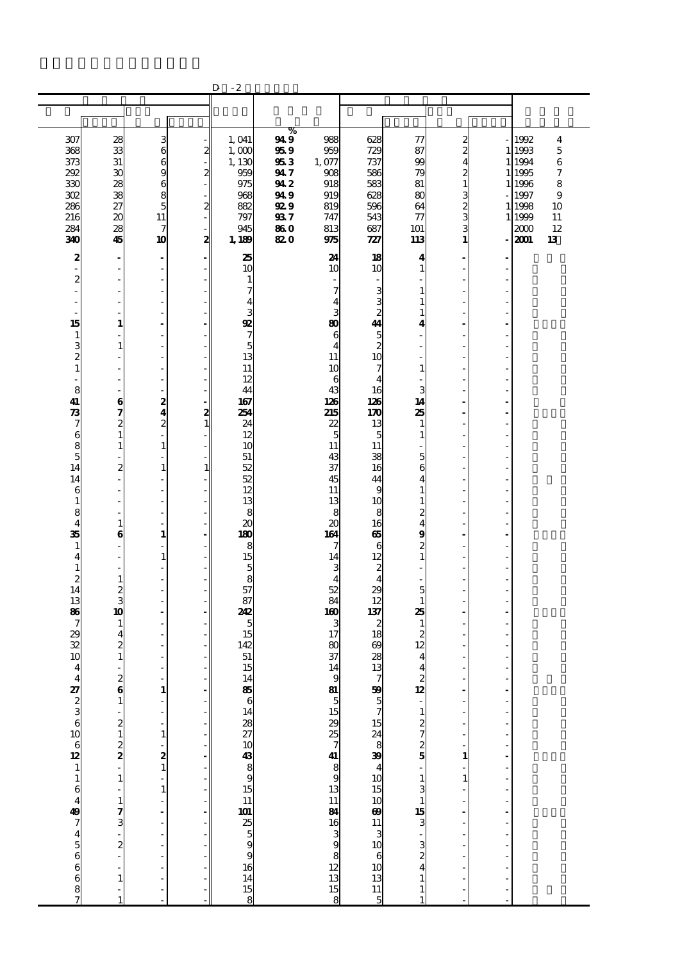|                                             |                             |                                  |                         | $-2$<br>D             |             |                          |                                                       |                                                                                                                 |                    |                |                |                         |
|---------------------------------------------|-----------------------------|----------------------------------|-------------------------|-----------------------|-------------|--------------------------|-------------------------------------------------------|-----------------------------------------------------------------------------------------------------------------|--------------------|----------------|----------------|-------------------------|
|                                             |                             |                                  |                         |                       |             |                          |                                                       |                                                                                                                 |                    |                |                |                         |
|                                             |                             |                                  |                         |                       |             |                          |                                                       |                                                                                                                 |                    |                |                |                         |
|                                             |                             |                                  |                         |                       | %           |                          |                                                       |                                                                                                                 |                    |                |                |                         |
| 307                                         | 28                          | $\frac{3}{6}$                    |                         | 1,041                 | 949         | 988                      | 628                                                   | 77                                                                                                              | $\frac{2}{2}$      |                | 1992           | $\overline{\mathbf{4}}$ |
| 368                                         | 33                          |                                  | $\mathbf{z}$            | 1,000                 | 959         | 959                      | 729                                                   | 87                                                                                                              |                    |                | 1 1993         | $\overline{5}$          |
| 373                                         | 31                          | $\mathbf{6}$                     |                         | 1, 130                | 953         | 1,077                    | 737                                                   | 99                                                                                                              | $\overline{\bf 4}$ |                | 1 1994         | 6                       |
| 292                                         | 30                          | 9                                | $\mathbf{z}$            | 959                   | 947         | 908                      | 586                                                   | 79                                                                                                              | $\overline{c}$     |                | 1995           | 7                       |
| 330                                         | 28                          | 6                                |                         | 975                   | 942         | 918                      | 583                                                   | 81                                                                                                              | $\mathbf{1}$       |                | 1 1996         | 8                       |
| 302                                         | 38                          | 8                                |                         | 968                   | 94 9        | 919                      | 628                                                   | 80                                                                                                              | 3                  |                | 1997           | 9                       |
| 286<br>216                                  | 27<br>20                    | 5<br>11                          | $\overline{\mathbf{z}}$ | 882                   | <b>92 9</b> | 819                      | 596                                                   | 64                                                                                                              | $\frac{2}{3}$      |                | 1 1998         | 10                      |
| 284                                         | 28                          | 7                                |                         | 797<br>945            | 937<br>860  | 747<br>813               | 543<br>687                                            | $\tau$<br>101                                                                                                   | 3                  |                | 1 1999<br>2000 | 11<br>12                |
| 340                                         | 45                          | 10                               | - 1<br>2                | 1,189                 | 820         | 975                      | 727                                                   | 113                                                                                                             | $\mathbf{1}$       |                | 2001           | 13                      |
|                                             |                             |                                  |                         |                       |             |                          |                                                       |                                                                                                                 |                    |                |                |                         |
| 2                                           | $\blacksquare$              | $\qquad \qquad \blacksquare$     |                         | 25                    |             | 24                       | 18                                                    | 4                                                                                                               |                    |                |                |                         |
| ÷,                                          | ÷,                          | ÷,                               |                         | 10                    |             | 10                       | 10                                                    | 1                                                                                                               |                    |                |                |                         |
| 2                                           | ÷,                          | $\frac{1}{2}$                    |                         | 1                     |             | $\overline{\phantom{a}}$ |                                                       |                                                                                                                 | ÷,                 |                |                |                         |
| ÷,                                          | Ĭ.                          | Ĭ.                               |                         | 7                     |             | 7                        | 3                                                     | 1                                                                                                               | ÷.                 |                |                |                         |
| ä,                                          | ÷,                          | ä,<br>L,                         |                         | 4<br>3                |             | 4<br>3                   | $\frac{3}{2}$                                         | 1<br>1                                                                                                          |                    |                |                |                         |
| 15                                          | $\mathbf{1}$                | ä,                               |                         | $\mathbf{Q}$          |             | 80                       | 44                                                    | 4                                                                                                               |                    |                |                |                         |
| $\mathbf{1}$                                | J.                          | $\overline{a}$                   |                         | 7                     |             | 6                        |                                                       |                                                                                                                 | L,                 |                |                |                         |
| 3                                           | $\mathbf{1}$                | ÷,                               |                         | 5                     |             | $\overline{4}$           | $\frac{5}{2}$                                         |                                                                                                                 | ÷.                 |                |                |                         |
|                                             | Ĭ.                          | ä,                               |                         | 13                    |             | 11                       | 10                                                    |                                                                                                                 |                    |                |                |                         |
| $\begin{smallmatrix}2\2\1\end{smallmatrix}$ | Ĩ.                          | $\overline{\phantom{0}}$         |                         | 11                    |             | 10                       | 7                                                     | 1                                                                                                               |                    |                |                |                         |
| L.                                          | ÷.                          | ÷,                               |                         | 12                    |             | 6                        | 4                                                     |                                                                                                                 |                    |                |                |                         |
| 8                                           | ÷,                          | $\frac{1}{2}$                    |                         | 44                    |             | 43                       | 16                                                    | 3                                                                                                               | ÷,                 |                |                |                         |
| 41                                          | 6                           | $\boldsymbol{z}$                 |                         | 167                   |             | 126                      | 126                                                   | 14                                                                                                              | ÷.                 |                |                |                         |
| $\boldsymbol{\mathcal{R}}$                  | 7                           | 4                                | $\frac{2}{1}$           | 254                   |             | 215                      | 170                                                   | 25                                                                                                              |                    |                |                |                         |
| 7                                           | 2                           | $\overline{c}$                   |                         | 24                    |             | 22                       | 13                                                    | 1                                                                                                               |                    |                |                |                         |
| 6                                           | $\mathbf{1}$                | ÷,<br>$\mathbf 1$                |                         | 12                    |             | 5<br>11                  | 5<br>11                                               | 1                                                                                                               |                    |                |                |                         |
| $\frac{8}{5}$                               | $\mathbf 1$<br>÷,           | L,                               |                         | 10<br>51              |             | 43                       | 38                                                    | 5                                                                                                               | ÷.                 |                |                |                         |
| 14                                          | $\overline{\mathbf{z}}$     | $\mathbf{1}$                     | $\mathbf{1}$            | 52                    |             | 37                       | 16                                                    | 6                                                                                                               |                    |                |                |                         |
| 14                                          | $\overline{\phantom{a}}$    | L,                               |                         | 52                    |             | 45                       | 44                                                    | 4                                                                                                               |                    |                |                |                         |
| 6                                           | ÷                           | Ĭ.                               |                         | 12                    |             | 11                       | 9                                                     | 1                                                                                                               |                    |                |                |                         |
| $\mathbf{1}$                                | Ĭ.                          | $\frac{1}{2}$                    |                         | 13                    |             | 13                       | 10                                                    | 1                                                                                                               |                    |                |                |                         |
| 8                                           | Ĭ.                          | $\overline{\phantom{0}}$         |                         | 8                     |             | 8                        | 8                                                     | 2                                                                                                               | ÷.                 |                |                |                         |
| $\overline{\mathbf{4}}$                     | 1                           | ä,                               |                         | $\boldsymbol{\alpha}$ |             | $\boldsymbol{\alpha}$    | 16                                                    | 4                                                                                                               |                    |                |                |                         |
| 35                                          | 6                           | $\mathbf{1}$                     |                         | 180                   |             | 164                      | க                                                     | 9                                                                                                               |                    |                |                |                         |
| 1                                           | J.                          | L.                               |                         | 8                     |             | 7                        | 6                                                     | $\boldsymbol{z}$                                                                                                |                    |                |                |                         |
| 4<br>$\mathbf{1}$                           | ÷,<br>$\overline{a}$        | $\mathbf{1}$<br>÷,               |                         | 15<br>5               |             | 14<br>3                  | 12<br>$\boldsymbol{z}$                                | $\mathbf{1}$                                                                                                    |                    |                |                |                         |
| 2                                           | 1                           | L,                               |                         | 8                     |             | $\overline{4}$           | $\overline{\mathbf{4}}$                               |                                                                                                                 |                    |                |                |                         |
| 14                                          | 2                           | L,                               |                         | 57                    |             | 52                       | 29                                                    | 5                                                                                                               |                    |                |                |                         |
| 13                                          | 3                           | Ĭ.                               |                         | 87                    |             | 84                       | 12                                                    | 1                                                                                                               |                    |                |                |                         |
| 86                                          | 10                          | $\overline{a}$                   |                         | 242                   |             | 160                      | 137                                                   | 25                                                                                                              |                    |                |                |                         |
| 7                                           | 1                           |                                  |                         | 5                     |             | 3                        | 2                                                     | 1                                                                                                               |                    |                |                |                         |
| 29                                          | 4                           | L,                               |                         | 15                    |             | 17                       | 18                                                    | 2                                                                                                               |                    |                |                |                         |
| 32                                          | 2                           |                                  |                         | 142                   |             | 80                       | 69                                                    | 12                                                                                                              |                    |                |                |                         |
| 10                                          | $\mathbf{1}$                | ä,                               |                         | 51                    |             | 37                       | 28                                                    | 4                                                                                                               |                    |                |                |                         |
| 4                                           | J.                          | Ĭ.                               |                         | 15                    |             | 14                       | 13                                                    | $\overline{\mathbf{4}}$                                                                                         | ÷,                 |                |                |                         |
| $\overline{\mathbf{r}}$                     | $\frac{2}{6}$               |                                  | - <br> -                | 14                    |             |                          |                                                       | $\frac{2}{12}$                                                                                                  |                    |                |                |                         |
|                                             |                             | $\frac{1}{1}$                    |                         | $\frac{85}{6}$        |             |                          |                                                       |                                                                                                                 |                    | $\frac{1}{1}$  |                |                         |
|                                             |                             | $\overline{a}$                   |                         |                       |             |                          |                                                       |                                                                                                                 |                    |                |                |                         |
|                                             |                             | $\overline{\phantom{a}}$         |                         |                       |             |                          |                                                       | $\frac{1}{2}$ $\frac{2}{7}$ $\frac{7}{8}$                                                                       |                    | Ĭ.             |                |                         |
|                                             | $\frac{2}{2}$ $\frac{1}{2}$ |                                  |                         |                       |             |                          |                                                       |                                                                                                                 |                    |                |                |                         |
|                                             |                             | $\frac{1}{2}$<br>$\frac{2}{1}$   |                         |                       |             |                          |                                                       |                                                                                                                 |                    | l,             |                |                         |
|                                             |                             |                                  |                         |                       |             |                          |                                                       |                                                                                                                 | 1                  | $\overline{a}$ |                |                         |
|                                             |                             |                                  |                         |                       |             |                          |                                                       |                                                                                                                 |                    |                |                |                         |
|                                             |                             | ÷,                               |                         |                       |             |                          |                                                       | $\frac{1}{3}$                                                                                                   | $\mathbf{1}$       | Ĭ.             |                |                         |
|                                             |                             | $\mathbf{1}$                     |                         |                       |             |                          |                                                       |                                                                                                                 |                    |                |                |                         |
|                                             |                             | L,                               |                         |                       |             |                          |                                                       |                                                                                                                 |                    | l,             |                |                         |
|                                             | $\frac{1}{7}$ $\frac{1}{3}$ | $\overline{a}$                   |                         |                       |             |                          |                                                       |                                                                                                                 |                    |                |                |                         |
|                                             |                             | $\overline{a}$<br>$\overline{a}$ |                         |                       |             |                          |                                                       |                                                                                                                 |                    | Ĭ.             |                |                         |
|                                             | $\frac{1}{2}$               | ÷,                               |                         |                       |             |                          |                                                       |                                                                                                                 |                    |                |                |                         |
|                                             | l,                          | $\overline{a}$                   |                         |                       |             |                          |                                                       |                                                                                                                 |                    |                |                |                         |
|                                             |                             | L                                |                         |                       |             |                          |                                                       | $\frac{1}{4}$ $\frac{1}{2}$ $\frac{1}{2}$ $\frac{1}{2}$ $\frac{1}{4}$ $\frac{1}{2}$ $\frac{1}{4}$ $\frac{1}{2}$ |                    | l,             |                |                         |
|                                             | $\mathbf{1}$                | Ĭ.                               |                         |                       |             |                          | 799 5 7 15 24 8 39 4 10 15 10 69 11 3 10 6 10 13 11 5 | $\mathbf{1}$                                                                                                    |                    |                |                |                         |
|                                             | ÷,                          | $\overline{a}$                   |                         |                       |             |                          |                                                       | $\mathbf{1}$                                                                                                    |                    |                |                |                         |
|                                             |                             |                                  |                         |                       |             |                          |                                                       |                                                                                                                 |                    |                |                |                         |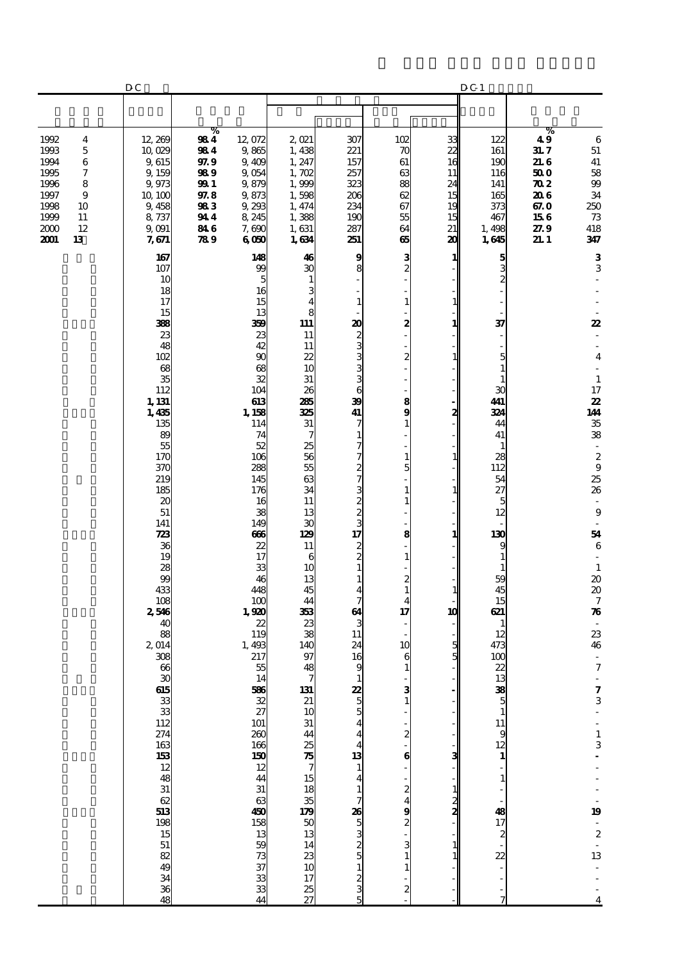|                                                                                                                                                            | DC                                                                                                                                                                                                                                                           |                                                                             |                                                                                                                                                                                                                                                                                                                                                                                     |                                                                                                                                                                                                                                                                                                     |                                                                                                                                                                                                                                                                                                                                             |                                                                                                                                                                                                                                                                                                                         |                                                                                                            | D C 1                                                                                                                                                                                                                                                                                                                                |                                                                                               |                                                                                                                                                                                                                                                                                                                                                                                                                                                                                                             |
|------------------------------------------------------------------------------------------------------------------------------------------------------------|--------------------------------------------------------------------------------------------------------------------------------------------------------------------------------------------------------------------------------------------------------------|-----------------------------------------------------------------------------|-------------------------------------------------------------------------------------------------------------------------------------------------------------------------------------------------------------------------------------------------------------------------------------------------------------------------------------------------------------------------------------|-----------------------------------------------------------------------------------------------------------------------------------------------------------------------------------------------------------------------------------------------------------------------------------------------------|---------------------------------------------------------------------------------------------------------------------------------------------------------------------------------------------------------------------------------------------------------------------------------------------------------------------------------------------|-------------------------------------------------------------------------------------------------------------------------------------------------------------------------------------------------------------------------------------------------------------------------------------------------------------------------|------------------------------------------------------------------------------------------------------------|--------------------------------------------------------------------------------------------------------------------------------------------------------------------------------------------------------------------------------------------------------------------------------------------------------------------------------------|-----------------------------------------------------------------------------------------------|-------------------------------------------------------------------------------------------------------------------------------------------------------------------------------------------------------------------------------------------------------------------------------------------------------------------------------------------------------------------------------------------------------------------------------------------------------------------------------------------------------------|
|                                                                                                                                                            |                                                                                                                                                                                                                                                              |                                                                             |                                                                                                                                                                                                                                                                                                                                                                                     |                                                                                                                                                                                                                                                                                                     |                                                                                                                                                                                                                                                                                                                                             |                                                                                                                                                                                                                                                                                                                         |                                                                                                            |                                                                                                                                                                                                                                                                                                                                      |                                                                                               |                                                                                                                                                                                                                                                                                                                                                                                                                                                                                                             |
| 1992<br>4<br>1993<br>$\sqrt{5}$<br>1994<br>6<br>$\boldsymbol{7}$<br>1995<br>1996<br>8<br>1997<br>9<br>1998<br>10<br>1999<br>11<br>2000<br>12<br>2001<br>13 | 12,269<br>10,029<br>9,615<br>9,159<br>9,973<br>10, 100<br>9,458<br>8,737<br>9,091<br>7,671                                                                                                                                                                   | %<br>984<br>984<br>97.9<br>989<br>99 1<br>97.8<br>983<br>944<br>84 6<br>789 | 12,072<br>9,865<br>9,409<br>9,054<br>9,879<br>9,873<br>9,293<br>8 245<br>7,690<br>6000                                                                                                                                                                                                                                                                                              | $2$ $021$<br>1,438<br>1, 247<br>1,702<br>1,999<br>1,598<br>1, 474<br>1,388<br>1,631<br>1,634                                                                                                                                                                                                        | 307<br>221<br>157<br>257<br>323<br>206<br>234<br>190<br>287<br>251                                                                                                                                                                                                                                                                          | 102<br>70<br>61<br>63<br>88<br>62<br>67<br>55<br>64<br>65                                                                                                                                                                                                                                                               | 33<br>$\mathbf{z}$<br>16<br>11<br>24<br>15<br>19<br>15<br>21<br>20                                         | 122<br>161<br>190<br>116<br>141<br>165<br>373<br>467<br>1,498<br>1,645                                                                                                                                                                                                                                                               | %<br>49<br>31.7<br>21.6<br>50 O<br>$\boldsymbol{\pi}$<br>20 G<br>67.0<br>156<br>27.9<br>21. 1 | 6<br>$51\,$<br>${\bf 41}$<br>${\bf 58}$<br>$99$<br>$3\!4$<br>250<br>$73\,$<br>418<br>347                                                                                                                                                                                                                                                                                                                                                                                                                    |
|                                                                                                                                                            | 167<br>107<br>10<br>18<br>17<br>15<br>388<br>23<br>48<br>102<br>68<br>35<br>112<br>1, 131<br>1,435<br>135<br>89<br>55<br>170<br>370<br>219<br>185<br>20<br>51<br>141<br>723<br>36<br>19<br>28<br>99<br>433<br>108<br>2,546<br>40<br>88<br>2,014<br>308<br>66 |                                                                             | 148<br>99<br>5<br>16<br>15<br>13<br>359<br>23<br>42<br>90<br>68<br>32<br>104<br>613<br>1, 158<br>114<br>74<br>52<br>106<br>288<br>145<br>176<br>16<br>38<br>149<br>ങ<br>22<br>17<br>33<br>46<br>448<br>100<br>1,920<br>22<br>119<br>1,493<br>217<br>55<br>14<br>586<br>22<br>27<br>101<br>260<br>166<br>$\frac{150}{12}$<br>31<br>63<br>450<br>158<br>13 59<br>73<br>37<br>33<br>44 | 46<br>ЗС<br>$\mathbf{1}$<br>3<br>4<br>8<br>111<br>11<br>11<br>$\boldsymbol{z}$<br>10<br>31<br>26<br>285<br>325<br>31<br>7<br>25<br>56<br>55<br>63<br>34<br>11<br>13<br>30<br>129<br>11<br>6<br>10<br>13<br>45<br>44<br>353<br>23<br>38<br>140<br>97<br>48<br>131<br>$14 \over 23 \over 17 \over 25$ | 9<br>8<br>$\mathbf{1}$<br>20<br>23336<br>39<br>41<br>7<br>1<br>ר<br>7<br><b>13</b> ω ω ω ω ω ω<br>$\frac{2}{3}$<br>$\mathbf{1}$<br>1<br>4<br>$\overline{7}$<br>64<br>3<br>11<br>24<br>16<br>9<br>$\frac{22}{5}$<br>$\frac{5}{4}$<br>$\frac{13}{1}$<br>$\frac{1}{7}$<br>$\frac{26}{5}$<br>$\frac{53}{2}$<br>$\frac{32}{5}$<br>$\frac{53}{5}$ | 3<br>$\overline{\mathbf{c}}$<br>$\mathbf{1}$<br>2<br>$\boldsymbol{z}$<br>8<br>9<br>$\mathbf{1}$<br>$\mathbf{1}$<br>5<br>1<br>1<br>8<br>$\mathbf{1}$<br>$\boldsymbol{z}$<br>$\mathbf{1}$<br>4<br>17<br>10<br>6<br>1<br>3<br>$\frac{2}{1}$<br>$\bf{6}$<br>$\boldsymbol{z}$<br>4<br>9<br>$\overline{\mathbf{c}}$<br>3<br>2 | 1<br>1<br>1<br>1<br>2<br>$\mathbf{1}$<br>1<br>1<br>1<br>10<br>5<br>5<br>з<br>$\frac{1}{2}$<br>$\mathbf{1}$ | $\frac{5}{2}$<br>37<br>5<br>$\mathbf{1}$<br>$\mathbf{1}$<br>30<br>441<br>324<br>44<br>41<br>$\mathbf{1}$<br>28<br>112<br>54<br>27<br>$\overline{5}$<br>12<br>130<br>9<br>$\mathbf{1}$<br>$\mathbf{1}$<br>59<br>45<br>15<br>621<br>1<br>12<br>473<br>100<br>$\mathbf{z}$<br>$138$<br>$-1$<br>$-1$<br>$-1$<br>$-1$<br>$-1817$ $2 - 22$ |                                                                                               | $\bf{3}$<br>3<br>22<br>$\overline{\mathbf{4}}$<br>$\sim$<br>$\mathbf{1}$<br>17<br>22<br>144<br>$35\,$<br>38<br>$\overline{\phantom{a}}$<br>$\boldsymbol{2}$<br>$\begin{array}{c} 9 \\ 25 \end{array}$<br>26<br>$\overline{\phantom{a}}$<br>$\bf{9}$<br>$\sim$<br>54<br>6<br>$\mathbf{1}$<br>$\pmb{20}$<br>$\pmb{20}$<br>$\boldsymbol{7}$<br>$\boldsymbol{\pi}$<br>$\bar{z}$<br>23<br>46<br>$\overline{\phantom{a}}$<br>$\boldsymbol{7}$<br>$\frac{7}{3}$<br>$\frac{1}{3}$<br>19<br>$\frac{2}{2}$<br>13<br>4 |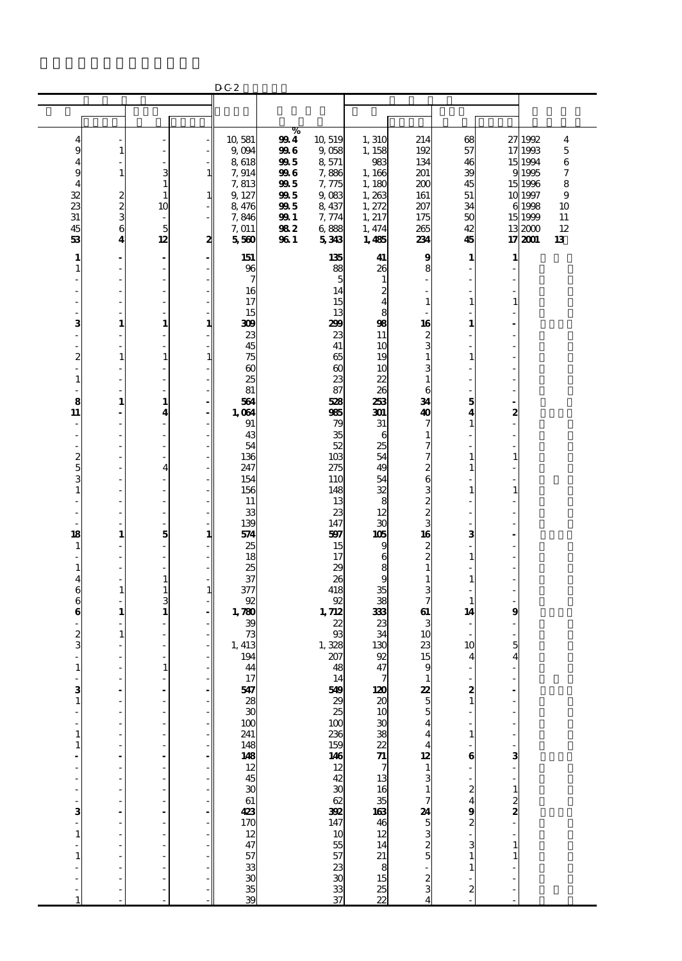|                |               |                                |              | D C 2                       |             |                                                |                            |               |                  |               |                    |                  |
|----------------|---------------|--------------------------------|--------------|-----------------------------|-------------|------------------------------------------------|----------------------------|---------------|------------------|---------------|--------------------|------------------|
|                |               |                                |              |                             |             |                                                |                            |               |                  |               |                    |                  |
|                |               |                                |              |                             |             |                                                |                            |               |                  |               |                    |                  |
|                |               |                                |              | 10,581                      | %           |                                                |                            |               |                  |               |                    |                  |
| 4<br>9         | $\mathbf{1}$  |                                |              | 9,094                       | 994<br>996  | 10,519<br>9,058                                | 1,310<br>1, 158            | 214<br>192    | 68<br>57         |               | 27 1992<br>17 1993 | 4<br>$\mathbf 5$ |
| 4              |               |                                |              | 8618                        | 995         | 8,571                                          | 983                        | 134           | 46               |               | 15 1994            | 6                |
| 9              | $\mathbf{1}$  | 3                              | 1            | 7,914                       | 996         | 7,886                                          | 1,166                      | 201           | 39               |               | 91995              | 7                |
| 4              |               | $\mathbf{1}$                   |              | 7,813                       | 995         | 7,775                                          | 1, 180                     | 200           | 45               |               | 15 1996            | 8                |
| 32             |               | $\mathbf{1}$                   | 1            | 9, 127                      | 995         | 9,083                                          | 1,263                      | 161           | 51               |               | 10 1997            | 9                |
| 23<br>31       | $\frac{2}{3}$ | 10<br>$\overline{\phantom{a}}$ |              | 8,476<br>7,846              | 995<br>99 I | 8,437<br>7,774                                 | 1, 272<br>1, 217           | 207<br>175    | 34<br>50         |               | 6 1998<br>15 1999  | 10<br>11         |
| 45             | 6             | 5                              |              | 7,011                       | 982         | 6888                                           | 1, 474                     | 265           | 42               |               | 132000             | 12               |
| 53             | 4             | 12                             | 2            | 5560                        | 96 1        | 5343                                           | 1,485                      | 234           | 45               |               | 17 2001            | 13               |
| 1              |               |                                |              | 151                         |             | 135                                            | 41                         | 9             | $\mathbf{1}$     | 1             |                    |                  |
| 1              |               | ÷,                             |              | 96                          |             | 88                                             | 26                         | 8             |                  |               |                    |                  |
|                |               |                                |              | 7                           |             | 5                                              | $\mathbf{1}$               |               |                  |               |                    |                  |
|                |               |                                |              | 16                          |             | 14                                             | $\mathbf{z}$               |               |                  |               |                    |                  |
|                |               |                                |              | 17<br>15                    |             | 15<br>13                                       | 4<br>8                     | 1             | 1                | 1             |                    |                  |
| з              | 1             | 1                              | $\mathbf{1}$ | 309                         |             | 299                                            | 98                         | 16            | 1                |               |                    |                  |
|                |               |                                |              | 23                          |             | 23                                             | 11                         |               |                  |               |                    |                  |
|                |               |                                |              | 45                          |             | 41                                             | 10                         | $\frac{2}{3}$ |                  |               |                    |                  |
| $\overline{c}$ | $\mathbf{1}$  | $\mathbf{1}$                   | 1            | 75                          |             | 65                                             | 19                         | 1             | 1                |               |                    |                  |
| 1              |               |                                |              | $\boldsymbol{\omega}$<br>25 |             | $\boldsymbol{\omega}$<br>23                    | 10<br>22                   | 3<br>1        |                  |               |                    |                  |
|                |               |                                |              | 81                          |             | 87                                             | 26                         | 6             |                  |               |                    |                  |
| 8              | 1             | 1                              |              | 561                         |             | 528                                            | 253                        | 34            | 5                |               |                    |                  |
| 11             |               | 4                              |              | 1,064                       |             | 965                                            | 301                        | 40            | 4                | 2             |                    |                  |
|                |               |                                |              | 91                          |             | 79                                             | 31                         | 7             | 1                |               |                    |                  |
|                |               |                                |              | 43<br>54                    |             | 35<br>52                                       | 6<br>25                    | 1<br>7        |                  |               |                    |                  |
| 2              |               |                                |              | 136                         |             | 10 <sub>3</sub>                                | 54                         | 7             | 1                | 1             |                    |                  |
| 5              |               | 4                              |              | 247                         |             | 275                                            | 49                         | 2             | 1                |               |                    |                  |
| 3              |               |                                |              | 154                         |             | 110                                            | 54                         | 6             |                  |               |                    |                  |
| 1              |               |                                |              | 156                         |             | 148                                            | 32                         |               | 1                | 1             |                    |                  |
|                |               |                                |              | 11<br>33                    |             | 13<br>23                                       | 8<br>12                    | $\frac{3}{2}$ |                  |               |                    |                  |
|                |               |                                |              | 139                         |             | 147                                            | 30                         | 3             |                  |               |                    |                  |
| 18             | 1             | 5                              | 1            | 54                          |             | 597                                            | 105                        | 16            | 3                |               |                    |                  |
| 1              |               |                                |              | 25                          |             | 15                                             | 9                          | $\frac{2}{2}$ |                  |               |                    |                  |
|                |               |                                |              | 18                          |             | 17                                             | 6                          | $\mathbf{1}$  | 1                |               |                    |                  |
| 1<br>4         |               | 1                              |              | 25<br>37                    |             | 29<br>26                                       | 8<br>9                     | 1             | 1                |               |                    |                  |
| 6              | $\mathbf{1}$  | $\mathbf{1}$                   | $\mathbf{1}$ | 377                         |             | 418                                            | 35                         | 3             |                  |               |                    |                  |
| 6              |               | 3                              |              | 92                          |             | 92                                             | 38                         | 7             | 1                |               |                    |                  |
| 6              | 1             | 1                              |              | 1,780                       |             | 1,712                                          | 333                        | 61            | 14               | 9             |                    |                  |
| 2              | $\mathbf{1}$  |                                |              | 39<br>73                    |             | 22<br>$\mathfrak{B}$                           | 23<br>34                   | 3<br>10       |                  |               |                    |                  |
| 3              |               |                                |              | 1, 413                      |             | 1,328                                          | 130                        | 23            | 10               | 5             |                    |                  |
|                |               |                                |              | 194                         |             | 207                                            | 92                         | 15            | 4                | 4             |                    |                  |
| $\mathbf{1}$   |               | 1                              |              | 44                          |             | 48                                             | 47                         | 9             | $\overline{a}$   |               |                    |                  |
| 3              |               |                                |              | $\frac{17}{5}$              |             | 14                                             | 120                        | 1<br>22       | 2                |               |                    |                  |
|                |               |                                |              |                             |             |                                                | $\boldsymbol{\mathsf{20}}$ | 5             | 1                |               |                    |                  |
|                |               |                                |              | $\frac{28}{30}$             |             |                                                | 10                         | 5             |                  |               |                    |                  |
|                |               |                                |              | 100                         |             |                                                |                            |               |                  |               |                    |                  |
| 1              |               |                                |              | 241<br>148                  |             |                                                | $\frac{388}{7}$            |               | 1                |               |                    |                  |
| 1              |               |                                |              | 148                         |             |                                                |                            | 12            | 6                | 3             |                    |                  |
|                |               |                                |              |                             |             |                                                |                            | $\mathbf{1}$  |                  |               |                    |                  |
|                |               |                                |              | $\frac{12}{30}$             |             |                                                | 13                         | 3             |                  |               |                    |                  |
|                |               |                                |              |                             |             |                                                | 16                         | $\mathbf{1}$  | 2                |               |                    |                  |
| з              |               |                                |              | 61                          |             |                                                | $\frac{35}{46}$            | 24            | 4<br>9           | $\frac{1}{2}$ |                    |                  |
|                |               |                                |              | $\frac{423}{170}$           |             |                                                |                            |               | $\boldsymbol{z}$ |               |                    |                  |
| 1              |               |                                |              |                             |             |                                                |                            | $\frac{5}{3}$ |                  |               |                    |                  |
|                |               |                                |              | 47                          |             |                                                | 14                         | $\frac{2}{5}$ | 3                | $\mathbf{1}$  |                    |                  |
|                |               |                                |              |                             |             |                                                |                            |               |                  | $\mathbf{1}$  |                    |                  |
|                |               |                                |              | 5333333333334               |             | ងនាងសង្គាន់<br>ស្រុក មិន និង មិន ស្រុក មិន និង | 21 8 15 8 8 2              |               | 1                |               |                    |                  |
|                |               |                                |              |                             |             |                                                |                            | $\frac{2}{3}$ | 2                |               |                    |                  |
|                |               |                                |              |                             |             |                                                |                            |               |                  |               |                    |                  |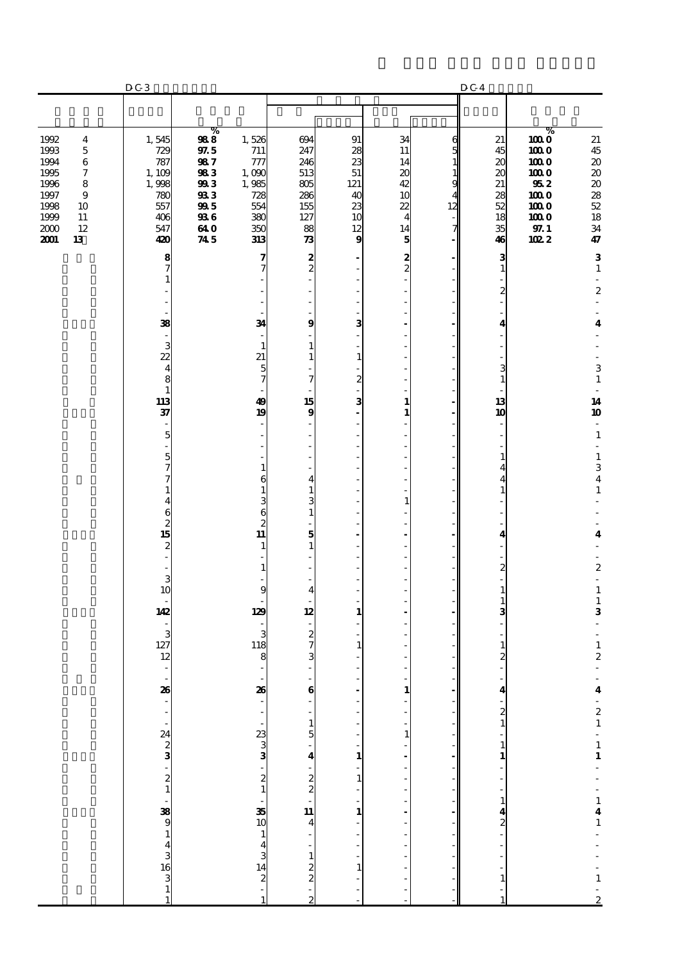|                                                                                                                                                             | $\operatorname{D} G$ 3                                                               |                                                                                               |                                                                             |                                                                                          |                                                          |                                                                     |                                  | D C 4                                                    |                                                                                     |                                                                                                                  |
|-------------------------------------------------------------------------------------------------------------------------------------------------------------|--------------------------------------------------------------------------------------|-----------------------------------------------------------------------------------------------|-----------------------------------------------------------------------------|------------------------------------------------------------------------------------------|----------------------------------------------------------|---------------------------------------------------------------------|----------------------------------|----------------------------------------------------------|-------------------------------------------------------------------------------------|------------------------------------------------------------------------------------------------------------------|
|                                                                                                                                                             |                                                                                      |                                                                                               |                                                                             |                                                                                          |                                                          |                                                                     |                                  |                                                          |                                                                                     |                                                                                                                  |
| 1992<br>$\boldsymbol{4}$<br>1993<br>$\mathbf 5$<br>1994<br>6<br>1995<br>7<br>1996<br>8<br>1997<br>9<br>1998<br>10<br>1999<br>11<br>2000<br>12<br>2001<br>13 | 1,545<br>729<br>787<br>1,109<br>1,998<br>780<br>557<br>406<br>547<br>420             | $\%$<br>988<br>$9\!75$<br>987<br>983<br>993<br>933<br>995<br><b>936</b><br>64 O<br>$\bf 74.5$ | 1,526<br>711<br>777<br>1,000<br>1,985<br>728<br>554<br>380<br>350<br>313    | 694<br>247<br>246<br>513<br>805<br>286<br>155<br>127<br>88<br>$\boldsymbol{\mathcal{R}}$ | 91<br>28<br>23<br>51<br>121<br>40<br>23<br>10<br>12<br>9 | 34<br>11<br>14<br>20<br>42<br>10<br>22<br>$\overline{4}$<br>14<br>5 | 6<br>5<br>1<br>1<br>9<br>12<br>7 | 21<br>45<br>20<br>20<br>21<br>28<br>52<br>18<br>35<br>46 | %<br>$1000$<br>1000<br>1000<br>1000<br>952<br>1000<br>1000<br>1000<br>97.1<br>102 2 | 21<br>$45\,$<br>$\pmb{20}$<br>$\pmb{20}$<br>$\pmb{20}$<br>28<br>$52\,$<br>18<br>$3\!4$<br>47                     |
|                                                                                                                                                             | 8<br>7<br>1<br>38<br>$\overline{\phantom{a}}$                                        |                                                                                               | 7<br>7<br>34                                                                | $\frac{2}{2}$<br>9                                                                       | 3                                                        | $\frac{2}{2}$                                                       |                                  | 3<br>$\mathbf{1}$<br>2<br>4                              |                                                                                     | ${\bf 3}$<br>$\mathbf{1}$<br>$\overline{\phantom{a}}$<br>$\boldsymbol{2}$<br>÷,<br>$\overline{\mathbf{4}}$       |
|                                                                                                                                                             | 3<br>22<br>$\overline{\mathbf{4}}$<br>8<br>$\mathbf{1}$<br>113<br>37                 |                                                                                               | $\mathbf{1}$<br>21<br>5<br>7<br>49<br>19                                    | 1<br>1<br>7<br>15<br>$\bf{9}$                                                            | 1<br>2<br>3                                              | 1<br>1                                                              |                                  | 3<br>$\mathbf{1}$<br>13<br>10                            |                                                                                     | 3<br>$\mathbf 1$<br>$\overline{\phantom{a}}$<br>14<br>10<br>$\overline{\phantom{a}}$                             |
|                                                                                                                                                             | 5<br>5<br>7<br>7<br>1<br>4                                                           |                                                                                               | 1<br>6<br>1<br>3                                                            | 4<br>3                                                                                   |                                                          | 1                                                                   |                                  | 1                                                        |                                                                                     | $\mathbf 1$<br>$\overline{\phantom{a}}$<br>$\mathbf 1$<br>$\,$ 3 $\,$<br>$\overline{\mathbf{4}}$<br>$\mathbf{1}$ |
|                                                                                                                                                             | 6<br>$\begin{array}{c}\n2 \\ 15\n\end{array}$<br>$\overline{\mathcal{Z}}$<br>3<br>10 |                                                                                               | $\epsilon$<br>$\boldsymbol{z}$<br>$\overline{11}$<br>$\mathbf{1}$<br>1<br>9 | 1<br>5<br>1                                                                              |                                                          |                                                                     |                                  | 4<br>$\overline{c}$<br>$\mathbf{1}$                      |                                                                                     | 4<br>$\overline{\phantom{a}}$<br>$\boldsymbol{2}$<br>$\overline{\phantom{a}}$<br>$\mathbf 1$                     |
|                                                                                                                                                             | 142<br>3<br>127<br>12<br>$\overline{\phantom{a}}$                                    |                                                                                               | 129<br>3<br>118<br>8<br>$\overline{\phantom{a}}$                            | 4<br>12<br>$\boldsymbol{z}$<br>7<br>3                                                    | 1<br>1                                                   |                                                                     |                                  | 3<br>1                                                   |                                                                                     | $\mathbf 1$<br>3<br>$\mathbf 1$<br>$\boldsymbol{2}$<br>÷,                                                        |
|                                                                                                                                                             |                                                                                      |                                                                                               | 26                                                                          | $\bf{6}$<br>$\frac{1}{5}$                                                                | $\frac{1}{1}$                                            | $\mathbf{1}$<br>$\overline{\phantom{a}}$<br>$\mathbf 1$             |                                  | $\frac{4}{2}$ $\frac{2}{1}$<br>÷,<br>$\frac{1}{1}$       |                                                                                     |                                                                                                                  |
|                                                                                                                                                             | 88 - - - 24 2 3 3 - 2 1 - 38 9 1 4 3 16 3 1 1                                        |                                                                                               | · 23 دە دە -   -   38 15 – 4 دە 14 دە 15 – 1                                | $-4$<br>$-2$<br>$-1$<br>$-1$<br><br>$-1$<br><br><br><br><br><br><br><br><br><br>         | $\frac{1}{1}$<br>$\frac{1}{1}$<br>f                      |                                                                     |                                  | $\frac{1}{2}$<br>$\frac{1}{4}$<br>$\frac{4}{2}$          |                                                                                     | $4 - 21 - 11 - - 141 - - - 1 - 2$                                                                                |
|                                                                                                                                                             |                                                                                      |                                                                                               |                                                                             |                                                                                          | $\mathbf{1}$                                             |                                                                     |                                  | $\mathbf{1}$                                             |                                                                                     |                                                                                                                  |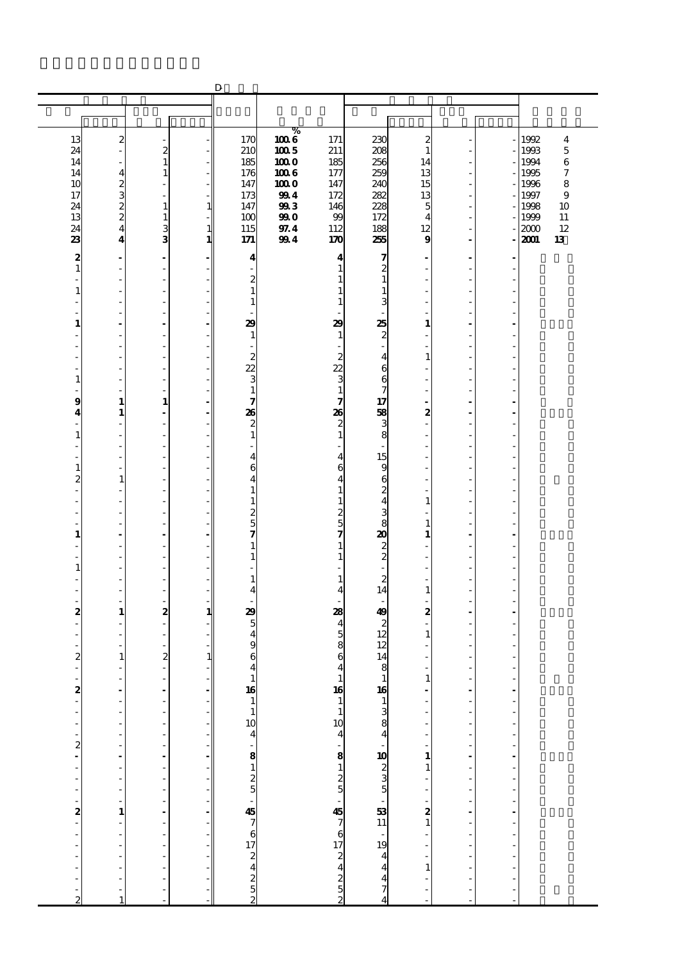|                               |                          |                                                      |               | $\mathbf D$                                                             |              |                                                                                                                                   |                                                                                                            |                              |                                  |                      |              |                         |
|-------------------------------|--------------------------|------------------------------------------------------|---------------|-------------------------------------------------------------------------|--------------|-----------------------------------------------------------------------------------------------------------------------------------|------------------------------------------------------------------------------------------------------------|------------------------------|----------------------------------|----------------------|--------------|-------------------------|
|                               |                          |                                                      |               |                                                                         |              |                                                                                                                                   |                                                                                                            |                              |                                  |                      |              |                         |
|                               |                          |                                                      |               |                                                                         |              |                                                                                                                                   |                                                                                                            |                              |                                  |                      |              |                         |
| 13                            | $\boldsymbol{z}$         |                                                      |               | 170                                                                     | ℅<br>1006    | 171                                                                                                                               | 230                                                                                                        | $\boldsymbol{z}$             |                                  |                      | 1992         | $\overline{\mathbf{4}}$ |
| 24                            |                          | $\boldsymbol{z}$                                     |               | 210                                                                     | $100\,5$     | 211                                                                                                                               | 208                                                                                                        | 1                            |                                  |                      | 1993         | $\mathbf 5$             |
| 14                            |                          | $\mathbf{1}$                                         |               | 185                                                                     | 1000         | 185                                                                                                                               | 256                                                                                                        | 14                           |                                  |                      | 1994         | $\,6$                   |
| 14<br>10                      | 4                        | 1<br>÷,                                              |               | 176<br>147                                                              | 1006<br>1000 | 177<br>147                                                                                                                        | 259<br>240                                                                                                 | 13<br>15                     | ä,<br>ä,                         |                      | 1995<br>1996 | 7<br>8                  |
| 17                            | $\frac{2}{3}$            |                                                      |               | 173                                                                     | 994          | 172                                                                                                                               | 282                                                                                                        | 13                           |                                  |                      | 1997         | 9                       |
| 24                            | $\frac{2}{2}$            | $\mathbf{1}$                                         | $\mathbf{1}$  | 147                                                                     | 993          | 146                                                                                                                               | 228                                                                                                        | 5                            | ä,                               |                      | 1998         | 10                      |
| 13<br>24                      | $\overline{4}$           | $\mathbf{1}$<br>3                                    | $\mathbf{1}$  | 100<br>115                                                              | 990<br>97.4  | 99<br>112                                                                                                                         | 172<br>188                                                                                                 | 4<br>12                      | ÷                                |                      | 1999<br>2000 | 11<br>12                |
| 23                            | 4                        | 3                                                    | 1             | 171                                                                     | 994          | 170                                                                                                                               | 255                                                                                                        | 9                            | $\overline{a}$                   |                      | 2001         | 13                      |
| 2                             | $\blacksquare$           | $\blacksquare$                                       |               | 4                                                                       |              | 4                                                                                                                                 | 7                                                                                                          |                              | $\overline{a}$                   |                      |              |                         |
| $\mathbf{1}$                  |                          |                                                      |               |                                                                         |              | 1                                                                                                                                 | 2                                                                                                          |                              |                                  |                      |              |                         |
|                               | $\sim$                   | $\overline{a}$                                       |               | $\mathbf{z}$                                                            |              | 1                                                                                                                                 | $\mathbf{1}$                                                                                               |                              | ٠                                |                      |              |                         |
| 1                             |                          | ÷,                                                   |               | $\mathbf{1}$                                                            |              | 1                                                                                                                                 | $\mathbf{1}$                                                                                               |                              |                                  |                      |              |                         |
|                               |                          | ÷,<br>L,                                             |               | $\mathbf{1}$                                                            |              | 1                                                                                                                                 | 3                                                                                                          |                              | ä,<br>Ĭ.                         |                      |              |                         |
| $\mathbf{1}$                  |                          |                                                      |               | 29                                                                      |              | 29                                                                                                                                | 25                                                                                                         | 1                            |                                  |                      |              |                         |
|                               | $\overline{\phantom{a}}$ | $\overline{a}$                                       |               | 1                                                                       |              | $\mathbf{1}$                                                                                                                      | $\boldsymbol{z}$                                                                                           |                              | ä,                               |                      |              |                         |
|                               |                          | ÷,                                                   |               | $\overline{c}$                                                          |              | 2                                                                                                                                 | $\overline{\phantom{a}}$<br>$\overline{\bf 4}$                                                             | $\mathbf{1}$                 | ä,                               |                      |              |                         |
|                               |                          | L,                                                   |               | 22                                                                      |              | 22                                                                                                                                | 6                                                                                                          |                              | Ĭ.                               |                      |              |                         |
| 1                             |                          |                                                      |               | 3                                                                       |              | 3                                                                                                                                 | 6                                                                                                          |                              |                                  |                      |              |                         |
| 9                             | $\sim$<br>$\mathbf{1}$   | ٠<br>$\mathbf{1}$                                    |               | $\mathbf{1}$<br>7                                                       |              | $\mathbf{1}$<br>7                                                                                                                 | 7<br>17                                                                                                    |                              | ä,                               |                      |              |                         |
| 4                             | 1                        | $\overline{\phantom{a}}$                             |               | 26                                                                      |              | 26                                                                                                                                | 58                                                                                                         | 2                            | ÷.                               |                      |              |                         |
|                               |                          | L,                                                   |               | $\boldsymbol{z}$                                                        |              | $\boldsymbol{z}$                                                                                                                  | 3                                                                                                          |                              | Ĭ.                               |                      |              |                         |
| 1                             |                          |                                                      |               | $\mathbf{1}$                                                            |              | $\mathbf{1}$                                                                                                                      | 8                                                                                                          |                              |                                  |                      |              |                         |
|                               |                          | $\overline{a}$                                       |               | $\overline{\mathbf{4}}$                                                 |              | $\overline{4}$                                                                                                                    | 15                                                                                                         |                              | ä,                               |                      |              |                         |
| $\mathbf{1}$                  |                          | ÷,                                                   |               | 6                                                                       |              | 6                                                                                                                                 | 9                                                                                                          |                              | ä,                               |                      |              |                         |
| 2                             | $\mathbf{1}$             | L,                                                   |               | $\overline{\mathbf{4}}$                                                 |              | 4                                                                                                                                 | 6                                                                                                          |                              | Ĭ.                               |                      |              |                         |
|                               |                          | ÷,                                                   |               | $\mathbf{1}$<br>$\mathbf{1}$                                            |              | $\mathbf{1}$<br>$\mathbf{1}$                                                                                                      | $\boldsymbol{z}$<br>$\overline{\mathbf{4}}$                                                                | 1                            | ٠                                |                      |              |                         |
|                               |                          |                                                      |               | $\boldsymbol{z}$                                                        |              | 2                                                                                                                                 | 3                                                                                                          |                              |                                  |                      |              |                         |
|                               |                          | ÷,                                                   |               | $\overline{5}$                                                          |              | $\frac{5}{7}$                                                                                                                     | 8<br>$\boldsymbol{\mathsf{a}}$                                                                             | 1                            | ä,                               |                      |              |                         |
| $\mathbf{1}$                  |                          | $\overline{a}$                                       |               | 7<br>1                                                                  |              | 1                                                                                                                                 |                                                                                                            | 1                            | L,                               |                      |              |                         |
| ٠                             | $\overline{\phantom{a}}$ | $\overline{a}$                                       |               | 1                                                                       |              | 1                                                                                                                                 | $\frac{2}{2}$                                                                                              |                              | ä,                               |                      |              |                         |
| 1                             |                          | ÷,                                                   |               |                                                                         |              |                                                                                                                                   |                                                                                                            |                              | L,                               |                      |              |                         |
|                               |                          | $\overline{a}$<br>÷,                                 |               | 1<br>4                                                                  |              | 1<br>$\overline{\mathbf{4}}$                                                                                                      | $\boldsymbol{z}$<br>14                                                                                     | 1                            | ä,<br>Ĭ.                         |                      |              |                         |
|                               |                          |                                                      |               |                                                                         |              |                                                                                                                                   |                                                                                                            |                              |                                  |                      |              |                         |
| 2                             | $\mathbf{1}$             | $\boldsymbol{2}$                                     | 1             | 29                                                                      |              | 28                                                                                                                                | 49                                                                                                         | 2                            | $\blacksquare$                   |                      |              |                         |
|                               |                          | $\overline{\phantom{a}}$<br>$\overline{\phantom{a}}$ |               | 5<br>$\overline{\mathbf{4}}$                                            |              | $\overline{\mathbf{4}}$                                                                                                           | $\boldsymbol{z}$<br>12                                                                                     | $\mathbf{1}$                 | ä,                               |                      |              |                         |
|                               |                          |                                                      |               | 9                                                                       |              | $\frac{5}{8}$                                                                                                                     | 12                                                                                                         |                              |                                  |                      |              |                         |
| $\boldsymbol{2}$              | $\mathbf{1}$             | $\overline{c}$                                       | $\mathbf{1}$  | 6                                                                       |              | 6                                                                                                                                 | 14                                                                                                         |                              |                                  |                      |              |                         |
| ÷,                            | ٠                        | ÷,                                                   |               | $\overline{\mathbf{4}}$                                                 |              | $\overline{\mathbf{4}}$                                                                                                           | 8                                                                                                          |                              | ä,                               |                      |              |                         |
| $\frac{1}{2}$                 |                          |                                                      |               | $\begin{array}{c} 1 \\ 16 \\ 1 \end{array}$                             |              |                                                                                                                                   |                                                                                                            | $\frac{1}{2}$                | $\frac{1}{2}$                    | $\ddot{\phantom{0}}$ |              |                         |
|                               |                          | $\ddot{\phantom{0}}$                                 | $\frac{1}{2}$ |                                                                         |              |                                                                                                                                   |                                                                                                            |                              | L,                               |                      |              |                         |
| $\overline{\phantom{a}}$      |                          |                                                      |               | $\mathbf{1}$                                                            |              |                                                                                                                                   |                                                                                                            |                              | ÷                                | Ĭ.                   |              |                         |
| f                             |                          | ŕ                                                    |               |                                                                         |              |                                                                                                                                   |                                                                                                            |                              | l,                               |                      |              |                         |
| $\frac{1}{2}$                 |                          | $\frac{1}{2}$                                        |               |                                                                         |              |                                                                                                                                   |                                                                                                            |                              | $\overline{a}$                   | $\frac{1}{2}$        |              |                         |
|                               | ÷,                       |                                                      |               |                                                                         |              |                                                                                                                                   |                                                                                                            | $\mathbf{1}$<br>$\mathbf{1}$ | $\overline{a}$                   |                      |              |                         |
| -<br>$\overline{\phantom{a}}$ |                          |                                                      |               |                                                                         |              |                                                                                                                                   |                                                                                                            |                              | l,                               | l,                   |              |                         |
|                               |                          | $\frac{1}{2}$                                        |               |                                                                         |              |                                                                                                                                   |                                                                                                            |                              | $\overline{a}$                   |                      |              |                         |
|                               |                          |                                                      |               |                                                                         |              |                                                                                                                                   |                                                                                                            |                              | $\overline{a}$<br>$\overline{a}$ | l,<br>l,             |              |                         |
|                               | $\mathbf{1}$             |                                                      |               |                                                                         |              |                                                                                                                                   |                                                                                                            | $\frac{2}{1}$                |                                  |                      |              |                         |
| $\frac{1}{2}$                 |                          | ÷,                                                   |               |                                                                         |              |                                                                                                                                   |                                                                                                            |                              | Ĭ,                               | l,                   |              |                         |
| ÷,                            |                          |                                                      |               |                                                                         |              |                                                                                                                                   |                                                                                                            |                              | l,                               |                      |              |                         |
|                               |                          | l,                                                   |               |                                                                         |              |                                                                                                                                   |                                                                                                            | $\mathbf{1}$                 | $\overline{a}$<br>L.             |                      |              |                         |
|                               |                          |                                                      |               |                                                                         |              |                                                                                                                                   |                                                                                                            |                              |                                  |                      |              |                         |
| ÷                             |                          | $\overline{a}$                                       |               | 10<br>4<br>5<br>8<br>1<br>2<br>5<br>5<br>2<br>5<br>2<br>5<br>2<br>5<br> |              | $\frac{16}{10}$ $\frac{10}{10}$ $\frac{4}{4}$ $\frac{8}{2}$ $\frac{1}{2}$ $\frac{5}{7}$ $\frac{7}{6}$ $\frac{7}{7}$ $\frac{6}{7}$ | $\frac{16}{1384}$ $\frac{16}{1384}$ $\frac{16}{1023}$ $\frac{16}{235}$ $\frac{16}{1044}$ $\frac{16}{4474}$ |                              | ÷,                               | Ĭ.                   |              |                         |
| $\overline{c}$                | 1                        |                                                      |               |                                                                         |              |                                                                                                                                   |                                                                                                            |                              |                                  |                      |              |                         |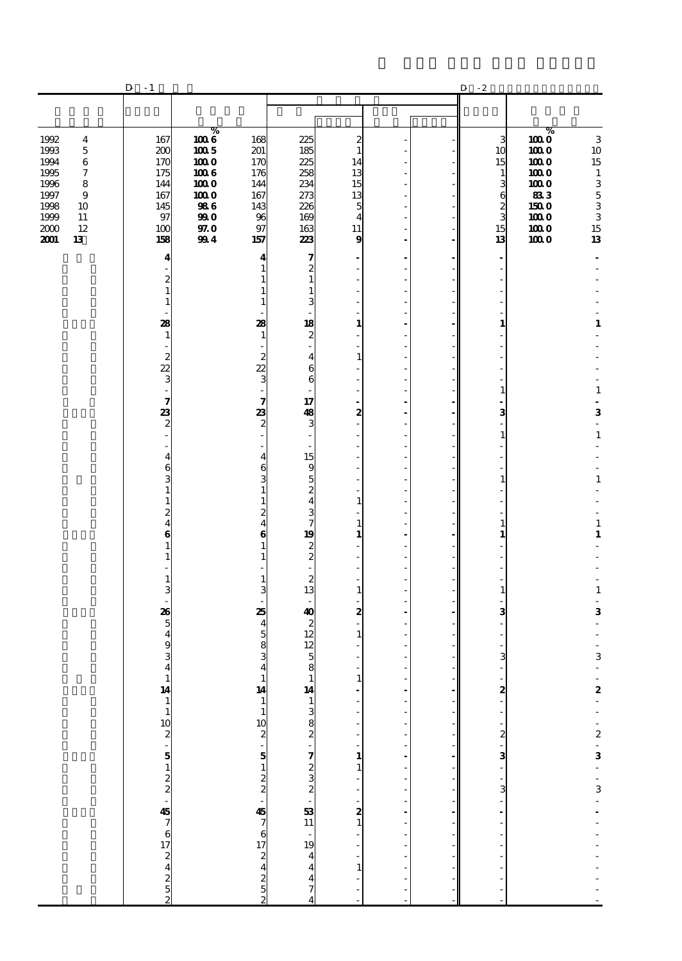|                                                                                                                                                                                        | $-1$<br>D                                                                                                                                                                                                                                                  |                                                                                    |                                                                                                                                                                                                              |                                                                                                                                                                                                                                                                                                                                           |                                                                                                                                     |                                                                                                                                                                  |                                         | $^{\circ}$ 2<br>D                                                                                                                                                             |                                                                                               |                                                                                                                                                                                                   |
|----------------------------------------------------------------------------------------------------------------------------------------------------------------------------------------|------------------------------------------------------------------------------------------------------------------------------------------------------------------------------------------------------------------------------------------------------------|------------------------------------------------------------------------------------|--------------------------------------------------------------------------------------------------------------------------------------------------------------------------------------------------------------|-------------------------------------------------------------------------------------------------------------------------------------------------------------------------------------------------------------------------------------------------------------------------------------------------------------------------------------------|-------------------------------------------------------------------------------------------------------------------------------------|------------------------------------------------------------------------------------------------------------------------------------------------------------------|-----------------------------------------|-------------------------------------------------------------------------------------------------------------------------------------------------------------------------------|-----------------------------------------------------------------------------------------------|---------------------------------------------------------------------------------------------------------------------------------------------------------------------------------------------------|
|                                                                                                                                                                                        |                                                                                                                                                                                                                                                            |                                                                                    |                                                                                                                                                                                                              |                                                                                                                                                                                                                                                                                                                                           |                                                                                                                                     |                                                                                                                                                                  |                                         |                                                                                                                                                                               |                                                                                               |                                                                                                                                                                                                   |
| 1992<br>$\overline{\bf 4}$<br>1993<br>$\mathbf 5$<br>1994<br>$\,6\,$<br>1995<br>$\boldsymbol{7}$<br>1996<br>8<br>1997<br>9<br>1998<br>10<br>1999<br>11<br>$12\,$<br>2000<br>2001<br>13 | 167<br>200<br>170<br>175<br>144<br>167<br>145<br>97<br>100<br>158                                                                                                                                                                                          | %<br>1006<br>$100\,5$<br>1000<br>1006<br>1000<br>1000<br>986<br>990<br>97.0<br>994 | 168<br>201<br>170<br>176<br>144<br>167<br>143<br>96<br>97<br>157                                                                                                                                             | 225<br>185<br>225<br>258<br>234<br>273<br>226<br>169<br>163<br>223                                                                                                                                                                                                                                                                        | 2<br>$\mathbf{1}$<br>14<br>13<br>15<br>13<br>5<br>$\overline{\mathbf{4}}$<br>11<br>9                                                | ä,<br>٠<br>٠<br>ä,<br>ä,                                                                                                                                         |                                         | 3<br>10<br>15<br>$\mathbf 1$<br>3<br>6<br>$\frac{2}{3}$<br>15<br>13                                                                                                           | %<br>$\overline{1000}$<br>1000<br>1000<br>1000<br>1000<br>833<br>1500<br>1000<br>1000<br>1000 | $\ensuremath{\mathbf{3}}$<br>$10\,$<br>$15\,$<br>$\mathbf 1$<br>$\,$ 3 $\,$<br>$\frac{5}{3}$<br>$\,$ 3 $\,$<br>$15\,$<br>13                                                                       |
|                                                                                                                                                                                        | 4<br>2<br>$\mathbf{1}$<br>1<br>28<br>$\mathbf{1}$<br>$\begin{array}{c} 2 \\ 22 \\ 3 \end{array}$<br>7<br><b>23</b><br>2<br>4<br>6<br>3<br>1<br>1<br>2<br>4<br>6<br>1<br>$\mathbf{1}$<br>1<br>3<br>26<br>$\overline{5}$<br>4<br>9<br>3<br>4<br>$\mathbf{1}$ |                                                                                    | 4<br>1<br>1<br>1<br>1<br>28<br>$\mathbf{1}$<br>2<br>22<br>3<br>7<br>23<br>2<br>4<br>6<br>3<br>1<br>1<br>2<br>4<br>6<br>1<br>1<br>1<br>3<br>25<br>4<br>5<br>8<br>3<br>$\overline{\mathbf{4}}$<br>$\mathbf{1}$ | 7<br>$\boldsymbol{z}$<br>$\mathbf{1}$<br>$\mathbf{1}$<br>3<br>18<br>$\boldsymbol{z}$<br>$\overline{a}$<br>4<br>6<br>6<br>17<br>48<br>3<br>15<br>$\frac{9}{2}$<br>$\overline{\mathbf{4}}$<br>3<br>$\overline{\phantom{a}}$<br>$\frac{19}{2}$<br>$\overline{a}$<br>$\boldsymbol{z}$<br>13<br>40<br>$\boldsymbol{z}$<br>12<br>$\frac{12}{5}$ | 1<br>1<br>2<br>$\mathbf{1}$<br>1<br>1<br>$\mathbf{1}$<br>2<br>1<br>$\mathbf{1}$                                                     | ÷<br>٠<br>٠<br>÷.<br>٠<br>٠<br>L,<br>٠<br>ä,<br>Ĭ.<br>L,<br>٠<br>٠<br>÷<br>L,<br>٠<br>٠<br>÷<br>٠<br>L,<br>÷,<br>÷.<br>٠<br>÷,<br>÷,<br>$\overline{\phantom{a}}$ | $\frac{1}{1}$                           | $\overline{a}$<br>÷,<br>1<br>ä,<br>$\mathbf{1}$<br>$\overline{a}$<br>3<br>$\overline{a}$<br>$\mathbf{1}$<br>ä,<br>$\mathbf{1}$<br>$\mathbf{1}$<br>1<br>$\mathbf{1}$<br>3<br>3 |                                                                                               | $\mathbf{1}$<br>$\mathbf 1$<br>÷,<br>3<br>ä,<br>$\mathbf 1$<br>$\mathbf 1$<br>$\mathbf 1$<br>$\mathbf 1$<br>$\mathbf 1$<br>ä,<br>3<br>$\,$ 3 $\,$<br>$\begin{bmatrix} 2 \\ 2 \end{bmatrix}$<br>÷, |
|                                                                                                                                                                                        |                                                                                                                                                                                                                                                            |                                                                                    | $141102 - 5122 - 517242 = 5252$                                                                                                                                                                              | $141382 - 7232 - 3311 - 194447$<br>$\overline{4}$                                                                                                                                                                                                                                                                                         | L,<br>$\begin{array}{c} \n\cdot \\ 1\n\end{array}$<br>$\begin{bmatrix} 1 \\ 2 \\ 1 \end{bmatrix}$<br>$\overline{a}$<br>$\mathbf{1}$ | -<br>- - - - - - - - - -<br>÷,<br>$\frac{1}{2}$<br>-<br>$\overline{a}$<br>$\frac{1}{2}$                                                                          | $\begin{bmatrix} 1 \\ -1 \end{bmatrix}$ | <u>. 10 - - - 10 - 10 - 10 - 1</u><br>$\frac{1}{2}$<br>$\overline{a}$                                                                                                         |                                                                                               | $-2 - 3 - 3 - 3 - 1$<br>$\frac{1}{2}$<br>$\overline{a}$                                                                                                                                           |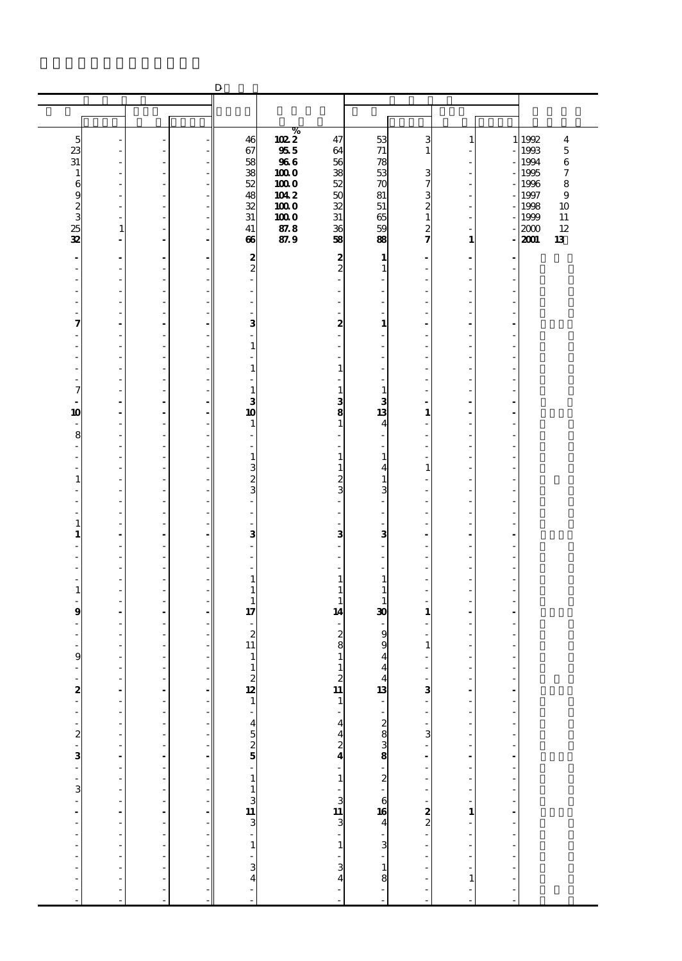|                               |                                                       |                                       |                                                                                  | $\mathbf D$                                   |                     |                                |                                |                                |                                |                                                                     |              |              |
|-------------------------------|-------------------------------------------------------|---------------------------------------|----------------------------------------------------------------------------------|-----------------------------------------------|---------------------|--------------------------------|--------------------------------|--------------------------------|--------------------------------|---------------------------------------------------------------------|--------------|--------------|
|                               |                                                       |                                       |                                                                                  |                                               |                     |                                |                                |                                |                                |                                                                     |              |              |
|                               |                                                       |                                       |                                                                                  |                                               |                     |                                |                                |                                |                                |                                                                     |              |              |
| 5                             |                                                       |                                       |                                                                                  | 46                                            | ℅                   | 47                             | 53                             | 3                              | $\mathbf{1}$                   |                                                                     | 1 1992       | 4            |
| 23                            |                                                       |                                       |                                                                                  | 67                                            | $\frac{1022}{355}$  | 64                             | 71                             | 1                              |                                |                                                                     | 1993         | $\mathbf 5$  |
| 31                            |                                                       | ٠                                     |                                                                                  | 58                                            | <b>966</b>          | 56                             | 78                             |                                |                                |                                                                     | 1994         | $\,6$        |
| 1                             |                                                       |                                       |                                                                                  | 38<br>52                                      | 1000<br>1000        | 38<br>52                       | 53                             | з                              | ä,                             |                                                                     | 1995         | 7<br>8       |
| 6<br>g                        |                                                       | ٠<br>٠                                |                                                                                  | 48                                            |                     | 50                             | 70<br>81                       | 7<br>3                         | ٠                              |                                                                     | 1996<br>1997 | $\mathbf{9}$ |
| 2                             |                                                       | $\overline{a}$                        |                                                                                  | 32                                            | $\frac{1042}{1000}$ | $\overline{\mathbf{32}}$       | 51                             | 2                              | ÷,                             |                                                                     | 1998         | 10           |
| 3                             | $\overline{\phantom{a}}$                              | ٠                                     |                                                                                  | 31                                            | 1000                | 31                             | 65                             | $\mathbf{1}$                   | ä,                             |                                                                     | 1999         | 11           |
| 25<br>32                      | $\mathbf{1}$<br>÷                                     | $\overline{a}$                        |                                                                                  | 41<br>66                                      | 87.8<br>87.9        | 36<br>58                       | 59<br>88                       | 2<br>7                         | $\mathbf{1}$                   |                                                                     | 2000<br>2001 | 12<br>13     |
|                               |                                                       |                                       |                                                                                  |                                               |                     |                                |                                |                                |                                |                                                                     |              |              |
| $\frac{1}{2}$                 | $\overline{\phantom{a}}$                              | $\ddot{\phantom{0}}$                  |                                                                                  | 2<br>$\boldsymbol{z}$                         |                     | 2<br>$\overline{c}$            | 1                              |                                | $\overline{a}$                 |                                                                     |              |              |
| ٠                             | ٠                                                     | ٠                                     |                                                                                  |                                               |                     |                                | $\mathbf{1}$<br>$\overline{a}$ |                                | ä,                             |                                                                     |              |              |
|                               | ٠                                                     | ٠                                     |                                                                                  | ٠                                             |                     |                                | ٠                              |                                | ä,                             |                                                                     |              |              |
|                               |                                                       | $\overline{a}$                        |                                                                                  | $\overline{a}$                                |                     |                                | $\overline{\phantom{m}}$       |                                | ÷,                             |                                                                     |              |              |
| 7                             |                                                       | ÷,<br>$\blacksquare$                  |                                                                                  | L,<br>3                                       |                     | ÷.<br>2                        | ä,<br>1                        |                                | ä,<br>$\blacksquare$           |                                                                     |              |              |
|                               |                                                       |                                       |                                                                                  |                                               |                     |                                | $\overline{\phantom{0}}$       |                                |                                |                                                                     |              |              |
| ٠                             |                                                       | ٠                                     |                                                                                  | $\mathbf{1}$                                  |                     |                                | ٠                              |                                | ä,                             |                                                                     |              |              |
|                               |                                                       | $\overline{a}$                        |                                                                                  |                                               |                     |                                | $\overline{\phantom{m}}$       |                                | Ĭ.                             |                                                                     |              |              |
|                               | $\overline{\phantom{a}}$                              | ÷,<br>٠                               |                                                                                  | $\mathbf{1}$                                  |                     | 1                              | ٠                              |                                | Ĭ.<br>ä,                       |                                                                     |              |              |
| 7                             |                                                       |                                       |                                                                                  | 1                                             |                     | $\mathbf{1}$                   | $\mathbf{1}$                   |                                |                                |                                                                     |              |              |
|                               | $\overline{\phantom{a}}$                              | $\blacksquare$                        |                                                                                  | 3                                             |                     | з                              | 3                              |                                | ٠                              |                                                                     |              |              |
| 10                            | $\overline{\phantom{a}}$                              | $\overline{\phantom{a}}$              |                                                                                  | 10                                            |                     | 8                              | 13                             | 1                              | $\overline{a}$                 |                                                                     |              |              |
| 8                             | $\overline{\phantom{a}}$                              | ÷,<br>٠                               |                                                                                  | 1                                             |                     | $\mathbf{1}$                   | 4                              |                                | Ĭ.<br>ä,                       |                                                                     |              |              |
|                               |                                                       |                                       |                                                                                  |                                               |                     |                                |                                |                                |                                |                                                                     |              |              |
| ٠                             | ٠                                                     | ٠                                     |                                                                                  | $\mathbf{1}$                                  |                     | 1                              | $\mathbf{1}$                   |                                | ä,                             |                                                                     |              |              |
| 1                             | $\overline{\phantom{a}}$                              | ÷,<br>÷,                              |                                                                                  | 3                                             |                     | 1<br>2                         | 4<br>$\mathbf{1}$              | 1                              | ÷,<br>Ĭ.                       |                                                                     |              |              |
|                               |                                                       | ٠                                     |                                                                                  | $\frac{2}{3}$                                 |                     | 3                              | 3                              |                                | ä,                             |                                                                     |              |              |
|                               |                                                       |                                       |                                                                                  |                                               |                     |                                |                                |                                |                                |                                                                     |              |              |
|                               |                                                       | ٠                                     |                                                                                  | ٠                                             |                     |                                | ٠                              |                                | ä,                             |                                                                     |              |              |
| 1<br>1                        | $\blacksquare$                                        | ÷,<br>$\blacksquare$                  |                                                                                  | ÷<br>3                                        |                     | 3                              | 3                              |                                | ÷,<br>÷.                       | J.                                                                  |              |              |
|                               |                                                       | ٠                                     |                                                                                  | ٠                                             |                     |                                | ä,                             |                                | ä,                             |                                                                     |              |              |
|                               |                                                       |                                       |                                                                                  |                                               |                     |                                |                                |                                |                                |                                                                     |              |              |
|                               |                                                       |                                       |                                                                                  |                                               |                     |                                |                                |                                | ä,                             |                                                                     |              |              |
| $\mathbf{1}$                  | $\overline{\phantom{a}}$                              | ÷,<br>÷,                              |                                                                                  | $\mathbf{1}$<br>1                             |                     | 1<br>1                         | $\mathbf{1}$<br>$\mathbf{1}$   |                                | ÷,<br>ä,                       |                                                                     |              |              |
|                               |                                                       | ٠                                     |                                                                                  | 1                                             |                     | 1                              | $\mathbf{1}$                   |                                | ä,                             |                                                                     |              |              |
| 9                             |                                                       |                                       |                                                                                  | 17                                            |                     | 14                             | 30                             | 1                              |                                |                                                                     |              |              |
|                               |                                                       | $\overline{a}$                        |                                                                                  | $\overline{c}$                                |                     |                                | 9                              |                                | ä,                             |                                                                     |              |              |
|                               |                                                       |                                       |                                                                                  | 11                                            |                     | $\frac{2}{8}$                  | 9                              | 1                              | ä,                             |                                                                     |              |              |
| 9                             |                                                       |                                       |                                                                                  | 1                                             |                     | 1                              | $\overline{\mathbf{4}}$        |                                | ٠                              |                                                                     |              |              |
|                               |                                                       |                                       |                                                                                  | $1\overline{ }$                               |                     | $1\vert$                       | 4                              |                                |                                |                                                                     |              |              |
|                               |                                                       |                                       |                                                                                  | $\begin{array}{c}\n2 \\ 12 \\ 1\n\end{array}$ |                     |                                |                                | $\frac{1}{3}$                  | $\frac{1}{2}$                  |                                                                     |              |              |
| . 84 84 . 83 84               | $\frac{1}{2}$                                         | - - - - - - - - - - - - - - - - - - - | $\begin{array}{c} - \\ - \\ - \end{array}$                                       |                                               |                     | $211$<br>$-424$<br>$-1$<br>$1$ |                                |                                |                                | $\frac{1}{2}$                                                       |              |              |
|                               | $\overline{\phantom{a}}$                              |                                       |                                                                                  |                                               |                     |                                |                                | Ĭ,                             | $\overline{a}$                 | l,                                                                  |              |              |
|                               | $\overline{\phantom{a}}$<br>÷,                        |                                       |                                                                                  |                                               |                     |                                |                                | $\frac{1}{3}$                  | $\overline{a}$                 | $\overline{a}$<br>L                                                 |              |              |
|                               |                                                       |                                       |                                                                                  |                                               |                     |                                |                                |                                | $\frac{1}{2}$                  |                                                                     |              |              |
|                               |                                                       |                                       |                                                                                  |                                               |                     |                                |                                | $\frac{1}{2}$                  |                                |                                                                     |              |              |
|                               | $\begin{bmatrix} 1 \\ 1 \\ 1 \\ 1 \\ 1 \end{bmatrix}$ |                                       |                                                                                  |                                               |                     |                                |                                | ÷,                             | l,                             |                                                                     |              |              |
|                               | $\ddot{\phantom{0}}$                                  |                                       |                                                                                  |                                               |                     |                                |                                | $\overline{\phantom{a}}$<br>÷, |                                | $\begin{bmatrix} 1 & 1 & 1 \\ 1 & 1 & 1 \\ 1 & 1 & 1 \end{bmatrix}$ |              |              |
|                               |                                                       |                                       |                                                                                  |                                               |                     |                                |                                |                                |                                | $\frac{1}{2}$                                                       |              |              |
|                               | $\frac{1}{2}$                                         |                                       |                                                                                  |                                               |                     |                                |                                |                                |                                |                                                                     |              |              |
|                               | ÷,                                                    |                                       | $\mathbf{r}$ , and the state of the state of the state of the state $\mathbf{r}$ | $-4525$<br>$-1131$<br>$-34$                   |                     | · ن 1⊒ ن 1 - 1 - 3 ∆ 4         |                                | $\frac{1}{2}$ 2                | $-2 - 1 - 1 - 1 - 1 - 1 - 1$   | $\frac{1}{2}$                                                       |              |              |
| $\overline{\phantom{a}}$<br>- | ÷,                                                    |                                       |                                                                                  |                                               |                     |                                |                                | Ĭ.                             |                                | L                                                                   |              |              |
| $\overline{a}$                | $\overline{\phantom{a}}$                              |                                       |                                                                                  |                                               |                     |                                |                                | $\overline{\phantom{a}}$       |                                | j                                                                   |              |              |
|                               |                                                       | ÷,                                    |                                                                                  |                                               |                     |                                |                                |                                |                                |                                                                     |              |              |
| $\overline{a}$                |                                                       | $\overline{a}$                        |                                                                                  |                                               |                     |                                |                                |                                | $\mathbf{1}$<br>$\overline{a}$ | $\overline{a}$<br>Ĭ.                                                |              |              |
|                               |                                                       |                                       |                                                                                  |                                               |                     |                                |                                |                                |                                |                                                                     |              |              |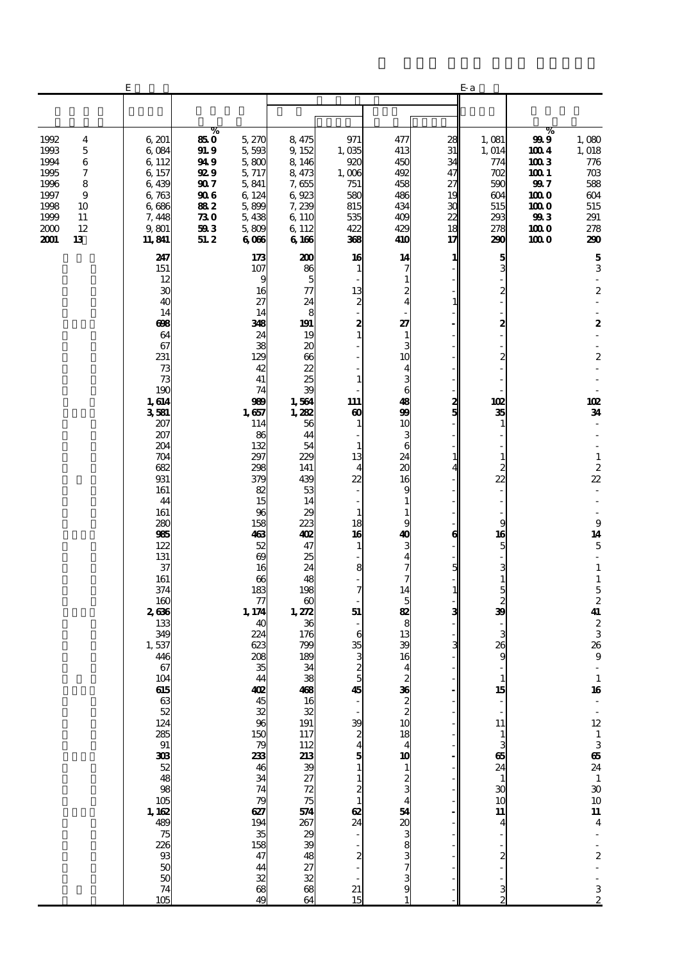|                                                                              |                                                              | Е                                                                                                                                                                                                                                                                 |                                                                                      |                                                                                                                                                                                                                                                                               |                                                                                                                                                                                                                                                                                                                                    |                                                                                                                                                                                                                                          |                                                                                                                                                                                                                                                                                            |                                                                 | E-a                                                                                                                                                                                                         |                                                                                   |                                                                                                                                                                                                                                                                                                                                                                                                                |
|------------------------------------------------------------------------------|--------------------------------------------------------------|-------------------------------------------------------------------------------------------------------------------------------------------------------------------------------------------------------------------------------------------------------------------|--------------------------------------------------------------------------------------|-------------------------------------------------------------------------------------------------------------------------------------------------------------------------------------------------------------------------------------------------------------------------------|------------------------------------------------------------------------------------------------------------------------------------------------------------------------------------------------------------------------------------------------------------------------------------------------------------------------------------|------------------------------------------------------------------------------------------------------------------------------------------------------------------------------------------------------------------------------------------|--------------------------------------------------------------------------------------------------------------------------------------------------------------------------------------------------------------------------------------------------------------------------------------------|-----------------------------------------------------------------|-------------------------------------------------------------------------------------------------------------------------------------------------------------------------------------------------------------|-----------------------------------------------------------------------------------|----------------------------------------------------------------------------------------------------------------------------------------------------------------------------------------------------------------------------------------------------------------------------------------------------------------------------------------------------------------------------------------------------------------|
|                                                                              |                                                              |                                                                                                                                                                                                                                                                   |                                                                                      |                                                                                                                                                                                                                                                                               |                                                                                                                                                                                                                                                                                                                                    |                                                                                                                                                                                                                                          |                                                                                                                                                                                                                                                                                            |                                                                 |                                                                                                                                                                                                             |                                                                                   |                                                                                                                                                                                                                                                                                                                                                                                                                |
| 1992<br>1993<br>1994<br>1995<br>1996<br>1997<br>1998<br>1999<br>2000<br>2001 | 4<br>$\mathbf 5$<br>6<br>7<br>8<br>9<br>10<br>11<br>12<br>13 | 6,201<br>6,084<br>6 1 1 2<br>6,157<br>6,439<br>6,763<br>6,686<br>7,448<br>9,801<br>11,841                                                                                                                                                                         | %<br>850<br><b>91.9</b><br>94 9<br>92 9<br>90 7<br>906<br>882<br>730<br>593<br>51. 2 | 5,270<br>5,593<br>5,800<br>5,717<br>5,841<br>6 124<br>5,899<br>5,438<br>5,809<br>6066                                                                                                                                                                                         | 8,475<br>9,152<br>8,146<br>8,473<br>7,655<br>6,923<br>7,239<br>6,110<br>6,112<br>6166                                                                                                                                                                                                                                              | 971<br>1,035<br>920<br>1,006<br>751<br>580<br>815<br>535<br>422<br>368                                                                                                                                                                   | 477<br>413<br>450<br>492<br>458<br>486<br>434<br>409<br>429<br>410                                                                                                                                                                                                                         | 28<br>31<br>34<br>47<br>27<br>19<br>30<br>22<br>18<br>17        | 1,081<br>1, 014<br>774<br>702<br>590<br>604<br>515<br>293<br>278<br>290                                                                                                                                     | %<br>999<br>1004<br>1003<br>1001<br>99 7<br>100 O<br>100 O<br>993<br>1000<br>1000 | 1,080<br>1,018<br>776<br>703<br>588<br>604<br>515<br>291<br>278<br>290                                                                                                                                                                                                                                                                                                                                         |
|                                                                              |                                                              | 247<br>151<br>12<br>30<br>40<br>14<br>698<br>64<br>67<br>231<br>73<br>73<br>190<br>1,614<br>3581<br>207<br>207<br>204<br>704<br>682<br>931<br>161<br>44<br>161<br>280<br>985<br>122<br>131<br>37<br>161<br>374<br>160<br>2636<br>133<br>349<br>1,537<br>446<br>67 |                                                                                      | 173<br>107<br>9<br>16<br>27<br>14<br>348<br>24<br>38<br>129<br>42<br>41<br>74<br>989<br>1,657<br>114<br>86<br>132<br>297<br>298<br>379<br>82<br>15<br>96<br>158<br>463<br>52<br>69<br>16<br>66<br>183<br>77<br>1,174<br>40<br>224<br>623<br>208<br>35<br>$48.88$ $48.8$ $150$ | 200<br>86<br>5<br>77<br>24<br>8<br>191<br>19<br>20<br>$\boldsymbol{\alpha}$<br>22<br>25<br>39<br>1,564<br>1,282<br>56<br>44<br>54<br>229<br>141<br>439<br>53<br>14<br>29<br>223<br>402<br>47<br>25<br>24<br>48<br>198<br>$\boldsymbol{\omega}$<br>1,272<br>36<br>176<br>799<br>189<br>34<br>38<br>408<br>16<br>32<br>19<br>11<br>7 | 16<br>1<br>13<br>$\boldsymbol{z}$<br>2<br>$\mathbf{1}$<br>1<br>111<br>$\boldsymbol{\omega}$<br>1<br>1<br>13<br>$\overline{4}$<br>22<br>1<br>18<br>16<br>$\mathbf{1}$<br>8<br>7<br>51<br>6<br>35<br>$\frac{3}{2}$<br>$\overline{5}$<br>45 | 14<br>7<br>1<br>$\boldsymbol{z}$<br>4<br>27<br>$\mathbf{1}$<br>3<br>10<br>4<br>3<br>6<br>48<br>99<br>10<br>3<br>6<br>24<br>$\alpha$<br>16<br>9<br>1<br>1<br>g<br>40<br>з<br>4<br>7<br>14<br>5<br>82<br>8<br>13<br>39<br>16<br>$\overline{\mathbf{4}}$<br>$\frac{2}{10}$ to $\frac{33}{10}$ | 1<br>1<br>2<br>5<br>$\mathbf{1}$<br>6<br>5<br>$\mathbf{1}$<br>3 | 5<br>3<br>2<br>2<br>102<br>35<br>1<br>$\mathbf{1}$<br>$\boldsymbol{z}$<br>22<br>9<br>16<br>5<br>3<br>$\mathbf{1}$<br>$\frac{5}{2}$<br>$\ddot{\mathbf{B}}$<br>3<br>26<br>9<br>$\mathbf{1}$<br>$\frac{15}{1}$ |                                                                                   | $\mathbf 5$<br>3<br>$\overline{\phantom{a}}$<br>$\boldsymbol{2}$<br>$\boldsymbol{2}$<br>$\boldsymbol{2}$<br>102<br>34<br>÷<br>$\mathbf 1$<br>$rac{2}{22}$<br>÷,<br>$\boldsymbol{9}$<br>14<br>$\mathbf 5$<br>$\overline{\phantom{a}}$<br>$\mathbf 1$<br>$\mathbf 1$<br>$\frac{5}{2}$<br>41<br>$\frac{2}{3}$<br>36<br>$\boldsymbol{9}$<br>$\frac{1}{16}$<br>$\overline{\phantom{a}}$<br>$\overline{\phantom{a}}$ |
|                                                                              |                                                              |                                                                                                                                                                                                                                                                   |                                                                                      | $\frac{79}{233}$<br>46<br>34<br>74<br>79<br>627<br>$\frac{194}{35}$<br>$\frac{158}{47}$<br>$\frac{44}{38}$                                                                                                                                                                    |                                                                                                                                                                                                                                                                                                                                    | $\begin{array}{c} 39 \\ 2 \\ 4 \\ 5 \end{array}$<br>$\mathbf{1}$<br>$\frac{1}{2}$ $\frac{1}{62}$ $\frac{1}{24}$<br>$\overline{\mathbf{c}}$<br>21<br>15                                                                                   | 18<br>4<br>10<br>$\mathbf{1}$<br>$\frac{2}{3}$<br>54<br>$rac{20}{3}$<br>8<br>9                                                                                                                                                                                                             |                                                                 | 11<br>$\frac{1}{3}$ 65 24 $\frac{1}{3}$ 30 10<br>11<br>$\overline{4}$<br>3                                                                                                                                  |                                                                                   | $12 \text{ }$<br>$\frac{1}{3}$ 65 $24$ $\frac{1}{3}$ 30 $10$ 11<br>$\overline{\mathbf{4}}$<br>$\frac{1}{2}$<br>$\Box$<br>3<br>$\overline{c}$                                                                                                                                                                                                                                                                   |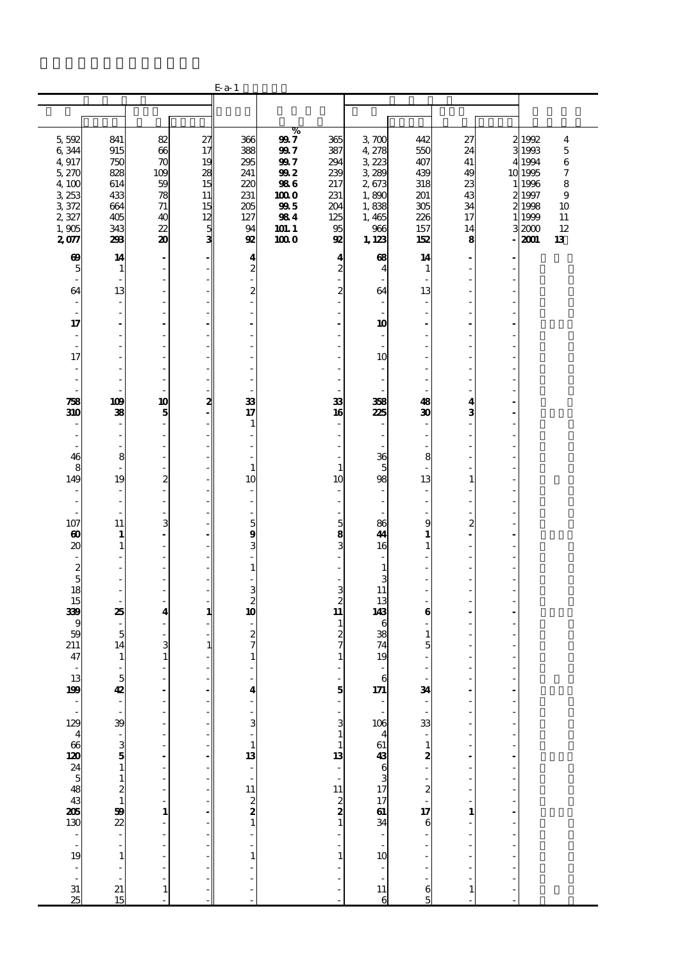|                                                                                                           |                                                             |                                                                                             |                                  | $E$ a-1                                                               |                                                 |                                                          |                                                  |                                        |                                  |                                                          |                                                     |
|-----------------------------------------------------------------------------------------------------------|-------------------------------------------------------------|---------------------------------------------------------------------------------------------|----------------------------------|-----------------------------------------------------------------------|-------------------------------------------------|----------------------------------------------------------|--------------------------------------------------|----------------------------------------|----------------------------------|----------------------------------------------------------|-----------------------------------------------------|
|                                                                                                           |                                                             |                                                                                             |                                  |                                                                       |                                                 |                                                          |                                                  |                                        |                                  |                                                          |                                                     |
|                                                                                                           |                                                             |                                                                                             |                                  |                                                                       |                                                 |                                                          |                                                  |                                        |                                  |                                                          |                                                     |
| 5,592<br>6,344<br>4,917<br>5,270<br>4,100<br>3 253                                                        | 841<br>915<br>750<br>828<br>614<br>433                      | 82<br>66<br>$\pi$<br>10 <sup>o</sup><br>59<br>78                                            | 27<br>17<br>19<br>28<br>15<br>11 | 366<br>388<br>295<br>241<br>220<br>231                                | %<br>99 7<br>99 7<br>997<br>992<br>986<br>100 O | 365<br>387<br>294<br>239<br>217<br>231                   | 3700<br>4,278<br>3223<br>3 289<br>2,673<br>1,890 | 442<br>550<br>407<br>439<br>318<br>201 | 27<br>24<br>41<br>49<br>23<br>43 | 2 1992<br>31993<br>4 1994<br>10 1995<br>1 1996<br>2 1997 | 4<br>$\mathbf 5$<br>$\,6$<br>7<br>8<br>$\mathbf{9}$ |
| 3,372<br>2,327<br>1,905<br>2077                                                                           | 664<br>405<br>343<br>298                                    | 71<br>40<br>22<br>20                                                                        | 15<br>12<br>5<br>3               | 205<br>127<br>94<br>92                                                | 995<br>984<br>101.1<br>100 O                    | 204<br>125<br>95<br>92                                   | 1,838<br>1,465<br>966<br>1, 123                  | 305<br>226<br>157<br>152               | 34<br>17<br>14<br>8<br>÷.        | 2 1998<br>1999<br>32000<br>2001                          | 10<br>11<br>12<br>13                                |
| 69<br>5<br>$\overline{\phantom{a}}$<br>64<br>÷,                                                           | 14<br>1<br>$\overline{a}$<br>13<br>÷,                       | ٠<br>$\overline{\phantom{a}}$<br>$\qquad \qquad \blacksquare$<br>$\overline{\phantom{a}}$   | ٠                                | 4<br>$\boldsymbol{2}$<br>$\overline{\phantom{a}}$<br>$\boldsymbol{2}$ |                                                 | 4<br>$\overline{c}$<br>$\overline{c}$                    | $\bf{68}$<br>4<br>64                             | 14<br>-1<br>13                         | ÷,<br>J.                         |                                                          |                                                     |
| ÷,<br>17<br>$\overline{\phantom{a}}$<br>$\overline{a}$<br>17                                              | $\overline{\phantom{a}}$<br>$\overline{\phantom{a}}$<br>٠   | ÷<br>$\blacksquare$<br>$\overline{\phantom{a}}$                                             |                                  | ÷.<br>ä,<br>$\overline{a}$<br>L,                                      |                                                 | ÷,<br>ä,                                                 | 10<br>10                                         |                                        | ä,<br>Ĭ.                         |                                                          |                                                     |
| ÷,<br>٠<br>758<br>310                                                                                     | ÷.<br>109<br>38                                             | ÷<br>$\overline{\phantom{a}}$<br>10<br>5                                                    | 2                                | J.<br>٠<br>33<br>17                                                   |                                                 | 33<br>16                                                 | 38<br>225                                        | 48<br>30                               | ä,<br>ä,<br>4<br>3               |                                                          |                                                     |
| ٠<br>46<br>8                                                                                              | $\overline{\phantom{a}}$<br>8<br>÷,                         | ٠<br>$\overline{\phantom{a}}$<br>$\overline{\phantom{a}}$<br>$\overline{\phantom{a}}$<br>ä, |                                  | 1<br>٠<br>$\frac{1}{2}$<br>÷,<br>$\mathbf{1}$                         |                                                 | $\mathbf{1}$                                             | 36<br>5                                          | ٠<br>8                                 | $\overline{a}$<br>Ĭ.<br>÷,       |                                                          |                                                     |
| 149<br>٠<br>107                                                                                           | 19<br>$\overline{\phantom{a}}$<br>$\overline{a}$<br>11      | $\overline{\mathbf{c}}$<br>٠<br>$\overline{\phantom{a}}$<br>$\overline{\phantom{a}}$<br>3   | ٠                                | 10<br>$\overline{\phantom{a}}$<br>$\overline{\phantom{m}}$<br>÷,<br>5 |                                                 | 10<br>ä,<br>$\overline{\phantom{0}}$<br>5                | 98<br>86                                         | 13<br>g                                | $\mathbf{1}$<br>ä,<br>Ĭ.<br>2    |                                                          |                                                     |
| 60<br>20<br>$\overline{\phantom{a}}$<br>$\begin{array}{c} 2 \\ 5 \\ 18 \end{array}$                       | 1<br>1<br>÷,                                                | $\sim$<br>$\sim$<br>$\qquad \qquad \blacksquare$<br>$\overline{a}$                          |                                  | 9<br>3<br>$\overline{\phantom{a}}$<br>$\mathbf{1}$                    |                                                 | $\frac{8}{3}$                                            | 44<br>16<br>1<br>3                               | 1<br>1                                 | L.<br>L,<br>ä,                   |                                                          |                                                     |
| 15<br>339<br>9<br>59                                                                                      | $\overline{\phantom{a}}$<br>٠<br>25<br>5                    | $\overline{\phantom{a}}$<br>$\sim$<br>4                                                     | 1                                | $\frac{3}{2}$<br>10                                                   |                                                 | $\frac{3}{2}$<br>$\overline{\mathbf{u}}$<br>$\mathbf{1}$ | 11<br>13<br>143<br>6<br>38                       | 6<br>$\mathbf{1}$                      | ä,                               |                                                          |                                                     |
| 211<br>47<br>$\overline{\phantom{a}}$<br>$\frac{13}{199}$                                                 | 14<br>1<br>$\overline{\phantom{a}}$<br>5<br>42              | 3<br>$\mathbf{1}$<br>$\overline{\phantom{a}}$                                               | 1                                | $\frac{2}{7}$<br>$\mathbf{1}$<br>i,<br>4                              |                                                 | $\frac{2}{7}$                                            | 74<br>19<br>6<br>171                             | 5<br>34                                |                                  |                                                          |                                                     |
|                                                                                                           | 39                                                          |                                                                                             |                                  | 3                                                                     |                                                 | $\frac{5}{1}$<br>3<br>$\mathbf{1}$                       | 106                                              | 33                                     |                                  |                                                          |                                                     |
|                                                                                                           | 5 ს<br>$\mathbf{1}$<br>$\mathbf{1}$<br>$\frac{2}{1}$        |                                                                                             |                                  | $\mathbf{1}$<br>$\frac{13}{1}$                                        |                                                 | 1<br>13<br>÷                                             | $461$ 438 6 3 17 17 61 34                        | $\mathbf{1}$<br>2<br>$\frac{2}{1}$     |                                  |                                                          |                                                     |
| $\frac{129}{460}$ $\frac{460}{400}$ $\frac{245}{400}$ $\frac{460}{400}$ $\frac{345}{100}$ $\frac{1}{100}$ | $\begin{array}{c}\n 39 \\  22 \\  \hline\n 0\n \end{array}$ | $\mathbf{1}$                                                                                |                                  | $\begin{bmatrix} 11 \\ 2 \\ 2 \\ 1 \end{bmatrix}$                     |                                                 | $\begin{array}{c} 11 \\ 2 \\ 2 \\ 1 \end{array}$         |                                                  | 17<br>6                                | 1                                |                                                          |                                                     |
| $\frac{1}{31}$<br>$\overline{25}$                                                                         | $\mathbf{1}$<br>21<br>15                                    | $\mathbf{1}$                                                                                |                                  | $\mathbf{1}$                                                          |                                                 | $\mathbf{1}$                                             | 10<br>$\overline{11}$<br>6                       | 6<br>F                                 | $\mathbf{1}$                     |                                                          |                                                     |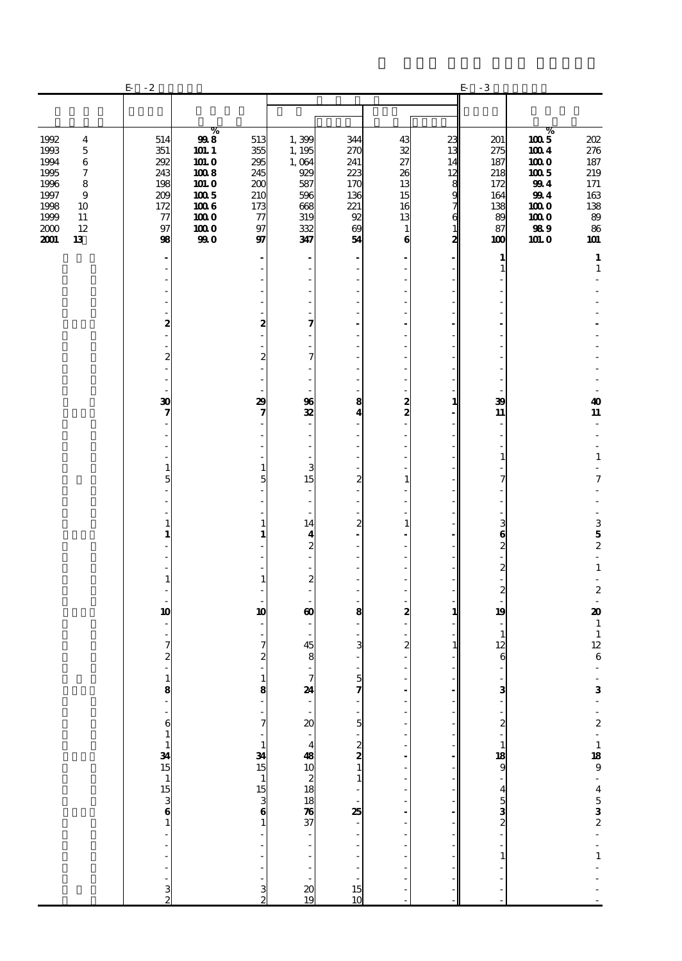|                                                                                                                                                             | $-2$<br>E                                                       |                                                                                    |                                                                    |                                                                           |                                                                 |                                                        |                                                                            | $\cdot\,3$<br>E                                                  |                                                                                 |                                                                          |
|-------------------------------------------------------------------------------------------------------------------------------------------------------------|-----------------------------------------------------------------|------------------------------------------------------------------------------------|--------------------------------------------------------------------|---------------------------------------------------------------------------|-----------------------------------------------------------------|--------------------------------------------------------|----------------------------------------------------------------------------|------------------------------------------------------------------|---------------------------------------------------------------------------------|--------------------------------------------------------------------------|
|                                                                                                                                                             |                                                                 |                                                                                    |                                                                    |                                                                           |                                                                 |                                                        |                                                                            |                                                                  |                                                                                 |                                                                          |
| 1992<br>$\boldsymbol{4}$<br>1993<br>$\mathbf 5$<br>1994<br>6<br>1995<br>7<br>1996<br>8<br>1997<br>9<br>1998<br>10<br>1999<br>11<br>2000<br>12<br>2001<br>13 | 514<br>351<br>292<br>243<br>198<br>209<br>172<br>77<br>97<br>98 | %<br>998<br>101.1<br>101.0<br>1008<br>101.0<br>1005<br>1006<br>1000<br>1000<br>990 | 513<br>355<br>295<br>245<br>200<br>210<br>173<br>77<br>97<br>97    | 1,399<br>1, 195<br>1,064<br>929<br>587<br>596<br>668<br>319<br>332<br>347 | 344<br>270<br>241<br>223<br>170<br>136<br>221<br>92<br>69<br>54 | 43<br>32<br>27<br>26<br>13<br>15<br>16<br>13<br>1<br>6 | 23<br>13<br>14<br>12<br>$\frac{8}{2}$<br>$\mathbf{6}$<br>$\mathbf{1}$<br>2 | 201<br>275<br>187<br>218<br>172<br>164<br>138<br>89<br>87<br>100 | %<br>1005<br>1004<br>1000<br>1005<br>994<br>994<br>1000<br>1000<br>989<br>101.0 | $202\,$<br>276<br>187<br>219<br>171<br>163<br>138<br>$8\!9$<br>86<br>101 |
|                                                                                                                                                             | $\overline{a}$                                                  |                                                                                    |                                                                    |                                                                           |                                                                 |                                                        |                                                                            | $\mathbf{1}$<br>1                                                |                                                                                 | $\mathbf{1}$<br>$\mathbf 1$                                              |
|                                                                                                                                                             |                                                                 |                                                                                    |                                                                    |                                                                           |                                                                 |                                                        |                                                                            |                                                                  |                                                                                 |                                                                          |
|                                                                                                                                                             | 2                                                               |                                                                                    | 2                                                                  | 7                                                                         |                                                                 | ٠                                                      |                                                                            |                                                                  |                                                                                 |                                                                          |
|                                                                                                                                                             | 2                                                               |                                                                                    | 2                                                                  | 7                                                                         |                                                                 |                                                        |                                                                            |                                                                  |                                                                                 |                                                                          |
|                                                                                                                                                             | 30<br>7                                                         |                                                                                    | 29<br>7                                                            | 96<br>32                                                                  | 8<br>4                                                          | 2<br>$\overline{z}$                                    | 1                                                                          | 39<br>11                                                         |                                                                                 | 40<br>${\bf 11}$                                                         |
|                                                                                                                                                             |                                                                 |                                                                                    |                                                                    |                                                                           |                                                                 | J.                                                     |                                                                            |                                                                  |                                                                                 | ÷                                                                        |
|                                                                                                                                                             | 1<br>5                                                          |                                                                                    | 1<br>5                                                             | 3<br>15                                                                   | 2                                                               | $\mathbf{1}$                                           |                                                                            | 1                                                                |                                                                                 | $\mathbf 1$<br>÷,<br>$\boldsymbol{7}$                                    |
|                                                                                                                                                             |                                                                 |                                                                                    |                                                                    | $\overline{\phantom{a}}$                                                  |                                                                 |                                                        |                                                                            |                                                                  |                                                                                 |                                                                          |
|                                                                                                                                                             | 1<br>1                                                          |                                                                                    | 1<br>$\mathbf{1}$                                                  | 14<br>$\overline{\mathbf{4}}$                                             | 2                                                               | 1                                                      |                                                                            | 3<br>$\boldsymbol{6}$                                            |                                                                                 | $\frac{3}{5}$                                                            |
|                                                                                                                                                             |                                                                 |                                                                                    |                                                                    | $\boldsymbol{z}$<br>$\overline{\phantom{a}}$                              |                                                                 | ٠                                                      |                                                                            | $\overline{c}$<br>÷,<br>$\overline{\mathbf{c}}$                  |                                                                                 | $\overline{c}$<br>$\overline{\phantom{a}}$<br>$\mathbf 1$                |
|                                                                                                                                                             | 1                                                               |                                                                                    | 1                                                                  | $\overline{c}$                                                            |                                                                 |                                                        |                                                                            | $\boldsymbol{z}$                                                 |                                                                                 | ä,<br>$\boldsymbol{2}$<br>$\overline{\phantom{a}}$                       |
|                                                                                                                                                             | 10                                                              |                                                                                    | 10                                                                 | $\boldsymbol{\omega}$                                                     | 8                                                               | 2                                                      | 1                                                                          | 19<br>$\mathbf{1}$                                               |                                                                                 | $\boldsymbol{\boldsymbol{\mathrm{20}}}$<br>$\mathbf 1$                   |
|                                                                                                                                                             | 7<br>2                                                          |                                                                                    | 7<br>2                                                             | 45<br>8                                                                   | 3                                                               | $\overline{c}$                                         | 11                                                                         | 12<br>6                                                          |                                                                                 | $\frac{1}{12}$<br>$\,6$                                                  |
|                                                                                                                                                             | $\overline{a}$<br>$\begin{bmatrix} 1 \\ 8 \end{bmatrix}$        |                                                                                    | $\overline{\phantom{a}}$<br>$\begin{bmatrix} 1 \\ 8 \end{bmatrix}$ | $\sim$<br>$\begin{array}{c} 7 \\ 24 \end{array}$                          | $\frac{5}{7}$                                                   |                                                        |                                                                            | $\overline{\phantom{a}}$                                         |                                                                                 | $\mathcal{L}_{\mathcal{A}}$<br>$\frac{3}{1}$                             |
|                                                                                                                                                             |                                                                 |                                                                                    | 7                                                                  |                                                                           | 5                                                               |                                                        |                                                                            |                                                                  |                                                                                 |                                                                          |
|                                                                                                                                                             | $611$<br>$34151$<br>$1536$<br>$1$                               |                                                                                    |                                                                    | 20 - 4 48 10 2 18 18 76 37 - -                                            | $\begin{array}{c} 2 \\ 2 \\ 1 \end{array}$                      |                                                        |                                                                            | $3 - 2 - 189$                                                    |                                                                                 |                                                                          |
|                                                                                                                                                             |                                                                 |                                                                                    |                                                                    |                                                                           | $\mathbf{1}$                                                    |                                                        |                                                                            |                                                                  |                                                                                 |                                                                          |
|                                                                                                                                                             |                                                                 |                                                                                    | $\frac{1}{31}$ 15<br>15<br>3<br>6<br>1                             |                                                                           | $\frac{1}{25}$                                                  |                                                        |                                                                            | $-200$ $\mu$                                                     |                                                                                 |                                                                          |
|                                                                                                                                                             |                                                                 |                                                                                    | ÷,                                                                 |                                                                           |                                                                 |                                                        |                                                                            | $\mathbf{1}$                                                     |                                                                                 | $-2$ $-1$ 18 9 $-4$ 5 3 2 $ -1$                                          |
|                                                                                                                                                             | $\frac{1}{2}$                                                   |                                                                                    |                                                                    | i,                                                                        |                                                                 |                                                        |                                                                            |                                                                  |                                                                                 | L,                                                                       |
|                                                                                                                                                             | $\frac{3}{2}$                                                   |                                                                                    | $\frac{3}{2}$                                                      | $\frac{20}{19}$                                                           | 15<br>10                                                        |                                                        |                                                                            |                                                                  |                                                                                 |                                                                          |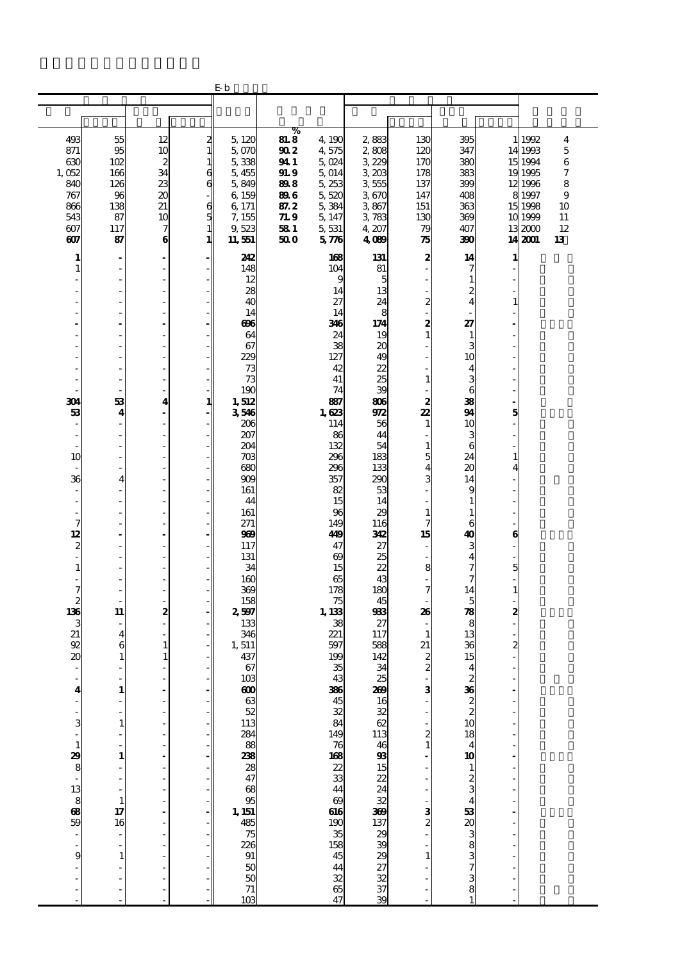|                  |          |                   |                                            | Еb                                                     |                     |                             |                  |                |                                              |              |                   |        |
|------------------|----------|-------------------|--------------------------------------------|--------------------------------------------------------|---------------------|-----------------------------|------------------|----------------|----------------------------------------------|--------------|-------------------|--------|
|                  |          |                   |                                            |                                                        |                     |                             |                  |                |                                              |              |                   |        |
|                  |          |                   |                                            |                                                        |                     |                             |                  |                |                                              |              |                   |        |
|                  |          |                   |                                            |                                                        | %                   |                             |                  |                |                                              |              |                   |        |
| 493<br>871       | 55<br>95 | 12<br>10          | $\frac{2}{1}$                              | 5,120<br>5,070                                         | <b>81.8</b><br>90 2 | 4, 190<br>4,575             | 2,883<br>2,808   | 130<br>120     | 395<br>347                                   |              | 1 1992<br>14 1993 | 4<br>5 |
| 630              | 102      | $\boldsymbol{2}$  | $\mathbf{1}$                               | 5,338                                                  | 94 1                | 5,024                       | 3,229            | 170            | 380                                          |              | 15 1994           | 6      |
| 1,052            | 166      | 34                | $\epsilon$                                 | 5,455                                                  | 91. 9               | 5,014                       | 3,203            | 178            | 383                                          |              | 19 19 95          | 7      |
| 840              | 126      | 23                | $\epsilon$                                 | 5,849                                                  | 898                 | 5,253                       | 3555             | 137            | 399                                          |              | 12 1996           | 8      |
| 767              | 96       | 20                |                                            | 6, 159                                                 | 89 G                | 5,520                       | 3670             | 147            | 408                                          |              | 8 1997            | 9      |
| 866              | 138      | 21                |                                            | 6, 171                                                 | 87. 2               | 5,384                       | 3867             | 151            | 363                                          |              | 15 1998           | 10     |
| 543              | 87       | 10                | $\begin{array}{c} 6 \\ 5 \\ 1 \end{array}$ | 7, 155                                                 | 71.9                | 5, 147                      | 3,783            | 130            | 369                                          |              | 10 1999           | 11     |
| 607              | 117      | 7                 |                                            | 9,523                                                  | 58 1                | 5,531                       | 4, 207           | 79             | 407                                          |              | 132000            | 12     |
| 607              | 87       | $\bf{6}$          | 1                                          | 11,551                                                 | 50 O                | 576                         | 4089             | 75             | 390                                          |              | 14 2001           | 13     |
| 1                | ٠        | ä,                |                                            | 242                                                    |                     | 168                         | 131              | 2              | 14                                           | 1            |                   |        |
| $\mathbf{1}$     | J.       | ä,                |                                            | 148                                                    |                     | 104                         | 81               |                | 7                                            |              |                   |        |
|                  |          | ÷,                |                                            | 12                                                     |                     | 9                           | 5                |                | $\mathbf{1}$                                 |              |                   |        |
|                  |          | L,                |                                            | 28                                                     |                     | 14                          | 13               |                | 2                                            |              |                   |        |
|                  |          |                   |                                            | 40                                                     |                     | 27                          | 24               | 2              | 4                                            |              |                   |        |
|                  |          | ä,                |                                            | 14                                                     |                     | 14                          | 8                |                |                                              |              |                   |        |
|                  |          | Ĭ.                |                                            | 696                                                    |                     | 346                         | 174              | 2              | 27                                           |              |                   |        |
|                  |          |                   |                                            | 64                                                     |                     | 24                          | 19               | $\mathbf{1}$   | $\mathbf{1}$                                 |              |                   |        |
|                  |          | ä,                |                                            | 67<br>229                                              |                     | 38<br>127                   | 20<br>49         |                | 3<br>10                                      |              |                   |        |
|                  |          | ä,                |                                            | 73                                                     |                     | 42                          | 22               |                | 4                                            |              |                   |        |
|                  |          | ä,                |                                            | 73                                                     |                     | 41                          | 25               | 1              | 3                                            |              |                   |        |
|                  |          | ÷,                |                                            | 190                                                    |                     | 74                          | 39               |                | 6                                            |              |                   |        |
| 304              | 53       | 4                 | 1                                          | 1,512                                                  |                     | 887                         | 806              | 2              | 38                                           |              |                   |        |
| 53               | 4        |                   |                                            | 3546                                                   |                     | 1,623                       | 972              | 22             | 94                                           | 5            |                   |        |
|                  |          | ä,                |                                            | 206                                                    |                     | 114                         | 56               | $\mathbf{1}$   | 10                                           |              |                   |        |
| ٠                |          | L,                |                                            | 207                                                    |                     | 86                          | 44               |                | 3                                            |              |                   |        |
|                  | í,       | ÷,<br>L,          |                                            | 204                                                    |                     | 132<br>296                  | 54<br>183        | 1<br>5         | 6<br>24                                      | 1            |                   |        |
| 10               |          |                   |                                            | 703<br>68C                                             |                     | 296                         | 133              | 4              | 20                                           | 4            |                   |        |
| 36               | 4        | ä,                |                                            | 909                                                    |                     | 357                         | 290              | 3              | 14                                           |              |                   |        |
| ÷,               |          | ä,                |                                            | 161                                                    |                     | 82                          | 53               |                | 9                                            |              |                   |        |
|                  |          | ÷,                |                                            | 44                                                     |                     | 15                          | 14               |                | $\mathbf{1}$                                 |              |                   |        |
|                  |          | L,                |                                            | 161                                                    |                     | 96                          | 29               | 1              | $\mathbf{1}$                                 |              |                   |        |
| 7                |          |                   |                                            | 271                                                    |                     | 149                         | 116              | 7              | 6                                            |              |                   |        |
| 12               |          | ä,                |                                            | 969                                                    |                     | 49                          | 312              | 15             | 40                                           | 6            |                   |        |
| 2<br>i,          |          | ÷,                |                                            | 117                                                    |                     | 47<br>$\boldsymbol{\omega}$ | 27<br>25         |                | 3<br>4                                       |              |                   |        |
| $\mathbf{1}$     |          | L,                |                                            | 131<br>34                                              |                     | 15                          | 22               | 8              | 7                                            | 5            |                   |        |
|                  |          |                   |                                            | 160                                                    |                     | 65                          | 43               |                | 7                                            |              |                   |        |
| 7                |          | ä,                |                                            | 369                                                    |                     | 178                         | 180              | 7              | 14                                           | $\mathbf{1}$ |                   |        |
| $\boldsymbol{z}$ | J.       | ÷,                |                                            | 158                                                    |                     | 75                          | 45               |                | 5                                            |              |                   |        |
| 136              | 11       | 2                 |                                            | 2,597                                                  |                     | 1, 133                      | 983              | 26             | 78                                           | 2            |                   |        |
| 3                |          | $\overline{a}$    |                                            | 133                                                    |                     | 38                          | 27               |                | 8                                            |              |                   |        |
| 21               | 4        |                   |                                            | 346                                                    |                     | 221                         | 117              | 1              | 13                                           |              |                   |        |
| 92<br>20         | 6<br>1   | $\mathbf{1}$<br>1 |                                            | 1,511<br>437                                           |                     | 597<br>199                  | 588<br>142       | 21<br>2        | 36<br>15                                     | 2            |                   |        |
|                  |          |                   |                                            | 67                                                     |                     | 35                          | 34               | $\overline{c}$ | $\overline{\mathbf{4}}$                      |              |                   |        |
|                  |          |                   |                                            | 103                                                    |                     | 43                          |                  |                |                                              |              |                   |        |
| 4                | 1        |                   |                                            | 600                                                    |                     | 366                         | $\frac{25}{209}$ | 3              |                                              |              |                   |        |
|                  |          |                   |                                            | $\boldsymbol{\omega}$                                  |                     | $rac{45}{32}$               | 16               |                | $\frac{36}{2}$<br>$\frac{2}{10}$             |              |                   |        |
|                  |          |                   |                                            | $\frac{52}{113}$                                       |                     |                             | 32               |                |                                              |              |                   |        |
| 3                | 1        |                   |                                            |                                                        |                     | 84                          | 62               |                |                                              |              |                   |        |
|                  |          |                   |                                            | 284<br>288<br>238                                      |                     | 149<br>168<br>22<br>33      | 113              | 2              | 18<br>$\overline{\mathbf{4}}$                |              |                   |        |
| 1                | 1        |                   |                                            |                                                        |                     |                             | $\frac{46}{93}$  |                | 10                                           |              |                   |        |
| 29<br>8          |          |                   |                                            |                                                        |                     |                             | 15               |                | $\mathbf{1}$                                 |              |                   |        |
|                  |          |                   |                                            | 28<br>47                                               |                     |                             | 22               |                |                                              |              |                   |        |
|                  |          |                   |                                            |                                                        |                     | 44                          | 24               |                | $\frac{2}{3}$                                |              |                   |        |
| $\frac{13}{59}$  | 1        |                   |                                            | $\begin{array}{c}\n 68 \\  95 \\  1,151\n \end{array}$ |                     | $\boldsymbol{\omega}$       | 32               |                | 4                                            |              |                   |        |
|                  | 17       |                   |                                            |                                                        |                     | 616                         | 369              | з              |                                              |              |                   |        |
|                  | 16       |                   |                                            | 485<br>75                                              |                     | $\frac{190}{35}$            | $\frac{137}{29}$ |                | $\begin{array}{c} 53 \\ 20 \\ 3 \end{array}$ |              |                   |        |
|                  |          |                   |                                            |                                                        |                     |                             |                  |                |                                              |              |                   |        |
| 9                | 1        |                   |                                            | 226<br>91                                              |                     | $\frac{158}{45}$            | 39<br>29         |                | 8<br>3                                       |              |                   |        |
|                  |          |                   |                                            |                                                        |                     |                             |                  |                | 7                                            |              |                   |        |
|                  |          |                   |                                            | $\frac{50}{71}$                                        |                     | 48 38 46                    | 27<br>32<br>39   |                | 3                                            |              |                   |        |
|                  |          |                   |                                            |                                                        |                     |                             |                  |                | 8                                            |              |                   |        |
|                  |          |                   |                                            | 103                                                    |                     | 47                          |                  |                |                                              |              |                   |        |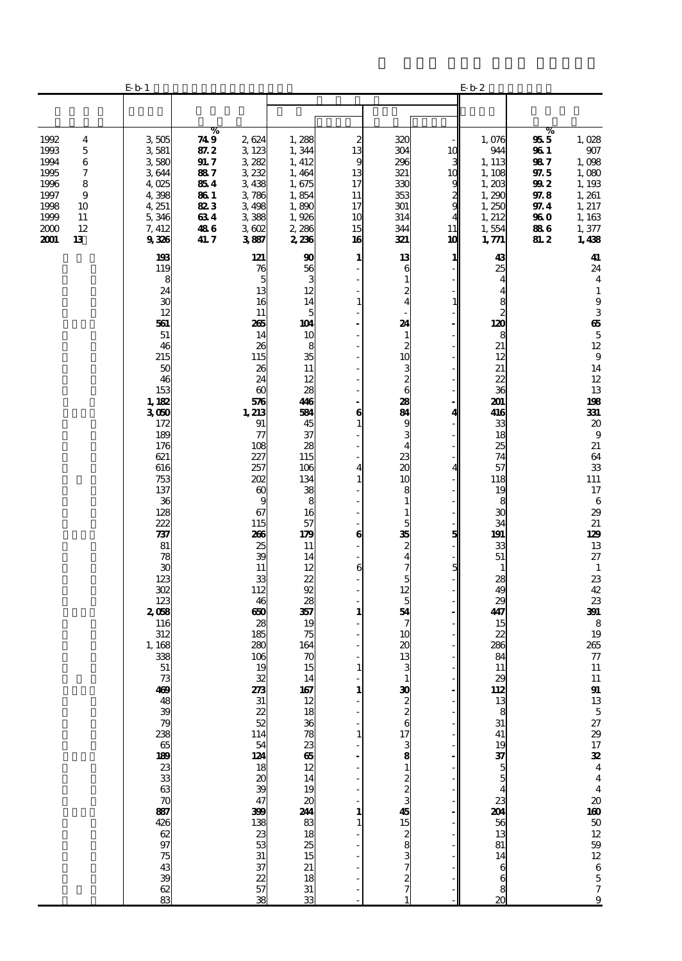|                                                                                                                                    | E b 1                                                                                                                                                                                    |                                                                               |                                                                                                                                                                                                              |                                                                                                                                                                         |                                                                                                                                                      |                                                                                                                                                                                                      |                                                      | E <sub>b</sub> 2                                                                                                                                                                                   |                                                                                       |                                                                                                                                                                                                                                                                  |
|------------------------------------------------------------------------------------------------------------------------------------|------------------------------------------------------------------------------------------------------------------------------------------------------------------------------------------|-------------------------------------------------------------------------------|--------------------------------------------------------------------------------------------------------------------------------------------------------------------------------------------------------------|-------------------------------------------------------------------------------------------------------------------------------------------------------------------------|------------------------------------------------------------------------------------------------------------------------------------------------------|------------------------------------------------------------------------------------------------------------------------------------------------------------------------------------------------------|------------------------------------------------------|----------------------------------------------------------------------------------------------------------------------------------------------------------------------------------------------------|---------------------------------------------------------------------------------------|------------------------------------------------------------------------------------------------------------------------------------------------------------------------------------------------------------------------------------------------------------------|
|                                                                                                                                    |                                                                                                                                                                                          |                                                                               |                                                                                                                                                                                                              |                                                                                                                                                                         |                                                                                                                                                      |                                                                                                                                                                                                      |                                                      |                                                                                                                                                                                                    |                                                                                       |                                                                                                                                                                                                                                                                  |
| 1992<br>4<br>1993<br>5<br>1994<br>6<br>1995<br>7<br>1996<br>8<br>1997<br>9<br>1998<br>10<br>1999<br>11<br>12<br>2000<br>2001<br>13 | 3505<br>3581<br>3,580<br>3644<br>4,025<br>4,398<br>4, 251<br>5,346<br>7, 412<br>9336                                                                                                     | %<br>74 9<br>87.2<br>91. 7<br>887<br>854<br>86 1<br>823<br>634<br>486<br>41.7 | 2624<br>3 123<br>3282<br>3232<br>3438<br>3786<br>3498<br>3388<br>3602<br>3887                                                                                                                                | 1,288<br>1,344<br>1, 412<br>1,464<br>1,675<br>1,854<br>1,890<br>1,926<br>2,286<br>2,236                                                                                 | 2<br>13<br>9<br>13<br>17<br>11<br>17<br>10<br>15<br>16                                                                                               | 320<br>304<br>296<br>321<br>330<br>353<br>301<br>314<br>344<br>321                                                                                                                                   | 10<br>3<br>1C<br>9<br>$\frac{2}{9}$<br>4<br>11<br>10 | 1,076<br>944<br>1, 113<br>1, 108<br>1,203<br>1,290<br>1,250<br>1, 212<br>1,554<br>1, 771                                                                                                           | %<br>955<br>96 I<br>987<br>97.5<br>992<br>97.8<br>97.4<br>96 O<br>886<br><b>81. 2</b> | 1,028<br>907<br>1,098<br>1,080<br>1,193<br>1, 261<br>1, 217<br>1, 163<br>1,377<br>1,438                                                                                                                                                                          |
|                                                                                                                                    | 193<br>119<br>8<br>24<br>30<br>12<br>561<br>51<br>46<br>215<br>50<br>46<br>153<br>1, 182<br>3050<br>172<br>189<br>176<br>621<br>616<br>753<br>137<br>36<br>128<br>222<br>737<br>81<br>78 |                                                                               | 121<br>76<br>5<br>13<br>16<br>11<br>265<br>14<br>26<br>115<br>26<br>24<br>$\boldsymbol{\omega}$<br>576<br>1,213<br>91<br>$\tau$<br>108<br>227<br>257<br>202<br>$\infty$<br>9<br>67<br>115<br>266<br>25<br>39 | 90<br>56<br>3<br>12<br>14<br>5<br>104<br>10<br>8<br>35<br>11<br>12<br>28<br>446<br>584<br>45<br>37<br>28<br>115<br>106<br>134<br>38<br>8<br>16<br>57<br>179<br>11<br>14 | 1<br>$\overline{\phantom{a}}$<br>$\mathbf{1}$<br>$\overline{\phantom{a}}$<br>6<br>$\mathbf{1}$<br>÷,<br>$\overline{\mathbf{4}}$<br>$\mathbf{1}$<br>6 | 13<br>6<br>1<br>2<br>4<br>24<br>1<br>2<br>10<br>$\begin{smallmatrix} 3 \ 2 \ 6 \end{smallmatrix}$<br>28<br>84<br>9<br>3<br>4<br>23<br>20<br>10<br>8<br>$\mathbf{1}$<br>1<br>5<br>35<br>$\frac{2}{4}$ | 1<br>1<br>4<br>4<br>5                                | 43<br>25<br>4<br>4<br>$\begin{array}{c} 8 \\ 2 \\ 120 \end{array}$<br>8<br>21<br>12<br>21<br>22<br>36<br>201<br>416<br>33<br>18<br>25<br>74<br>57<br>118<br>19<br>8<br>30<br>34<br>191<br>33<br>51 |                                                                                       | 41<br>24<br>$\overline{\mathbf{4}}$<br>$\mathbf{1}$<br>$\boldsymbol{9}$<br>3<br>$\boldsymbol{\omega}$<br>$\mathbf 5$<br>12<br>$9\,$<br>14<br>12<br>13<br>198<br>331<br>20<br>$\boldsymbol{9}$<br>21<br>64<br>33<br>111<br>17<br>6<br>29<br>21<br>129<br>13<br>27 |
|                                                                                                                                    | 30<br>123<br>302<br>123<br>2058<br>116<br>312<br>1,168<br>338<br>51                                                                                                                      |                                                                               | 11<br>33<br>112<br>46<br>650<br>28<br>185<br>280<br>106<br>19<br>$\frac{23}{14}$<br>54<br>54<br>52<br>30<br>54<br>57                                                                                         | 12<br>22<br>92<br>28<br>357<br>19<br>75<br>164<br>70<br>15<br>14 167 12 18 36 78 23 65 12 14 19 20 244 83 18 25 15                                                      | 6<br>$\overline{\phantom{a}}$<br>1<br>$\mathbf{1}$<br>1<br>$\mathbf{1}$<br>1<br>$\mathbf{1}$                                                         | 7<br>5<br>12<br>5<br>54<br>7<br>10<br>20<br>13<br>3<br>$\frac{30}{2}$<br>72234255555552323433                                                                                                        | 5                                                    | $\mathbf{1}$<br>28<br>49<br>29<br>447<br>15<br>22<br>286<br>84<br>11<br><b>2012 1923 1934 1936 1936 1936 1936 1936 193</b>                                                                         |                                                                                       | $\mathbf{1}$<br>23<br>42<br>23<br>391<br>8<br>19<br>265<br>${\bf 77}$<br>11<br>11 91 13 5 27 29 17 38 4 4 4 21 00 50 12 59 12 6 5 7 9                                                                                                                            |
|                                                                                                                                    |                                                                                                                                                                                          |                                                                               | 399<br>138<br>538<br>538<br>538<br>538                                                                                                                                                                       | 21<br>33<br>33                                                                                                                                                          |                                                                                                                                                      |                                                                                                                                                                                                      |                                                      | $\overline{\mathbf{z}}$                                                                                                                                                                            |                                                                                       |                                                                                                                                                                                                                                                                  |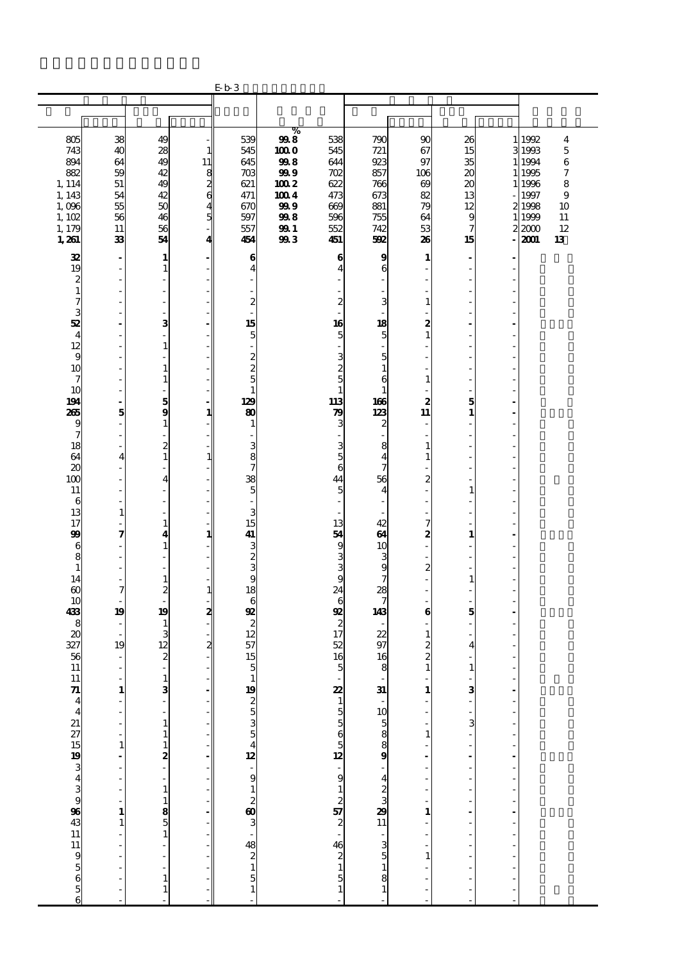|                                                       |                                |                                                                |                                            | $Eb$ 3                                                          |             |                     |                                                           |                   |                                           |                                  |                  |                         |
|-------------------------------------------------------|--------------------------------|----------------------------------------------------------------|--------------------------------------------|-----------------------------------------------------------------|-------------|---------------------|-----------------------------------------------------------|-------------------|-------------------------------------------|----------------------------------|------------------|-------------------------|
|                                                       |                                |                                                                |                                            |                                                                 |             |                     |                                                           |                   |                                           |                                  |                  |                         |
|                                                       |                                |                                                                |                                            |                                                                 |             |                     |                                                           |                   |                                           |                                  |                  |                         |
| 805                                                   | 38                             | 49                                                             |                                            | 539                                                             | $\%$<br>998 | 538                 | 790                                                       | 90                | 26                                        |                                  | 1 1992           | $\overline{\mathbf{4}}$ |
| 743                                                   | 40                             | 28                                                             | $\mathbf{1}$                               | 545                                                             | 1000        | 545                 | 721                                                       | 67                | 15                                        |                                  | 3 1993           | $\overline{5}$          |
| 894<br>882                                            | 64<br>59                       | 49<br>42                                                       | 11                                         | 645<br>703                                                      | 998<br>999  | 644<br>702          | 923<br>857                                                | 97<br>106         | 35<br>20                                  |                                  | 1 1994<br>1 1995 | 6<br>7                  |
| 1, 114                                                | 51                             | 49                                                             | $\begin{array}{c} 8 \\ 2 \\ 6 \end{array}$ | 621                                                             | 100 2       | 622                 | 766                                                       | 69                | 20                                        |                                  | 1 1996           | 8                       |
| 1, 143                                                | 54                             | 42                                                             |                                            | 471                                                             | 1004        | 473                 | 673                                                       | 82                | 13                                        |                                  | 1997             | 9                       |
| 1,096<br>1,102                                        | 55<br>56                       | 50<br>46                                                       | $\frac{4}{5}$                              | 670<br>597                                                      | 999<br>998  | 609<br>596          | 881<br>755                                                | 79<br>64          | 12<br>9                                   |                                  | 2 1998<br>1 1999 | 10<br>11                |
| 1, 179                                                | 11                             | 56                                                             |                                            | 557                                                             | <b>991</b>  | 552                 | 742                                                       | 53                | 7                                         |                                  | 22000            | 12                      |
| 1,261                                                 | 33                             | 54                                                             | 4                                          | 454                                                             | 993         | 451                 | 592                                                       | 26                | 15                                        |                                  | 2001             | 13                      |
| 32                                                    | $\overline{\phantom{a}}$       | $\mathbf{1}$                                                   |                                            | 6                                                               |             | 6                   | 9                                                         | 1                 | $\blacksquare$                            |                                  |                  |                         |
| 19<br>$\boldsymbol{z}$                                | ÷.<br>×,                       | $\mathbf{1}$<br>$\overline{a}$                                 |                                            | $\overline{\mathbf{4}}$<br>÷                                    |             | $\overline{4}$      | 6                                                         |                   | $\sim$<br>$\overline{\phantom{a}}$        |                                  |                  |                         |
| $\mathbf{1}$                                          | J.                             | L,                                                             |                                            | ÷,                                                              |             |                     |                                                           |                   | ÷,                                        |                                  |                  |                         |
| 7<br>3                                                |                                | ä,                                                             |                                            | $\boldsymbol{z}$                                                |             | $\boldsymbol{z}$    | 3                                                         | $\mathbf{1}$      |                                           |                                  |                  |                         |
| 52                                                    |                                | 3                                                              |                                            | 15                                                              |             | 16                  | 18                                                        | 2                 |                                           |                                  |                  |                         |
| $\overline{\mathbf{4}}$                               |                                | $\overline{a}$                                                 |                                            | $\overline{5}$                                                  |             | $\overline{5}$      | 5                                                         | $\mathbf{1}$      | ÷,                                        |                                  |                  |                         |
| 12<br>9                                               |                                | $\mathbf{1}$<br>L,                                             |                                            | L,<br>$\boldsymbol{2}$                                          |             | 3                   | 5                                                         |                   | ÷                                         |                                  |                  |                         |
| 10                                                    |                                | $\mathbf{1}$                                                   |                                            | $\overline{c}$                                                  |             | $rac{2}{5}$         | $\mathbf{1}$                                              |                   |                                           |                                  |                  |                         |
| 7<br>10                                               | ł,                             | $\mathbf{1}$<br>$\overline{a}$                                 |                                            | 5<br>$\mathbf{1}$                                               |             | $\mathbf{1}$        | 6<br>1                                                    | 1                 | ÷<br>$\overline{\phantom{a}}$             |                                  |                  |                         |
| 194                                                   | ÷,                             | $\frac{5}{9}$                                                  |                                            | 129                                                             |             | 113                 | 166                                                       | 2                 | 5                                         |                                  |                  |                         |
| 265                                                   | 5                              |                                                                | 1                                          | 80                                                              |             | 79                  | 123                                                       | 11                | $\mathbf{1}$                              |                                  |                  |                         |
| 9<br>7                                                |                                | $\mathbf{1}$<br>L.                                             |                                            | 1                                                               |             | 3                   | 2                                                         |                   | ä,                                        |                                  |                  |                         |
| 18                                                    | ÷,                             | $\frac{2}{1}$                                                  |                                            | 3                                                               |             | 3                   | 8                                                         | 1                 | ÷                                         |                                  |                  |                         |
| 64<br>$\boldsymbol{\chi}$                             | 4                              | L,                                                             | $\mathbf{1}$                               | 8<br>7                                                          |             | $\overline{5}$<br>6 | $\overline{4}$<br>7                                       | 1                 | ÷,<br>÷,                                  |                                  |                  |                         |
| 100                                                   |                                | $\overline{\mathbf{4}}$                                        |                                            | 38                                                              |             | 44                  | 56                                                        | $\boldsymbol{2}$  |                                           |                                  |                  |                         |
| 11                                                    |                                | L,<br>$\overline{a}$                                           |                                            | 5                                                               |             | 5                   | 4                                                         |                   | $\mathbf{1}$                              |                                  |                  |                         |
| 6<br>13                                               | J.<br>1                        |                                                                |                                            | $\overline{\phantom{a}}$<br>3                                   |             |                     |                                                           |                   | ÷<br>÷,                                   |                                  |                  |                         |
| 17                                                    |                                | $\mathbf{1}$                                                   |                                            | 15                                                              |             | 13                  | 42                                                        | 7                 |                                           |                                  |                  |                         |
| 99<br>6                                               | 7                              | 4<br>$\mathbf{1}$                                              | 1                                          | 41                                                              |             | 54<br>9             | 64<br>10                                                  | 2                 | $\mathbf{1}$<br>L.                        |                                  |                  |                         |
| 8                                                     | Ĭ.                             | $\overline{a}$                                                 |                                            | 3<br>3<br>3                                                     |             | 3                   | 3                                                         |                   | ÷                                         |                                  |                  |                         |
| $\mathbf{1}$<br>14                                    |                                | $\overline{\phantom{0}}$<br>$\mathbf{1}$                       |                                            | 9                                                               |             | 3<br>9              | 9<br>7                                                    | $\boldsymbol{2}$  | $\mathbf{1}$                              |                                  |                  |                         |
| $\boldsymbol{\omega}$                                 | 7                              | $\overline{\mathbf{c}}$                                        | $\mathbf{1}$                               | 18                                                              |             | 24                  | 28                                                        |                   | ä,                                        |                                  |                  |                         |
| 10                                                    |                                | L.                                                             |                                            | 6<br>92                                                         |             | 6<br>92             | 7                                                         |                   |                                           |                                  |                  |                         |
| 433<br>8                                              | 19<br>$\overline{\phantom{a}}$ | 19<br>$\mathbf{1}$                                             | 2                                          | $\boldsymbol{z}$                                                |             | $\boldsymbol{z}$    | 143                                                       | 6                 | 5                                         |                                  |                  |                         |
| 20                                                    | ÷,                             | 3                                                              |                                            | 12                                                              |             | 17                  | 22                                                        | 1                 |                                           |                                  |                  |                         |
| 327<br>56                                             | 19<br>$\overline{\phantom{a}}$ | 12<br>$\overline{\mathbf{c}}$                                  | $\mathbf{z}$                               | 57<br>15                                                        |             | 52<br>16            | 97<br>16                                                  | 2<br>2            | 4                                         |                                  |                  |                         |
| 11                                                    | $\overline{a}$                 | $\frac{1}{2}$                                                  |                                            | 5                                                               |             | 5                   | 8                                                         | $\mathbf{1}$      | $\mathbf{1}$                              |                                  |                  |                         |
|                                                       | ÷<br>$\mathbf{1}$              | $\frac{1}{3}$                                                  | $\overline{\phantom{a}}$                   |                                                                 |             |                     |                                                           | $\mathbf{1}$      | ۰                                         |                                  |                  |                         |
|                                                       |                                |                                                                |                                            |                                                                 |             |                     | $31 - 10$<br>$588$<br>9                                   |                   | $\frac{3}{1}$                             | $\frac{1}{2}$                    |                  |                         |
|                                                       | L                              | L,                                                             |                                            |                                                                 |             |                     |                                                           |                   |                                           | $\overline{a}$<br>$\overline{a}$ |                  |                         |
|                                                       | f<br>$\overline{a}$            |                                                                |                                            |                                                                 |             |                     |                                                           | ÷<br>$\mathbf{1}$ | $\frac{1}{2}$ $\frac{1}{2}$ $\frac{1}{2}$ | i,                               |                  |                         |
|                                                       | $\mathbf{1}$                   |                                                                |                                            |                                                                 |             |                     |                                                           | $\frac{1}{2}$     |                                           | $\overline{a}$                   |                  |                         |
|                                                       | $\overline{a}$                 |                                                                |                                            |                                                                 |             |                     |                                                           |                   | $\overline{\phantom{a}}$<br>÷,            | $\overline{a}$<br>$\overline{a}$ |                  |                         |
|                                                       |                                |                                                                |                                            |                                                                 |             |                     |                                                           | ł,                | $\overline{\phantom{a}}$                  | $\frac{1}{2}$                    |                  |                         |
|                                                       | $\frac{1}{2}$                  | $1111$<br>$-118$<br>$-111$<br>$-11$<br>$-11$<br>$-11$<br>$-11$ |                                            |                                                                 |             |                     | $-4$<br>$2$<br>$3$<br>$3$<br>$11$                         |                   | ÷<br>Ĭ,                                   |                                  |                  |                         |
|                                                       | 1                              |                                                                |                                            |                                                                 |             |                     |                                                           | $\mathbf{1}$      | $\overline{a}$                            | $\frac{1}{2}$                    |                  |                         |
|                                                       | $\mathbf{1}$                   |                                                                |                                            |                                                                 |             |                     |                                                           |                   | ÷,                                        |                                  |                  |                         |
|                                                       | ł,<br>j.                       |                                                                |                                            |                                                                 |             |                     |                                                           | <sup>-</sup>      | ÷,<br>÷                                   | $\ddot{\phantom{0}}$             |                  |                         |
|                                                       | l,                             | $\overline{a}$                                                 |                                            |                                                                 |             |                     |                                                           | $\mathbf{1}$      | L,                                        | $\overline{a}$                   |                  |                         |
| 11 71 4 4 21 27 15 19 3 4 3 3 9 36 43 11 11 9 5 6 5 6 | $\overline{a}$                 | $\frac{1}{1}$                                                  |                                            | – 19 ശ സ ധ 40 – ഗ 80 പ ∞ 80 ധ – 10 – 10 m<br>— 10 സ ± 10 – 10 m |             |                     | $\begin{array}{c} 3 \\ 3 \\ 5 \\ 1 \\ 8 \\ 1 \end{array}$ |                   | Ĭ.                                        | $\overline{a}$                   |                  |                         |
|                                                       | Ĭ.                             | $\mathbf{1}$                                                   |                                            |                                                                 |             | $\mathbf{1}$        |                                                           |                   | ÷,                                        | Ĭ.                               |                  |                         |
|                                                       |                                |                                                                |                                            |                                                                 |             |                     |                                                           |                   |                                           |                                  |                  |                         |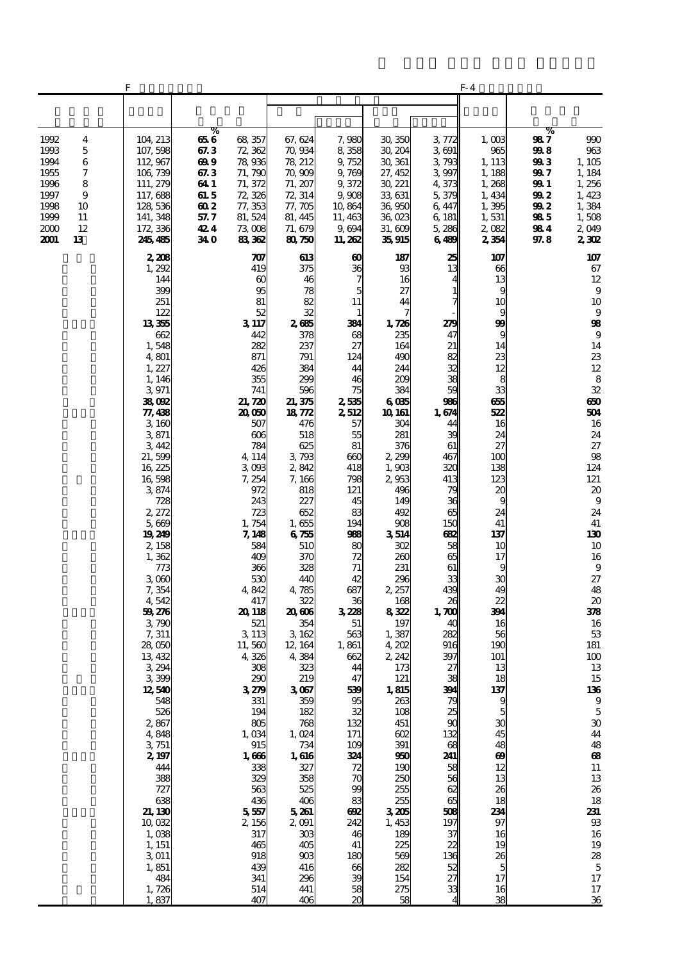|                                                                                                                                    | F                                                                                                                                                                                                                                                                                                                                                                                                                                                                                                                               |                                                                                |                                                                                                                                                                                                                                                                                                                                                                                                                                                                        |                                                                                                                                                                                                                                                                                                                                                                                                                                                               |                                                                                                                                                                                                                                                                                                                                                                                     |                                                                                                                                                                                                                                                                                                                                                                                                                                                 |                                                                                                                                                                                                                                                                                                                                                                                             | F- 4                                                                                                                                                                                                                                                                                                                                                                                                                                                       |                                                                              |                                                                                                                                                                                                                                                                                                                                                                                                                                                                                                                                        |
|------------------------------------------------------------------------------------------------------------------------------------|---------------------------------------------------------------------------------------------------------------------------------------------------------------------------------------------------------------------------------------------------------------------------------------------------------------------------------------------------------------------------------------------------------------------------------------------------------------------------------------------------------------------------------|--------------------------------------------------------------------------------|------------------------------------------------------------------------------------------------------------------------------------------------------------------------------------------------------------------------------------------------------------------------------------------------------------------------------------------------------------------------------------------------------------------------------------------------------------------------|---------------------------------------------------------------------------------------------------------------------------------------------------------------------------------------------------------------------------------------------------------------------------------------------------------------------------------------------------------------------------------------------------------------------------------------------------------------|-------------------------------------------------------------------------------------------------------------------------------------------------------------------------------------------------------------------------------------------------------------------------------------------------------------------------------------------------------------------------------------|-------------------------------------------------------------------------------------------------------------------------------------------------------------------------------------------------------------------------------------------------------------------------------------------------------------------------------------------------------------------------------------------------------------------------------------------------|---------------------------------------------------------------------------------------------------------------------------------------------------------------------------------------------------------------------------------------------------------------------------------------------------------------------------------------------------------------------------------------------|------------------------------------------------------------------------------------------------------------------------------------------------------------------------------------------------------------------------------------------------------------------------------------------------------------------------------------------------------------------------------------------------------------------------------------------------------------|------------------------------------------------------------------------------|----------------------------------------------------------------------------------------------------------------------------------------------------------------------------------------------------------------------------------------------------------------------------------------------------------------------------------------------------------------------------------------------------------------------------------------------------------------------------------------------------------------------------------------|
|                                                                                                                                    |                                                                                                                                                                                                                                                                                                                                                                                                                                                                                                                                 |                                                                                |                                                                                                                                                                                                                                                                                                                                                                                                                                                                        |                                                                                                                                                                                                                                                                                                                                                                                                                                                               |                                                                                                                                                                                                                                                                                                                                                                                     |                                                                                                                                                                                                                                                                                                                                                                                                                                                 |                                                                                                                                                                                                                                                                                                                                                                                             |                                                                                                                                                                                                                                                                                                                                                                                                                                                            |                                                                              |                                                                                                                                                                                                                                                                                                                                                                                                                                                                                                                                        |
| 1992<br>4<br>5<br>1993<br>1994<br>6<br>7<br>1955<br>1996<br>8<br>1997<br>9<br>1998<br>10<br>1999<br>11<br>2000<br>12<br>2001<br>13 | 104, 213<br>107, 598<br>112, 967<br>106,739<br>111, 279<br>117,688<br>128,536<br>141, 348<br>172, 336<br>245, 485                                                                                                                                                                                                                                                                                                                                                                                                               | %<br>656<br>67.3<br>699<br>67.3<br>64 1<br>61. 5<br>602<br>57.7<br>424<br>34 O | 68 357<br>72 362<br>78,936<br>71, 790<br>71, 372<br>72, 326<br>77, 353<br>81, 524<br>73008<br>83,362                                                                                                                                                                                                                                                                                                                                                                   | 67, 624<br>70,934<br>78, 212<br>70,909<br>71, 207<br>72, 314<br>77, 705<br>81, 445<br>71, 679<br>80750                                                                                                                                                                                                                                                                                                                                                        | 7,980<br>8358<br>9, 752<br>9,769<br>9,372<br>9,908<br>10,864<br>11, 463<br>9,694<br>11, 262                                                                                                                                                                                                                                                                                         | 30, 350<br>30, 204<br>30, 361<br>27, 452<br>30, 221<br>33, 631<br>36,950<br>36,023<br>31,609<br>35,915                                                                                                                                                                                                                                                                                                                                          | 3,772<br>3691<br>3,793<br>3997<br>4,373<br>5,379<br>6, 447<br>6, 181<br>5,286<br>6489                                                                                                                                                                                                                                                                                                       | 1,003<br>965<br>1, 113<br>1, 188<br>1,268<br>1, 434<br>1,395<br>1,531<br>2,082<br>2354                                                                                                                                                                                                                                                                                                                                                                     | %<br>987<br>998<br>993<br>99 7<br>99 1<br>99 2<br>99 2<br>985<br>984<br>97.8 | 990<br>963<br>1,105<br>1, 184<br>1,256<br>1,423<br>1,384<br>1,508<br>2,049<br>2302                                                                                                                                                                                                                                                                                                                                                                                                                                                     |
|                                                                                                                                    | 2,208<br>1,292<br>144<br>399<br>251<br>122<br>13355<br>662<br>1,548<br>4,801<br>1, 227<br>1, 146<br>3971<br>38,092<br>77, 438<br>3,160<br>3871<br>3,442<br>21,599<br>16,225<br>16,598<br>3874<br>728<br>2, 272<br>5,669<br>19,249<br>2,158<br>1,362<br>773<br>3000<br>7,354<br>4,542<br>59276<br>3,790<br>7,311<br>28,050<br>13, 432<br>3 294<br>3399<br>12,540<br>548<br>526<br>2867<br>4,848<br>3,751<br>2, 197<br>444<br>388<br>727<br>638<br>21, 130<br>10,032<br>1,038<br>1, 151<br>3011<br>1,851<br>484<br>1,726<br>1,837 |                                                                                | 707<br>419<br>$\alpha$<br>95<br>81<br>52<br>3 117<br>442<br>282<br>871<br>426<br>355<br>741<br>21,720<br>20,060<br>507<br>606<br>784<br>4, 114<br>3003<br>7,254<br>972<br>243<br>723<br>1,754<br>7, 148<br>584<br>409<br>366<br>530<br>4,842<br>417<br>20 118<br>521<br>3 1 1 3<br>11,560<br>4,326<br>308<br>290<br>3279<br>331<br>194<br>805<br>1,034<br>915<br>1,666<br>338<br>329<br>563<br>436<br>5,557<br>2, 156<br>317<br>465<br>918<br>439<br>341<br>514<br>407 | 613<br>375<br>46<br>78<br>82<br>32<br>2665<br>378<br>237<br>791<br>384<br>299<br>596<br>21,375<br>18,772<br>476<br>518<br>625<br>3,793<br>2,842<br>7, 166<br>818<br>227<br>652<br>1,655<br>6755<br>510<br>370<br>328<br>440<br>4,785<br>322<br>20,606<br>354<br>3, 162<br>12, 164<br>4,384<br>323<br>219<br>3067<br>359<br>182<br>768<br>1,024<br>734<br>1,616<br>327<br>358<br>525<br>406<br>5,261<br>2,091<br>303<br>405<br>903<br>416<br>296<br>441<br>406 | 60<br>36<br>5<br>11<br>1<br>334<br>68<br>27<br>124<br>44<br>46<br>75<br>2,535<br>2,512<br>57<br>55<br>81<br>600<br>418<br>798<br>121<br>45<br>83<br>194<br>98<br>8C<br>72<br>71<br>42<br>687<br>36<br>3228<br>51<br>563<br>1,861<br>662<br>44<br>47<br>539<br>95<br>32<br>132<br>171<br>109<br>324<br>72<br>70<br>99<br>83<br>692<br>242<br>46<br>41<br>180<br>66<br>39<br>58<br>20 | 187<br>93<br>16<br>27<br>44<br>7<br>1,726<br>235<br>164<br>490<br>244<br>209<br>384<br>6065<br>10 161<br>304<br>281<br>376<br>2 299<br>1,903<br>2,953<br>496<br>149<br>492<br>908<br>3514<br>302<br>260<br>231<br>296<br>2, 257<br>168<br>8322<br>197<br>1,387<br>4,202<br>2, 242<br>173<br>121<br>1,815<br>263<br>108<br>451<br>602<br>391<br>960<br>190<br>250<br>255<br>255<br>3205<br>1,453<br>189<br>225<br>569<br>282<br>154<br>275<br>58 | 25<br>13<br>$\mathbf{1}$<br>7<br>279<br>47<br>21<br>82<br>32<br>38<br>59<br>986<br>1,674<br>44<br>39<br>61<br>467<br>320<br>413<br>79<br>36<br>65<br>150<br>Œ<br>58<br>65<br>61<br>33<br>439<br>$\boldsymbol{\chi}$<br>1,700<br>40<br>282<br>916<br>397<br>27<br>38<br>394<br>79<br>25<br>90<br>132<br>68<br>241<br>58<br>56<br>62<br>65<br>508<br>197<br>37<br>22<br>136<br>52<br>27<br>33 | 107<br>66<br>13<br>9<br>10<br>9<br>$\boldsymbol{\mathfrak{B}}$<br>9<br>14<br>23<br>12<br>8<br>33<br>655<br>522<br>16<br>24<br>27<br>100<br>138<br>123<br>20<br>9<br>24<br>41<br>137<br>10<br>17<br>9<br>30<br>49<br>22<br>394<br>16<br>56<br>190<br>101<br>13<br>18<br>137<br>$\frac{9}{5}$<br>$\boldsymbol{\mathfrak{D}}$<br>45<br>48<br>$\boldsymbol{\omega}$<br>12<br>13<br>26<br>18<br>234<br>97<br>16<br>19<br>26<br>$\overline{5}$<br>17<br>16<br>38 |                                                                              | 107<br>67<br>12<br>9<br>10<br>9<br>98<br>9<br>14<br>23<br>12<br>$\bf8$<br>32<br>650<br>504<br>16<br>24<br>27<br>98<br>124<br>121<br>$\boldsymbol{\mathsf{20}}$<br>9<br>24<br>41<br>130<br>10<br>16<br>9<br>27<br>48<br>$\boldsymbol{\mathsf{20}}$<br>378<br>16<br>$5\!3$<br>181<br>100<br>13<br>15<br>136<br>$\boldsymbol{9}$<br>$\overline{5}$<br>$\boldsymbol{\mathfrak{D}}$<br>44<br>48<br>$\bf{a}$<br>${\bf 11}$<br>13<br>26<br>18<br>231<br>$9\!\!3$<br>16<br>19<br>28<br>$\mathbf 5$<br>17<br>$17\,$<br>$\overline{\mathbf{36}}$ |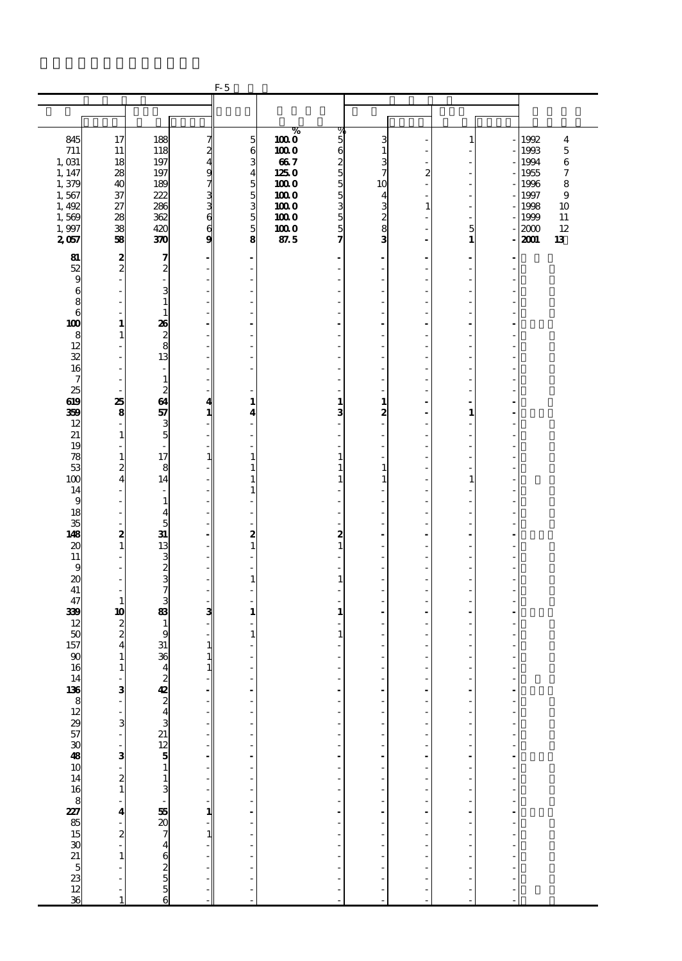|                 |                                            |                              |                              | $F-5$                            |              |                                    |                          |                  |                           |                |                        |
|-----------------|--------------------------------------------|------------------------------|------------------------------|----------------------------------|--------------|------------------------------------|--------------------------|------------------|---------------------------|----------------|------------------------|
|                 |                                            |                              |                              |                                  |              |                                    |                          |                  |                           |                |                        |
|                 |                                            |                              |                              |                                  |              |                                    |                          |                  |                           |                |                        |
|                 |                                            |                              |                              |                                  | %            | $\frac{9}{5}$                      |                          |                  |                           |                |                        |
| 845             | 17                                         | 188                          |                              | $\overline{5}$                   | 1000         |                                    | 3                        |                  | 1                         |                | 1992<br>4              |
| 711             | 11                                         | 118                          | 7<br>2<br>4                  | 6                                | 1000         | $\mathbf{6}$                       | $\mathbf{1}$             |                  |                           |                | 1993<br>$\overline{5}$ |
| 1,031           | 18                                         | 197                          |                              | 3                                | 667          | $\boldsymbol{z}$<br>$\overline{5}$ | 3                        |                  |                           |                | 1994<br>6              |
| 1, 147<br>1,379 | 28<br>40                                   | 197<br>189                   |                              | $\overline{\mathbf{4}}$<br>5     | 1250<br>1000 | 5                                  | 7<br>10                  | $\boldsymbol{z}$ | Ĭ.                        |                | 7<br>1955<br>8<br>1996 |
| 1,567           | 37                                         | 222                          | മധധാമ                        | $\overline{5}$                   | 1000         | $\overline{5}$                     | 4                        |                  |                           |                | 9<br>1997              |
| 1,492           | 27                                         | 286                          |                              | 3                                | 1000         | 3                                  |                          | 1                | ٠                         |                | 1998<br>10             |
| 1,569           | 28                                         | 362                          |                              | $\overline{5}$                   | 1000         | 5                                  | ယေးလ                     |                  | $\overline{\phantom{0}}$  |                | 1999<br>11             |
| 1,997           | 38                                         | 420                          |                              | 5                                | 1000         | 5                                  |                          |                  | 5                         |                | 2000<br>12             |
| 2057            | 58                                         | 370                          | $\frac{6}{9}$                | 8                                | 87.5         | 7                                  |                          |                  | $\mathbf{1}$              |                | 13<br>2001             |
|                 |                                            | 7                            |                              |                                  |              |                                    |                          |                  |                           |                |                        |
| 81<br>52        | $\frac{2}{2}$                              |                              |                              | $\overline{a}$<br>$\overline{a}$ |              | $\qquad \qquad \blacksquare$       | $\overline{\phantom{a}}$ |                  | $\ddot{\phantom{0}}$<br>÷ | ٠              |                        |
| 9               | L,                                         | $\boldsymbol{z}$<br>L,       | ٠                            | ٠                                |              | ٠                                  |                          |                  | ä,                        |                |                        |
| 6               | Ĭ.                                         | 3                            |                              | $\overline{a}$                   |              |                                    |                          |                  |                           |                |                        |
| 8               | J.                                         | $\mathbf{1}$                 |                              | L,                               |              |                                    |                          |                  | ٠                         |                |                        |
| 6               | $\overline{\phantom{a}}$                   | $\mathbf{1}$                 |                              | ÷,                               |              | ÷,                                 |                          |                  | ÷,                        |                |                        |
| 100             | 1                                          | 26                           |                              |                                  |              | $\overline{a}$                     |                          |                  |                           |                |                        |
| 8               | 1                                          | $\frac{2}{8}$                |                              | L,                               |              | ٠                                  |                          |                  | ä,                        |                |                        |
| 12              | L,                                         |                              |                              | $\overline{a}$                   |              |                                    |                          |                  |                           |                |                        |
| 32              | ÷.                                         | 13                           |                              | L,                               |              |                                    |                          |                  | ٠                         |                |                        |
| 16              | ÷,                                         | $\overline{a}$               |                              | $\frac{1}{2}$                    |              | ÷,                                 |                          |                  | ÷,                        |                |                        |
| 7               | $\overline{\phantom{a}}$                   | $\mathbf{1}$                 |                              |                                  |              |                                    |                          |                  |                           |                |                        |
| 25<br>619       | ٠<br>25                                    | $\overline{c}$<br>64         | 4                            | ٠<br>$\mathbf{1}$                |              | ٠<br>$\mathbf{1}$                  | 1                        |                  | ä,                        |                |                        |
| 359             | 8                                          | 57                           | 1                            | 4                                |              | 3                                  | 2                        |                  | $\mathbf{1}$              |                |                        |
| 12              | ä,                                         | 3                            |                              | ÷,                               |              | $\qquad \qquad \blacksquare$       | ٠                        |                  | ÷,                        |                |                        |
| 21              | $\mathbf{1}$                               | 5                            |                              | $\overline{a}$                   |              |                                    |                          |                  |                           |                |                        |
| 19              | ä,                                         | ä,                           |                              | ÷,                               |              |                                    |                          |                  | ä,                        |                |                        |
| 78              | $\mathbf{1}$                               | 17                           | $\mathbf{1}$                 | $\mathbf{1}$                     |              | $\mathbf{1}$                       |                          |                  |                           |                |                        |
| 53              | 2                                          | 8                            |                              | $\mathbf{1}$                     |              | 1                                  | 1                        |                  |                           |                |                        |
| 100             | $\overline{\mathbf{4}}$                    | 14                           | ٠                            | $\mathbf{1}$                     |              | 1                                  | 1                        |                  | 1                         |                |                        |
| 14              | $\qquad \qquad \blacksquare$               | $\overline{\phantom{a}}$     |                              | $\mathbf{1}$                     |              |                                    |                          |                  |                           |                |                        |
| 9               | ÷,                                         | $\mathbf{1}$                 |                              | ÷,                               |              |                                    |                          |                  | ä,                        |                |                        |
| 18<br>35        | $\frac{1}{2}$<br>÷.                        | $\overline{\mathbf{4}}$<br>5 |                              | $\overline{a}$<br>L,             |              |                                    |                          |                  | ä,                        |                |                        |
| 148             | 2                                          | 31                           | $\overline{\phantom{a}}$     | $\boldsymbol{z}$                 |              | $\boldsymbol{z}$                   |                          |                  | ÷,                        |                |                        |
| 20              | $\mathbf{1}$                               | 13                           |                              | $\mathbf{1}$                     |              | $\mathbf{1}$                       |                          |                  |                           |                |                        |
| 11              | ä,                                         | 3                            |                              | $\frac{1}{2}$                    |              | Ĭ.                                 |                          |                  | ä,                        |                |                        |
| 9               | Ĭ.                                         |                              |                              | Ĭ.                               |              |                                    |                          |                  | Ĭ.                        |                |                        |
| 20              | J.                                         | $\frac{2}{7}$                |                              | $\mathbf{1}$                     |              | 1                                  |                          |                  | ä,                        |                |                        |
| 41              | $\overline{\phantom{a}}$                   |                              | $\qquad \qquad \blacksquare$ | $\overline{\phantom{a}}$         |              | ÷,                                 |                          |                  | ÷,                        |                |                        |
| 47              | $\mathbf{1}$                               | 3                            | ۰                            | $\overline{a}$                   |              |                                    |                          |                  |                           |                |                        |
| 339             | 10                                         | 83                           | 3                            | 1                                |              | $\mathbf{1}$                       |                          |                  | ٠                         |                |                        |
| 12              | $\frac{2}{2}$                              | $\mathbf{1}$                 |                              | Ĭ.                               |              |                                    |                          |                  |                           |                |                        |
| 50<br>157       | $\overline{\mathbf{4}}$                    | 9<br>31                      | $\mathbf{1}$                 | $\mathbf{1}$<br>÷,               |              | 1                                  |                          |                  |                           |                |                        |
| 90              | $\mathbf{1}$                               | 36                           | $\mathbf{1}$                 | $\overline{a}$                   |              |                                    |                          |                  |                           |                |                        |
| 16              | $\mathbf{1}$                               | $\overline{4}$               | $\mathbf{1}$                 | $\overline{a}$                   |              | ٠                                  |                          |                  | ä,                        |                |                        |
|                 |                                            |                              |                              |                                  |              |                                    |                          |                  |                           | f              |                        |
|                 |                                            | 2222323234324324325556       |                              | ÷,                               |              |                                    |                          |                  | ä,                        | ÷              |                        |
|                 | $\frac{3}{1}$                              |                              |                              | f,                               |              | ł,                                 |                          |                  | $\frac{1}{2}$             | ŕ              |                        |
|                 |                                            |                              |                              |                                  |              |                                    |                          |                  | i,                        | Ĭ.             |                        |
|                 | 3                                          |                              |                              | $\frac{1}{2}$                    |              |                                    |                          |                  | J.                        | l,             |                        |
|                 | $\frac{1}{2}$                              |                              |                              | $\frac{1}{2}$                    |              | Ĭ.                                 |                          |                  | Ĩ.<br>Ĭ.                  | l,<br>ź        |                        |
|                 |                                            |                              | ÷                            |                                  |              | ÷,                                 | $\blacksquare$           |                  | $\overline{a}$            | $\overline{a}$ |                        |
|                 | $\begin{array}{c} 3 \\ 2 \\ 1 \end{array}$ |                              | ÷                            |                                  |              |                                    |                          |                  | Ĭ.                        | ł,             |                        |
|                 |                                            |                              |                              | $\frac{1}{2}$                    |              | ÷,                                 |                          |                  | ÷,                        | Ĭ.             |                        |
|                 |                                            |                              |                              |                                  |              | Ĭ.                                 |                          |                  | Ĩ.                        | Ĭ.             |                        |
|                 | $\overline{a}$                             |                              |                              | $\frac{1}{2}$                    |              |                                    |                          |                  | Ĭ.                        |                |                        |
|                 | 4                                          |                              | 1                            |                                  |              | ÷,                                 | $\blacksquare$           |                  | ÷,                        | Ĭ.             |                        |
|                 |                                            |                              |                              | $\overline{\phantom{a}}$         |              |                                    |                          |                  |                           |                |                        |
|                 | $\frac{1}{2}$                              |                              | $\mathbf{1}$                 |                                  |              |                                    |                          |                  | Ĭ.                        | í,             |                        |
|                 |                                            |                              |                              | $\frac{1}{2}$                    |              | Ĩ.                                 |                          |                  | Ĩ.                        | l,             |                        |
|                 | $\mathbf{1}$                               |                              |                              |                                  |              |                                    |                          |                  |                           |                |                        |
|                 | Ĭ.<br>$\overline{a}$                       |                              |                              | $\frac{1}{2}$                    |              | ×,                                 |                          |                  | ä,                        | J.             |                        |
|                 | l,                                         |                              |                              |                                  |              |                                    |                          |                  | i,<br>J.                  | J.             |                        |
|                 |                                            |                              |                              |                                  |              |                                    |                          |                  |                           |                |                        |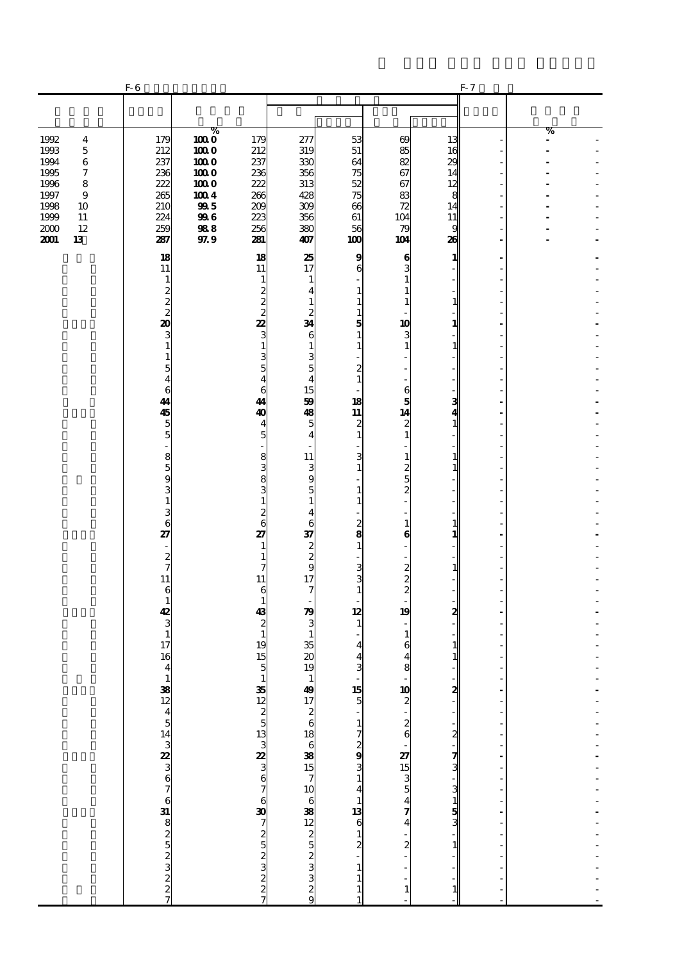|                                                                                                                                                                    | $F-6$                                                                                                                                                                                                                                                                                                                                                                                  |                                                                                                |                                                                                                                                                                                                                                                                                                                                                                                                 |                                                                                                                                                                                                                                                                                                                                     |                                                                                                                                                                                                                                                                                                                                 |                                                                                                                                                                                                                                                                                                                                     |                                                                                                                                                                                                                                                                    | $F - 7$                                                         |        |
|--------------------------------------------------------------------------------------------------------------------------------------------------------------------|----------------------------------------------------------------------------------------------------------------------------------------------------------------------------------------------------------------------------------------------------------------------------------------------------------------------------------------------------------------------------------------|------------------------------------------------------------------------------------------------|-------------------------------------------------------------------------------------------------------------------------------------------------------------------------------------------------------------------------------------------------------------------------------------------------------------------------------------------------------------------------------------------------|-------------------------------------------------------------------------------------------------------------------------------------------------------------------------------------------------------------------------------------------------------------------------------------------------------------------------------------|---------------------------------------------------------------------------------------------------------------------------------------------------------------------------------------------------------------------------------------------------------------------------------------------------------------------------------|-------------------------------------------------------------------------------------------------------------------------------------------------------------------------------------------------------------------------------------------------------------------------------------------------------------------------------------|--------------------------------------------------------------------------------------------------------------------------------------------------------------------------------------------------------------------------------------------------------------------|-----------------------------------------------------------------|--------|
|                                                                                                                                                                    |                                                                                                                                                                                                                                                                                                                                                                                        |                                                                                                |                                                                                                                                                                                                                                                                                                                                                                                                 |                                                                                                                                                                                                                                                                                                                                     |                                                                                                                                                                                                                                                                                                                                 |                                                                                                                                                                                                                                                                                                                                     |                                                                                                                                                                                                                                                                    |                                                                 |        |
| 1992<br>$\overline{\mathbf{4}}$<br>1993<br>$\mathbf 5$<br>1994<br>6<br>1995<br>7<br>1996<br>8<br>1997<br>9<br>1998<br>10<br>1999<br>11<br>2000<br>12<br>2001<br>13 | 179<br>212<br>237<br>236<br>222<br>265<br>210<br>224<br>259<br>287                                                                                                                                                                                                                                                                                                                     | $\%$<br>$\overline{1000}$<br>1000<br>1000<br>1000<br>1000<br>1004<br>995<br>996<br>988<br>97.9 | 179<br>212<br>237<br>236<br>222<br>266<br>200<br>223<br>256<br>281                                                                                                                                                                                                                                                                                                                              | 277<br>319<br>330<br>356<br>313<br>428<br>309<br>356<br>380<br>407                                                                                                                                                                                                                                                                  | 53<br>51<br>64<br>75<br>52<br>75<br>66<br>61<br>56<br>100                                                                                                                                                                                                                                                                       | 69<br>85<br>82<br>67<br>67<br>83<br>72<br>104<br>79<br>104                                                                                                                                                                                                                                                                          | 13<br>16<br>29<br>14<br>12<br>8<br>14<br>11<br>9<br>26                                                                                                                                                                                                             |                                                                 | %<br>٠ |
|                                                                                                                                                                    | 18<br>11<br>1<br>$\boldsymbol{z}$<br>$\frac{2}{2}$<br>20<br>3<br>$\mathbf{1}$<br>1<br>5<br>$\overline{4}$<br>6<br>44<br>45<br>$\overline{5}$<br>5<br>$\overline{\phantom{m}}$<br>8<br>$\overline{5}$<br>9<br>3<br>$\mathbf{1}$<br>3<br>6<br>27<br>÷,<br>$\boldsymbol{z}$<br>$\overline{7}$<br>11<br>6<br>$\mathbf{1}$<br>42<br>3<br>$\mathbf 1$<br>17<br>16<br>$\overline{\mathbf{4}}$ |                                                                                                | 18<br>11<br>1<br>$\overline{\mathbf{c}}$<br>$\frac{2}{2}$<br>22<br>3<br>$\mathbf{1}$<br>$\frac{3}{5}$<br>4<br>6<br>44<br>40<br>4<br>5<br>8<br>$\frac{3}{8}$<br>3<br>$\mathbf{1}$<br>$\overline{\mathbf{c}}$<br>$\overline{6}$<br>27<br>1<br>1<br>7<br>11<br>6<br>1<br>43<br>$\boldsymbol{z}$<br>$\mathbf{1}$<br>19<br>15<br>$\overline{5}$<br>$\frac{1}{35}$ 2233233233233233233233233233235237 | 25<br>17<br>1<br>$\overline{4}$<br>1<br>$\boldsymbol{z}$<br>34<br>6<br>$\mathbf{1}$<br>З<br>5<br>$\overline{A}$<br>15<br>59<br>48<br>5<br>4<br>11<br>3<br>9<br>5<br>$\mathbf{1}$<br>$\overline{\mathbf{4}}$<br>6<br>37<br>$\frac{2}{9}$<br>17<br>7<br>79<br>3<br>-1<br>35<br>$\boldsymbol{\alpha}$<br>19<br>14972618638157106382329 | 9<br>6<br>1<br>1<br>$\mathbf{1}$<br>5<br>$\mathbf{1}$<br>1<br>$\boldsymbol{z}$<br>1<br>18<br>$\overline{\mathbf{11}}$<br>$\boldsymbol{2}$<br>1<br>3<br>1<br>1<br>1<br>$\frac{2}{8}$<br>$\mathbf{1}$<br>3<br>3<br>$\mathbf{1}$<br>12<br>$\mathbf{1}$<br>4<br>4<br>3<br>$\overline{\phantom{a}}$<br>$\mathbf{1}$<br>$\frac{1}{1}$ | 6<br>3<br>1<br>1<br>1<br>10<br>3<br>1<br>6<br>5<br>14<br>$\boldsymbol{z}$<br>$\mathbf{1}$<br>1<br>2<br>5<br>2<br>$\mathbf{1}$<br>6<br>÷<br>$\boldsymbol{z}$<br>$\boldsymbol{2}$<br>$\overline{2}$<br>19<br>1<br>6<br>4<br>8<br><b>10</b> $\begin{array}{c} \n\bullet \\ \bullet \\ \bullet \\ \bullet\n\end{array}$<br>$\mathbf{1}$ | 1<br>$\mathbf{1}$<br>1<br>$\mathbf{1}$<br>3<br>$\mathbf{1}$<br>$\mathbf{1}$<br>$\mathbf{1}$<br>$\mathbf{1}$<br>1<br>$\mathbf{1}$<br>2<br>1<br>1<br>$\begin{array}{c}\n\bullet \\ \bullet \\ \bullet\n\end{array}$<br>$\sim$ מ' גבנס ינס – גם מס י<br>$\frac{1}{2}$ | ÷<br>$\overline{\phantom{a}}$<br>$\overline{a}$<br>ł<br>l,<br>÷ |        |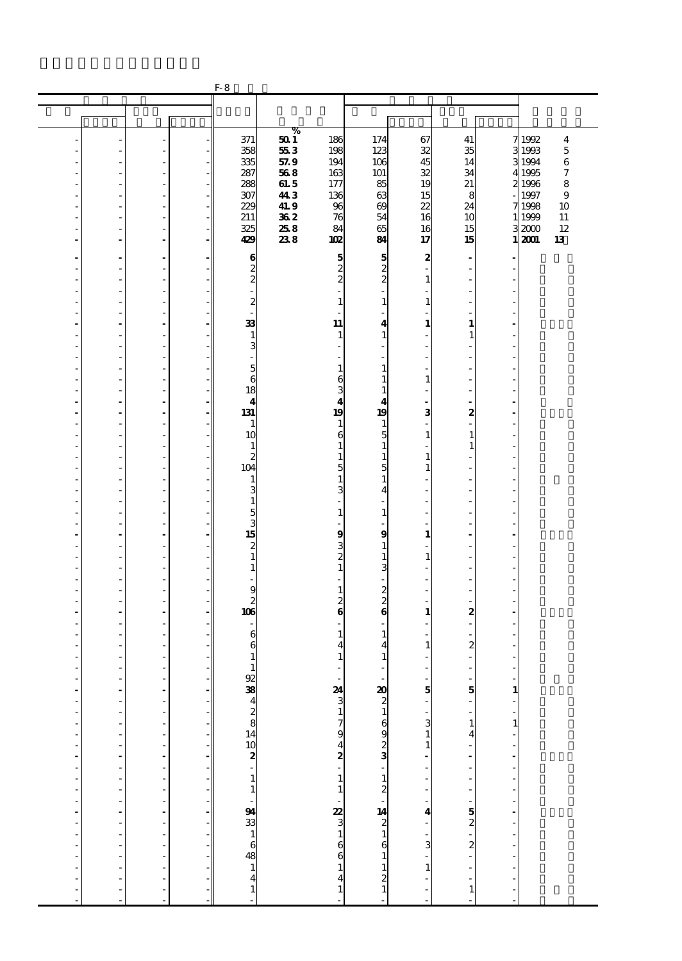|                |                      |                          |                          | $F-8$                                      |             |                         |                         |              |                              |                |                  |                         |
|----------------|----------------------|--------------------------|--------------------------|--------------------------------------------|-------------|-------------------------|-------------------------|--------------|------------------------------|----------------|------------------|-------------------------|
|                |                      |                          |                          |                                            |             |                         |                         |              |                              |                |                  |                         |
|                |                      |                          |                          |                                            |             |                         |                         |              |                              |                |                  |                         |
|                |                      |                          |                          |                                            | $\%$        |                         |                         |              |                              |                |                  |                         |
|                |                      |                          |                          | 371                                        | 301         | 186                     | 174                     | 67           | 41                           |                | 71992            | $\overline{\mathbf{4}}$ |
|                |                      |                          |                          | 358                                        | 553         | 198                     | 123                     | 32           | 35                           |                | 31993            | $\overline{5}$          |
|                |                      | i.                       |                          | 335                                        | 57.9        | 194                     | 106                     | 45           | 14                           |                | 3 1994           | $\bf{6}$                |
|                |                      | ÷,                       |                          | 287                                        | 568         | 163                     | 101                     | 32           | 34                           |                | 4 1995           | $\tau$                  |
|                | J.                   | ä,                       |                          | 288                                        | 61.5        | 177                     | 85                      | 19           | 21                           |                | 2 1996           | 8                       |
|                |                      | $\frac{1}{2}$            |                          | 307                                        | 443         | 136                     | 63                      | 15           | 8                            |                | 1997             | $\mathbf{9}$            |
|                | J.                   | ä,                       |                          | 229<br>211                                 | 41.9<br>362 | 96<br>76                | 69<br>54                | 22<br>16     | 24<br>10                     |                | 7 1998<br>1 1999 | 10<br>11                |
|                |                      | $\frac{1}{2}$<br>÷,      |                          | 325                                        | 258         | 84                      | 65                      | 16           | 15                           |                | 32000            | 12                      |
| ä,             | Î.                   | ÷,                       | $\blacksquare$           | 429                                        | 238         | <b>102</b>              | 84                      | 17           | 15                           |                | 1 2001           | 13                      |
|                |                      |                          |                          |                                            |             |                         |                         |              |                              |                |                  |                         |
| ٠              | Î.                   | $\overline{\phantom{a}}$ |                          | 6                                          |             | 5                       | 5                       | 2            | $\overline{\phantom{a}}$     |                |                  |                         |
|                |                      | $\frac{1}{2}$            |                          | $\boldsymbol{z}$                           |             | $\overline{\mathbf{c}}$ | $\frac{2}{2}$           |              | J.                           |                |                  |                         |
|                | í.                   | ä,                       |                          | $\overline{\mathbf{c}}$                    |             | $\overline{c}$          |                         | 1            | ÷.                           |                |                  |                         |
|                | í,                   | $\frac{1}{2}$            |                          | $\frac{1}{2}$                              |             |                         |                         |              | $\qquad \qquad \blacksquare$ |                |                  |                         |
|                |                      | $\frac{1}{2}$<br>÷,      |                          | $\boldsymbol{z}$<br>÷,                     |             | $\mathbf{1}$            | $\mathbf{1}$            | 1            |                              |                |                  |                         |
| L,             | Ĭ.                   | ÷,                       |                          | 33                                         |             | 11                      | $\boldsymbol{4}$        | 1            | Ĭ.<br>1                      |                |                  |                         |
| ä,             | J.                   | ä,                       |                          | $\mathbf{1}$                               |             | $\mathbf{1}$            | $\mathbf{1}$            |              | $\mathbf{1}$                 |                |                  |                         |
|                |                      | $\frac{1}{2}$            |                          | 3                                          |             |                         |                         |              | Ĭ.                           |                |                  |                         |
|                |                      | $\frac{1}{2}$            |                          |                                            |             |                         |                         |              |                              |                |                  |                         |
| L,             | Ĭ.                   | ÷,                       |                          | 5                                          |             | $\mathbf{1}$            | 1                       |              | ÷,                           | ä,             |                  |                         |
|                |                      | Ĭ.                       |                          | 6                                          |             | 6                       | $\mathbf{1}$            | 1            |                              |                |                  |                         |
|                | J.                   | ä,                       |                          | 18                                         |             | 3                       | $\mathbf{1}$            |              | ÷.                           |                |                  |                         |
| Ĭ.             | Ĭ.                   | $\frac{1}{2}$            | $\overline{\phantom{a}}$ | $\boldsymbol{A}$                           |             | $\overline{\mathbf{4}}$ | 4                       |              | ä,                           |                |                  |                         |
| -              | Ĭ.                   | $\overline{\phantom{a}}$ |                          | 131                                        |             | 19                      | 19                      | 3            | 2                            |                |                  |                         |
| ä,             | Ĭ.                   | $\overline{a}$           |                          | $\mathbf{1}$                               |             | $\mathbf{1}$            | 1                       |              | $\overline{a}$               | ٠              |                  |                         |
|                |                      | L,                       |                          | 10                                         |             | 6                       | $\overline{5}$          | 1            | 1                            |                |                  |                         |
|                | J.                   | ä,                       |                          | $\mathbf{1}$                               |             | $\mathbf{1}$            | $\mathbf{1}$            |              | $\mathbf{1}$                 |                |                  |                         |
|                |                      | $\frac{1}{2}$            |                          | $\mathbf{z}$<br>104                        |             | 1<br>5                  | $\mathbf{1}$            | 1            | Ĭ.                           |                |                  |                         |
| L,             | Ĭ.                   | $\frac{1}{2}$<br>÷,      |                          | $\mathbf{1}$                               |             | $\mathbf{1}$            | 5<br>$\mathbf{1}$       | 1            | ÷<br>÷,                      | ä,             |                  |                         |
|                |                      | L,                       |                          | 3                                          |             | 3                       | 4                       |              |                              |                |                  |                         |
|                | J.                   | ä,                       |                          | $\mathbf{1}$                               |             |                         |                         |              | ÷.                           |                |                  |                         |
|                | í,                   | $\frac{1}{2}$            |                          | 5                                          |             | $\mathbf{1}$            | $\mathbf{1}$            |              | Ĩ.                           |                |                  |                         |
|                |                      | $\overline{\phantom{a}}$ |                          | 3                                          |             |                         |                         |              |                              |                |                  |                         |
| ä,             | Ĭ.                   | $\overline{a}$           | ٠                        | 15                                         |             | 9                       | $\boldsymbol{9}$        | 1            | $\overline{\phantom{a}}$     | J.             |                  |                         |
|                |                      | L,                       |                          | $\boldsymbol{z}$                           |             | 3                       | $\mathbf{1}$            |              |                              |                |                  |                         |
|                | J.                   | ä,                       |                          | $\mathbf{1}$                               |             | $\overline{c}$          | $\mathbf{1}$            | 1            | ä,                           |                |                  |                         |
| ä,             | Î,                   | ä,                       |                          | $\mathbf{1}$                               |             | $\mathbf{1}$            | 3                       |              | ä,                           |                |                  |                         |
|                |                      | $\frac{1}{2}$            |                          |                                            |             |                         |                         |              |                              |                |                  |                         |
| ä,             | J.                   | ä,                       |                          | 9                                          |             | $\mathbf{1}$            | $\frac{2}{6}$           |              | ÷,                           |                |                  |                         |
| ä,             | J.                   | L,<br>÷.                 | ÷.                       | $\boldsymbol{z}$<br>106                    |             | 2<br>$\bf{6}$           |                         | 1            | 2                            |                |                  |                         |
|                |                      | ä,                       |                          | ٠                                          |             |                         |                         |              | ä,                           |                |                  |                         |
|                |                      | ÷,                       |                          | 6                                          |             | $\mathbf{1}$            | $\mathbf{1}$            |              |                              |                |                  |                         |
|                |                      | ä,                       |                          | 6                                          |             | 4                       | 4                       | 1            | 2                            |                |                  |                         |
|                |                      |                          |                          | $\mathbf{1}$                               |             | 1                       | 1                       |              | $\overline{a}$               |                |                  |                         |
|                |                      |                          |                          | $\mathbf{1}$                               |             | ÷                       | ÷                       |              | ÷,                           |                |                  |                         |
| ÷              |                      |                          |                          |                                            |             |                         |                         | -            | -                            |                |                  |                         |
| $\frac{1}{2}$  | $\ddot{\phantom{a}}$ | $\frac{1}{1}$            |                          | 92 38 4 2 8 14 10 2 - 1 1 - 94 3 1 6 4 8 1 |             | $24$ 3 1 7 9 4 2 - 1    | $20216923 - 1212161121$ | 5            | $\frac{5}{1}$                | $\mathbf{1}$   |                  |                         |
|                |                      |                          |                          |                                            |             |                         |                         |              |                              | $\overline{a}$ |                  |                         |
| Ĭ.             | l,<br>l,             | L,                       |                          |                                            |             |                         |                         |              | Ĭ.                           |                |                  |                         |
| ÷,             |                      | $\overline{a}$           |                          |                                            |             |                         |                         | 3            | $\mathbf{1}$                 | $\mathbf{1}$   |                  |                         |
| L,             | í,                   | ÷,                       |                          |                                            |             |                         |                         | $\mathbf{1}$ | $\overline{\mathbf{4}}$      | Ĭ.             |                  |                         |
| $\frac{1}{2}$  | ł,<br>$\overline{a}$ | $\frac{1}{2}$            |                          |                                            |             |                         |                         | $\mathbf{1}$ | $\frac{1}{2}$                | $\frac{1}{2}$  |                  |                         |
| $\overline{a}$ |                      | Ĭ.                       |                          |                                            |             |                         |                         |              | Ĭ.                           | l,             |                  |                         |
| $\overline{a}$ | l,                   | $\overline{a}$           |                          |                                            |             |                         |                         |              | ÷,                           | $\overline{a}$ |                  |                         |
| $\overline{a}$ | Ĭ.                   | $\overline{a}$           |                          |                                            |             | $\mathbf{1}$            |                         |              | ÷,                           | Ĭ.             |                  |                         |
|                | ł,                   |                          |                          |                                            |             |                         |                         |              | ÷                            |                |                  |                         |
| $\frac{1}{2}$  | $\overline{a}$       | $\frac{1}{2}$            | $\overline{\phantom{a}}$ |                                            |             |                         |                         | 4            |                              | $\frac{1}{2}$  |                  |                         |
| $\overline{a}$ |                      | $\overline{a}$           |                          |                                            |             |                         |                         |              |                              |                |                  |                         |
| $\overline{a}$ | J                    | $\overline{a}$           |                          |                                            |             |                         |                         |              |                              | l,             |                  |                         |
| $\overline{a}$ |                      | L,                       |                          |                                            |             | $\frac{22}{3}$ 1 6 6 1  |                         | 3            | $-22$                        | J.             |                  |                         |
| -              |                      | ÷,                       |                          |                                            |             |                         |                         |              |                              | ł,             |                  |                         |
| Ĭ.             |                      | L,                       |                          |                                            |             |                         |                         | $\mathbf{1}$ |                              | $\overline{a}$ |                  |                         |
|                |                      |                          |                          | $\overline{\mathbf{4}}$                    |             | 4                       |                         |              |                              |                |                  |                         |
|                |                      |                          |                          | $\mathbf{1}$                               |             | $\mathbf{1}$            |                         |              | $\mathbf{1}$                 |                |                  |                         |
|                |                      |                          |                          |                                            |             |                         |                         |              |                              |                |                  |                         |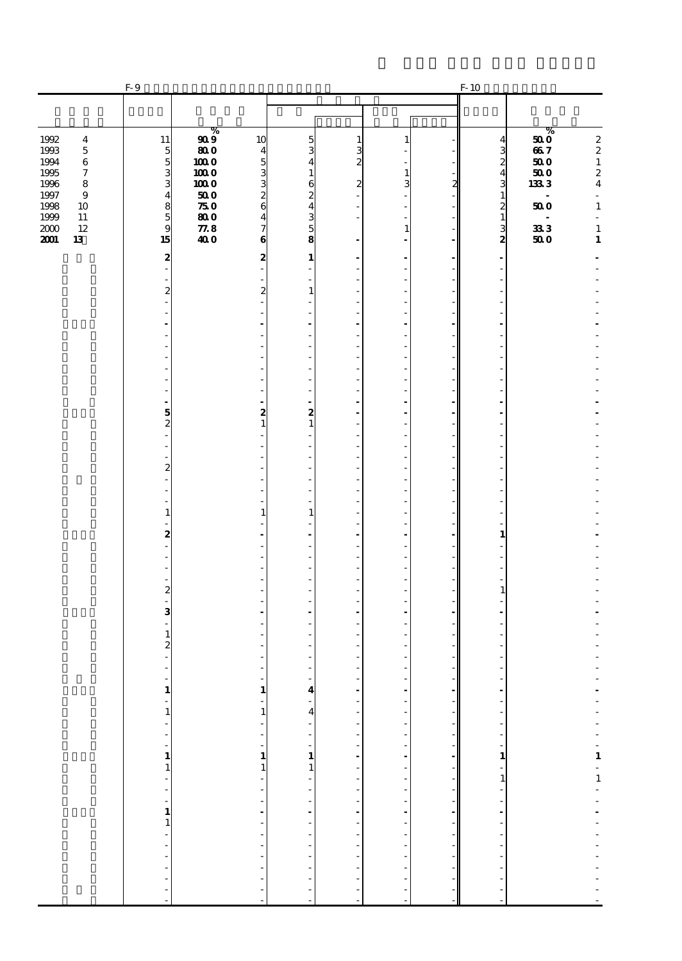|                                                                                                                                                                                                   | F-9                                                                   |                                                                                                                        |                                                                                                                 |                                                                                            |                                |                                               |   | $F-10$                                                                         |                                                                                      |                                                                                                                                                 |
|---------------------------------------------------------------------------------------------------------------------------------------------------------------------------------------------------|-----------------------------------------------------------------------|------------------------------------------------------------------------------------------------------------------------|-----------------------------------------------------------------------------------------------------------------|--------------------------------------------------------------------------------------------|--------------------------------|-----------------------------------------------|---|--------------------------------------------------------------------------------|--------------------------------------------------------------------------------------|-------------------------------------------------------------------------------------------------------------------------------------------------|
|                                                                                                                                                                                                   |                                                                       |                                                                                                                        |                                                                                                                 |                                                                                            |                                |                                               |   |                                                                                |                                                                                      |                                                                                                                                                 |
| 1992<br>$\overline{\bf 4}$<br>1993<br>$\bf 5$<br>1994<br>$\bf 6$<br>1995<br>$\boldsymbol{\tau}$<br>1996<br>$\bf8$<br>1997<br>$\bf{9}$<br>1998<br>10<br>1999<br>11<br>$12\,$<br>2000<br>2001<br>13 | 11<br>$\frac{5}{5}$<br>3<br>3<br>$\overline{\mathbf{4}}$<br>859<br>15 | %<br>$\boldsymbol{g}\boldsymbol{\varrho}$<br>800<br>$1000$<br>1000<br>1000<br>500<br>750<br>800<br>$\pmb{77.8}$<br>400 | 10<br>$\overline{\mathbf{4}}$<br>5<br>3<br>3<br>$\overline{c}$<br>6<br>$\overline{\mathbf{4}}$<br>7<br>$\bf{6}$ | 5<br>3<br>4<br>$\mathbf{1}$<br>6<br>$\overline{c}$<br>$\overline{4}$<br>$\frac{3}{5}$<br>8 | 1<br>3<br>2<br>2               | -1<br>$\mathbf{1}$<br>3<br>÷.<br>$\mathbf{1}$ | 2 | $\frac{4}{3}$<br>$\overline{\mathbf{4}}$<br>3<br>$\mathbf{1}$<br>$\frac{2}{3}$ | %<br>500<br>667<br>500<br>$500$<br>1333<br>÷.<br>500<br>$\overline{a}$<br>333<br>500 | $\boldsymbol{2}$<br>$\begin{array}{c} 2 \\ 1 \end{array}$<br>$\frac{2}{4}$<br>ä,<br>$\mathbf 1$<br>$\mathcal{L}$<br>$\mathbf 1$<br>$\mathbf{1}$ |
|                                                                                                                                                                                                   | 2                                                                     |                                                                                                                        | 2                                                                                                               | 1<br>÷                                                                                     |                                |                                               |   | ۰<br>ä,                                                                        |                                                                                      |                                                                                                                                                 |
|                                                                                                                                                                                                   | $\overline{a}$<br>$\overline{c}$                                      |                                                                                                                        | $\boldsymbol{z}$                                                                                                | ÷,<br>$\mathbf{1}$<br>٠                                                                    |                                |                                               |   | ÷,<br>÷,                                                                       |                                                                                      |                                                                                                                                                 |
|                                                                                                                                                                                                   |                                                                       |                                                                                                                        |                                                                                                                 | ä,<br>÷,<br>ä,                                                                             |                                | ä,<br>$\overline{a}$                          |   | ٠<br>٠<br>ä,                                                                   |                                                                                      |                                                                                                                                                 |
|                                                                                                                                                                                                   |                                                                       |                                                                                                                        |                                                                                                                 | ٠<br>÷,<br>÷<br>÷,                                                                         |                                | ٠<br>٠                                        |   | ä,<br>٠                                                                        |                                                                                      |                                                                                                                                                 |
|                                                                                                                                                                                                   | 5<br>$\overline{c}$                                                   |                                                                                                                        | 2<br>$\mathbf{1}$                                                                                               | ä,<br>2<br>$\mathbf{1}$                                                                    |                                | ä,<br>ä,                                      |   | ۷<br>۰                                                                         |                                                                                      |                                                                                                                                                 |
|                                                                                                                                                                                                   | 2                                                                     |                                                                                                                        |                                                                                                                 | ÷,<br>ä,<br>٠                                                                              |                                | ٠<br>٠                                        |   | ٠<br>÷,<br>÷,                                                                  |                                                                                      |                                                                                                                                                 |
|                                                                                                                                                                                                   | $\mathbf{1}$                                                          |                                                                                                                        | 1                                                                                                               | ÷,<br>÷<br>÷,<br>$\mathbf{1}$                                                              |                                | ٠                                             |   | ÷,                                                                             |                                                                                      |                                                                                                                                                 |
|                                                                                                                                                                                                   | 2                                                                     |                                                                                                                        |                                                                                                                 | ٠<br>$\overline{a}$<br>÷.<br>÷,                                                            |                                | ٠                                             |   | $\mathbf{1}$<br>÷,                                                             |                                                                                      |                                                                                                                                                 |
|                                                                                                                                                                                                   | $\boldsymbol{z}$                                                      |                                                                                                                        |                                                                                                                 | ٠                                                                                          |                                |                                               |   | $\mathbf{1}$                                                                   |                                                                                      |                                                                                                                                                 |
|                                                                                                                                                                                                   | 3<br>1                                                                |                                                                                                                        |                                                                                                                 | ٠<br>ä,<br>٠                                                                               |                                |                                               |   |                                                                                |                                                                                      |                                                                                                                                                 |
|                                                                                                                                                                                                   | 2                                                                     |                                                                                                                        |                                                                                                                 | ÷.<br>L,                                                                                   |                                |                                               |   |                                                                                |                                                                                      |                                                                                                                                                 |
|                                                                                                                                                                                                   | $\begin{array}{c} 1 \\ -1 \end{array}$                                |                                                                                                                        | $\mathbf{1}$<br>$\mathbf{1}$                                                                                    | $\frac{4}{4}$                                                                              | $\frac{1}{2}$<br>$\frac{1}{2}$ |                                               |   |                                                                                |                                                                                      |                                                                                                                                                 |
|                                                                                                                                                                                                   |                                                                       |                                                                                                                        | ٠<br>$\frac{1}{1}$                                                                                              | $\begin{array}{c} \n\cdot \\ \cdot \\ \cdot \\ \cdot \\ \cdot\n\end{array}$                |                                |                                               |   |                                                                                |                                                                                      |                                                                                                                                                 |
|                                                                                                                                                                                                   |                                                                       |                                                                                                                        | $\mathbf{1}$<br>÷,<br>Î,                                                                                        |                                                                                            |                                |                                               |   |                                                                                |                                                                                      |                                                                                                                                                 |
|                                                                                                                                                                                                   |                                                                       |                                                                                                                        | $\ddot{\phantom{a}}$<br>$\frac{1}{2}$<br>f                                                                      | 医单位的 医单位的 医单位的                                                                             | エー・エー・エー・エー・エー                 | ----------------------                        |   |                                                                                |                                                                                      | エーティー 1・1 エーティー・エーティー                                                                                                                           |
|                                                                                                                                                                                                   |                                                                       |                                                                                                                        | $\overline{\phantom{a}}$<br>L,<br>$\overline{\phantom{a}}$                                                      |                                                                                            | $\overline{a}$                 |                                               |   |                                                                                |                                                                                      |                                                                                                                                                 |
|                                                                                                                                                                                                   |                                                                       |                                                                                                                        | $\overline{\phantom{a}}$                                                                                        |                                                                                            | f                              |                                               |   |                                                                                |                                                                                      |                                                                                                                                                 |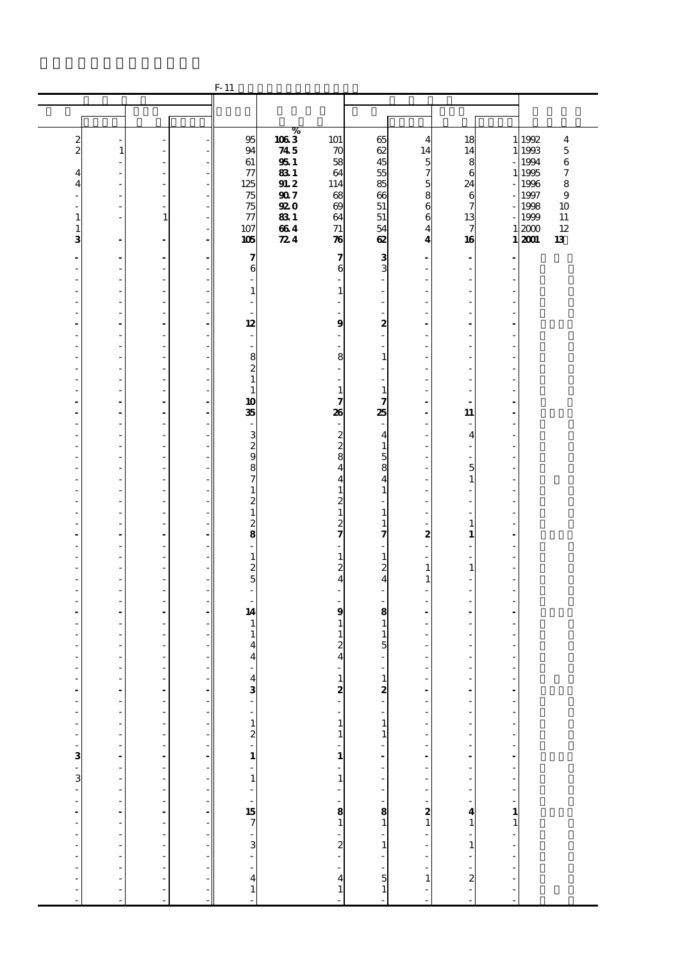|                                             |                |                                |                                                      | $F-11$                                               |                   |                                              |                                             |                                             |                         |                                    |                  |                  |
|---------------------------------------------|----------------|--------------------------------|------------------------------------------------------|------------------------------------------------------|-------------------|----------------------------------------------|---------------------------------------------|---------------------------------------------|-------------------------|------------------------------------|------------------|------------------|
|                                             |                |                                |                                                      |                                                      |                   |                                              |                                             |                                             |                         |                                    |                  |                  |
|                                             |                |                                |                                                      |                                                      |                   |                                              |                                             |                                             |                         |                                    |                  |                  |
|                                             |                |                                |                                                      | 95                                                   | ℅<br>1063         |                                              |                                             |                                             |                         |                                    |                  |                  |
| $\boldsymbol{z}$<br>$\overline{\mathbf{c}}$ | 1              |                                |                                                      | 94                                                   | 745               | 101<br>$\boldsymbol{\pi}$                    | 65<br>62                                    | $\overline{4}$<br>14                        | 18<br>14                |                                    | 1 1992<br>1 1993 | 4<br>$\mathbf 5$ |
|                                             |                |                                |                                                      | 61                                                   | 951               | 58                                           | 45                                          | 5                                           | 8                       |                                    | 1994             | $\,6$            |
| 4                                           |                | ä,                             |                                                      | $\tau$                                               | 831               | 64                                           | 55                                          | 7                                           | 6                       |                                    | 1 1995           | 7                |
| 4                                           | Ĭ.             | $\frac{1}{2}$                  |                                                      | 125                                                  | 91.2              | 114                                          | 85                                          | 5                                           | 24                      |                                    | 1996             | 8                |
|                                             |                | ÷,                             |                                                      | 75                                                   | 907               | 68                                           | 66                                          | 8                                           | 6                       |                                    | 1997             | 9                |
| 1                                           | ä,             | ä,<br>$\mathbf{1}$             |                                                      | 75<br>$\tau\tau$                                     | <b>920</b><br>831 | $\boldsymbol{\omega}$<br>64                  | 51<br>51                                    | 6<br>6                                      | 7<br>13                 |                                    | 1998<br>1999     | 10<br>$11\,$     |
| 1                                           |                |                                |                                                      | 107                                                  | 664               | 71                                           | 54                                          | 4                                           | 7                       |                                    | 12000            | 12               |
| 3                                           |                | ÷,                             |                                                      | 105                                                  | 724               | $\boldsymbol{\pi}$                           | 62                                          | $\overline{\mathbf{4}}$                     | 16                      |                                    | 1 2001           | 13               |
|                                             |                |                                |                                                      |                                                      |                   |                                              |                                             |                                             |                         |                                    |                  |                  |
|                                             |                | $\overline{a}$<br>÷,           |                                                      | 7<br>6                                               |                   | 7<br>6                                       | 3<br>3                                      |                                             | $\blacksquare$<br>÷,    |                                    |                  |                  |
|                                             | J.             | ä,                             |                                                      | $\overline{\phantom{a}}$                             |                   |                                              | $\overline{\phantom{a}}$                    |                                             | ٠                       |                                    |                  |                  |
|                                             |                | ÷,                             |                                                      | $\mathbf{1}$                                         |                   | $\mathbf{1}$                                 | ÷,                                          |                                             |                         |                                    |                  |                  |
|                                             | J.             | i.                             |                                                      |                                                      |                   | ÷.                                           | $\overline{\phantom{a}}$                    |                                             | ä,                      |                                    |                  |                  |
|                                             | l,             | $\overline{a}$                 |                                                      |                                                      |                   |                                              | ä,                                          |                                             | Ĭ.                      |                                    |                  |                  |
|                                             |                | ä,                             |                                                      | 12                                                   |                   | $\boldsymbol{9}$<br>$\overline{\phantom{a}}$ | 2<br>٠                                      |                                             |                         |                                    |                  |                  |
| L,                                          | L,             | L,                             |                                                      | $\overline{\phantom{a}}$<br>$\overline{\phantom{a}}$ |                   |                                              |                                             |                                             | ä,                      |                                    |                  |                  |
|                                             | J.             | ÷,                             |                                                      | 8                                                    |                   | 8                                            | $\mathbf{1}$                                |                                             | Ĭ.                      |                                    |                  |                  |
|                                             | l,             | $\frac{1}{2}$                  |                                                      | $\boldsymbol{z}$                                     |                   |                                              | $\overline{a}$                              |                                             | ÷,                      |                                    |                  |                  |
|                                             |                | ÷,                             |                                                      | $\mathbf{1}$                                         |                   |                                              |                                             |                                             |                         |                                    |                  |                  |
|                                             | L,             | ä,                             |                                                      | $\mathbf{1}$                                         |                   | $\mathbf{1}$                                 | $\mathbf{1}$                                |                                             | ٠                       |                                    |                  |                  |
| ä,                                          | Ĭ.<br>J.       | $\overline{\phantom{a}}$<br>ä, |                                                      | 10<br>35                                             |                   | 7<br>26                                      | 7<br>25                                     | ÷.                                          | 11                      | ÷.                                 |                  |                  |
|                                             | l,             | $\frac{1}{2}$                  |                                                      |                                                      |                   | $\sim$                                       |                                             |                                             | ÷,                      |                                    |                  |                  |
|                                             |                | ÷,                             |                                                      | 3                                                    |                   |                                              | $\overline{\mathbf{4}}$                     |                                             | $\overline{\mathbf{4}}$ |                                    |                  |                  |
|                                             | J.             | ä,                             |                                                      | $\frac{2}{9}$                                        |                   | $\begin{smallmatrix}2\2\3\end{smallmatrix}$  | $\mathbf{1}$                                |                                             | ٠                       |                                    |                  |                  |
|                                             |                | L,                             |                                                      |                                                      |                   |                                              | $\overline{5}$                              |                                             |                         |                                    |                  |                  |
|                                             | J.             | ÷,                             |                                                      | 8                                                    |                   | $\frac{4}{4}$                                | 8                                           |                                             | 5                       |                                    |                  |                  |
|                                             | l,             | $\frac{1}{2}$                  |                                                      | $\boldsymbol{\tau}$                                  |                   |                                              | $\overline{\mathbf{4}}$                     |                                             | $\mathbf{1}$            |                                    |                  |                  |
|                                             | L,             | ÷,<br>ä,                       |                                                      | $\mathbf{1}$                                         |                   | $\mathbf 1$                                  | $\mathbf{1}$<br>٠                           |                                             | L,<br>ä,                |                                    |                  |                  |
|                                             |                | L,                             |                                                      | $\frac{2}{1}$                                        |                   | $\frac{2}{1}$                                | $\mathbf{1}$                                |                                             |                         |                                    |                  |                  |
|                                             | J.             | ÷,                             |                                                      |                                                      |                   |                                              | $\mathbf{1}$                                |                                             | $\mathbf{1}$            |                                    |                  |                  |
|                                             | l,             | $\frac{1}{2}$                  |                                                      | $\frac{2}{8}$                                        |                   | $\frac{2}{7}$                                | 7                                           | 2                                           | $\mathbf{1}$            |                                    |                  |                  |
|                                             |                | ÷,                             |                                                      |                                                      |                   |                                              |                                             |                                             | L,                      |                                    |                  |                  |
| ٠                                           | L,             | ä,                             |                                                      | $\mathbf 1$                                          |                   | $\mathbf{1}$<br>$\overline{c}$               | $\mathbf{1}$                                |                                             | ä,                      |                                    |                  |                  |
|                                             | J.             | $\frac{1}{2}$<br>$\frac{1}{2}$ |                                                      | $\frac{2}{5}$                                        |                   | $\overline{\mathbf{4}}$                      | $\boldsymbol{2}$<br>$\overline{\mathbf{4}}$ | $\mathbf{1}$<br>1                           | $\mathbf{1}$<br>L.      |                                    |                  |                  |
|                                             | l,             | $\frac{1}{2}$                  |                                                      | $\frac{1}{2}$                                        |                   | ä,                                           |                                             |                                             | ÷,                      |                                    |                  |                  |
|                                             |                | ÷,                             |                                                      |                                                      |                   |                                              |                                             |                                             |                         |                                    |                  |                  |
| Ĭ.                                          | ä,             | ä,                             |                                                      | 14                                                   |                   | $\boldsymbol{9}$                             | 8                                           |                                             | $\blacksquare$          |                                    |                  |                  |
|                                             |                | ÷,                             |                                                      | $\mathbf{1}$                                         |                   | $\mathbf{1}$                                 | $\mathbf{1}$                                |                                             |                         |                                    |                  |                  |
|                                             |                | L,<br>L,                       |                                                      | $\mathbf{1}$<br>4                                    |                   | 1<br>$\overline{\mathbf{z}}$                 | $\mathbf{1}$<br>5                           |                                             | ä,                      |                                    |                  |                  |
|                                             |                |                                |                                                      | 4                                                    |                   | 4                                            |                                             |                                             |                         |                                    |                  |                  |
| ä,                                          |                | ä,                             |                                                      | ÷,                                                   |                   | $\sim$                                       | ٠                                           |                                             | ä,                      |                                    |                  |                  |
|                                             |                |                                |                                                      |                                                      |                   |                                              |                                             | $\frac{1}{2}$                               |                         | $\overline{a}$                     |                  |                  |
| $\frac{1}{1}$                               | $\frac{1}{2}$  | -----------------              |                                                      | $43 - 12 - 1 - 1 - 1$<br>$57 - 3 - 41$               |                   | $\begin{bmatrix} 1 \\ 2 \end{bmatrix}$       | $\frac{1}{2}$                               |                                             |                         | $\frac{1}{2}$                      |                  |                  |
|                                             | $\overline{a}$ |                                |                                                      |                                                      |                   |                                              |                                             | $\overline{a}$                              |                         |                                    |                  |                  |
|                                             |                |                                | $\overline{\phantom{a}}$                             |                                                      |                   |                                              |                                             | $\overline{\phantom{a}}$                    |                         |                                    |                  |                  |
|                                             | $\frac{1}{2}$  |                                | $\overline{\phantom{a}}$                             |                                                      |                   | $\frac{1}{1}$                                |                                             |                                             |                         |                                    |                  |                  |
|                                             |                |                                | $\overline{\phantom{a}}$                             |                                                      |                   | $\frac{1}{1}$                                |                                             | $\frac{1}{2}$                               |                         |                                    |                  |                  |
|                                             |                |                                | ÷,                                                   |                                                      |                   |                                              |                                             |                                             |                         |                                    |                  |                  |
|                                             |                |                                |                                                      |                                                      |                   | $\frac{1}{1}$                                |                                             | $\overline{\phantom{a}}$                    |                         |                                    |                  |                  |
|                                             |                |                                | ÷,                                                   |                                                      |                   |                                              |                                             | ÷,                                          |                         |                                    |                  |                  |
|                                             |                |                                | $\overline{\phantom{a}}$<br>$\overline{\phantom{a}}$ |                                                      |                   |                                              |                                             | $\begin{bmatrix} 1 \\ 2 \\ 1 \end{bmatrix}$ |                         |                                    |                  |                  |
|                                             |                |                                | ÷,                                                   |                                                      |                   |                                              |                                             |                                             |                         |                                    |                  |                  |
|                                             |                |                                |                                                      |                                                      |                   |                                              |                                             |                                             |                         |                                    |                  |                  |
|                                             | $\frac{1}{2}$  |                                | $\overline{\phantom{a}}$                             |                                                      |                   | $-1$ $-2$ $-2$ $-1$                          |                                             |                                             |                         | المتمام والمتمام والمساحي والمتمام |                  |                  |
|                                             |                |                                | $\overline{\phantom{a}}$                             |                                                      |                   |                                              |                                             | $\frac{1}{2}$                               |                         |                                    |                  |                  |
|                                             | $\frac{1}{2}$  |                                |                                                      |                                                      |                   |                                              |                                             |                                             |                         |                                    |                  |                  |
| $\overline{a}$                              |                |                                |                                                      |                                                      |                   |                                              |                                             | $\frac{1}{2}$<br>$\mathbf{1}$               |                         | $\overline{a}$                     |                  |                  |
| $\overline{a}$                              | $\overline{a}$ | $\frac{1}{2}$                  |                                                      |                                                      |                   |                                              |                                             |                                             | f                       | $\overline{a}$                     |                  |                  |
|                                             |                |                                |                                                      |                                                      |                   | L,                                           | ÷.                                          |                                             | L.                      |                                    |                  |                  |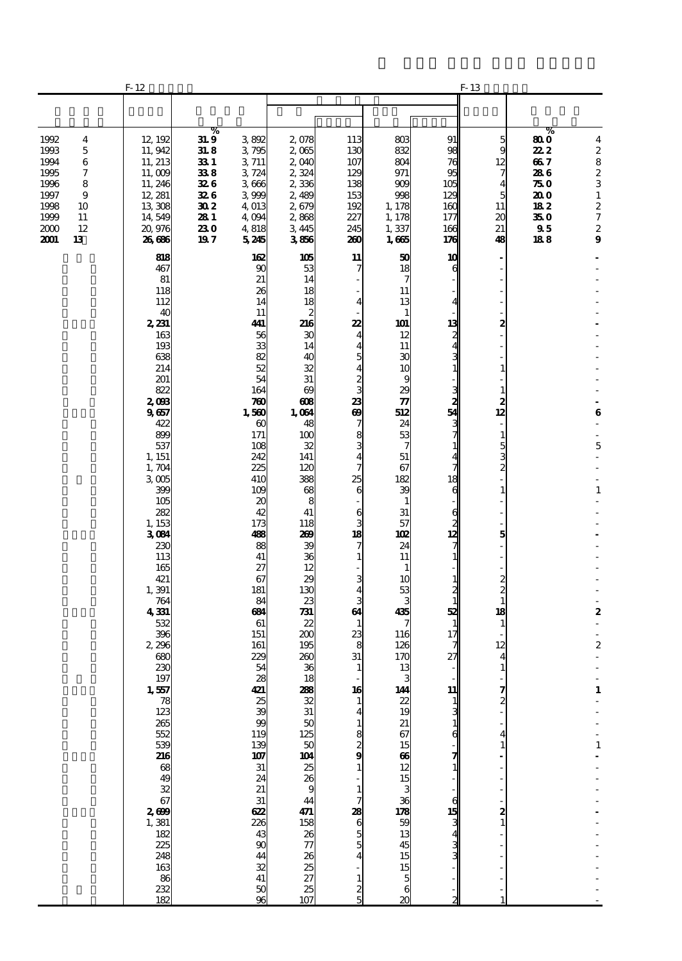| $F-12$                                                                                                                                                                                                                                                                                                                                                                                            |                                                                               |                                                                                                                                                                                                                                                                                                                                                                                   |                                                                                                                                                                                                                                                                                                                                                                               |                                                                                                                                                                                                                                                                                                                                                                                                          |                                                                                                                                                                                                                                                                                                                                                                                                  |                                                                                                                                                                                                                                                                                                                                          |                                                                                                                                                                                                                                                                                                  |                                                                               |                                                                                                                                                           |
|---------------------------------------------------------------------------------------------------------------------------------------------------------------------------------------------------------------------------------------------------------------------------------------------------------------------------------------------------------------------------------------------------|-------------------------------------------------------------------------------|-----------------------------------------------------------------------------------------------------------------------------------------------------------------------------------------------------------------------------------------------------------------------------------------------------------------------------------------------------------------------------------|-------------------------------------------------------------------------------------------------------------------------------------------------------------------------------------------------------------------------------------------------------------------------------------------------------------------------------------------------------------------------------|----------------------------------------------------------------------------------------------------------------------------------------------------------------------------------------------------------------------------------------------------------------------------------------------------------------------------------------------------------------------------------------------------------|--------------------------------------------------------------------------------------------------------------------------------------------------------------------------------------------------------------------------------------------------------------------------------------------------------------------------------------------------------------------------------------------------|------------------------------------------------------------------------------------------------------------------------------------------------------------------------------------------------------------------------------------------------------------------------------------------------------------------------------------------|--------------------------------------------------------------------------------------------------------------------------------------------------------------------------------------------------------------------------------------------------------------------------------------------------|-------------------------------------------------------------------------------|-----------------------------------------------------------------------------------------------------------------------------------------------------------|
|                                                                                                                                                                                                                                                                                                                                                                                                   |                                                                               |                                                                                                                                                                                                                                                                                                                                                                                   |                                                                                                                                                                                                                                                                                                                                                                               |                                                                                                                                                                                                                                                                                                                                                                                                          |                                                                                                                                                                                                                                                                                                                                                                                                  |                                                                                                                                                                                                                                                                                                                                          |                                                                                                                                                                                                                                                                                                  |                                                                               |                                                                                                                                                           |
| 12, 192<br>11, 942<br>11, 213<br>11,009<br>11, 246<br>12, 281<br>13,308<br>14,549<br>20,976<br>26,686                                                                                                                                                                                                                                                                                             | $\bf{31.9}$<br>31. 8<br>33 1<br>338<br>326<br>326<br>302<br>281<br>230<br>197 | 3892<br>3795<br>3 711<br>3724<br>3666<br>3999<br>4,013<br>4,094<br>4,818<br>5245                                                                                                                                                                                                                                                                                                  | 2,078<br>2,065<br>2,040<br>2,324<br>2336<br>2,489<br>2,679<br>2,868<br>3,445<br>3856                                                                                                                                                                                                                                                                                          | 113<br>130<br>107<br>129<br>138<br>153<br>192<br>227<br>245<br>260                                                                                                                                                                                                                                                                                                                                       | 803<br>832<br>804<br>971<br>909<br>998<br>1,178<br>1,178<br>1,337<br>1,665                                                                                                                                                                                                                                                                                                                       | 91<br>98<br>76<br>95<br>105<br>129<br>160<br>177<br>166<br>176                                                                                                                                                                                                                                                                           | 5<br>9<br>12<br>7<br>4<br>5<br>11<br>20<br>21<br>48                                                                                                                                                                                                                                              | 80 O<br>22 2<br>667<br>286<br>75 O<br>20 O<br>182<br>35 0<br>$\bm{95}$<br>188 | $\overline{\mathbf{4}}$<br>$\begin{array}{c} 2 \\ 8 \end{array}$<br>$\frac{2}{3}$<br>$\mathbf 1$<br>$\frac{2}{7}$<br>$\boldsymbol{2}$<br>$\boldsymbol{9}$ |
| 818<br>467<br>81<br>118<br>112<br>40<br>2,231<br>163<br>193<br>638<br>214<br>201<br>822<br>2,093<br>9657<br>422<br>899<br>537<br>1, 151<br>1,704<br>3 <sub>005</sub><br>399<br>105<br>282<br>1, 153<br>3084<br>230<br>113<br>165<br>421<br>1,391<br>764<br>4331<br>532<br>396<br>2,296<br>680<br>230<br>197<br>1,557<br>$\begin{array}{c}\n 78 \\  123\n \end{array}$<br>265<br>552<br>539<br>216 |                                                                               | 162<br>90<br>21<br>26<br>14<br>11<br>441<br>56<br>33<br>82<br>52<br>54<br>164<br>780<br>1,560<br>$\boldsymbol{\omega}$<br>171<br>108<br>242<br>225<br>410<br>109<br>20<br>42<br>173<br>488<br>88<br>41<br>27<br>67<br>181<br>84<br>684<br>61<br>151<br>161<br>229<br>54<br>28<br>421<br>25<br>$\mathbf{3}$<br>$_{\rm \alpha}$<br>119<br>139<br>107<br>31<br>24<br>21<br>31<br>622 | 105<br>53<br>14<br>18<br>18<br>$\boldsymbol{z}$<br>216<br>30<br>14<br>40<br>32<br>31<br>$\boldsymbol{\omega}$<br>$\boldsymbol{\alpha}$<br>1,064<br>48<br>100<br>32<br>141<br>120<br>388<br>68<br>8<br>41<br>118<br>269<br>39<br>36<br>12<br>29<br>130<br>23<br>731<br>22<br>200<br>195<br>260<br>36<br>18<br>288<br>32<br>31<br>50<br>125<br>50<br>23<br>23<br>9<br>44<br>471 | 11<br>7<br>$\overline{\mathbf{4}}$<br>22<br>$\overline{\mathbf{4}}$<br>$\overline{\mathbf{4}}$<br>5<br>$\overline{\mathbf{4}}$<br>$\frac{2}{3}$<br>23<br>$\boldsymbol{\theta}$<br>7<br>8<br>$\frac{3}{4}$<br>$\overline{7}$<br>25<br>6<br>6<br>3<br>18<br>7<br>$\mathbf{1}$<br>3<br>4<br>3<br>64<br>$\mathbf{1}$<br>23<br>8<br>31<br>1<br>16<br>1<br>4<br>1<br>$\frac{8}{2}$ 9<br>1<br>$\mathbf{1}$<br>7 | 50<br>18<br>7<br>11<br>13<br>$\mathbf{1}$<br>101<br>12<br>11<br>30<br>10<br>9<br>29<br>$\boldsymbol{\pi}$<br>512<br>24<br>53<br>7<br>51<br>67<br>182<br>39<br>$\mathbf{1}$<br>31<br>57<br><b>102</b><br>24<br>11<br>$\mathbf{1}$<br>10<br>53<br>3<br>435<br>116<br>126<br>170<br>13<br>144<br>$rac{22}{19}$<br>21<br>67<br>15<br>66<br>$\begin{array}{c} 12 \\ 15 \end{array}$<br>3<br>36<br>178 | 10<br>6<br>4<br>13<br>2<br>4<br>3<br>1<br>າວ<br>ເມ<br>54<br>دى<br>د<br>$\mathbf{1}$<br>$\overline{\mathbf{4}}$<br>7<br>18<br>$\epsilon$<br>$\begin{array}{c} 6 \\ 2 \\ 12 \end{array}$<br>7<br>$\mathbf{1}$<br>$\mathbf{1}$<br>$\frac{2}{1}$<br>52<br>1<br>17<br>7<br>27<br>11<br>$\mathbf{1}$<br>3<br>6<br>7<br>$\mathbf{1}$<br>6<br>15 | $\overline{a}$<br>2<br>$\mathbf{1}$<br>$\mathbf{1}$<br>$\frac{2}{12}$<br>$\overline{\phantom{a}}$<br>$\mathbf{1}$<br>$\frac{5}{3}$<br>$\mathbf{1}$<br>5<br>$\begin{smallmatrix}2\2\2\1\end{smallmatrix}$<br>18<br>$\mathbf{1}$<br>12<br>4<br>$\mathbf{1}$<br>$\frac{7}{2}$<br>4<br>$\frac{2}{1}$ |                                                                               | $\bf{6}$<br>÷,<br>÷,<br>5<br>$\mathbf{1}$<br>$\boldsymbol{2}$<br>$\boldsymbol{2}$<br>÷,<br>$\mathbf 1$<br>$\mathbf 1$                                     |
|                                                                                                                                                                                                                                                                                                                                                                                                   | 225<br>248                                                                    | %                                                                                                                                                                                                                                                                                                                                                                                 | 226<br>43<br>90                                                                                                                                                                                                                                                                                                                                                               | $\frac{158}{26}$<br>77<br>26<br>25<br>27                                                                                                                                                                                                                                                                                                                                                                 | $8865$<br>55                                                                                                                                                                                                                                                                                                                                                                                     | $\frac{59}{13}$<br>45                                                                                                                                                                                                                                                                                                                    | $\mathbf{3}$                                                                                                                                                                                                                                                                                     | F-13                                                                          | %                                                                                                                                                         |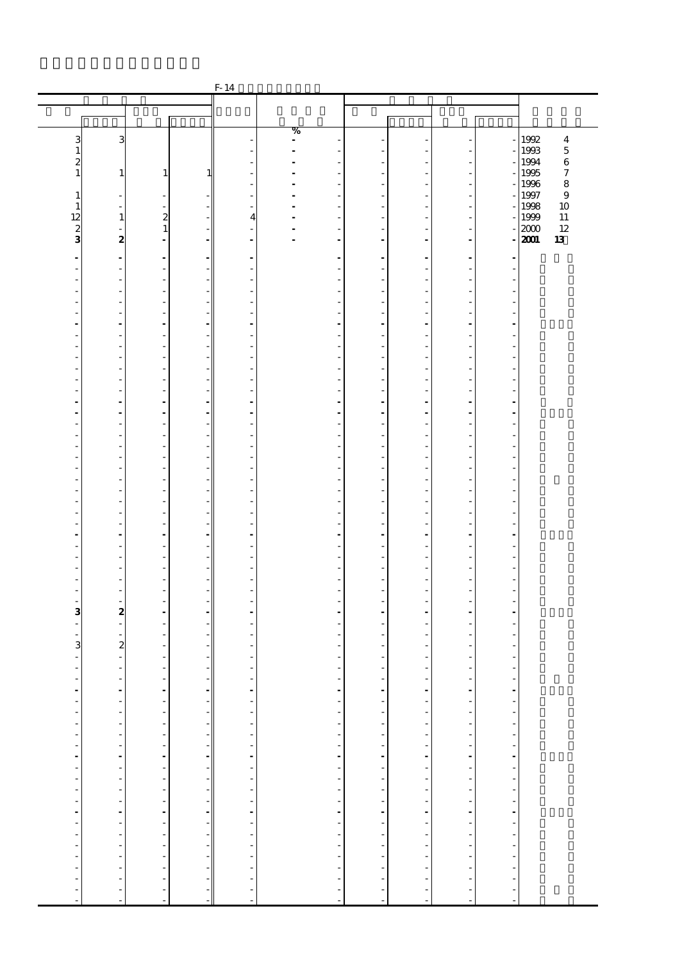|                          |                                                      |                                                 |                               | $F-14$                                     |                |                         |                        |                          |                                            |                          |                                       |
|--------------------------|------------------------------------------------------|-------------------------------------------------|-------------------------------|--------------------------------------------|----------------|-------------------------|------------------------|--------------------------|--------------------------------------------|--------------------------|---------------------------------------|
|                          |                                                      |                                                 |                               |                                            |                |                         |                        |                          |                                            |                          |                                       |
|                          |                                                      |                                                 |                               |                                            |                |                         |                        |                          |                                            |                          |                                       |
|                          |                                                      |                                                 |                               |                                            | %              |                         |                        |                          |                                            |                          | 1992                                  |
| 3<br>1                   | З                                                    |                                                 |                               |                                            | $\blacksquare$ |                         |                        |                          |                                            |                          | $\bf{4}$<br>1993<br>$\overline{5}$    |
| 2                        |                                                      |                                                 |                               |                                            |                |                         |                        |                          | ٠                                          |                          | 1994<br>$\,6$                         |
| $\mathbf{1}$             | $\mathbf{1}$                                         | 1                                               | 1                             |                                            |                | ٠                       | L,                     |                          | ÷<br>$\overline{\phantom{a}}$              |                          | 1995<br>$\boldsymbol{7}$<br>8<br>1996 |
| 1                        | $\overline{a}$                                       |                                                 |                               |                                            |                |                         |                        |                          | L,                                         |                          | $\boldsymbol{9}$<br>1997              |
| $\mathbf{1}$             | ä,                                                   | ÷                                               |                               | ٠                                          |                |                         | ä,                     |                          | ÷,                                         |                          | 1998<br>10                            |
| 12                       | $\mathbf{1}$                                         | $\boldsymbol{z}$                                |                               | $\overline{4}$                             |                |                         |                        |                          | ÷                                          |                          | 1999<br>11                            |
| $\frac{2}{3}$            | $\overline{\phantom{a}}$<br>$\boldsymbol{z}$         | $\mathbf{1}$<br>٠                               | $\blacksquare$                | $\blacksquare$                             |                | $\blacksquare$          | ä,                     |                          | $\overline{\phantom{0}}$<br>$\blacksquare$ |                          | 2000<br>12<br>2001<br>13              |
|                          |                                                      |                                                 |                               |                                            |                |                         |                        |                          |                                            |                          |                                       |
|                          | $\overline{\phantom{a}}$<br>$\overline{\phantom{a}}$ | $\overline{\phantom{a}}$<br>$\overline{a}$      | $\blacksquare$                | $\blacksquare$                             |                |                         | ٠<br>i,                |                          | $\blacksquare$<br>÷,                       |                          |                                       |
|                          | $\overline{\phantom{a}}$                             | ÷,                                              |                               | ٠                                          |                |                         | J.                     |                          | ÷,                                         | ÷,                       |                                       |
|                          | L,                                                   |                                                 |                               |                                            |                |                         |                        |                          | Ĭ.                                         |                          |                                       |
|                          | $\frac{1}{2}$<br>٠                                   | ٠                                               |                               | ٠                                          |                |                         | L,                     |                          | ÷<br>ä,                                    |                          |                                       |
|                          | $\overline{\phantom{a}}$                             | $\ddot{\phantom{0}}$                            | $\overline{\phantom{a}}$      | ٠                                          |                |                         | ä,                     |                          | $\blacksquare$                             |                          |                                       |
|                          | $\overline{\phantom{a}}$                             | ÷,                                              | $\overline{\phantom{0}}$      | ٠                                          |                |                         | J.                     |                          | ÷,                                         | J.                       |                                       |
|                          | L,                                                   |                                                 |                               |                                            |                |                         |                        |                          | Ĭ.<br>÷                                    |                          |                                       |
|                          | ٠                                                    | ٠                                               | $\overline{a}$                | ٠                                          |                |                         | L,                     |                          | ä,                                         |                          |                                       |
|                          | $\overline{a}$                                       | $\overline{a}$                                  |                               | $\overline{\phantom{a}}$                   |                |                         | ٠                      |                          | ÷,                                         |                          |                                       |
|                          | $\overline{a}$<br>$\overline{a}$                     | ÷,                                              | ÷,                            | Ĭ.                                         |                |                         | Ĭ.                     |                          | ÷,<br>$\overline{a}$                       | ÷,                       |                                       |
|                          | $\overline{\phantom{a}}$                             |                                                 |                               |                                            |                |                         |                        |                          | $\overline{a}$                             |                          |                                       |
|                          | $\overline{\phantom{a}}$                             | ٠                                               | ٠                             | ٠                                          |                |                         | L,                     |                          | ÷,                                         |                          |                                       |
|                          | $\overline{a}$<br>$\overline{a}$                     | $\overline{a}$<br>÷,                            | $\overline{\phantom{0}}$      | ٠                                          |                |                         | ٠<br>J.                |                          | ÷,<br>÷,                                   |                          |                                       |
|                          | L,                                                   |                                                 |                               |                                            |                |                         |                        |                          | Ĭ.                                         |                          |                                       |
|                          |                                                      |                                                 |                               |                                            |                |                         |                        |                          | ÷                                          |                          |                                       |
|                          | ٠                                                    | ٠                                               |                               | ٠                                          |                |                         | L,                     |                          | ä,                                         |                          |                                       |
|                          | $\overline{a}$<br>$\overline{a}$                     | $\overline{a}$<br>÷,                            | ÷,                            | $\overline{\phantom{a}}$<br>Ĭ.             |                |                         | ٠<br>J.                |                          | ÷,<br>÷,                                   | ÷.                       |                                       |
|                          | L,                                                   |                                                 |                               |                                            |                |                         |                        |                          | Ĭ.                                         |                          |                                       |
|                          |                                                      |                                                 |                               |                                            |                |                         |                        |                          | ÷<br>$\blacksquare$                        |                          |                                       |
|                          | $\overline{\phantom{a}}$<br>$\overline{a}$           | $\blacksquare$<br>$\overline{a}$                | ٠<br>$\overline{\phantom{a}}$ | $\blacksquare$<br>$\overline{\phantom{a}}$ |                |                         | ä,<br>٠                |                          | ÷,                                         |                          |                                       |
|                          | $\overline{a}$                                       | L,                                              | $\overline{\phantom{0}}$      | ٠                                          |                |                         | J.                     |                          | ÷,                                         | J.                       |                                       |
|                          | ٠                                                    | ٠                                               | $\overline{\phantom{0}}$      | ٠                                          |                |                         | L,                     |                          | ä,                                         | ٠                        |                                       |
|                          | $\frac{1}{2}$<br>$\overline{\phantom{a}}$            | ٠                                               |                               | ٠                                          |                |                         | Ĭ.                     |                          | i,<br>٠                                    |                          |                                       |
|                          | $\overline{\phantom{a}}$                             | $\overline{a}$                                  |                               |                                            |                |                         | -                      |                          | ÷,                                         |                          |                                       |
| 3                        | $\boldsymbol{z}$                                     | $\overline{a}$                                  | $\overline{\phantom{a}}$      | ÷.                                         |                |                         | ۷                      |                          | ÷,                                         | ÷.                       |                                       |
|                          | $\overline{\phantom{a}}$                             |                                                 |                               |                                            |                |                         |                        |                          | ٠                                          |                          |                                       |
| 3                        | $\overline{\mathbf{c}}$                              |                                                 |                               |                                            |                |                         | ٠                      |                          | ٠                                          |                          |                                       |
| ÷.                       | $\blacksquare$                                       |                                                 |                               |                                            |                |                         | -                      |                          | ÷,                                         |                          |                                       |
|                          | $\overline{\phantom{a}}$<br>$\overline{\phantom{a}}$ | $\overline{\phantom{a}}$                        |                               | $\overline{a}$                             |                |                         | -                      | ł,                       |                                            |                          |                                       |
| $\overline{\phantom{a}}$ | $\overline{\phantom{a}}$                             |                                                 | $\overline{\phantom{a}}$      | $\overline{\phantom{a}}$                   |                |                         |                        | f                        |                                            | ------------------------ |                                       |
| $\overline{\phantom{a}}$ |                                                      | a de alta de alta de alta de alta de alta de la | $\overline{\phantom{a}}$      | <sup>-</sup>                               |                |                         | 化亚硝基苯甲基苯甲基苯甲基苯甲基苯甲基苯甲基 | $\overline{\phantom{a}}$ |                                            |                          |                                       |
|                          | 医单位的 医单位的 医单位的 医单位的 医单位                              |                                                 |                               |                                            |                |                         |                        |                          |                                            |                          |                                       |
|                          |                                                      |                                                 |                               |                                            |                |                         |                        |                          |                                            |                          |                                       |
|                          |                                                      |                                                 |                               |                                            |                |                         |                        |                          |                                            |                          |                                       |
|                          |                                                      |                                                 |                               |                                            |                |                         |                        |                          |                                            |                          |                                       |
|                          |                                                      |                                                 |                               |                                            |                |                         |                        |                          |                                            |                          |                                       |
|                          |                                                      |                                                 |                               |                                            |                |                         |                        |                          |                                            |                          |                                       |
|                          |                                                      |                                                 |                               |                                            |                |                         |                        |                          |                                            |                          |                                       |
|                          |                                                      |                                                 |                               |                                            |                |                         |                        |                          |                                            |                          |                                       |
|                          |                                                      |                                                 |                               |                                            |                |                         |                        |                          |                                            |                          |                                       |
|                          |                                                      |                                                 |                               |                                            |                |                         |                        |                          |                                            |                          |                                       |
| Î,                       |                                                      |                                                 | $\overline{\phantom{a}}$      |                                            |                |                         |                        | ł                        |                                            |                          |                                       |
|                          |                                                      |                                                 | $\overline{\phantom{a}}$      |                                            |                |                         |                        | $\overline{\phantom{a}}$ |                                            |                          |                                       |
| $\frac{1}{2}$            | ÷,                                                   | ÷,                                              | $\overline{\phantom{a}}$      |                                            |                | 医单位单位 医单位单位 医单位单位 医血管中枢 | L,                     | j<br>J.                  | アナマティー・ディー・ディー・ディー・ディー                     | l,                       |                                       |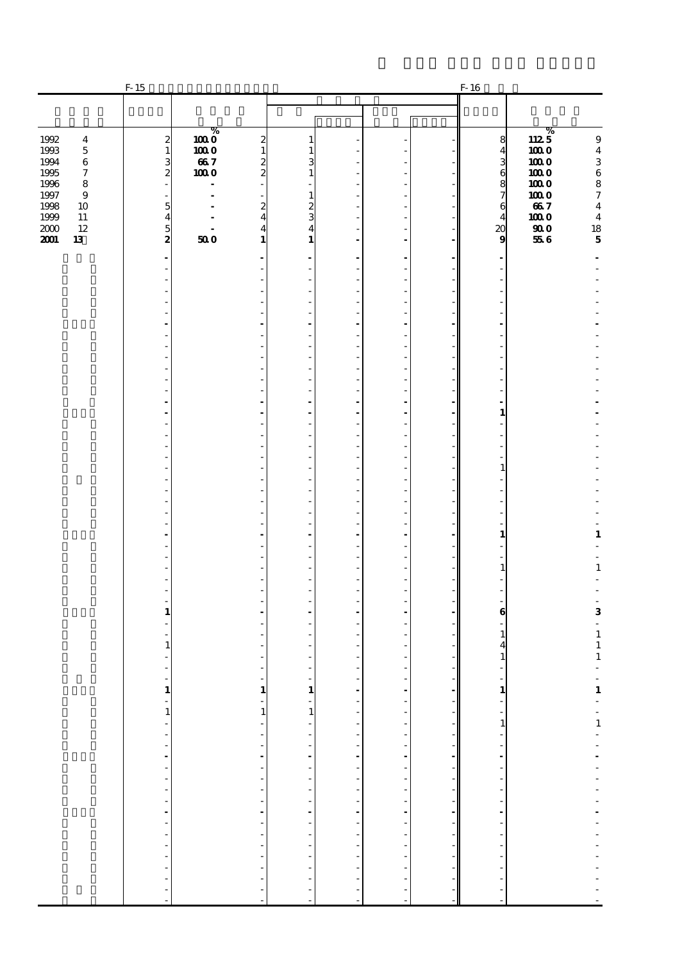|                                                                                                                                                                                              | $F-15$                                                                                                                                         |                                                           |                                                                                                              |                                                                                        |                                  |                                                |                                                                                                                                                                                                            | $F-16$                                                                                       |                                                                                                                                                                       |                                                                                                                                                                                                                                                                                                                               |
|----------------------------------------------------------------------------------------------------------------------------------------------------------------------------------------------|------------------------------------------------------------------------------------------------------------------------------------------------|-----------------------------------------------------------|--------------------------------------------------------------------------------------------------------------|----------------------------------------------------------------------------------------|----------------------------------|------------------------------------------------|------------------------------------------------------------------------------------------------------------------------------------------------------------------------------------------------------------|----------------------------------------------------------------------------------------------|-----------------------------------------------------------------------------------------------------------------------------------------------------------------------|-------------------------------------------------------------------------------------------------------------------------------------------------------------------------------------------------------------------------------------------------------------------------------------------------------------------------------|
|                                                                                                                                                                                              |                                                                                                                                                |                                                           |                                                                                                              |                                                                                        |                                  |                                                |                                                                                                                                                                                                            |                                                                                              |                                                                                                                                                                       |                                                                                                                                                                                                                                                                                                                               |
| 1992<br>$\boldsymbol{4}$<br>1993<br>$\bf 5$<br>1994<br>$\bf 6$<br>1995<br>$\boldsymbol{7}$<br>1996<br>$\bf8$<br>1997<br>$\bf{9}$<br>1998<br>10<br>1999<br>11<br>$2000\,$<br>12<br>2001<br>13 | $\begin{smallmatrix}2\2\1\end{smallmatrix}$<br>$\frac{3}{2}$<br>$\overline{\phantom{m}}$<br>٠<br>5<br>$\overline{\mathbf{4}}$<br>$\frac{5}{2}$ | $\overline{1000}^{\%}$<br>1000<br>667<br>1000<br>÷<br>500 | $\boldsymbol{z}$<br>$\mathbf{1}$<br>$\frac{2}{2}$<br>$\boldsymbol{z}$<br>$\overline{4}$<br>4<br>$\mathbf{1}$ | 1<br>1<br>3<br>$\mathbf{1}$<br>$\boldsymbol{z}$<br>3<br>$\overline{4}$<br>$\mathbf{1}$ |                                  | ٠<br>÷,<br>÷.<br>٠<br>$\overline{\phantom{a}}$ |                                                                                                                                                                                                            | 8<br>$\overline{\mathbf{4}}$<br>36876<br>$\overline{4}$<br>$\boldsymbol{\alpha}$<br>$\bf{9}$ | $112\frac{\%}{5}$<br>1000<br>1000<br>1000<br>1000<br>1000<br>667<br>1000<br>$\boldsymbol{\boldsymbol{\boldsymbol{g}}}\boldsymbol{\boldsymbol{\boldsymbol{0}}}$<br>556 | $\boldsymbol{9}$<br>$\bf{4}$<br>$\,$ 3 $\,$<br>$^6_8$<br>$\boldsymbol{7}$<br>$\bf{4}$<br>$\bf{4}$<br>$\frac{18}{5}$                                                                                                                                                                                                           |
|                                                                                                                                                                                              |                                                                                                                                                |                                                           |                                                                                                              |                                                                                        |                                  | ÷.                                             |                                                                                                                                                                                                            |                                                                                              |                                                                                                                                                                       |                                                                                                                                                                                                                                                                                                                               |
|                                                                                                                                                                                              |                                                                                                                                                |                                                           |                                                                                                              |                                                                                        |                                  | $\overline{\phantom{a}}$<br>÷,                 |                                                                                                                                                                                                            |                                                                                              |                                                                                                                                                                       |                                                                                                                                                                                                                                                                                                                               |
|                                                                                                                                                                                              |                                                                                                                                                |                                                           |                                                                                                              |                                                                                        |                                  | ٠                                              |                                                                                                                                                                                                            |                                                                                              |                                                                                                                                                                       |                                                                                                                                                                                                                                                                                                                               |
|                                                                                                                                                                                              |                                                                                                                                                |                                                           |                                                                                                              | ٠                                                                                      |                                  | ÷.<br>$\overline{a}$                           |                                                                                                                                                                                                            |                                                                                              |                                                                                                                                                                       |                                                                                                                                                                                                                                                                                                                               |
|                                                                                                                                                                                              |                                                                                                                                                |                                                           |                                                                                                              |                                                                                        |                                  | ÷,<br>٠                                        |                                                                                                                                                                                                            |                                                                                              |                                                                                                                                                                       |                                                                                                                                                                                                                                                                                                                               |
|                                                                                                                                                                                              |                                                                                                                                                |                                                           |                                                                                                              |                                                                                        |                                  | ÷.                                             |                                                                                                                                                                                                            |                                                                                              |                                                                                                                                                                       |                                                                                                                                                                                                                                                                                                                               |
|                                                                                                                                                                                              |                                                                                                                                                |                                                           |                                                                                                              | $\overline{a}$<br>÷.                                                                   |                                  | $\overline{a}$<br>$\overline{a}$               |                                                                                                                                                                                                            | ÷.                                                                                           |                                                                                                                                                                       |                                                                                                                                                                                                                                                                                                                               |
|                                                                                                                                                                                              |                                                                                                                                                |                                                           |                                                                                                              |                                                                                        |                                  | $\overline{\phantom{a}}$                       |                                                                                                                                                                                                            | $\mathbf{1}$                                                                                 |                                                                                                                                                                       |                                                                                                                                                                                                                                                                                                                               |
|                                                                                                                                                                                              |                                                                                                                                                |                                                           |                                                                                                              | ٠                                                                                      |                                  | $\overline{a}$                                 |                                                                                                                                                                                                            |                                                                                              |                                                                                                                                                                       |                                                                                                                                                                                                                                                                                                                               |
|                                                                                                                                                                                              |                                                                                                                                                |                                                           |                                                                                                              |                                                                                        |                                  | ÷,<br>٠                                        |                                                                                                                                                                                                            | 1                                                                                            |                                                                                                                                                                       |                                                                                                                                                                                                                                                                                                                               |
|                                                                                                                                                                                              |                                                                                                                                                |                                                           |                                                                                                              |                                                                                        |                                  | ÷                                              |                                                                                                                                                                                                            |                                                                                              |                                                                                                                                                                       |                                                                                                                                                                                                                                                                                                                               |
|                                                                                                                                                                                              |                                                                                                                                                |                                                           |                                                                                                              | ٠                                                                                      |                                  | $\overline{a}$<br>÷,                           |                                                                                                                                                                                                            |                                                                                              |                                                                                                                                                                       |                                                                                                                                                                                                                                                                                                                               |
|                                                                                                                                                                                              |                                                                                                                                                |                                                           |                                                                                                              |                                                                                        |                                  | ٠                                              |                                                                                                                                                                                                            | $\mathbf{1}$                                                                                 |                                                                                                                                                                       | $\mathbf 1$                                                                                                                                                                                                                                                                                                                   |
|                                                                                                                                                                                              |                                                                                                                                                |                                                           |                                                                                                              |                                                                                        |                                  | ÷.<br>$\overline{a}$                           |                                                                                                                                                                                                            |                                                                                              |                                                                                                                                                                       |                                                                                                                                                                                                                                                                                                                               |
|                                                                                                                                                                                              |                                                                                                                                                |                                                           |                                                                                                              |                                                                                        |                                  | ٠                                              |                                                                                                                                                                                                            | 1                                                                                            |                                                                                                                                                                       | $\mathbf 1$                                                                                                                                                                                                                                                                                                                   |
|                                                                                                                                                                                              |                                                                                                                                                |                                                           |                                                                                                              |                                                                                        |                                  |                                                |                                                                                                                                                                                                            |                                                                                              |                                                                                                                                                                       | $\overline{\phantom{a}}$                                                                                                                                                                                                                                                                                                      |
|                                                                                                                                                                                              | 1                                                                                                                                              |                                                           |                                                                                                              |                                                                                        |                                  | $\overline{a}$                                 |                                                                                                                                                                                                            | 6                                                                                            |                                                                                                                                                                       | 3<br>$\Box$                                                                                                                                                                                                                                                                                                                   |
|                                                                                                                                                                                              | 1                                                                                                                                              |                                                           |                                                                                                              |                                                                                        |                                  |                                                |                                                                                                                                                                                                            | 1                                                                                            |                                                                                                                                                                       | $\begin{smallmatrix}1\\1\end{smallmatrix}$                                                                                                                                                                                                                                                                                    |
|                                                                                                                                                                                              |                                                                                                                                                |                                                           |                                                                                                              |                                                                                        |                                  | ÷,                                             |                                                                                                                                                                                                            |                                                                                              |                                                                                                                                                                       | $\mathbf 1$                                                                                                                                                                                                                                                                                                                   |
|                                                                                                                                                                                              |                                                                                                                                                |                                                           | $\mathbf{1}$                                                                                                 |                                                                                        | ÷,                               | $\overline{\phantom{a}}$                       | - 1                                                                                                                                                                                                        |                                                                                              |                                                                                                                                                                       |                                                                                                                                                                                                                                                                                                                               |
|                                                                                                                                                                                              | $\begin{array}{c} 1 \\ -1 \end{array}$                                                                                                         |                                                           | $\mathbf{1}$                                                                                                 | $\begin{array}{c} 1 \\ -1 \end{array}$                                                 | $\frac{1}{\sqrt{2}}$             |                                                | - 11                                                                                                                                                                                                       |                                                                                              |                                                                                                                                                                       | $\frac{1}{1}$ = $\frac{1}{1}$ = $\frac{1}{1}$                                                                                                                                                                                                                                                                                 |
|                                                                                                                                                                                              |                                                                                                                                                |                                                           | $\blacksquare$<br>$\overline{\phantom{a}}$                                                                   |                                                                                        |                                  |                                                | $\overline{\phantom{a}}$<br>$\overline{\phantom{a}}$                                                                                                                                                       |                                                                                              |                                                                                                                                                                       |                                                                                                                                                                                                                                                                                                                               |
|                                                                                                                                                                                              |                                                                                                                                                |                                                           | ł,<br>L,                                                                                                     |                                                                                        |                                  |                                                |                                                                                                                                                                                                            |                                                                                              |                                                                                                                                                                       |                                                                                                                                                                                                                                                                                                                               |
|                                                                                                                                                                                              |                                                                                                                                                |                                                           | $\overline{\phantom{a}}$<br>$\overline{\phantom{a}}$                                                         |                                                                                        |                                  |                                                | $\label{eq:3.1} \begin{array}{cccccccccc} 1 & 1 & 1 & 1 & 1 \end{array}$                                                                                                                                   |                                                                                              |                                                                                                                                                                       |                                                                                                                                                                                                                                                                                                                               |
|                                                                                                                                                                                              |                                                                                                                                                |                                                           | $\overline{\phantom{a}}$<br>l,                                                                               |                                                                                        |                                  |                                                |                                                                                                                                                                                                            |                                                                                              |                                                                                                                                                                       |                                                                                                                                                                                                                                                                                                                               |
|                                                                                                                                                                                              | 医单位的 医单位的 医单位的                                                                                                                                 |                                                           | L,<br>$\Box$                                                                                                 |                                                                                        | エコエエン エコエコエーエー                   | -----------------------                        | $\frac{1}{2} \left( \begin{array}{cc} 1 & 0 & 0 \\ 0 & 1 & 0 \\ 0 & 0 & 0 \end{array} \right) = \frac{1}{2} \left( \begin{array}{cc} 1 & 0 & 0 \\ 0 & 1 & 0 \\ 0 & 0 & 0 \\ 0 & 0 & 0 \end{array} \right)$ |                                                                                              |                                                                                                                                                                       |                                                                                                                                                                                                                                                                                                                               |
|                                                                                                                                                                                              |                                                                                                                                                |                                                           | $\blacksquare$<br>$\overline{\phantom{a}}$                                                                   |                                                                                        |                                  |                                                | $\overline{\phantom{a}}$                                                                                                                                                                                   |                                                                                              |                                                                                                                                                                       | $\begin{bmatrix} 1 & 0 & 0 & 0 \\ 0 & 1 & 0 & 0 \\ 0 & 0 & 0 & 0 \\ 0 & 0 & 0 & 0 \\ 0 & 0 & 0 & 0 \\ 0 & 0 & 0 & 0 \\ 0 & 0 & 0 & 0 \\ 0 & 0 & 0 & 0 \\ 0 & 0 & 0 & 0 & 0 \\ 0 & 0 & 0 & 0 & 0 \\ 0 & 0 & 0 & 0 & 0 \\ 0 & 0 & 0 & 0 & 0 \\ 0 & 0 & 0 & 0 & 0 & 0 \\ 0 & 0 & 0 & 0 & 0 & 0 \\ 0 & 0 & 0 & 0 & 0 & 0 \\ 0 & $ |
|                                                                                                                                                                                              |                                                                                                                                                |                                                           | $\frac{1}{2}$<br>$\overline{\phantom{a}}$                                                                    |                                                                                        | $\overline{a}$<br>$\overline{a}$ |                                                |                                                                                                                                                                                                            |                                                                                              |                                                                                                                                                                       |                                                                                                                                                                                                                                                                                                                               |
|                                                                                                                                                                                              | $\frac{1}{2}$                                                                                                                                  |                                                           | $\overline{a}$<br>$\overline{\phantom{a}}$                                                                   |                                                                                        | $\frac{1}{2}$                    |                                                |                                                                                                                                                                                                            |                                                                                              |                                                                                                                                                                       | $\frac{1}{2}$                                                                                                                                                                                                                                                                                                                 |
|                                                                                                                                                                                              |                                                                                                                                                |                                                           |                                                                                                              |                                                                                        |                                  |                                                |                                                                                                                                                                                                            |                                                                                              |                                                                                                                                                                       |                                                                                                                                                                                                                                                                                                                               |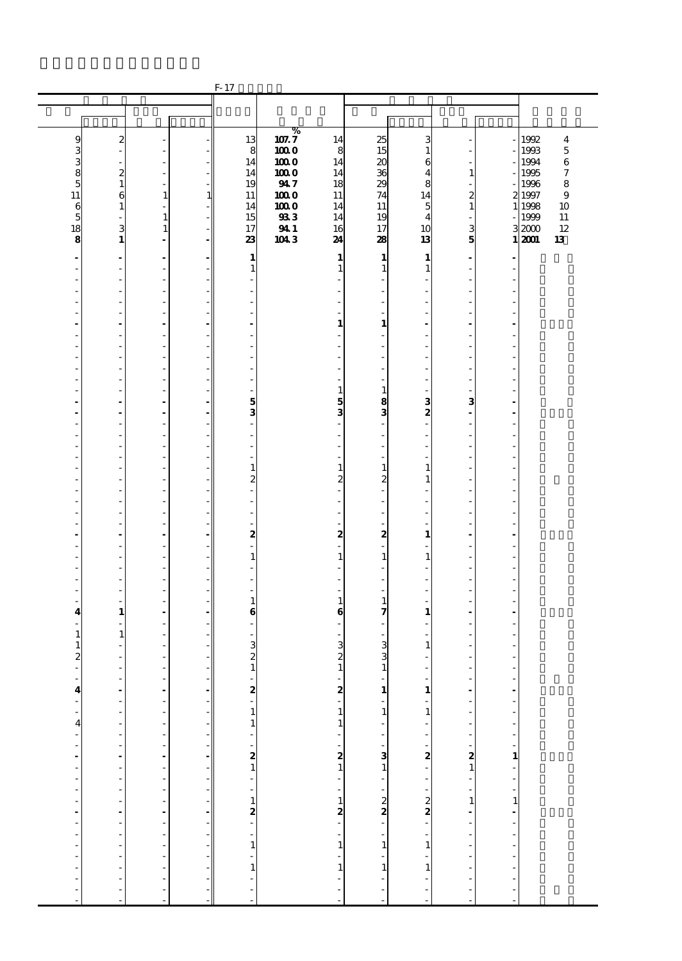|                                       |                                                      |                                           |                                   | F-17                         |              |                                             |                                        |                          |                                             |                                                                                                                                                                                                                                                                                                                                |              |                |
|---------------------------------------|------------------------------------------------------|-------------------------------------------|-----------------------------------|------------------------------|--------------|---------------------------------------------|----------------------------------------|--------------------------|---------------------------------------------|--------------------------------------------------------------------------------------------------------------------------------------------------------------------------------------------------------------------------------------------------------------------------------------------------------------------------------|--------------|----------------|
|                                       |                                                      |                                           |                                   |                              |              |                                             |                                        |                          |                                             |                                                                                                                                                                                                                                                                                                                                |              |                |
|                                       |                                                      |                                           |                                   |                              |              |                                             |                                        |                          |                                             |                                                                                                                                                                                                                                                                                                                                |              |                |
|                                       |                                                      |                                           |                                   |                              | %            |                                             |                                        |                          |                                             |                                                                                                                                                                                                                                                                                                                                |              |                |
| 9                                     | $\boldsymbol{z}$                                     |                                           |                                   | 13                           | 107.7        | 14                                          | 25                                     | з                        |                                             |                                                                                                                                                                                                                                                                                                                                | 1992         | 4              |
| 3                                     |                                                      | ٠                                         |                                   | 8                            | 1000         | 8                                           | 15                                     | 1                        |                                             |                                                                                                                                                                                                                                                                                                                                | 1993<br>1994 | $\overline{5}$ |
| 3                                     | $\boldsymbol{z}$                                     | ÷,<br>ä,                                  |                                   | 14<br>14                     | 1000<br>1000 | 14<br>14                                    | $\boldsymbol{\mathsf{20}}$<br>36       | 6<br>4                   | $\mathbf{1}$                                |                                                                                                                                                                                                                                                                                                                                | 1995         | $\,6$<br>7     |
| 8<br>5                                | $\mathbf{1}$                                         | $\overline{\phantom{a}}$                  |                                   | 19                           | 947          | 18                                          | 29                                     | 8                        | L,                                          |                                                                                                                                                                                                                                                                                                                                | 1996         | 8              |
| 11                                    | 6                                                    | $\mathbf{1}$                              | $\mathbf{1}$                      | 11                           | 1000         | 11                                          | 74                                     | 14                       | 2                                           |                                                                                                                                                                                                                                                                                                                                | 2 1997       | 9              |
| 6                                     | $\mathbf{1}$                                         | $\frac{1}{2}$                             |                                   | 14                           | 1000         | 14                                          | 11                                     | 5                        | $\mathbf{1}$                                |                                                                                                                                                                                                                                                                                                                                | 1 1998       | 10             |
| $\overline{5}$                        |                                                      | $\mathbf{1}$                              |                                   | 15                           | 93           | 14                                          | 19                                     | 4                        |                                             |                                                                                                                                                                                                                                                                                                                                | 1999         | $11\,$         |
| 18                                    | 3                                                    | $\mathbf{1}$                              |                                   | 17                           | 941          | 16                                          | 17                                     | 10                       | 3                                           |                                                                                                                                                                                                                                                                                                                                | 32000        | 12             |
| 8                                     | $\mathbf{1}$                                         | $\blacksquare$                            | $\overline{\phantom{a}}$          | 23                           | $104.3$      | 24                                          | 28                                     | 13                       | 5                                           |                                                                                                                                                                                                                                                                                                                                | 1,2001       | 13             |
|                                       | $\blacksquare$                                       | $\blacksquare$                            |                                   | $\mathbf{1}$                 |              | $\mathbf{1}$                                | $\mathbf{1}$                           | $\mathbf{1}$             | ÷,                                          |                                                                                                                                                                                                                                                                                                                                |              |                |
|                                       |                                                      | $\frac{1}{2}$                             |                                   | $\mathbf{1}$                 |              | 1                                           | $\mathbf{1}$                           | $\mathbf{1}$             |                                             |                                                                                                                                                                                                                                                                                                                                |              |                |
| ٠                                     | $\overline{\phantom{a}}$                             | $\overline{\phantom{a}}$                  |                                   | ٠                            |              |                                             | ä,                                     |                          | ٠                                           | Î.                                                                                                                                                                                                                                                                                                                             |              |                |
|                                       | $\qquad \qquad \blacksquare$                         | $\frac{1}{2}$                             |                                   |                              |              |                                             |                                        |                          | Ĭ.                                          |                                                                                                                                                                                                                                                                                                                                |              |                |
|                                       | ä,                                                   | $\overline{\phantom{a}}$                  |                                   |                              |              |                                             | ä,                                     |                          | ä                                           | J.                                                                                                                                                                                                                                                                                                                             |              |                |
| ÷,                                    | $\frac{1}{2}$                                        | ÷                                         |                                   |                              |              |                                             | ä,                                     |                          | Ĭ.                                          |                                                                                                                                                                                                                                                                                                                                |              |                |
|                                       |                                                      | $\overline{a}$                            |                                   |                              |              | 1                                           | 1<br>$\overline{a}$                    |                          |                                             |                                                                                                                                                                                                                                                                                                                                |              |                |
| ٠                                     | $\overline{a}$                                       | $\overline{a}$<br>$\frac{1}{2}$           |                                   | $\overline{a}$               |              |                                             |                                        |                          | ä,                                          | í,                                                                                                                                                                                                                                                                                                                             |              |                |
|                                       | ä,                                                   | $\overline{\phantom{a}}$                  |                                   |                              |              |                                             |                                        |                          | ä,                                          | J.                                                                                                                                                                                                                                                                                                                             |              |                |
| ٠                                     | $\frac{1}{2}$                                        | ÷                                         |                                   |                              |              |                                             | L.                                     |                          | Ĭ.                                          |                                                                                                                                                                                                                                                                                                                                |              |                |
|                                       |                                                      |                                           |                                   |                              |              |                                             |                                        |                          |                                             |                                                                                                                                                                                                                                                                                                                                |              |                |
| ٠                                     | $\overline{a}$                                       | $\overline{a}$                            |                                   | $\overline{a}$               |              | 1                                           | $\mathbf{1}$                           |                          | ٠                                           | J.                                                                                                                                                                                                                                                                                                                             |              |                |
|                                       |                                                      | $\blacksquare$                            |                                   | 5                            |              | 5                                           | 8                                      | 3                        | 3                                           |                                                                                                                                                                                                                                                                                                                                |              |                |
| ä,                                    | ÷.                                                   | ÷,                                        | $\mathbf{r}$                      | 3                            |              | 3                                           | 3                                      | 2                        | $\blacksquare$                              | J.                                                                                                                                                                                                                                                                                                                             |              |                |
| ٠                                     | ä,                                                   | ÷                                         |                                   | $\overline{a}$               |              |                                             | $\overline{a}$                         |                          | Ĭ.                                          |                                                                                                                                                                                                                                                                                                                                |              |                |
| ٠                                     | ٠                                                    | $\overline{a}$                            |                                   | $\overline{a}$               |              | $\overline{\phantom{a}}$                    | ٠                                      |                          | ٠                                           | í,                                                                                                                                                                                                                                                                                                                             |              |                |
|                                       |                                                      | $\frac{1}{2}$                             |                                   | ł,                           |              |                                             | $\overline{\phantom{m}}$               |                          |                                             |                                                                                                                                                                                                                                                                                                                                |              |                |
|                                       | ä,                                                   | $\overline{\phantom{a}}$                  |                                   | $\mathbf{1}$                 |              | 1                                           | $\mathbf{1}$                           | 1                        | ä                                           | J.                                                                                                                                                                                                                                                                                                                             |              |                |
| ٠                                     | $\frac{1}{2}$                                        | $\overline{a}$                            |                                   | $\boldsymbol{z}$             |              | 2                                           | $\overline{z}$                         | 1                        | Ĭ.                                          |                                                                                                                                                                                                                                                                                                                                |              |                |
|                                       |                                                      |                                           |                                   |                              |              |                                             |                                        |                          |                                             |                                                                                                                                                                                                                                                                                                                                |              |                |
| ٠                                     | $\overline{a}$                                       | $\overline{a}$                            |                                   | ٠                            |              | ٠                                           | ٠                                      |                          | ä,                                          | J.                                                                                                                                                                                                                                                                                                                             |              |                |
|                                       | $\qquad \qquad \blacksquare$                         | $\frac{1}{2}$                             |                                   |                              |              |                                             |                                        |                          |                                             |                                                                                                                                                                                                                                                                                                                                |              |                |
| ä,                                    | ÷,<br>$\blacksquare$                                 | $\overline{\phantom{a}}$<br>L,            |                                   | 2                            |              | $\boldsymbol{z}$                            | 2                                      | 1                        | ä,<br>L                                     | J.<br>l,                                                                                                                                                                                                                                                                                                                       |              |                |
|                                       |                                                      |                                           |                                   |                              |              |                                             |                                        |                          |                                             |                                                                                                                                                                                                                                                                                                                                |              |                |
| ٠                                     | ٠                                                    | $\overline{a}$                            |                                   | $\mathbf{1}$                 |              | $\mathbf{1}$                                | $\mathbf{1}$                           | 1                        | ä,                                          | í,                                                                                                                                                                                                                                                                                                                             |              |                |
| ٠                                     | ÷,                                                   | $\overline{\phantom{a}}$                  | $\overline{\phantom{a}}$          |                              |              |                                             | $\overline{a}$                         |                          | Ĭ.                                          |                                                                                                                                                                                                                                                                                                                                |              |                |
|                                       | ÷,                                                   | ÷,                                        |                                   |                              |              |                                             | ÷.                                     |                          | Ĭ.                                          | J.                                                                                                                                                                                                                                                                                                                             |              |                |
|                                       | ÷,                                                   | $\overline{a}$                            |                                   | J.                           |              |                                             |                                        |                          | L                                           |                                                                                                                                                                                                                                                                                                                                |              |                |
|                                       |                                                      |                                           |                                   | $\mathbf{1}$                 |              | 1                                           | $\mathbf{1}$                           |                          |                                             |                                                                                                                                                                                                                                                                                                                                |              |                |
| 4                                     | 1                                                    | $\blacksquare$                            |                                   | 6                            |              | $\bf{6}$                                    | 7                                      | 1                        | ä,                                          | Ĭ.                                                                                                                                                                                                                                                                                                                             |              |                |
| $\mathbf{1}$                          | ÷,<br>$\mathbf{1}$                                   | $\frac{1}{2}$<br>$\overline{\phantom{a}}$ |                                   |                              |              |                                             |                                        |                          |                                             |                                                                                                                                                                                                                                                                                                                                |              |                |
| 1                                     |                                                      | $\frac{1}{2}$                             |                                   | 3                            |              | 3                                           | 3                                      | 1                        |                                             |                                                                                                                                                                                                                                                                                                                                |              |                |
| 2                                     |                                                      | ÷,                                        |                                   | $\boldsymbol{z}$             |              |                                             | 3                                      |                          |                                             |                                                                                                                                                                                                                                                                                                                                |              |                |
| $\frac{1}{2}$                         | ٠                                                    | $\overline{\phantom{a}}$                  | ٠                                 | $\mathbf{1}$                 |              | $\frac{2}{1}$                               | $\mathbf{1}$                           | ٠                        | ÷,                                          |                                                                                                                                                                                                                                                                                                                                |              |                |
| -                                     | -                                                    |                                           |                                   |                              |              | ÷,                                          | $\overline{\phantom{a}}$               | $\overline{\phantom{m}}$ |                                             |                                                                                                                                                                                                                                                                                                                                |              |                |
|                                       | ÷                                                    |                                           | - 1                               |                              |              | $2 - 1$<br>1                                | $\begin{array}{c} 1 \\ -1 \end{array}$ | $\mathbf{1}$             | $\frac{1}{2}$                               | $\begin{bmatrix} 1 & 0 & 0 \\ 0 & 1 & 0 \\ 0 & 0 & 0 \\ 0 & 0 & 0 \\ 0 & 0 & 0 \\ 0 & 0 & 0 \\ 0 & 0 & 0 & 0 \\ 0 & 0 & 0 & 0 \\ 0 & 0 & 0 & 0 \\ 0 & 0 & 0 & 0 & 0 \\ 0 & 0 & 0 & 0 & 0 \\ 0 & 0 & 0 & 0 & 0 \\ 0 & 0 & 0 & 0 & 0 & 0 \\ 0 & 0 & 0 & 0 & 0 & 0 \\ 0 & 0 & 0 & 0 & 0 & 0 & 0 \\ 0 & 0 & 0 & 0 & 0 & 0 & 0 \\ $ |              |                |
|                                       | ÷                                                    |                                           | -1                                |                              |              |                                             |                                        | ÷,                       |                                             |                                                                                                                                                                                                                                                                                                                                |              |                |
|                                       | $\overline{\phantom{a}}$<br>÷,                       |                                           | - 1<br>-1                         |                              |              |                                             |                                        | $\mathbf{1}$             | ÷,                                          |                                                                                                                                                                                                                                                                                                                                |              |                |
|                                       |                                                      |                                           |                                   |                              |              |                                             |                                        | $\overline{\phantom{a}}$ | $\frac{1}{2}$                               |                                                                                                                                                                                                                                                                                                                                |              |                |
|                                       | 医皮肤皮炎 医单位                                            |                                           | <b>The Company of the Company</b> |                              |              | $\begin{bmatrix} 1 \\ 2 \\ 1 \end{bmatrix}$ |                                        |                          |                                             |                                                                                                                                                                                                                                                                                                                                |              |                |
|                                       |                                                      |                                           |                                   |                              |              |                                             |                                        |                          |                                             |                                                                                                                                                                                                                                                                                                                                |              |                |
|                                       |                                                      |                                           |                                   |                              |              |                                             |                                        |                          |                                             |                                                                                                                                                                                                                                                                                                                                |              |                |
|                                       |                                                      |                                           |                                   |                              |              |                                             |                                        |                          |                                             |                                                                                                                                                                                                                                                                                                                                |              |                |
|                                       |                                                      |                                           |                                   |                              |              |                                             |                                        |                          |                                             |                                                                                                                                                                                                                                                                                                                                |              |                |
|                                       |                                                      |                                           |                                   |                              |              |                                             |                                        |                          |                                             |                                                                                                                                                                                                                                                                                                                                |              |                |
|                                       |                                                      |                                           |                                   |                              |              |                                             |                                        |                          |                                             |                                                                                                                                                                                                                                                                                                                                |              |                |
|                                       | $\overline{\phantom{0}}$<br>$\overline{\phantom{a}}$ |                                           | $\overline{\phantom{a}}$          |                              |              | $\frac{1}{2}$                               |                                        |                          |                                             | $\begin{bmatrix} 1 \\ 1 \\ 1 \end{bmatrix}$                                                                                                                                                                                                                                                                                    |              |                |
| 4 - - 4 - - - - - - - - - - - - - - - | $\overline{\phantom{a}}$                             | 医单位性 医白细胞 医白细胞 医白细胞 医白细胞 医白细胞             | $\mathbf{E}$                      | $-2 - 1$ $-2$ $-1$ $-1$ $-1$ |              | $\mathbf{1}$                                |                                        | $\mathbf{1}$             | $\begin{bmatrix} 1 \\ 1 \\ 1 \end{bmatrix}$ |                                                                                                                                                                                                                                                                                                                                |              |                |
|                                       | l,                                                   |                                           | $\overline{\phantom{a}}$          |                              |              | l,                                          |                                        | ÷,                       |                                             | $\frac{1}{2}$                                                                                                                                                                                                                                                                                                                  |              |                |
|                                       | $\qquad \qquad \blacksquare$                         |                                           |                                   |                              |              | $\mathbf{1}$                                | $\mathbf{1}$                           | $\mathbf{1}$             | $\overline{a}$                              |                                                                                                                                                                                                                                                                                                                                |              |                |
| ÷                                     |                                                      |                                           |                                   |                              |              |                                             | $\overline{a}$                         |                          | $\overline{a}$                              | $\overline{a}$                                                                                                                                                                                                                                                                                                                 |              |                |
| ÷,                                    |                                                      |                                           |                                   | j                            |              | Ĭ.                                          | $\overline{\phantom{m}}$               | ł,                       | $\overline{\phantom{a}}$                    | l,                                                                                                                                                                                                                                                                                                                             |              |                |
|                                       |                                                      |                                           |                                   |                              |              |                                             |                                        |                          |                                             |                                                                                                                                                                                                                                                                                                                                |              |                |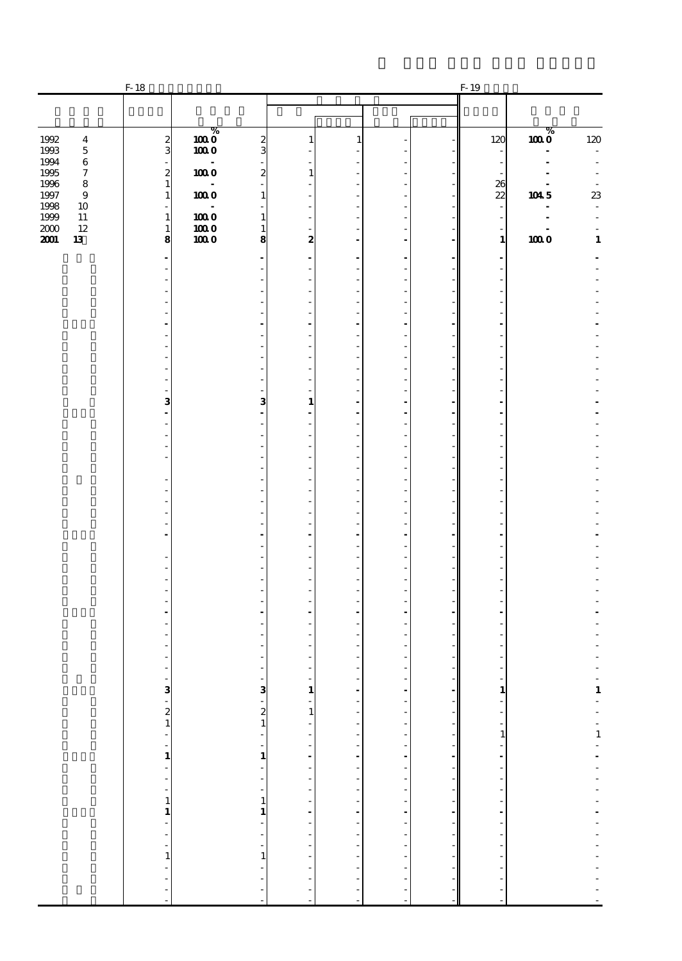|                                    | $F-18$                       |           |                           |                                        |                      |                          | F-19                             |                                     |                          |
|------------------------------------|------------------------------|-----------|---------------------------|----------------------------------------|----------------------|--------------------------|----------------------------------|-------------------------------------|--------------------------|
|                                    |                              |           |                           |                                        |                      |                          |                                  |                                     |                          |
| 1992<br>$\boldsymbol{4}$           | $\boldsymbol{z}$             | %<br>1000 | $\boldsymbol{z}$          | 1                                      | 1                    |                          | 120                              | %<br>1000                           | $120\,$                  |
| 1993<br>$\mathbf 5$                | 3                            | 1000      | 3                         |                                        |                      |                          | ÷                                |                                     |                          |
| 1994<br>$\,6\,$<br>1995<br>7       | $\boldsymbol{z}$             | 1000      | $\boldsymbol{z}$          | ı                                      |                      |                          | $\qquad \qquad \blacksquare$     |                                     |                          |
| 1996<br>$\bf8$<br>1997<br>$\bf{9}$ | $\mathbf{1}$<br>$\mathbf{1}$ | 1000      | 1                         |                                        |                      |                          | 26<br>$\boldsymbol{\mathcal{Z}}$ | $\overline{\phantom{a}}$<br>$104.5$ | ${\bf 23}$               |
| 1998<br>10<br>1999<br>$11\,$       |                              | 1000      | 1                         |                                        |                      |                          | ÷,                               |                                     | ÷                        |
| 2000<br>12                         | $\mathbf{1}$<br>$\mathbf{1}$ | $1000$    | 1                         |                                        |                      |                          | ÷                                |                                     |                          |
| 2001<br>13                         | 8                            | 1000      | 8                         | 2                                      |                      |                          | $\mathbf{1}$                     | 1000                                | $\mathbf 1$              |
|                                    |                              |           |                           |                                        |                      |                          |                                  |                                     |                          |
|                                    |                              |           |                           |                                        |                      |                          |                                  |                                     |                          |
|                                    |                              |           |                           |                                        |                      |                          |                                  |                                     |                          |
|                                    |                              |           |                           |                                        |                      |                          |                                  |                                     |                          |
|                                    |                              |           |                           |                                        |                      |                          |                                  |                                     |                          |
|                                    |                              |           |                           |                                        |                      |                          |                                  |                                     |                          |
|                                    |                              |           |                           |                                        |                      |                          |                                  |                                     |                          |
|                                    | з                            |           | 3                         | ٠<br>$\mathbf{1}$                      |                      |                          |                                  |                                     |                          |
|                                    |                              |           |                           |                                        |                      |                          |                                  |                                     |                          |
|                                    |                              |           |                           |                                        |                      |                          |                                  |                                     |                          |
|                                    |                              |           |                           |                                        |                      |                          |                                  |                                     |                          |
|                                    |                              |           |                           |                                        |                      |                          |                                  |                                     |                          |
|                                    |                              |           |                           |                                        |                      |                          |                                  |                                     |                          |
|                                    |                              |           |                           |                                        |                      |                          |                                  |                                     |                          |
|                                    |                              |           |                           |                                        |                      |                          |                                  |                                     |                          |
|                                    |                              |           |                           |                                        |                      |                          |                                  |                                     |                          |
|                                    |                              |           |                           |                                        |                      |                          |                                  |                                     |                          |
|                                    |                              |           |                           |                                        |                      |                          |                                  |                                     |                          |
|                                    |                              |           |                           |                                        |                      |                          |                                  |                                     |                          |
|                                    |                              |           |                           |                                        |                      |                          |                                  |                                     |                          |
|                                    |                              |           |                           |                                        |                      |                          |                                  |                                     |                          |
|                                    |                              |           |                           |                                        |                      |                          |                                  |                                     |                          |
|                                    |                              |           |                           | -                                      |                      |                          | $\overline{\phantom{a}}$         |                                     |                          |
|                                    |                              |           |                           | $\begin{array}{c} 1 \\ -1 \end{array}$ |                      |                          |                                  |                                     |                          |
|                                    |                              |           |                           |                                        |                      |                          |                                  |                                     |                          |
|                                    |                              |           |                           |                                        |                      |                          |                                  |                                     |                          |
|                                    |                              |           |                           |                                        |                      |                          |                                  |                                     |                          |
|                                    |                              |           |                           |                                        |                      |                          |                                  |                                     |                          |
|                                    |                              |           |                           |                                        |                      |                          |                                  |                                     |                          |
|                                    | $3 - 21 - 1 - 1 - 1$         |           | $-3$ $-21$ $-1$ $-1$ $-1$ |                                        | -------------------- | ------------------------ |                                  |                                     | 一生 ディーエー・ディー・ディー・ディー・ディー |
|                                    |                              |           |                           |                                        |                      |                          |                                  |                                     |                          |
|                                    |                              |           | $\frac{1}{2}$             |                                        |                      |                          |                                  |                                     |                          |
|                                    |                              |           | $\frac{1}{1}$             |                                        |                      |                          |                                  |                                     |                          |
|                                    |                              |           |                           |                                        |                      |                          |                                  |                                     |                          |
|                                    |                              |           | $\overline{\phantom{a}}$  |                                        | ÷,<br>÷,             |                          |                                  |                                     |                          |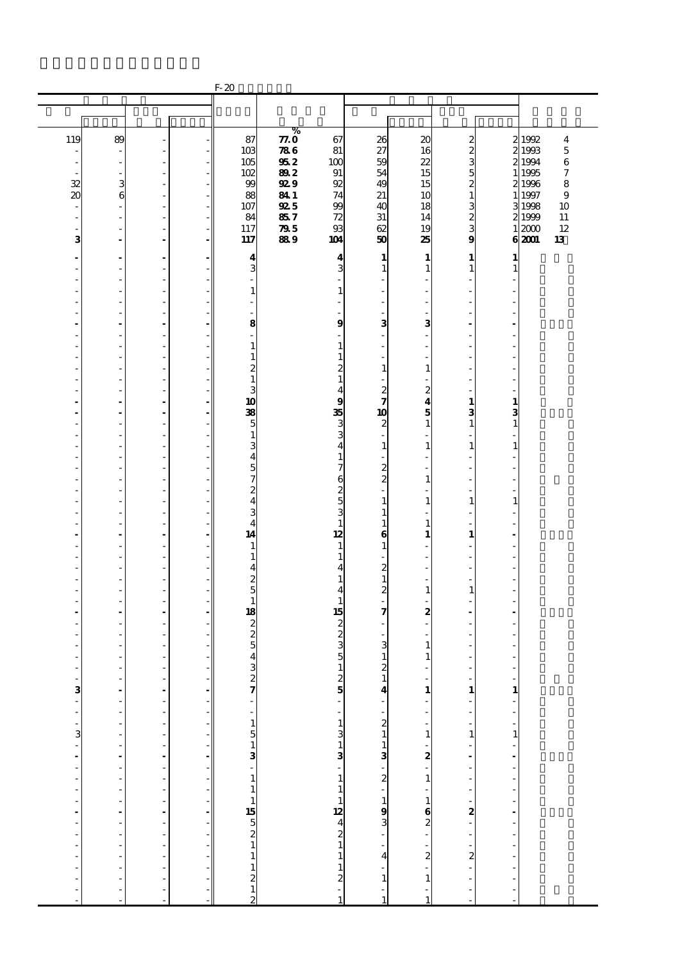|                                          |                      |                        |                                                                                                                                                                                                                                          | $F-20$                           |             |                                                                                     |                                              |                                |                                      |                                        |                                                    |
|------------------------------------------|----------------------|------------------------|------------------------------------------------------------------------------------------------------------------------------------------------------------------------------------------------------------------------------------------|----------------------------------|-------------|-------------------------------------------------------------------------------------|----------------------------------------------|--------------------------------|--------------------------------------|----------------------------------------|----------------------------------------------------|
|                                          |                      |                        |                                                                                                                                                                                                                                          |                                  |             |                                                                                     |                                              |                                |                                      |                                        |                                                    |
|                                          |                      |                        |                                                                                                                                                                                                                                          |                                  |             |                                                                                     |                                              |                                |                                      |                                        |                                                    |
|                                          |                      |                        |                                                                                                                                                                                                                                          |                                  | %           |                                                                                     |                                              |                                |                                      |                                        |                                                    |
| 119                                      | 89                   |                        |                                                                                                                                                                                                                                          | 87<br>10 <sub>3</sub>            | 77.0<br>786 | 67<br>81                                                                            | 26<br>27                                     | 20<br>16                       | $\boldsymbol{z}$<br>$\boldsymbol{2}$ |                                        | 21992<br>$\boldsymbol{4}$<br>2 1993<br>$\mathbf 5$ |
| ٠                                        | ÷,                   | ä,                     |                                                                                                                                                                                                                                          | 105                              | 952         | 100                                                                                 | 59                                           | 22                             | 3                                    |                                        | 2 1994<br>$\,6$                                    |
|                                          |                      | L,                     |                                                                                                                                                                                                                                          | 102                              | 892         | 91                                                                                  | 54                                           | 15                             | 5                                    |                                        | $\boldsymbol{7}$<br>1 1995                         |
| 32                                       | 3                    | ä,                     |                                                                                                                                                                                                                                          | 99                               | <b>929</b>  | 92                                                                                  | 49                                           | 15                             | 2                                    |                                        | 8<br>21996                                         |
| 20                                       | 6                    | L,                     |                                                                                                                                                                                                                                          | 88                               | 841         | 74                                                                                  | 21                                           | 10                             | $\mathbf{1}$                         |                                        | 1 1997<br>9                                        |
| $\centerdot$<br>$\overline{\phantom{a}}$ | ł,<br>Ĭ.             | $\overline{a}$<br>ä,   |                                                                                                                                                                                                                                          | 107<br>84                        | 925<br>857  | 99<br>72                                                                            | 40<br>31                                     | 18<br>14                       | 3<br>$\boldsymbol{z}$                |                                        | 3 1998<br>10<br>11<br>2 1999                       |
| ÷,                                       |                      | Ĭ.                     |                                                                                                                                                                                                                                          | 117                              | ${\bf Z}$   | 93                                                                                  | 62                                           | 19                             | 3                                    |                                        | 12<br>12000                                        |
| з                                        | ÷.                   | ÷.                     | - 1                                                                                                                                                                                                                                      | 117                              | 889         | 104                                                                                 | 50                                           | 25                             | 9                                    |                                        | 62001<br>13                                        |
| $\blacksquare$                           | ÷.                   | ä,                     |                                                                                                                                                                                                                                          | 4                                |             | $\boldsymbol{4}$                                                                    | 1                                            | 1                              | 1                                    | 1                                      |                                                    |
| ٠                                        | ٠                    | L,                     |                                                                                                                                                                                                                                          | 3                                |             | 3                                                                                   | $\mathbf{1}$                                 | 1                              | $\mathbf{1}$                         | 1                                      |                                                    |
|                                          |                      | L,                     |                                                                                                                                                                                                                                          |                                  |             |                                                                                     |                                              |                                |                                      |                                        |                                                    |
|                                          |                      | ä,                     |                                                                                                                                                                                                                                          | $\mathbf{1}$                     |             | 1                                                                                   |                                              |                                | ÷,                                   |                                        |                                                    |
| ٠<br>J.                                  | J.<br>J.             | L,<br>ä,               |                                                                                                                                                                                                                                          | $\overline{\phantom{a}}$<br>ä,   |             |                                                                                     | L,                                           |                                | ÷,<br>÷                              |                                        |                                                    |
| ٠                                        |                      | ä,                     |                                                                                                                                                                                                                                          | 8                                |             | 9                                                                                   | 3                                            | 3                              | $\overline{\phantom{a}}$             |                                        |                                                    |
|                                          |                      | L,                     |                                                                                                                                                                                                                                          | L,                               |             |                                                                                     |                                              |                                |                                      |                                        |                                                    |
| Ĭ.                                       |                      | ä,                     |                                                                                                                                                                                                                                          | $\mathbf{1}$                     |             | 1                                                                                   |                                              |                                | ÷,                                   |                                        |                                                    |
| -                                        | J.                   | L,                     |                                                                                                                                                                                                                                          | $\mathbf{1}$                     |             | 1                                                                                   |                                              |                                | ÷,                                   |                                        |                                                    |
| J.                                       | J.                   | ä,<br>L,               |                                                                                                                                                                                                                                          | $\boldsymbol{z}$<br>$\mathbf{1}$ |             | 2<br>1                                                                              | $\mathbf{1}$                                 | $\mathbf{1}$                   | ÷<br>÷,                              |                                        |                                                    |
|                                          |                      | L,                     |                                                                                                                                                                                                                                          | 3                                |             | 4                                                                                   |                                              | $\boldsymbol{z}$               |                                      |                                        |                                                    |
| ä,                                       | ä,                   | ä,                     |                                                                                                                                                                                                                                          | 10                               |             | 9                                                                                   | $\frac{2}{7}$                                | 4                              | 1                                    | 1                                      |                                                    |
| $\overline{a}$                           | ÷                    | $\overline{a}$         |                                                                                                                                                                                                                                          | 38                               |             | 35                                                                                  | 10                                           | 5                              | 3                                    | 3                                      |                                                    |
| J.                                       | J.                   | ä,                     |                                                                                                                                                                                                                                          | 5                                |             | 3                                                                                   | 2                                            | 1                              | $\mathbf{1}$                         | $\mathbf{1}$                           |                                                    |
|                                          |                      | L,<br>L,               |                                                                                                                                                                                                                                          | $\mathbf{1}$<br>3                |             | 3<br>4                                                                              | $\mathbf{1}$                                 | $\mathbf{1}$                   | ÷,<br>$\mathbf{1}$                   | $\mathbf{1}$                           |                                                    |
|                                          |                      | ä,                     |                                                                                                                                                                                                                                          | $\overline{4}$                   |             | $\mathbf{1}$                                                                        |                                              |                                | ä,                                   |                                        |                                                    |
| -                                        | J.                   | L,                     |                                                                                                                                                                                                                                          | $\overline{5}$                   |             | 7                                                                                   | $\frac{2}{2}$                                |                                | ÷,                                   |                                        |                                                    |
| J.                                       | J.                   | ä,                     |                                                                                                                                                                                                                                          | $\overline{7}$                   |             | 6                                                                                   |                                              | 1                              | $\overline{\phantom{a}}$             | J.                                     |                                                    |
|                                          |                      | L,                     |                                                                                                                                                                                                                                          | $\overline{c}$                   |             | $\frac{2}{3}$                                                                       |                                              |                                | ä,                                   |                                        |                                                    |
|                                          |                      | L,<br>ä,               |                                                                                                                                                                                                                                          | $\overline{\mathbf{4}}$<br>3     |             |                                                                                     | $\mathbf{1}$<br>$\mathbf{1}$                 | 1                              | $\mathbf{1}$<br>ä,                   | $\mathbf{1}$                           |                                                    |
| $\overline{a}$                           | J.                   | L,                     |                                                                                                                                                                                                                                          | $\overline{4}$                   |             | $\mathbf{1}$                                                                        | $\mathbf{1}$                                 | 1                              | ä,                                   |                                        |                                                    |
| ÷.                                       | ÷.                   | ä,                     |                                                                                                                                                                                                                                          | 14                               |             | 12                                                                                  | $\bf{6}$                                     | 1                              | $\mathbf{1}$                         | ÷.                                     |                                                    |
|                                          |                      | L,                     |                                                                                                                                                                                                                                          | $\mathbf{1}$                     |             | $\mathbf{1}$                                                                        | 1                                            |                                | ä,                                   |                                        |                                                    |
|                                          |                      | L,<br>÷.               |                                                                                                                                                                                                                                          | $\mathbf{1}$<br>$\overline{4}$   |             | $\mathbf{1}$<br>4                                                                   | $\boldsymbol{z}$                             |                                | ä,                                   |                                        |                                                    |
| ٠                                        | Ĭ.                   | ÷,                     |                                                                                                                                                                                                                                          | $\overline{\mathcal{Z}}$         |             | 1                                                                                   | $\mathbf{1}$                                 |                                | ä,                                   |                                        |                                                    |
| J.                                       | J.                   | ä,                     |                                                                                                                                                                                                                                          | $\overline{5}$                   |             | 4                                                                                   | $\overline{c}$                               | 1                              | $\mathbf{1}$                         |                                        |                                                    |
|                                          |                      | L,                     |                                                                                                                                                                                                                                          | $\mathbf{1}$                     |             | 1                                                                                   |                                              |                                | ä,                                   |                                        |                                                    |
|                                          |                      | $\blacksquare$<br>J.   |                                                                                                                                                                                                                                          | 18                               |             | 15                                                                                  | 7                                            | $\boldsymbol{z}$               |                                      |                                        |                                                    |
|                                          |                      | L,                     |                                                                                                                                                                                                                                          | $\frac{2}{2}$                    |             | $\frac{2}{3}$                                                                       |                                              |                                | ٠                                    |                                        |                                                    |
|                                          |                      | L,                     |                                                                                                                                                                                                                                          | $\overline{5}$                   |             |                                                                                     | 3                                            | 1                              | ä,                                   |                                        |                                                    |
|                                          |                      | ٠                      |                                                                                                                                                                                                                                          | 4                                |             | 5                                                                                   | $\mathbf{1}$                                 | 1                              | ٠                                    |                                        |                                                    |
|                                          |                      |                        |                                                                                                                                                                                                                                          | 3                                |             | $1\vert$                                                                            | $\boldsymbol{z}$                             |                                |                                      |                                        |                                                    |
| ו 20 יו 20 יו יו יו יו יו יו יו י        |                      | ---------------------- | $\mathcal{A}=\mathcal{A}$ . The state of the state of the state of the state of the state of the state of the state of the state of the state of the state of the state of the state of the state of the state of the state of the state | 27 - 1513 - 1115<br>5211<br>21   |             | $25 - 1$<br>$31 - 3$<br>$13 - 1$                                                    | $\frac{1}{4}$                                | $\mathbf{1}$                   |                                      |                                        |                                                    |
|                                          | $\ddot{\phantom{a}}$ |                        |                                                                                                                                                                                                                                          |                                  |             |                                                                                     |                                              | i,                             |                                      | $\begin{bmatrix} 1 \\ 1 \end{bmatrix}$ |                                                    |
|                                          | l,                   |                        |                                                                                                                                                                                                                                          |                                  |             |                                                                                     |                                              |                                |                                      |                                        |                                                    |
|                                          | $\overline{a}$       |                        |                                                                                                                                                                                                                                          |                                  |             |                                                                                     |                                              | $\overline{\phantom{a}}$       |                                      | $\frac{1}{1}$                          |                                                    |
|                                          | $\overline{a}$       |                        |                                                                                                                                                                                                                                          |                                  |             |                                                                                     |                                              | $\mathbf{1}$                   |                                      |                                        |                                                    |
|                                          | $\frac{1}{2}$        |                        |                                                                                                                                                                                                                                          |                                  |             |                                                                                     |                                              | $-2$<br>$-1$                   |                                      |                                        |                                                    |
|                                          |                      |                        |                                                                                                                                                                                                                                          |                                  |             |                                                                                     |                                              |                                |                                      |                                        |                                                    |
|                                          |                      |                        |                                                                                                                                                                                                                                          |                                  |             |                                                                                     | $-213$<br>$-213$<br>$-193$<br>$-193$<br>$-4$ |                                |                                      | <b>- - - - - - - - - -</b> -           |                                                    |
|                                          | $\overline{a}$       |                        |                                                                                                                                                                                                                                          |                                  |             | $\begin{array}{c} 1 \\ 1 \\ 2 \\ 3 \\ 4 \\ 2 \\ 1 \\ 1 \\ 1 \\ 2 \\ -1 \end{array}$ |                                              | $\mathbb{L}$                   |                                      |                                        |                                                    |
|                                          | $\frac{1}{2}$        |                        |                                                                                                                                                                                                                                          |                                  |             |                                                                                     |                                              | $\frac{1}{6}$<br>$\frac{2}{1}$ |                                      |                                        |                                                    |
|                                          |                      |                        |                                                                                                                                                                                                                                          |                                  |             |                                                                                     |                                              |                                |                                      |                                        |                                                    |
|                                          | L                    |                        |                                                                                                                                                                                                                                          |                                  |             |                                                                                     |                                              |                                |                                      |                                        |                                                    |
|                                          | l,                   |                        |                                                                                                                                                                                                                                          |                                  |             |                                                                                     |                                              |                                |                                      |                                        |                                                    |
|                                          | Ĭ.                   |                        |                                                                                                                                                                                                                                          |                                  |             |                                                                                     |                                              | $\overline{\mathbf{c}}$        |                                      |                                        |                                                    |
|                                          | Ĭ.                   |                        |                                                                                                                                                                                                                                          |                                  |             |                                                                                     | $\frac{1}{1}$                                | $\mathbf{1}$                   |                                      | $\frac{1}{2}$                          |                                                    |
| ÷,                                       |                      | L,                     |                                                                                                                                                                                                                                          |                                  |             |                                                                                     | ÷,                                           |                                | ÷                                    | $\overline{a}$                         |                                                    |
|                                          |                      |                        |                                                                                                                                                                                                                                          | $\overline{2}$                   |             |                                                                                     | $\mathbf{1}$                                 | $\mathbf{1}$                   |                                      |                                        |                                                    |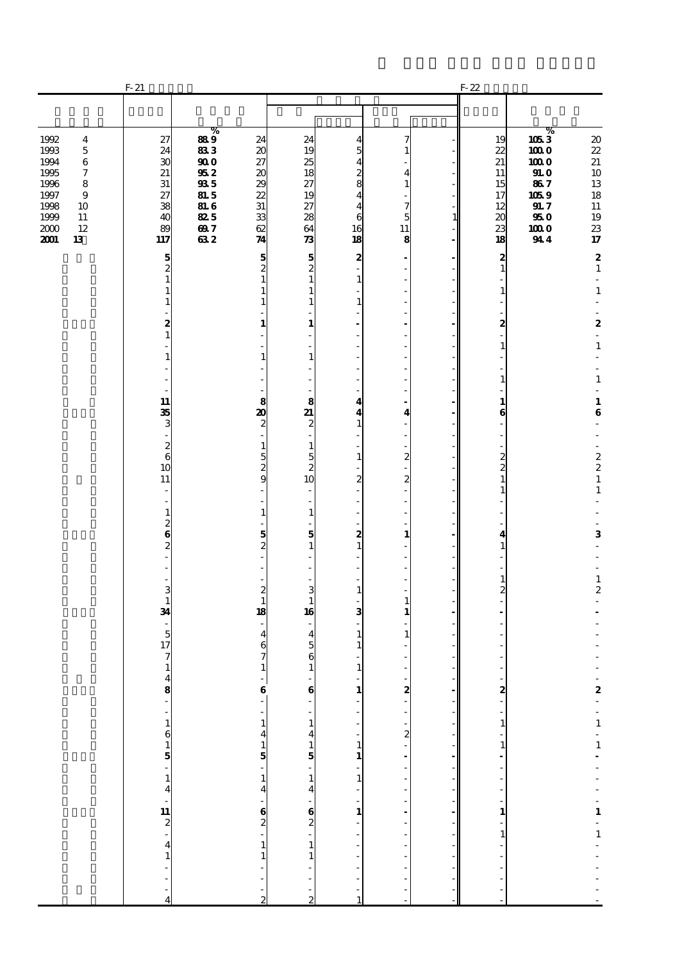|                                                                                                                                                                          | $F-21$                                                                        |                                                                                                                                             |                                                                                         |                                                                                                    |                                                                              |                                                                                        |                                      | $F-22$                                                                           |                                                                                      |                                                                                                                             |
|--------------------------------------------------------------------------------------------------------------------------------------------------------------------------|-------------------------------------------------------------------------------|---------------------------------------------------------------------------------------------------------------------------------------------|-----------------------------------------------------------------------------------------|----------------------------------------------------------------------------------------------------|------------------------------------------------------------------------------|----------------------------------------------------------------------------------------|--------------------------------------|----------------------------------------------------------------------------------|--------------------------------------------------------------------------------------|-----------------------------------------------------------------------------------------------------------------------------|
|                                                                                                                                                                          |                                                                               |                                                                                                                                             |                                                                                         |                                                                                                    |                                                                              |                                                                                        |                                      |                                                                                  |                                                                                      |                                                                                                                             |
| 1992<br>$\overline{\mathbf{4}}$<br>1993<br>$\mathbf 5$<br>1994<br>$\bf 6$<br>1995<br>7<br>1996<br>8<br>1997<br>9<br>1998<br>10<br>1999<br>11<br>2000<br>12<br>2001<br>13 | 27<br>24<br>30<br>21<br>31<br>27<br>38<br>40<br>89<br>117                     | %<br>889<br>833<br>$\boldsymbol{\boldsymbol{\boldsymbol{go}}}$<br>$95\,2$<br>${\bf 93}5$<br><b>81.5</b><br><b>81.6</b><br>825<br>697<br>632 | 24<br>20<br>27<br>20<br>29<br>22<br>31<br>33<br>62<br>74                                | 24<br>19<br>25<br>18<br>27<br>19<br>27<br>28<br>64<br>$\boldsymbol{\pi}$                           | 4<br>5<br>4<br>2<br>8<br>4<br>4<br>6<br>16<br>18                             | 7<br>-1<br>$\overline{4}$<br>$\mathbf{1}$<br>7<br>5<br>11<br>8                         | $\mathbf{1}$                         | 19<br>22<br>21<br>11<br>15<br>17<br>12<br>20<br>23<br>18                         | $\%$<br>1053<br>1000<br>1000<br>910<br>867<br>1059<br>91.7<br>$950\,$<br>1000<br>944 | $\boldsymbol{\boldsymbol{\mathrm{20}}}$<br>22<br>21<br>10<br>13<br>18<br>$11\,$<br>19<br>23<br>$17\,$                       |
|                                                                                                                                                                          | 5<br>$\overline{c}$<br>$\mathbf{1}$<br>$\mathbf{1}$<br>1<br>2<br>$\mathbf{1}$ |                                                                                                                                             | 5<br>$\overline{c}$<br>$\mathbf{1}$<br>$\mathbf{1}$<br>1<br>1                           | 5<br>$\overline{c}$<br>$\mathbf{1}$<br>1<br>1<br>1                                                 | 2<br>1<br>$\mathbf{1}$                                                       | ÷,<br>$\overline{a}$<br>÷,<br>٠<br>÷.<br>÷,                                            |                                      | $\boldsymbol{z}$<br>$\mathbf{1}$<br>$\mathbf{1}$<br>2<br>$\frac{1}{2}$           |                                                                                      | $\boldsymbol{2}$<br>$\mathbf{1}$<br>$\overline{\phantom{a}}$<br>$\mathbf 1$<br>$\boldsymbol{2}$<br>$\overline{\phantom{a}}$ |
|                                                                                                                                                                          | 1<br>11<br>35                                                                 |                                                                                                                                             | 1<br>8<br>20                                                                            | 1<br>8<br>21                                                                                       | 4<br>4                                                                       | ÷,<br>٠<br>÷.<br>$\overline{a}$<br>$\overline{a}$<br>$\overline{\mathbf{4}}$           |                                      | $\mathbf{1}$<br>1<br>$\mathbf{1}$<br>6                                           |                                                                                      | $\mathbf 1$<br>÷<br>$\mathbf 1$<br>$\overline{\phantom{a}}$<br>$\mathbf{1}$<br>$\bf{6}$                                     |
|                                                                                                                                                                          | 3<br>÷<br>$\frac{2}{6}$<br>10<br>11<br>÷                                      |                                                                                                                                             | 2<br>$\mathbf{1}$<br>5<br>$\overline{\mathcal{Z}}$<br>9                                 | $\boldsymbol{z}$<br>$\mathbf{1}$<br>5<br>$\boldsymbol{z}$<br>10<br>÷.                              | $\mathbf{1}$<br>$\mathbf{1}$<br>$\boldsymbol{z}$                             | $\overline{\phantom{a}}$<br>$\boldsymbol{z}$<br>$\boldsymbol{z}$                       |                                      | $\overline{\phantom{a}}$<br>$\frac{2}{2}$<br>$\mathbf{1}$<br>1                   |                                                                                      | ÷,<br>÷<br>$\begin{array}{c} 2 \\ 2 \\ 1 \end{array}$<br>$\mathbf 1$                                                        |
|                                                                                                                                                                          | $\overline{\phantom{m}}$<br>$\mathbf{1}$<br>$\frac{2}{6}$<br>$\overline{c}$   |                                                                                                                                             | $\mathbf{1}$<br>5<br>2                                                                  | $\overline{\phantom{a}}$<br>$\mathbf{1}$<br>5<br>$\mathbf{1}$                                      | 2<br>$\mathbf{1}$                                                            | ÷,<br>÷,<br>$\mathbf{1}$                                                               |                                      | 4<br>1<br>$\mathbf{1}$                                                           |                                                                                      | ÷,<br>3<br>÷.<br>$\mathbf{1}$                                                                                               |
|                                                                                                                                                                          | 3<br>$\mathbf{1}$<br>34<br>$\overline{5}$<br>17<br>7                          |                                                                                                                                             | 2<br>$\mathbf{1}$<br>18<br>4<br>6<br>7                                                  | 3<br>$\mathbf{1}$<br>16<br>$\overline{4}$<br>$\overline{5}$<br>6                                   | $\mathbf{1}$<br>3<br>1<br>$\mathbf{1}$                                       | $\mathbf{1}$<br>1<br>$\mathbf{1}$                                                      |                                      | $\overline{c}$                                                                   |                                                                                      | $\boldsymbol{2}$                                                                                                            |
|                                                                                                                                                                          | $\mathbf 1$<br>$\begin{array}{c} 4 \\ 8 \\ - \end{array}$                     |                                                                                                                                             | $\mathbf{1}$<br>$\begin{bmatrix} 1 \\ 6 \\ 0 \end{bmatrix}$<br>$\overline{\phantom{a}}$ | $\mathbf{1}$<br>$\begin{bmatrix} 6 \\ -1 \end{bmatrix}$<br>$\mathbf{1}$<br>$\overline{\mathbf{A}}$ | $\mathbf{1}$<br>$\frac{1}{1}$<br>$\begin{bmatrix} 1 \\ 1 \\ 1 \end{bmatrix}$ | L,                                                                                     | $\overline{a}$<br>- 1                | $\begin{bmatrix} 2 \\ 1 \end{bmatrix}$<br>$\begin{array}{c} 1 \\ -1 \end{array}$ |                                                                                      |                                                                                                                             |
|                                                                                                                                                                          |                                                                               |                                                                                                                                             | $\frac{1}{4}$ $\frac{4}{5}$ $\frac{1}{4}$                                               | $15 - 14$<br>$62 - 1$                                                                              | $\frac{1}{1}$                                                                | $\frac{1}{2}$ <b>8</b> $\frac{1}{2}$ <b>1 8</b> $\frac{1}{2}$ <b>1 8</b> $\frac{1}{2}$ | -1<br>$\overline{\phantom{a}}$<br>-1 | $\begin{bmatrix} 1 & 1 \\ 1 & 1 \end{bmatrix}$                                   |                                                                                      | $-2 - 1 - 1 - - - - - 1 - 1 - -$                                                                                            |
|                                                                                                                                                                          | $-1615 - 14$<br>$-112 - 4$<br>$-41 - 4$                                       |                                                                                                                                             | $-62$<br>$-11$<br>$\frac{1}{2}$                                                         | $\mathbf{1}$<br>i,<br>$\frac{1}{2}$                                                                | $\frac{1}{2}$<br>÷<br>$\mathbf{1}$                                           |                                                                                        | $\overline{\phantom{a}}$             | $\frac{1}{2}$<br>$\frac{1}{2}$                                                   |                                                                                      | $\frac{1}{2}$                                                                                                               |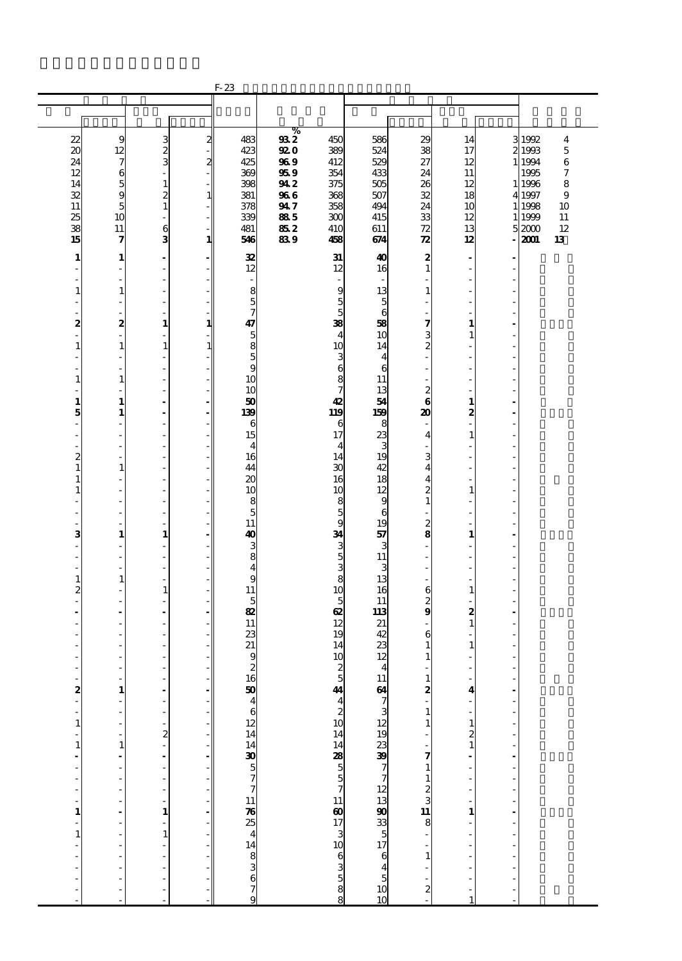|                       |                                          |                                |               | $F-23$                                           |             |                                                  |                                  |                                                    |                                             |               |                  |        |
|-----------------------|------------------------------------------|--------------------------------|---------------|--------------------------------------------------|-------------|--------------------------------------------------|----------------------------------|----------------------------------------------------|---------------------------------------------|---------------|------------------|--------|
|                       |                                          |                                |               |                                                  |             |                                                  |                                  |                                                    |                                             |               |                  |        |
|                       |                                          |                                |               |                                                  |             |                                                  |                                  |                                                    |                                             |               |                  |        |
| 22                    | 9                                        | 3                              | $\mathbf{z}$  | 483                                              | $\%$<br>932 | 450                                              | 586                              | 29                                                 | 14                                          |               | 3 1992           | 4      |
| $\boldsymbol{\alpha}$ | 12                                       | $\frac{2}{3}$                  |               | 423                                              | 920         | 389                                              | 524                              | 38                                                 | 17                                          |               | 2 1993           | 5      |
| 24                    | 7                                        |                                | $\mathbf{z}$  | 425                                              | 969         | 412                                              | 529                              | 27                                                 | 12                                          |               | 1 1 9 9 4        | $\,6$  |
| 12                    | 6                                        | ÷,                             |               | 369                                              | 959         | 354                                              | 433                              | 24                                                 | 11                                          |               | 1995             | 7      |
| 14<br>32              | 5<br>$\mathbf{g}$                        | $\mathbf{1}$<br>$\overline{2}$ | $\mathbf{1}$  | 398<br>381                                       | 942<br>966  | 375<br>368                                       | 505<br>507                       | 26<br>32                                           | 12<br>18                                    |               | 1 1996<br>4 1997 | 8<br>9 |
| 11                    | 5                                        | $\mathbf{1}$                   |               | 378                                              | 947         | 358                                              | 494                              | 24                                                 | 10                                          |               | 1 1998           | 10     |
| 25                    | 10                                       |                                |               | 339                                              | 885         | 300                                              | 415                              | 33                                                 | 12                                          |               | 1 1999           | 11     |
| 38                    | 11                                       | 6                              |               | 481                                              | 852         | 410                                              | 611                              | 72                                                 | 13                                          |               | 52000            | 12     |
| 15                    | 7                                        | 3                              | 1             | 546                                              | 839         | 458                                              | 674                              | $\mathbb Z$                                        | 12                                          |               | 2001             | 13     |
| 1                     | $\mathbf{1}$                             | $\overline{a}$                 |               | 32                                               |             | 31                                               | 40                               | $\boldsymbol{z}$                                   | $\blacksquare$                              |               |                  |        |
|                       | $\sim$                                   | $\overline{a}$                 |               | 12<br>٠                                          |             | 12<br>$\sim$                                     | 16                               | $\mathbf{1}$                                       | ä,                                          |               |                  |        |
| $\mathbf{1}$          | $\mathbf{1}$                             |                                |               | 8                                                |             | 9                                                | 13                               | $\mathbf{1}$                                       | Ĭ.                                          |               |                  |        |
|                       |                                          | ÷,                             |               | 5                                                |             | 5                                                | 5                                |                                                    | ä,                                          |               |                  |        |
|                       |                                          | L,                             |               | 7                                                |             | $\overline{5}$                                   | $\boldsymbol{6}$                 |                                                    |                                             |               |                  |        |
| 2                     | 2                                        | $\mathbf{1}$                   | 1             | 47                                               |             | 38                                               | 58                               | 7                                                  | 1                                           |               |                  |        |
| ÷,<br>$\mathbf{1}$    | $\overline{\phantom{a}}$<br>$\mathbf{1}$ | ÷,<br>1                        | $\mathbf{1}$  | 5<br>8                                           |             | $\overline{\mathbf{4}}$<br>10                    | 10<br>14                         | 3<br>$\overline{2}$                                | $\mathbf{1}$                                |               |                  |        |
|                       |                                          |                                |               | 5                                                |             |                                                  | $\overline{\bf 4}$               |                                                    |                                             |               |                  |        |
|                       |                                          | ÷,                             |               | 9                                                |             |                                                  | $\boldsymbol{6}$                 |                                                    | L,                                          |               |                  |        |
| $\mathbf{1}$          | $\mathbf{1}$                             |                                |               | 10<br>10                                         |             | $\begin{array}{c}\n 3 \\  6 \\  7\n \end{array}$ | 11<br>13                         | $\overline{c}$                                     | ä,                                          |               |                  |        |
| $\mathbf{1}$          | $\sim$<br>$\mathbf{1}$                   | ÷,<br>$\overline{\phantom{a}}$ |               | 50                                               |             | 42                                               | 54                               | 6                                                  | $\mathbf{1}$                                |               |                  |        |
| 5                     | 1                                        | $\overline{\phantom{a}}$       |               | 139                                              |             | 119                                              | 159                              | 20                                                 | 2                                           |               |                  |        |
|                       |                                          | L,                             |               | 6                                                |             | $\mathbf{6}$                                     | 8                                |                                                    | $\overline{a}$                              |               |                  |        |
|                       |                                          | ÷,                             |               | 15                                               |             | 17                                               | 23<br>3                          | 4                                                  | $\mathbf{1}$<br>÷,                          |               |                  |        |
| $\boldsymbol{2}$      |                                          |                                |               | 4<br>16                                          |             | $\overline{4}$<br>14                             | 19                               | 3                                                  |                                             |               |                  |        |
| $\mathbf{1}$          | 1                                        | ÷,                             |               | 44                                               |             | 30                                               | 42                               | 4                                                  | ä,                                          |               |                  |        |
| 1                     |                                          | ÷,                             |               | $\boldsymbol{\mathsf{20}}$                       |             | 16                                               | 18                               | 4                                                  |                                             |               |                  |        |
| 1                     |                                          | ÷,                             |               | 10<br>8                                          |             | 10<br>8                                          | 12<br>9                          | 2<br>$\mathbf{1}$                                  | $\mathbf{1}$<br>÷,                          |               |                  |        |
|                       |                                          |                                |               | 5                                                |             | $\overline{5}$                                   | 6                                |                                                    |                                             |               |                  |        |
|                       |                                          |                                |               | 11                                               |             | $\bf{9}$                                         | 19                               | 2                                                  |                                             |               |                  |        |
| 3                     | $\mathbf{1}$                             | $\mathbf{1}$                   |               | 40                                               |             | 34                                               | 57                               | 8                                                  | $\mathbf{1}$                                |               |                  |        |
|                       | ٠                                        | ÷,                             |               | 3<br>8                                           |             | $\frac{3}{3}$                                    | 3<br>11                          |                                                    | ä,                                          |               |                  |        |
|                       |                                          | ÷,                             |               | $\overline{4}$                                   |             |                                                  | 3                                |                                                    | L,                                          |               |                  |        |
| $\mathbf{1}$          | $\mathbf{1}$                             | ÷,                             |               | 9                                                |             | $\overline{8}$<br>10                             | 13                               |                                                    |                                             |               |                  |        |
| 2                     |                                          | $\mathbf{1}$                   |               | 11                                               |             |                                                  | 16                               | 6                                                  | $\mathbf{1}$                                |               |                  |        |
|                       | $\overline{\phantom{a}}$                 | $\blacksquare$                 |               | 5<br>82                                          |             | $\overline{5}$<br>$\boldsymbol{\alpha}$          | 11<br>113                        | 2<br>$\bf{9}$                                      | 2                                           |               |                  |        |
|                       |                                          | ٠                              |               | 11                                               |             | 12                                               | 21                               |                                                    | $\mathbf{1}$                                |               |                  |        |
|                       |                                          |                                |               | 23                                               |             | 19                                               | 42                               | 6                                                  | $\overline{a}$                              |               |                  |        |
|                       |                                          |                                |               | 21                                               |             | 14<br>10                                         | 23<br>12                         | 1                                                  | $\mathbf{1}$                                |               |                  |        |
| ٠                     |                                          | ٠                              |               | 9<br>$\boldsymbol{z}$                            |             | $\boldsymbol{z}$                                 | $\overline{\mathbf{4}}$          | 1                                                  | ÷,                                          |               |                  |        |
|                       |                                          |                                |               |                                                  |             |                                                  |                                  | $\frac{1}{2}$                                      |                                             |               |                  |        |
| $\frac{2}{1}$         | $\mathbf{1}$                             |                                | $\frac{1}{2}$ | $\begin{array}{c} 16 \\ 50 \\ 4 \end{array}$     |             |                                                  |                                  |                                                    | 4                                           | $\frac{1}{2}$ |                  |        |
|                       |                                          | Ĭ.                             |               | $\mathbf{6}$                                     |             |                                                  |                                  | 1                                                  | ÷,                                          |               |                  |        |
| $\mathbf{1}$          |                                          |                                |               | 12                                               |             |                                                  |                                  | 1                                                  |                                             |               |                  |        |
|                       |                                          | $\frac{1}{2}$                  |               | $\overline{14}$                                  |             |                                                  |                                  |                                                    | $\begin{bmatrix} 1 \\ 2 \\ 1 \end{bmatrix}$ |               |                  |        |
| $\mathbf{1}$          | $\mathbf{1}$                             |                                |               |                                                  |             |                                                  |                                  |                                                    |                                             |               |                  |        |
|                       |                                          | $\overline{a}$                 |               |                                                  |             |                                                  |                                  | 7<br>1                                             |                                             |               |                  |        |
|                       |                                          | ÷,                             |               |                                                  |             |                                                  |                                  |                                                    | L,                                          | l,            |                  |        |
|                       |                                          |                                |               |                                                  |             |                                                  |                                  |                                                    | ÷,                                          |               |                  |        |
| $\mathbf{1}$          |                                          | $\mathbf{1}$                   |               | 14.30 5 7 7 7 11.78 25 4                         |             |                                                  |                                  | $\begin{array}{c}\n1 \\ 2 \\ 3 \\ 11\n\end{array}$ |                                             |               |                  |        |
|                       |                                          |                                |               |                                                  |             |                                                  |                                  |                                                    | $\mathbf{1}$                                |               |                  |        |
| $\mathbf{1}$          |                                          | $\mathbf{1}$                   |               |                                                  |             |                                                  |                                  |                                                    | l,                                          |               |                  |        |
|                       |                                          |                                |               |                                                  |             |                                                  |                                  |                                                    |                                             |               |                  |        |
|                       |                                          |                                |               |                                                  |             |                                                  |                                  | 1                                                  |                                             |               |                  |        |
|                       |                                          | L,                             |               | $\begin{array}{c} 14 \\ 8 \\ 3 \\ 6 \end{array}$ |             | 54442101414885571160173106388                    | 11647312923597712350335176451010 |                                                    | Ĭ.                                          |               |                  |        |
|                       |                                          |                                |               | $\frac{7}{9}$                                    |             |                                                  |                                  | $\boldsymbol{z}$                                   |                                             |               |                  |        |
|                       |                                          |                                |               |                                                  |             |                                                  |                                  |                                                    |                                             |               |                  |        |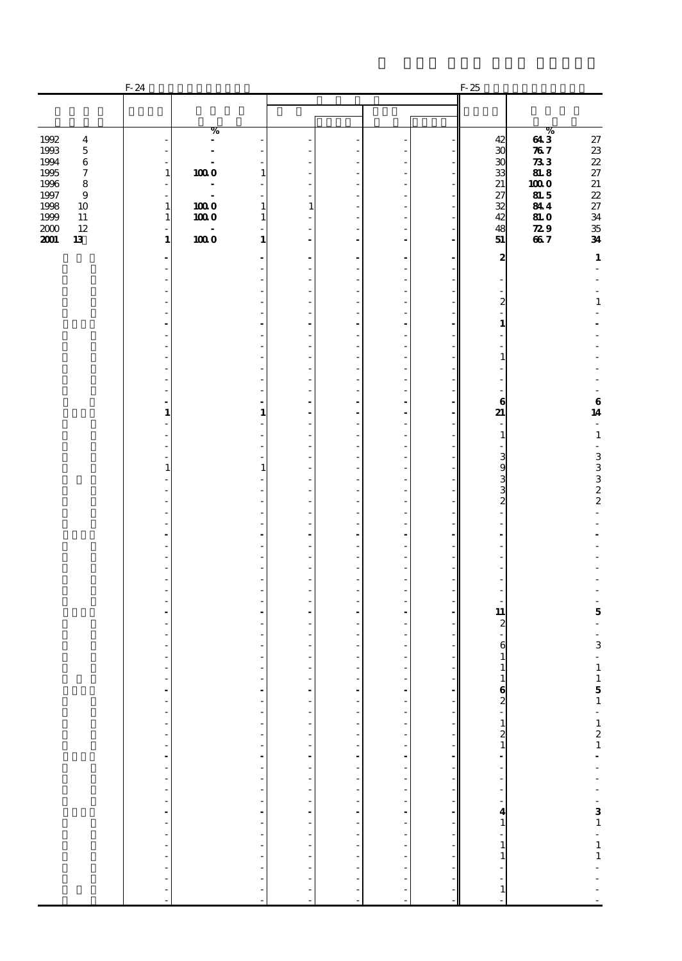|                                                                          | $F-24$                                                                           |                     |                                |                                            |                                                  |                                |                          | $F-25$                                                                                                 |                                             |                                                    |
|--------------------------------------------------------------------------|----------------------------------------------------------------------------------|---------------------|--------------------------------|--------------------------------------------|--------------------------------------------------|--------------------------------|--------------------------|--------------------------------------------------------------------------------------------------------|---------------------------------------------|----------------------------------------------------|
|                                                                          |                                                                                  |                     |                                |                                            |                                                  |                                |                          |                                                                                                        |                                             |                                                    |
| 1992<br>$\boldsymbol{4}$<br>1993<br>$\bf 5$                              |                                                                                  | %<br>$\overline{a}$ |                                |                                            |                                                  |                                |                          | 42<br>$\boldsymbol{\mathfrak{D}}$                                                                      | %<br>643<br>787                             | $27\,$                                             |
| 1994<br>$\bf 6$<br>1995<br>7<br>1996<br>$\bf8$                           | 1<br>i,                                                                          | 1000                | 1                              | ÷,                                         |                                                  | ÷.<br>÷                        |                          | $\boldsymbol{\mathfrak{D}}$<br>33<br>21                                                                | $\bf 73 \, 3$<br>818<br>1000                | $\frac{23}{22}$<br>27<br>21                        |
| 1997<br>$\boldsymbol{9}$<br>1998<br>10<br>1999<br>$11\,$<br>$2000$<br>12 | $\mathbf{1}$<br>$\mathbf{1}$                                                     | 1000<br>1000        | $\mathbf{1}$<br>$\mathbf{1}$   | ÷,<br>$\mathbf{1}$                         |                                                  | $\overline{a}$<br>٠<br>L,      |                          | 27<br>32<br>42<br>48                                                                                   | 81.5<br>844<br><b>81.0</b><br>$\mathbf{z9}$ | 22<br>27<br>34                                     |
| 2001<br>13                                                               | $\mathbf{1}$                                                                     | $1000$              | 1                              | $\overline{a}$<br>$\overline{a}$           |                                                  | $\overline{a}$<br>÷            |                          | 51<br>$\boldsymbol{2}$                                                                                 | 667                                         | $\frac{35}{34}$<br>$\mathbf 1$                     |
|                                                                          |                                                                                  |                     |                                | ÷,<br>$\overline{\phantom{a}}$             |                                                  | ÷,<br>٠                        |                          |                                                                                                        |                                             |                                                    |
|                                                                          |                                                                                  |                     |                                | ÷,<br>ä,                                   |                                                  | ÷,<br>÷,                       |                          | 2                                                                                                      |                                             | $\mathbf 1$                                        |
|                                                                          |                                                                                  |                     |                                | L,                                         |                                                  | Ĭ.                             |                          | $\overline{a}$<br>$\mathbf{1}$                                                                         |                                             |                                                    |
|                                                                          |                                                                                  |                     |                                | $\overline{\phantom{a}}$<br>L,<br>ä,       |                                                  | ÷,<br>÷,<br>÷,                 |                          | $\frac{1}{2}$<br>$\mathbf{1}$                                                                          |                                             |                                                    |
|                                                                          |                                                                                  |                     |                                | L,                                         |                                                  | Ĭ.                             |                          |                                                                                                        |                                             |                                                    |
|                                                                          |                                                                                  |                     |                                | $\overline{\phantom{a}}$<br>$\overline{a}$ |                                                  | $\overline{a}$                 |                          | ÷,<br>$\bf{6}$                                                                                         |                                             | $\begin{array}{c} {\bf 6} \\ {\bf 14} \end{array}$ |
|                                                                          | 1                                                                                |                     | 1                              | ÷<br>L,                                    |                                                  | ä,<br>Ĭ.                       |                          | 21<br>Ĭ.<br>$\mathbf{1}$                                                                               |                                             | ä,<br>$\mathbf{1}$                                 |
|                                                                          |                                                                                  |                     |                                | $\overline{\phantom{a}}$<br>ä,             |                                                  | $\overline{a}$<br>÷,           |                          | ÷,<br>3                                                                                                |                                             | ä,                                                 |
|                                                                          |                                                                                  |                     | 1                              | ä,<br>L,                                   |                                                  | ÷,<br>Ĭ.                       |                          | 9<br>2<br>3<br>2                                                                                       |                                             | $\begin{array}{c} 3 \\ 3 \\ 2 \\ 2 \end{array}$    |
|                                                                          |                                                                                  |                     |                                | $\overline{\phantom{a}}$                   |                                                  | $\overline{a}$<br>÷,           |                          |                                                                                                        |                                             | $\overline{\phantom{a}}$                           |
|                                                                          |                                                                                  |                     |                                | ä,<br>$\overline{a}$                       |                                                  | ÷,<br>$\overline{a}$           |                          | ÷,<br>L,                                                                                               |                                             |                                                    |
|                                                                          |                                                                                  |                     |                                | $\overline{\phantom{a}}$                   |                                                  | ÷,                             |                          | ٠                                                                                                      |                                             |                                                    |
|                                                                          |                                                                                  |                     |                                | ä,<br>ä,                                   |                                                  | ÷,<br>÷,                       |                          |                                                                                                        |                                             |                                                    |
|                                                                          |                                                                                  |                     |                                | L,<br>$\blacksquare$                       |                                                  | Ĭ.<br>$\overline{\phantom{a}}$ |                          | Ĭ.<br>11                                                                                               |                                             | ÷,<br>$\overline{\mathbf{5}}$                      |
|                                                                          |                                                                                  |                     |                                | ä,                                         |                                                  | ÷                              |                          | $\overline{\mathbf{c}}$<br>$\overline{a}$                                                              |                                             | ÷,<br>$\blacksquare$                               |
|                                                                          |                                                                                  |                     |                                | L,                                         |                                                  |                                |                          | 6<br>1                                                                                                 |                                             | $\,$ 3 $\,$<br>÷,                                  |
|                                                                          |                                                                                  |                     |                                | $\overline{a}$                             |                                                  | ÷,<br>$\frac{1}{2}$            |                          | $\mathbf{1}$                                                                                           |                                             | $\mathbf 1$                                        |
|                                                                          | $\frac{1}{2}$<br>$\overline{a}$                                                  |                     |                                |                                            |                                                  | f                              |                          |                                                                                                        |                                             |                                                    |
|                                                                          | $\frac{1}{2}$                                                                    |                     | ä,<br>÷                        |                                            |                                                  |                                |                          |                                                                                                        |                                             |                                                    |
|                                                                          | $\frac{1}{2}$                                                                    |                     | ÷,<br>L,                       |                                            | $\frac{1}{2}$                                    |                                | $\overline{\phantom{a}}$ |                                                                                                        |                                             |                                                    |
|                                                                          |                                                                                  |                     | $\overline{\phantom{a}}$<br>÷  |                                            |                                                  |                                |                          |                                                                                                        |                                             |                                                    |
|                                                                          | $\begin{bmatrix} 1 & 1 & 1 \\ 1 & 1 & 1 \\ 1 & 1 & 1 \\ 1 & 1 & 1 \end{bmatrix}$ |                     | $\overline{\phantom{a}}$<br>L, |                                            | $\begin{bmatrix} 1 \\ 1 \\ 1 \\ 1 \end{bmatrix}$ |                                |                          |                                                                                                        |                                             |                                                    |
|                                                                          | $\frac{1}{2}$                                                                    |                     | $\overline{\phantom{a}}$       | -----------------                          | L,                                               |                                |                          |                                                                                                        |                                             | $151 - 121 - - - - 31 - 1 - -$                     |
|                                                                          | $\overline{a}$<br>$\overline{a}$                                                 |                     | $\frac{1}{2}$                  |                                            |                                                  |                                |                          | $\begin{array}{c} \n\cdot \\ \cdot \\ \cdot \\ \cdot \\ \cdot \\ \cdot \\ \cdot \\ \cdot\n\end{array}$ |                                             |                                                    |
|                                                                          | $\overline{a}$<br>$\overline{a}$                                                 |                     |                                | $\frac{1}{2}$                              |                                                  |                                |                          |                                                                                                        |                                             |                                                    |
|                                                                          |                                                                                  |                     |                                |                                            |                                                  |                                |                          |                                                                                                        |                                             |                                                    |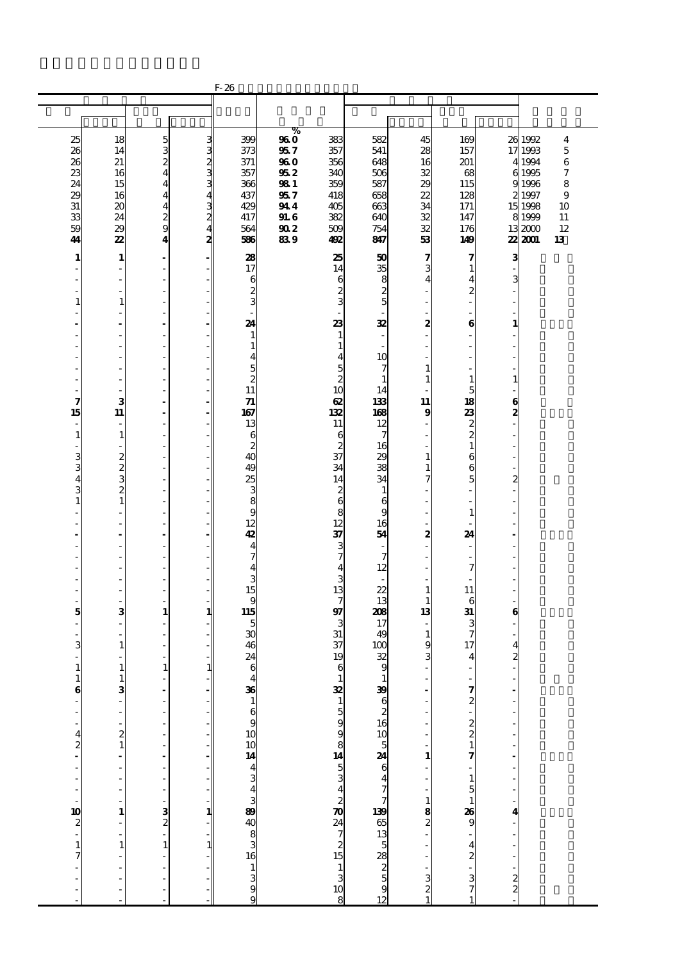|                                          |                   |                                            |               | $F-26$                                       |                     |                              |                                |                  |                                                       |                |                    |                     |
|------------------------------------------|-------------------|--------------------------------------------|---------------|----------------------------------------------|---------------------|------------------------------|--------------------------------|------------------|-------------------------------------------------------|----------------|--------------------|---------------------|
|                                          |                   |                                            |               |                                              |                     |                              |                                |                  |                                                       |                |                    |                     |
|                                          |                   |                                            |               |                                              |                     |                              |                                |                  |                                                       |                |                    |                     |
|                                          |                   |                                            |               |                                              | $\%$                | 383                          | 582                            |                  | 169                                                   |                |                    |                     |
| 25<br>26                                 | 18<br>14          | $\frac{5}{3}$                              | ده ده ده ده   | 399<br>373                                   | 960<br>957          | 357                          | 541                            | 45<br>28         | 157                                                   |                | 26 1992<br>17 1993 | 4<br>$\overline{5}$ |
| 26                                       | 21                | $\boldsymbol{z}$                           |               | 371                                          | <b>960</b>          | 356                          | 648                            | 16               | 201                                                   |                | 4 1994             | $\,6$               |
| 23                                       | 16                | $\overline{\mathbf{4}}$                    |               | 357                                          | 95 2                | 340                          | 506                            | 32               | 68                                                    |                | 6 1995             | 7                   |
| 24                                       | 15                | $\overline{\mathbf{4}}$                    |               | 366                                          | 98 1                | 359                          | 587                            | 29               | 115                                                   |                | 91996              | 8                   |
| 29                                       | 16                | $\overline{4}$                             | 4             | 437                                          | 957                 | 418                          | 658                            | 22               | 128                                                   |                | 2 1997             | 9                   |
| 31                                       | 20                | $\overline{\mathbf{4}}$                    |               | 429                                          | 944                 | 405                          | 663                            | 34               | 171                                                   |                | 15 1998            | 10                  |
| 33<br>59                                 | 24<br>29          | $\frac{2}{9}$                              | $\frac{3}{4}$ | 417<br>564                                   | <b>91.6</b><br>90 2 | 382<br>509                   | 640<br>754                     | 32<br>32         | 147<br>176                                            |                | 8 1999<br>13 2000  | 11<br>12            |
| 41                                       | 22                | $\overline{\mathbf{4}}$                    | 2             | 586                                          | 839                 | 492                          | 847                            | 53               | 149                                                   |                | 22 2001            | 13                  |
|                                          |                   |                                            |               |                                              |                     |                              |                                |                  |                                                       |                |                    |                     |
| 1                                        | $\mathbf{1}$      | $\blacksquare$<br>$\overline{\phantom{a}}$ |               | 28<br>17                                     |                     | 25<br>14                     | 50<br>35                       | 7<br>3           | 7<br>$\mathbf{1}$                                     | з              |                    |                     |
|                                          | ٠                 | $\overline{\phantom{a}}$                   |               | 6                                            |                     | 6                            |                                | 4                | 4                                                     | 3              |                    |                     |
|                                          |                   | $\overline{\phantom{a}}$                   |               | $\boldsymbol{z}$                             |                     | $\boldsymbol{z}$             | $\frac{8}{2}$                  |                  | 2                                                     |                |                    |                     |
| $\mathbf{1}$                             | $\mathbf{1}$      | $\overline{\phantom{a}}$                   |               | 3                                            |                     | 3                            | $\overline{5}$                 |                  | L                                                     |                |                    |                     |
|                                          |                   | $\frac{1}{2}$                              |               |                                              |                     |                              |                                |                  |                                                       |                |                    |                     |
|                                          |                   | $\blacksquare$                             |               | 24                                           |                     | 23                           | 32                             | 2                | 6                                                     | 1              |                    |                     |
|                                          | ٠                 | $\overline{\phantom{a}}$<br>$\overline{a}$ |               | $\mathbf{1}$<br>$\mathbf{1}$                 |                     | $\mathbf{1}$<br>$\mathbf{1}$ | ٠                              |                  | ä,                                                    | J.             |                    |                     |
|                                          | ä,                | $\overline{\phantom{a}}$                   |               | 4                                            |                     | 4                            | 10                             |                  | ä,                                                    |                |                    |                     |
|                                          | ä,                | ÷,                                         |               | 5                                            |                     | 5                            | 7                              | 1                |                                                       |                |                    |                     |
|                                          |                   | $\overline{a}$                             |               | $\boldsymbol{2}$                             |                     | $\boldsymbol{z}$             | $\mathbf{1}$                   | 1                | $\mathbf{1}$                                          | 1              |                    |                     |
| ٠                                        | ٠                 | $\overline{\phantom{a}}$                   |               | 11                                           |                     | 10                           | 14                             |                  | 5                                                     |                |                    |                     |
| 7<br>15                                  | 3<br>11           | $\blacksquare$<br>L,                       |               | 71<br>167                                    |                     | $\boldsymbol{\alpha}$<br>132 | 133<br>168                     | 11<br>9          | 18<br>23                                              | 6<br>2         |                    |                     |
| ÷,                                       | ä,                | ÷,                                         |               | 13                                           |                     | 11                           | 12                             |                  | $\boldsymbol{z}$                                      | $\overline{a}$ |                    |                     |
| $\mathbf{1}$                             | $\mathbf{1}$      | $\overline{a}$                             |               | 6                                            |                     | 6                            | 7                              |                  | $\overline{c}$                                        |                |                    |                     |
| ٠                                        | ٠                 | $\overline{\phantom{a}}$                   |               | $\boldsymbol{z}$                             |                     | $rac{2}{37}$                 | 16                             |                  | $\mathbf{1}$                                          | Ĭ.             |                    |                     |
| 3                                        | $\boldsymbol{z}$  | $\overline{a}$                             |               | 40                                           |                     |                              | 29                             | 1                | 6                                                     |                |                    |                     |
| 3                                        | $\frac{2}{3}$     | $\overline{a}$<br>÷,                       |               | 49                                           |                     | 34<br>14                     | 38<br>34                       | 1                | 6<br>5                                                | $\overline{c}$ |                    |                     |
| 4<br>3                                   | $\overline{c}$    | $\overline{a}$                             |               | 25<br>3                                      |                     | $\boldsymbol{z}$             | $\mathbf{1}$                   | 7                |                                                       |                |                    |                     |
| $\mathbf{1}$                             | $\mathbf{1}$      | $\overline{\phantom{a}}$                   |               | 8                                            |                     | $\mathbf{6}$                 | 6                              |                  | ä,                                                    | L,             |                    |                     |
|                                          |                   | $\overline{\phantom{a}}$                   |               | 9                                            |                     | 8                            | 9                              |                  | $\mathbf{1}$                                          |                |                    |                     |
|                                          | ä,                | $\overline{\phantom{a}}$                   |               | 12                                           |                     | 12                           | 16                             |                  | J.                                                    |                |                    |                     |
|                                          | L,                | $\overline{\phantom{a}}$                   |               | 42                                           |                     | 37                           | 54                             | $\boldsymbol{z}$ | 24                                                    |                |                    |                     |
|                                          | ٠                 | $\overline{a}$<br>$\overline{\phantom{a}}$ |               | 4<br>7                                       |                     | $\frac{3}{7}$                | 7                              |                  | ÷,                                                    |                |                    |                     |
|                                          | ä,                | $\overline{\phantom{a}}$                   |               | $\overline{4}$                               |                     | $\overline{\mathbf{4}}$      | 12                             |                  | 7                                                     |                |                    |                     |
|                                          | ä,                | $\overline{\phantom{a}}$                   |               | 3                                            |                     | 3                            |                                |                  |                                                       |                |                    |                     |
|                                          |                   | $\frac{1}{2}$                              |               | 15                                           |                     | 13                           | 22                             | 1                | 11                                                    |                |                    |                     |
|                                          | 3                 | ä,<br>$\mathbf{1}$                         |               | 9<br>115                                     |                     | $\tau$<br>97                 | 13                             | 1                | 6<br>31                                               |                |                    |                     |
| 5<br>÷,                                  | $\frac{1}{2}$     | L,                                         | 1             | 5                                            |                     | 3                            | 208<br>17                      | 13               | 3                                                     | 6              |                    |                     |
|                                          |                   | $\overline{a}$                             |               | 30                                           |                     | 31                           | 49                             | $\mathbf{1}$     | 7                                                     |                |                    |                     |
| 3                                        | $\mathbf{1}$      | L,                                         |               | 46                                           |                     | 37                           | 100                            | 9                | 17                                                    | 4              |                    |                     |
|                                          |                   | ä,                                         |               | 24                                           |                     | 19                           | 32                             | 3                | 4                                                     | 2              |                    |                     |
| $\mathbf 1$                              | $\mathbf{1}$      | $\mathbf{1}$                               | $1\vert$      | 6                                            |                     | 6                            | 9                              | ٠                | ä,                                                    | ÷,             |                    |                     |
| $\mathbf{1}$<br>$\bf{6}$                 | $\mathbf{1}$<br>3 |                                            |               | $\overline{\mathbf{4}}$                      |                     |                              |                                |                  |                                                       |                |                    |                     |
|                                          |                   | L,                                         |               | $\frac{36}{1}$                               |                     |                              |                                |                  | $\frac{3}{2}$                                         |                |                    |                     |
|                                          |                   |                                            |               | 6                                            |                     |                              |                                |                  |                                                       |                |                    |                     |
|                                          |                   | ÷,                                         |               | $\begin{array}{c} 9 \\ 10 \\ 10 \end{array}$ |                     |                              |                                |                  | $\begin{array}{c} 2 \\ 2 \\ 1 \end{array}$            |                |                    |                     |
| $\overline{\mathbf{4}}$                  | $\frac{2}{1}$     | L,                                         |               |                                              |                     |                              |                                |                  |                                                       |                |                    |                     |
| $\frac{2}{1}$                            |                   | ÷,<br>$\overline{a}$                       |               |                                              |                     |                              |                                | 1                |                                                       |                |                    |                     |
|                                          |                   |                                            |               |                                              |                     |                              |                                |                  |                                                       |                |                    |                     |
| $\frac{1}{2}$                            |                   | ÷,                                         |               |                                              |                     |                              |                                |                  |                                                       |                |                    |                     |
| j,                                       |                   |                                            |               |                                              |                     |                              |                                |                  | $\begin{array}{c} 1 \\ 5 \\ 1 \\ 26 \\ 9 \end{array}$ |                |                    |                     |
|                                          |                   | $\frac{1}{2}$ 3                            |               |                                              |                     |                              |                                | $\mathbf{1}$     |                                                       |                |                    |                     |
|                                          | $\mathbf{1}$      |                                            | 1             |                                              |                     |                              |                                | $\frac{8}{2}$    |                                                       | 4              |                    |                     |
| $\begin{array}{c}\n10 \\ 2\n\end{array}$ |                   | L,                                         |               | <b>14</b><br>4 3 4 3 4 3 4 3 5 6 8 9 8 9 5   |                     |                              |                                |                  | L,                                                    |                |                    |                     |
| $\mathbf{1}$                             | $\mathbf{1}$      | $\mathbf{1}$                               | $\mathbf{1}$  |                                              |                     |                              |                                |                  |                                                       |                |                    |                     |
| $\overline{7}$                           |                   |                                            |               |                                              |                     |                              |                                |                  |                                                       |                |                    |                     |
|                                          |                   | ÷,                                         |               | $\frac{1}{3}$                                |                     |                              |                                |                  |                                                       |                |                    |                     |
|                                          |                   | ä,                                         |               | 9                                            |                     |                              |                                | 3<br>2           | $\frac{4}{3}$ $\frac{3}{7}$                           | $\frac{1}{2}$  |                    |                     |
|                                          |                   |                                            |               | ç                                            |                     | 132159982427024721513108     | 199621610524647799651358225912 |                  |                                                       |                |                    |                     |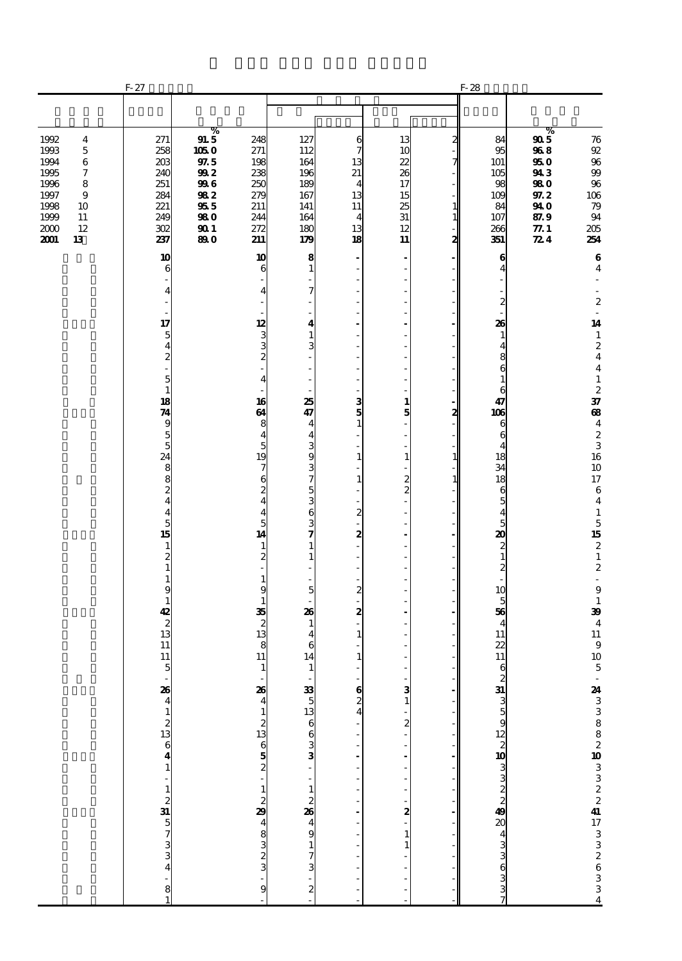|                                                                                                                                        | $F-27$                                                                                                                                                                                                                                                                                                                                                                                                                                                                                                                                                   |                                                                                     |                                                                                                                                                                                                                                                                                                                     |                                                                                                                                                                                                                                                                                           |                                                                                                                                                                                                   |                                                                                                                                                                                                                                                                                                                                                 | $F-28$                                      |                                                                                                                                                                                                                                                                                                                                                                                   |                                                                                              |                                                                                                                                                                                                                                                                                                                                                                                                                                                                                                                                                                                                                                                   |
|----------------------------------------------------------------------------------------------------------------------------------------|----------------------------------------------------------------------------------------------------------------------------------------------------------------------------------------------------------------------------------------------------------------------------------------------------------------------------------------------------------------------------------------------------------------------------------------------------------------------------------------------------------------------------------------------------------|-------------------------------------------------------------------------------------|---------------------------------------------------------------------------------------------------------------------------------------------------------------------------------------------------------------------------------------------------------------------------------------------------------------------|-------------------------------------------------------------------------------------------------------------------------------------------------------------------------------------------------------------------------------------------------------------------------------------------|---------------------------------------------------------------------------------------------------------------------------------------------------------------------------------------------------|-------------------------------------------------------------------------------------------------------------------------------------------------------------------------------------------------------------------------------------------------------------------------------------------------------------------------------------------------|---------------------------------------------|-----------------------------------------------------------------------------------------------------------------------------------------------------------------------------------------------------------------------------------------------------------------------------------------------------------------------------------------------------------------------------------|----------------------------------------------------------------------------------------------|---------------------------------------------------------------------------------------------------------------------------------------------------------------------------------------------------------------------------------------------------------------------------------------------------------------------------------------------------------------------------------------------------------------------------------------------------------------------------------------------------------------------------------------------------------------------------------------------------------------------------------------------------|
|                                                                                                                                        |                                                                                                                                                                                                                                                                                                                                                                                                                                                                                                                                                          |                                                                                     |                                                                                                                                                                                                                                                                                                                     |                                                                                                                                                                                                                                                                                           |                                                                                                                                                                                                   |                                                                                                                                                                                                                                                                                                                                                 |                                             |                                                                                                                                                                                                                                                                                                                                                                                   |                                                                                              |                                                                                                                                                                                                                                                                                                                                                                                                                                                                                                                                                                                                                                                   |
| 1992<br>4<br>1993<br>5<br>1994<br>6<br>1995<br>7<br>1996<br>8<br>1997<br>9<br>1998<br>10<br>1999<br>$11\,$<br>2000<br>12<br>2001<br>13 | 271<br>258<br>203<br>240<br>251<br>284<br>221<br>249<br>302<br>237                                                                                                                                                                                                                                                                                                                                                                                                                                                                                       | %<br>91.5<br>1050<br>$\it{9\!7.5}$<br>992<br>996<br>982<br>955<br>980<br>901<br>890 | 248<br>271<br>198<br>238<br>250<br>279<br>211<br>244<br>272<br>211                                                                                                                                                                                                                                                  | 127<br>112<br>164<br>196<br>189<br>167<br>141<br>164<br>180<br>179                                                                                                                                                                                                                        | 6<br>7<br>13<br>21<br>$\overline{4}$<br>13<br>11<br>4<br>13<br>18                                                                                                                                 | 13<br>10<br>22<br>26<br>17<br>15<br>25<br>31<br>12<br>11                                                                                                                                                                                                                                                                                        | 2<br>7<br>$\mathbf{1}$<br>$\mathbf{1}$<br>2 | 84<br>95<br>101<br>105<br>98<br>109<br>84<br>107<br>266<br>351                                                                                                                                                                                                                                                                                                                    | %<br>995<br>968<br>950<br>943<br><b>980</b><br>97.2<br>94 O<br>87.9<br>77.1<br>$\mathbb{Z}4$ | 76<br>$9\!2$<br>96<br>$99$<br>$96\,$<br>106<br>79<br>94<br>205<br>254                                                                                                                                                                                                                                                                                                                                                                                                                                                                                                                                                                             |
|                                                                                                                                        | 10<br>6<br>$\overline{4}$<br>17<br>$\overline{5}$<br>$\overline{\mathbf{4}}$<br>$\overline{c}$<br>$\frac{1}{2}$<br>$\overline{\mathbf{5}}$<br>$\mathbf 1$<br>18<br>74<br>9<br>$\frac{5}{5}$<br>24<br>$\begin{array}{c}\n 8 \\  2 \\  4\n \end{array}$<br>$\overline{\mathbf{4}}$<br>$\overline{5}$<br>15<br>$\mathbf{1}$<br>$\overline{\mathbf{c}}$<br>$\mathbf{1}$<br>$\mathbf{1}$<br>9<br>$\mathbf{1}$<br>42<br>$\begin{array}{c} 2 \\ 13 \end{array}$<br>11<br>11<br>$\overline{5}$<br>$234$<br>$412$<br>$33$<br>$57$<br>$33$<br>$4$<br>$\frac{1}{8}$ |                                                                                     | 10<br>6<br>4<br>12<br>3<br>3<br>2<br>4<br>16<br>64<br>8<br>$\overline{\bf 4}$<br>5<br>19<br>7<br>6<br>2<br>$\overline{\mathbf{4}}$<br>$\overline{4}$<br>5<br>14<br>$\mathbf{1}$<br>2<br>1<br>9<br>1<br>35<br>$\boldsymbol{z}$<br>13<br>8<br>11<br>$\mathbf{1}$<br>$\frac{26}{4}$<br>പരമേ <b>ഷ 2</b> പെ 2 പി ചെ<br>9 | 8<br>$\mathbf{1}$<br>7<br>4<br>$\mathbf{1}$<br>3<br>25<br>47<br>$\overline{4}$<br>4<br>$\frac{3}{9}$<br>$\frac{3}{7}$<br>5<br>$\frac{3}{6}$<br>3<br>7<br>1<br>$\mathbf{1}$<br>5<br>26<br>$\mathbf{1}$<br>4<br>6<br>14<br>$\mathbf{1}$<br>33 5 13 6 6 3 3 3 4 9 4 9 1 7 3<br>$\frac{1}{2}$ | 3<br>5<br>$\mathbf{1}$<br>٠<br>$\mathbf{1}$<br>÷,<br>$\mathbf{1}$<br>٠<br>$\overline{\mathbf{z}}$<br>2<br>٠<br>$\overline{\mathbf{z}}$<br>2<br>$\mathbf{1}$<br>$\mathbf{1}$<br>٠<br>$\frac{6}{2}$ | $\overline{\phantom{a}}$<br>$\overline{a}$<br>÷,<br>÷,<br>$\mathbf{1}$<br>5<br>÷,<br>$\mathbf{1}$<br>$\boldsymbol{z}$<br>$\mathbf{z}$<br>$\frac{1}{2}$<br>$\overline{a}$<br>÷,<br>÷,<br>$\overline{a}$<br>$\overline{a}$<br>÷,<br>3<br>$\mathbf{1}$<br>$\begin{bmatrix} 2 \\ -1 \end{bmatrix}$<br>$\frac{2}{1}$<br>$\mathbf{1}$<br>$\mathbf{1}$ | 2<br>$\mathbf{1}$<br>$\mathbf{1}$           | 6<br>4<br>$\overline{c}$<br>26<br>$\mathbf{1}$<br>4<br>8<br>6<br>$\mathbf{1}$<br>6<br>47<br>106<br>6<br>6<br>4<br>18<br>34<br>18<br>6<br>5<br>$\overline{\mathbf{4}}$<br>5<br>20<br>$\boldsymbol{z}$<br>$\mathbf{1}$<br>$\overline{\mathbf{c}}$<br>$\overline{a}$<br>10<br>5<br>56<br>$\overline{4}$<br>11<br>22<br>11<br>$\mathbf{6}$<br>x & w w w w w w w w w w w w w w w w w w |                                                                                              | $\bf 6$<br>$\overline{\mathbf{4}}$<br>٠<br>$\boldsymbol{2}$<br>$\overline{\phantom{a}}$<br>14<br>$\frac{1}{2}$<br>$\overline{\mathbf{4}}$<br>$\overline{\mathbf{4}}$<br>$\mathbf 1$<br>$\boldsymbol{z}$<br>37<br>$\bf{a}$<br>$\overline{\mathbf{4}}$<br>$\frac{2}{3}$<br>16<br>10<br>17<br>$\,6\,$<br>$\overline{\mathbf{4}}$<br>$\mathbf 1$<br>$\overline{5}$<br>15<br>$\boldsymbol{2}$<br>$\mathbf 1$<br>$\boldsymbol{2}$<br>$\overline{\phantom{a}}$<br>$\boldsymbol{9}$<br>$\,$ 1<br>39<br>$\overline{\mathbf{4}}$<br>${\bf 11}$<br>$\begin{array}{c} 9 \\ 10 \end{array}$<br>$\mathbf 5$<br>$-24$ 3 3 8 8 2 10 3 3 2 2 41 17 3 3 2 6 3 3 3 4 |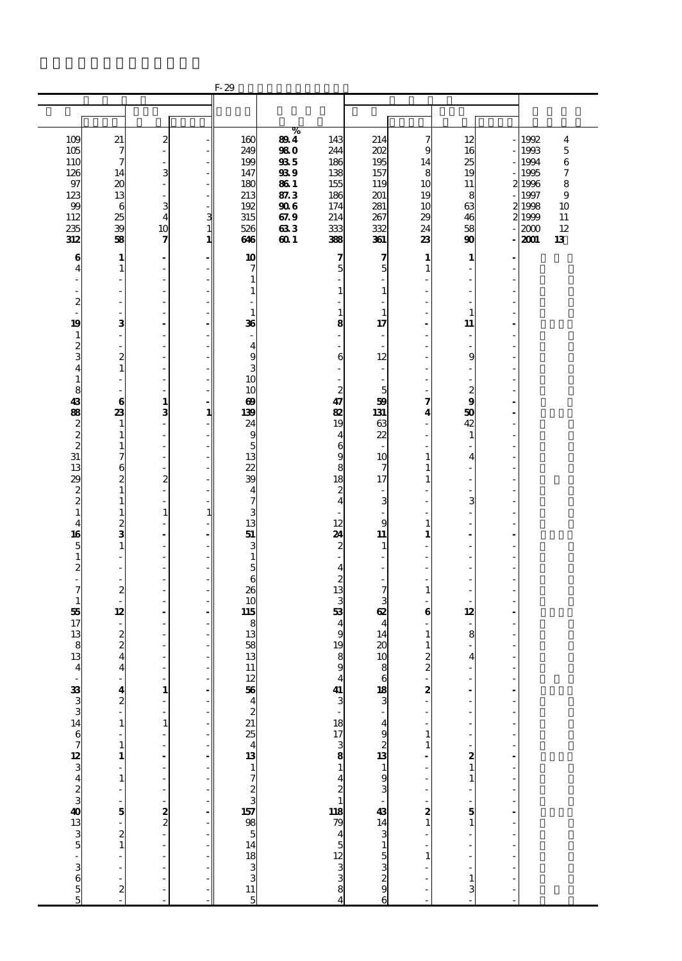|                                             |                          |                          |               | $F-29$                                             |            |                                             |                                             |                |                                                |                      |        |                         |
|---------------------------------------------|--------------------------|--------------------------|---------------|----------------------------------------------------|------------|---------------------------------------------|---------------------------------------------|----------------|------------------------------------------------|----------------------|--------|-------------------------|
|                                             |                          |                          |               |                                                    |            |                                             |                                             |                |                                                |                      |        |                         |
|                                             |                          |                          |               |                                                    |            |                                             |                                             |                |                                                |                      |        |                         |
|                                             |                          |                          |               |                                                    | $\%$       |                                             |                                             |                |                                                |                      |        |                         |
| 109                                         | 21                       | $\boldsymbol{z}$         |               | 160                                                | 894        | 143                                         | 214                                         | 7              | 12                                             |                      | 1992   | $\overline{\mathbf{4}}$ |
| 105                                         | 7                        | $\overline{a}$           |               | 249                                                | <b>980</b> | 244                                         | 202                                         | 9              | 16                                             |                      | 1993   | $\overline{5}$          |
| 110                                         | 7                        | $\frac{1}{2}$            |               | 199                                                | 935        | 186                                         | 195                                         | 14             | 25                                             |                      | 1994   | 6                       |
| 126                                         | 14                       | 3                        |               | 147                                                | 939        | 138                                         | 157                                         | 8              | 19                                             |                      | 1995   | $\boldsymbol{7}$        |
| 97                                          | 20                       | $\blacksquare$           |               | 180                                                | <b>861</b> | 155                                         | 119                                         | 10             | 11                                             |                      | 21996  | 8                       |
| 123                                         | 13                       | $\overline{\phantom{a}}$ |               | 213                                                | 87.3       | 186                                         | 201                                         | 19             | 8                                              |                      | 1997   | 9                       |
| 99                                          | 6                        | 3                        |               | 192                                                | 906        | 174                                         | 281                                         | 10             | 63                                             |                      | 2 1998 | 10                      |
| 112                                         | 25                       | $\overline{\mathbf{4}}$  | $\frac{3}{1}$ | 315                                                | 67.9       | 214                                         | 267                                         | 29             | 46                                             |                      | 2 1999 | 11                      |
| 235                                         | 39                       | 10                       |               | 526                                                | 633        | 333                                         | 332                                         | 24             | 58                                             |                      | 2000   | 12                      |
| 312                                         | 58                       | 7                        | $\mathbf{1}$  | 646                                                | 60 1       | 388                                         | 361                                         | 23             | 90                                             |                      | 2001   | 13                      |
| 6                                           | $\mathbf{1}$             | $\blacksquare$           |               | 10                                                 |            | 7                                           | 7                                           | $\mathbf{1}$   | $\mathbf{1}$                                   |                      |        |                         |
| 4                                           | $\mathbf{1}$             | $\overline{\phantom{0}}$ |               | 7                                                  |            | 5                                           | 5                                           | $\mathbf{1}$   | ä,                                             |                      |        |                         |
| ä,                                          | Ĭ.                       | ä,                       |               | $\mathbf{1}$                                       |            |                                             |                                             |                | $\overline{\phantom{a}}$                       |                      |        |                         |
| $\qquad \qquad \blacksquare$                | ł,                       | L,                       |               | $\mathbf{1}$                                       |            | $\mathbf{1}$                                | $\mathbf{1}$                                |                | ÷                                              |                      |        |                         |
| $\boldsymbol{z}$                            | Ĭ.                       | i.                       |               |                                                    |            |                                             |                                             |                | ÷,                                             |                      |        |                         |
|                                             | Ĭ.                       | L,                       |               | $\mathbf{1}$                                       |            | $\mathbf{1}$                                | $\mathbf{1}$                                |                | $\mathbf{1}$                                   |                      |        |                         |
| 19                                          | з                        |                          |               | 36                                                 |            | 8                                           | 17                                          |                | 11                                             |                      |        |                         |
| $\mathbf{1}$                                | ÷,                       | ä,                       |               | ÷,                                                 |            | ÷,                                          |                                             | ٠              | $\overline{\phantom{a}}$                       |                      |        |                         |
| $\frac{2}{3}$                               | $\overline{\phantom{m}}$ | ÷,                       |               | $\overline{4}$                                     |            |                                             |                                             |                | $\overline{\phantom{a}}$                       |                      |        |                         |
|                                             | $\overline{c}$           | i.                       |               | 9                                                  |            | 6                                           | 12                                          |                | 9                                              |                      |        |                         |
| $\overline{\mathbf{4}}$                     | $\mathbf{1}$             | L,                       |               | 3                                                  |            |                                             |                                             |                | ÷,                                             |                      |        |                         |
| $\mathbf{1}$                                |                          | ÷,                       |               | 10                                                 |            |                                             |                                             |                |                                                |                      |        |                         |
| 8<br>43                                     | J.                       | ÷,<br>$\mathbf{1}$       |               | 10<br>$\boldsymbol{\omega}$                        |            | $\boldsymbol{2}$<br>47                      | 5<br>59                                     | 7              | $\boldsymbol{z}$<br>9                          | ٠                    |        |                         |
| 88                                          | 6<br>23                  | 3                        | 1             | 139                                                |            | 82                                          | 131                                         | 4              | 50                                             |                      |        |                         |
| $\boldsymbol{z}$                            | 1                        | $\overline{a}$           |               | 24                                                 |            | 19                                          | 63                                          |                | 42                                             |                      |        |                         |
|                                             | $\mathbf{1}$             | L,                       |               | 9                                                  |            | $\overline{4}$                              | 22                                          |                | $\mathbf{1}$                                   |                      |        |                         |
| $\frac{2}{2}$                               | $\mathbf{1}$             | ÷,                       |               | 5                                                  |            | 6                                           |                                             |                | ٠                                              | ä,                   |        |                         |
| 31                                          | 7                        | $\frac{1}{2}$            |               | 13                                                 |            | 9                                           | 10                                          | 1              | $\overline{4}$                                 |                      |        |                         |
| 13                                          | 6                        | L,                       |               | 22                                                 |            | 8                                           | 7                                           | 1              | ÷                                              |                      |        |                         |
| 29                                          | 2                        | $\overline{z}$           |               | 39                                                 |            | 18                                          | 17                                          | 1              | ÷,                                             |                      |        |                         |
| $\boldsymbol{z}$                            | $\mathbf{1}$             | L,                       |               | $\overline{\mathbf{4}}$                            |            | $\overline{\mathbf{c}}$                     |                                             |                |                                                |                      |        |                         |
| $\overline{\mathbf{c}}$                     | $\mathbf{1}$             | L.                       |               | 7                                                  |            | $\overline{4}$                              | 3                                           |                | 3                                              | ٠                    |        |                         |
| $\mathbf{1}$                                | $\mathbf{1}$             | $\mathbf{1}$             | $\mathbf{1}$  | 3                                                  |            |                                             |                                             |                | ÷,                                             |                      |        |                         |
| $\overline{\mathbf{4}}$                     | $\frac{2}{3}$            | L,                       |               | 13                                                 |            | 12                                          | 9                                           | 1              | ÷,                                             |                      |        |                         |
| 16                                          |                          | $\overline{a}$           |               | 51                                                 |            | 24                                          | 11                                          | 1              | $\blacksquare$                                 |                      |        |                         |
| 5                                           | $\mathbf{1}$             | ÷,                       |               | 3                                                  |            | $\overline{\mathbf{c}}$                     | 1                                           |                |                                                |                      |        |                         |
| $\mathbf 1$                                 | L,                       | L.                       |               | $\mathbf{1}$                                       |            | ÷,                                          |                                             |                | $\overline{\phantom{a}}$                       | ä,                   |        |                         |
| $\frac{2}{1}$                               | ÷,                       | L,                       |               | 5                                                  |            | $\overline{4}$                              |                                             |                | L,                                             |                      |        |                         |
|                                             | ÷,                       | L,                       |               | 6                                                  |            | $\boldsymbol{z}$<br>13                      |                                             |                | ÷,                                             |                      |        |                         |
| 7                                           | $\overline{z}$           | $\overline{a}$           |               | 26<br>10                                           |            | 3                                           | 7                                           | 1              | ÷,                                             |                      |        |                         |
| $\mathbf{1}$<br>55                          | 12                       | $\blacksquare$           |               | 115                                                |            | 53                                          | 3<br>œ                                      | 6              | 12                                             |                      |        |                         |
| 17                                          | $\overline{\phantom{a}}$ | L,                       |               | 8                                                  |            | $\overline{\mathbf{4}}$                     | $\overline{4}$                              |                | $\overline{\phantom{a}}$                       |                      |        |                         |
| 13                                          |                          | L,                       |               | 13                                                 |            | 9                                           | 14                                          | $\mathbf{1}$   | 8                                              |                      |        |                         |
| 8                                           | $\frac{2}{2}$            | Ĭ.                       |               | 58                                                 |            | 19                                          | 20                                          | 1              |                                                |                      |        |                         |
| 13                                          | 4                        |                          |               | 13                                                 |            | 8                                           | 10                                          | 2              | 4                                              |                      |        |                         |
| $\overline{4}$                              | 4                        | ä,                       |               | 11                                                 |            | $\mathbf{9}$                                | 8                                           | $\overline{c}$ | ٠                                              | ٠                    |        |                         |
|                                             |                          |                          |               |                                                    |            |                                             |                                             |                |                                                |                      |        |                         |
|                                             | $\frac{4}{2}$            | 1                        |               |                                                    |            |                                             |                                             | 2              |                                                | $\frac{1}{2}$        |        |                         |
|                                             |                          | $\overline{a}$           |               |                                                    |            | $\begin{array}{c} 4 \\ 41 \\ 3 \end{array}$ | $\begin{array}{c} 6 \\ 18 \\ 3 \end{array}$ |                |                                                |                      |        |                         |
|                                             |                          |                          |               |                                                    |            |                                             |                                             |                |                                                |                      |        |                         |
|                                             | $\mathbf{1}$             | $\mathbf{1}$             |               |                                                    |            |                                             |                                             |                |                                                | L,                   |        |                         |
|                                             |                          |                          |               |                                                    |            |                                             |                                             | $\mathbf{1}$   | ÷,                                             |                      |        |                         |
|                                             | $\mathbf{1}$             |                          |               |                                                    |            |                                             |                                             | 1              | ÷                                              | ÷,<br>$\overline{a}$ |        |                         |
|                                             | $\mathbf{1}$             | $\overline{a}$           |               |                                                    |            |                                             |                                             |                |                                                |                      |        |                         |
|                                             |                          | $\overline{a}$           |               |                                                    |            |                                             |                                             |                | $\begin{array}{c} \mathbf{2} \\ 1 \end{array}$ | $\overline{a}$       |        |                         |
|                                             | $\mathbf{1}$             |                          |               |                                                    |            |                                             |                                             |                |                                                |                      |        |                         |
|                                             |                          | ÷,                       |               |                                                    |            |                                             |                                             |                | $\frac{1}{2}$                                  |                      |        |                         |
|                                             | 5                        |                          |               |                                                    |            |                                             |                                             | 2              |                                                | $\overline{a}$       |        |                         |
|                                             |                          | $\frac{1}{2}$            |               |                                                    |            |                                             |                                             | $\mathbf{1}$   | $\frac{5}{1}$                                  |                      |        |                         |
|                                             |                          |                          |               |                                                    |            |                                             |                                             |                | ÷,                                             | ÷,                   |        |                         |
|                                             | $\frac{1}{2}$            | $\overline{a}$           |               |                                                    |            |                                             |                                             |                | $\overline{\phantom{a}}$                       |                      |        |                         |
|                                             |                          |                          |               |                                                    |            |                                             |                                             | $\mathbf{1}$   |                                                |                      |        |                         |
|                                             | l,                       | L,                       |               |                                                    |            |                                             |                                             |                |                                                |                      |        |                         |
| და და 1 და 5 ტად და 5 და 5 და 5 და 50 და 50 |                          |                          |               | $\frac{12504222543172333115}{1723350851418333115}$ |            | $\frac{18173881421800}{180045123338}$       | a © w ആ – w m m m m m m m m m m m m m m     |                | $\mathbf{1}$                                   |                      |        |                         |
|                                             | 2                        |                          |               |                                                    |            |                                             |                                             |                | 3                                              |                      |        |                         |
|                                             |                          |                          |               |                                                    |            |                                             |                                             |                |                                                |                      |        |                         |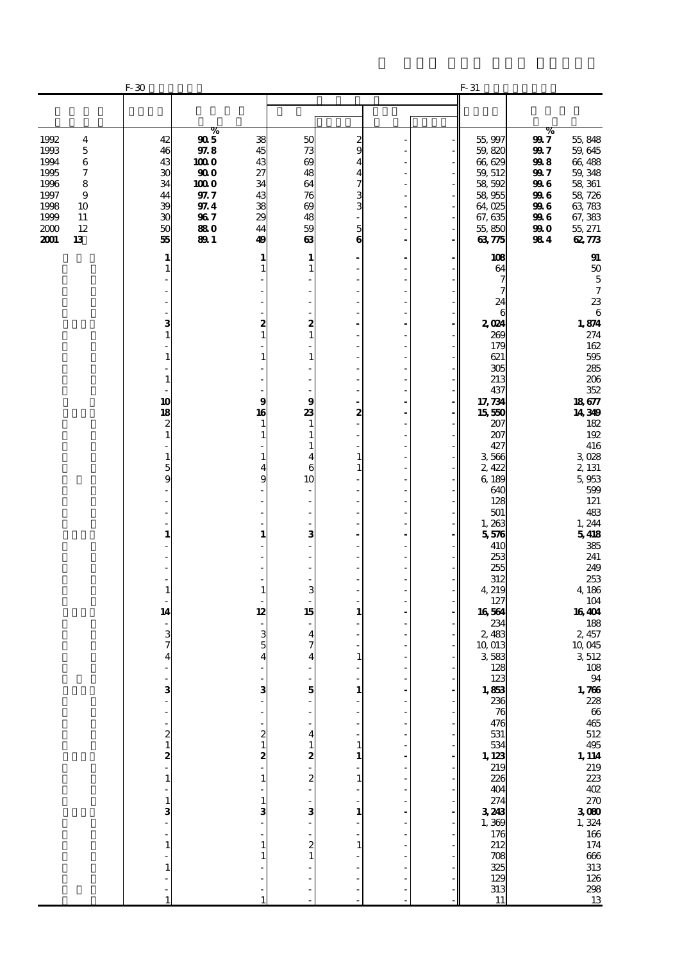|                                                                                                                                              | $F-30$                                                                                                                                       |                                                                                      |                                                                                                                   |                                                                                                       |                                                  |  | $F-31$                                                                                                                                                                                                                                                                                                                                                                                                             |                                                                                                                                                                                              |                                                                                                                                                                                                                                                                                         |
|----------------------------------------------------------------------------------------------------------------------------------------------|----------------------------------------------------------------------------------------------------------------------------------------------|--------------------------------------------------------------------------------------|-------------------------------------------------------------------------------------------------------------------|-------------------------------------------------------------------------------------------------------|--------------------------------------------------|--|--------------------------------------------------------------------------------------------------------------------------------------------------------------------------------------------------------------------------------------------------------------------------------------------------------------------------------------------------------------------------------------------------------------------|----------------------------------------------------------------------------------------------------------------------------------------------------------------------------------------------|-----------------------------------------------------------------------------------------------------------------------------------------------------------------------------------------------------------------------------------------------------------------------------------------|
|                                                                                                                                              |                                                                                                                                              |                                                                                      |                                                                                                                   |                                                                                                       |                                                  |  |                                                                                                                                                                                                                                                                                                                                                                                                                    |                                                                                                                                                                                              |                                                                                                                                                                                                                                                                                         |
| 1992<br>4<br>1993<br>$\mathbf 5$<br>1994<br>6<br>1995<br>7<br>1996<br>8<br>1997<br>9<br>1998<br>10<br>1999<br>11<br>2000<br>12<br>2001<br>13 | 42<br>46<br>43<br>30<br>34<br>44<br>39<br>30<br>50<br>55                                                                                     | %<br>905<br>97.8<br>1000<br>900<br>100 O<br>97.7<br>97.4<br>967<br>880<br><b>891</b> | 38<br>45<br>43<br>27<br>34<br>43<br>38<br>29<br>44<br>49                                                          | 50<br>73<br>$\infty$<br>48<br>64<br>76<br>$\infty$<br>48<br>59<br>63                                  | 2<br>9<br>4<br>4<br>7<br>3<br>3<br>5<br>$\bf{6}$ |  | 55,997<br>59,820<br>66,629<br>59, 512<br>58,592<br>58,955<br>64,025<br>67, 635<br>55,850<br>6375                                                                                                                                                                                                                                                                                                                   | %<br>99 7<br>55,848<br>59,645<br>99 7<br>998<br>66,488<br>99 7<br>59, 348<br>996<br>58, 361<br>996<br>58,726<br>63,783<br>996<br>996<br>67,383<br>55, 271<br>99 O<br>984<br>62,773           |                                                                                                                                                                                                                                                                                         |
|                                                                                                                                              | 1<br>1<br>з<br>1<br>1<br>1<br>10<br>18<br>2<br>1<br>1<br>5<br>9<br>1<br>1<br>14<br>3<br>7<br>з<br>2<br>$\mathbf{1}$<br>2<br>1<br>1<br>3<br>1 |                                                                                      | 1<br>1<br>2<br>1<br>1<br>9<br>16<br>1<br>1<br>1<br>4<br>9<br>1<br>1<br>12<br>3<br>5<br>3<br>2<br>2<br>1<br>1<br>з | 1<br>2<br>1<br>1<br>9<br>23<br>1<br>4<br>6<br>10<br>÷,<br>3<br>÷,<br>3<br>15<br>4<br>5<br>4<br>2<br>3 | 2<br>1<br>1<br>1<br>1<br>1<br>1                  |  | 108<br>64<br>7<br>24<br>6<br>2024<br>269<br>179<br>621<br>305<br>213<br>437<br>17, 734<br>15550<br>207<br>207<br>427<br>3566<br>2,422<br>6,189<br>640<br>128<br>501<br>1,263<br>5,576<br>410<br>253<br>255<br>312<br>4, 219<br>127<br>16564<br>234<br>2,483<br>10,013<br>3583<br>128<br>123<br>1,853<br>236<br>76<br>476<br>531<br>534<br>1, 123<br>219<br>226<br>404<br>274<br>3243<br>1,369<br>176<br>212<br>708 | 1,874<br>18,677<br>14,349<br>3028<br>2, 131<br>5,953<br>1,244<br>5418<br>4,186<br>16404<br>2, 457<br>10,045<br>3512<br>$\frac{1,766}{228}$<br>$\frac{1}{219}$<br>$\frac{270}{300}$<br>1, 324 | $\mathbf{g}_1$<br>50<br>$\mathbf 5$<br>$\overline{7}$<br>23<br>$\,6\,$<br>274<br>162<br>595<br>285<br>206<br>352<br>182<br>192<br>416<br>599<br>121<br>483<br>385<br>241<br>249<br>253<br>104<br>188<br>108<br>94<br>$66\,$<br>465<br>512<br>495<br>223<br>402<br>166<br>174<br>$666\,$ |
|                                                                                                                                              | 1                                                                                                                                            |                                                                                      |                                                                                                                   |                                                                                                       |                                                  |  | 325<br>129<br>313<br>11                                                                                                                                                                                                                                                                                                                                                                                            |                                                                                                                                                                                              | 313<br>126<br>298<br>13                                                                                                                                                                                                                                                                 |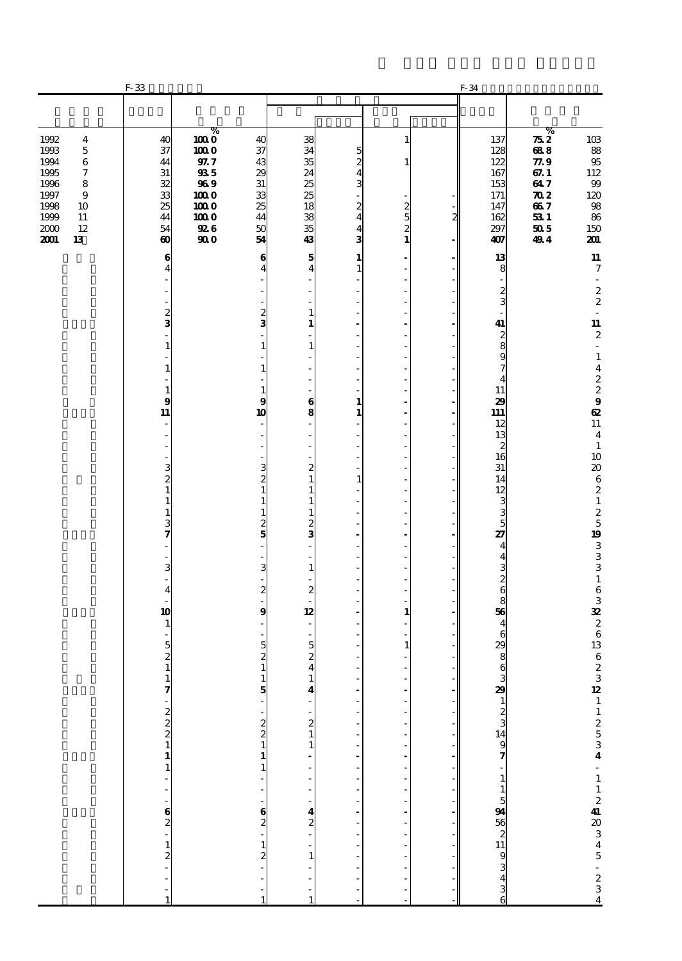|                                                                                                                                                                        | $F-33$                                                                      |                                                                                                                                                                          |                                                          |                                                          |                                                            |                                                               |   | F-34                                                               |                                                                                                |                                                                       |
|------------------------------------------------------------------------------------------------------------------------------------------------------------------------|-----------------------------------------------------------------------------|--------------------------------------------------------------------------------------------------------------------------------------------------------------------------|----------------------------------------------------------|----------------------------------------------------------|------------------------------------------------------------|---------------------------------------------------------------|---|--------------------------------------------------------------------|------------------------------------------------------------------------------------------------|-----------------------------------------------------------------------|
|                                                                                                                                                                        |                                                                             |                                                                                                                                                                          |                                                          |                                                          |                                                            |                                                               |   |                                                                    |                                                                                                |                                                                       |
| 1992<br>$\overline{\mathbf{4}}$<br>1993<br>$\mathbf 5$<br>1994<br>$\,6$<br>1995<br>7<br>1996<br>8<br>1997<br>9<br>1998<br>10<br>1999<br>11<br>2000<br>12<br>2001<br>13 | 40<br>37<br>44<br>31<br>32<br>33<br>25<br>44<br>54<br>$\boldsymbol{\omega}$ | $\overline{1000}$<br>1000<br>$97.7\,$<br>935<br>969<br>1000<br>1000<br>1000<br>926<br>$\boldsymbol{\boldsymbol{\boldsymbol{0}}}\boldsymbol{\boldsymbol{\boldsymbol{0}}}$ | 40<br>37<br>43<br>29<br>31<br>33<br>25<br>44<br>50<br>54 | 38<br>34<br>35<br>24<br>25<br>25<br>18<br>38<br>35<br>43 | 5<br>2<br>4<br>3<br>2<br>$\overline{\mathbf{4}}$<br>4<br>3 | ı<br>$\begin{smallmatrix} 2 \\ 5 \\ 2 \\ 1 \end{smallmatrix}$ | 2 | 137<br>128<br>122<br>167<br>153<br>171<br>147<br>162<br>297<br>407 | %<br>752<br>688<br>$\rm 77.9$<br>67.1<br>647<br>$\boldsymbol{\pi}$<br>667<br>531<br>505<br>494 | 103<br>88<br>$9\!5$<br>112<br>$99\,$<br>120<br>98<br>86<br>150<br>201 |
|                                                                                                                                                                        | 6<br>4                                                                      |                                                                                                                                                                          | 6<br>4                                                   | 5<br>$\overline{4}$                                      | 1<br>$\mathbf{1}$                                          | ÷,                                                            |   | 13<br>8                                                            |                                                                                                | ${\bf 11}$<br>$\boldsymbol{7}$                                        |
|                                                                                                                                                                        |                                                                             |                                                                                                                                                                          |                                                          |                                                          |                                                            | $\overline{a}$<br>$\overline{a}$<br>٠                         |   | $\overline{\phantom{a}}$<br>$\frac{2}{3}$                          |                                                                                                | $\overline{\phantom{a}}$<br>$\boldsymbol{2}$<br>$\boldsymbol{2}$      |
|                                                                                                                                                                        | 2<br>3                                                                      |                                                                                                                                                                          | 2<br>3                                                   | $\mathbf{1}$<br>1                                        |                                                            | ÷                                                             |   | 41                                                                 |                                                                                                | ä,<br>${\bf 11}$                                                      |
|                                                                                                                                                                        | $\mathbf{1}$                                                                |                                                                                                                                                                          | $\mathbf{1}$                                             | $\mathbf{1}$                                             |                                                            | ÷,<br>$\overline{a}$<br>٠                                     |   | $\frac{2}{8}$<br>9                                                 |                                                                                                | $\boldsymbol{2}$<br>÷,                                                |
|                                                                                                                                                                        | $\mathbf{1}$                                                                |                                                                                                                                                                          | $\mathbf{1}$                                             |                                                          |                                                            | ÷,                                                            |   | 7<br>$\overline{4}$                                                |                                                                                                | $\frac{1}{4}$                                                         |
|                                                                                                                                                                        | $\mathbf{1}$<br>9<br>11                                                     |                                                                                                                                                                          | 1<br>9<br>10                                             | $\overline{a}$<br>$\bf{6}$<br>8                          | 1<br>1                                                     | ÷,<br>ä,<br>÷,                                                |   | 11<br>29<br>111                                                    |                                                                                                | $\begin{bmatrix} 2 \\ 2 \\ 3 \end{bmatrix}$<br>$\boldsymbol{\alpha}$  |
|                                                                                                                                                                        | L,                                                                          |                                                                                                                                                                          |                                                          |                                                          |                                                            | ÷,                                                            |   | 12<br>13                                                           |                                                                                                | ${\bf 11}$<br>$\overline{\mathbf{4}}$                                 |
|                                                                                                                                                                        | 3                                                                           |                                                                                                                                                                          | 3                                                        | $\overline{a}$<br>÷,<br>$\boldsymbol{z}$                 |                                                            | ÷,<br>$\overline{a}$<br>٠                                     |   | $\begin{array}{c} 2 \\ 16 \end{array}$<br>31                       |                                                                                                | $\mathbf{1}$<br>10<br>$\pmb{20}$                                      |
|                                                                                                                                                                        | 2<br>$\mathbf{1}$<br>$\mathbf{1}$                                           |                                                                                                                                                                          | $\boldsymbol{z}$<br>$\mathbf{1}$<br>$\mathbf{1}$         | $\mathbf{1}$<br>1<br>1                                   | $\mathbf{1}$                                               | ÷,<br>÷,                                                      |   | 14<br>12                                                           |                                                                                                | $\bf 6$<br>$\boldsymbol{z}$<br>$\mathbf 1$                            |
|                                                                                                                                                                        | $\mathbf{1}$<br>3                                                           |                                                                                                                                                                          | $\mathbf{1}$<br>$\frac{2}{5}$                            | $\mathbf{1}$<br>$\frac{2}{3}$                            |                                                            | $\overline{a}$<br>٠                                           |   | $\frac{3}{5}$                                                      |                                                                                                | $\frac{2}{5}$                                                         |
|                                                                                                                                                                        | 7                                                                           |                                                                                                                                                                          |                                                          | $\overline{\phantom{a}}$                                 |                                                            | ÷,<br>÷,                                                      |   | 27<br>$\overline{4}$<br>$\overline{\mathbf{4}}$                    |                                                                                                | 19<br>$\begin{array}{c} 3 \\ 3 \\ 3 \end{array}$                      |
|                                                                                                                                                                        | 3                                                                           |                                                                                                                                                                          | 3                                                        | $\mathbf{1}$                                             |                                                            | $\overline{a}$<br>٠                                           |   | $\begin{array}{c} 3 \\ 2 \\ 6 \end{array}$                         |                                                                                                | $\mathbf 1$                                                           |
|                                                                                                                                                                        | $\overline{\mathbf{4}}$<br>10                                               |                                                                                                                                                                          | $\boldsymbol{z}$<br>$\bf{9}$                             | $\boldsymbol{z}$<br>12                                   |                                                            | $\mathbf{1}$                                                  |   | 56                                                                 |                                                                                                | $\,6\,$<br>$\frac{3}{3}$                                              |
|                                                                                                                                                                        | $\mathbf{1}$                                                                |                                                                                                                                                                          |                                                          |                                                          |                                                            |                                                               |   | $\overline{\mathbf{4}}$<br>6                                       |                                                                                                | $\begin{array}{c} 2 \\ 6 \\ 13 \end{array}$                           |
|                                                                                                                                                                        | 5<br>$\frac{2}{1}$                                                          |                                                                                                                                                                          | 5<br>$\overline{\mathbf{c}}$<br>$\mathbf{1}$             | $\overline{5}$<br>$\frac{2}{4}$                          |                                                            | $\mathbf{1}$<br>L,                                            |   | $\begin{array}{c}\n 29 \\  8 \\  6\n \end{array}$                  |                                                                                                | $\frac{6}{2}$                                                         |
|                                                                                                                                                                        |                                                                             |                                                                                                                                                                          | $\frac{1}{5}$                                            | 4                                                        |                                                            |                                                               |   |                                                                    |                                                                                                |                                                                       |
|                                                                                                                                                                        |                                                                             |                                                                                                                                                                          |                                                          | $\begin{smallmatrix}2\2\1\end{smallmatrix}$              |                                                            |                                                               |   |                                                                    |                                                                                                |                                                                       |
|                                                                                                                                                                        | $17 - 22$<br>$222$                                                          |                                                                                                                                                                          | $\begin{array}{c} 2 \\ 2 \\ 1 \end{array}$               | 1                                                        |                                                            |                                                               |   |                                                                    |                                                                                                |                                                                       |
|                                                                                                                                                                        |                                                                             |                                                                                                                                                                          | $\mathbf{1}$                                             |                                                          |                                                            |                                                               |   |                                                                    |                                                                                                |                                                                       |
|                                                                                                                                                                        |                                                                             |                                                                                                                                                                          |                                                          |                                                          |                                                            |                                                               |   |                                                                    |                                                                                                |                                                                       |
|                                                                                                                                                                        | $-22 - 12 - 12$                                                             |                                                                                                                                                                          | $\frac{6}{2}$                                            | $\frac{4}{2}$                                            |                                                            |                                                               |   |                                                                    |                                                                                                |                                                                       |
|                                                                                                                                                                        |                                                                             |                                                                                                                                                                          | $\mathbf{1}$<br>2                                        | 1                                                        |                                                            |                                                               |   |                                                                    |                                                                                                |                                                                       |
|                                                                                                                                                                        | $\frac{1}{1}$                                                               |                                                                                                                                                                          | 1                                                        |                                                          |                                                            |                                                               |   | 329 1 2 3 14 9 7 - 1 1 5 94 36 2 11 9 3 4 3 6                      |                                                                                                | $\frac{32}{11}$ 2 5 3 4 - 1 1 2 4 20 3 4 5 - 2 3 4                    |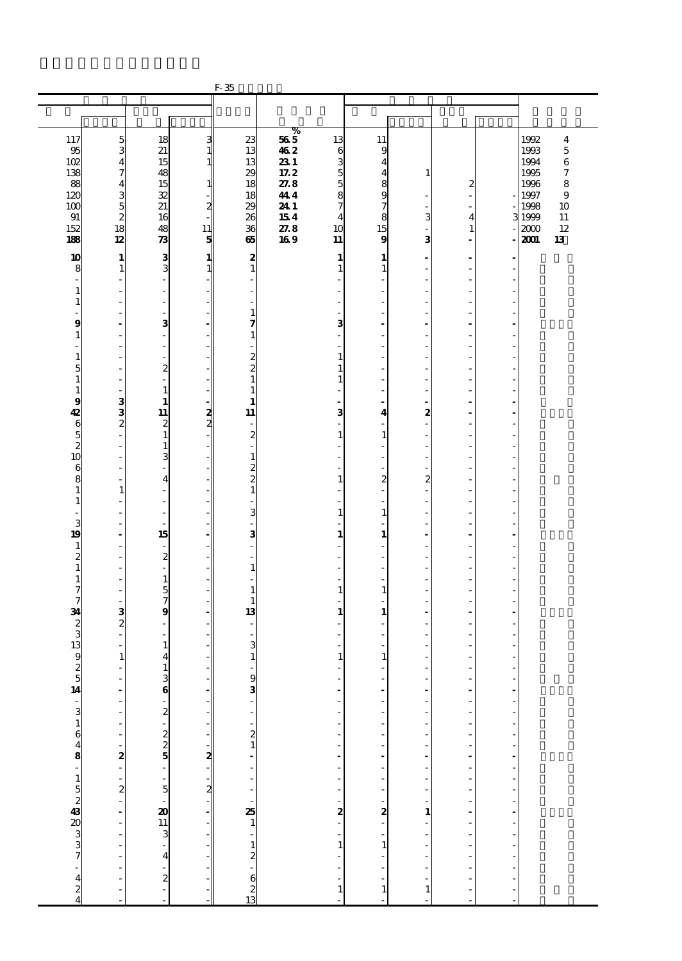|                                           |                                                                       |                                         |                   | $F-35$                                       |                         |                                                                  |                                          |                  |                                  |                |              |                  |
|-------------------------------------------|-----------------------------------------------------------------------|-----------------------------------------|-------------------|----------------------------------------------|-------------------------|------------------------------------------------------------------|------------------------------------------|------------------|----------------------------------|----------------|--------------|------------------|
|                                           |                                                                       |                                         |                   |                                              |                         |                                                                  |                                          |                  |                                  |                |              |                  |
|                                           |                                                                       |                                         |                   |                                              |                         |                                                                  |                                          |                  |                                  |                |              |                  |
|                                           |                                                                       |                                         |                   |                                              | %                       |                                                                  |                                          |                  |                                  |                | 1992         |                  |
| 117                                       | $\overline{5}$<br>3                                                   | 18<br>21                                | 3<br>$\mathbf{1}$ | 23<br>13                                     | $\bf 56$ $\bf 5$<br>462 | 13<br>6                                                          | 11<br>9                                  |                  |                                  |                | 1993         | 4<br>$\mathbf 5$ |
| $\frac{95}{102}$                          | $\overline{\mathbf{4}}$                                               | 15                                      | $\mathbf{1}$      | 13                                           | 231                     | 3                                                                | $\overline{\bf{4}}$                      |                  |                                  |                | 1994         | $\,6$            |
| 138                                       | 7                                                                     | 48                                      |                   | 29                                           | 17.2                    | 5                                                                | $\overline{\bf 4}$                       | 1                |                                  |                | 1995         | 7                |
| 88<br>120                                 | $\overline{\mathbf{4}}$                                               | 15<br>32                                | $\frac{1}{1}$     | 18<br>18                                     | 27.8<br>444             | 5<br>8                                                           | $\frac{8}{9}$                            |                  | 2                                |                | 1996<br>1997 | 8<br>9           |
| 100                                       | $\begin{array}{c}\n 3 \\  5 \\  2 \\  18\n \end{array}$               | 21                                      | $\mathbf{z}$      | 29                                           | 24 1                    | 7                                                                | 7                                        |                  | ä,                               |                | 1998         | 10               |
| 91                                        |                                                                       | 16                                      |                   | 26                                           | $154$                   | 4                                                                | 8                                        | 3                | $\overline{\mathbf{4}}$          |                | 31999        | 11               |
| 152                                       |                                                                       | 48                                      | 11                | 36                                           | 27.8                    | 10                                                               | 15                                       |                  | $\mathbf{1}$                     |                | 2000         | 12               |
| 188                                       | 12                                                                    | 73                                      | 5                 | 65                                           | 169                     | 11                                                               | $\bf{9}$                                 | 3                | $\blacksquare$                   |                | 2001         | 13               |
| 10                                        | $\mathbf{1}$                                                          | $\frac{3}{3}$                           | 1                 | 2                                            |                         | 1                                                                | 1                                        |                  | $\blacksquare$                   |                |              |                  |
| 8<br>٠                                    | $\mathbf{1}$<br>L,                                                    | $\frac{1}{2}$                           | $\mathbf{1}$      | $\mathbf{1}$<br>ä,                           |                         | $\mathbf{1}$                                                     | $\mathbf{1}$<br>٠                        |                  | ÷,<br>÷,                         |                |              |                  |
| $\mathbf{1}$                              | ł,                                                                    | $\overline{\phantom{a}}$                |                   | $\frac{1}{2}$                                |                         |                                                                  |                                          |                  | ÷,                               |                |              |                  |
| $\mathbf{1}$                              | Ĭ.                                                                    | $\overline{\phantom{a}}$                |                   | $\frac{1}{2}$                                |                         | ÷,                                                               |                                          |                  | Ĭ.                               |                |              |                  |
| L,                                        | l,                                                                    | $\overline{\phantom{a}}$                |                   | $\mathbf{1}$                                 |                         |                                                                  |                                          |                  | Ĩ.                               |                |              |                  |
| 9<br>$\mathbf{1}$                         | J.                                                                    | 3<br>$\overline{\phantom{a}}$           |                   | 7<br>$\mathbf{1}$                            |                         | 3<br>÷,                                                          |                                          |                  | ä,                               | ä,             |              |                  |
| $\overline{\phantom{0}}$                  |                                                                       | $\overline{\phantom{a}}$                |                   | $\overline{\phantom{a}}$                     |                         |                                                                  |                                          |                  |                                  |                |              |                  |
| $\mathbf{1}$                              | J.                                                                    | $\overline{\phantom{a}}$                |                   | $\boldsymbol{z}$                             |                         | 1                                                                |                                          |                  | Ĭ.                               | J.             |              |                  |
| $\mathbf{5}$                              | l,                                                                    | $\boldsymbol{z}$                        |                   | $\overline{\mathbf{c}}$                      |                         | 1                                                                |                                          |                  | Ĩ.                               |                |              |                  |
| $\mathbf{1}$<br>$\mathbf{1}$              | J.                                                                    | $\overline{a}$<br>$\mathbf{1}$          |                   | $\mathbf{1}$<br>$\mathbf{1}$                 |                         | 1<br>÷,                                                          |                                          |                  | ä,                               | ä,             |              |                  |
| $\boldsymbol{9}$                          | 3                                                                     | $\mathbf{1}$                            | - 1               | $\mathbf{1}$                                 |                         |                                                                  |                                          |                  | ÷,                               |                |              |                  |
| 42                                        | $\frac{3}{2}$                                                         | 11                                      | $\frac{2}{2}$     | 11                                           |                         | 3                                                                | 4                                        | 2                | ÷.                               | ÷.             |              |                  |
| $\mathbf{6}$                              |                                                                       | $\overline{\mathbf{c}}$<br>$\mathbf{1}$ |                   | L,                                           |                         | $\mathbf{1}$                                                     |                                          |                  | Ĩ.                               |                |              |                  |
| 5<br>$\overline{c}$                       | ÷,                                                                    | $\mathbf 1$                             |                   | $\boldsymbol{z}$<br>$\overline{\phantom{a}}$ |                         | ÷,                                                               | $\mathbf{1}$<br>٠                        |                  | ä,                               | ٠              |              |                  |
| 10                                        | ł,                                                                    | 3                                       |                   | $\mathbf{1}$                                 |                         |                                                                  |                                          |                  |                                  |                |              |                  |
| 6                                         | Ĭ.                                                                    | L                                       |                   | $\boldsymbol{z}$                             |                         |                                                                  |                                          |                  | Ĭ.                               | J.             |              |                  |
| 8<br>$\mathbf{1}$                         | Ĭ.<br>$\mathbf{1}$                                                    | $\overline{4}$                          |                   | $\overline{\mathbf{c}}$<br>$\mathbf{1}$      |                         | $\mathbf{1}$                                                     | $\boldsymbol{z}$                         | $\boldsymbol{z}$ | J.                               |                |              |                  |
| $\mathbf{1}$                              | Ĭ.                                                                    | ÷,                                      |                   | $\overline{\phantom{a}}$                     |                         |                                                                  | ٠                                        |                  | ä,                               | ٠              |              |                  |
|                                           | Ĭ.                                                                    | $\overline{\phantom{a}}$                |                   | 3                                            |                         | $\mathbf{1}$                                                     | $\mathbf{1}$                             |                  |                                  |                |              |                  |
| 3                                         | Ĭ.                                                                    |                                         |                   | i,                                           |                         |                                                                  |                                          |                  | Ĭ.                               | J.             |              |                  |
| 19<br>$\mathbf{1}$                        | $\overline{a}$                                                        | 15<br>$\overline{\phantom{a}}$          |                   | 3<br>i,                                      |                         | $\mathbf{1}$                                                     | $\mathbf{1}$                             |                  | $\overline{a}$                   |                |              |                  |
| $\boldsymbol{z}$                          | J.                                                                    | $\overline{c}$                          |                   | $\overline{\phantom{a}}$                     |                         | ٠                                                                | ٠                                        |                  | ä,                               | ٠              |              |                  |
| $\mathbf{1}$                              |                                                                       | $\overline{\phantom{a}}$                |                   | $\mathbf{1}$                                 |                         |                                                                  |                                          |                  | ÷,                               |                |              |                  |
| $\frac{1}{7}$                             | Ĭ.<br>Ĭ.                                                              | $\mathbf{1}$                            |                   | $\frac{1}{2}$<br>$\mathbf{1}$                |                         | $\mathbf{1}$                                                     |                                          |                  | ä,<br>J.                         | ÷.             |              |                  |
| 7                                         |                                                                       | $\frac{5}{7}$                           |                   | $\mathbf{1}$                                 |                         |                                                                  | 1                                        |                  |                                  |                |              |                  |
| 34                                        | 3                                                                     | 9                                       | - 1               | 13                                           |                         | $\mathbf{1}$                                                     | 1                                        |                  | $\blacksquare$                   | ÷              |              |                  |
| $\frac{2}{3}$                             | $\overline{\mathbf{c}}$                                               | ÷                                       |                   | $\overline{\phantom{a}}$                     |                         |                                                                  |                                          |                  |                                  |                |              |                  |
| 13                                        | $\overline{a}$                                                        | ä,<br>$\mathbf{1}$                      |                   | ä,<br>3                                      |                         |                                                                  |                                          |                  | ä,<br>Ĭ.                         |                |              |                  |
| 9                                         | $\mathbf{1}$                                                          | 4                                       |                   | $\mathbf{1}$                                 |                         | 1                                                                | 1                                        |                  |                                  |                |              |                  |
| $\boldsymbol{z}$                          | ٠                                                                     | $\mathbf{1}$                            |                   | $\overline{\phantom{a}}$                     |                         | ÷,                                                               | $\overline{\phantom{a}}$                 |                  | ä,                               |                |              |                  |
|                                           | $\overline{a}$                                                        |                                         | $\frac{1}{2}$     |                                              |                         |                                                                  |                                          |                  | j                                |                |              |                  |
|                                           | l,                                                                    |                                         |                   |                                              |                         | -                                                                |                                          |                  | $\overline{\phantom{a}}$         | $\frac{1}{2}$  |              |                  |
|                                           |                                                                       |                                         |                   |                                              |                         |                                                                  |                                          |                  | $\overline{a}$                   | Ĭ.             |              |                  |
|                                           | l,                                                                    |                                         |                   |                                              |                         | $\overline{\phantom{m}}$                                         | ÷                                        |                  | l,<br>$\overline{a}$             | l,             |              |                  |
|                                           | $\frac{1}{2}$                                                         |                                         |                   |                                              |                         | $\frac{1}{2}$<br>÷                                               | $\frac{1}{2}$<br>$\frac{1}{2}$           |                  | $\overline{a}$                   | ÷,             |              |                  |
|                                           |                                                                       |                                         |                   |                                              |                         | ÷,                                                               | $\overline{\phantom{a}}$                 |                  | $\overline{a}$                   | $\frac{1}{2}$  |              |                  |
|                                           |                                                                       |                                         |                   |                                              |                         |                                                                  |                                          |                  | Ĭ.                               |                |              |                  |
|                                           |                                                                       |                                         |                   |                                              |                         | $\overline{\phantom{0}}$                                         | $\overline{\phantom{a}}$                 | ٠                | $\overline{a}$<br>$\overline{a}$ | $\overline{a}$ |              |                  |
|                                           | $\begin{array}{c} \mathbf{z} \\ \mathbf{z} \\ \mathbf{z} \end{array}$ |                                         |                   |                                              |                         | $\begin{array}{c} \n\cdot & \cdot \\ \cdot & \cdot\n\end{array}$ | $\overline{\phantom{a}}$                 | ÷,               | $\overline{a}$                   | Ĭ.             |              |                  |
|                                           |                                                                       |                                         |                   |                                              |                         |                                                                  | $\bar{2}$                                | $\mathbf{1}$     | $\overline{a}$                   | $\frac{1}{2}$  |              |                  |
|                                           | $\overline{a}$                                                        |                                         |                   |                                              |                         |                                                                  |                                          |                  | Ĭ.                               |                |              |                  |
|                                           | l,<br>Ĭ.                                                              |                                         |                   |                                              |                         | l,<br>$\mathbf{1}$                                               | $\overline{\phantom{a}}$<br>$\mathbf{1}$ |                  | l,<br>$\overline{a}$             | Ļ<br>Ĭ.        |              |                  |
|                                           | Ĭ.                                                                    |                                         |                   |                                              |                         |                                                                  | $\overline{a}$                           |                  | $\overline{a}$                   | $\overline{a}$ |              |                  |
|                                           | Ĭ.                                                                    |                                         |                   |                                              |                         | ÷,                                                               | ÷,                                       |                  | $\overline{a}$                   | l,             |              |                  |
|                                           |                                                                       |                                         |                   |                                              |                         |                                                                  |                                          |                  |                                  |                |              |                  |
| n Σ · ω μ · Σ β β ω ω ω ν α μ ω μ ω · μ ω |                                                                       | Ĭ,                                      |                   |                                              |                         | $\mathbf{1}$                                                     | $\mathbf{1}$                             | $\mathbf{1}$     | Ĭ.                               | Ĭ.             |              |                  |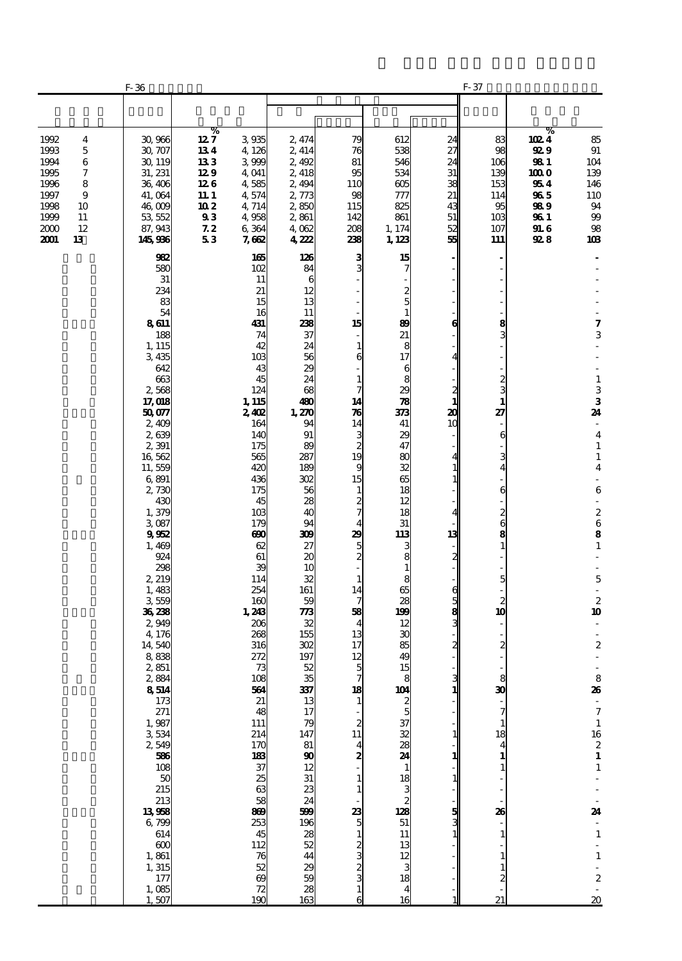|                                                                              |                                                    | F-36                                                                                                                                                                                                                                                                                                                                                                                                                                                                                          |                                                                             |                                                                                                                                                                                                                                                                                                                                                                                                                                                   |                                                                                                                                                                                                                                                                                                                                                                                                      |                                                                                                                                                                                                                                                                                                                                                                                                               |                                                                                                                                                                                                                                                                                                                                             |                                                                                                                                                             | F-37                                                                                                                                                                                                                                 |                                                                                  |                                                                                                                                                                                                                                                                                                                                                                                                                                                                                                                                                                                                                        |
|------------------------------------------------------------------------------|----------------------------------------------------|-----------------------------------------------------------------------------------------------------------------------------------------------------------------------------------------------------------------------------------------------------------------------------------------------------------------------------------------------------------------------------------------------------------------------------------------------------------------------------------------------|-----------------------------------------------------------------------------|---------------------------------------------------------------------------------------------------------------------------------------------------------------------------------------------------------------------------------------------------------------------------------------------------------------------------------------------------------------------------------------------------------------------------------------------------|------------------------------------------------------------------------------------------------------------------------------------------------------------------------------------------------------------------------------------------------------------------------------------------------------------------------------------------------------------------------------------------------------|---------------------------------------------------------------------------------------------------------------------------------------------------------------------------------------------------------------------------------------------------------------------------------------------------------------------------------------------------------------------------------------------------------------|---------------------------------------------------------------------------------------------------------------------------------------------------------------------------------------------------------------------------------------------------------------------------------------------------------------------------------------------|-------------------------------------------------------------------------------------------------------------------------------------------------------------|--------------------------------------------------------------------------------------------------------------------------------------------------------------------------------------------------------------------------------------|----------------------------------------------------------------------------------|------------------------------------------------------------------------------------------------------------------------------------------------------------------------------------------------------------------------------------------------------------------------------------------------------------------------------------------------------------------------------------------------------------------------------------------------------------------------------------------------------------------------------------------------------------------------------------------------------------------------|
|                                                                              |                                                    |                                                                                                                                                                                                                                                                                                                                                                                                                                                                                               |                                                                             |                                                                                                                                                                                                                                                                                                                                                                                                                                                   |                                                                                                                                                                                                                                                                                                                                                                                                      |                                                                                                                                                                                                                                                                                                                                                                                                               |                                                                                                                                                                                                                                                                                                                                             |                                                                                                                                                             |                                                                                                                                                                                                                                      |                                                                                  |                                                                                                                                                                                                                                                                                                                                                                                                                                                                                                                                                                                                                        |
| 1992<br>1993<br>1994<br>1995<br>1996<br>1997<br>1998<br>1999<br>2000<br>2001 | 4<br>5<br>6<br>7<br>8<br>9<br>10<br>11<br>12<br>13 | 30,966<br>30, 707<br>30, 119<br>31, 231<br>36,406<br>41, 064<br>46,009<br>53, 552<br>87, 943<br>145,936                                                                                                                                                                                                                                                                                                                                                                                       | %<br>$12\,7$<br>134<br>133<br>129<br>126<br>11. 1<br>10 2<br>93<br>72<br>53 | 3935<br>4,126<br>3 999<br>4,041<br>4,585<br>4,574<br>4,714<br>4,958<br>6364<br>7,662                                                                                                                                                                                                                                                                                                                                                              | 2, 474<br>2, 414<br>2,492<br>2, 418<br>2,494<br>2,773<br>2,850<br>2,861<br>4,062<br>4222                                                                                                                                                                                                                                                                                                             | 79<br>76<br>81<br>95<br>110<br>98<br>115<br>142<br>208<br>238                                                                                                                                                                                                                                                                                                                                                 | 612<br>538<br>546<br>534<br>605<br>777<br>825<br>861<br>1, 174<br>1, 123                                                                                                                                                                                                                                                                    | 24<br>27<br>24<br>31<br>38<br>21<br>43<br>51<br>52<br>55                                                                                                    | 83<br>98<br>106<br>139<br>153<br>114<br>95<br>10 <sub>3</sub><br>107<br>111                                                                                                                                                          | %<br>1024<br>92 9<br>98 1<br>100 O<br>954<br>965<br>98 9<br>96 1<br>91. G<br>928 | 85<br>$91\,$<br>104<br>139<br>146<br>110<br>94<br>99<br>98<br>103                                                                                                                                                                                                                                                                                                                                                                                                                                                                                                                                                      |
|                                                                              |                                                    | 982<br>580<br>31<br>234<br>83<br>54<br>8611<br>188<br>1, 115<br>3435<br>642<br>663<br>2,568<br>17,018<br>50077<br>2,409<br>2639<br>2,391<br>16,562<br>11,559<br>6,891<br>2,730<br>430<br>1,379<br>3,087<br>9952<br>1,469<br>924<br>298<br>2, 219<br>1,483<br>3559<br>36,238<br>2,949<br>4,176<br>14,540<br>888<br>2,851<br>2,884<br>8514<br>173<br>271<br>1,987<br>3534<br>2,549<br>586<br>108<br>50<br>215<br>213<br>13958<br>6,799<br>614<br>600<br>1,861<br>1,315<br>177<br>1,085<br>1,507 |                                                                             | 165<br>102<br>11<br>21<br>15<br>16<br>431<br>74<br>42<br>10 <sub>3</sub><br>43<br>45<br>124<br>1, 115<br>2,402<br>164<br>140<br>175<br>565<br>420<br>436<br>175<br>45<br>10 <sub>3</sub><br>179<br>അ<br>62<br>61<br>39<br>114<br>254<br>160<br>1,243<br>206<br>268<br>316<br>272<br>73<br>108<br>564<br>21<br>48<br>111<br>214<br>170<br>183<br>37<br>25<br>63<br>58<br>869<br>253<br>45<br>112<br>76<br>52<br>$\boldsymbol{\omega}$<br>72<br>190 | 126<br>84<br>6<br>12<br>13<br>11<br>238<br>37<br>24<br>56<br>29<br>24<br>68<br>480<br>1,270<br>94<br>91<br>89<br>287<br>189<br>302<br>56<br>28<br>40<br>94<br>309<br>27<br>20<br>10<br>32<br>161<br>59<br>773<br>32<br>155<br>302<br>197<br>52<br>35<br>337<br>13<br>17<br>79<br>147<br>81<br>$\boldsymbol{\omega}$<br>12<br>31<br>23<br>24<br>599<br>196<br>28<br>52<br>44<br>29<br>59<br>28<br>163 | 3 <sub>0</sub><br>15<br>1<br>6<br>$\mathbf{1}$<br>7<br>14<br>$\boldsymbol{\pi}$<br>14<br>$\begin{array}{c}\n3 \\ 2 \\ 19\n\end{array}$<br>9<br>15<br>$\mathbf{1}$<br>$\frac{2}{7}$<br>4<br>29<br>$\frac{5}{2}$<br>$\mathbf{1}$<br>14<br>7<br>58<br>$\overline{\mathbf{4}}$<br>13<br>17<br>12<br>5<br>18<br>$\mathbf{1}$<br>2<br>11<br>4<br>2<br>1<br>1<br>$\frac{23}{5}$<br>$\mathbf{1}$<br>ယ လ လ လ<br>1<br>6 | 15<br>2<br>5<br>$\mathbf{1}$<br>89<br>21<br>8<br>17<br>6<br>8<br>29<br>78<br>373<br>41<br>29<br>47<br>80<br>32<br>65<br>18<br>12<br>18<br>31<br>113<br>3<br>8<br>1<br>8<br>65<br>28<br>199<br>12<br>30<br>85<br>49<br>15<br>104<br>2<br>5<br>37<br>32<br>28<br>24<br>1<br>18<br>3<br>2<br>128<br>51<br>11<br>13<br>12<br>3<br>18<br>4<br>16 | 6<br>4<br>$\frac{2}{1}$<br>20<br>10<br>4<br>1<br>$\mathbf{1}$<br>4<br>13<br>2<br>6<br>3<br>3<br>3<br>2<br>$\frac{3}{1}$<br>$\mathbf{1}$<br>1<br>1<br>5<br>3 | 8<br>$\frac{2}{3}$<br>$\mathbf{1}$<br>27<br>6<br>3<br>6<br>$\frac{2}{6}$<br>5<br>$\overline{\mathbf{c}}$<br>10<br>$\boldsymbol{z}$<br>8<br>30<br>7<br>$\mathbf{1}$<br>18<br>$\overline{\mathbf{4}}$<br>$\mathbf{1}$<br>26<br>1<br>21 |                                                                                  | 7<br>3<br>$\frac{1}{3}$<br>24<br>$\overline{\phantom{a}}$<br>$\overline{\mathbf{4}}$<br>$\mathbf{1}$<br>$\mathbf 1$<br>$\overline{\mathbf{4}}$<br>$\overline{\phantom{a}}$<br>$\,$ 6 $\,$<br>÷,<br>$\begin{array}{c} 2 \\ 6 \\ 8 \end{array}$<br>$\mathbf{1}$<br>$\overline{\phantom{a}}$<br>$\mathbf 5$<br>ä,<br>$\begin{array}{c} 2 \\ 10 \end{array}$<br>÷,<br>÷,<br>$\boldsymbol{2}$<br>8<br>26<br>$\mathcal{L}_{\mathcal{A}}$<br>$\boldsymbol{7}$<br>$\mathbf 1$<br>16<br>$\frac{2}{1}$<br>$\mathbf 1$<br>24<br>$\mathbf 1$<br>$\frac{1}{2}$<br>$\mathbf 1$<br>÷,<br>$\boldsymbol{z}$<br>$\overline{\mathbf{20}}$ |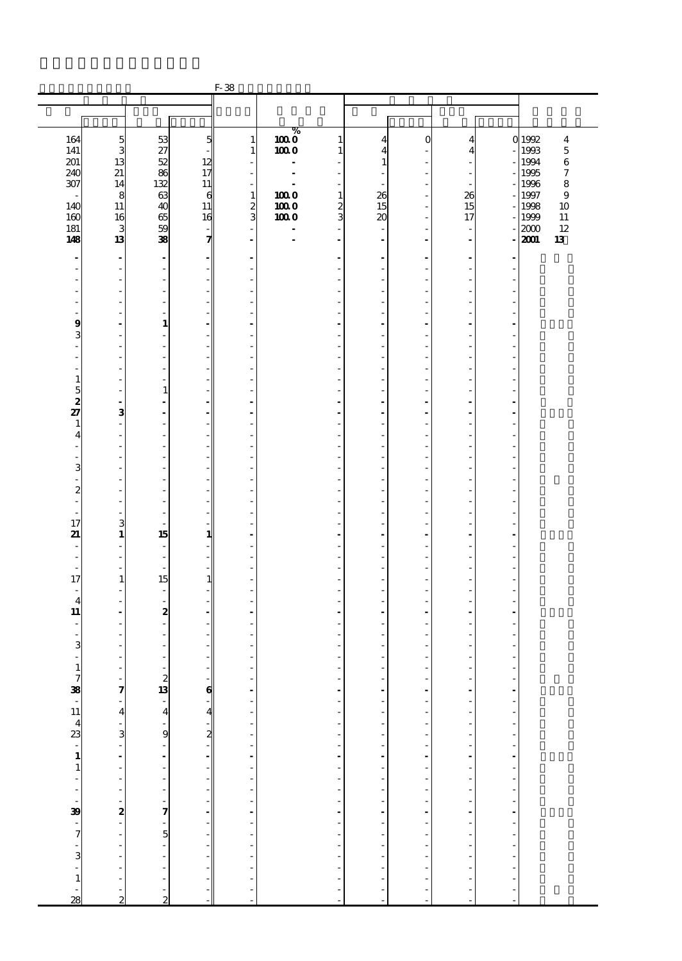|                               |                               |                                    |                                | $\operatorname{F-}38$                   |                  |                                          |                                                      |                               |                                     |                                             |                                   |
|-------------------------------|-------------------------------|------------------------------------|--------------------------------|-----------------------------------------|------------------|------------------------------------------|------------------------------------------------------|-------------------------------|-------------------------------------|---------------------------------------------|-----------------------------------|
|                               |                               |                                    |                                |                                         |                  |                                          |                                                      |                               |                                     |                                             |                                   |
|                               |                               |                                    |                                |                                         |                  |                                          |                                                      |                               |                                     |                                             |                                   |
|                               |                               |                                    |                                |                                         |                  |                                          |                                                      |                               |                                     |                                             |                                   |
| 164                           | $\frac{5}{3}$                 | 53                                 | 5                              | $\mathbf{1}$                            | $\overline{100}$ | 1                                        | 4                                                    | $\Omega$                      | 4                                   |                                             | 0 1992<br>$\overline{\mathbf{4}}$ |
| 141                           |                               | 27                                 |                                | $\mathbf{1}$                            | 1000             | 1                                        | 4                                                    |                               | 4                                   |                                             | 1993<br>$\mathbf 5$               |
| 201                           | 13                            | 52                                 | 12                             |                                         |                  |                                          | $\mathbf{1}$                                         |                               |                                     |                                             | 1994<br>$\,6$                     |
| 240                           | 21<br>14                      | 86<br>132                          | 17                             | ÷.                                      | $\overline{a}$   | ÷                                        |                                                      |                               | $\overline{\phantom{a}}$            |                                             | 1995<br>7                         |
| 307                           | 8                             | 63                                 | 11<br>6                        | $\overline{\phantom{a}}$<br>$\mathbf 1$ | 1000             | $\overline{\phantom{a}}$<br>$\mathbf{1}$ | ٠<br>26                                              |                               | $\overline{\phantom{a}}$<br>26      |                                             | 1996<br>$\bf8$<br>1997<br>9       |
| 140                           | 11                            | 40                                 | 11                             |                                         | 1000             | $\boldsymbol{z}$                         | 15                                                   | ٠                             | 15                                  |                                             | 1998<br>10                        |
| 160                           | 16                            | 65                                 | 16                             | $rac{2}{3}$                             | 1000             | 3                                        | 20                                                   |                               | 17                                  |                                             | 1999<br>$11\,$                    |
| 181                           | 3                             | 59                                 |                                | ÷,                                      | $\overline{a}$   | ÷.                                       |                                                      |                               | ÷,                                  |                                             | 2000<br>12                        |
| 148                           | 13                            | 38                                 | 7                              | $\blacksquare$                          |                  | $\blacksquare$                           | $\overline{\phantom{a}}$                             | $\overline{\phantom{a}}$      | $\blacksquare$                      |                                             | 2001<br>13                        |
| $\blacksquare$                | $\blacksquare$                | $\overline{\phantom{a}}$           |                                |                                         |                  |                                          | $\overline{a}$                                       |                               | $\blacksquare$                      |                                             |                                   |
|                               | Ĭ.                            | ÷,                                 |                                |                                         |                  |                                          |                                                      |                               | ä,                                  |                                             |                                   |
|                               | J.                            | ٠                                  |                                | ٠                                       |                  | ٠                                        | ٠                                                    |                               | ٠                                   |                                             |                                   |
|                               |                               | L,                                 |                                |                                         |                  |                                          |                                                      |                               |                                     |                                             |                                   |
|                               | J.                            | $\qquad \qquad \blacksquare$       |                                | Ĭ.                                      |                  |                                          | ÷.                                                   |                               | Ĭ.                                  |                                             |                                   |
| Ĭ.                            | l,                            | $\frac{1}{2}$<br>$\mathbf{1}$      |                                | ÷,                                      |                  |                                          |                                                      |                               | Ĭ.                                  |                                             |                                   |
| 9<br>3                        | J.                            | ÷,                                 |                                | $\overline{a}$                          |                  | $\overline{\phantom{a}}$                 | ٠                                                    |                               | ä,                                  |                                             |                                   |
|                               |                               | L,                                 |                                | $\overline{a}$                          |                  |                                          |                                                      |                               | ÷,                                  |                                             |                                   |
| Ĭ.                            | J.                            | $\qquad \qquad \blacksquare$       |                                | ÷,                                      |                  |                                          | ÷.                                                   |                               | Ĭ.                                  |                                             |                                   |
| L                             |                               | $\frac{1}{2}$                      |                                | L,                                      |                  |                                          |                                                      |                               | Ĭ.                                  |                                             |                                   |
| $\mathbf{1}$                  |                               | i.                                 |                                |                                         |                  |                                          |                                                      |                               |                                     |                                             |                                   |
| $\frac{5}{2}$                 | L,                            | $\mathbf{1}$                       |                                | ÷,                                      |                  | ٠                                        | ٠                                                    |                               | ä,<br>÷,                            |                                             |                                   |
| 27                            | $\overline{\phantom{a}}$<br>3 | $\qquad \qquad \blacksquare$<br>ä, |                                | $\overline{a}$<br>$\overline{a}$        |                  | $\overline{a}$                           | $\overline{a}$                                       |                               | ÷,                                  | ÷.                                          |                                   |
| $\mathbf{1}$                  | Ĭ.                            | $\frac{1}{2}$                      |                                | L,                                      |                  |                                          |                                                      |                               | Ĭ.                                  |                                             |                                   |
| 4                             |                               | ÷,                                 |                                |                                         |                  |                                          |                                                      |                               |                                     |                                             |                                   |
| Ĭ.                            | Ĭ.                            | ÷                                  |                                | ÷,                                      |                  | $\overline{\phantom{a}}$                 | ٠                                                    |                               | ä,                                  |                                             |                                   |
|                               |                               | L,                                 |                                | $\overline{a}$                          |                  |                                          |                                                      |                               | ÷,                                  |                                             |                                   |
| 3                             | J.                            | $\qquad \qquad \blacksquare$       |                                | ÷,                                      |                  |                                          | ÷.                                                   |                               | Ĭ.                                  |                                             |                                   |
| L<br>$\boldsymbol{z}$         |                               | $\frac{1}{2}$<br>÷,                |                                | L,                                      |                  |                                          |                                                      |                               | Ĭ.                                  |                                             |                                   |
| ÷,                            | J.                            | ä,                                 |                                | ÷,                                      |                  | ٠                                        | ٠                                                    |                               | ä,                                  |                                             |                                   |
| $\overline{a}$                | i.                            | ÷,                                 |                                | ł,                                      |                  |                                          |                                                      |                               | ÷,                                  |                                             |                                   |
| 17                            | 3                             | ä,                                 |                                | ÷,                                      |                  | ÷.                                       | ÷.                                                   |                               | Ĭ.                                  |                                             |                                   |
| 21                            | $\mathbf{1}$                  | 15                                 | 1                              | ä,                                      |                  |                                          | ä,                                                   |                               | $\overline{a}$                      |                                             |                                   |
|                               |                               | L,                                 |                                |                                         |                  |                                          |                                                      |                               |                                     |                                             |                                   |
| ٠<br>$\overline{\phantom{a}}$ | ä,<br>÷,                      | $\frac{1}{2}$<br>ä,                |                                | $\overline{a}$<br>L,                    |                  | ٠                                        | ٠<br>٠                                               |                               | ä,<br>÷,                            |                                             |                                   |
| 17                            | $\mathbf{1}$                  | 15                                 | $\mathbf{1}$                   | $\overline{a}$                          |                  | ÷.                                       | ÷.                                                   |                               | ä,                                  |                                             |                                   |
| $\overline{\phantom{a}}$      | í,                            | ÷                                  |                                | L,                                      |                  |                                          |                                                      |                               | Ĭ.                                  |                                             |                                   |
| $\overline{4}$                |                               | $\overline{\phantom{0}}$           |                                |                                         |                  |                                          |                                                      |                               |                                     |                                             |                                   |
| 11                            | ٠                             | 2                                  |                                | $\blacksquare$                          |                  | $\blacksquare$                           | $\blacksquare$                                       |                               | $\blacksquare$                      |                                             |                                   |
| $\overline{\phantom{a}}$      |                               | $\frac{1}{2}$                      |                                |                                         |                  |                                          | ÷.                                                   |                               | Ĭ.<br>ä,                            |                                             |                                   |
| ÷,<br>3                       |                               | $\qquad \qquad \blacksquare$<br>÷, |                                |                                         |                  |                                          |                                                      |                               |                                     |                                             |                                   |
|                               |                               |                                    |                                |                                         |                  |                                          |                                                      |                               |                                     |                                             |                                   |
| $\mathbf{1}$                  |                               | ä,                                 |                                | ÷,                                      |                  |                                          | ٠                                                    |                               | ä,                                  |                                             |                                   |
|                               | $\overline{\phantom{a}}$      |                                    |                                | $\frac{1}{2}$                           |                  | $\overline{a}$                           | $\overline{\phantom{a}}$                             | $\overline{a}$                |                                     |                                             |                                   |
|                               | $\tilde{a}$                   | $\frac{2}{13}$                     | $\boldsymbol{6}$               |                                         |                  | ÷,                                       | ÷,                                                   | ÷,                            | - - - - - - - - - - - - - - - - - - | $\begin{bmatrix} 1 \\ 1 \\ 1 \end{bmatrix}$ |                                   |
|                               | 4                             |                                    |                                | $\overline{\phantom{a}}$                |                  | Ĭ.                                       | $\overline{\phantom{a}}$<br>$\overline{\phantom{a}}$ | L,<br>÷,                      |                                     |                                             |                                   |
|                               |                               |                                    | $\overline{\mathbf{A}}$        |                                         |                  | ÷,                                       | $\overline{\phantom{a}}$                             | $\overline{\phantom{a}}$      |                                     |                                             |                                   |
|                               |                               |                                    | $\overline{\mathbf{z}}$        |                                         |                  | $\overline{\phantom{a}}$                 | $\overline{\phantom{a}}$                             | $\overline{\phantom{a}}$      |                                     | $\frac{1}{2}$                               |                                   |
|                               |                               |                                    |                                |                                         |                  |                                          | $\overline{\phantom{a}}$                             | $\overline{a}$                |                                     |                                             |                                   |
|                               |                               |                                    | ÷,                             |                                         |                  | $\frac{1}{2}$                            | $\overline{\phantom{a}}$                             | $\overline{a}$                |                                     | $\frac{1}{2}$                               |                                   |
|                               |                               |                                    |                                |                                         |                  | ÷                                        | $\overline{\phantom{a}}$                             | ÷,                            |                                     |                                             |                                   |
|                               |                               |                                    | ÷,                             |                                         |                  | ÷,                                       | $\overline{\phantom{a}}$                             | $\overline{\phantom{a}}$      |                                     | $\frac{1}{2}$                               |                                   |
|                               | $\frac{1}{2}$                 |                                    | $\overline{\phantom{a}}$<br>ł, |                                         |                  | $\frac{1}{2}$                            | $\overline{\phantom{a}}$<br>÷,                       | $\overline{\phantom{a}}$<br>÷ |                                     |                                             |                                   |
|                               | 2                             |                                    | Ĭ.                             |                                         |                  |                                          | $\overline{\phantom{a}}$                             | $\overline{a}$                |                                     | $\frac{1}{2}$                               |                                   |
|                               |                               |                                    |                                |                                         |                  | ÷,                                       | $\overline{\phantom{a}}$                             | ÷,                            |                                     |                                             |                                   |
|                               | $\frac{1}{2}$                 |                                    |                                |                                         |                  | ÷,                                       | $\overline{\phantom{a}}$                             | $\overline{\phantom{a}}$      |                                     | $\overline{a}$                              |                                   |
|                               | $\overline{a}$                |                                    | ÷,                             | ------------------                      |                  | $\overline{\phantom{a}}$                 | $\overline{\phantom{a}}$                             | $\overline{\phantom{a}}$      |                                     | Ĭ.                                          |                                   |
|                               | $\overline{a}$                |                                    |                                |                                         |                  | $\overline{a}$                           | $\overline{\phantom{a}}$                             | $\overline{a}$                | $\overline{a}$<br>$\overline{a}$    | $\overline{a}$<br>$\overline{a}$            |                                   |
|                               | $\overline{a}$                | $\overline{a}$                     |                                |                                         |                  | $\overline{\phantom{a}}$                 | $\overline{\phantom{a}}$<br>$\frac{1}{2}$            | $\overline{a}$                | $\overline{a}$                      | $\overline{a}$                              |                                   |
|                               | $\overline{a}$                |                                    |                                |                                         |                  | ÷,                                       | $\overline{a}$                                       | ٠                             | $\overline{a}$                      | l,                                          |                                   |
| $\frac{1}{28}$                | $\overline{2}$                | $\frac{1}{2}$                      |                                |                                         |                  |                                          |                                                      |                               |                                     |                                             |                                   |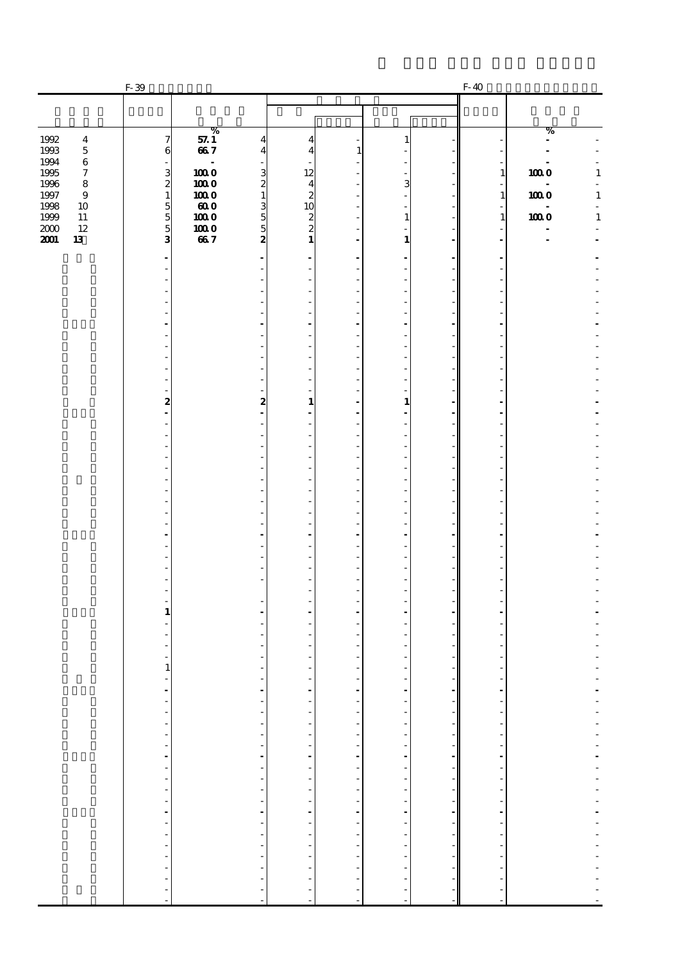|                                                | $F-39$                                    |                                                      |                                                                           |                               |                                                               |               | F-40                                     |                                                         |
|------------------------------------------------|-------------------------------------------|------------------------------------------------------|---------------------------------------------------------------------------|-------------------------------|---------------------------------------------------------------|---------------|------------------------------------------|---------------------------------------------------------|
|                                                |                                           |                                                      |                                                                           |                               |                                                               |               |                                          |                                                         |
|                                                |                                           | %                                                    |                                                                           |                               |                                                               |               |                                          | %                                                       |
| 1992<br>$\bf{4}$<br>1993<br>$\mathbf 5$        | $\boldsymbol{\tau}$<br>6                  | 57.1<br>667                                          | $\overline{\mathbf{4}}$<br>$\overline{4}$<br>4<br>$\overline{\mathbf{4}}$ | 1                             | 1                                                             |               |                                          | $\blacksquare$                                          |
| 1994<br>$\,6\,$<br>1995<br>$\boldsymbol{\tau}$ |                                           | $\overline{a}$<br>1000                               | 12                                                                        |                               |                                                               |               | $\mathbf{1}$                             | 1000<br>$\mathbf 1$                                     |
| 1996<br>$\bf8$<br>1997<br>$\bf{9}$             | $\frac{3}{2}$<br>$\mathbf{1}$             | 1000<br>$\mathbf{1}$<br>1000                         | $\frac{3}{2}$                                                             |                               | 3                                                             |               | $\overline{\phantom{a}}$<br>$\mathbf{1}$ | ä,<br>$\mathbf 1$<br>1000                               |
| 1998<br>10<br>1999<br>$11\,$                   |                                           | $\boldsymbol{ao}$<br>1000                            | $\frac{4}{2}$<br>$\frac{2}{2}$                                            |                               | $\mathbf{1}$                                                  |               | ٠<br>$\mathbf{1}$                        | $\overline{\phantom{a}}$<br><b>100 O</b><br>$\mathbf 1$ |
| 12<br>2000                                     | $\frac{5}{3}$                             | $\frac{3}{2}$<br>1000                                | $\mathbf{1}$                                                              |                               |                                                               |               |                                          |                                                         |
| 2001<br>13                                     |                                           | 667                                                  |                                                                           |                               | 1                                                             |               |                                          |                                                         |
|                                                |                                           |                                                      |                                                                           |                               |                                                               |               |                                          |                                                         |
|                                                |                                           |                                                      |                                                                           |                               |                                                               |               |                                          |                                                         |
|                                                |                                           |                                                      |                                                                           |                               |                                                               |               |                                          |                                                         |
|                                                |                                           |                                                      |                                                                           |                               |                                                               |               |                                          |                                                         |
|                                                |                                           |                                                      |                                                                           |                               |                                                               |               |                                          |                                                         |
|                                                |                                           |                                                      |                                                                           |                               |                                                               |               |                                          |                                                         |
|                                                |                                           | ٠                                                    |                                                                           |                               |                                                               |               |                                          |                                                         |
|                                                | 2                                         | $\boldsymbol{z}$                                     | 1                                                                         |                               | $\mathbf{1}$                                                  |               |                                          |                                                         |
|                                                |                                           |                                                      |                                                                           |                               |                                                               |               |                                          |                                                         |
|                                                |                                           |                                                      |                                                                           |                               |                                                               |               |                                          |                                                         |
|                                                |                                           |                                                      |                                                                           |                               |                                                               |               |                                          |                                                         |
|                                                |                                           |                                                      |                                                                           |                               |                                                               |               |                                          |                                                         |
|                                                |                                           |                                                      |                                                                           |                               |                                                               |               |                                          |                                                         |
|                                                |                                           |                                                      |                                                                           |                               |                                                               |               |                                          |                                                         |
|                                                |                                           |                                                      |                                                                           |                               |                                                               |               |                                          |                                                         |
|                                                |                                           |                                                      |                                                                           |                               |                                                               |               |                                          |                                                         |
|                                                |                                           |                                                      |                                                                           |                               |                                                               |               |                                          |                                                         |
|                                                | 1                                         |                                                      |                                                                           |                               |                                                               |               |                                          |                                                         |
|                                                |                                           |                                                      |                                                                           |                               |                                                               |               |                                          |                                                         |
|                                                |                                           |                                                      |                                                                           |                               |                                                               |               |                                          |                                                         |
|                                                | 1                                         | $\overline{\phantom{a}}$                             | $\overline{\phantom{a}}$                                                  |                               |                                                               |               |                                          |                                                         |
|                                                | $\overline{\phantom{a}}$<br>$\frac{1}{2}$ | ÷                                                    |                                                                           | $\overline{\phantom{a}}$<br>÷ | $\overline{\phantom{a}}$<br>÷                                 |               |                                          |                                                         |
|                                                |                                           | $\overline{\phantom{a}}$<br>$\overline{\phantom{a}}$ |                                                                           |                               | f<br>$\overline{\phantom{a}}$                                 |               |                                          | $\overline{\phantom{a}}$                                |
|                                                |                                           | $\overline{\phantom{a}}$                             |                                                                           |                               | $\frac{1}{2}$                                                 |               |                                          |                                                         |
|                                                |                                           | $\frac{1}{2}$<br>f                                   |                                                                           |                               | $\mathcal{A}=\mathcal{A}=\mathcal{A}=\mathcal{A}=\mathcal{A}$ |               |                                          |                                                         |
|                                                |                                           | f<br>$\overline{a}$                                  |                                                                           |                               |                                                               |               |                                          |                                                         |
|                                                |                                           | $\frac{1}{2}$                                        |                                                                           |                               | $\frac{1}{2}$                                                 |               |                                          |                                                         |
|                                                |                                           | ÷,                                                   | a componente de la campa de la campa de la campa de                       |                               | ÷,                                                            |               |                                          |                                                         |
|                                                |                                           | $\overline{\phantom{a}}$<br>$\bar{\gamma}$           |                                                                           |                               | ÷,<br>$\frac{1}{2}$                                           |               |                                          |                                                         |
|                                                |                                           | $\frac{1}{2}$                                        |                                                                           |                               | $\frac{1}{2}$                                                 |               |                                          |                                                         |
|                                                |                                           | $\overline{\phantom{a}}$<br>-                        |                                                                           |                               |                                                               |               |                                          |                                                         |
|                                                |                                           | ÷<br>÷.                                              | $\overline{\phantom{a}}$                                                  | ---------------------         | $\frac{1}{2}$<br>÷,                                           | $\frac{1}{2}$ |                                          |                                                         |
|                                                |                                           |                                                      |                                                                           |                               |                                                               |               |                                          |                                                         |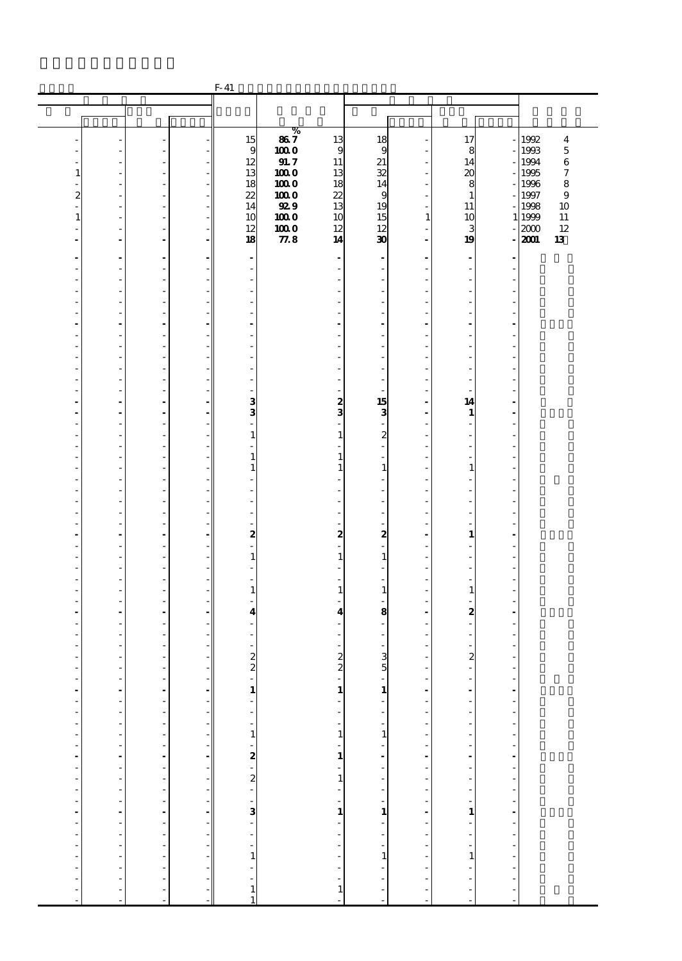|                                                       |                              |                                                      | $F-41$                                      |              |                                             |                                    |                                                       |                                             |    |              |                  |
|-------------------------------------------------------|------------------------------|------------------------------------------------------|---------------------------------------------|--------------|---------------------------------------------|------------------------------------|-------------------------------------------------------|---------------------------------------------|----|--------------|------------------|
|                                                       |                              |                                                      |                                             |              |                                             |                                    |                                                       |                                             |    |              |                  |
|                                                       |                              |                                                      |                                             |              |                                             |                                    |                                                       |                                             |    |              |                  |
|                                                       |                              |                                                      |                                             | %            |                                             |                                    |                                                       |                                             |    |              |                  |
|                                                       |                              |                                                      | 15                                          | 867          | 13                                          | 18                                 |                                                       | 17                                          |    | 1992         | $\boldsymbol{4}$ |
|                                                       |                              |                                                      | 9<br>12                                     | 1000<br>91.7 | 9<br>$11\,$                                 | 9<br>21                            |                                                       | 8<br>14                                     |    | 1993<br>1994 | 5<br>$\,$ 6 $\,$ |
| 1                                                     |                              |                                                      | 13                                          | 1000         | 13                                          | 32                                 |                                                       | 20                                          |    | 1995         | 7                |
|                                                       | ٠                            | $\overline{a}$                                       | 18                                          | <b>100 O</b> | 18                                          | 14                                 |                                                       | 8                                           |    | 1996         | 8                |
| $\boldsymbol{z}$                                      | ÷,                           | $\overline{a}$                                       | 22                                          | 1000         | 22                                          | 9                                  |                                                       | $\mathbf{1}$                                |    | 1997         | $\boldsymbol{9}$ |
|                                                       | ÷,                           | $\overline{\phantom{a}}$                             | 14                                          | <b>929</b>   | 13                                          | 19                                 |                                                       | 11                                          |    | 1998         | 10               |
| $\mathbf{1}$                                          |                              | $\overline{\phantom{a}}$                             | 10                                          | 1000         | 10                                          | 15                                 | $\mathbf{1}$                                          | 10                                          |    | 1 1999       | 11               |
|                                                       |                              |                                                      | 12<br>18                                    | 1000<br>77.8 | 12<br>14                                    | 12<br>30                           |                                                       | 3<br>19                                     |    | 2000<br>2001 | 12<br>13         |
|                                                       | $\overline{a}$               | $\blacksquare$                                       |                                             |              |                                             |                                    | $\overline{\phantom{a}}$                              |                                             |    |              |                  |
|                                                       | $\overline{\phantom{a}}$     | ٠                                                    | $\blacksquare$                              |              |                                             | $\blacksquare$                     |                                                       | $\blacksquare$                              |    |              |                  |
|                                                       |                              | L,                                                   | $\overline{\phantom{a}}$                    |              |                                             | L,                                 |                                                       | Ĭ.                                          |    |              |                  |
|                                                       | ÷.<br>÷,                     | $\overline{\phantom{a}}$<br>$\overline{a}$           | ٠<br>٠                                      |              |                                             | ÷.                                 |                                                       | ä,<br>Ĭ.                                    |    |              |                  |
|                                                       |                              | $\overline{\phantom{a}}$                             |                                             |              |                                             |                                    |                                                       |                                             |    |              |                  |
|                                                       | ÷,                           | $\overline{\phantom{a}}$                             | ٠                                           |              |                                             | ä,                                 |                                                       | ٠                                           |    |              |                  |
|                                                       |                              | $\overline{a}$                                       |                                             |              |                                             |                                    |                                                       |                                             |    |              |                  |
|                                                       | L,                           | $\overline{\phantom{a}}$                             | ٠                                           |              |                                             | J.                                 |                                                       | J.                                          |    |              |                  |
|                                                       | ÷,                           | $\overline{a}$                                       | ٠                                           |              |                                             |                                    |                                                       |                                             |    |              |                  |
|                                                       | ÷,                           | $\overline{\phantom{a}}$<br>$\overline{\phantom{a}}$ | ٠                                           |              |                                             | ä,                                 |                                                       | ٠                                           |    |              |                  |
|                                                       |                              | L,                                                   |                                             |              |                                             |                                    |                                                       |                                             |    |              |                  |
|                                                       | L,                           | $\overline{\phantom{a}}$                             | ÷.                                          |              |                                             |                                    |                                                       |                                             |    |              |                  |
|                                                       | $\blacksquare$               | $\blacksquare$                                       | 3                                           |              | $\boldsymbol{z}$                            | 15                                 |                                                       | 14                                          |    |              |                  |
|                                                       | $\qquad \qquad \blacksquare$ | $\overline{\phantom{a}}$                             | 3                                           |              | 3                                           | 3                                  |                                                       | 1                                           |    |              |                  |
|                                                       | ÷,                           | $\overline{\phantom{a}}$                             | ÷,                                          |              |                                             | $\overline{\phantom{a}}$           |                                                       | ÷,                                          | J. |              |                  |
|                                                       | ÷.                           | ÷,<br>$\overline{a}$                                 | $\mathbf{1}$<br>÷.                          |              | 1                                           | $\boldsymbol{z}$<br>$\overline{a}$ |                                                       | ä,                                          |    |              |                  |
|                                                       | ÷,                           | $\overline{a}$                                       | $\mathbf{1}$                                |              | 1                                           | ÷,                                 |                                                       |                                             |    |              |                  |
|                                                       |                              | $\overline{\phantom{a}}$                             | $\mathbf{1}$                                |              | 1                                           | $\mathbf{1}$                       |                                                       | $\mathbf{1}$                                |    |              |                  |
|                                                       | ÷,                           | $\overline{\phantom{a}}$                             |                                             |              |                                             | ÷,                                 |                                                       | Ĭ.                                          | í. |              |                  |
|                                                       |                              | ÷,                                                   |                                             |              |                                             |                                    |                                                       |                                             |    |              |                  |
|                                                       | L,                           | $\overline{a}$                                       | ÷.                                          |              |                                             | ä,                                 |                                                       | ä,                                          |    |              |                  |
|                                                       | ÷,                           | $\overline{a}$                                       | ٠                                           |              |                                             |                                    |                                                       |                                             |    |              |                  |
|                                                       | $\overline{a}$               | $\overline{\phantom{a}}$<br>$\blacksquare$           | $\boldsymbol{2}$                            |              | 2                                           | $\boldsymbol{2}$                   |                                                       | 1                                           |    |              |                  |
|                                                       |                              | ÷,                                                   |                                             |              |                                             |                                    |                                                       |                                             |    |              |                  |
|                                                       | ÷.                           | $\overline{\phantom{a}}$                             | $\mathbf{1}$                                |              | $\mathbf{1}$                                | $\mathbf{1}$                       |                                                       | ä,                                          |    |              |                  |
|                                                       | ٠                            | $\overline{\phantom{a}}$                             | ٠                                           |              |                                             | ٠                                  |                                                       | ä,                                          |    |              |                  |
|                                                       |                              | $\overline{\phantom{a}}$                             |                                             |              |                                             |                                    |                                                       |                                             |    |              |                  |
|                                                       | ÷,                           | $\overline{a}$<br>÷,                                 | $\mathbf{1}$                                |              | 1                                           | $\mathbf{1}$                       |                                                       | $\mathbf{1}$                                |    |              |                  |
|                                                       | ÷                            | $\blacksquare$                                       | $\overline{\mathbf{4}}$                     |              | 4                                           | 8                                  |                                                       | 2                                           |    |              |                  |
|                                                       |                              | $\overline{\phantom{a}}$                             |                                             |              |                                             | ä,                                 |                                                       |                                             |    |              |                  |
|                                                       |                              |                                                      |                                             |              |                                             | $\overline{\phantom{m}}$           |                                                       |                                             |    |              |                  |
|                                                       |                              | ٠                                                    |                                             |              |                                             | ٠                                  |                                                       |                                             |    |              |                  |
|                                                       |                              |                                                      | $\frac{2}{2}$                               |              | 2                                           | $\frac{3}{5}$                      |                                                       | $\boldsymbol{z}$<br>L.                      |    |              |                  |
|                                                       | -                            |                                                      | $\overline{\phantom{a}}$                    |              | $\boldsymbol{z}$<br>ł,                      |                                    | ł,                                                    |                                             | ł, |              |                  |
| ÷                                                     | ÷                            | ----------------------                               |                                             |              |                                             |                                    |                                                       | $\frac{1}{2}$                               |    |              |                  |
| $\frac{1}{1}$                                         |                              |                                                      | $\begin{bmatrix} 1 \\ 1 \\ 1 \end{bmatrix}$ |              | $\begin{bmatrix} 1 \\ 1 \\ 1 \end{bmatrix}$ |                                    | $\frac{1}{1}$                                         |                                             |    |              |                  |
| $\frac{1}{2}$                                         |                              |                                                      |                                             |              |                                             |                                    | $\overline{\phantom{a}}$                              | $\overline{a}$                              |    |              |                  |
|                                                       |                              |                                                      |                                             |              |                                             |                                    | $\overline{a}$                                        | 医皮肤的 医单位的                                   |    |              |                  |
| $\overline{\phantom{a}}$                              |                              |                                                      |                                             |              | $\frac{1}{1}$<br>$\frac{1}{1}$              |                                    | ŕ                                                     |                                             |    |              |                  |
| $\begin{bmatrix} 1 \\ 1 \\ 2 \\ 3 \\ 4 \end{bmatrix}$ |                              |                                                      |                                             |              |                                             |                                    | $\begin{bmatrix} 1 \\ 1 \\ 2 \\ 3 \\ 4 \end{bmatrix}$ |                                             |    |              |                  |
|                                                       |                              |                                                      |                                             |              |                                             |                                    |                                                       |                                             |    |              |                  |
|                                                       |                              |                                                      |                                             |              |                                             |                                    |                                                       |                                             |    |              |                  |
| $\overline{\phantom{a}}$                              |                              |                                                      |                                             |              |                                             |                                    | ŕ                                                     |                                             |    |              |                  |
|                                                       |                              |                                                      |                                             |              |                                             |                                    |                                                       |                                             |    |              |                  |
|                                                       |                              |                                                      |                                             |              |                                             |                                    |                                                       |                                             |    |              |                  |
| $\begin{bmatrix} 1 \\ 1 \\ 2 \\ 3 \\ 4 \end{bmatrix}$ |                              |                                                      |                                             |              | a de la caractería de la caractería         |                                    | $\begin{bmatrix} 1 \\ 1 \\ 1 \\ 1 \end{bmatrix}$      | $\begin{bmatrix} 1 \\ 1 \\ 1 \end{bmatrix}$ |    |              |                  |
| $\overline{\phantom{a}}$                              |                              |                                                      |                                             |              |                                             |                                    | ŕ                                                     |                                             |    |              |                  |
| j                                                     |                              |                                                      |                                             |              |                                             |                                    |                                                       | $\mathbf{1}$                                |    |              |                  |
| $\overline{\phantom{a}}$                              |                              |                                                      |                                             |              |                                             |                                    | $\frac{1}{2}$                                         |                                             |    |              |                  |
| f                                                     |                              |                                                      |                                             |              |                                             |                                    |                                                       | $\frac{1}{2}$                               |    |              |                  |
| f                                                     | ÷,                           |                                                      | $\mathbf{1}$<br>1                           |              |                                             |                                    | ÷,                                                    |                                             |    |              |                  |
| ٠                                                     |                              | $\overline{a}$                                       |                                             |              | Ĭ.                                          | L,                                 | J.                                                    | L,                                          | J. |              |                  |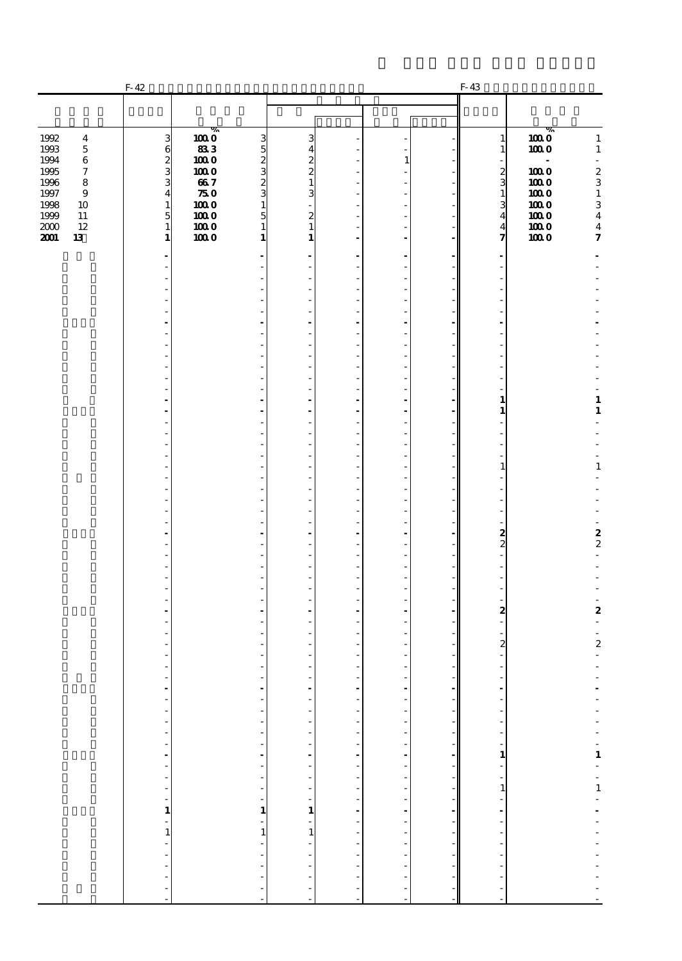|                                                                                                                                                                                               | $F-42$                                                                                                                                                                                                                         |                                                                                |                                                                                                                                                                                                  |                  |                                                              |                                                                                                | $F-43$                                                                                                                                                                                                                         |                                                                                                                                                                                                                                        |
|-----------------------------------------------------------------------------------------------------------------------------------------------------------------------------------------------|--------------------------------------------------------------------------------------------------------------------------------------------------------------------------------------------------------------------------------|--------------------------------------------------------------------------------|--------------------------------------------------------------------------------------------------------------------------------------------------------------------------------------------------|------------------|--------------------------------------------------------------|------------------------------------------------------------------------------------------------|--------------------------------------------------------------------------------------------------------------------------------------------------------------------------------------------------------------------------------|----------------------------------------------------------------------------------------------------------------------------------------------------------------------------------------------------------------------------------------|
|                                                                                                                                                                                               |                                                                                                                                                                                                                                |                                                                                |                                                                                                                                                                                                  |                  |                                                              |                                                                                                |                                                                                                                                                                                                                                |                                                                                                                                                                                                                                        |
| 1992<br>$\boldsymbol{4}$<br>1993<br>$\bf 5$<br>1994<br>$\,6\,$<br>1995<br>$\boldsymbol{7}$<br>1996<br>8<br>1997<br>$\bf{9}$<br>1998<br>10<br>1999<br>$11\,$<br>$2000$<br>$12\,$<br>2001<br>13 | 3<br>$\begin{array}{c} 6 \\ 2 \\ 3 \end{array}$<br>$\overline{\mathbf{4}}$<br>$\mathbf{1}$<br>5<br>$\mathbf 1$<br>1                                                                                                            | %<br>1000<br>833<br>1000<br>1000<br>667<br>750<br>1000<br>1000<br>1000<br>1000 | $\frac{3}{2}$<br>3<br>$\overline{4}$<br>$\frac{2}{2}$<br>3<br>$\frac{2}{3}$<br>$\mathbf{1}$<br>3<br>$\mathbf{1}$<br>$\overline{5}$<br>$\boldsymbol{z}$<br>$\mathbf{1}$<br>$\mathbf{1}$<br>1<br>1 |                  | $\mathbf{1}$<br>$\overline{a}$<br>$\overline{\phantom{a}}$   |                                                                                                | $\mathbf{1}$<br>1<br>$\overline{\phantom{a}}$<br>$\begin{smallmatrix}2\3\3\1\end{smallmatrix}$<br>3<br>$\overline{\mathbf{4}}$<br>$\overline{\mathbf{4}}$<br>7                                                                 | %<br>$\boldsymbol{1000}$<br>$\mathbf{1}$<br>1000<br>$\mathbf 1$<br>ä,<br>$\boldsymbol{2}$<br>1000<br>$\,$ 3 $\,$<br>1000<br>1000<br>$\mathbf 1$<br>$\,$ 3 $\,$<br>1000<br>1000<br>$\bf{4}$<br>1000<br>$\bf{4}$<br>$\pmb{\tau}$<br>1000 |
|                                                                                                                                                                                               |                                                                                                                                                                                                                                |                                                                                |                                                                                                                                                                                                  |                  | $\overline{\phantom{a}}$<br>$\overline{a}$                   |                                                                                                | $\overline{a}$                                                                                                                                                                                                                 |                                                                                                                                                                                                                                        |
|                                                                                                                                                                                               |                                                                                                                                                                                                                                |                                                                                | ٠                                                                                                                                                                                                |                  | ÷,<br>٠                                                      |                                                                                                |                                                                                                                                                                                                                                |                                                                                                                                                                                                                                        |
|                                                                                                                                                                                               |                                                                                                                                                                                                                                |                                                                                |                                                                                                                                                                                                  |                  | $\overline{\phantom{a}}$<br>÷,                               |                                                                                                |                                                                                                                                                                                                                                |                                                                                                                                                                                                                                        |
|                                                                                                                                                                                               |                                                                                                                                                                                                                                |                                                                                | ٠                                                                                                                                                                                                |                  | $\overline{\phantom{a}}$<br>$\overline{a}$<br>$\overline{a}$ |                                                                                                | $\mathbf{1}$                                                                                                                                                                                                                   | $\mathbf 1$                                                                                                                                                                                                                            |
|                                                                                                                                                                                               |                                                                                                                                                                                                                                |                                                                                | ٠                                                                                                                                                                                                |                  | $\overline{\phantom{a}}$                                     |                                                                                                | $\mathbf{1}$                                                                                                                                                                                                                   | $\mathbf{1}$                                                                                                                                                                                                                           |
|                                                                                                                                                                                               |                                                                                                                                                                                                                                |                                                                                | ٠                                                                                                                                                                                                |                  | ÷,<br>$\overline{\phantom{a}}$<br>$\overline{a}$             |                                                                                                | 1                                                                                                                                                                                                                              | $\mathbf 1$                                                                                                                                                                                                                            |
|                                                                                                                                                                                               |                                                                                                                                                                                                                                |                                                                                | ٠                                                                                                                                                                                                |                  | $\overline{a}$<br>÷,<br>$\overline{\phantom{a}}$             |                                                                                                |                                                                                                                                                                                                                                |                                                                                                                                                                                                                                        |
|                                                                                                                                                                                               |                                                                                                                                                                                                                                |                                                                                |                                                                                                                                                                                                  |                  | $\overline{a}$<br>÷,<br>÷,                                   |                                                                                                | $\frac{2}{2}$<br>$\overline{a}$                                                                                                                                                                                                | $\frac{2}{2}$<br>L.                                                                                                                                                                                                                    |
|                                                                                                                                                                                               |                                                                                                                                                                                                                                |                                                                                | ٠                                                                                                                                                                                                |                  | $\overline{\phantom{a}}$<br>$\overline{a}$<br>÷              |                                                                                                | ٠<br>$\frac{2}{1}$                                                                                                                                                                                                             | $\boldsymbol{2}$                                                                                                                                                                                                                       |
|                                                                                                                                                                                               |                                                                                                                                                                                                                                |                                                                                |                                                                                                                                                                                                  |                  |                                                              |                                                                                                | $\overline{c}$                                                                                                                                                                                                                 | ÷.<br>$\overline{\phantom{a}}$<br>$\boldsymbol{2}$                                                                                                                                                                                     |
|                                                                                                                                                                                               | $\overline{\phantom{a}}$                                                                                                                                                                                                       |                                                                                | ÷,<br>٠                                                                                                                                                                                          |                  | $\overline{a}$                                               |                                                                                                |                                                                                                                                                                                                                                |                                                                                                                                                                                                                                        |
|                                                                                                                                                                                               |                                                                                                                                                                                                                                |                                                                                | $\overline{\phantom{a}}$<br>Ĩ,<br>$\overline{\phantom{a}}$<br>$\overline{\phantom{a}}$                                                                                                           |                  |                                                              | -1<br>$\frac{1}{\pi}$                                                                          |                                                                                                                                                                                                                                |                                                                                                                                                                                                                                        |
|                                                                                                                                                                                               | a propriational contracts of the contracts of the contracts of the contracts of the contracts of the contracts of the contracts of the contracts of the contracts of the contracts of the contracts of the contracts of the co |                                                                                | .<br>÷,<br>$\begin{bmatrix} 1 \\ -1 \\ 1 \end{bmatrix}$                                                                                                                                          | アーティー・ディー・ディー・エー | -----------------------                                      | $\mathcal{L}^{\mathcal{L}}$ , and the set of the set of the set of $\mathcal{L}^{\mathcal{L}}$ | and the property of the company of the company of the company of the company of the company of the company of the company of the company of the company of the company of the company of the company of the company of the com | エーエーエーエス エーエス エーエーエーエーエー                                                                                                                                                                                                               |
|                                                                                                                                                                                               |                                                                                                                                                                                                                                |                                                                                | $\frac{1}{1}$                                                                                                                                                                                    |                  |                                                              |                                                                                                |                                                                                                                                                                                                                                |                                                                                                                                                                                                                                        |
|                                                                                                                                                                                               |                                                                                                                                                                                                                                |                                                                                | $\overline{\phantom{a}}$                                                                                                                                                                         |                  |                                                              |                                                                                                | - - - - - - - - - - -                                                                                                                                                                                                          |                                                                                                                                                                                                                                        |
|                                                                                                                                                                                               | $\frac{1}{2}$                                                                                                                                                                                                                  |                                                                                | $\frac{1}{2}$<br>÷,                                                                                                                                                                              | $\frac{1}{2}$    |                                                              |                                                                                                |                                                                                                                                                                                                                                |                                                                                                                                                                                                                                        |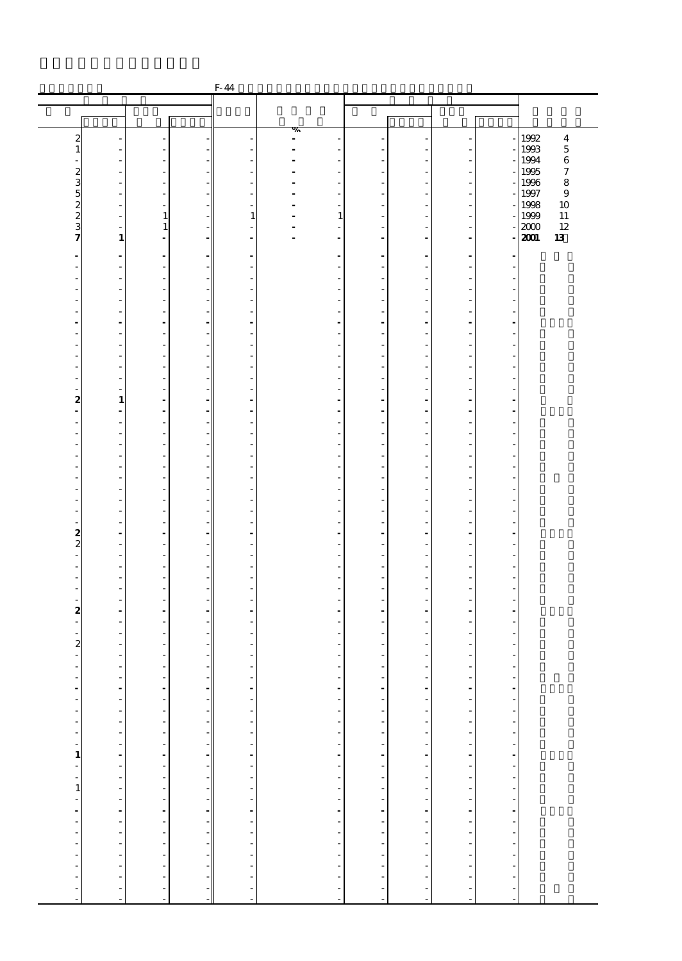|                              |                                            |                                  |                                                                     | $F-44$                   |                                                      |                                           |                                                                                                                                                     |                                            |                                            |                                                        |
|------------------------------|--------------------------------------------|----------------------------------|---------------------------------------------------------------------|--------------------------|------------------------------------------------------|-------------------------------------------|-----------------------------------------------------------------------------------------------------------------------------------------------------|--------------------------------------------|--------------------------------------------|--------------------------------------------------------|
|                              |                                            |                                  |                                                                     |                          |                                                      |                                           |                                                                                                                                                     |                                            |                                            |                                                        |
|                              |                                            |                                  |                                                                     |                          |                                                      |                                           |                                                                                                                                                     |                                            |                                            |                                                        |
|                              |                                            |                                  |                                                                     |                          | %                                                    |                                           |                                                                                                                                                     |                                            |                                            |                                                        |
| $\boldsymbol{z}$<br>1        |                                            |                                  |                                                                     |                          | $\overline{\phantom{a}}$                             |                                           |                                                                                                                                                     |                                            |                                            | $\overline{\mathbf{4}}$<br>1992<br>$\mathbf 5$<br>1993 |
|                              |                                            | ٠                                |                                                                     |                          |                                                      |                                           |                                                                                                                                                     | ÷,                                         |                                            | $\,$ 6 $\,$<br>1994                                    |
| $\boldsymbol{z}$             |                                            |                                  |                                                                     |                          |                                                      |                                           |                                                                                                                                                     |                                            |                                            | 1995<br>$\boldsymbol{7}$                               |
| 3                            | $\overline{\phantom{a}}$                   | $\overline{a}$                   |                                                                     | ٠                        | $\overline{\phantom{a}}$                             |                                           |                                                                                                                                                     | $\overline{\phantom{a}}$                   |                                            | 8<br>1996                                              |
| 5                            |                                            |                                  |                                                                     |                          |                                                      |                                           |                                                                                                                                                     | $\overline{a}$                             |                                            | 1997<br>$\boldsymbol{9}$                               |
| $\frac{2}{2}$                | $\overline{\phantom{a}}$<br>$\overline{a}$ | $\overline{a}$<br>$\mathbf{1}$   |                                                                     | $\mathbf{1}$             | 1                                                    |                                           |                                                                                                                                                     | $\overline{\phantom{a}}$<br>÷,             |                                            | 1998<br>10<br>1999<br>11                               |
| 3                            |                                            | 1                                |                                                                     |                          |                                                      |                                           |                                                                                                                                                     |                                            |                                            | 12<br>2000                                             |
| 7                            | $\mathbf{1}$                               | $\blacksquare$                   |                                                                     | $\overline{\phantom{a}}$ | $\blacksquare$                                       | $\blacksquare$                            | $\overline{a}$                                                                                                                                      | $\overline{\phantom{a}}$                   |                                            | 2001<br>13                                             |
|                              | $\overline{a}$                             |                                  |                                                                     | ٠                        | $\blacksquare$                                       |                                           | ٠                                                                                                                                                   | $\overline{\phantom{a}}$                   |                                            |                                                        |
| $\frac{1}{2}$                |                                            | $\overline{\phantom{a}}$         |                                                                     |                          |                                                      | $\overline{a}$                            |                                                                                                                                                     |                                            |                                            |                                                        |
|                              |                                            | $\overline{\phantom{a}}$         |                                                                     |                          |                                                      |                                           |                                                                                                                                                     | ÷                                          | ÷.                                         |                                                        |
|                              |                                            | ÷,                               |                                                                     | $\overline{\phantom{a}}$ |                                                      |                                           |                                                                                                                                                     | $\overline{a}$                             |                                            |                                                        |
|                              |                                            | $\overline{\phantom{a}}$         |                                                                     |                          |                                                      |                                           |                                                                                                                                                     | $\overline{a}$                             |                                            |                                                        |
| ٠                            | $\overline{\phantom{a}}$                   | $\overline{a}$                   |                                                                     | ٠                        | ٠                                                    | ٠                                         |                                                                                                                                                     | $\overline{a}$                             | ÷,                                         |                                                        |
|                              |                                            | $\overline{a}$                   |                                                                     |                          | ٠                                                    |                                           |                                                                                                                                                     | ÷,                                         | ÷,                                         |                                                        |
|                              |                                            | ÷,                               |                                                                     | $\overline{\phantom{a}}$ |                                                      |                                           |                                                                                                                                                     | $\overline{a}$                             | ÷,                                         |                                                        |
|                              |                                            | $\overline{\phantom{a}}$         |                                                                     |                          |                                                      |                                           |                                                                                                                                                     | $\overline{a}$                             |                                            |                                                        |
|                              |                                            | ÷,                               |                                                                     | ٠                        |                                                      | ٠                                         |                                                                                                                                                     | $\overline{a}$                             | ÷,                                         |                                                        |
|                              |                                            |                                  |                                                                     |                          |                                                      |                                           |                                                                                                                                                     |                                            |                                            |                                                        |
| 2                            | $\mathbf{1}$                               | $\overline{a}$<br>$\overline{a}$ |                                                                     | $\overline{a}$           |                                                      |                                           |                                                                                                                                                     | ÷,<br>$\blacksquare$                       | $\overline{\phantom{a}}$<br>$\blacksquare$ |                                                        |
| $\qquad \qquad \blacksquare$ | $\overline{\phantom{a}}$                   | $\overline{\phantom{a}}$         |                                                                     |                          |                                                      |                                           |                                                                                                                                                     | $\overline{\phantom{a}}$                   |                                            |                                                        |
| $\overline{\phantom{a}}$     | $\overline{a}$                             | $\overline{a}$                   |                                                                     | ٠                        | ٠                                                    | ٠                                         |                                                                                                                                                     | $\overline{a}$                             | ÷,                                         |                                                        |
|                              |                                            |                                  |                                                                     |                          |                                                      |                                           |                                                                                                                                                     |                                            |                                            |                                                        |
|                              |                                            | $\overline{a}$                   |                                                                     |                          |                                                      |                                           |                                                                                                                                                     | ÷,                                         | ÷.                                         |                                                        |
|                              |                                            | ÷,<br>$\overline{a}$             |                                                                     | $\overline{\phantom{a}}$ |                                                      | ٠                                         |                                                                                                                                                     | $\overline{a}$<br>$\overline{a}$           | ÷,                                         |                                                        |
|                              | $\overline{\phantom{a}}$                   | ÷,                               |                                                                     | ٠                        |                                                      | ٠                                         |                                                                                                                                                     | $\overline{a}$                             | ÷,                                         |                                                        |
|                              |                                            |                                  |                                                                     |                          |                                                      |                                           |                                                                                                                                                     |                                            |                                            |                                                        |
|                              |                                            | $\overline{a}$                   |                                                                     |                          |                                                      |                                           |                                                                                                                                                     | ÷,                                         | ÷,                                         |                                                        |
| $\overline{\phantom{a}}$     |                                            | ÷,                               |                                                                     | $\overline{\phantom{a}}$ |                                                      |                                           |                                                                                                                                                     | $\overline{a}$                             |                                            |                                                        |
| -                            | $\overline{\phantom{a}}$                   | $\overline{a}$<br>$\blacksquare$ |                                                                     | $\overline{a}$           | $\blacksquare$                                       | ٠                                         | $\overline{\phantom{a}}$                                                                                                                            | $\overline{a}$<br>$\overline{\phantom{a}}$ | $\blacksquare$                             |                                                        |
| $\frac{2}{2}$                |                                            | $\overline{a}$                   |                                                                     | $\overline{a}$           |                                                      |                                           |                                                                                                                                                     | ÷,                                         |                                            |                                                        |
| $\frac{1}{2}$                | ÷.                                         | $\overline{\phantom{a}}$         |                                                                     | ٠                        | ÷                                                    |                                           |                                                                                                                                                     | ÷,                                         | $\overline{\phantom{a}}$                   |                                                        |
| $\overline{a}$               | $\overline{\phantom{a}}$                   | ÷,                               |                                                                     | $\overline{\phantom{a}}$ |                                                      |                                           |                                                                                                                                                     | $\overline{a}$                             | ÷,                                         |                                                        |
|                              |                                            | $\overline{a}$                   |                                                                     |                          |                                                      |                                           |                                                                                                                                                     | $\overline{a}$                             |                                            |                                                        |
| ٠                            | $\overline{\phantom{a}}$                   | $\overline{a}$<br>$\overline{a}$ |                                                                     | ٠                        |                                                      | ٠                                         |                                                                                                                                                     | $\overline{a}$<br>÷,                       | $\overline{\phantom{a}}$                   |                                                        |
| $\boldsymbol{z}$             | ÷                                          | $\sim$                           |                                                                     | ٠                        |                                                      |                                           |                                                                                                                                                     | ÷.                                         | $\overline{a}$                             |                                                        |
| ÷,                           |                                            | $\overline{a}$                   |                                                                     |                          |                                                      |                                           |                                                                                                                                                     | $\overline{\phantom{a}}$                   |                                            |                                                        |
| $\overline{\phantom{a}}$     |                                            |                                  |                                                                     |                          |                                                      |                                           |                                                                                                                                                     |                                            |                                            |                                                        |
| $\boldsymbol{z}$             |                                            | ٠                                |                                                                     |                          |                                                      |                                           |                                                                                                                                                     | $\overline{\phantom{a}}$                   |                                            |                                                        |
| $\overline{\phantom{a}}$     |                                            | ÷.                               |                                                                     | ÷.                       | ÷                                                    |                                           |                                                                                                                                                     | ÷<br>$\sim$                                |                                            |                                                        |
| f                            | $\overline{\phantom{a}}$                   | $\overline{\phantom{a}}$         | - 1                                                                 | $\frac{1}{\sqrt{2}}$     | $\overline{\phantom{a}}$                             | $\overline{\phantom{a}}$                  | ÷,                                                                                                                                                  |                                            | $\overline{\phantom{a}}$                   |                                                        |
|                              |                                            |                                  |                                                                     |                          |                                                      | ÷                                         |                                                                                                                                                     | $\frac{1}{2}$                              |                                            |                                                        |
| ディー・ディー ぼうしぼう ディー・ディー・ディー    | .                                          |                                  | $\frac{1}{\sqrt{2}}$                                                |                          | a de la caractería de la caractería de la caractería |                                           |                                                                                                                                                     |                                            | 医中央性中央性中央性中央性中央性中央性中央                      |                                                        |
|                              |                                            |                                  |                                                                     |                          |                                                      | アイアイ アイアイアイ アイアー                          |                                                                                                                                                     |                                            |                                            |                                                        |
|                              |                                            |                                  |                                                                     |                          |                                                      |                                           |                                                                                                                                                     |                                            |                                            |                                                        |
|                              |                                            |                                  |                                                                     |                          |                                                      |                                           |                                                                                                                                                     |                                            |                                            |                                                        |
|                              |                                            |                                  |                                                                     |                          |                                                      |                                           |                                                                                                                                                     |                                            |                                            |                                                        |
|                              |                                            |                                  |                                                                     |                          |                                                      |                                           | $\begin{array}{c} \mathbf{1} & \mathbf{1} & \mathbf{1} \\ \mathbf{1} & \mathbf{1} & \mathbf{1} \\ \mathbf{1} & \mathbf{1} & \mathbf{1} \end{array}$ |                                            |                                            |                                                        |
|                              |                                            |                                  |                                                                     |                          |                                                      |                                           |                                                                                                                                                     |                                            |                                            |                                                        |
|                              |                                            |                                  |                                                                     |                          |                                                      |                                           |                                                                                                                                                     |                                            |                                            |                                                        |
|                              |                                            |                                  |                                                                     |                          |                                                      |                                           | $\begin{bmatrix} 1 \\ 1 \\ 1 \\ 1 \end{bmatrix}$                                                                                                    |                                            |                                            |                                                        |
|                              |                                            |                                  |                                                                     |                          |                                                      |                                           |                                                                                                                                                     |                                            |                                            |                                                        |
|                              |                                            |                                  |                                                                     |                          |                                                      |                                           |                                                                                                                                                     |                                            |                                            |                                                        |
|                              |                                            |                                  | $\mathbf{r}$ , and the state of the state of the state $\mathbf{r}$ |                          |                                                      | $\frac{1}{2}$                             | ÷,                                                                                                                                                  | 医单位的 医中间的 医中间的 医中间的 医血管                    |                                            |                                                        |
|                              |                                            |                                  |                                                                     |                          |                                                      |                                           | $\frac{1}{2}$                                                                                                                                       |                                            |                                            |                                                        |
|                              |                                            |                                  | $\overline{\phantom{a}}$                                            |                          |                                                      | $\frac{1}{2}$<br>$\overline{\phantom{a}}$ |                                                                                                                                                     |                                            |                                            |                                                        |
|                              |                                            |                                  | ÷,<br>$\overline{\phantom{a}}$                                      |                          | Ĭ,                                                   | $\overline{\phantom{a}}$                  | $\frac{1}{2}$                                                                                                                                       | ÷,                                         |                                            |                                                        |
| ÷,                           | $\sim$                                     | $\overline{\phantom{a}}$         | $\overline{a}$ .                                                    |                          | $\overline{\phantom{a}}$                             | $\overline{\phantom{a}}$                  | ÷,                                                                                                                                                  | $\overline{\phantom{a}}$                   | $\overline{\phantom{a}}$                   |                                                        |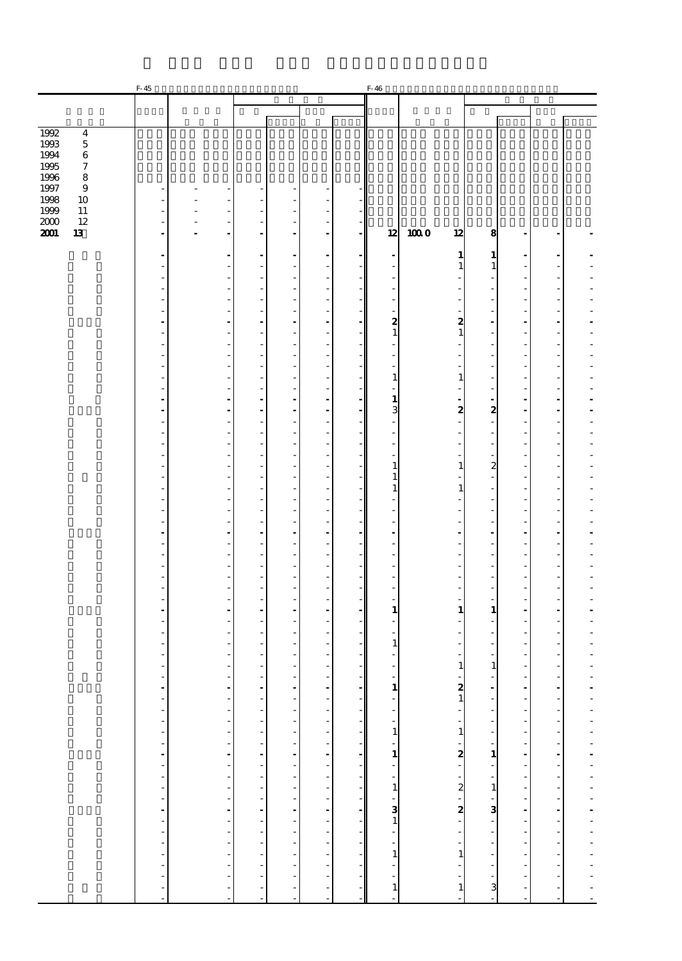|                            | $F-45$                         |                                         |                                |                          |                           |    | F-46           |                                             |                          |                                                      |                          |  |
|----------------------------|--------------------------------|-----------------------------------------|--------------------------------|--------------------------|---------------------------|----|----------------|---------------------------------------------|--------------------------|------------------------------------------------------|--------------------------|--|
|                            |                                |                                         |                                |                          |                           |    |                |                                             |                          |                                                      |                          |  |
|                            |                                |                                         |                                |                          |                           |    |                |                                             |                          |                                                      |                          |  |
| 1992<br>$\overline{\bf 4}$ |                                |                                         |                                |                          |                           |    |                |                                             |                          |                                                      |                          |  |
| 1993<br>$\bf 5$            |                                |                                         |                                |                          |                           |    |                |                                             |                          |                                                      |                          |  |
| 1994<br>6                  |                                |                                         |                                |                          |                           |    |                |                                             |                          |                                                      |                          |  |
| 1995<br>7                  |                                |                                         |                                |                          |                           |    |                |                                             |                          |                                                      |                          |  |
| 1996<br>8                  |                                |                                         |                                |                          |                           |    |                |                                             |                          |                                                      |                          |  |
| 1997<br>9                  | ٠                              |                                         | $\overline{\phantom{a}}$       |                          | ٠                         |    |                |                                             |                          |                                                      |                          |  |
| 1998<br>10                 | $\overline{a}$                 |                                         | ÷,                             |                          | Ĭ.                        |    |                |                                             |                          |                                                      |                          |  |
| 1999<br>11                 | ä,                             | ä,                                      | ÷,                             | ä,                       | Ĭ.                        |    |                |                                             |                          |                                                      |                          |  |
| $2000$<br>12               | $\overline{\phantom{a}}$       | ÷<br>$\overline{a}$                     | ÷,                             | $\overline{a}$           | ÷,                        |    |                |                                             |                          |                                                      |                          |  |
| 2001<br>13                 | $\overline{\phantom{a}}$       | $\overline{a}$                          | $\frac{1}{2}$                  | $\overline{\phantom{a}}$ | $\overline{\phantom{a}}$  |    | 12             | 1000<br>12                                  | 8                        | $\blacksquare$                                       | $\blacksquare$           |  |
|                            |                                |                                         |                                |                          |                           |    |                |                                             |                          |                                                      |                          |  |
|                            | $\blacksquare$                 |                                         | $\overline{a}$                 |                          | ÷,                        |    | $\overline{a}$ | $\mathbf{1}$                                | 1                        | $\overline{a}$                                       |                          |  |
|                            | ä,<br>$\frac{1}{2}$            |                                         | ÷,<br>÷,                       | ٠                        | Ĭ.                        |    | ÷.             | $\mathbf{1}$                                | $\mathbf{1}$             | $\overline{\phantom{a}}$<br>$\overline{a}$           | ä,                       |  |
|                            | -                              |                                         | $\overline{\phantom{a}}$       |                          | ł,<br>ł,                  |    |                |                                             |                          | $\overline{\phantom{m}}$                             |                          |  |
|                            | ä,                             | ٠                                       | ÷                              | ٠                        | J.                        |    | ä,             | ÷,                                          | ٠                        | $\overline{\phantom{a}}$                             | ä,                       |  |
|                            | L,                             |                                         | Ĩ.                             |                          | Ĭ.                        |    |                |                                             |                          | $\overline{\phantom{a}}$                             |                          |  |
|                            | ÷                              | ÷                                       | ä,                             | ÷.                       | ÷.                        |    | 2              | 2                                           | ÷.                       | $\overline{a}$                                       | ÷.                       |  |
|                            | $\overline{\phantom{a}}$       | ٠                                       | ÷,                             | $\overline{\phantom{a}}$ | ÷,                        |    | $\mathbf{1}$   | $\mathbf{1}$                                | ÷,                       | $\overline{a}$                                       | ä,                       |  |
|                            | $\overline{\phantom{m}}$       |                                         | $\overline{\phantom{a}}$       |                          | ł,                        |    | L,             |                                             | $\overline{a}$           | $\overline{\phantom{m}}$                             |                          |  |
|                            | ä,                             | ٠                                       | ÷,                             | ٠                        | J.                        |    | ä,             | L,                                          | $\overline{\phantom{a}}$ | $\overline{\phantom{a}}$                             | ä,                       |  |
|                            | $\frac{1}{2}$                  |                                         | Ĩ.                             |                          | Ĭ.                        |    |                |                                             | ÷,                       | $\overline{\phantom{a}}$                             |                          |  |
|                            | ä,                             |                                         | ÷,                             | ٠                        | Ĭ.                        |    | $\mathbf{1}$   | $\mathbf{1}$                                | ÷,                       | $\overline{\phantom{a}}$                             | ä,                       |  |
|                            | ٠                              | ٠                                       | $\overline{\phantom{a}}$       | ٠                        | J.                        |    | Ĭ.             | ä,                                          | $\overline{\phantom{a}}$ | ٠                                                    | ä,                       |  |
|                            | $\overline{\phantom{a}}$       |                                         | $\frac{1}{2}$                  |                          |                           |    | $\mathbf{1}$   |                                             | $\overline{\phantom{a}}$ | $\overline{\phantom{a}}$                             | $\overline{a}$           |  |
|                            | $\blacksquare$                 | $\blacksquare$                          | ÷,                             | ٠                        | ÷                         |    | 3              | $\boldsymbol{z}$                            | $\boldsymbol{z}$         | $\overline{\phantom{a}}$                             | ä,                       |  |
|                            | ÷,<br>ä,                       |                                         | Ĩ.<br>÷,                       |                          | ł,<br>Ĭ.                  |    | ÷.             | ÷,                                          | ÷,                       | $\overline{\phantom{a}}$<br>$\overline{\phantom{a}}$ | ä,                       |  |
|                            | ٠                              | ٠                                       | $\overline{\phantom{a}}$       | ٠                        | J.                        |    | ٠              | ٠                                           | ٠                        | ٠                                                    | ä,                       |  |
|                            | $\overline{\phantom{m}}$       |                                         | $\overline{\phantom{a}}$       |                          | ł,                        |    |                |                                             | $\overline{a}$           | $\overline{\phantom{m}}$                             |                          |  |
|                            | ä,                             | ٠                                       | ÷,                             | ٠                        | J.                        |    | $\mathbf{1}$   | $\mathbf{1}$                                | $\boldsymbol{z}$         | $\overline{\phantom{a}}$                             | ä,                       |  |
|                            | $\frac{1}{2}$                  |                                         | Ĩ.                             |                          | ł,                        |    | $\mathbf{1}$   |                                             |                          | $\overline{\phantom{a}}$                             |                          |  |
|                            | ä,                             |                                         | ÷,                             | ٠                        | Ĭ.                        |    | $\mathbf{1}$   | $\mathbf{1}$                                | ÷,                       | $\overline{\phantom{a}}$                             | ä,                       |  |
|                            | ٠                              | ٠                                       | $\overline{\phantom{a}}$       | ٠                        | J.                        |    |                |                                             | ٠                        | ٠                                                    | ä,                       |  |
|                            | -                              |                                         | $\overline{\phantom{a}}$       |                          | ł,                        |    |                |                                             |                          | $\overline{\phantom{m}}$                             |                          |  |
|                            | ä,                             | ٠                                       | ÷,                             | ٠                        | J.                        |    | ٠              | l,                                          | ٠                        | $\overline{a}$                                       | ä,                       |  |
|                            | $\blacksquare$                 |                                         | $\overline{a}$                 |                          | ÷,                        |    |                |                                             | Ĭ.                       | $\overline{a}$                                       |                          |  |
|                            | ä,                             |                                         | ÷,                             | ٠                        | J.                        |    | J.             | J.                                          | Ĭ.                       | ä,                                                   | ä,                       |  |
|                            | ٠                              | ٠                                       | $\overline{\phantom{a}}$       | ٠                        | J.                        |    | ٠              |                                             | ٠                        | ٠                                                    | ä,                       |  |
|                            | $\overline{\phantom{m}}$<br>ä, | ٠                                       | $\overline{\phantom{a}}$<br>÷, | ٠                        | ł,<br>J.                  |    | ٠              | L,                                          | ٠                        | $\overline{\phantom{m}}$<br>$\overline{\phantom{a}}$ | ä,                       |  |
|                            | $\frac{1}{2}$                  |                                         | Ĩ.                             |                          | Ĭ.                        |    |                |                                             | ÷,                       | $\overline{\phantom{a}}$                             |                          |  |
|                            | ä,                             |                                         | ÷,                             |                          | J.                        |    |                |                                             | ÷.                       | ä,                                                   | ä,                       |  |
|                            | $\blacksquare$                 | ٠                                       | $\blacksquare$                 |                          | ٠                         |    | 1              | 1                                           | $\mathbf{1}$             | $\blacksquare$                                       | ٠                        |  |
|                            | -                              |                                         | $\overline{a}$                 |                          | ł,                        |    | ÷,             |                                             |                          | $\overline{\phantom{m}}$                             |                          |  |
|                            | ä,                             |                                         | $\overline{\phantom{a}}$       |                          | J.                        |    |                |                                             |                          | $\overline{\phantom{a}}$                             | ä,                       |  |
|                            |                                |                                         | Ĩ.                             |                          |                           |    | $\mathbf{1}$   |                                             |                          | $\overline{a}$                                       |                          |  |
|                            |                                |                                         | $\overline{\phantom{a}}$       |                          | J.                        |    |                |                                             | ÷,                       | $\overline{\phantom{a}}$                             | ä,                       |  |
|                            |                                |                                         | $\overline{\phantom{a}}$       |                          |                           |    |                | 1                                           | $\mathbf{1}$             | ٠                                                    |                          |  |
|                            |                                |                                         |                                |                          |                           |    |                |                                             |                          |                                                      |                          |  |
|                            |                                | $\frac{1}{2}$                           |                                |                          |                           |    |                | $\frac{2}{1}$                               |                          |                                                      |                          |  |
|                            |                                |                                         |                                |                          |                           |    |                |                                             |                          |                                                      |                          |  |
|                            |                                |                                         |                                |                          |                           |    |                |                                             |                          |                                                      |                          |  |
|                            |                                |                                         |                                |                          |                           |    |                |                                             |                          |                                                      |                          |  |
|                            |                                |                                         |                                |                          |                           |    |                |                                             |                          |                                                      |                          |  |
|                            |                                |                                         |                                |                          |                           |    |                |                                             |                          |                                                      |                          |  |
|                            |                                |                                         |                                |                          |                           |    |                |                                             |                          |                                                      |                          |  |
|                            |                                |                                         |                                |                          |                           |    |                |                                             |                          |                                                      |                          |  |
|                            |                                |                                         |                                |                          |                           |    |                |                                             |                          |                                                      |                          |  |
|                            |                                |                                         |                                |                          |                           |    |                |                                             |                          |                                                      |                          |  |
|                            |                                |                                         |                                |                          |                           |    |                |                                             |                          |                                                      |                          |  |
|                            |                                |                                         |                                |                          |                           |    |                |                                             |                          |                                                      |                          |  |
|                            |                                |                                         |                                |                          |                           |    |                |                                             |                          |                                                      |                          |  |
|                            | 医单位的 医单位的 医单位的 医单位的 医单位的       | a componente de la campa de la campa de | 医单位的 医单位的 医单位的 医单位的 医单位的       | 化四甲基苯甲基苯甲基苯甲基苯甲基苯甲基苯甲基   | 医单位的 医中央性 医中央性皮炎 医单位的 医单位 |    |                | $-1 - 1 - 2 - 2 - 2 - 1 - 1$                |                          | a componente de la componente de la componente de    | 医马里氏菌 医马里氏菌 医马里氏菌素 医血管反射 |  |
|                            |                                |                                         |                                |                          |                           |    |                |                                             |                          |                                                      |                          |  |
|                            |                                |                                         |                                |                          |                           |    |                | $\begin{bmatrix} 1 \\ 1 \\ 1 \end{bmatrix}$ |                          |                                                      |                          |  |
|                            |                                | ÷,                                      |                                |                          |                           | ÷, |                |                                             |                          |                                                      |                          |  |
|                            | $\blacksquare$                 | $\frac{1}{2}$                           |                                |                          |                           |    | $\overline{a}$ |                                             |                          | $\blacksquare$                                       | ä,                       |  |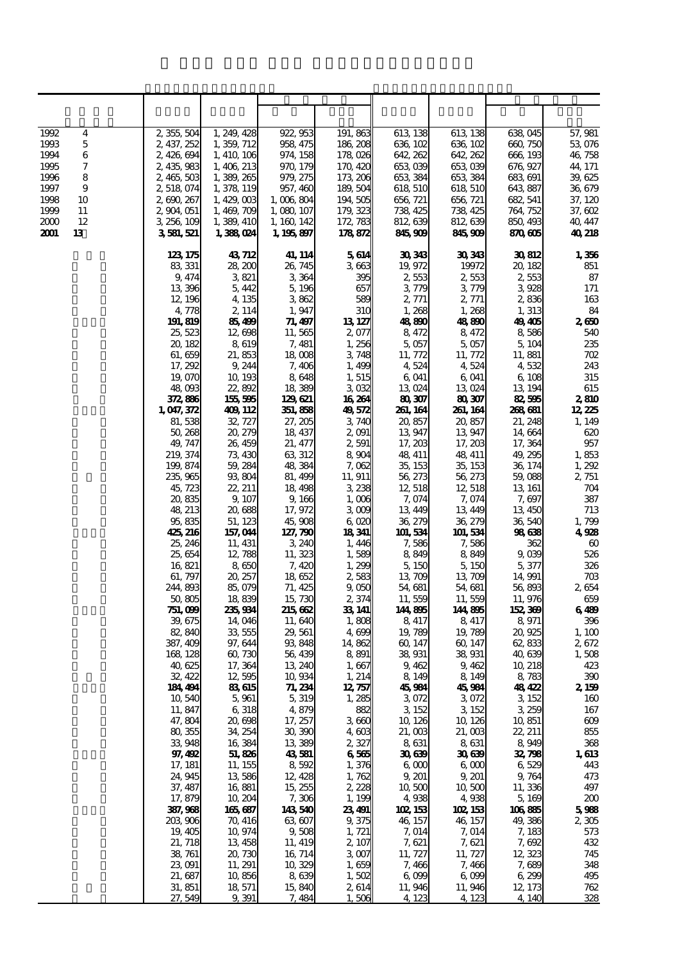| 1992<br>4                | 2,355,504              | 1, 249, 428              | 922, 953               | 191, 863            | 613, 138             | 613 138              | 638,045              | 57, 981               |
|--------------------------|------------------------|--------------------------|------------------------|---------------------|----------------------|----------------------|----------------------|-----------------------|
| 5<br>1993                | 2, 437, 252            | 1, 359, 712              | 958, 475               | 186, 208            | 636, 102             | 636, 102             | 660, 750             | 53,076                |
| 1994<br>6                | 2,426,694              | 1, 410, 106              | 974, 158               | 178,026             | 642, 262             | 642, 262             | 666, 193             | 46,758                |
| 7<br>1995                | 2, 435, 983            | 1, 406, 213              | 970, 179               | 170, 420            | 653,039              | 653,039              | 676, 927             | 44, 171               |
| 8<br>1996                | 2,465,503              | 1,389,265                | 979, 275               | 173, 206            | 653 384              | 653 384              | 683, 691             | 39,625                |
| 9<br>1997                | 2, 518, 074            | 1, 378, 119              | 957, 460               | 189, 504            | 618, 510             | 618, 510             | 643, 887             | 36,679                |
| 1998<br>10<br>1999<br>11 | 2,690,267<br>2,904,051 | 1,429,003<br>1, 469, 709 | 1,006,804<br>1,080,107 | 194,505<br>179, 323 | 656, 721<br>738, 425 | 656, 721<br>738, 425 | 682, 541<br>764, 752 | 37, 120<br>37, 602    |
| 12<br>2000               | 3 256 109              | 1, 389, 410              | 1, 160, 142            | 172, 783            | 812, 639             | 812, 639             | 850, 493             | 40, 447               |
| 13<br>2001               | 3581,521               | 1,388,024                | 1, 195, 897            | 178872              | 845,909              | 845,909              | 870 605              | 40,218                |
|                          | 123, 175               | 43, 712                  | 41, 114                | 5614                | 30343                | 30 343               | 30812                | 1,356                 |
|                          | 83, 331                | 28,200                   | 26, 745                | 3663                | 19,972               | 19972                | 20, 182              | 851                   |
|                          | 9, 474                 | 3,821                    | 3 3 64                 | 395                 | 2,553                | 2,553                | 2,553                | 87                    |
|                          | 13,396                 | 5, 442                   | 5, 196                 | 657                 | 3,779                | 3,779                | 3928                 | 171                   |
|                          | 12, 196                | 4, 135                   | 3862                   | 589                 | 2, 771               | 2, 771               | 2836                 | $163\,$               |
|                          | 4,778                  | 2, 114                   | 1,947                  | 31C                 | 1,268                | 1,268                | 1,313                | 84                    |
|                          | 191, 819<br>25,523     | 85,499                   | 71, 497                | 13 127<br>2,077     | 48800                | 48,890               | 49,405               | 2650<br>540           |
|                          | 20, 182                | 12,698<br>8619           | 11,565<br>7,481        | 1,256               | 8,472<br>5,057       | 8,472<br>5,057       | 8,586<br>5, 104      | 235                   |
|                          | 61, 659                | 21,853                   | 18,008                 | 3,748               | 11, 772              | 11, 772              | 11,881               | 702                   |
|                          | 17, 292                | 9,244                    | 7,406                  | 1,499               | 4,524                | 4,524                | 4532                 | 243                   |
|                          | 19,070                 | 10, 193                  | 8648                   | 1, 515              | 6,041                | 6,041                | 6, 108               | 315                   |
|                          | 48,093                 | 22,892                   | 18 389                 | 3032                | 13,024               | 13024                | 13, 194              | 615                   |
|                          | 372,886                | 155,595                  | 129621                 | 16,264              | 80307                | 80307                | 82,595               | 2810                  |
|                          | 1,047,372              | 409 112                  | 351, 858               | 49,572              | 261, 164             | 261, 164             | 268681               | 12,225                |
|                          | 81,538<br>50, 268      | 32, 727<br>20, 279       | 27, 205<br>18, 437     | 3,740<br>2,091      | 20,857<br>13,947     | 20,857<br>13,947     | 21, 248<br>14,664    | 1, 149<br>620         |
|                          | 49, 747                | 26, 459                  | 21, 477                | 2,591               | 17, 203              | 17, 203              | 17, 364              | 957                   |
|                          | 219, 374               | 73, 430                  | 63 312                 | 8.904               | 48, 411              | 48, 411              | 49, 295              | 1,853                 |
|                          | 199, 874               | 59, 284                  | 48,384                 | 7,062               | 35, 153              | 35, 153              | 36, 174              | 1,292                 |
|                          | 235, 965               | 93,804                   | 81, 499                | 11, 911             | 56,273               | 56, 273              | 59,088               | 2, 751                |
|                          | 45,723                 | 22, 211                  | 18,498                 | 328                 | 12, 518              | 12, 518              | 13, 161              | 704                   |
|                          | 20,835                 | 9, 107                   | 9, 166                 | 1,006               | 7,074                | 7,074                | 7,697                | 387                   |
|                          | 48, 213                | 20,688                   | 17,972                 | 3000                | 13, 449              | 13, 449              | 13,450               | 713                   |
|                          | 95,835<br>425,216      | 51, 123<br>157,044       | 45,908<br>127, 790     | 6,020<br>18341      | 36, 279<br>101, 534  | 36, 279<br>101, 534  | 36,540<br>98638      | 1,799<br>4928         |
|                          | 25, 246                | 11, 431                  | 3 240                  | 1,446               | 7,586                | 7,586                | 362                  | $\boldsymbol{\omega}$ |
|                          | 25,654                 | 12,788                   | 11, 323                | 1,589               | 8,849                | 8,849                | 9,039                | 526                   |
|                          | 16,821                 | 8,650                    | 7,420                  | 1,200               | 5, 150               | 5, 150               | 5,377                | 326                   |
|                          | 61, 797                | 20, 257                  | 18652                  | 2,583               | 13,709               | 13,709               | 14,991               | 703                   |
|                          | 244,893                | 85,079                   | 71, 425                | 9,050               | 54,681               | 54, 681              | 56,893               | 2654                  |
|                          | 50,805                 | 18,839                   | 15,730                 | 2,374               | 11,559               | 11,559               | 11,976               | 659                   |
|                          | 751,099<br>39, 675     | 235,934<br>14,046        | 215 662<br>11,640      | 33, 141<br>1,808    | 144,895<br>8,417     | 144,895<br>8,417     | 152,369<br>8,971     | 6489<br>396           |
|                          | 82,840                 | 33,555                   | 29, 561                | 4,699               | 19,789               | 19,789               | 20,925               | 1,100                 |
|                          | 387, 409               | 97, 644                  | 93,848                 | 14,862              | 60, 147              | 60, 147              | 62,833               | 2,672                 |
|                          | 168, 128               | 60,730                   | 56 439                 | 8,891               | 38,931               | 38,931               | 40,639               | 1,508                 |
|                          | 40,625                 | 17, 364                  | 13 240                 | 1,667               | 9,462                | 9,462                | 10, 218              | 423                   |
|                          | 32, 422                | 12595                    | 10,934                 | 1, 214              | 8, 149               | 8, 149               | 8,783                | 390                   |
|                          | 184, 494               | 83615                    | 71, 234                | 12,757              | 45,984               | 45,984               | 48,422               | 2, 159                |
|                          | 10,540<br>11, 847      | 5,961<br>6,318           | 5,319<br>4,879         | 1,285<br>882        | 3072<br>3 152        | 3072<br>3 152        | 3 152<br>3,259       | 160<br>167            |
|                          | 47,804                 | 20,698                   | 17, 257                | $3 \text{ } 660$    | 10, 126              | 10, 126              | 10,851               | $609$                 |
|                          | 80,355                 | 34, 254                  | 30,390                 | $4 \, 603$          | 21,003               | 21,003               | 22, 211              | 855                   |
|                          | 33,948                 | 16,384                   | 13 389                 | 2,327               | 8631                 | 8631                 | 8949                 | 368                   |
|                          | 97, 492                | 51,826                   | 43581                  | 6565                | 30639                | 30639                | 32,798               | 1,613                 |
|                          | 17, 181                | 11, 155                  | 8592                   | 1,376               | 6 <sub>0</sub>       | 6 <sub>6</sub>       | 6529                 | 443                   |
|                          | 24, 945                | 13586                    | 12, 428                | 1,762               | 9, 201               | 9, 201               | 9,764                | 473                   |
|                          | 37, 487<br>17, 879     | 16,881<br>10, 204        | 15, 255<br>7,306       | 2,228<br>1, 199     | 10,500<br>4,938      | 10,500<br>4,938      | 11, 336<br>5,169     | 497<br>200            |
|                          | 387,968                | 165,687                  | 143540                 | 23491               | 102 153              | 102 153              | 106855               | 5988                  |
|                          | 203,906                | 70, 416                  | 63,607                 | 9,375               | 46, 157              | 46, 157              | 49,386               | 2305                  |
|                          | 19, 405                | 10,974                   | 9,508                  | 1, 721              | 7,014                | 7,014                | 7, 183               | 573                   |
|                          | 21, 718                | 13, 458                  | 11, 419                | 2, 107              | 7,621                | 7,621                | 7,692                | 432                   |
|                          | 38, 761                | 20,730                   | 16, 714                | 3007                | 11, 727              | 11, 727              | 12,323               | 745                   |
|                          | 23,091                 | 11, 291                  | 10,329                 | 1,659               | 7,466                | 7,466                | 7,689                | 348                   |
|                          | 21, 687<br>31, 851     | 10,856<br>18,571         | 8639<br>15,840         | 1,502<br>2,614      | 6,099<br>11,946      | 6,099<br>11,946      | 6,299<br>12, 173     | 495<br>$762$          |
|                          | 27,549                 | 9.391                    | 7,484                  | 1,506               | 4 123                | 4,123                | 4,140                | 328                   |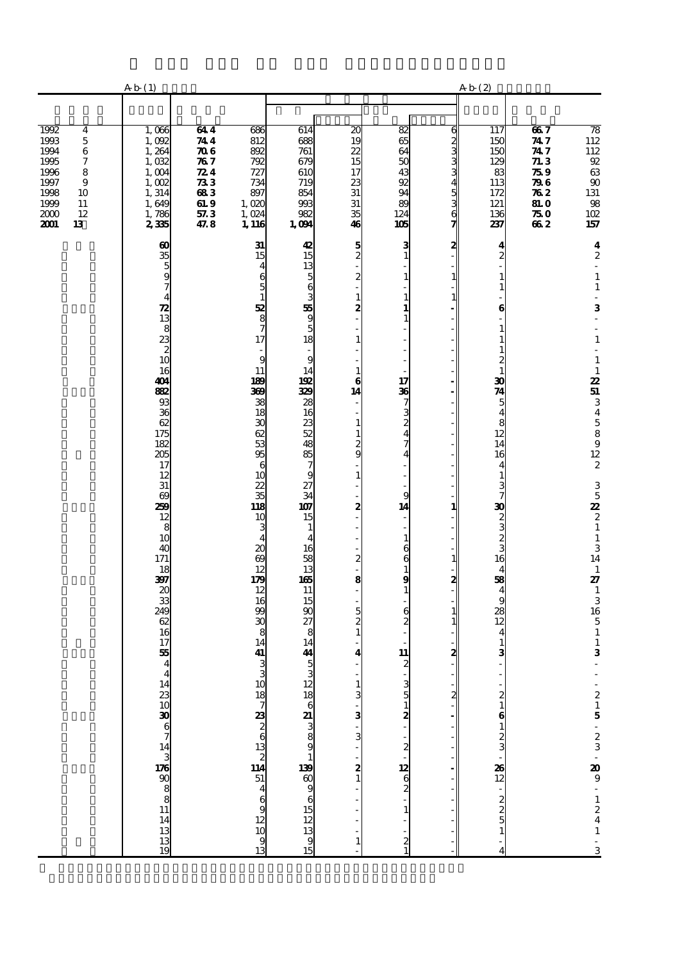|                                                                                                                                                               | A b(1)                                                                                                                                                                                                                                                                                                                                                          |                                                                                                              |                                                                                                                                                                                                                                                                                                                                                                                                                                 |                                                                                                                                                                                                                                                                                                                                                                                                                                    |                                                                                                                                                                                                                                                                 |                                                                                                                                                                                                                                                                                                                      |                                                                                  | Ab(2)                                                                                                                                                                                                                                                                                                                                                                                                                                                                   |                                                                              |                                                                                                                                                                                                                                                                                                                                                                                                 |
|---------------------------------------------------------------------------------------------------------------------------------------------------------------|-----------------------------------------------------------------------------------------------------------------------------------------------------------------------------------------------------------------------------------------------------------------------------------------------------------------------------------------------------------------|--------------------------------------------------------------------------------------------------------------|---------------------------------------------------------------------------------------------------------------------------------------------------------------------------------------------------------------------------------------------------------------------------------------------------------------------------------------------------------------------------------------------------------------------------------|------------------------------------------------------------------------------------------------------------------------------------------------------------------------------------------------------------------------------------------------------------------------------------------------------------------------------------------------------------------------------------------------------------------------------------|-----------------------------------------------------------------------------------------------------------------------------------------------------------------------------------------------------------------------------------------------------------------|----------------------------------------------------------------------------------------------------------------------------------------------------------------------------------------------------------------------------------------------------------------------------------------------------------------------|----------------------------------------------------------------------------------|-------------------------------------------------------------------------------------------------------------------------------------------------------------------------------------------------------------------------------------------------------------------------------------------------------------------------------------------------------------------------------------------------------------------------------------------------------------------------|------------------------------------------------------------------------------|-------------------------------------------------------------------------------------------------------------------------------------------------------------------------------------------------------------------------------------------------------------------------------------------------------------------------------------------------------------------------------------------------|
|                                                                                                                                                               |                                                                                                                                                                                                                                                                                                                                                                 |                                                                                                              |                                                                                                                                                                                                                                                                                                                                                                                                                                 |                                                                                                                                                                                                                                                                                                                                                                                                                                    |                                                                                                                                                                                                                                                                 |                                                                                                                                                                                                                                                                                                                      |                                                                                  |                                                                                                                                                                                                                                                                                                                                                                                                                                                                         |                                                                              |                                                                                                                                                                                                                                                                                                                                                                                                 |
| 1992<br>4<br>1993<br>$\bf 5$<br>$\,6\,$<br>1994<br>1995<br>7<br>1996<br>8<br>$\boldsymbol{9}$<br>1997<br>1998<br>10<br>1999<br>11<br>12<br>2000<br>2001<br>13 | 1,006<br>1,092<br>1,264<br>1,032<br>1,004<br>1,002<br>1,314<br>1,649<br>1,786<br>235                                                                                                                                                                                                                                                                            | 644<br>744<br>$\pi$<br>787<br>$\mathbb{Z}4$<br>$\boldsymbol{\mathcal{B}}$<br>683<br>61.9<br>$57.3\,$<br>47.8 | 686<br>812<br>892<br>792<br>727<br>734<br>897<br>1,020<br>1,024<br>1, 116                                                                                                                                                                                                                                                                                                                                                       | 614<br>688<br>761<br>679<br>610<br>719<br>854<br>993<br>982<br>1,094                                                                                                                                                                                                                                                                                                                                                               | $\overline{20}$<br>19<br>22<br>15<br>17<br>23<br>${\bf 31}$<br>31<br>35<br>46                                                                                                                                                                                   | 82<br>65<br>64<br>50<br>43<br>92<br>94<br>89<br>124<br>105                                                                                                                                                                                                                                                           | a m w w w w w w w                                                                | 117<br>150<br>150<br>129<br>83<br>113<br>172<br>121<br>136<br>237                                                                                                                                                                                                                                                                                                                                                                                                       | 667<br>747<br>747<br>71.3<br>759<br>796<br>762<br><b>81.0</b><br>75 O<br>662 | $\frac{78}{112}$<br>$\frac{112}{92}$<br>$\frac{63}{90}$<br>$\frac{131}{98}$<br>102<br>157                                                                                                                                                                                                                                                                                                       |
|                                                                                                                                                               | $\frac{60}{35}$ 5 9 7<br>$\frac{4}{2}$<br>$\frac{8}{3}$<br>$\frac{8}{2}$<br>$\frac{3}{10}$<br>16<br>404<br>882<br>93<br>36<br>62<br>175<br>182<br>205<br>17<br>12<br>31<br>$\theta$<br>259<br>12<br>8<br>10<br>40<br>171<br>18<br>397<br>20<br>33<br>249<br>62<br>16<br>17<br>55<br>$\overline{\mathbf{4}}$<br>$14$ 23 10 30 6 7 14 3 176 90 8 8 11 14 13 13 19 |                                                                                                              | 31<br>15<br>4<br>6<br>5<br>52<br>8<br>7<br>17<br>9<br>11<br>189<br>369<br>38<br>18<br>$\boldsymbol{\mathfrak{D}}$<br>62<br>53<br>95<br>6<br>10<br>22<br>$\overline{35}$<br>118<br>10<br>3<br>$\boldsymbol{\mathsf{20}}$<br>$\boldsymbol{\omega}$<br>12<br>179<br>12<br>16<br>99<br>30<br>8<br>14<br>41<br>$\frac{3}{2}$<br>$\begin{array}{c}\n10 \\ 18 \\ 7 \\ 20 \\ 26 \\ 32 \\ 69 \\ 12 \\ 10\n\end{array}$<br>$\frac{9}{13}$ | 42<br>15<br>នេ<br>នេ ១ <del>ន</del> េ ១ ន<br>$\overline{a}$<br>$\mathbf{9}$<br>14<br>192<br>329<br>28<br>16<br>23<br>52<br>48<br>$\begin{array}{c}\n 85 \\  7\n \end{array}$<br>9<br>$\frac{27}{34}$<br>107<br>15<br>$\mathbf{1}$<br>$\overline{4}$<br>16<br>$\begin{array}{c} 58 \\ 13 \end{array}$<br>165<br>11<br>15<br>90<br>27<br>8<br>14<br>44<br>$\frac{5}{3}$<br>12 18 6 21 3 3 8 9 9 13 9 5 13 9 15 12 13 9 15 12 13 9 15 | $\frac{5}{2}$<br>2<br>$\mathbf{1}$<br>2<br>l,<br>$\mathbf{1}$<br>$\mathbf{1}$<br>6<br>14<br>÷,<br>$\mathbf{1}$<br>$\mathbf{1}$<br>$\frac{2}{9}$<br>$\mathbf{1}$<br>2<br>Ĭ.<br>L<br>2<br>8<br>÷,<br>$\frac{5}{2}$<br>4<br>1<br>3<br>3<br>3<br>$\frac{2}{1}$<br>1 | з<br>$\mathbf{1}$<br>$\mathbf{1}$<br>$\mathbf{1}$<br>1<br>$\mathbf{1}$<br>17<br>36<br>7<br>3<br>$\overline{c}$<br>4<br>7<br>4<br>9<br>14<br>L,<br>$\mathbf{1}$<br>6<br>6<br>$\mathbf{1}$<br>9<br>$\mathbf{1}$<br>6<br>2<br>11<br>$\boldsymbol{z}$<br>3 <sub>5</sub><br>. <b>. .</b><br>$\mathbf{1}$<br>$\frac{2}{1}$ | ຊ<br>$\mathbf{1}$<br>1<br>1<br>$\mathbf{1}$<br>2<br>-<br>$\frac{1}{1}$<br>2<br>2 | 4<br>$\overline{c}$<br>$\mathbf{1}$<br>1<br>6<br>$\mathbf{1}$<br>1<br>$\mathbf{1}$<br>$\boldsymbol{z}$<br>$\mathbf{1}$<br>30<br>$\overline{\mathbf{z}}$<br>$\overline{5}$<br>$\overline{\mathbf{4}}$<br>$\frac{8}{12}$<br>14<br>16<br>$\overline{4}$<br>$\mathbf{1}$<br>$\frac{3}{7}$<br>33 N O N O<br>16<br>$\overline{4}$<br>58<br>$\frac{4}{9}$<br>$\frac{28}{12}$<br>$\overline{\mathbf{4}}$<br>$\mathbf{1}$<br>3<br>$\frac{2}{1}$<br><b>മ</b> – ശ ധ – 1885 – ശ ശ പ |                                                                              | $\boldsymbol{4}$<br>$\boldsymbol{2}$<br>ä,<br>$\mathbf 1$<br>$\mathbf{1}$<br>$\overline{\phantom{a}}$<br>3<br>$\overline{\phantom{a}}$<br>l,<br>$\mathbf 1$<br>$\mathbf 1$<br>$\mathbf 1$<br>25134589122<br>$3\frac{5}{2}$<br>$2\frac{1}{1}$<br>$3$<br>14<br>$\,$ 1<br>27<br>$\begin{array}{c} 1 \\ 3 \\ 16 \\ 5 \\ 1 \end{array}$<br>$\frac{1}{3}$<br>$-215 - 23 - 209 - 124$<br>$\frac{1}{3}$ |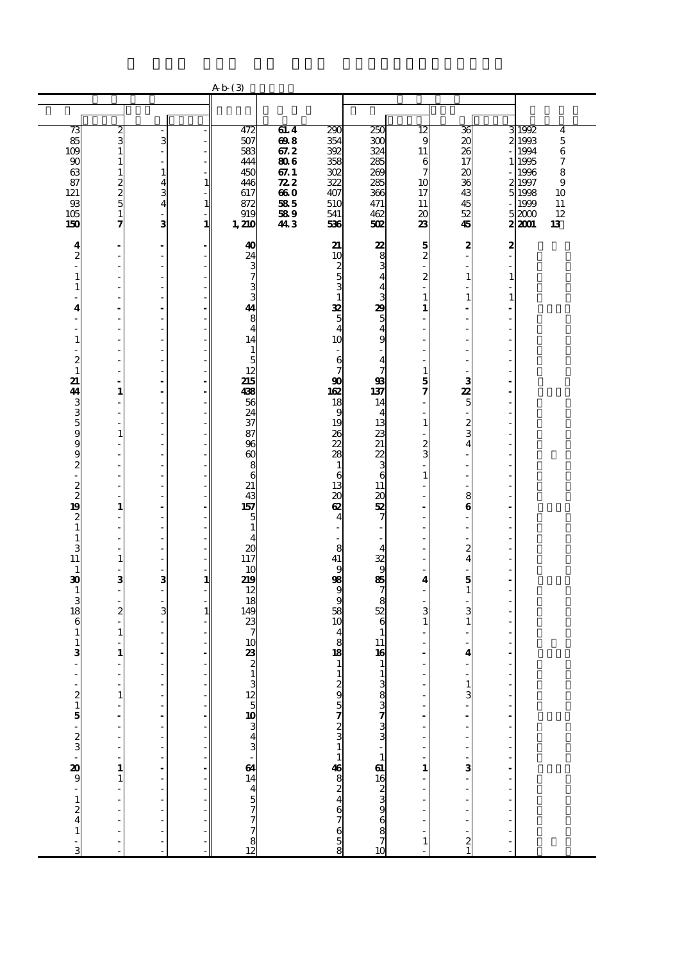|                                             |                               |                                                                                                                                                            |                                                              | Ab(3)                         |                        |                                                |                                  |                 |                               |                |                |                       |
|---------------------------------------------|-------------------------------|------------------------------------------------------------------------------------------------------------------------------------------------------------|--------------------------------------------------------------|-------------------------------|------------------------|------------------------------------------------|----------------------------------|-----------------|-------------------------------|----------------|----------------|-----------------------|
|                                             |                               |                                                                                                                                                            |                                                              |                               |                        |                                                |                                  |                 |                               |                |                |                       |
|                                             |                               |                                                                                                                                                            |                                                              |                               |                        |                                                |                                  |                 |                               |                |                |                       |
| 73                                          | ယလ                            |                                                                                                                                                            |                                                              | 472                           | 61.4                   | 290                                            | 250                              | $\overline{12}$ | 36                            | з              | 1992           | 4                     |
| 85                                          |                               | 3                                                                                                                                                          |                                                              | 507                           | $\frac{6}{67}$<br>67.2 | 354                                            | 300                              | 9               | 20                            |                | 1993           | $\overline{5}$        |
| 109                                         | $\mathbf{1}$                  | $\overline{\phantom{a}}$                                                                                                                                   |                                                              | 583                           |                        | 392                                            | 324                              | 11              | 26                            |                | 1994           | $\boldsymbol{6}$      |
| 90<br>63                                    | $\mathbf{1}$<br>$\mathbf 1$   | $\overline{\phantom{a}}$<br>$\mathbf{1}$                                                                                                                   | - 1                                                          | 444<br>450                    | 806<br>67.1            | 358<br>302                                     | 285<br>269                       | 6<br>7          | 17<br>$\boldsymbol{\alpha}$   |                | 1 1995<br>1996 | $\boldsymbol{7}$<br>8 |
| 87                                          |                               | $\overline{\mathbf{4}}$                                                                                                                                    | $\mathbf{1}$                                                 | 446                           | $\mathbb{Z}2$          | 322                                            | 285                              | 10              | 36                            |                | 2 1997         | $\boldsymbol{9}$      |
| 121                                         | $\frac{2}{5}$                 | $\frac{3}{4}$                                                                                                                                              |                                                              | 617                           | 660                    | 407                                            | 366                              | 17              | 43                            | 5              | 1998           | 10                    |
| $93$                                        |                               |                                                                                                                                                            | $\mathbf{1}$                                                 | 872                           | 585                    | 510                                            | 471                              | 11              | $\overline{45}$               |                | 1999           | 11                    |
| 105<br>150                                  | $\mathbf{1}$<br>7             | ÷,<br>3                                                                                                                                                    | $\mathbf{1}$                                                 | 919<br>1,210                  | 589                    | 541                                            | 462                              | 20              | 52<br>45                      |                | 52000          | 12<br>13              |
|                                             |                               |                                                                                                                                                            |                                                              |                               | 443                    | 536                                            | 502                              | 23              |                               |                | 2 2001         |                       |
| 4                                           | L,                            | $\blacksquare$                                                                                                                                             |                                                              | 40                            |                        | 21                                             | 22                               | 5               | 2                             | 2              |                |                       |
| $\overline{\mathbf{c}}$                     | ÷,                            | $\overline{\phantom{a}}$                                                                                                                                   | ٠                                                            | 24                            |                        | 10                                             | $\frac{8}{3}$                    | $\overline{2}$  | ÷,                            | $\overline{a}$ |                |                       |
| ÷                                           | Í,                            | $\overline{\phantom{a}}$                                                                                                                                   |                                                              | $\frac{3}{7}$                 |                        |                                                |                                  |                 | Ĭ.                            | ÷,             |                |                       |
| $\mathbf{1}$<br>$\mathbf{1}$                | í,                            | Ĭ.<br>$\overline{\phantom{a}}$                                                                                                                             |                                                              | 3                             |                        |                                                | 4<br>4                           | 2               | $\mathbf{1}$<br>$\frac{1}{2}$ | $\mathbf{1}$   |                |                       |
| L.                                          | Ĭ.                            | $\sim$                                                                                                                                                     |                                                              | 3                             |                        | $\begin{array}{c}\n 2 \\  3 \\  \end{array}$   | 3                                | 1               | $\mathbf{1}$                  | $\mathbf{1}$   |                |                       |
| 4                                           |                               | $\blacksquare$                                                                                                                                             |                                                              | 41                            |                        |                                                | 29                               | 1               |                               |                |                |                       |
| ÷                                           | í,                            | $\overline{\phantom{a}}$                                                                                                                                   | ÷,                                                           | 8                             |                        |                                                | $\frac{5}{4}$                    |                 |                               |                |                |                       |
| ÷,<br>$\mathbf{1}$                          | Î,                            | $\overline{\phantom{a}}$<br>÷,                                                                                                                             | $\overline{a}$                                               | $\overline{\mathbf{4}}$<br>14 |                        | $\frac{32}{5}$<br>10                           | 9                                |                 |                               | ÷,             |                |                       |
| $\overline{\phantom{0}}$                    |                               | $\overline{\phantom{a}}$                                                                                                                                   |                                                              | $\mathbf{1}$                  |                        | $\overline{\phantom{a}}$                       |                                  |                 |                               |                |                |                       |
| $\boldsymbol{z}$                            | l,                            | ÷,                                                                                                                                                         |                                                              | 5                             |                        | $\mathbf{6}$                                   | $\frac{4}{7}$                    |                 |                               |                |                |                       |
| $\mathbf{1}$                                | Ĭ.                            | $\sim$                                                                                                                                                     | $\overline{\phantom{a}}$                                     | 12<br>215                     |                        |                                                |                                  | 1               |                               |                |                |                       |
| 21<br>44                                    | Ĭ.<br>$\mathbf{1}$            | ä,<br>$\blacksquare$                                                                                                                                       | $\qquad \qquad \blacksquare$<br>$\qquad \qquad \blacksquare$ | 438                           |                        |                                                | $\frac{93}{137}$                 | 5<br>7          | 3                             | ä,<br>÷,       |                |                       |
|                                             | J.                            | $\sim$                                                                                                                                                     | $\overline{a}$                                               | 56                            |                        | $\frac{90}{18}$                                | 14                               |                 | $\frac{22}{5}$                | ÷,             |                |                       |
| $\frac{3}{5}$                               | Ĭ.                            | $\overline{\phantom{a}}$                                                                                                                                   | $\overline{\phantom{0}}$                                     | 24                            |                        |                                                | 4                                |                 |                               |                |                |                       |
|                                             |                               | $\overline{a}$                                                                                                                                             |                                                              | 37                            |                        | 19                                             | 13                               | 1               | $\frac{2}{3}$                 |                |                |                       |
|                                             | $\mathbf{1}$<br>Î,            | ÷,<br>$\overline{\phantom{a}}$                                                                                                                             | ÷,<br>$\overline{a}$                                         | 87<br>96                      |                        | $\frac{26}{22}$                                | 23<br>21                         | 2               |                               |                |                |                       |
| 9<br>9<br>9                                 | Í.                            | $\sim$                                                                                                                                                     |                                                              | $\boldsymbol{\omega}$         |                        | $\overline{\mathbf{z}}$                        | 22                               | 3               |                               |                |                |                       |
| $\overline{\mathcal{Z}}$                    |                               | $\overline{\phantom{a}}$                                                                                                                                   |                                                              | 8                             |                        | $\mathbf{1}$                                   | $\overline{3}$                   |                 |                               |                |                |                       |
| L,                                          | Ĭ.<br>J.                      | ÷,<br>$\sim$                                                                                                                                               |                                                              | 6<br>21                       |                        | 6                                              | 6                                | 1               |                               |                |                |                       |
| $\frac{2}{2}$                               |                               | $\overline{\phantom{a}}$                                                                                                                                   |                                                              | 43                            |                        | $\frac{13}{20}$                                | 11<br>$\boldsymbol{\mathsf{20}}$ |                 | 8                             |                |                |                       |
| 19                                          | $\mathbf{1}$                  | $\blacksquare$                                                                                                                                             |                                                              | 157                           |                        | $\boldsymbol{\alpha}$                          | 52                               |                 | $\bf{6}$                      |                |                |                       |
| $\boldsymbol{2}$                            | J.                            | $\overline{\phantom{a}}$                                                                                                                                   | $\overline{\phantom{a}}$                                     | 5                             |                        | $\overline{\mathbf{4}}$                        | 7                                |                 | $\frac{1}{2}$                 | ÷,             |                |                       |
| $\mathbf{1}$<br>$\mathbf 1$                 | ÷,                            | $\overline{\phantom{a}}$<br>$\overline{\phantom{a}}$                                                                                                       |                                                              | $\mathbf{1}$<br>4             |                        |                                                |                                  |                 | L,                            | ÷,             |                |                       |
| 3                                           | $\overline{a}$                | $\overline{\phantom{a}}$                                                                                                                                   | $\overline{a}$                                               | 20                            |                        | 8                                              | 4                                |                 |                               |                |                |                       |
| 11                                          | $\mathbf{1}$                  | $\overline{\phantom{a}}$                                                                                                                                   | - 1                                                          | 117                           |                        | 41                                             | 32<br>9                          |                 | $\frac{2}{4}$                 |                |                |                       |
| $\mathbf{1}$                                |                               | ä,                                                                                                                                                         |                                                              | 10                            |                        | $\bf{9}$                                       |                                  |                 |                               |                |                |                       |
| $\boldsymbol{\mathfrak{D}}$<br>$\mathbf{1}$ | 3<br>$\overline{\phantom{a}}$ | 3<br>ä,                                                                                                                                                    | $\mathbf{1}$<br>- 1                                          | 219<br>12                     |                        | 98                                             | 85<br>7                          | 4               | $\frac{5}{1}$                 | ÷,<br>J.       |                |                       |
| 3                                           | l,                            | ä,                                                                                                                                                         | - 1                                                          | 18                            |                        | $\begin{array}{c}\n9 \\ 36 \\ 10\n\end{array}$ | $rac{8}{52}$                     |                 |                               |                |                |                       |
| 18                                          | $\overline{\mathbf{z}}$       | 3                                                                                                                                                          | $\mathbf{1}$                                                 | 149                           |                        |                                                |                                  | 3               | 3                             |                |                |                       |
| 6                                           | ÷,<br>$\mathbf{1}$            | ÷,<br>$\sim$                                                                                                                                               |                                                              | 23<br>7                       |                        | $\overline{\mathbf{4}}$                        | $\boldsymbol{6}$<br>$\mathbf{1}$ | 1               | $\mathbf{1}$                  |                |                |                       |
| $\mathbf{1}$<br>$\mathbf{1}$                |                               | $\overline{\phantom{a}}$                                                                                                                                   |                                                              | 10                            |                        |                                                | 11                               |                 |                               |                |                |                       |
| 3                                           | 1                             | $\blacksquare$                                                                                                                                             |                                                              | 23                            |                        | $\overline{8}$<br>18                           | 16                               |                 | 4                             | ÷,             |                |                       |
| ä,                                          |                               | ٠                                                                                                                                                          |                                                              |                               |                        | $\mathbf{1}$                                   | $\mathbf{1}$                     |                 |                               |                |                |                       |
|                                             |                               |                                                                                                                                                            |                                                              |                               |                        |                                                |                                  |                 |                               |                |                |                       |
|                                             | $\mathbf{1}$                  | L,                                                                                                                                                         |                                                              |                               |                        |                                                |                                  |                 | $\frac{1}{3}$                 |                |                |                       |
|                                             | Ļ                             | Ĭ,                                                                                                                                                         |                                                              |                               |                        |                                                |                                  |                 |                               |                |                |                       |
|                                             | $\overline{\phantom{a}}$      |                                                                                                                                                            |                                                              |                               |                        |                                                |                                  |                 |                               |                |                |                       |
|                                             | $\overline{a}$                |                                                                                                                                                            |                                                              |                               |                        |                                                |                                  |                 |                               |                |                |                       |
|                                             |                               | $\begin{array}{ccc}\n\bullet & \bullet & \bullet & \bullet \\ \bullet & \bullet & \bullet & \bullet \\ \bullet & \bullet & \bullet & \bullet\n\end{array}$ |                                                              |                               |                        |                                                |                                  |                 | ÷,                            |                |                |                       |
|                                             | $\frac{1}{2}$                 |                                                                                                                                                            |                                                              |                               |                        |                                                |                                  |                 |                               | -------------  |                |                       |
|                                             | $\mathbf{1}$                  |                                                                                                                                                            |                                                              |                               |                        |                                                |                                  | $\mathbf{1}$    |                               |                |                |                       |
|                                             | $\mathbf{1}$<br>l,            | $\frac{1}{2}$                                                                                                                                              |                                                              |                               |                        |                                                |                                  |                 | $\frac{1}{2}$                 |                |                |                       |
|                                             |                               |                                                                                                                                                            |                                                              |                               |                        |                                                |                                  |                 |                               |                |                |                       |
|                                             | $\overline{a}$                | $\frac{1}{2}$                                                                                                                                              |                                                              |                               |                        |                                                |                                  |                 | $\frac{1}{2}$                 | $\frac{1}{2}$  |                |                       |
|                                             | l,                            |                                                                                                                                                            |                                                              |                               |                        |                                                |                                  |                 |                               |                |                |                       |
|                                             | l,                            | $\frac{1}{2}$                                                                                                                                              |                                                              |                               |                        |                                                | 1383733733738373837              | $\mathbf{1}$    |                               | $\frac{1}{2}$  |                |                       |
|                                             |                               |                                                                                                                                                            |                                                              |                               |                        |                                                |                                  |                 | $\frac{2}{1}$                 |                |                |                       |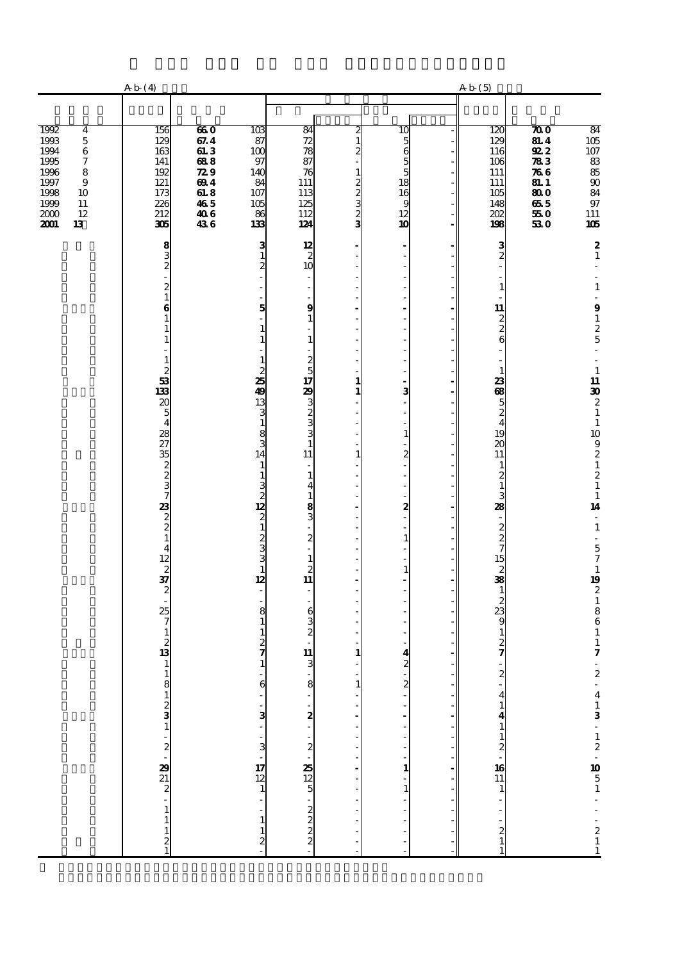|                                                                                                                                                                                               | Ab(4)                                                                            |                                                                                                |                                                                             |                                                                           |                                                                                         |                                                                      | Ab(5)                                                              |                                                                                                                                                          |                                                                                                                        |
|-----------------------------------------------------------------------------------------------------------------------------------------------------------------------------------------------|----------------------------------------------------------------------------------|------------------------------------------------------------------------------------------------|-----------------------------------------------------------------------------|---------------------------------------------------------------------------|-----------------------------------------------------------------------------------------|----------------------------------------------------------------------|--------------------------------------------------------------------|----------------------------------------------------------------------------------------------------------------------------------------------------------|------------------------------------------------------------------------------------------------------------------------|
|                                                                                                                                                                                               |                                                                                  |                                                                                                |                                                                             |                                                                           |                                                                                         |                                                                      |                                                                    |                                                                                                                                                          |                                                                                                                        |
| 1992<br>$\overline{4}$<br>$\mathbf 5$<br>1993<br>1994<br>$\,$ 6 $\,$<br>1995<br>$\boldsymbol{7}$<br>1996<br>8<br>1997<br>$\bf{9}$<br>1998<br>10<br>1999<br>$11\,$<br>2000<br>12<br>2001<br>13 | 156<br>129<br>163<br>141<br>192<br>121<br>173<br>226<br>212<br>305               | 660<br>67.4<br>613<br>688<br>$\boldsymbol{z}\boldsymbol{s}$<br>694<br>618<br>465<br>406<br>436 | $\overline{103}$<br>87<br>100<br>97<br>140<br>84<br>107<br>105<br>86<br>133 | 84<br>72<br>78<br>87<br>76<br>111<br>113<br>125<br>112<br>124             | $\boldsymbol{z}$<br>$\mathbf{1}$<br>2<br>$\mathbf{1}$<br>$\frac{2}{3}$<br>$\frac{2}{3}$ | $\overline{10}$<br>5655<br>$\frac{18}{16}$<br>12<br>10               | 120<br>129<br>116<br>106<br>111<br>111<br>105<br>148<br>202<br>198 | $\boldsymbol{\pi}$<br><b>81.4</b><br>922<br>$\sqrt{3}3$<br>$\pi$ 6<br><b>81.1</b><br>$\overline{\boldsymbol{300}}$<br>$\bf 65$ $\bf 5$<br>$550\,$<br>530 | $\frac{84}{105}$<br>18888<br>$9\!7$<br>111<br>105                                                                      |
|                                                                                                                                                                                               |                                                                                  |                                                                                                | 3<br>$\mathbf{1}$                                                           | $\begin{array}{c}\n 12 \\  2 \\  10\n \end{array}$                        |                                                                                         | $\blacksquare$<br>$\overline{a}$<br>L,                               | $\frac{3}{2}$                                                      |                                                                                                                                                          | $\boldsymbol{2}$<br>$\mathbf 1$                                                                                        |
|                                                                                                                                                                                               | $832 - 21$                                                                       |                                                                                                |                                                                             | $\blacksquare$                                                            |                                                                                         | ÷,<br>$\overline{a}$                                                 | $\mathbf{1}$                                                       |                                                                                                                                                          | $\mathbf 1$                                                                                                            |
|                                                                                                                                                                                               | $\bf{6}$<br>$\mathbf{1}$<br>$\mathbf{1}$<br>1                                    |                                                                                                | 5<br>1                                                                      | $\frac{1}{2}$<br>9<br>$\mathbf{1}$<br>$\overline{a}$<br>$\mathbf{1}$      |                                                                                         | ÷,<br>l,<br>ź<br>$\overline{a}$                                      | $\begin{array}{c}\n11 \\ 2 \\ 2 \\ 6\n\end{array}$                 |                                                                                                                                                          | $\overline{\phantom{a}}$<br>$\boldsymbol{9}$<br>$\begin{array}{c} 1 \\ 2 \\ 5 \end{array}$<br>$\overline{\phantom{a}}$ |
|                                                                                                                                                                                               | $\mathbf{1}$<br>$\boldsymbol{z}$<br>$\begin{array}{c}\n 3 \\  133\n \end{array}$ |                                                                                                | 1<br>25                                                                     | $\overline{\phantom{m}}$<br>$\begin{array}{c}\n2 \\ 5 \\ 17\n\end{array}$ | 1                                                                                       | L<br>L,<br>L,                                                        | $\overline{\phantom{0}}$<br>$\mathbf{1}$<br>23                     |                                                                                                                                                          | L,<br>$\begin{array}{c} 1 \\ 11 \end{array}$                                                                           |
|                                                                                                                                                                                               |                                                                                  |                                                                                                | 49<br>13<br>3                                                               |                                                                           | $\mathbf{1}$                                                                            | 3<br>L.<br>$\overline{\phantom{a}}$                                  | 68, 58, 44                                                         |                                                                                                                                                          |                                                                                                                        |
|                                                                                                                                                                                               | 2054282735237232221                                                              |                                                                                                | 1<br>8<br>14                                                                | 23 من من من 11<br>11<br>$\overline{\phantom{a}}$                          | 1                                                                                       | $\mathbf{1}$<br>$\overline{a}$<br>$\boldsymbol{z}$<br>L,             | 19<br>$\overline{\mathbf{z}}$<br>11<br>$\mathbf{1}$                |                                                                                                                                                          | $\begin{bmatrix} 30 \\ 2 \\ 1 \\ 10 \\ 9 \\ 2 \\ 1 \end{bmatrix}$                                                      |
|                                                                                                                                                                                               |                                                                                  |                                                                                                | 12<br>$\overline{c}$                                                        | $\mathbf{1}$<br>$\overline{\bf{4}}$<br>$\mathbf{1}$<br>8<br>3             | J.                                                                                      | $\overline{a}$<br>L,<br>÷,<br>$\frac{2}{1}$                          | $\frac{2}{1}$<br>3<br>28<br>÷,                                     |                                                                                                                                                          | $\frac{2}{1}$<br>$\frac{1}{14}$<br>$\overline{\phantom{a}}$                                                            |
|                                                                                                                                                                                               |                                                                                  |                                                                                                |                                                                             | $\frac{1}{2}$<br>$\overline{\phantom{a}}$                                 |                                                                                         | $\overline{a}$<br>$\mathbf{1}$<br>$\frac{1}{2}$                      |                                                                    |                                                                                                                                                          | $\mathbf{1}$<br>$\Box$                                                                                                 |
|                                                                                                                                                                                               |                                                                                  |                                                                                                | 1<br>12                                                                     | $\mathbf{1}$<br>$\begin{array}{c} 2 \\ 11 \end{array}$                    |                                                                                         | $\overline{\phantom{a}}$<br>$\mathbf{1}$<br>$\overline{\phantom{a}}$ |                                                                    |                                                                                                                                                          | 571921861                                                                                                              |
|                                                                                                                                                                                               |                                                                                  |                                                                                                | 8                                                                           | $\overline{\phantom{a}}$<br>$\overline{\phantom{a}}$<br>6                 |                                                                                         | $\overline{a}$                                                       |                                                                    |                                                                                                                                                          |                                                                                                                        |
|                                                                                                                                                                                               |                                                                                  |                                                                                                |                                                                             | $\frac{3}{2}$                                                             |                                                                                         | ä,                                                                   |                                                                    |                                                                                                                                                          |                                                                                                                        |
|                                                                                                                                                                                               | $\mathbf{1}$<br>$\mathbf{1}$                                                     |                                                                                                |                                                                             | 11<br>3                                                                   | 1                                                                                       | 4<br>$\overline{\mathbf{c}}$                                         | ÷,<br>$\overline{2}$                                               |                                                                                                                                                          | $\pmb{\tau}$<br>÷,                                                                                                     |
|                                                                                                                                                                                               |                                                                                  |                                                                                                | 6                                                                           |                                                                           | 1                                                                                       | $\frac{2}{\pi}$                                                      | $\overline{\mathbf{4}}$                                            |                                                                                                                                                          |                                                                                                                        |
|                                                                                                                                                                                               |                                                                                  |                                                                                                | $\frac{3}{2}$                                                               |                                                                           |                                                                                         |                                                                      |                                                                    |                                                                                                                                                          |                                                                                                                        |
|                                                                                                                                                                                               | $-8$ 1 2 3 1 $-2$ 2 $-8$ 2 2 2 $-1$ 1                                            |                                                                                                | $\frac{1}{3}$                                                               |                                                                           |                                                                                         | $\mathbf{1}$                                                         |                                                                    |                                                                                                                                                          |                                                                                                                        |
|                                                                                                                                                                                               |                                                                                  |                                                                                                | $\begin{array}{c}\n17 \\ 12 \\ 1\n\end{array}$                              |                                                                           |                                                                                         | $\overline{a}$<br>$\mathbf{1}$                                       |                                                                    |                                                                                                                                                          |                                                                                                                        |
|                                                                                                                                                                                               | $\mathbf{1}$<br>$\frac{2}{1}$                                                    |                                                                                                | $\mathbf{1}$<br>2                                                           |                                                                           |                                                                                         |                                                                      | $\frac{1}{1}$                                                      |                                                                                                                                                          | $2 - 413 - 12 - 1051 - 211$                                                                                            |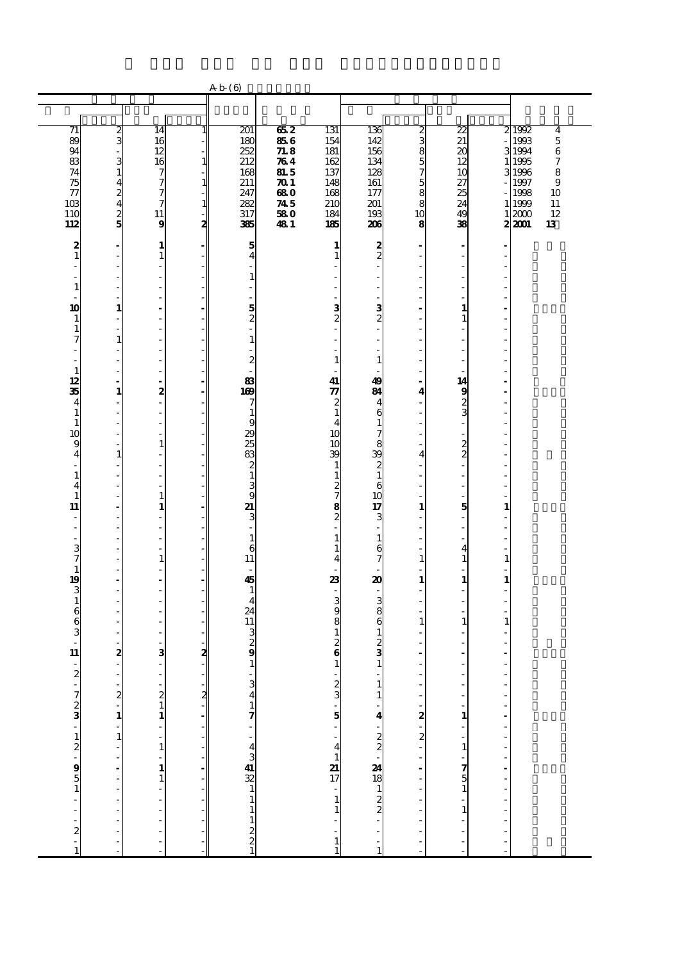|                                      |                                                                                                                                                                                                                                                                                                                               |                                                      |                | Ab(6)                                        |                      |                                                |                                          |                                |                                                                        |                                                |                |                                           |
|--------------------------------------|-------------------------------------------------------------------------------------------------------------------------------------------------------------------------------------------------------------------------------------------------------------------------------------------------------------------------------|------------------------------------------------------|----------------|----------------------------------------------|----------------------|------------------------------------------------|------------------------------------------|--------------------------------|------------------------------------------------------------------------|------------------------------------------------|----------------|-------------------------------------------|
|                                      |                                                                                                                                                                                                                                                                                                                               |                                                      |                |                                              |                      |                                                |                                          |                                |                                                                        |                                                |                |                                           |
| $\overline{71}$<br>89                | ω                                                                                                                                                                                                                                                                                                                             | 14<br>16                                             | $\mathbf{1}$   | 201<br>180                                   | 662<br>856           | 131<br>154                                     | 136<br>142                               | 2<br>3                         | 22<br>21                                                               |                                                | 2 1992<br>1993 | $\overline{\mathbf{4}}$<br>$\overline{5}$ |
| 94<br>$\overline{\mathbf{83}}$       | $\overline{\phantom{a}}$                                                                                                                                                                                                                                                                                                      | 12<br>16                                             | 1 <sup>1</sup> | 252<br>212                                   | 718<br>$\pi$         | 181<br>162                                     | 156<br>134                               | 8<br>5                         | 20<br>12                                                               | 1                                              | 3 1994<br>1995 | 6<br>$\boldsymbol{7}$                     |
| 74<br>75                             | $\frac{3}{1}$<br>$\overline{4}$                                                                                                                                                                                                                                                                                               |                                                      | $1\vert$       | 168<br>211                                   | <b>81.5</b><br>$\pi$ | 137<br>148                                     | 128<br>161                               | 7<br>5                         | 10<br>27                                                               |                                                | 3 1996<br>1997 | 8<br>$\boldsymbol{9}$                     |
| $\tau$<br>10 <sup>3</sup>            | $\boldsymbol{z}$<br>$\overline{\mathbf{4}}$                                                                                                                                                                                                                                                                                   | ファフ<br>7                                             |                | 247<br>282                                   | 680<br>745           | 168<br>210                                     | 177<br>201                               | 8<br>8                         | 25<br>24                                                               | 1                                              | 1998           | 10<br>11                                  |
| 110                                  | $\frac{2}{5}$                                                                                                                                                                                                                                                                                                                 | 11                                                   | $1\vert$       | 317                                          | 580                  | 184                                            | 193                                      | 10                             | 49                                                                     | 1                                              | 1999<br>2000   | 12                                        |
| 112                                  | $\blacksquare$                                                                                                                                                                                                                                                                                                                | 9<br>1                                               | 2              | 385<br>5                                     | 481                  | 185<br>1                                       | 206                                      | 8<br>$\overline{\phantom{a}}$  | 38                                                                     | ٠                                              | 2 2001         | 13                                        |
| $\frac{2}{1}$                        | $\overline{\phantom{a}}$<br>$\overline{\phantom{a}}$                                                                                                                                                                                                                                                                          | $\mathbf{1}$<br>$\overline{a}$                       |                | $\overline{\mathbf{4}}$                      |                      | $\mathbf{1}$                                   | $\frac{2}{2}$                            | ä,<br>÷,                       | $\overline{\phantom{a}}$<br>$\overline{a}$<br>$\overline{\phantom{a}}$ | Ĭ.<br>Ĭ.                                       |                |                                           |
| $\mathbf{1}$                         | $\overline{\phantom{a}}$<br>÷,                                                                                                                                                                                                                                                                                                | ÷,<br>÷,                                             |                | $\mathbf{1}$<br>٠                            |                      | J.                                             |                                          | Ĭ.<br>٠                        | Ĭ.<br>Ĭ.                                                               | ÷,                                             |                |                                           |
| ä,<br>10                             | $\overline{\phantom{a}}$<br>$\mathbf{1}$                                                                                                                                                                                                                                                                                      | $\overline{a}$<br>$\ddot{\phantom{a}}$               |                | $\overline{\phantom{a}}$                     |                      |                                                |                                          | L,<br>Ĭ.                       | Ĭ.<br>1                                                                | J.                                             |                |                                           |
| 1<br>$\mathbf{1}$                    | $\overline{\phantom{a}}$<br>$\overline{a}$                                                                                                                                                                                                                                                                                    | $\overline{a}$<br>$\overline{\phantom{a}}$           |                | $\frac{5}{2}$<br>÷,                          |                      | $\frac{3}{2}$                                  | $\frac{3}{2}$                            | ٠<br>L,                        | $\mathbf{1}$<br>Ĭ.                                                     | ä,<br>J.                                       |                |                                           |
| 7                                    | $\mathbf{1}$<br>$\frac{1}{2}$                                                                                                                                                                                                                                                                                                 | ł,<br>$\overline{\phantom{a}}$                       |                | $\mathbf{1}$<br>$\overline{a}$               |                      |                                                |                                          | ÷,                             | $\overline{a}$                                                         | ÷,                                             |                |                                           |
| $\overline{a}$<br>$\mathbf{1}$       | $\overline{\phantom{a}}$<br>$\overline{\phantom{a}}$                                                                                                                                                                                                                                                                          | $\overline{\phantom{a}}$<br>÷,                       |                | $\boldsymbol{z}$                             |                      | 1                                              | 1                                        | ä,<br>÷.                       | $\overline{\phantom{a}}$<br>÷,                                         | ÷,<br>J.                                       |                |                                           |
| 12<br>35                             | $\blacksquare$<br>$\mathbf{1}$                                                                                                                                                                                                                                                                                                | $\overline{\phantom{a}}$<br>2                        |                | 83<br>169                                    |                      | 41<br>$\boldsymbol{\pi}$                       | 49<br>81                                 | $\overline{\phantom{a}}$<br>4  | 14<br>9                                                                | $\overline{a}$<br>$\blacksquare$               |                |                                           |
| 4<br>$\mathbf{1}$                    | ÷,<br>$\overline{\phantom{a}}$                                                                                                                                                                                                                                                                                                | ÷,<br>$\overline{\phantom{a}}$                       |                | 7<br>$\mathbf{1}$                            |                      | $\begin{smallmatrix} 2 \\ 1 \end{smallmatrix}$ | 4<br>6                                   | ÷,                             | $\frac{2}{3}$                                                          | J.<br>Ĭ.                                       |                |                                           |
| $\mathbf{1}$<br>10                   | $\overline{\phantom{a}}$<br>$\overline{\phantom{a}}$                                                                                                                                                                                                                                                                          | $\overline{\phantom{a}}$<br>÷,                       |                | 9<br>29                                      |                      | 4<br>10                                        | $\mathbf{1}$<br>$\overline{7}$           | Ĭ.<br>٠                        | $\overline{a}$<br>÷,                                                   | l,<br>÷,                                       |                |                                           |
| 9<br>$\overline{4}$                  | $\frac{1}{2}$<br>$\mathbf 1$                                                                                                                                                                                                                                                                                                  | $\mathbf{1}$<br>÷,                                   |                | 25<br>83                                     |                      | 10<br>39                                       | 8<br>39                                  | ÷,<br>$\overline{4}$           | $\frac{2}{2}$                                                          | $\overline{a}$<br>Ĭ.                           |                |                                           |
| $\frac{1}{2}$<br>$\mathbf{1}$        | $\frac{1}{2}$<br>$\frac{1}{2}$                                                                                                                                                                                                                                                                                                | $\overline{\phantom{a}}$<br>$\overline{\phantom{a}}$ |                | $\boldsymbol{z}$<br>$\mathbf{1}$             |                      | $\mathbf{1}$                                   | $\overline{\mathbf{c}}$<br>$\mathbf{1}$  | ÷<br>÷,                        | Ĭ.<br>$\overline{a}$                                                   | $\overline{a}$<br>$\qquad \qquad \blacksquare$ |                |                                           |
| 4<br>$\mathbf{1}$                    | $\overline{\phantom{a}}$<br>$\overline{\phantom{a}}$                                                                                                                                                                                                                                                                          | ł,<br>$\mathbf{1}$                                   |                | $\frac{3}{9}$                                |                      | $\frac{1}{2}$<br>2<br>8<br>2                   | 6<br>10                                  | ÷,                             | $\frac{1}{2}$<br>÷,                                                    | $\overline{\phantom{0}}$<br>÷,                 |                |                                           |
| 11<br>÷,                             | $\overline{a}$<br>$\frac{1}{2}$                                                                                                                                                                                                                                                                                               | 1<br>÷.                                              |                | 21<br>3                                      |                      |                                                | 17<br>3                                  | $\mathbf{1}$<br>÷.             | 5<br>J.                                                                | 1<br>$\overline{a}$                            |                |                                           |
| $\qquad \qquad \blacksquare$         | $\overline{\phantom{a}}$<br>$\overline{\phantom{a}}$                                                                                                                                                                                                                                                                          | $\overline{\phantom{a}}$<br>$\overline{a}$           |                | $\overline{\phantom{a}}$<br>$\mathbf{1}$     |                      | 1                                              | $\mathbf{1}$                             | Ĭ.                             | $\overline{\phantom{a}}$                                               | ÷,<br>$\overline{a}$                           |                |                                           |
| $\frac{3}{7}$                        | ÷,<br>$\overline{\phantom{a}}$                                                                                                                                                                                                                                                                                                | $\overline{\phantom{a}}$<br>$\mathbf{1}$             |                | 6<br>11                                      |                      | 1<br>4                                         | 6<br>7                                   | ä,<br>$\mathbf{1}$             | 4<br>$\mathbf{1}$                                                      | ä,<br>$\mathbf{1}$                             |                |                                           |
| $\mathbf{1}$<br>19                   | $\overline{a}$<br>$\overline{a}$                                                                                                                                                                                                                                                                                              | Ĭ.<br>$\overline{\phantom{a}}$                       |                | 45                                           |                      | 23                                             | 20                                       | $\mathbf{1}$                   | 1                                                                      | ÷,<br>$\mathbf{1}$                             |                |                                           |
| $\frac{3}{1}$                        | $\overline{\phantom{a}}$<br>$\frac{1}{2}$                                                                                                                                                                                                                                                                                     | $\overline{\phantom{a}}$<br>ł,                       | ÷,             | $\mathbf{1}$<br>$\overline{4}$               |                      | ÷                                              |                                          |                                | ÷,<br>Ĭ.                                                               | ÷,<br>÷,                                       |                |                                           |
| 6<br>3                               | $\overline{\phantom{a}}$<br>$\overline{\phantom{a}}$                                                                                                                                                                                                                                                                          | $\overline{\phantom{a}}$<br>$\overline{a}$           |                | 24<br>11                                     |                      | $\begin{array}{c} 3 \\ 9 \\ 1 \end{array}$     | $\frac{3}{8}$<br>6                       | ÷,<br>$\mathbf{1}$             | ÷,<br>1                                                                | ÷,<br>$\mathbf{1}$                             |                |                                           |
| $\overline{\phantom{a}}$             | ÷,<br>$\overline{\phantom{a}}$                                                                                                                                                                                                                                                                                                | J.                                                   |                | $\frac{3}{2}$<br>9                           |                      | $\frac{2}{6}$                                  | 1                                        |                                | Ĭ.                                                                     | ÷,<br>÷                                        |                |                                           |
| 11<br>$\overline{\phantom{a}}$       | 2<br>ä,                                                                                                                                                                                                                                                                                                                       | 3<br>÷                                               | 2              | $\mathbf{1}$                                 |                      | $\mathbf{1}$                                   | $\frac{2}{3}$<br>$\mathbf{1}$            | $\overline{\phantom{a}}$<br>L, | $\blacksquare$                                                         | ä,                                             |                |                                           |
|                                      |                                                                                                                                                                                                                                                                                                                               |                                                      |                |                                              |                      |                                                | $\frac{1}{1}$                            |                                | $\frac{1}{2}$                                                          | $\frac{1}{2}$                                  |                |                                           |
|                                      |                                                                                                                                                                                                                                                                                                                               | $\begin{array}{c} \n\cdot \\ 2 \\ 1\n\end{array}$    | $\frac{1}{2}$  | $\frac{3}{1}$                                |                      |                                                |                                          | ÷,<br>$\overline{a}$           | $\overline{a}$                                                         | $\overline{a}$                                 |                |                                           |
|                                      |                                                                                                                                                                                                                                                                                                                               |                                                      |                |                                              |                      |                                                | $\overline{\mathbf{4}}$                  |                                | 1<br>$\frac{1}{2}$                                                     | $\overline{a}$                                 |                |                                           |
|                                      |                                                                                                                                                                                                                                                                                                                               | $\frac{1}{1}$                                        |                |                                              |                      |                                                |                                          | $2 - 1 - 12$                   | $\mathbf{1}$                                                           |                                                |                |                                           |
|                                      |                                                                                                                                                                                                                                                                                                                               | $\begin{bmatrix} 1 \\ 1 \\ 1 \end{bmatrix}$          |                |                                              |                      |                                                |                                          |                                | $-75$                                                                  |                                                |                |                                           |
| $2 - 723 - 12 - 951 - 12 - 951 - 12$ |                                                                                                                                                                                                                                                                                                                               |                                                      |                | - ⊿ دن 4⊞ 33 – 1 – 1 – 1 – 2 ∞ 1 – 2 – 2 – 1 |                      | 2<br>3<br>5<br>-<br>4<br>1<br>4<br>1<br>1<br>1 | $-200 - 8$                               | $\frac{1}{2}$                  |                                                                        | 医单位的 医单位的                                      |                |                                           |
|                                      |                                                                                                                                                                                                                                                                                                                               |                                                      |                |                                              |                      |                                                |                                          | $\overline{a}$<br>f,           | $\frac{1}{1}$                                                          | $\frac{1}{2}$                                  |                |                                           |
| $\frac{1}{2}$ $\frac{1}{2}$          | $\begin{bmatrix} 1 & 0 & 0 & 0 \\ 0 & 1 & 0 & 0 \\ 0 & 0 & 0 & 0 \\ 0 & 0 & 0 & 0 \\ 0 & 0 & 0 & 0 \\ 0 & 0 & 0 & 0 \\ 0 & 0 & 0 & 0 \\ 0 & 0 & 0 & 0 \\ 0 & 0 & 0 & 0 & 0 \\ 0 & 0 & 0 & 0 & 0 \\ 0 & 0 & 0 & 0 & 0 \\ 0 & 0 & 0 & 0 & 0 \\ 0 & 0 & 0 & 0 & 0 & 0 \\ 0 & 0 & 0 & 0 & 0 & 0 \\ 0 & 0 & 0 & 0 & 0 & 0 \\ 0 & $ | - - - - - - - - -                                    |                |                                              |                      |                                                |                                          | i,<br>$\overline{a}$           | $\frac{1}{2}$                                                          | l,                                             |                |                                           |
|                                      |                                                                                                                                                                                                                                                                                                                               |                                                      |                |                                              |                      | $\frac{1}{1}$                                  | $\overline{\phantom{a}}$<br>$\mathbf{1}$ | $\frac{1}{2}$                  | $\overline{a}$                                                         | Ì                                              |                |                                           |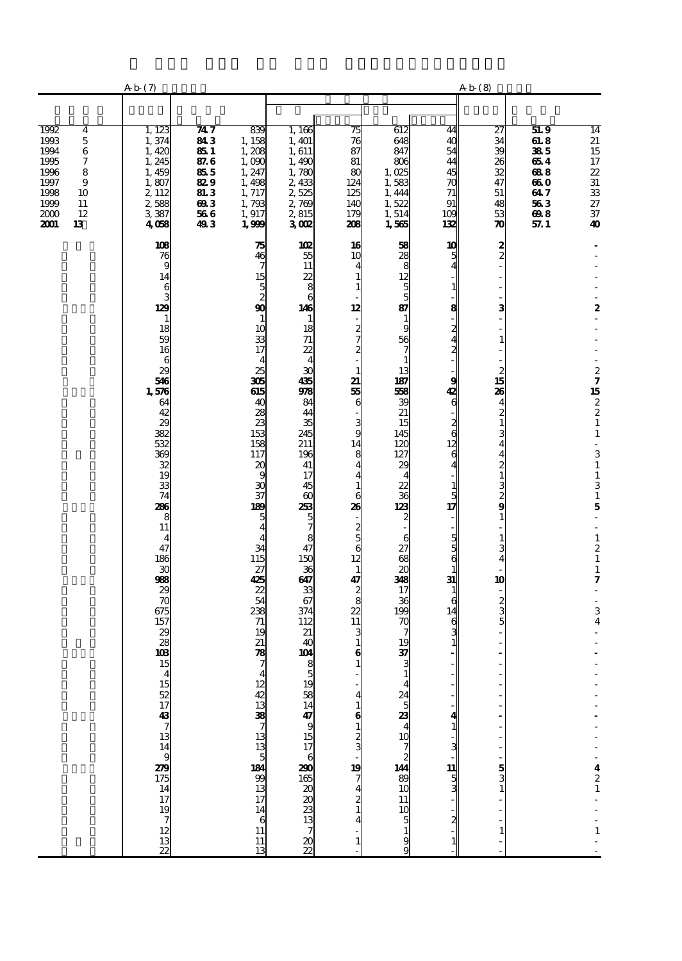|                                                                                                                                        | Ab(7)                                                                                                                                                                                                                                                                                                                                                                                                   |                                                                             |                                                                                                                                                                                                                                                                                                                                                                                                                             |                                                                                                                                                                                                                                                                                                                                                                                      |                                                                                                                                                                                                                                                                                                                                                                                                                                                          |                                                                                                                                                                                                                                                                                                                                                                                                              |                                                                                                                          | Ab(8)                                                                                                                                                                                                                                                    |                                                                      |                                                                                                                                                                                                                                                                                                                                                           |
|----------------------------------------------------------------------------------------------------------------------------------------|---------------------------------------------------------------------------------------------------------------------------------------------------------------------------------------------------------------------------------------------------------------------------------------------------------------------------------------------------------------------------------------------------------|-----------------------------------------------------------------------------|-----------------------------------------------------------------------------------------------------------------------------------------------------------------------------------------------------------------------------------------------------------------------------------------------------------------------------------------------------------------------------------------------------------------------------|--------------------------------------------------------------------------------------------------------------------------------------------------------------------------------------------------------------------------------------------------------------------------------------------------------------------------------------------------------------------------------------|----------------------------------------------------------------------------------------------------------------------------------------------------------------------------------------------------------------------------------------------------------------------------------------------------------------------------------------------------------------------------------------------------------------------------------------------------------|--------------------------------------------------------------------------------------------------------------------------------------------------------------------------------------------------------------------------------------------------------------------------------------------------------------------------------------------------------------------------------------------------------------|--------------------------------------------------------------------------------------------------------------------------|----------------------------------------------------------------------------------------------------------------------------------------------------------------------------------------------------------------------------------------------------------|----------------------------------------------------------------------|-----------------------------------------------------------------------------------------------------------------------------------------------------------------------------------------------------------------------------------------------------------------------------------------------------------------------------------------------------------|
|                                                                                                                                        |                                                                                                                                                                                                                                                                                                                                                                                                         |                                                                             |                                                                                                                                                                                                                                                                                                                                                                                                                             |                                                                                                                                                                                                                                                                                                                                                                                      |                                                                                                                                                                                                                                                                                                                                                                                                                                                          |                                                                                                                                                                                                                                                                                                                                                                                                              |                                                                                                                          |                                                                                                                                                                                                                                                          |                                                                      |                                                                                                                                                                                                                                                                                                                                                           |
| 1992<br>4<br>1993<br>5<br>1994<br>$\,6$<br>1995<br>7<br>1996<br>8<br>1997<br>9<br>1998<br>10<br>1999<br>11<br>2000<br>12<br>2001<br>13 | 1,123<br>1,374<br>1,420<br>1, 245<br>1,459<br>1,807<br>2, 112<br>2,588<br>3,387<br>4,058                                                                                                                                                                                                                                                                                                                | 747<br>843<br>851<br>87.6<br>855<br>829<br><b>81.3</b><br>693<br>566<br>493 | 839<br>1, 158<br>1,208<br>1,000<br>1, 247<br>1,498<br>1, 717<br>1,793<br>1,917<br>1,999                                                                                                                                                                                                                                                                                                                                     | 1,166<br>1, 401<br>1,611<br>1,490<br>1,780<br>2,433<br>2,525<br>2,769<br>2,815<br>3002                                                                                                                                                                                                                                                                                               | 75<br>76<br>87<br>81<br>80<br>124<br>125<br>140<br>179<br>208                                                                                                                                                                                                                                                                                                                                                                                            | 612<br>648<br>847<br>806<br>1,025<br>1,583<br>1,444<br>1,522<br>1,514<br>1,565                                                                                                                                                                                                                                                                                                                               | 44<br>4C<br>54<br>44<br>45<br>70<br>71<br>91<br>109<br>132                                                               | 27<br>34<br>39<br>26<br>32<br>47<br>51<br>48<br>53<br>$\boldsymbol{\pi}$                                                                                                                                                                                 | 51.9<br>618<br>385<br>654<br>688<br>660<br>647<br>563<br>698<br>57.1 | $\overline{14}$<br>21<br>$\frac{15}{17}$<br>$\frac{22}{31}$<br>33<br>27<br>37<br>40                                                                                                                                                                                                                                                                       |
|                                                                                                                                        | 108<br>76<br>9<br>14<br>6<br>3<br>129<br>$\mathbf{1}$<br>18<br>59<br>16<br>$\boldsymbol{6}$<br>29<br>546<br>1,576<br>64<br>42<br>29<br>382<br>532<br>369<br>32<br>19<br>33<br>74<br>286<br>8<br>11<br>$\overline{4}$<br>47<br>186<br>30<br>988<br>29<br>$\overline{\boldsymbol{v}}$<br>675<br>157<br>29<br>28<br>103<br>15<br>$\boldsymbol{\varDelta}$<br>1522 1743 7 13 14 9 22 15 14 17 19 7 12 13 22 |                                                                             | 75<br>46<br>7<br>15<br>5<br>2<br>$\mathbf{g}$<br>10<br>33<br>$\overline{17}$<br>25<br>306<br>615<br>4C<br>28<br>$\overline{z}$<br>153<br>158<br>117<br>$\boldsymbol{\alpha}$<br>g<br>$\mathbf{x}$<br>37<br>189<br>5<br>4<br>34<br>115<br>27<br>425<br>$\mathbf{z}$<br>54<br>238<br>71<br>19<br>21<br>78<br>7<br>$\frac{12}{3}$<br>38 $\frac{13}{7}$<br>17<br>17<br>17<br>17<br>14<br>$\begin{array}{c} 6 \\ 11 \end{array}$ | 102<br>55<br>11<br>22<br>8<br>6<br>146<br>$\mathbf{1}$<br>18<br>$71$<br>22<br>$\overline{4}$<br>30<br>435<br>978<br>84<br>44<br>35<br>245<br>211<br>196<br>41<br>17<br>45<br>$\boldsymbol{\omega}$<br>253<br>$\frac{5}{7}$<br>8<br>47<br>150<br>36<br>647<br>33<br>67<br>374<br>112<br>21<br>40<br>104<br>$\frac{8}{5}$<br>$\frac{19}{14}$<br>ු සහ පරිසි මි ය පැමි <del>එ</del><br>7 | 16<br>10<br>4<br>1<br>1<br>12<br>$\overline{\phantom{a}}$<br>$rac{2}{7}$<br>$\overline{c}$<br>$\mathbf{1}$<br>21<br>55<br>6<br>$\frac{3}{9}$<br>14<br>8<br>$\overline{\mathbf{4}}$<br>4<br>$\mathbf{1}$<br>6<br>26<br>÷<br>$\frac{2}{6}$<br>12<br>$\mathbf 1$<br>$\frac{47}{28}$<br>$\frac{2}{2}$<br>11<br>3<br>$\mathbf{1}$<br>6<br>$\mathbf{1}$<br>6<br>1<br>2<br>4<br>2<br>4<br>2<br>4<br>2<br>3<br>2<br>1<br>2<br>1<br>2<br>1<br>2<br>1<br><br><br>5 | 58<br>28<br>$\begin{array}{c}\n 8 \\  12 \\  5\n \end{array}$<br>87<br>$\mathbf{1}$<br>9<br>$\frac{56}{7}$<br>$\mathbf{1}$<br>13<br>187<br>568<br>39<br>21<br>15<br>145<br>120<br>127<br>29<br>$\overline{4}$<br>$\frac{22}{123}$<br>$\overline{\mathbf{c}}$<br>6<br>27<br>68<br>$\overline{30}$<br>348<br>17<br>36<br>199<br>$\boldsymbol{\pi}$<br>19<br>$\frac{37}{3}$<br><b>⊿</b> & ∞ ∞ ∞ ∞ ¥ ® ⊡ ⊡ ⊡ ∞ ∞ | 10<br>5<br>8<br>2<br>g<br>42<br>6<br>$\frac{2}{6}$<br>12<br>6<br>5<br>17<br>5<br>5<br>6<br>31<br>6<br>14<br>6<br>11<br>5 | $\frac{2}{2}$<br>3<br>$\mathbf{1}$<br>$\overline{\mathbf{c}}$<br>15<br>26<br>$\overline{\mathbf{4}}$<br>$\frac{2}{1}$<br>3<br>4<br>4<br>$\frac{2}{1}$<br><b>ຜ</b> ານ ຜ<br>$\mathbf{1}$<br>$\mathbf{1}$<br>3<br>4<br>10<br>$\frac{2}{3}$<br>$\frac{5}{3}$ |                                                                      | 2<br>$27$<br>15<br>$2$<br>2<br>1<br>$\mathbf 1$<br>÷,<br>$\begin{array}{c} 3 \\ 1 \end{array}$<br>$\mathbf 1$<br>$\overline{3}$ 1<br>$\mathbf 5$<br>÷,<br>$\overline{\phantom{a}}$<br>$\mathbf 1$<br>$\boldsymbol{2}$<br>$\mathbf{1}$<br>$\mathbf{1}$<br>7<br>3<br>$\overline{\mathbf{4}}$<br>$\begin{array}{c} 4 \\ 2 \\ 1 \end{array}$<br>$\frac{1}{1}$ |
|                                                                                                                                        |                                                                                                                                                                                                                                                                                                                                                                                                         |                                                                             | $\begin{array}{c} 11 \\ 13 \end{array}$                                                                                                                                                                                                                                                                                                                                                                                     | $\frac{20}{22}$                                                                                                                                                                                                                                                                                                                                                                      |                                                                                                                                                                                                                                                                                                                                                                                                                                                          | $\frac{9}{9}$                                                                                                                                                                                                                                                                                                                                                                                                |                                                                                                                          |                                                                                                                                                                                                                                                          |                                                                      |                                                                                                                                                                                                                                                                                                                                                           |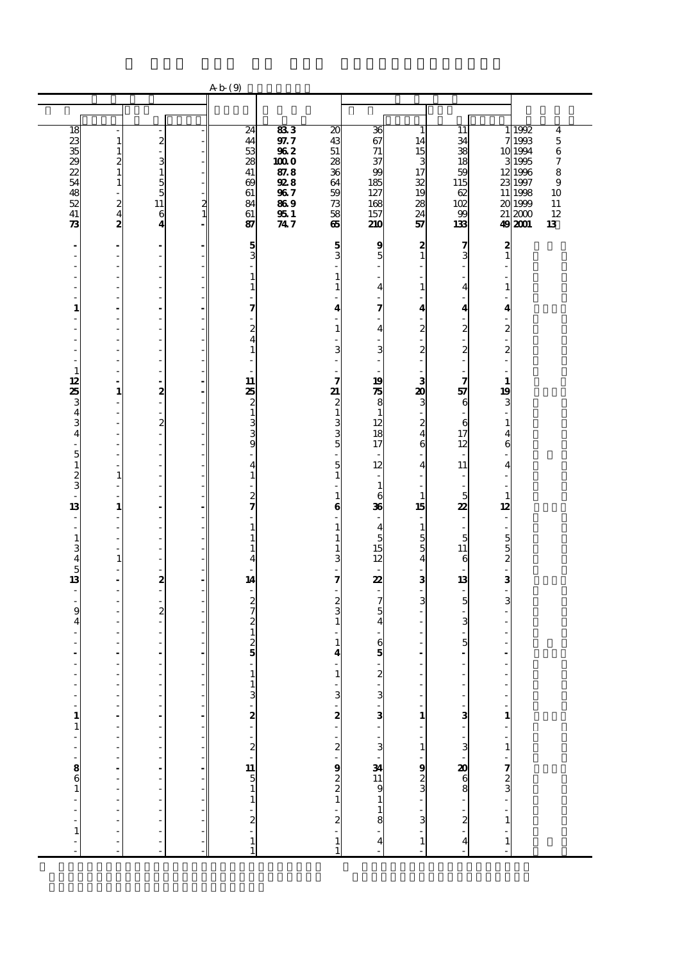|                                                        |                                                      |                                               |               | Ab(9)                                      |             |                                               |                                              |                                           |                                   |                                |                 |                                 |
|--------------------------------------------------------|------------------------------------------------------|-----------------------------------------------|---------------|--------------------------------------------|-------------|-----------------------------------------------|----------------------------------------------|-------------------------------------------|-----------------------------------|--------------------------------|-----------------|---------------------------------|
|                                                        |                                                      |                                               |               |                                            |             |                                               |                                              |                                           |                                   |                                |                 |                                 |
| 18                                                     |                                                      |                                               |               | $\overline{24}$                            | 833         | $\overline{20}$                               | 36                                           | ı                                         | 11                                | 1                              | 1992            | 4                               |
|                                                        | $\mathbf{1}$                                         | $\boldsymbol{z}$                              |               | 44                                         | 97.7        | 43                                            | 67                                           | 14                                        | 34                                | 7                              | 1993            | 5                               |
| <b>MBBBBB</b>                                          | $\frac{1}{2}$                                        | ä,<br>3                                       |               | 53<br>28                                   | 962<br>1000 | $51\,$<br>28                                  | 71<br>37                                     | 15<br>3                                   | 38<br>18                          | 3                              | 10 1994<br>1995 | $\,$ 6 $\,$<br>$\boldsymbol{7}$ |
|                                                        |                                                      | $\mathbf{1}$                                  |               | 41                                         | 87.8        | 36                                            | 99                                           | 17                                        | 59                                |                                | 12 1996         | 8                               |
|                                                        | $\mathbf{1}$                                         | 5<br>5                                        |               | $\boldsymbol{\omega}$                      | 928<br>967  | 64<br>59                                      | 185<br>127                                   | 32<br>19                                  | 115<br>62                         | 11                             | 23 1997<br>1998 | 9<br>10                         |
| $rac{48}{52}$                                          | $\overline{\phantom{a}}$<br>$\frac{2}{4}$            | 11                                            | $\frac{2}{1}$ | 61<br>84                                   | 869         | 73                                            | 168                                          | 28                                        | 102                               |                                | 20 1999         | 11                              |
| 41<br>$\boldsymbol{\mathcal{R}}$                       | $\overline{z}$                                       | 6                                             |               | 61                                         | 951<br>747  | 58                                            | 157                                          | 24                                        | 99<br>133                         | 21                             | 2000<br>49 2001 | 12<br>13                        |
|                                                        |                                                      | $\boldsymbol{4}$                              |               | 87                                         |             | 65                                            | 210                                          | 57                                        |                                   |                                |                 |                                 |
| $\overline{\phantom{a}}$<br>÷,                         | $\overline{\phantom{a}}$<br>$\overline{\phantom{a}}$ | $\overline{\phantom{a}}$<br>÷,                |               | $\frac{5}{3}$                              |             | 5<br>3                                        | 9<br>5                                       | $\boldsymbol{z}$<br>$\mathbf{1}$          | 7<br>3                            | 2<br>$\mathbf{1}$              |                 |                                 |
|                                                        | L,                                                   | Ĭ.                                            |               |                                            |             |                                               |                                              |                                           | L,                                |                                |                 |                                 |
| Ĭ.                                                     | $\overline{\phantom{a}}$<br>$\overline{a}$           | ÷                                             |               | $\mathbf{1}$                               |             | 1                                             |                                              |                                           |                                   |                                |                 |                                 |
| ٠                                                      | L,                                                   | Ĩ.<br>$\overline{a}$                          |               | $\mathbf{1}$                               |             | 1                                             | $\overline{\mathbf{4}}$                      | $\mathbf{1}$<br>L,                        | 4                                 | $\mathbf{1}$                   |                 |                                 |
| 1                                                      | $\overline{\phantom{a}}$                             | $\overline{a}$                                |               | 7                                          |             | 4                                             | 7                                            | 4                                         | 4                                 | $\overline{\mathbf{4}}$        |                 |                                 |
| J.                                                     | Ĭ.<br>L,                                             | Ĩ.<br>$\overline{a}$                          |               | 2                                          |             | 1                                             | 4                                            | $\overline{\mathbf{c}}$                   | $\overline{c}$                    | $\overline{\mathcal{Z}}$       |                 |                                 |
| J.                                                     | $\frac{1}{2}$                                        | ł,                                            |               | $\overline{\mathbf{4}}$                    |             |                                               |                                              | $\overline{a}$                            |                                   | $\overline{\phantom{a}}$       |                 |                                 |
| ٠                                                      | $\frac{1}{2}$                                        | $\qquad \qquad \blacksquare$                  |               | $\mathbf{1}$                               |             | 3                                             | 3                                            | $\overline{\mathbf{c}}$<br>$\overline{a}$ | $\boldsymbol{z}$<br>$\frac{1}{2}$ | $\boldsymbol{z}$               |                 |                                 |
| $\mathbf{1}$<br>12                                     | ÷,<br>$\sim$                                         | ÷,<br>÷.                                      |               | 11                                         |             | 7                                             | 19                                           |                                           | $\frac{1}{2}$<br>7                | $\mathbf{1}$                   |                 |                                 |
| 25                                                     | $\mathbf{1}$                                         | 2                                             |               | 25                                         |             | 21                                            | 75                                           | 3<br>20                                   | 57                                | 19                             |                 |                                 |
|                                                        | ÷,<br>÷,                                             | i,                                            |               | $\frac{2}{1}$                              |             | $\frac{2}{1}$                                 | 8                                            | 3<br>$\overline{a}$                       | 6<br>L,                           | 3                              |                 |                                 |
| 343                                                    | $\frac{1}{2}$                                        | ÷,<br>$\boldsymbol{z}$                        |               | 3                                          |             |                                               | $\mathbf{1}$<br>12                           | $\overline{\mathbf{c}}$                   | 6                                 | $\mathbf{1}$                   |                 |                                 |
| $\overline{\bf{4}}$                                    | $\overline{a}$<br>$\overline{\phantom{a}}$           | $\frac{1}{2}$                                 |               | 3<br>9                                     |             | $\frac{3}{5}$                                 | 18<br>17                                     | $\overline{\mathbf{4}}$<br>6              | 17<br>12                          | $\overline{\mathbf{4}}$<br>6   |                 |                                 |
| $\overline{\phantom{a}}$<br>$\overline{5}$             | $\overline{\phantom{a}}$                             | $\qquad \qquad \blacksquare$<br>$\frac{1}{2}$ |               |                                            |             |                                               |                                              |                                           | $\overline{\phantom{a}}$          |                                |                 |                                 |
| $\mathbf{1}$                                           | $\mathbf{1}$                                         | $\overline{a}$                                |               | 4<br>$\mathbf{1}$                          |             | 5<br>$\mathbf{1}$                             | 12<br>٠                                      | $\overline{\mathbf{4}}$<br>٠              | 11<br>$\overline{a}$              | $\overline{4}$                 |                 |                                 |
| $\frac{2}{3}$                                          | $\overline{\phantom{a}}$                             | ł,                                            |               |                                            |             |                                               | $\mathbf{1}$                                 |                                           | $\overline{\phantom{a}}$          |                                |                 |                                 |
| 13                                                     | $\mathbf{1}$                                         | $\overline{\phantom{a}}$                      |               | $\frac{2}{7}$                              |             | 1<br>$\bf{6}$                                 | 6<br>36                                      | $\mathbf{1}$<br>15                        | 5<br>22                           | $\mathbf{1}$<br>12             |                 |                                 |
| $\frac{1}{2}$                                          | $\frac{1}{2}$                                        | ÷,                                            |               |                                            |             |                                               |                                              | ä,                                        | $\overline{\phantom{a}}$          |                                |                 |                                 |
| ÷.<br>$\mathbf{1}$                                     | L,<br>$\overline{\phantom{a}}$                       | Ĭ.<br>÷                                       |               | $\mathbf{1}$<br>$\mathbf{1}$               |             | 1<br>1                                        | $\overline{\mathbf{4}}$<br>5                 | $\mathbf{1}$<br>5                         | $\overline{\phantom{a}}$<br>5     | $\overline{\phantom{a}}$       |                 |                                 |
| 3                                                      | $\frac{1}{2}$                                        | Ĩ.                                            |               | $\mathbf{1}$                               |             | 1                                             | 15                                           | 5                                         | 11                                | $\frac{5}{2}$                  |                 |                                 |
| $\overline{\mathbf{4}}$<br>$\overline{5}$              | $\mathbf{1}$<br>$\overline{\phantom{a}}$             | ÷,<br>÷                                       |               | 4                                          |             | 3                                             | 12                                           | $\overline{\mathbf{4}}$<br>-              | 6                                 | $\overline{\phantom{a}}$       |                 |                                 |
| 13                                                     | $\overline{\phantom{a}}$                             | 2                                             |               | 14                                         |             | 7                                             | 22                                           | 3                                         | 13                                | 3                              |                 |                                 |
| $\overline{\phantom{a}}$<br>l,                         | $\overline{\phantom{a}}$<br>$\overline{\phantom{a}}$ | $\overline{a}$<br>$\frac{1}{2}$               |               |                                            |             |                                               | 7                                            | $\overline{a}$<br>3                       | ÷<br>5                            | $\overline{\phantom{a}}$<br>3  |                 |                                 |
| 9                                                      | $\frac{1}{2}$                                        | $\boldsymbol{z}$                              |               | $\frac{2}{2}$                              |             | $\frac{2}{3}$                                 | 5                                            |                                           |                                   |                                |                 |                                 |
| 4                                                      | $\frac{1}{2}$<br>L,                                  | $\qquad \qquad \blacksquare$<br>Ĭ.            |               | $\mathbf{1}$                               |             |                                               | $\overline{4}$                               |                                           | 3                                 |                                |                 |                                 |
|                                                        |                                                      |                                               |               | $\frac{2}{5}$                              |             | 1                                             | 6                                            |                                           | 5                                 |                                |                 |                                 |
|                                                        | $\blacksquare$<br>÷,                                 | ÷,                                            |               |                                            |             | 4                                             | 5<br>÷.                                      | L                                         | ä,                                |                                |                 |                                 |
|                                                        |                                                      |                                               |               |                                            |             | 비                                             |                                              |                                           |                                   |                                |                 |                                 |
| $\begin{bmatrix} 1 \\ 1 \\ 1 \end{bmatrix}$            | $\begin{bmatrix} 1 \\ 1 \\ 1 \\ 1 \end{bmatrix}$     | $\frac{1}{1}$                                 |               |                                            |             |                                               |                                              | $\overline{\phantom{a}}$                  |                                   | $\overline{\phantom{0}}$<br>÷, |                 |                                 |
|                                                        |                                                      | f                                             |               |                                            |             |                                               |                                              | $\overline{a}$                            |                                   | $\overline{\phantom{a}}$       |                 |                                 |
|                                                        |                                                      |                                               |               |                                            |             |                                               |                                              | $\begin{array}{c} 1 \\ -1 \end{array}$    |                                   |                                |                 |                                 |
|                                                        |                                                      |                                               |               |                                            |             |                                               |                                              |                                           |                                   |                                |                 |                                 |
| $\frac{1}{2}$ $\cdots$ $\frac{1}{2}$ $\cdots$ $\cdots$ | - - - - - - - - - - -                                | - - - - - - - - - -                           |               | – בט' <b>מ</b> ' מ' <b>בו</b> הס – בו מ' מ |             | ' נט' <b>מ'</b> ' נא' <b>ס</b> נא מא בא י' נא | .<br>א ′ د v ′ د v ′ ^ د v ′ ¥ = v − − × v ′ | <u>- ജേരം - ജ</u>                         |                                   | $1 - 1 - 1 - 1$                |                 |                                 |
|                                                        |                                                      |                                               | Ĭ.            |                                            |             |                                               |                                              |                                           |                                   |                                |                 |                                 |
|                                                        |                                                      |                                               |               |                                            |             |                                               |                                              |                                           |                                   |                                |                 |                                 |
|                                                        |                                                      |                                               |               |                                            |             |                                               |                                              |                                           |                                   |                                |                 |                                 |
|                                                        |                                                      | $\frac{1}{2}$                                 |               |                                            |             |                                               |                                              |                                           |                                   |                                |                 |                                 |
| $\frac{1}{1}$                                          | ÷,                                                   | $\ddot{\phantom{a}}$                          |               |                                            |             |                                               |                                              |                                           | $\overline{\bf{4}}$               |                                |                 |                                 |
|                                                        | ŀ                                                    |                                               |               | $\frac{1}{1}$                              |             | $\frac{1}{1}$                                 | $\overline{\mathbf{4}}$                      | $\mathbf{1}$                              |                                   | $\mathbf{1}$                   |                 |                                 |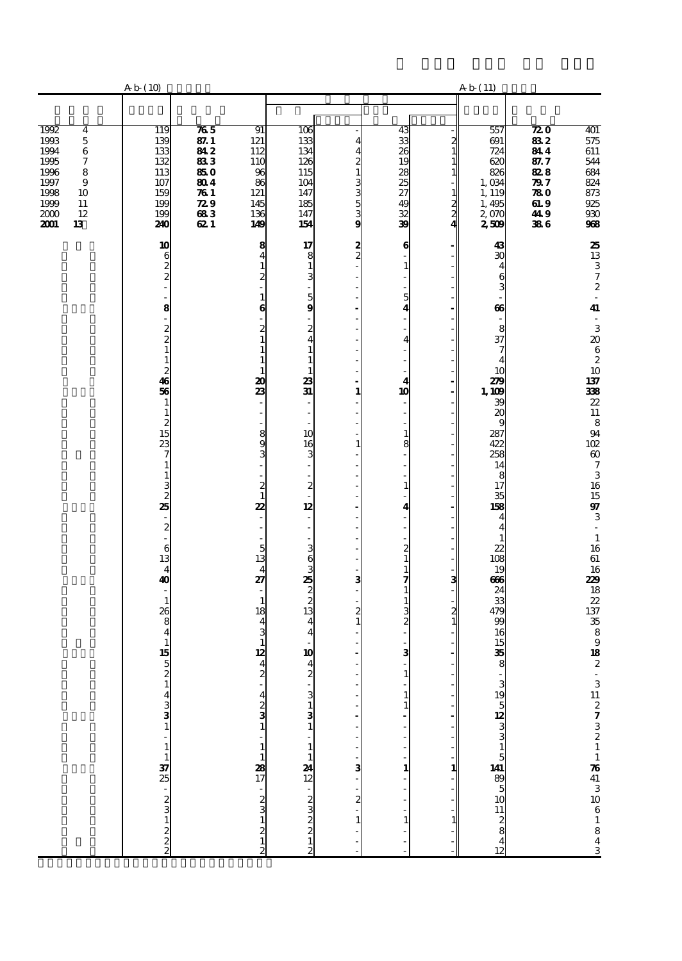|                                                                                                           | A b (10)                                                                                                                                                                                                                                                                                                  |                                                                                               |                                                                                                                                                                                                                                                                                                                                                        |                                                                                                                                                                                                                                                                                                                                              |                                                                                                                                                                                                                                                                                                                                                                                                                                                                                                                                    |                                                                                                                                                                            |                                                     | A b (11)                                                                                                            |                                                                                 |                                                                                                                         |
|-----------------------------------------------------------------------------------------------------------|-----------------------------------------------------------------------------------------------------------------------------------------------------------------------------------------------------------------------------------------------------------------------------------------------------------|-----------------------------------------------------------------------------------------------|--------------------------------------------------------------------------------------------------------------------------------------------------------------------------------------------------------------------------------------------------------------------------------------------------------------------------------------------------------|----------------------------------------------------------------------------------------------------------------------------------------------------------------------------------------------------------------------------------------------------------------------------------------------------------------------------------------------|------------------------------------------------------------------------------------------------------------------------------------------------------------------------------------------------------------------------------------------------------------------------------------------------------------------------------------------------------------------------------------------------------------------------------------------------------------------------------------------------------------------------------------|----------------------------------------------------------------------------------------------------------------------------------------------------------------------------|-----------------------------------------------------|---------------------------------------------------------------------------------------------------------------------|---------------------------------------------------------------------------------|-------------------------------------------------------------------------------------------------------------------------|
| 1992                                                                                                      | 119                                                                                                                                                                                                                                                                                                       | $\overline{\boldsymbol{n}}$ 5                                                                 | 91                                                                                                                                                                                                                                                                                                                                                     | 106                                                                                                                                                                                                                                                                                                                                          |                                                                                                                                                                                                                                                                                                                                                                                                                                                                                                                                    | 43                                                                                                                                                                         |                                                     | 557                                                                                                                 | $\overline{\boldsymbol{z}}$ 0                                                   |                                                                                                                         |
| 456789<br>1993<br>1994<br>1995<br>1996<br>1997<br>1998<br>10<br>$\frac{1999}{2000}$<br>$11\,$<br>12<br>13 | 139<br>133<br>132<br>$\frac{113}{107}$<br>159<br>199<br>199<br>240                                                                                                                                                                                                                                        | $\frac{871}{812}$<br>$\frac{850}{804}$<br>761<br>$\boldsymbol{z}\boldsymbol{s}$<br>683<br>621 | 121<br>112<br>110<br>$\begin{array}{c}\n 96 \\  86\n \end{array}$<br>121<br>145<br>136<br>149                                                                                                                                                                                                                                                          | 133<br>134<br>126<br>115<br>104<br>147<br>185<br>147<br>154                                                                                                                                                                                                                                                                                  | 444213353353                                                                                                                                                                                                                                                                                                                                                                                                                                                                                                                       | 9885388588                                                                                                                                                                 | $\frac{2}{1}$<br>$\mathbf{1}$<br>$\frac{1}{2}$<br>4 | 691<br>724<br>620<br>826<br>$1,034$<br>1, 119<br>1, 495<br>2, 070<br>2, 509                                         | $\frac{882}{844}$<br>87.7<br>$\frac{88}{29}$<br>780<br>$\frac{619}{419}$<br>386 | $\frac{401}{575}$<br>611<br>544<br>684<br>824<br>873<br>925<br>908<br>908                                               |
|                                                                                                           | $\begin{array}{c}\n10 \\ 6 \\ 2 \\ 2\n\end{array}$<br>$\overline{a}$<br>8<br>-<br>$2021$<br>$123$<br>$36$<br>$\frac{1}{2}$<br>$\frac{1}{2}$<br>$\frac{1}{2}$<br>$\frac{2}{7}$<br>$\frac{7}{1}$<br>$\frac{1}{3}$<br>25<br>$-2$<br>$-6$<br>$13$<br>$40$<br>$\begin{array}{c} 1 \\ 26 \\ 8 \\ 4 \end{array}$ |                                                                                               | $\frac{8}{4}$<br>$\overline{1}$<br>2<br>$\frac{1}{6}$<br>$\frac{2}{1}$<br>$\mathbf{1}$<br>$\mathbf{1}$<br>$\frac{1}{23}$<br>893<br>$\frac{1}{2}$<br>22<br>$\overline{\phantom{a}}$<br>$rac{1}{27}$<br>$\frac{1}{18}$<br>$\begin{array}{c} 4 \\ 3 \\ 12 \end{array}$<br>$\frac{4}{2}$<br>$\frac{4}{2}$ $\frac{3}{1}$<br>$-1$<br>$12$<br>$17$<br>$-2312$ | $\begin{array}{c} 17 \\ 8 \\ 1 \end{array}$<br>3<br>$\frac{5}{9}$<br>$\frac{2}{4}$<br>$\mathbf 1$<br>$\mathbf{1}$<br>$\mathbf{1}$<br>$\frac{23}{31}$<br>10<br>$\frac{16}{3}$<br>$\frac{1}{2}$<br>÷,<br>12<br>ದ ನಾ <b>ಟಿ</b> ದ ರಾ ದ<br>$\frac{4}{4}$<br>10<br>$\frac{4}{2}$<br>$\frac{3}{3}$<br>$\mathbf{1}$<br>$\frac{1}{12}$<br>12<br>22222 | $\frac{2}{2}$<br>$\overline{\phantom{a}}$<br>$\overline{\phantom{a}}$<br>$\overline{\phantom{a}}$<br>$\overline{\phantom{a}}$<br>$\overline{\phantom{a}}$<br>$\overline{\phantom{a}}$<br>$\mathbf{1}$<br>$\overline{\phantom{a}}$<br>ä,<br>$\overline{\phantom{a}}$<br>$\mathbf 1$<br>$\overline{\phantom{a}}$<br>$\overline{\phantom{a}}$<br>$\overline{\phantom{a}}$<br>$\overline{\phantom{a}}$<br>$\overline{\phantom{a}}$<br>$\qquad \qquad \blacksquare$<br>$\frac{1}{3}$<br>$\frac{1}{2}$<br>$\frac{1}{3}$<br>$\frac{1}{2}$ | $\bf{6}$<br>1<br>5<br>4<br>4<br>4<br>10<br>1<br>8<br>$\mathbf{1}$<br>4<br>$\frac{2}{1}$<br>$\begin{array}{c} 1 \\ 7 \\ 1 \end{array}$<br>$\frac{1}{2}$<br>з<br>1<br>1<br>1 | з<br>1                                              | $\frac{43}{30}$<br>$rac{4}{66}$<br>$37 \frac{8}{4}$<br>$\frac{10}{279}$<br>1.009<br>3.287<br>422<br>$\frac{13}{28}$ |                                                                                 | 25.13.372.44.32062.10.1373892.11.894.12.607.31.16.15973.11.16.61.1629.18.22.37.35.89.18.22.<br>$-311273211764131061843$ |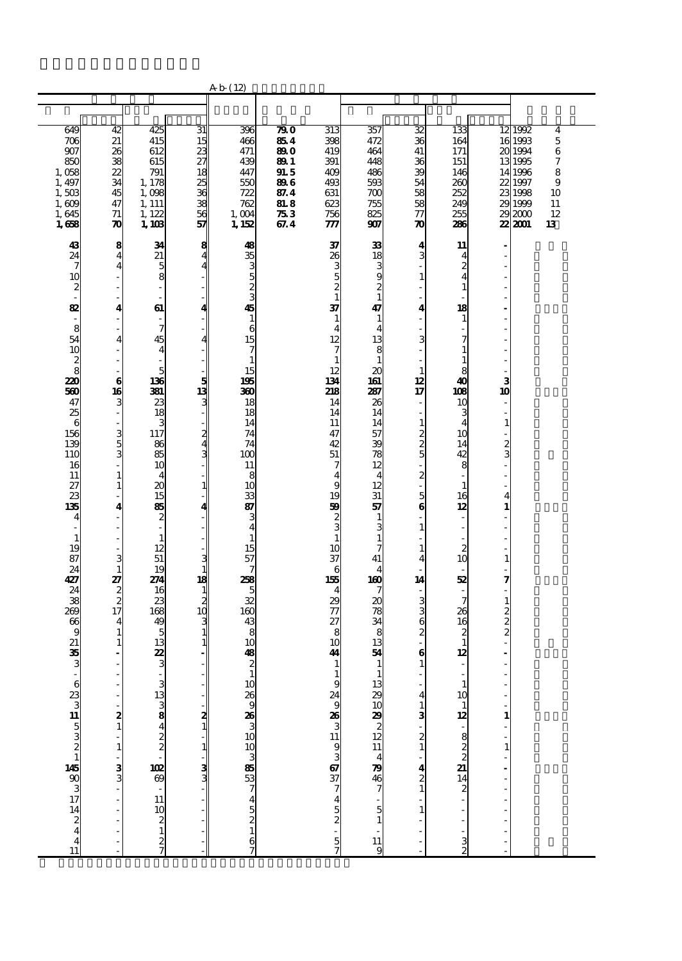|                                                                                                                                                                                                                                                                                                                                                                           |                                                                                                                                                                                                                                                                                                                                                                                                                                                                                                                                                                                                                                                                                                                                      |                                                                                                                                                                                                                                                                                                                                                                                                           |                                                                                     | A b (12)                                                                                                                                                                                                                                                                                                                              |                                                                                                   |                                                                                                                                                                                                                                                                                                                                                                                                        |                                                                                                                                                                                                                                                                                                                                                                                                                                                               |                                                                                                                                                                                                                                                                                                                                   |                                                                                                                                                                                                                                                                                                                                                                                                                                                                                                      |                                                                                                                                                                                                                                                                                                                                                                                                                                                                                                             |                                                                                                                     |
|---------------------------------------------------------------------------------------------------------------------------------------------------------------------------------------------------------------------------------------------------------------------------------------------------------------------------------------------------------------------------|--------------------------------------------------------------------------------------------------------------------------------------------------------------------------------------------------------------------------------------------------------------------------------------------------------------------------------------------------------------------------------------------------------------------------------------------------------------------------------------------------------------------------------------------------------------------------------------------------------------------------------------------------------------------------------------------------------------------------------------|-----------------------------------------------------------------------------------------------------------------------------------------------------------------------------------------------------------------------------------------------------------------------------------------------------------------------------------------------------------------------------------------------------------|-------------------------------------------------------------------------------------|---------------------------------------------------------------------------------------------------------------------------------------------------------------------------------------------------------------------------------------------------------------------------------------------------------------------------------------|---------------------------------------------------------------------------------------------------|--------------------------------------------------------------------------------------------------------------------------------------------------------------------------------------------------------------------------------------------------------------------------------------------------------------------------------------------------------------------------------------------------------|---------------------------------------------------------------------------------------------------------------------------------------------------------------------------------------------------------------------------------------------------------------------------------------------------------------------------------------------------------------------------------------------------------------------------------------------------------------|-----------------------------------------------------------------------------------------------------------------------------------------------------------------------------------------------------------------------------------------------------------------------------------------------------------------------------------|------------------------------------------------------------------------------------------------------------------------------------------------------------------------------------------------------------------------------------------------------------------------------------------------------------------------------------------------------------------------------------------------------------------------------------------------------------------------------------------------------|-------------------------------------------------------------------------------------------------------------------------------------------------------------------------------------------------------------------------------------------------------------------------------------------------------------------------------------------------------------------------------------------------------------------------------------------------------------------------------------------------------------|---------------------------------------------------------------------------------------------------------------------|
|                                                                                                                                                                                                                                                                                                                                                                           |                                                                                                                                                                                                                                                                                                                                                                                                                                                                                                                                                                                                                                                                                                                                      |                                                                                                                                                                                                                                                                                                                                                                                                           |                                                                                     |                                                                                                                                                                                                                                                                                                                                       |                                                                                                   |                                                                                                                                                                                                                                                                                                                                                                                                        |                                                                                                                                                                                                                                                                                                                                                                                                                                                               |                                                                                                                                                                                                                                                                                                                                   |                                                                                                                                                                                                                                                                                                                                                                                                                                                                                                      |                                                                                                                                                                                                                                                                                                                                                                                                                                                                                                             |                                                                                                                     |
| 649<br>706<br>907<br>850<br>1,058<br>1, 497<br>1,503<br>1,609<br>1,645<br>1,658                                                                                                                                                                                                                                                                                           | 42<br>21<br>26<br>38<br>22<br>34<br>45<br>47<br>71<br>70                                                                                                                                                                                                                                                                                                                                                                                                                                                                                                                                                                                                                                                                             | 425<br>415<br>612<br>615<br>791<br>1,178<br>1,098<br>1, 111<br>1, 122<br>1,103                                                                                                                                                                                                                                                                                                                            | 31<br>15<br>23<br>27<br>$\overline{18}$<br>$\frac{25}{36}$<br>$\frac{38}{56}$<br>57 | 396<br>466<br>471<br>439<br>447<br>550<br>722<br>762<br>1,004<br>1, 152                                                                                                                                                                                                                                                               | $\overline{290}$<br>854<br>89 O<br>89 1<br>91. 5<br>896<br>87.4<br><b>81.8</b><br>$\pi_3$<br>67.4 | 313<br>398<br>419<br>391<br>409<br>493<br>631<br>623<br>756                                                                                                                                                                                                                                                                                                                                            | 357<br>472<br>464<br>448<br>486<br>593<br>$\pi$<br>755<br>825<br>907                                                                                                                                                                                                                                                                                                                                                                                          | 32<br>36<br>41<br>36<br>39<br>54<br>58<br>58<br>$\overline{\tau}$<br>$\boldsymbol{\pi}$                                                                                                                                                                                                                                           | 133<br>164<br>171<br>151<br>146<br>260<br>252<br>249<br>255<br>286                                                                                                                                                                                                                                                                                                                                                                                                                                   | 12 1992<br>16 1993<br>201994<br>13 1995<br>14 1996<br>22 1997<br>23 1998<br>29 1999<br>292000<br>22 2001                                                                                                                                                                                                                                                                                                                                                                                                    | $\overline{\mathbf{4}}$<br>$\overline{5}$<br>$\boldsymbol{6}$<br>$\boldsymbol{7}$<br>8<br>9<br>10<br>11<br>12<br>13 |
| 43<br>24<br>7<br>10<br>$\boldsymbol{z}$<br>$\overline{\phantom{a}}$<br>82<br>$\overline{\phantom{a}}$<br>8<br>54<br>10<br>$\frac{2}{8}$<br>220<br>560<br>47<br>25<br>6<br>156<br>139<br>110<br>16<br>11<br>27<br>23<br>135<br>4<br>$\mathbf{1}$<br>19<br>87<br>24<br>427<br>24<br>38<br>269<br>66<br>9<br>21<br>35<br>3<br>∞ 83 ಎ¤ ರೂಜ ∝ ರೂ ಸ ಸ ಸ ಸ ಸ 4 ± 11 ± 12 23 ± 11 | $\frac{8}{4}$<br>$\overline{\mathbf{4}}$<br>$\overline{\phantom{a}}$<br>$\blacksquare$<br>$\overline{\phantom{a}}$<br>4<br>$\overline{a}$<br>$\overline{\mathbf{4}}$<br>$\overline{\phantom{a}}$<br>$\overline{\phantom{a}}$<br>$\bf{6}$<br>16<br>3<br>$\overline{\phantom{a}}$<br>$\overline{\phantom{a}}$<br>3 <sub>1</sub><br>$\mathbf{1}$<br>$\mathbf{1}$<br>$\overline{\phantom{a}}$<br>$\overline{\mathbf{4}}$<br>$\overline{\phantom{a}}$<br>$\overline{\phantom{a}}$<br>$\overline{\phantom{a}}$<br>$\overline{\phantom{a}}$<br>3<br>$\mathbf{1}$<br>27<br>$\begin{array}{c}\n2 \\ 2 \\ 17\n\end{array}$<br>$\overline{\mathbf{4}}$<br>$\mathbf{1}$<br>$\mathbf{1}$<br>$\blacksquare$<br>$\frac{2}{1}$<br>$-1$<br>$-3$<br>Ĭ. | 34<br>21<br>5<br>8<br>61<br>7<br>45<br>4<br>5<br>136<br>331<br>23<br>18<br>3<br>117<br>86<br>85<br>10<br>4<br>20<br>15<br>85<br>$\boldsymbol{z}$<br>$\overline{a}$<br>$\mathbf{1}$<br>12<br>51<br>19<br>274<br>16<br>23<br>168<br>49<br>5<br>13<br>22<br>3<br>$\frac{3}{3}$ $\frac{3}{3}$ $\frac{3}{3}$ $\frac{4}{3}$ $\frac{2}{3}$ $\frac{4}{3}$ $\frac{2}{3}$ $\frac{1}{3}$ $\frac{3}{3}$ $\frac{3}{3}$ | 8<br>Z<br>4<br>5<br>13<br>3<br>1<br>З<br>1<br>18<br>1<br>2<br>10                    | 48<br>35<br><u>ധ ജ ന</u><br>45<br>$\mathbf{1}$<br>6<br>15<br>7<br>$\mathbf{1}$<br>15<br>195<br>360<br>18<br>18<br>14<br>74<br>74<br>100<br>11<br>8<br>10<br>33<br>87<br>3<br>4<br>$\mathbf{1}$<br>15<br>57<br>28<br>5<br>32<br>160<br>43<br>8<br>10<br>48<br>$\boldsymbol{z}$<br>$\mathbf{1}$<br>1289989353884212345<br>$\frac{6}{7}$ |                                                                                                   | 777<br>37<br>26<br>3000<br>37<br>$\mathbf{1}$<br>$\overline{\mathbf{4}}$<br>12<br>7<br>$\mathbf{1}$<br>12<br>134<br>218<br>14<br>14<br>11<br>47<br>42<br>51<br>7<br>$\overline{\mathbf{4}}$<br>9<br>19<br>59<br>$\frac{2}{3}$<br>$\mathbf{1}$<br>10<br>37<br>6<br>155<br>$\overline{4}$<br>29<br>77<br>27<br>8<br>10<br>41<br>$\mathbf 1$<br>$\mathbf{1}$<br>งต่องแล้วส <b>ล</b> ิตอธแต <b>ลอ</b> ลิตส | 33<br>18<br>3<br>9<br>$\frac{2}{1}$<br>47<br>$\mathbf{1}$<br>$\overline{4}$<br>13<br>8<br>$\mathbf{1}$<br>$\boldsymbol{\mathsf{20}}$<br>161<br>287<br>26<br>14<br>14<br>57<br>39<br>78<br>12<br>$\overline{4}$<br>12<br>31<br>57<br>$\mathbf{1}$<br>3<br>$\mathbf{1}$<br>7<br>41<br>4<br>160<br>7<br>$\boldsymbol{\mathsf{20}}$<br>78<br>34<br>8<br>13<br>54<br>$\mathbf{1}$<br>$\mathbf{1}$<br>3800 80 80 80 80 80 91<br>5<br>$\mathbf{1}$<br>$\frac{11}{9}$ | 4<br>3<br>$\mathbf{1}$<br>4<br>3<br>$\mathbf{1}$<br>12<br>17<br>$\overline{\phantom{a}}$<br>$\mathbf{1}$<br>280<br>$\overline{\mathbf{c}}$<br>$\overline{\phantom{a}}$<br>$\frac{5}{6}$<br>$\mathbf{1}$<br>1<br>4<br>L,<br>14<br>380<br>6<br>$\mathbf{1}$<br>4<br>$\frac{1}{3}$<br>$\frac{1}{2}$<br>$\frac{4}{2}$<br>$\mathbf{1}$ | 11<br>$\overline{\mathbf{4}}$<br>$\frac{2}{4}$<br>$\mathbf{1}$<br>18<br>$\mathbf{1}$<br>7<br>$\mathbf{1}$<br>$\mathbf{1}$<br>8<br>40<br>108<br>10<br>3<br>$\overline{4}$<br>10<br>14<br>42<br>8<br>$\mathbf{1}$<br>16<br>12<br>$\overline{\phantom{a}}$<br>$\overline{\phantom{a}}$<br>$\boldsymbol{z}$<br>10<br>52<br>$\overline{\phantom{a}}$<br>26<br>16<br>2<br>$\mathbf{1}$<br>12<br>$\begin{array}{c} 1 \\ 10 \end{array}$<br>$\frac{1}{12}$<br>$\approx$ 22 ມ $\approx$ 20 ມ<br>$\frac{3}{2}$ | $\overline{a}$<br>Ĭ.<br>Ĭ.<br>ä,<br>Ĭ.<br>ä,<br>Ĭ.<br>Ĭ.<br>$\overline{a}$<br>L.<br>ä,<br>3<br>10<br>$\overline{\phantom{a}}$<br>L,<br>$\mathbf{1}$<br>$\overline{a}$<br>2<br>3<br>÷,<br>Ĭ.<br>÷,<br>4<br>$\mathbf{1}$<br>$\overline{\phantom{0}}$<br>$\overline{a}$<br>÷,<br>ä,<br>$\mathbf{1}$<br>÷,<br>7<br>$\mathbf{1}$<br>$\frac{2}{2}$<br>$\overline{\mathcal{L}}$<br>L,<br>ä,<br>Ĭ.<br>-<br>$\frac{1}{2}$<br>$\begin{array}{c} 1 \\ - \\ - \\ - \\ - \end{array}$<br>$\frac{1}{2}$<br>$\overline{a}$ |                                                                                                                     |

 $\mathbb{R}^n$  -  $\mathbb{R}^n$  ,  $\mathbb{R}^n$  -  $\mathbb{R}^n$  -  $\mathbb{R}^n$  -  $\mathbb{R}^n$  -  $\mathbb{R}^n$  -  $\mathbb{R}^n$  -  $\mathbb{R}^n$  -  $\mathbb{R}^n$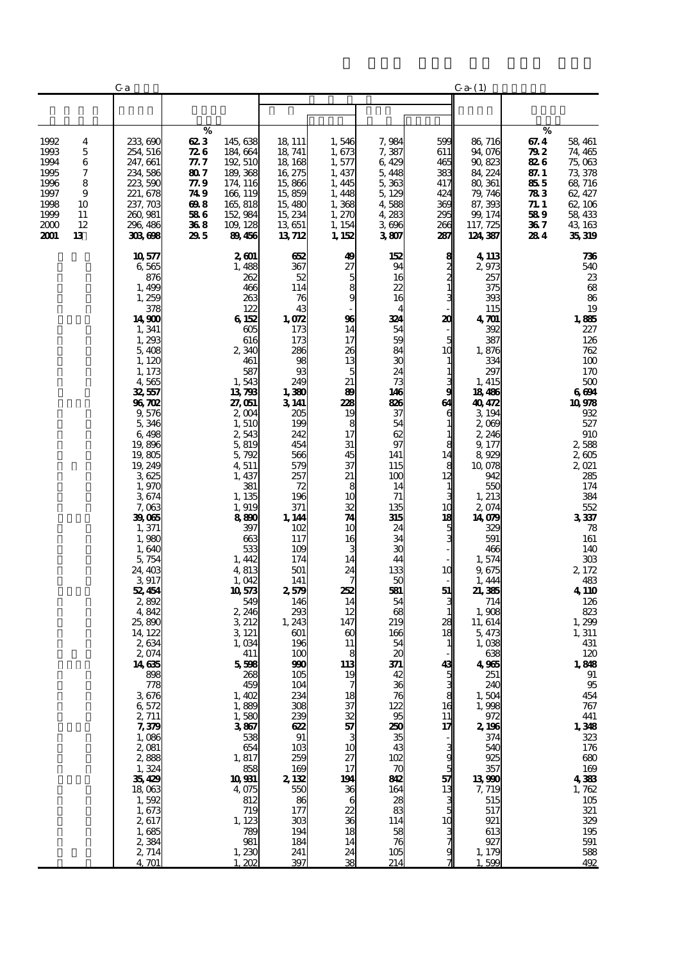|                                                                              |                                                    | C a                                                                                                                                                                                                                                                                                                                                                                                                                                                                                                                                                    |                                                                              |                                                                                                                                                                                                                                                                                                                                                                                                                                                                                                |                                                                                                                                                                                                                                                                                                                                                                                                                                              |                                                                                                                                                                                                                                                                                                                                                              |                                                                                                                                                                                                                                                                                                                                                                                |                                                                                                                                                                                                            | $C_{a-1}$                                                                                                                                                                                                                                                                                                                                                                                                                                                                                            |                                                                                 |                                                                                                                                                                                                                                                                                                                                                                                                                                                            |
|------------------------------------------------------------------------------|----------------------------------------------------|--------------------------------------------------------------------------------------------------------------------------------------------------------------------------------------------------------------------------------------------------------------------------------------------------------------------------------------------------------------------------------------------------------------------------------------------------------------------------------------------------------------------------------------------------------|------------------------------------------------------------------------------|------------------------------------------------------------------------------------------------------------------------------------------------------------------------------------------------------------------------------------------------------------------------------------------------------------------------------------------------------------------------------------------------------------------------------------------------------------------------------------------------|----------------------------------------------------------------------------------------------------------------------------------------------------------------------------------------------------------------------------------------------------------------------------------------------------------------------------------------------------------------------------------------------------------------------------------------------|--------------------------------------------------------------------------------------------------------------------------------------------------------------------------------------------------------------------------------------------------------------------------------------------------------------------------------------------------------------|--------------------------------------------------------------------------------------------------------------------------------------------------------------------------------------------------------------------------------------------------------------------------------------------------------------------------------------------------------------------------------|------------------------------------------------------------------------------------------------------------------------------------------------------------------------------------------------------------|------------------------------------------------------------------------------------------------------------------------------------------------------------------------------------------------------------------------------------------------------------------------------------------------------------------------------------------------------------------------------------------------------------------------------------------------------------------------------------------------------|---------------------------------------------------------------------------------|------------------------------------------------------------------------------------------------------------------------------------------------------------------------------------------------------------------------------------------------------------------------------------------------------------------------------------------------------------------------------------------------------------------------------------------------------------|
|                                                                              |                                                    |                                                                                                                                                                                                                                                                                                                                                                                                                                                                                                                                                        |                                                                              |                                                                                                                                                                                                                                                                                                                                                                                                                                                                                                |                                                                                                                                                                                                                                                                                                                                                                                                                                              |                                                                                                                                                                                                                                                                                                                                                              |                                                                                                                                                                                                                                                                                                                                                                                |                                                                                                                                                                                                            |                                                                                                                                                                                                                                                                                                                                                                                                                                                                                                      |                                                                                 |                                                                                                                                                                                                                                                                                                                                                                                                                                                            |
| 1992<br>1993<br>1994<br>1995<br>1996<br>1997<br>1998<br>1999<br>2000<br>2001 | 4<br>5<br>6<br>7<br>8<br>9<br>10<br>11<br>12<br>13 | 233,690<br>254, 516<br>247, 661<br>234, 586<br>223,590<br>221, 678<br>237, 703<br>260, 981<br>296, 486<br>303698                                                                                                                                                                                                                                                                                                                                                                                                                                       | %<br>623<br>72 G<br>77. 7<br>807<br>77.9<br>74 9<br>698<br>586<br>368<br>295 | 145,638<br>184, 664<br>192 510<br>189, 368<br>174, 116<br>166 119<br>165, 818<br>152, 984<br>109, 128<br>89456                                                                                                                                                                                                                                                                                                                                                                                 | 18, 111<br>18 741<br>18, 168<br>16, 275<br>15,866<br>15,859<br>15,480<br>15, 234<br>13651<br>13712                                                                                                                                                                                                                                                                                                                                           | 1,546<br>1,673<br>1,577<br>1, 437<br>1, 445<br>1, 448<br>1,368<br>1,270<br>1, 154<br>1, 152                                                                                                                                                                                                                                                                  | 7,984<br>7,387<br>6,429<br>5,448<br>5,363<br>5, 129<br>4,588<br>4,283<br>3696<br>3807                                                                                                                                                                                                                                                                                          | 599<br>611<br>465<br>383<br>417<br>424<br>369<br>295<br>266<br>287                                                                                                                                         | 86, 716<br>94,076<br>90,823<br>84, 224<br>80, 361<br>79, 746<br>87, 393<br>99, 174<br>117, 725<br>124, 387                                                                                                                                                                                                                                                                                                                                                                                           | %<br>67. 4<br>79 Z<br>82 G<br>87. 1<br>855<br>783<br>71.1<br>589<br>36 7<br>284 | 58, 461<br>74, 465<br>75,063<br>73,378<br>68, 716<br>62, 427<br>62, 106<br>58, 433<br>43, 163<br>35,319                                                                                                                                                                                                                                                                                                                                                    |
|                                                                              |                                                    | 10 577<br>6,565<br>876<br>1,499<br>1,259<br>378<br>14,900<br>1, 341<br>1,293<br>5,408<br>1, 120<br>1, 173<br>4565<br>32,557<br>96 702<br>9,576<br>5,346<br>6498<br>19,896<br>19,805<br>19, 249<br>3625<br>1,970<br>3674<br>7,063<br>39,065<br>1,371<br>1,980<br>1,640<br>5,754<br>24, 403<br>3917<br>52,454<br>2,892<br>4,842<br>25,890<br>14, 122<br>2634<br>2,074<br>14635<br>898<br>778<br>3676<br>6,572<br>2, 711<br>7,379<br>1,086<br>2,081<br>2,888<br>1,324<br>35,429<br>18,063<br>1,592<br>1,673<br>2,617<br>1,685<br>2,384<br>2, 714<br>4.701 |                                                                              | 2001<br>1,488<br>262<br>466<br>263<br>122<br>6152<br>605<br>616<br>2,340<br>461<br>587<br>1,543<br>13798<br>27,051<br>2004<br>1,510<br>2,543<br>5,819<br>5,792<br>4 511<br>1, 437<br>381<br>1,135<br>1,919<br>8800<br>397<br>663<br>533<br>1, 442<br>4,813<br>1,042<br>10573<br>549<br>2,246<br>3 212<br>3 121<br>1,034<br>411<br>5,598<br>268<br>459<br>1,402<br>1,889<br>1,580<br>3867<br>538<br>654<br>1,817<br>858<br>10931<br>4 075<br>812<br>719<br>1, 123<br>789<br>981<br>1,230<br>202 | 652<br>367<br>52<br>114<br>76<br>43<br>1,072<br>173<br>173<br>286<br>98<br>93<br>249<br>1,380<br>3141<br>205<br>199<br>242<br>454<br>566<br>579<br>257<br>72<br>196<br>371<br>1, 144<br>102<br>117<br>109<br>174<br>501<br>141<br>2,579<br>146<br>293<br>1, 243<br>601<br>196<br>100<br>990<br>105<br>104<br>234<br>308<br>239<br>622<br>91<br>10 <sub>3</sub><br>259<br>169<br>2,132<br>550<br>86<br>177<br>303<br>194<br>184<br>241<br>397 | 49<br>27<br>5<br>$\frac{8}{9}$<br>96<br>14<br>17<br>26<br>13<br>5<br>21<br>89<br>228<br>19<br>8<br>17<br>31<br>45<br>37<br>21<br>8<br>10<br>32<br>74<br>10<br>16<br>14<br>24<br>252<br>14<br>12<br>147<br>$\boldsymbol{\omega}$<br>11<br>8<br>113<br>19<br>7<br>18<br>37<br>32<br>57<br>10<br>27<br>17<br>194<br>36<br>6<br>22<br>36<br>18<br>14<br>24<br>38 | 152<br>94<br>16<br>22<br>16<br>324<br>54<br>59<br>84<br>30<br>24<br>73<br>146<br>836<br>37<br>54<br>62<br>97<br>141<br>115<br>100<br>14<br>71<br>135<br>315<br>24<br>34<br>30<br>44<br>133<br>50<br>581<br>54<br>68<br>219<br>166<br>54<br>20<br>371<br>42<br>36<br>76<br>122<br>95<br>250<br>35<br>43<br>102<br>70<br>842<br>164<br>28<br>83<br>114<br>58<br>76<br>105<br>214 | 8<br>$2 \overline{2}$<br>$1$<br>20<br>10<br>9<br>61<br>6<br>1<br>8<br>14<br>8<br>12<br>1<br>10<br>18<br>5<br>10<br>51<br>28<br>18<br>43<br>ັນ<br>ອ<br>16<br>11<br>17<br>g<br>g<br>5<br>57<br>13<br>10<br>g | 4, 113<br>2,973<br>257<br>375<br>393<br>115<br>$4\,20$<br>392<br>387<br>1,876<br>334<br>297<br>1, 415<br>18486<br>40,472<br>3 194<br>2,069<br>2 246<br>9,177<br>8,929<br>10,078<br>942<br>550<br>1, 213<br>2,074<br>14,079<br>329<br>591<br>466<br>1,574<br>9,675<br>1, 444<br>21,385<br>714<br>1,908<br>11, 614<br>5, 473<br>1,038<br>638<br>4965<br>251<br>240<br>1,504<br>1,998<br>972<br>2,196<br>374<br>540<br>925<br>357<br>13990<br>7,719<br>515<br>517<br>921<br>613<br>927<br>1, 179<br>599 |                                                                                 | 736<br>540<br>23<br>68<br>86<br>19<br>1,885<br>227<br>126<br>762<br>100<br>170<br>$500\,$<br>6694<br>10978<br>932<br>527<br>910<br>2,588<br>2,605<br>2,021<br>285<br>174<br>384<br>552<br>3337<br>78<br>161<br>140<br>303<br>2,172<br>483<br>4,110<br>126<br>823<br>1,299<br>1, 311<br>431<br>120<br>1,848<br>91<br>95<br>454<br>767<br>441<br>$1,348$<br>$323$<br>176<br>680<br>169<br>4383<br>1,762<br>$105\,$<br>321<br>329<br>195<br>591<br>588<br>492 |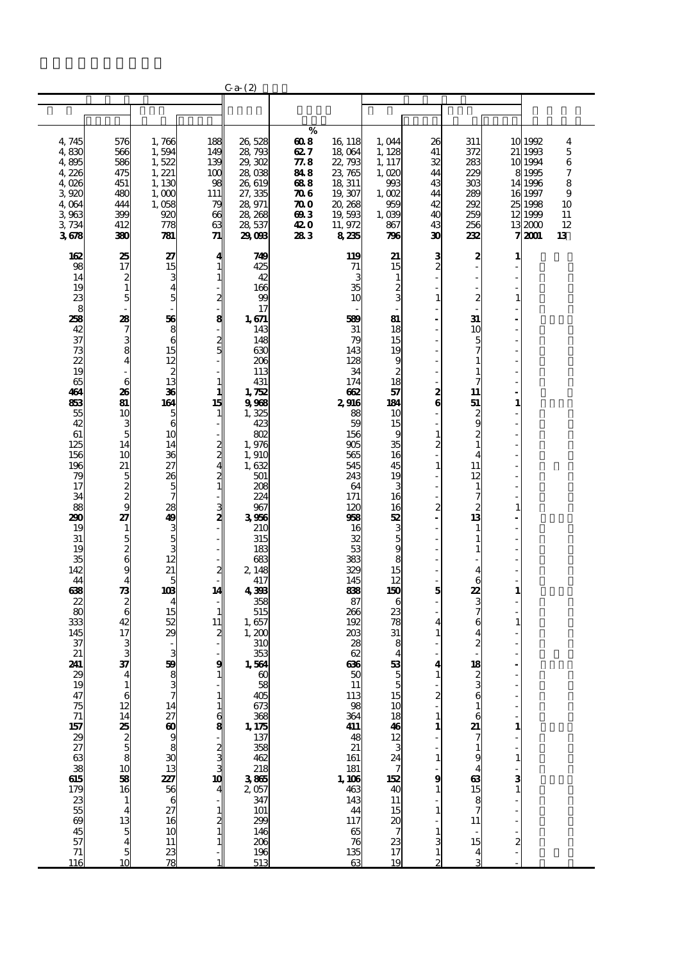|                                                         |                                                  |                                   |                  | $Ca-(2)$                               |                             |                             |                                |                         |                     |               |                    |                  |
|---------------------------------------------------------|--------------------------------------------------|-----------------------------------|------------------|----------------------------------------|-----------------------------|-----------------------------|--------------------------------|-------------------------|---------------------|---------------|--------------------|------------------|
|                                                         |                                                  |                                   |                  |                                        |                             |                             |                                |                         |                     |               |                    |                  |
|                                                         |                                                  |                                   |                  |                                        |                             |                             |                                |                         |                     |               |                    |                  |
|                                                         |                                                  |                                   |                  |                                        | %                           |                             |                                |                         |                     |               |                    |                  |
| 4,745<br>4,830                                          | 576<br>566                                       | 1,766<br>1,594                    | 188<br>149       | 26,528<br>28,793                       | 608<br>627                  | 16 118<br>18 064            | 1,044<br>1, 128                | 26<br>41                | 311<br>372          |               | 10 1992<br>21 1993 | 4<br>$\mathbf 5$ |
| 4,895                                                   | 586                                              | 1,522                             | 139              | 29,302                                 | 77.8                        | 22,793                      | 1, 117                         | 32                      | 283                 |               | 10 1994            | 6                |
| 4,226                                                   | 475                                              | 1, 221                            | 100              | 28,038                                 | 84 8                        | 23,765                      | 1,020                          | 44                      | 229                 |               | 8 1995             | 7                |
| 4,026                                                   | 451                                              | 1,130                             | 98               | 26,619                                 | 688                         | 18 311                      | 993                            | 43                      | 300                 |               | 14 1996            | 8                |
| 3,920                                                   | 480<br>444                                       | 1,000                             | 111              | 27, 335                                | <b>706</b>                  | 19, 307                     | 1,002                          | 44<br>42                | 289<br>292          |               | 16 1997<br>25 1998 | 9                |
| 4,064<br>3963                                           | 399                                              | 1,058<br>920                      | 79<br>66         | 28,971<br>28, 268                      | $\boldsymbol{\pi o}$<br>693 | 20, 268<br>19,593           | 959<br>1,039                   | 40                      | 259                 |               | 12 1999            | 10<br>11         |
| 3,734                                                   | 412                                              | 778                               | 63               | 28 537                                 | 420                         | 11, 972                     | 867                            | 43                      | 256                 |               | 132000             | 12               |
| 3678                                                    | 380                                              | 781                               | 71               | 29,098                                 | 283                         | 8235                        | 796                            | 30                      | 232                 | 7             | 2001               | 13               |
| 162                                                     | 25                                               | 27                                | 4                | 749                                    |                             | 119                         | 21                             | 3                       | 2                   |               |                    |                  |
| 98                                                      | 17                                               | 15                                | 1                | 425                                    |                             | 71                          | 15                             | $\overline{c}$          |                     |               |                    |                  |
| 14                                                      | $\frac{2}{1}$                                    | 3                                 |                  | 42                                     |                             | 3                           | 1                              |                         |                     |               |                    |                  |
| 19<br>23                                                | 5                                                | $\overline{\mathbf{4}}$<br>5      |                  | 166<br>99                              |                             | 35<br>10                    | 2<br>3                         | $\mathbf{1}$            | $\overline{c}$      | 1             |                    |                  |
| 8                                                       |                                                  |                                   | 2                | 17                                     |                             |                             |                                |                         |                     |               |                    |                  |
| 28                                                      | 28                                               | 56                                | 8                | 1,671                                  |                             | 589                         | 81                             |                         | 31                  |               |                    |                  |
| 42                                                      |                                                  | 8<br>6                            |                  | 143<br>148                             |                             | 31                          | 18                             |                         | 10                  |               |                    |                  |
| 37<br>73                                                | $\frac{3}{4}$                                    | 15                                | 2<br>5           | 630                                    |                             | 79<br>143                   | 15<br>19                       |                         |                     |               |                    |                  |
| 22                                                      |                                                  | 12                                |                  | 206                                    |                             | 128                         | 9                              |                         |                     |               |                    |                  |
| 19                                                      |                                                  | $\boldsymbol{z}$                  |                  | 113                                    |                             | 34                          | $\overline{c}$                 |                         |                     |               |                    |                  |
| 65<br>464                                               | 6<br>26                                          | 13<br>36                          | 1                | 431<br>1,752                           |                             | 174<br>662                  | 18<br>57                       | 2                       | 11                  |               |                    |                  |
| 863                                                     | 81                                               | 164                               | 15               | 9988                                   |                             | 2,916                       | 184                            | 6                       | 51                  |               |                    |                  |
| 55                                                      | 10                                               | 5                                 | 1                | 1,325                                  |                             | 88                          | 10                             |                         | $\boldsymbol{z}$    |               |                    |                  |
| 42                                                      | 3 <sub>5</sub>                                   | 6<br>10                           |                  | 423<br>802                             |                             | 59                          | 15<br>9                        | $\mathbf{1}$            | 9<br>$\overline{c}$ |               |                    |                  |
| 61<br>125                                               | 14                                               | 14                                |                  | 1,976                                  |                             | 156<br>905                  | 35                             | $\overline{\mathbf{c}}$ | 1                   |               |                    |                  |
| 156                                                     | 10                                               | 36                                | $\frac{2}{2}$    | 1,910                                  |                             | 565                         | 16                             |                         | 4                   |               |                    |                  |
| 196                                                     | 21                                               | 27                                |                  | 1,632                                  |                             | 545                         | 45                             | $\mathbf{1}$            | 11                  |               |                    |                  |
| 79<br>17                                                | 5                                                | 26<br>5                           | $\frac{2}{1}$    | 501<br>208                             |                             | 243<br>64                   | 19<br>3                        |                         | 12<br>1             |               |                    |                  |
| 34                                                      | $\frac{2}{9}$                                    | 7                                 |                  | 224                                    |                             | 171                         | 16                             |                         | 7                   |               |                    |                  |
| 88                                                      |                                                  | 28                                |                  | 967                                    |                             | 120                         | 16                             | 2                       | 2                   |               |                    |                  |
| 290<br>19                                               | 27                                               | 49                                |                  | 3956<br>210                            |                             | 968<br>16                   | 52                             |                         | 13                  |               |                    |                  |
| 31                                                      |                                                  | $\frac{3}{5}$                     |                  | 315                                    |                             | 32                          | $\frac{3}{5}$                  |                         |                     |               |                    |                  |
| 19                                                      |                                                  | 3                                 |                  | 183                                    |                             | 53                          | 9                              |                         | 1                   |               |                    |                  |
| 35                                                      | $\frac{1}{5}$ 8                                  | 12<br>21                          |                  | 683                                    |                             | 383                         | 8                              |                         |                     |               |                    |                  |
| 142<br>44                                               | 4                                                | 5                                 |                  | 2 148<br>417                           |                             | 329<br>145                  | 15<br>12                       |                         | 4<br>6              |               |                    |                  |
| 638                                                     | $\frac{1}{2}$                                    | 103                               | 14               | 4398                                   |                             | 833                         | 150                            | 5                       | 22                  | 1             |                    |                  |
| 22                                                      |                                                  | 4                                 |                  | 358                                    |                             | 87                          | 6                              |                         | 3                   |               |                    |                  |
| 80<br>333                                               | $\boldsymbol{6}$<br>42                           | 15<br>52                          | 11               | 515<br>1,657                           |                             | 266<br>192                  | 23<br>78                       | 4                       | 7<br>6              |               |                    |                  |
| 145                                                     | 17                                               | 29                                | $\boldsymbol{z}$ | 1,200                                  |                             | 203                         | 31                             | 1                       | 4                   |               |                    |                  |
| 37                                                      | 3                                                |                                   |                  | 310                                    |                             | 28                          | 8                              |                         |                     |               |                    |                  |
| 21<br>241                                               | 3<br>37                                          | 3<br>59                           | 9                | 353<br>1,564                           |                             | 62<br>636                   | 4<br>53                        | 4                       | 18                  |               |                    |                  |
| 29                                                      |                                                  |                                   |                  | $\boldsymbol{\omega}$                  |                             | 50                          |                                |                         |                     |               |                    |                  |
| 19                                                      | $\mathbf{1}$                                     | $\frac{3}{7}$                     |                  | $\frac{58}{405}$                       |                             | 11                          | 5                              |                         | $\frac{3}{6}$       |               |                    |                  |
| 47<br>75                                                | 6<br>12                                          | 14                                |                  | 673                                    |                             | 113<br>98                   | 15<br>10                       | 2                       |                     |               |                    |                  |
| $\overline{71}$                                         |                                                  |                                   |                  |                                        |                             |                             |                                | 1                       | 6                   |               |                    |                  |
|                                                         | $\frac{14}{20}$ 8 $\frac{34}{20}$                | $\frac{27}{30}$<br>30<br>30<br>13 | 8                | $\frac{368}{175}$                      |                             | 364<br><b>411</b>           | $\frac{18}{12}$ $\frac{46}{3}$ | 1                       | $\overline{a}$      |               |                    |                  |
| $\frac{157}{29}$<br>$\frac{27}{63}$<br>$\frac{63}{38}$  |                                                  |                                   |                  |                                        |                             | 48<br>21                    |                                |                         | $\mathbf{1}$        |               |                    |                  |
|                                                         |                                                  |                                   |                  | $\frac{358}{462}$                      |                             | 161                         |                                | $\mathbf{1}$            | 9                   |               |                    |                  |
|                                                         |                                                  |                                   |                  |                                        |                             | 181                         |                                |                         |                     |               |                    |                  |
| $\frac{615}{179}$<br>$\frac{23}{55}$<br>$\frac{69}{69}$ | $\frac{58}{16}$                                  | $\frac{27}{56}$                   | 10               | $385$<br>$207$<br>$347$                |                             | 1, $\frac{106}{463}$<br>143 | 152                            | 9                       | 63<br>3<br>7        | $\frac{3}{1}$ |                    |                  |
|                                                         | $\mathbf{1}$                                     |                                   |                  |                                        |                             |                             | 40<br>11                       | 1                       |                     |               |                    |                  |
|                                                         | $\overline{\mathbf{4}}$                          | 27                                |                  |                                        |                             | 44                          |                                | 1                       |                     |               |                    |                  |
|                                                         |                                                  | 16                                |                  |                                        |                             | 117                         | $\frac{15}{2}$                 |                         | 11                  |               |                    |                  |
| 45<br>57                                                | $\begin{array}{c} 13 \\ 5 \\ 4 \\ 5 \end{array}$ | 10<br>11                          |                  | 101<br>299<br>146<br>206<br>196<br>513 |                             | 65<br>76                    | 23                             | 1<br>3                  | 15                  | 2             |                    |                  |
| $71$                                                    |                                                  | $\frac{23}{78}$                   |                  |                                        |                             | 135                         | 17                             | $\mathbf{1}$            |                     |               |                    |                  |
| 116                                                     | 1 <sup>0</sup>                                   |                                   |                  |                                        |                             | 63                          | 19                             |                         |                     |               |                    |                  |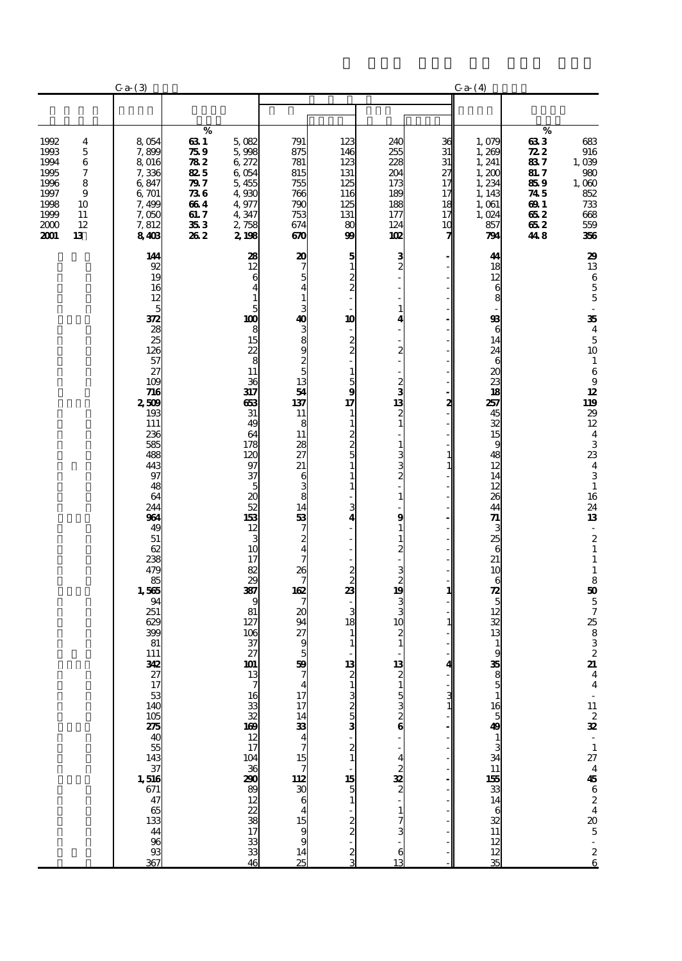|                                                                              |                                                    | Ca(3)                                                                                                                                                                                                                                                                                                                                                                                  |                                                                             |                                                                                                                                                                                                                                                                                                                                               |                                                                                                                                                                                                                                                                                                                   |                                                                                                                                                                                                                                                                                                                                               |                                                                                                                                                                                                                                                                                                                  |                                                    | Ca(4)                                                                                                                                                                                                                                                                                                                                 |                                                                                           |                                                                                                                                                                                                                                                                                                                                                                                                                                                                                                                                                      |
|------------------------------------------------------------------------------|----------------------------------------------------|----------------------------------------------------------------------------------------------------------------------------------------------------------------------------------------------------------------------------------------------------------------------------------------------------------------------------------------------------------------------------------------|-----------------------------------------------------------------------------|-----------------------------------------------------------------------------------------------------------------------------------------------------------------------------------------------------------------------------------------------------------------------------------------------------------------------------------------------|-------------------------------------------------------------------------------------------------------------------------------------------------------------------------------------------------------------------------------------------------------------------------------------------------------------------|-----------------------------------------------------------------------------------------------------------------------------------------------------------------------------------------------------------------------------------------------------------------------------------------------------------------------------------------------|------------------------------------------------------------------------------------------------------------------------------------------------------------------------------------------------------------------------------------------------------------------------------------------------------------------|----------------------------------------------------|---------------------------------------------------------------------------------------------------------------------------------------------------------------------------------------------------------------------------------------------------------------------------------------------------------------------------------------|-------------------------------------------------------------------------------------------|------------------------------------------------------------------------------------------------------------------------------------------------------------------------------------------------------------------------------------------------------------------------------------------------------------------------------------------------------------------------------------------------------------------------------------------------------------------------------------------------------------------------------------------------------|
|                                                                              |                                                    |                                                                                                                                                                                                                                                                                                                                                                                        |                                                                             |                                                                                                                                                                                                                                                                                                                                               |                                                                                                                                                                                                                                                                                                                   |                                                                                                                                                                                                                                                                                                                                               |                                                                                                                                                                                                                                                                                                                  |                                                    |                                                                                                                                                                                                                                                                                                                                       |                                                                                           |                                                                                                                                                                                                                                                                                                                                                                                                                                                                                                                                                      |
| 1992<br>1993<br>1994<br>1995<br>1996<br>1997<br>1998<br>1999<br>2000<br>2001 | 4<br>5<br>6<br>7<br>8<br>9<br>10<br>11<br>12<br>13 | 8,054<br>7,899<br>8 016<br>7,336<br>6,847<br>6,701<br>7,499<br>7,050<br>7,812<br>8408                                                                                                                                                                                                                                                                                                  | %<br>63 1<br>759<br>782<br>825<br>79 7<br>736<br>664<br>61. 7<br>353<br>262 | 5,082<br>5,998<br>6,272<br>6054<br>5,455<br>4,930<br>4,977<br>4,347<br>2,758<br>2198                                                                                                                                                                                                                                                          | 791<br>875<br>781<br>815<br>755<br>766<br>790<br>753<br>674<br>670                                                                                                                                                                                                                                                | 123<br>146<br>123<br>131<br>125<br>116<br>125<br>131<br>80<br>99                                                                                                                                                                                                                                                                              | 240<br>255<br>228<br>204<br>173<br>189<br>188<br>177<br>124<br>102                                                                                                                                                                                                                                               | 36<br>31<br>31<br>27<br>17<br>17<br>18<br>17<br>10 | 1,079<br>1,269<br>1, 241<br>1,200<br>1,234<br>1, 143<br>1,061<br>1,024<br>857<br>791                                                                                                                                                                                                                                                  | $\%$<br>633<br>722<br>837<br><b>81.7</b><br>859<br>745<br><b>691</b><br>652<br>652<br>448 | 683<br>916<br>1,039<br>980<br>$1,000$<br>852<br>733<br>668<br>559<br>356                                                                                                                                                                                                                                                                                                                                                                                                                                                                             |
|                                                                              |                                                    | 144<br>92<br>19<br>16<br>12<br>5<br>372<br>28<br>25<br>126<br>57<br>27<br>109<br>716<br>2509<br>193<br>111<br>236<br>585<br>488<br>443<br>97<br>48<br>64<br>244<br>964<br>49<br>51<br>62<br>238<br>479<br>85<br>1,565<br>94<br>251<br>629<br>399<br>81<br>111<br>342<br>27.17.53.40.15.25.40.55.43.37.51.16.67.17.53.16.17.17.53.16.17.17.17.15.16.17.17.17.15.16.17.17.17.15.18.13.14 |                                                                             | 28<br>12<br>6<br>4<br>$\mathbf{1}$<br>5<br>100<br>8<br>15<br>22<br>8<br>11<br>36<br>317<br>663<br>31<br>49<br>64<br>178<br>120<br>97<br>37<br>5<br>20<br>52<br>153<br>12<br>3<br>10<br>17<br>82<br>29<br>387<br>9<br>81<br>127<br>106<br>37<br>27<br>101<br>$\frac{13}{7}$ 7 is 33 32 169 12 17 10 12<br>36<br>290<br>38 22 38 17<br>33 33 46 | $\frac{20}{7}$<br>$\overline{\mathbf{4}}$<br>$\mathbf{1}$<br>13 თ დ დ დ ა ბ დ<br>54<br>137<br>11<br>8<br>11<br>28<br>27<br>$\overline{21}$<br>6<br>8<br>8<br>14<br>53<br>$\frac{7}{4}$<br>$\bar{7}$<br>$\frac{26}{7}$<br>$\frac{162}{7}$<br>20<br>94<br>27<br>9<br>$\frac{5}{3}$<br>47714334715723064159914<br>25 | $\frac{5}{1}$<br>$\frac{2}{2}$<br>10<br>$\frac{2}{2}$<br>1<br>$\frac{5}{9}$<br>17<br>1<br>$\mathbf{1}$<br>$\frac{2}{5}$<br>$\mathbf{1}$<br>1<br>$\mathbf{1}$<br>3<br>4<br>$\mathbf{B}$ $\approx$ $\approx$<br>3<br>18<br>1<br>1<br>13<br>$\frac{1}{3}$ 333<br>$\frac{2}{1}$<br>$\begin{array}{c}\n15 \\ 5 \\ 1\n\end{array}$<br>$\frac{2}{2}$ | $\frac{3}{2}$<br>1<br>4<br>$\frac{2}{1}$<br>$\frac{2}{3}$<br>13<br>$\boldsymbol{2}$<br>$\mathbf{1}$<br>1<br>3<br>$\overline{c}$<br>1<br>9<br>1<br>1<br>$\frac{2}{1}$<br>$\frac{3}{2}$<br>$\frac{1}{3}$<br>10<br>2<br>$\mathbf{1}$<br>13<br>$\mathbf{1}$<br>$\frac{5}{6}$<br>. പുരി $\cdots$<br>$\mathbf{1}$<br>6 | 2<br>1<br>$\mathbf{1}$<br>1<br>4                   | 44<br>18<br>12<br>6<br>8<br>98<br>6<br>14<br>24<br>6<br>20<br>23<br>18<br>257<br>45<br>32<br>15<br>9<br>48<br>12<br>14<br>12<br>26<br>44<br>71<br>3<br>25<br>$\boldsymbol{6}$<br>21<br>10<br>6<br>$\frac{1}{5}$<br>12<br>32<br>13<br>$\frac{1}{9}$<br>38 യ പ†∂ പ§ പടി പത\$<br>$1538 + 381$<br>$1468$<br>$11$<br>$\frac{12}{12}$<br>35 |                                                                                           | 29<br>$13\,$<br>$\begin{array}{c} 6 \\ 5 \\ 5 \end{array}$<br>$\overline{\phantom{a}}$<br>$\frac{35}{4}$<br>$\mathbf 5$<br>10<br>$\mathbf{1}$<br>$\,6$<br>$\boldsymbol{9}$<br>$\frac{12}{119}$<br>$\begin{array}{c} 29 \\ 12 \end{array}$<br>$\frac{4}{3}$<br>$\frac{23}{4}$<br>$\overline{3}$<br>$\mathbf 1$<br>16<br>$\frac{24}{13}$<br>$\overline{\phantom{a}}$<br>$\begin{smallmatrix}2\2\1\end{smallmatrix}$<br>$\mathbf 1$<br>$\mathbf{1}$<br>$\frac{8}{50}$<br>5728832<br>$4$ $-11$ $2$ $32$ $-1$ $27$ $4$ $45$ $6$ $2$ $4$ $20$ $5$ $-2$ $6$ |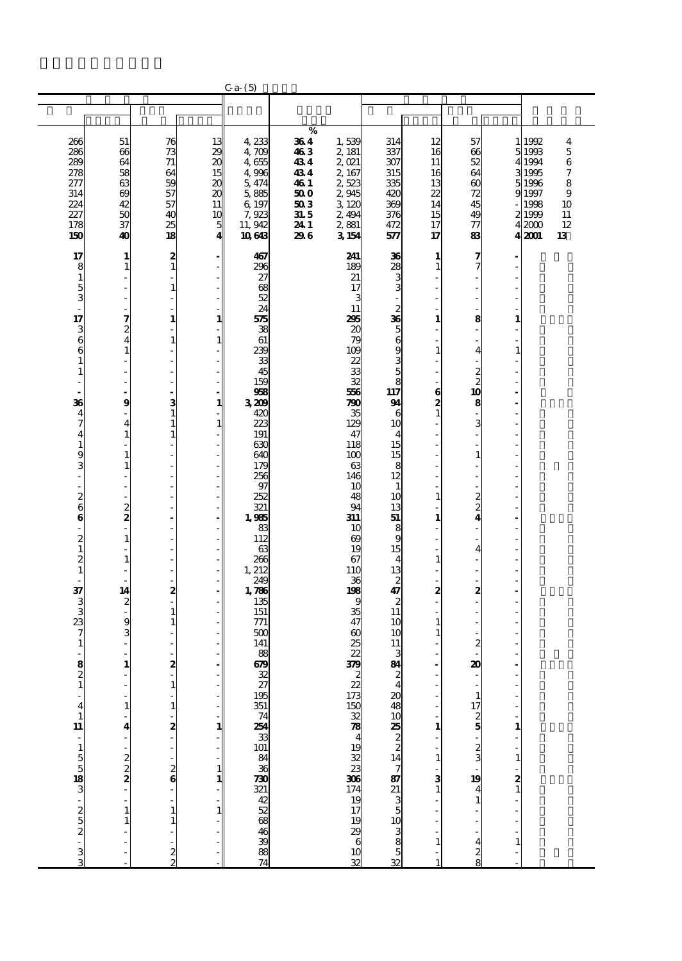|                                               |                   |                              |                           | Ca(5)                  |              |                                                 |                         |                   |                                   |                   |                |                       |
|-----------------------------------------------|-------------------|------------------------------|---------------------------|------------------------|--------------|-------------------------------------------------|-------------------------|-------------------|-----------------------------------|-------------------|----------------|-----------------------|
|                                               |                   |                              |                           |                        |              |                                                 |                         |                   |                                   |                   |                |                       |
|                                               |                   |                              |                           |                        |              |                                                 |                         |                   |                                   |                   |                |                       |
| 266                                           | 51                | 76                           | 13                        | 4,233                  | $\%$<br>364  | 1,539                                           | 314                     | 12                | 57                                |                   | 1992           | 4                     |
| 286                                           | 66                | 73                           | 29                        | 4,709                  | 463          | 2 181                                           | 337                     | 16                | 66                                |                   | 5 1993         | $\mathbf 5$           |
| 289                                           | 64                | 71                           | $\boldsymbol{\alpha}$     | 4655                   | 434          | 2,021                                           | 307                     | 11                | 52                                | 4                 | 1994           | $\,6$                 |
| 278<br>277                                    | 58<br>63          | 64<br>59                     | 15<br>$\boldsymbol{\chi}$ | 4,996<br>5,474         | 434<br>46 1  | 2, 167<br>2523                                  | 315<br>335              | 16<br>13          | 64<br>$_{60}$                     | 5                 | 1995<br>1996   | $\boldsymbol{7}$<br>8 |
| 314                                           | 69                | 57                           | $\boldsymbol{\chi}$       | 5,885                  | 50 O         | 2945                                            | 420                     | 22                | 72                                | 9                 | 1997           | 9                     |
| 224                                           | 42                | 57                           | 11                        | 6,197                  | 503          | 3 120                                           | 369                     | 14                | 45                                |                   | 1998           | 10                    |
| 227<br>178                                    | 50<br>37          | 40<br>25                     | 10                        | 7,923<br>11, 942       | 31.5<br>24 1 | 2,494<br>2,881                                  | 376<br>472              | 15<br>17          | 49<br>77                          |                   | 21999<br>42000 | 11<br>12              |
| 150                                           | 40                | 18                           | $\frac{5}{4}$             | 10643                  | 296          | 3154                                            | 577                     | 17                | 83                                |                   | 4 2001         | 13                    |
|                                               |                   |                              |                           |                        |              |                                                 |                         |                   |                                   |                   |                |                       |
| 17                                            | 1<br>$\mathbf{1}$ | $\frac{2}{1}$                |                           | 467<br>296             |              | 241<br>189                                      | 36                      | 1<br>$\mathbf{1}$ | 7<br>7                            |                   |                |                       |
| $\begin{smallmatrix}8\1 \end{smallmatrix}$    |                   |                              |                           | 27                     |              | 21                                              | 8 ⊗ دە دە               |                   |                                   |                   |                |                       |
|                                               |                   | $\mathbf{1}$                 |                           | 68                     |              | 17                                              |                         |                   | $\overline{\phantom{a}}$          |                   |                |                       |
| $\frac{5}{3}$                                 |                   |                              |                           | 52<br>24               |              | 3<br>11                                         |                         |                   |                                   |                   |                |                       |
| 17                                            | 7                 | $\mathbf{1}$                 | 1                         | 575                    |              | 295                                             |                         | 1                 | 8                                 | 1                 |                |                       |
|                                               | 2                 |                              |                           | 38                     |              | 20                                              |                         |                   |                                   |                   |                |                       |
| 360                                           |                   | 1                            | 1                         | 61<br>239              |              | 79<br>109                                       |                         | $\mathbf{1}$      | $\overline{\mathbf{4}}$           |                   |                |                       |
| $\mathbf{1}$                                  |                   |                              |                           | 33                     |              | 22                                              | ග ග ග ග ශ ඝ ස           |                   |                                   |                   |                |                       |
|                                               |                   |                              |                           | 45<br>159              |              | 33<br>32                                        |                         |                   | $\frac{2}{2}$                     |                   |                |                       |
|                                               |                   |                              |                           | 968                    |              | 556                                             | 8<br>117                | $\bf{6}$          | 10                                |                   |                |                       |
| 36                                            | $\boldsymbol{g}$  | 3                            | 1                         | 3,209                  |              | 790                                             | 94                      | $\frac{2}{1}$     | 8                                 |                   |                |                       |
| $\frac{4}{7}$                                 | 4                 | $\mathbf{1}$<br>$\mathbf{1}$ | $\mathbf{1}$              | 420<br>223             |              | 35<br>129                                       | 6<br>10                 |                   | 3                                 |                   |                |                       |
| $\overline{\mathbf{4}}$                       |                   | $\mathbf{1}$                 |                           | 191                    |              | 47                                              | $\overline{4}$          |                   |                                   |                   |                |                       |
| $\mathbf{1}$                                  |                   |                              |                           | 630                    |              | 118                                             | 15                      |                   |                                   |                   |                |                       |
| $\frac{9}{3}$                                 | 1                 |                              |                           | 640<br>179             |              | 100<br>63                                       | 15<br>8                 |                   | $\mathbf{1}$                      |                   |                |                       |
| $\overline{a}$                                |                   |                              |                           | 256                    |              | 146                                             | 12                      |                   |                                   |                   |                |                       |
| $\overline{a}$                                |                   |                              |                           | 97                     |              | 10                                              | $\mathbf{1}$            |                   |                                   |                   |                |                       |
| $\frac{2}{6}$                                 |                   |                              |                           | 252<br>321             |              | 48<br>94                                        | 10<br>13                | $\mathbf{1}$      | $\frac{2}{4}$                     |                   |                |                       |
| $\bf{6}$                                      | $\frac{2}{3}$     |                              |                           | 1,985                  |              | 311                                             | 51                      | 1                 |                                   |                   |                |                       |
|                                               | $\mathbf{1}$      |                              |                           | 83                     |              | 10                                              | 8                       |                   |                                   |                   |                |                       |
| $\begin{array}{c} 2 \\ 1 \\ 2 \end{array}$    |                   |                              |                           | 112<br>63              |              | 69<br>19                                        | 9<br>15                 |                   | $\overline{\mathbf{4}}$           |                   |                |                       |
|                                               | $\mathbf{1}$      |                              |                           | 266                    |              | 67                                              | $\overline{4}$          | $\mathbf{1}$      |                                   |                   |                |                       |
| $\frac{1}{2}$                                 |                   |                              |                           | 1, 212<br>249          |              | 110<br>36                                       | 13                      |                   |                                   |                   |                |                       |
|                                               | 14                | 2                            |                           | 1,786                  |              | 198                                             | $\frac{2}{47}$          | 2                 | 2                                 |                   |                |                       |
| $\frac{37}{3}$                                | $\frac{2}{1}$     |                              |                           | 135                    |              | 9                                               | $\overline{\mathbf{c}}$ | L.                |                                   |                   |                |                       |
|                                               | 9                 | 1<br>$\mathbf{1}$            |                           | 151<br>771             |              | 35<br>47                                        | $\overline{11}$<br>10   | $\mathbf{1}$      |                                   |                   |                |                       |
| $\frac{23}{7}$                                |                   |                              |                           | 500                    |              | $\boldsymbol{\omega}$                           | 10                      | 1                 |                                   |                   |                |                       |
| $\mathbf{1}$                                  |                   |                              |                           | 141                    |              | 25<br>22                                        | 11<br>3                 |                   | 2                                 |                   |                |                       |
| $\frac{8}{2}$                                 | $\mathbf{1}$      | 2                            |                           | 88<br>69               |              | 379                                             | 84                      |                   | 20                                |                   |                |                       |
|                                               |                   |                              |                           | $\frac{32}{27}$<br>195 |              |                                                 |                         |                   |                                   |                   |                |                       |
| $\mathbf{1}$                                  |                   | 1                            |                           |                        |              |                                                 | $\overline{\mathbf{4}}$ |                   | 1                                 |                   |                |                       |
| 4                                             |                   | 1                            |                           |                        |              |                                                 |                         |                   |                                   |                   |                |                       |
| $\mathbf{1}$                                  |                   |                              |                           |                        |              |                                                 |                         |                   |                                   |                   |                |                       |
| 11                                            | 4                 | 2                            | 1                         |                        |              |                                                 |                         | $\mathbf{1}$      |                                   |                   |                |                       |
| . – ποπο <mark>55</mark> და 20 და 20 და 20 და |                   |                              |                           | d 888688888888858828   |              | 22735032784932336674928366729283667292836672928 |                         |                   | $\frac{17}{2}$ 5 5 $\frac{17}{2}$ |                   |                |                       |
|                                               | $\frac{2}{2}$     |                              |                           |                        |              |                                                 |                         | $\mathbf{1}$      |                                   |                   |                |                       |
|                                               |                   | $\frac{2}{6}$                | 1<br>1                    |                        |              |                                                 |                         |                   | 19                                |                   |                |                       |
|                                               |                   |                              |                           |                        |              |                                                 |                         | $\frac{3}{1}$     |                                   | $\frac{2}{1}$     |                |                       |
|                                               |                   |                              |                           |                        |              |                                                 |                         |                   | 1                                 |                   |                |                       |
|                                               |                   | $\mathbf{1}$                 | 1                         |                        |              |                                                 |                         |                   |                                   |                   |                |                       |
|                                               |                   |                              |                           |                        |              |                                                 |                         |                   |                                   |                   |                |                       |
|                                               |                   |                              |                           |                        |              |                                                 |                         | $\mathbf{1}$      | 4                                 | $\mathbf{1}$<br>L |                |                       |
|                                               |                   | $\frac{2}{2}$                |                           |                        |              |                                                 |                         |                   | $\frac{2}{8}$                     |                   |                |                       |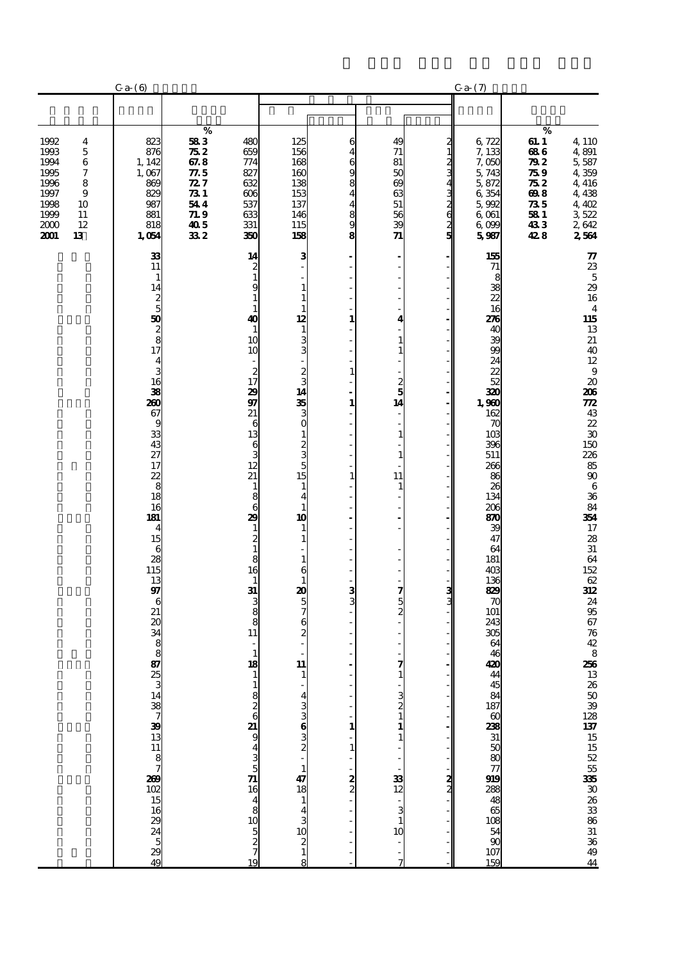|                                                                                                                                                   | Ca(6)                                                                                                                                                                                                                                                                                                                                                              |                                                                                                                                                                   |                                                                                                                                                                                                                                                                                                                                                                                                                                                                                                                                                                                                                                                                                                                                                                                                                                                                                |                                                                                        |                                                                                                                                                                                  |                                                                     | Ca(7)                                                                                                                                                                                                                                                                                                 |                                                                                 |                                                                                                                                                                                                                                                                                                                                                                     |
|---------------------------------------------------------------------------------------------------------------------------------------------------|--------------------------------------------------------------------------------------------------------------------------------------------------------------------------------------------------------------------------------------------------------------------------------------------------------------------------------------------------------------------|-------------------------------------------------------------------------------------------------------------------------------------------------------------------|--------------------------------------------------------------------------------------------------------------------------------------------------------------------------------------------------------------------------------------------------------------------------------------------------------------------------------------------------------------------------------------------------------------------------------------------------------------------------------------------------------------------------------------------------------------------------------------------------------------------------------------------------------------------------------------------------------------------------------------------------------------------------------------------------------------------------------------------------------------------------------|----------------------------------------------------------------------------------------|----------------------------------------------------------------------------------------------------------------------------------------------------------------------------------|---------------------------------------------------------------------|-------------------------------------------------------------------------------------------------------------------------------------------------------------------------------------------------------------------------------------------------------------------------------------------------------|---------------------------------------------------------------------------------|---------------------------------------------------------------------------------------------------------------------------------------------------------------------------------------------------------------------------------------------------------------------------------------------------------------------------------------------------------------------|
|                                                                                                                                                   |                                                                                                                                                                                                                                                                                                                                                                    |                                                                                                                                                                   |                                                                                                                                                                                                                                                                                                                                                                                                                                                                                                                                                                                                                                                                                                                                                                                                                                                                                |                                                                                        |                                                                                                                                                                                  |                                                                     |                                                                                                                                                                                                                                                                                                       |                                                                                 |                                                                                                                                                                                                                                                                                                                                                                     |
| 1992<br>4<br>1993<br>5<br>1994<br>6<br>$\boldsymbol{7}$<br>1995<br>1996<br>8<br>1997<br>9<br>1998<br>10<br>1999<br>11<br>2000<br>12<br>2001<br>13 | 823<br>876<br>1, 142<br>1,067<br>869<br>829<br>987<br>881<br>818<br>1,054                                                                                                                                                                                                                                                                                          | $\%$<br>583<br>480<br>752<br>659<br>67.8<br>77.5<br>827<br>$\mathbb{Z}7$<br>632<br>$\boldsymbol{\mathcal{R}}$ 1<br>544<br>537<br>71.9<br>405<br>331<br>332<br>350 | 125<br>156<br>168<br>774<br>160<br>138<br>153<br>$\infty$<br>137<br>146<br>633<br>115<br>158                                                                                                                                                                                                                                                                                                                                                                                                                                                                                                                                                                                                                                                                                                                                                                                   | 6<br>4<br>6<br>9<br>8<br>4<br>4<br>$\frac{8}{9}$<br>8                                  | 49<br>71<br>81<br>50<br>$\omega$<br>63<br>51<br>56<br>39<br>$\boldsymbol{\eta}$                                                                                                  | $\frac{2}{1}$<br>ر<br>د<br>4<br>3<br>$\frac{2}{6}$<br>$\frac{2}{5}$ | 6,722<br>7,133<br>7,050<br>5,743<br>5,872<br>6,354<br>5,992<br>6,061<br>6,099<br>5987                                                                                                                                                                                                                 | $\%$<br>61. I<br>686<br>79 Z<br>75 9<br>75 2<br>698<br>735<br>581<br>433<br>428 | 4,110<br>4,891<br>5,587<br>4 359<br>4, 416<br>4,438<br>4,402<br>3522<br>2,642<br>2564                                                                                                                                                                                                                                                                               |
|                                                                                                                                                   | 33<br>11<br>$\mathbf{1}$<br>14<br>$\frac{2}{5}$<br>$\frac{50}{28}$<br>$\frac{8}{17}$<br>$\overline{\mathbf{4}}$<br>ස ස ල <mark>පී සී ස</mark> ස ය<br>27<br>17<br>$rac{22}{8}$<br>18<br>16<br>181<br>$\overline{\mathbf{4}}$<br>15<br>$\frac{6}{28}$<br>115<br>13<br>$\overline{g}$<br>6<br>21<br>ම හි ගයි හි සි සි සි පි ප ග = ස ම ප හි හි ය හි <b>හී</b> ග ග ¥ පි |                                                                                                                                                                   | 14<br>3<br>$\frac{2}{1}$<br>9<br>$\mathbf{1}$<br>$\mathbf{1}$<br>$\mathbf{1}$<br>$\mathbf{1}$<br>$\mathbf{1}$<br>12<br>$\boldsymbol{40}$<br>$\mathbf{1}$<br>$\mathbf{1}$<br>3 <sup>o</sup><br>10<br>10<br>$\begin{array}{c} 2 \\ 17 \end{array}$<br>$\begin{smallmatrix}2\\3\\14\end{smallmatrix}$<br>29<br>$\frac{33}{3}$<br>97<br>21<br>6<br>13<br>$\mathbf{1}$<br>$\begin{array}{c}\n 2 \\  3 \\  5 \\  \hline\n 15\n \end{array}$<br>6<br>$\frac{3}{12}$<br>21<br>$\mathbf{1}$<br>$1\,$<br>8<br>$\overline{\mathbf{4}}$<br>6<br>$\mathbf{1}$<br>10<br>29<br>$\mathbf{1}$<br>$\mathbf{1}$<br>$\frac{2}{1}$<br>$\mathbf{1}$<br>8<br>$\mathbf{1}$<br>16<br>6<br>$\mathbf{1}$<br>$\mathbf{1}$<br>31<br>$\frac{1}{2}$<br>3<br>$\frac{8}{8}$<br>6<br>$\frac{2}{3}$<br>11<br>$\overline{\phantom{0}}$<br>$\mathbf{1}$<br>$\mathbf{11}$<br>18<br>. പയ5ധ4 · — 15 5 – 4ധ5 ഗ⊣ ∞<br>19 | 1<br>$\mathbf{1}$<br>$\mathbf{1}$<br>$\mathbf{1}$<br>3<br>3<br>1<br>1<br>$\frac{2}{2}$ | ÷<br>4<br>1<br>$\mathbf{1}$<br>$\frac{2}{5}$<br>14<br>$\overline{\phantom{a}}$<br>1<br>11<br>1<br>$\frac{3}{2}$<br>7<br>$\frac{3}{2}$<br>- 38<br>13<br>13<br>10<br>$\frac{1}{2}$ | ვ<br>ვ<br>$\frac{2}{2}$                                             | 155<br>71<br>8<br>38<br>22<br>16<br>276<br>40<br>39<br>99<br>24<br>22<br>52<br>320<br>1,960<br>162<br>70<br>103<br>396<br>511<br>266<br>86<br>26<br>134<br>206<br>870<br>39<br>47<br>64<br>181<br>403<br>136<br>829<br>70<br>101<br>243<br>305<br>64<br>46<br>420<br>44<br>3823888838383888888<br>159 |                                                                                 | $\boldsymbol{\pi}$<br>$\frac{23}{5}$<br>16<br>$\overline{\mathbf{4}}$<br>115<br>13<br>21<br>40<br>22<br>9<br>20<br>$\frac{206}{772}$<br>$\frac{43}{22}$<br>30<br>150<br>$28880$<br>$850$<br>$68$<br>84<br>354<br>17<br>$\frac{28}{31}$<br>64<br>152<br>$\frac{62}{312}$<br>24<br>95<br>67<br>76<br>42<br>8<br>256<br>13 26 50 39 28 137 15 52 55 335 30 31 36 49 44 |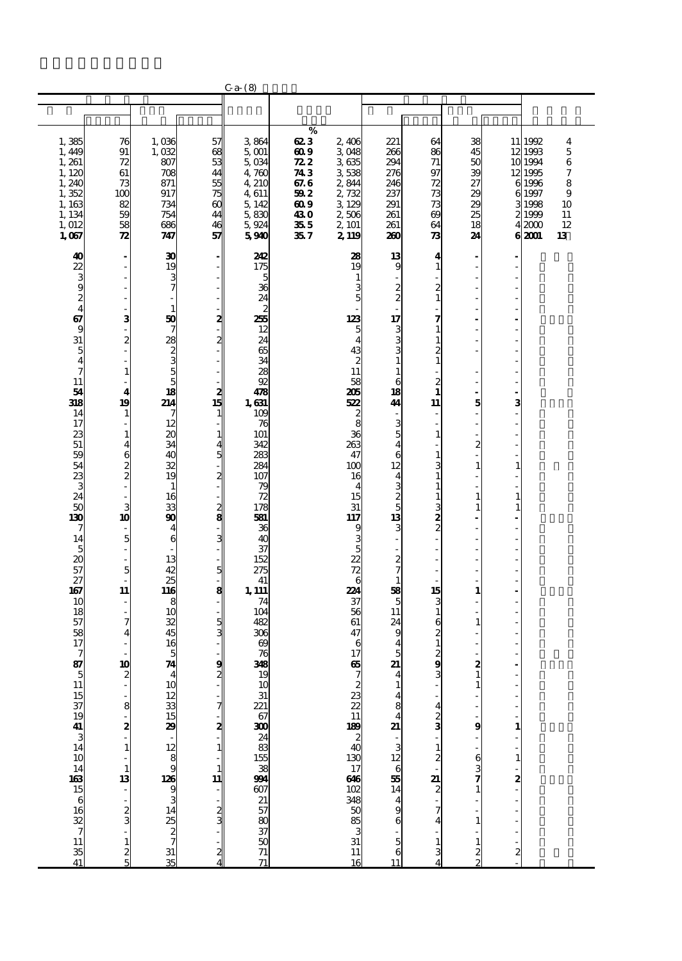|                                                                                                                                                                                                                                                                                                                                                 |                                                                                                                                                                                                                                                                                                                                             |                                                                                                                                                                                                                                                                                                                                                                                                                                                           |                                                                                                                            | $Ca-$ (8)                                                                                                                                                                                                                                                                                                                                                                                 |                                                                                                  |                                                                                                                                                                                                                                                                                                                                                                                      |                                                                                                                                                                                                                                                                                                                        |                                                                                                                                                                                                                                                                                                                                                                           |                                                                                                                                                                                         |                                                                                 |                                                                            |                                                        |
|-------------------------------------------------------------------------------------------------------------------------------------------------------------------------------------------------------------------------------------------------------------------------------------------------------------------------------------------------|---------------------------------------------------------------------------------------------------------------------------------------------------------------------------------------------------------------------------------------------------------------------------------------------------------------------------------------------|-----------------------------------------------------------------------------------------------------------------------------------------------------------------------------------------------------------------------------------------------------------------------------------------------------------------------------------------------------------------------------------------------------------------------------------------------------------|----------------------------------------------------------------------------------------------------------------------------|-------------------------------------------------------------------------------------------------------------------------------------------------------------------------------------------------------------------------------------------------------------------------------------------------------------------------------------------------------------------------------------------|--------------------------------------------------------------------------------------------------|--------------------------------------------------------------------------------------------------------------------------------------------------------------------------------------------------------------------------------------------------------------------------------------------------------------------------------------------------------------------------------------|------------------------------------------------------------------------------------------------------------------------------------------------------------------------------------------------------------------------------------------------------------------------------------------------------------------------|---------------------------------------------------------------------------------------------------------------------------------------------------------------------------------------------------------------------------------------------------------------------------------------------------------------------------------------------------------------------------|-----------------------------------------------------------------------------------------------------------------------------------------------------------------------------------------|---------------------------------------------------------------------------------|----------------------------------------------------------------------------|--------------------------------------------------------|
|                                                                                                                                                                                                                                                                                                                                                 |                                                                                                                                                                                                                                                                                                                                             |                                                                                                                                                                                                                                                                                                                                                                                                                                                           |                                                                                                                            |                                                                                                                                                                                                                                                                                                                                                                                           |                                                                                                  |                                                                                                                                                                                                                                                                                                                                                                                      |                                                                                                                                                                                                                                                                                                                        |                                                                                                                                                                                                                                                                                                                                                                           |                                                                                                                                                                                         |                                                                                 |                                                                            |                                                        |
|                                                                                                                                                                                                                                                                                                                                                 |                                                                                                                                                                                                                                                                                                                                             |                                                                                                                                                                                                                                                                                                                                                                                                                                                           |                                                                                                                            |                                                                                                                                                                                                                                                                                                                                                                                           |                                                                                                  |                                                                                                                                                                                                                                                                                                                                                                                      |                                                                                                                                                                                                                                                                                                                        |                                                                                                                                                                                                                                                                                                                                                                           |                                                                                                                                                                                         |                                                                                 |                                                                            |                                                        |
| 1,385<br>1,449<br>1,261<br>1, 120<br>1,240<br>1,352<br>1,163<br>1, 134<br>1,012                                                                                                                                                                                                                                                                 | 76<br>91<br>72<br>61<br>73<br>100<br>82<br>59<br>58                                                                                                                                                                                                                                                                                         | 1,036<br>1,032<br>807<br>708<br>871<br>917<br>734<br>754<br>686                                                                                                                                                                                                                                                                                                                                                                                           | 57<br>68534455756044<br>46                                                                                                 | 3864<br>5,001<br>5.034<br>4,760<br>4,210<br>4,611<br>5, 142<br>5,830<br>5,924                                                                                                                                                                                                                                                                                                             | $\%$<br>623<br>609<br>$\mathbb{Z}2$<br>743<br>67.6<br>592<br>609<br>430<br>${\bf 35} \, {\bf 5}$ | 2,406<br>3048<br>3635<br>3538<br>2844<br>2,732<br>3 129<br>2506<br>2, 101                                                                                                                                                                                                                                                                                                            | 221<br>266<br>294<br>276<br>246<br>237<br>291<br>261<br>261                                                                                                                                                                                                                                                            | 64<br>86<br>71<br>97<br>72<br>73<br>73<br>$\boldsymbol{\omega}$<br>64                                                                                                                                                                                                                                                                                                     | 38<br>45<br>50<br>39<br>27<br>29<br>29<br>25<br>18                                                                                                                                      | 11<br>12<br>6<br>6<br>3<br>2<br>4                                               | 1992<br>1993<br>10 1994<br>12 1995<br>1996<br>1997<br>1998<br>1999<br>2000 | 4<br>$\mathbf 5$<br>6<br>7<br>8<br>9<br>10<br>11<br>12 |
| 1,067                                                                                                                                                                                                                                                                                                                                           | 72                                                                                                                                                                                                                                                                                                                                          | 747                                                                                                                                                                                                                                                                                                                                                                                                                                                       | 57                                                                                                                         | 5910                                                                                                                                                                                                                                                                                                                                                                                      | 357                                                                                              | 2, 119                                                                                                                                                                                                                                                                                                                                                                               | 260                                                                                                                                                                                                                                                                                                                    | 73                                                                                                                                                                                                                                                                                                                                                                        | 24                                                                                                                                                                                      | 6                                                                               | 2001                                                                       | 13                                                     |
| 40<br>22<br>$\frac{3}{2}$ $\frac{9}{4}$<br>67<br>9<br>$\overline{31}$<br>$\frac{5}{4}$<br>7<br>11<br>54<br>318<br>14<br>17<br>23<br>51<br>59<br>54<br>23<br>3<br>24<br>50<br>130<br>7<br>14<br>5<br>$\boldsymbol{\chi}$<br>57<br>27<br>167<br>10<br>18<br>57<br>58<br>17<br>7<br>87<br>$\overline{a}$<br>$11\,537\,19$<br>$44\,3\,14\,10$<br>14 | $\blacksquare$<br>$\overline{a}$<br>L,<br>L.<br>3<br>$\overline{a}$<br>$\overline{c}$<br>$\mathbf{1}$<br>4<br>19<br>$\mathbf{1}$<br>$\mathbf{1}$<br>4<br>$\frac{6}{2}$<br>÷,<br>3<br>10<br>5<br>$\blacksquare$<br>5<br>11<br>7<br>4<br>10<br>8<br>2<br>$\mathbf{1}$<br>$\mathbf{1}$<br>13<br>$\frac{1}{3}$<br>$\mathbf{1}$<br>$\frac{2}{5}$ | 30<br>19<br>$\frac{3}{7}$<br>$\mathbf{1}$<br>50<br>$\overline{7}$<br>18 km co to 28<br>214<br>7<br>12<br>$\overline{30}$<br>34<br>40<br>32<br>19<br>$\mathbf{1}$<br>16<br>33<br>$\boldsymbol{\mathfrak{W}}$<br>$\overline{\mathbf{4}}$<br>6<br>13<br>42<br>25<br>116<br>8<br>10<br>32<br>45<br>16<br>$\overline{5}$<br>$\boldsymbol{\mathcal{A}}$<br>$\mathbb{E}_{\mathcal{A}}$ សងដ $\mathbb{E}_{\omega}$ ឲ្រ $\overline{\mathbf{B}}$ ឲសង់ ខេត្តយើង<br>35 | ຊ<br>2<br>$\frac{2}{15}$<br>$\mathbf{1}$<br>5<br>$\mathbf{z}$<br>$\frac{2}{8}$<br>5<br>8<br>5<br><u>ទ្</u><br>2<br>11<br>2 | 242<br>175<br>5<br>36<br>24<br>$\boldsymbol{z}$<br>255<br>12<br>24<br>65<br>34<br>28<br>92<br>478<br>1,631<br>109<br>76<br>101<br>342<br>283<br>284<br>107<br>79<br>72<br>178<br>581<br>36<br>40<br>37<br>152<br>275<br>41<br>1, 111<br>74<br>104<br>482<br>306<br>$\theta$<br>76<br>348<br>$\frac{19}{10}$<br>$\frac{31}{221}$<br>a Ba a a a a a a a a a a a a<br>A a sa a a a a a a a a |                                                                                                  | 28<br>19<br>1<br>3<br>5<br>123<br>5<br>$\overline{4}$<br>43<br>$\boldsymbol{2}$<br>11<br>58<br>205<br>522<br>2<br>8<br>36<br>263<br>47<br>100<br>16<br>4<br>15<br>31<br>117<br>9<br>3<br>5<br>22<br>72<br>6<br>224<br>37<br>56<br>61<br>47<br>6<br>17<br>௷<br>7<br>$\overline{8}$ = $\overline{8}$ $\overline{8}$ $\overline{8}$<br>$240$<br>130<br>17<br>31<br>31<br>31<br>11<br>16 | 13<br>9<br>$\frac{2}{2}$<br>17<br>3<br>$\mathbf{1}$<br>6<br>18<br>44<br>$\frac{3}{5}$<br>$\overline{4}$<br>$\frac{6}{12}$<br>$\frac{4}{5}$<br>13<br>3<br>$\frac{2}{7}$<br>$\mathbf{1}$<br>58<br>5<br>11<br>24<br>9<br>4<br>5<br>21<br>4<br>8<br>$\frac{4}{21}$<br>-<br><b>35 ស ស</b><br>$\frac{4}{9}$<br>$\frac{5}{6}$ | 4<br>$\mathbf{1}$<br>2<br>$\mathbf{1}$<br>7<br>$\mathbf{1}$<br>1<br>$\frac{2}{1}$<br>$\frac{2}{1}$<br>11<br>$\overline{a}$<br>$\mathbf{1}$<br>$\mathbf{1}$<br>3<br>$\mathbf{1}$<br>$\mathbf{1}$<br>$\mathbf{1}$<br>$\frac{3}{2}$<br>15<br>3<br>$\mathbf{1}$<br>6<br>2<br>$\mathbf{1}$<br>29<br>4<br>$\frac{2}{3}$<br>$\frac{1}{2}$<br>$\frac{21}{2}$<br>$\mathbf{1}$<br>3 | $\overline{a}$<br>÷,<br>5<br>$\boldsymbol{z}$<br>$\mathbf{1}$<br>$\mathbf{1}$<br>$\mathbf{1}$<br>$\mathbf{1}$<br>$\mathbf{1}$<br>2<br>$\mathbf{1}$<br>1<br>9<br>$\frac{6}{3}$<br>7<br>2 | 3<br>$\mathbf{1}$<br>$\mathbf{1}$<br>1<br>$\mathbf{1}$<br>2<br>$\boldsymbol{z}$ |                                                                            |                                                        |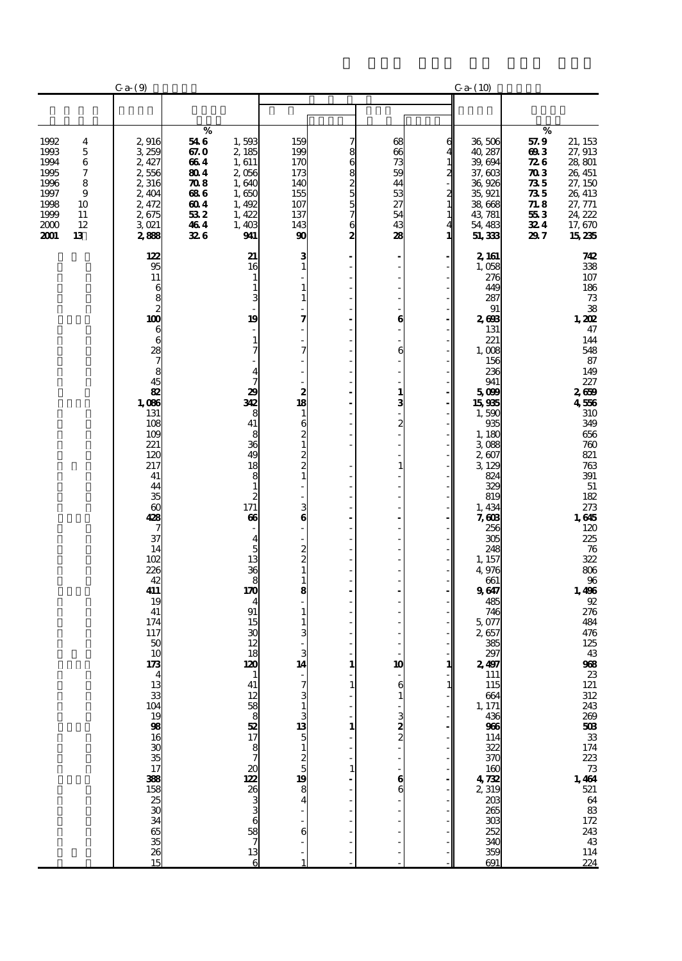|                                                                                                                                    | Ca (9)                                                                               |                                                                             |                                                                                     |                                                                   |                            |                                                          |                                              | Ca <sub>2</sub> (10)                                                                                  |                                                                                             |                                                                                                         |
|------------------------------------------------------------------------------------------------------------------------------------|--------------------------------------------------------------------------------------|-----------------------------------------------------------------------------|-------------------------------------------------------------------------------------|-------------------------------------------------------------------|----------------------------|----------------------------------------------------------|----------------------------------------------|-------------------------------------------------------------------------------------------------------|---------------------------------------------------------------------------------------------|---------------------------------------------------------------------------------------------------------|
|                                                                                                                                    |                                                                                      |                                                                             |                                                                                     |                                                                   |                            |                                                          |                                              |                                                                                                       |                                                                                             |                                                                                                         |
| 1992<br>4<br>1993<br>5<br>1994<br>6<br>7<br>1995<br>1996<br>8<br>9<br>1997<br>1998<br>10<br>1999<br>11<br>2000<br>12<br>2001<br>13 | 2,916<br>3 259<br>2, 427<br>2,556<br>2,316<br>2,404<br>2,472<br>2675<br>3021<br>2888 | %<br>54 6<br>67.O<br>664<br>804<br>70 S<br>686<br>604<br>53 2<br>464<br>326 | 1,593<br>2,185<br>1,611<br>2056<br>1,640<br>1,650<br>1,492<br>1,422<br>1,403<br>941 | 159<br>199<br>170<br>173<br>140<br>155<br>107<br>137<br>143<br>90 | 8<br>6<br>882557<br>6<br>2 | 68<br>66<br>73<br>59<br>44<br>53<br>27<br>54<br>43<br>28 | 6<br>$\mathbf{1}$<br>2<br>$\frac{2}{1}$<br>1 | 36,506<br>40, 287<br>39, 694<br>37,603<br>36,926<br>35, 921<br>38,668<br>43, 781<br>54, 483<br>51,333 | $\%$<br>57.9<br>693<br>72 G<br>$\boldsymbol{\pi}$<br>735<br>735<br>718<br>553<br>324<br>297 | 21, 153<br>27, 913<br>28,801<br>26, 451<br>27, 150<br>26, 413<br>27, 771<br>24, 222<br>17,670<br>15,235 |
|                                                                                                                                    | 122<br>95<br>11                                                                      |                                                                             | 21<br>16<br>$\mathbf{1}$                                                            | 3<br>$\mathbf{1}$                                                 |                            |                                                          |                                              | 2, 161<br>1,058<br>276                                                                                |                                                                                             | 742<br>338<br>$107\,$                                                                                   |
|                                                                                                                                    |                                                                                      |                                                                             | $\mathbf{1}$<br>3                                                                   | 1<br>1                                                            |                            |                                                          |                                              | 449<br>287                                                                                            |                                                                                             | 186<br>$7\!3$                                                                                           |
|                                                                                                                                    | $\begin{smallmatrix}6&&&6\&8&2\0&6&\end{smallmatrix}$                                |                                                                             | 19                                                                                  | 7                                                                 |                            | 6                                                        |                                              | 91<br>2608                                                                                            |                                                                                             | 38<br>1,202                                                                                             |
|                                                                                                                                    | 6                                                                                    |                                                                             | $\mathbf{1}$                                                                        |                                                                   |                            |                                                          |                                              | 131<br>221                                                                                            |                                                                                             | 47<br>144                                                                                               |
|                                                                                                                                    | 28<br>$\frac{7}{8}$                                                                  |                                                                             | 7                                                                                   | 7                                                                 |                            | 6                                                        |                                              | 1,008<br>156                                                                                          |                                                                                             | 548<br>87                                                                                               |
|                                                                                                                                    | 45                                                                                   |                                                                             | 4<br>7                                                                              |                                                                   |                            |                                                          |                                              | 236<br>941                                                                                            |                                                                                             | 149<br>227                                                                                              |
|                                                                                                                                    | $\overline{88}$<br>1,086                                                             |                                                                             | 29<br>342                                                                           | $\begin{array}{c} 2 \\ 18 \end{array}$                            |                            | $\mathbf{1}$<br>3                                        |                                              | 5000<br>15935                                                                                         |                                                                                             | 2659<br>4556                                                                                            |
|                                                                                                                                    | 131<br>108                                                                           |                                                                             | 8<br>41                                                                             | $\mathbf{1}$<br>6                                                 |                            | 2                                                        |                                              | 1,590<br>935                                                                                          |                                                                                             | 310<br>349                                                                                              |
|                                                                                                                                    | 109<br>221<br>120                                                                    |                                                                             | 8<br>36<br>49                                                                       | $\overline{\mathbf{c}}$<br>$\mathbf{1}$                           |                            |                                                          |                                              | 1,180<br>3,088<br>2,607                                                                               |                                                                                             | 656<br>760<br>821                                                                                       |
|                                                                                                                                    | 217<br>41                                                                            |                                                                             | 18                                                                                  | $\frac{2}{2}$<br>$\mathbf{1}$                                     |                            |                                                          |                                              | 3,129<br>824                                                                                          |                                                                                             | 763<br>391                                                                                              |
|                                                                                                                                    | 44<br>35                                                                             |                                                                             | $\begin{smallmatrix}8\1\end{smallmatrix}$<br>$\overline{c}$                         |                                                                   |                            |                                                          |                                              | 329<br>819                                                                                            |                                                                                             | ${\bf 51}$<br>182                                                                                       |
|                                                                                                                                    | $\boldsymbol{\omega}$<br>428                                                         |                                                                             | 171<br>66                                                                           | $\frac{3}{6}$                                                     |                            |                                                          |                                              | 1,434<br>7,603                                                                                        |                                                                                             | 273<br>1,645                                                                                            |
|                                                                                                                                    | 7<br>37                                                                              |                                                                             | 4                                                                                   |                                                                   |                            |                                                          |                                              | 256<br>305                                                                                            |                                                                                             | 120                                                                                                     |
|                                                                                                                                    | 14<br>102                                                                            |                                                                             | 5<br>13                                                                             | $\frac{2}{2}$                                                     |                            |                                                          |                                              | 248<br>1, 157                                                                                         |                                                                                             | 225<br>76<br>322                                                                                        |
|                                                                                                                                    | 226<br>42                                                                            |                                                                             | 36<br>8                                                                             | $\mathbf{1}$<br>1                                                 |                            |                                                          |                                              | 4,976<br>661                                                                                          |                                                                                             | $806\,$                                                                                                 |
|                                                                                                                                    | 411<br>19                                                                            |                                                                             | 170<br>4                                                                            | 8                                                                 |                            |                                                          |                                              | 9647<br>485                                                                                           |                                                                                             | $\frac{96}{1,496}$<br>$92\,$                                                                            |
|                                                                                                                                    | 41<br>174                                                                            |                                                                             | 91<br>15                                                                            | 1<br>1                                                            |                            |                                                          |                                              | 746<br>5,077                                                                                          |                                                                                             | 276<br>484                                                                                              |
|                                                                                                                                    | 117<br>50                                                                            |                                                                             | 30<br>12                                                                            |                                                                   |                            |                                                          |                                              | 2,657<br>385                                                                                          |                                                                                             | 476<br>125                                                                                              |
|                                                                                                                                    | 10<br>173                                                                            |                                                                             | 18<br>120                                                                           | 3<br>14                                                           | 1                          | 10                                                       | 1                                            | 297<br>2,497                                                                                          |                                                                                             | 43<br>968                                                                                               |
|                                                                                                                                    |                                                                                      |                                                                             | 41                                                                                  | 7                                                                 |                            | 6                                                        |                                              | 111<br>115                                                                                            |                                                                                             | ${\bf 23}$                                                                                              |
|                                                                                                                                    |                                                                                      |                                                                             |                                                                                     | 3                                                                 |                            |                                                          |                                              | 664<br>1, 171                                                                                         |                                                                                             |                                                                                                         |
|                                                                                                                                    |                                                                                      |                                                                             |                                                                                     |                                                                   |                            | 3                                                        |                                              | 436<br>966                                                                                            |                                                                                             |                                                                                                         |
|                                                                                                                                    |                                                                                      |                                                                             | $12$ 58 8 32 7 8 7                                                                  | 1 <u>5</u> 55 50 7 7 50 70 80 4                                   |                            |                                                          |                                              | 114<br>322<br>370                                                                                     |                                                                                             |                                                                                                         |
|                                                                                                                                    |                                                                                      |                                                                             | $rac{20}{122}$                                                                      |                                                                   |                            | 6                                                        |                                              | 160                                                                                                   |                                                                                             |                                                                                                         |
|                                                                                                                                    |                                                                                      |                                                                             |                                                                                     |                                                                   |                            |                                                          |                                              | 4732<br>2,319<br>203                                                                                  |                                                                                             |                                                                                                         |
|                                                                                                                                    |                                                                                      |                                                                             |                                                                                     |                                                                   |                            |                                                          |                                              | 265<br>303                                                                                            |                                                                                             |                                                                                                         |
|                                                                                                                                    | <u>ය සහ අය පිළි සිමින් සහ සිමි සම්බන්ධ</u>                                           |                                                                             | 2633638713                                                                          | 6                                                                 |                            |                                                          |                                              | 252                                                                                                   |                                                                                             |                                                                                                         |
|                                                                                                                                    |                                                                                      |                                                                             | 6                                                                                   |                                                                   |                            |                                                          |                                              | 340<br>359<br>691                                                                                     |                                                                                             | 224                                                                                                     |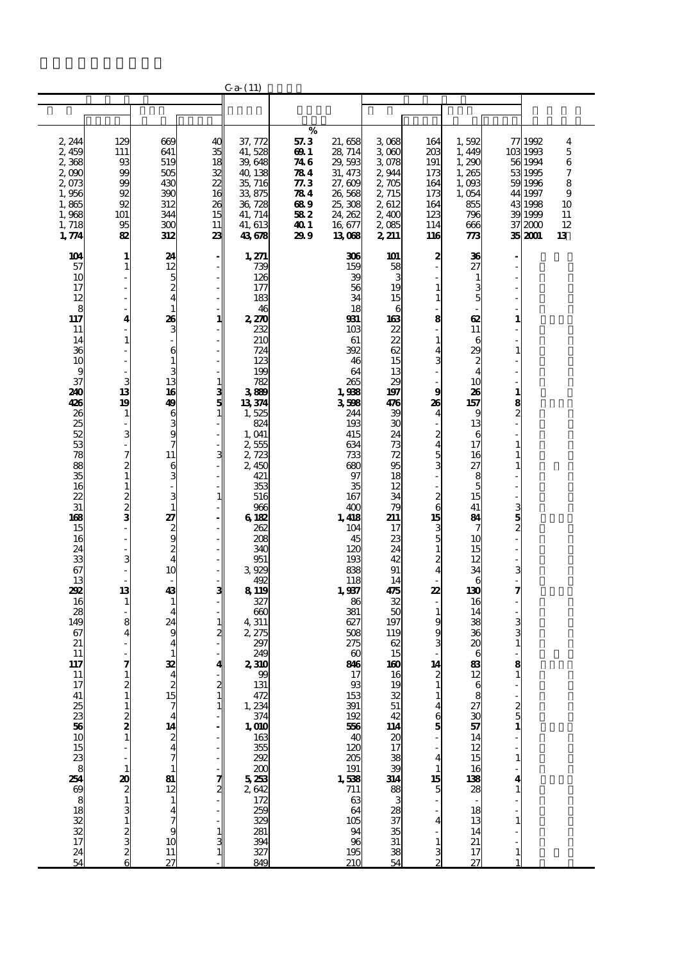|                                                                                                                                                                                                                                                                                                                                                                                       |                                                                                                                                                                                                                                                                                                                                                                       |                                                                                                                                                                                                                                                                                                                                                                                                                                                                                           |                                                                                                                                | $C_{a-}(11)$                                                                                                                                                                                                                                                                                                                                                                                                                                                                                            |                                                                             |                                                                                                                                                                                                                                                                                                                                                                                                                                             |                                                                                                                                                                                                                                                                                                                                                     |                                                                                                                                                                                                                                                                                                                                                                                                                      |                                                                                                                                                                                                                                                                                                                                                                                                             |                                                                                                                  |                                                                                                          |                                                    |
|---------------------------------------------------------------------------------------------------------------------------------------------------------------------------------------------------------------------------------------------------------------------------------------------------------------------------------------------------------------------------------------|-----------------------------------------------------------------------------------------------------------------------------------------------------------------------------------------------------------------------------------------------------------------------------------------------------------------------------------------------------------------------|-------------------------------------------------------------------------------------------------------------------------------------------------------------------------------------------------------------------------------------------------------------------------------------------------------------------------------------------------------------------------------------------------------------------------------------------------------------------------------------------|--------------------------------------------------------------------------------------------------------------------------------|---------------------------------------------------------------------------------------------------------------------------------------------------------------------------------------------------------------------------------------------------------------------------------------------------------------------------------------------------------------------------------------------------------------------------------------------------------------------------------------------------------|-----------------------------------------------------------------------------|---------------------------------------------------------------------------------------------------------------------------------------------------------------------------------------------------------------------------------------------------------------------------------------------------------------------------------------------------------------------------------------------------------------------------------------------|-----------------------------------------------------------------------------------------------------------------------------------------------------------------------------------------------------------------------------------------------------------------------------------------------------------------------------------------------------|----------------------------------------------------------------------------------------------------------------------------------------------------------------------------------------------------------------------------------------------------------------------------------------------------------------------------------------------------------------------------------------------------------------------|-------------------------------------------------------------------------------------------------------------------------------------------------------------------------------------------------------------------------------------------------------------------------------------------------------------------------------------------------------------------------------------------------------------|------------------------------------------------------------------------------------------------------------------|----------------------------------------------------------------------------------------------------------|----------------------------------------------------|
|                                                                                                                                                                                                                                                                                                                                                                                       |                                                                                                                                                                                                                                                                                                                                                                       |                                                                                                                                                                                                                                                                                                                                                                                                                                                                                           |                                                                                                                                |                                                                                                                                                                                                                                                                                                                                                                                                                                                                                                         |                                                                             |                                                                                                                                                                                                                                                                                                                                                                                                                                             |                                                                                                                                                                                                                                                                                                                                                     |                                                                                                                                                                                                                                                                                                                                                                                                                      |                                                                                                                                                                                                                                                                                                                                                                                                             |                                                                                                                  |                                                                                                          |                                                    |
|                                                                                                                                                                                                                                                                                                                                                                                       |                                                                                                                                                                                                                                                                                                                                                                       |                                                                                                                                                                                                                                                                                                                                                                                                                                                                                           |                                                                                                                                |                                                                                                                                                                                                                                                                                                                                                                                                                                                                                                         |                                                                             |                                                                                                                                                                                                                                                                                                                                                                                                                                             |                                                                                                                                                                                                                                                                                                                                                     |                                                                                                                                                                                                                                                                                                                                                                                                                      |                                                                                                                                                                                                                                                                                                                                                                                                             |                                                                                                                  |                                                                                                          |                                                    |
| 2, 244<br>2,459<br>2368<br>2,090<br>2,073<br>1,956<br>1,865<br>1,968<br>1,718<br>1,774                                                                                                                                                                                                                                                                                                | 129<br>111<br>93<br>99<br>99<br>92<br>92<br>101<br>95<br>82                                                                                                                                                                                                                                                                                                           | 669<br>641<br>519<br>505<br>430<br>390<br>312<br>344<br>300<br>312                                                                                                                                                                                                                                                                                                                                                                                                                        | 40<br>35<br>18<br>32<br>22<br>16<br>26<br>15<br>11<br>23                                                                       | 37, 772<br>41,528<br>39,648<br>40, 138<br>35, 716<br>33,875<br>36,728<br>41, 714<br>41, 613<br>43678                                                                                                                                                                                                                                                                                                                                                                                                    | %<br>57.3<br>69 1<br>746<br>784<br>77.3<br>784<br>689<br>582<br>40 I<br>299 | 21,658<br>28, 714<br>29,593<br>31, 473<br>27,609<br>26,568<br>25,308<br>24, 262<br>16 677<br>13068                                                                                                                                                                                                                                                                                                                                          | 3068<br>3060<br>3078<br>2,944<br>2705<br>2,715<br>2612<br>2,400<br>2,085<br>2, 211                                                                                                                                                                                                                                                                  | 164<br>203<br>191<br>173<br>164<br>173<br>164<br>123<br>114<br>116                                                                                                                                                                                                                                                                                                                                                   | 1,592<br>1,449<br>1,290<br>1,265<br>1,093<br>1,054<br>855<br>796<br>666<br>773                                                                                                                                                                                                                                                                                                                              | 37                                                                                                               | 77 1992<br>103 1993<br>56 1994<br>53 1995<br>59 1996<br>44 1997<br>43 1998<br>39 1999<br>2000<br>35 2001 | 4<br>5<br>6<br>7<br>8<br>9<br>10<br>11<br>12<br>13 |
| 104<br>57<br>10<br>17<br>12<br>$\begin{array}{c} 8 \\ 117 \end{array}$<br>11<br>14<br>36<br>10<br>g<br>37<br>240<br>426<br>26<br>25<br>52<br>53<br>78<br>88<br>35<br>16<br>22<br>31<br>168<br>15<br>16<br>24<br>33<br>67<br>13<br>292<br>16<br>28<br>149<br>67<br>21<br>11<br>117<br>11<br>$\begin{array}{c} 17 \\ 41 \end{array}$<br>26383<br>$\frac{15}{23}$<br>2548882221724<br>54 | $\mathbf{1}$<br>$\mathbf{1}$<br>4<br>$\mathbf{1}$<br>3<br>13<br>19<br>$\mathbf{1}$<br>$\overline{a}$<br>3<br>$\overline{7}$<br>$\frac{2}{1}$<br>$\mathbf{1}$<br>$2 \times 2$<br>3<br>13<br>$\mathbf{1}$<br>8<br>$\overline{4}$<br>7<br>$\frac{2}{1}$<br>$\frac{2}{1}$<br>$\begin{array}{c}\n\mathbf{a} \\ 2 \\ 1\n\end{array}$<br>3<br>$\mathbf{1}$<br><b>ລ</b> ລ ລ ລ | 24<br>12<br>5<br>$\frac{2}{4}$<br>$\mathbf{1}$<br>26<br>3<br>6<br>$\mathbf{1}$<br>3<br>13<br>16<br>49<br>6<br>$\frac{3}{9}$<br>7<br>11<br>$\frac{6}{3}$<br>3<br>$\mathbf{1}$<br>27<br>2000<br>10<br>43<br>$\mathbf{1}$<br>$\overline{\mathbf{4}}$<br>24<br>9<br>$\overline{\mathbf{4}}$<br>1<br>32<br>$\begin{array}{c}\n2 \\ 15 \\ 7\n\end{array}$<br>$\begin{array}{c}\n14 \\ 2 \\ 4\n\end{array}$<br>$\frac{81}{2}$<br>$\frac{12}{7}$<br>$\frac{14}{7}$<br>$\frac{47}{10}$<br>11<br>27 | - 1<br>1<br>$\frac{1}{5}$ 3<br>3<br>$\mathbf{1}$<br>ဒ<br>$\frac{1}{2}$<br>$\frac{2}{1}$<br>1<br>$\frac{7}{2}$<br>$\frac{1}{3}$ | 1,271<br>739<br>126<br>177<br>183<br>46<br>2,270<br>232<br>210<br>724<br>123<br>199<br>782<br>3889<br>13374<br>1,525<br>824<br>1,041<br>2555<br>2723<br>2,450<br>421<br>353<br>516<br>966<br>6182<br>262<br>208<br>340<br>951<br>3,929<br>492<br>8 1 19<br>327<br>600<br>4,311<br>2,275<br>297<br>249<br>2,310<br>99<br>131<br>472<br>1, 234<br>$1, \frac{374}{374}$<br>1, 010<br>163<br>355<br>292<br>$200$<br>5 $23$<br>2 $642$<br>2 $172$<br>2 $259$<br>329<br>281<br>$\overline{394}$<br>327<br>849 |                                                                             | 306<br>159<br>39<br>56<br>34<br>18<br>931<br>10 <sub>3</sub><br>61<br>392<br>46<br>64<br>265<br>1,938<br>3598<br>244<br>193<br>415<br>634<br>733<br>680<br>97<br>35<br>167<br>400<br>1,418<br>104<br>45<br>120<br>193<br>838<br>118<br>1,937<br>86<br>381<br>627<br>508<br>275<br>$\boldsymbol{\omega}$<br>846<br>17<br>93<br>153<br>391<br>192<br>556<br>40<br>120<br>205<br>191<br>$\frac{1}{711}$<br>64<br>105<br>94<br>96<br>195<br>210 | 101<br>58<br>3<br>19<br>15<br>6<br>163<br>22<br>22<br>62<br>15<br>13<br>29<br>197<br>476<br>39<br>30<br>24<br>73<br>72<br>95<br>18<br>12<br>34<br>79<br>211<br>17<br>23<br>24<br>42<br>91<br>14<br>475<br>32<br>50<br>197<br>119<br>62<br>15<br>160<br>16<br>19<br>32<br>51<br>$\frac{42}{114}$<br>20<br>17<br>∞ ജ≌ ജ<br>28<br>37<br>38<br>38<br>54 | 2<br>$\mathbf{1}$<br>1<br>8<br>$\mathbf{1}$<br>4<br>3<br>9<br>26<br>$\overline{\mathbf{4}}$<br>$\overline{\mathcal{Z}}$<br>4<br>5<br>$\overline{3}$<br>$\frac{2}{6}$<br>15<br>$\frac{3}{5}$<br>$\mathbf{1}$<br>$\overline{\mathcal{Z}}$<br>4<br>22<br>$\mathbf{1}$<br>9<br>g<br>3<br>14<br>$\mathbf{1}$<br>$\mathbf{1}$<br>4<br>$\frac{6}{5}$<br>4<br>$\mathbf{1}$<br>15<br>$\overline{5}$<br>4<br>$\mathbf{1}$<br>3 | 36<br>27<br>1<br>3<br>5<br>œ<br>11<br>6<br>29<br>$\boldsymbol{z}$<br>$\overline{\mathcal{A}}$<br>10<br>26<br>157<br>9<br>13<br>6<br>17<br>16<br>27<br>8<br>5<br>15<br>41<br>84<br>7<br>10<br>15<br>12<br>34<br>6<br>130<br>16<br>14<br>38<br>36<br>20<br>6<br>83<br>12<br>$\begin{array}{c} 6 \\ 8 \end{array}$<br>$\frac{27}{30}$<br>14<br>12<br>15<br>16<br>138<br>28<br>18<br>13<br>14<br>21<br>17<br>27 | 1<br>1<br>8<br>2<br>1<br>$\frac{3}{2}$<br>3<br>7<br>3<br>8<br>$\frac{2}{1}$<br>$\mathbf{1}$<br>4<br>$\mathbf{1}$ |                                                                                                          |                                                    |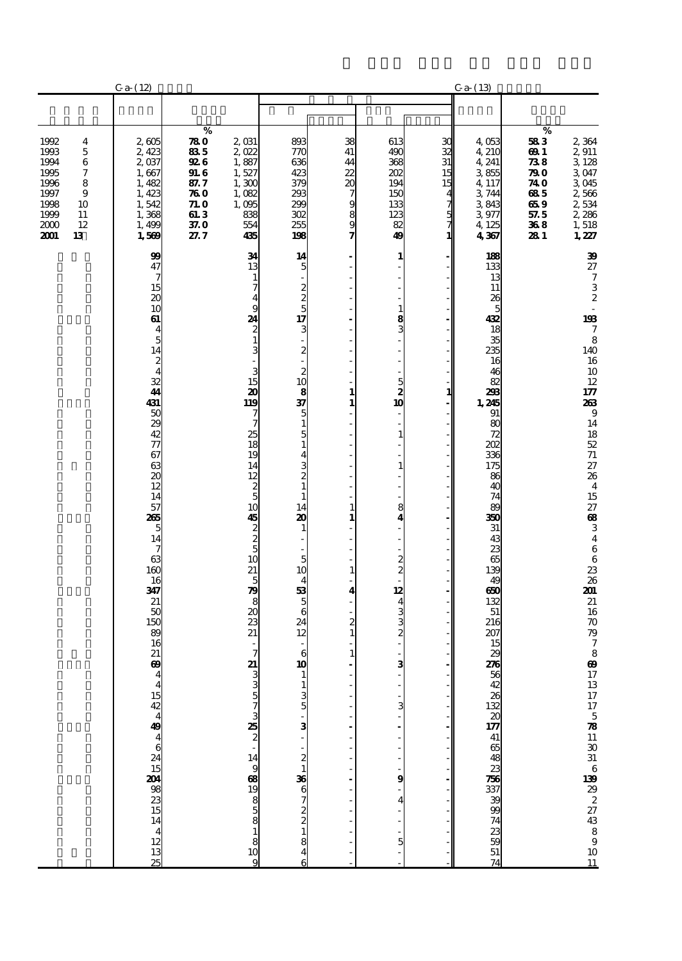|                                                                                    |                                              | $C_{a-} (12)$                                                                                                                                                                                                                                                                                                                                              |                                                                                               |                                                                                                                                                                                                                                                                                                                                                         |                                                                                                                                                                                                                                                                                                                                                                                                                                                                                                                             |                                                                                       |                                                                                                                                                                                |                                           | Ca (13)                                                                                                                                                                                                                                                                                                                   |                                                                               |                                                                                                                                                                                                                                                                                                                                                                                                                                                 |
|------------------------------------------------------------------------------------|----------------------------------------------|------------------------------------------------------------------------------------------------------------------------------------------------------------------------------------------------------------------------------------------------------------------------------------------------------------------------------------------------------------|-----------------------------------------------------------------------------------------------|---------------------------------------------------------------------------------------------------------------------------------------------------------------------------------------------------------------------------------------------------------------------------------------------------------------------------------------------------------|-----------------------------------------------------------------------------------------------------------------------------------------------------------------------------------------------------------------------------------------------------------------------------------------------------------------------------------------------------------------------------------------------------------------------------------------------------------------------------------------------------------------------------|---------------------------------------------------------------------------------------|--------------------------------------------------------------------------------------------------------------------------------------------------------------------------------|-------------------------------------------|---------------------------------------------------------------------------------------------------------------------------------------------------------------------------------------------------------------------------------------------------------------------------------------------------------------------------|-------------------------------------------------------------------------------|-------------------------------------------------------------------------------------------------------------------------------------------------------------------------------------------------------------------------------------------------------------------------------------------------------------------------------------------------------------------------------------------------------------------------------------------------|
|                                                                                    |                                              |                                                                                                                                                                                                                                                                                                                                                            |                                                                                               |                                                                                                                                                                                                                                                                                                                                                         |                                                                                                                                                                                                                                                                                                                                                                                                                                                                                                                             |                                                                                       |                                                                                                                                                                                |                                           |                                                                                                                                                                                                                                                                                                                           |                                                                               |                                                                                                                                                                                                                                                                                                                                                                                                                                                 |
| 1992<br>1993<br>1994<br>1995<br>1996<br>1997<br>1998<br>1999<br>2000<br>2001<br>13 | 4<br>5<br>6<br>7<br>8<br>9<br>10<br>11<br>12 | 2,605<br>2,423<br>2,037<br>1,667<br>1,482<br>1,423<br>1,542<br>1,368<br>1,499<br>1,569                                                                                                                                                                                                                                                                     | %<br>780<br>835<br><b>926</b><br><b>91.6</b><br>87.7<br>760<br>71. O<br>61.3<br>$370$<br>27.7 | 2,031<br>2,022<br>1,887<br>1,527<br>1,300<br>1,082<br>1,095<br>838<br>554<br>435                                                                                                                                                                                                                                                                        | 893<br>770<br>636<br>423<br>379<br>293<br>200<br>302<br>255<br>198                                                                                                                                                                                                                                                                                                                                                                                                                                                          | 38<br>41<br>44<br>22<br>20<br>7<br>9<br>8<br>9                                        | 613<br>490<br>368<br>202<br>194<br>150<br>133<br>123<br>82<br>49                                                                                                               | ЗС<br>32<br>31<br>15<br>15<br>5<br>7<br>1 | 4,053<br>4,210<br>4, 241<br>3855<br>4,117<br>3,744<br>3843<br>3977<br>4,125<br>4367                                                                                                                                                                                                                                       | $\%$<br>583<br>69 1<br>738<br>790<br>74 O<br>685<br>659<br>57.5<br>368<br>281 | 2,364<br>2,911<br>3 128<br>3.047<br>3045<br>2,566<br>2,534<br>2,286<br>1,518<br>1,227                                                                                                                                                                                                                                                                                                                                                           |
|                                                                                    |                                              | 99<br>47<br>7<br>$\frac{15}{20}$<br>10<br>61<br>$\overline{\mathbf{4}}$<br>$\overline{5}$<br>$\frac{14}{2}$<br>$\frac{32}{41}$<br>431<br>5029427767<br>63<br>$\overline{\boldsymbol{\mathsf{20}}}$<br>12<br>14<br>57<br>265<br>5<br>14<br>7<br>63<br>160<br>16<br>347<br>21<br>50<br>150<br>89<br>16<br>21<br>$\boldsymbol{\omega}$<br>4452449462154442135 |                                                                                               | 34<br>13<br>$\mathbf{1}$<br>$\overline{7}$<br>$\overline{\mathbf{4}}$<br>9<br>24<br>$\frac{2}{1}$<br>$\frac{3}{1}$<br>3<br>15<br>20<br>119<br>7<br>7<br>25<br>18<br>19<br>14<br>12<br>$\frac{2}{5}$<br>10<br>45<br>200<br>10<br>21<br>5<br>$\frac{1}{8}$<br>$\overline{\mathbf{a}}$<br>$\overline{z}$<br>21<br>7<br>21<br>335732573357335733573818<br>9 | 14<br>5<br>$\begin{array}{c}\n2 \\ 2 \\ 5 \\ 17\n\end{array}$<br>3<br>$\frac{2}{1}$<br>$\begin{array}{c} 2 \\ 10 \end{array}$<br>$\overline{\frac{8}{37}}$<br>5<br>$\mathbf{1}$<br>$\frac{5}{1}$<br>$\overline{\mathbf{4}}$<br>$\begin{array}{c} 3 \\ 2 \\ 1 \end{array}$<br>$\mathbf{1}$<br>14<br>20<br>$\mathbf{1}$<br>5<br>10<br>$\overline{\mathbf{4}}$<br>$\begin{array}{c}\n53 \\ 5\n\end{array}$<br>$\overline{6}$<br>$\overline{24}$<br>12<br>6<br>$\overline{10}$<br>$\frac{1}{3}$<br>- ຜ່ - ຜ– 88 © 20 ¤ & 0 = \$ | 1<br>$\mathbf{1}$<br>$\mathbf{1}$<br>$\mathbf{1}$<br>1<br>4<br>2<br>$\mathbf{1}$<br>1 | 1<br>$\mathbf{1}$<br>$\frac{8}{3}$<br>$\begin{array}{c} 5 \\ 2 \\ 10 \end{array}$<br>Ì<br>$\mathbf{1}$<br>8<br>4<br>$\frac{2}{2}$<br>12<br>$\frac{4}{2}$ 3<br>3<br>3<br>9<br>5 | 1                                         | 188<br>133<br>13<br>11<br>26<br>5<br>432<br>18<br>35<br>235<br>16<br>46<br>82<br>298<br>1,245<br>91<br>80<br>72<br>202<br>336<br>175<br>86<br>40<br>74<br>89<br>350<br>31<br>43<br>23<br>65<br>139<br>49<br>650<br>132<br>51<br>216<br>207<br>15<br>29<br>276<br>59 42 38 52 30 77 41 65 48 33 76 53 78 99 74 33 59 51 74 |                                                                               | 39<br>27<br>$\boldsymbol{7}$<br>$\frac{3}{2}$<br>$\frac{193}{7}$<br>8<br>140<br>16<br>$10\,$<br>12<br>$177$<br>263<br>$\boldsymbol{9}$<br>14<br>$\frac{18}{52}$<br>$7\!\,$<br>27<br>26<br>$\overline{\mathbf{4}}$<br>15<br>$\frac{27}{68}$<br>$\begin{array}{c} 3 \\ 4 \\ 6 \\ 6 \end{array}$<br>$236$<br>2012<br>$216$<br>70<br>$\begin{bmatrix} 7 \\ 8 \\ 0 \\ 0 \end{bmatrix}$<br>$17$ 13 $17$ 5 <b>78</b> 11 30 31 6 139 22 22 43 8 9 10 11 |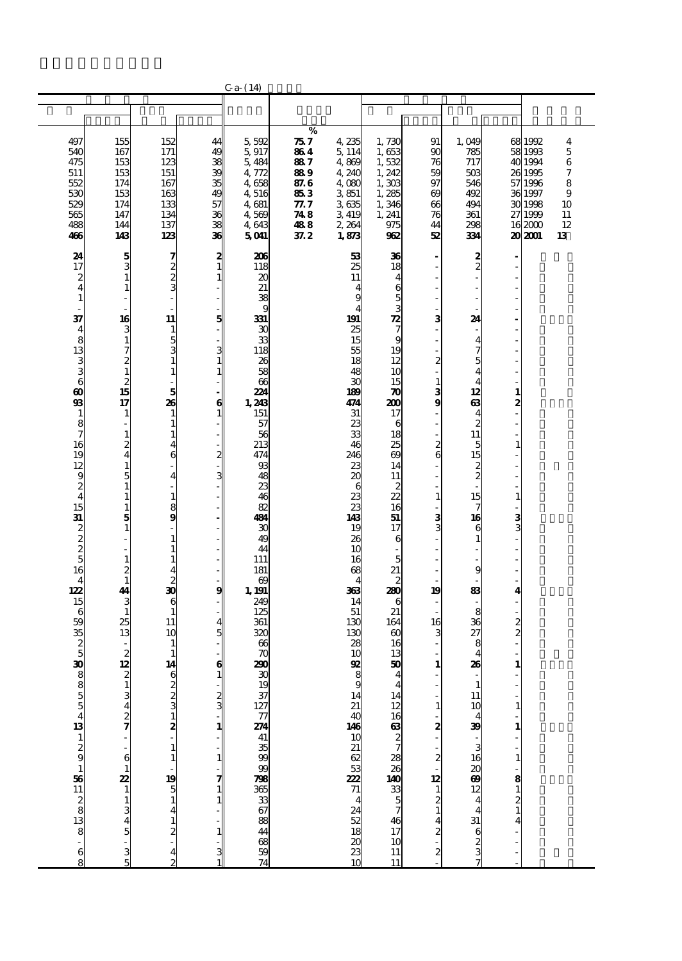|                                                                                                                                                                                                                                                                                                                                                                                                                |                                                                                                                                                                                                                                                                                                                                                                                                                    |                                                                                                                                                                                                                                                                                                                                                                                                             |                                                                                                                                                                            | Ca (14)                                                                                                                                                                                                                                                                                                                       |                                                                             |                                                                                                                                                                                                                                                                                                                  |                                                                                                                                                                                                                                                                                                                                                |                                                                                                                                                                                                                  |                                                                                                                                                                                                                                                                                                            |                                                                                                                                                                 |                                                                                                          |                                                              |
|----------------------------------------------------------------------------------------------------------------------------------------------------------------------------------------------------------------------------------------------------------------------------------------------------------------------------------------------------------------------------------------------------------------|--------------------------------------------------------------------------------------------------------------------------------------------------------------------------------------------------------------------------------------------------------------------------------------------------------------------------------------------------------------------------------------------------------------------|-------------------------------------------------------------------------------------------------------------------------------------------------------------------------------------------------------------------------------------------------------------------------------------------------------------------------------------------------------------------------------------------------------------|----------------------------------------------------------------------------------------------------------------------------------------------------------------------------|-------------------------------------------------------------------------------------------------------------------------------------------------------------------------------------------------------------------------------------------------------------------------------------------------------------------------------|-----------------------------------------------------------------------------|------------------------------------------------------------------------------------------------------------------------------------------------------------------------------------------------------------------------------------------------------------------------------------------------------------------|------------------------------------------------------------------------------------------------------------------------------------------------------------------------------------------------------------------------------------------------------------------------------------------------------------------------------------------------|------------------------------------------------------------------------------------------------------------------------------------------------------------------------------------------------------------------|------------------------------------------------------------------------------------------------------------------------------------------------------------------------------------------------------------------------------------------------------------------------------------------------------------|-----------------------------------------------------------------------------------------------------------------------------------------------------------------|----------------------------------------------------------------------------------------------------------|--------------------------------------------------------------|
|                                                                                                                                                                                                                                                                                                                                                                                                                |                                                                                                                                                                                                                                                                                                                                                                                                                    |                                                                                                                                                                                                                                                                                                                                                                                                             |                                                                                                                                                                            |                                                                                                                                                                                                                                                                                                                               |                                                                             |                                                                                                                                                                                                                                                                                                                  |                                                                                                                                                                                                                                                                                                                                                |                                                                                                                                                                                                                  |                                                                                                                                                                                                                                                                                                            |                                                                                                                                                                 |                                                                                                          |                                                              |
| 497<br>540<br>475<br>511<br>552<br>530<br>529<br>565<br>488<br>466                                                                                                                                                                                                                                                                                                                                             | 155<br>167<br>153<br>153<br>174<br>153<br>174<br>147<br>144<br>143                                                                                                                                                                                                                                                                                                                                                 | 152<br>171<br>123<br>151<br>167<br>163<br>133<br>134<br>137<br>123                                                                                                                                                                                                                                                                                                                                          | 44<br>49<br>38<br>39<br>35<br>49<br>57<br>36<br>38<br>38                                                                                                                   | 5,592<br>5917<br>5,484<br>4,772<br>4658<br>4,516<br>4,681<br>4,569<br>4643<br>5041                                                                                                                                                                                                                                            | %<br>757<br>864<br>887<br>889<br>87.6<br>853<br>77. 7<br>748<br>488<br>37.2 | 4,235<br>5,114<br>4869<br>4,240<br>4,080<br>3851<br>3635<br>3 419<br>2,264<br>1,873                                                                                                                                                                                                                              | 1,730<br>1,653<br>1,532<br>1,242<br>1,303<br>1,285<br>1,346<br>1, 241<br>975<br>962                                                                                                                                                                                                                                                            | 91<br>90<br>76<br>59<br>97<br>$\boldsymbol{\omega}$<br>66<br>76<br>44<br>52                                                                                                                                      | 1,049<br>785<br>717<br>503<br>546<br>492<br>494<br>361<br>298<br>334                                                                                                                                                                                                                                       |                                                                                                                                                                 | 68 1992<br>58 1993<br>40 1994<br>26 1995<br>571996<br>36 1997<br>30 1998<br>27 1999<br>162000<br>20 2001 | 4<br>$\mathbf 5$<br>6<br>7<br>8<br>9<br>10<br>11<br>12<br>13 |
| 24<br>17<br>$\boldsymbol{z}$<br>$\overline{4}$<br>$\mathbf{1}$<br>37<br>$\overline{\mathbf{4}}$<br>രധധിയ<br>$\boldsymbol{\omega}$<br>$\boldsymbol{\mathfrak{B}}$<br>$\mathbf{1}$<br>$\frac{8}{7}$<br>16<br>19<br>12<br>$\begin{array}{c} 9 \\ 2 \\ 4 \end{array}$<br>15<br>$\frac{32}{16}$<br>$\overline{\mathbf{4}}$<br>122<br>15<br>6<br>59<br>36<br>30<br>30<br>x თ · x ¤ ს ს ს ს ს ს ს ს ს ს ს ს ს ს დ დ ი | $\frac{5}{3}$<br>1<br>16<br>3<br>$\mathbf{1}$<br>7<br>$\frac{2}{1}$<br>$\begin{array}{c} 2 \\ 15 \end{array}$<br>17<br>$\mathbf{1}$<br>1<br>2<br>4<br>$\mathbf{1}$<br>5<br>$\mathbf{1}$<br>1<br>5<br>1<br>$\frac{2}{1}$<br>44<br>3<br>$\mathbf{1}$<br>$\begin{array}{c} 25 \\ 13 \end{array}$<br>$\frac{2}{12}$<br>$\frac{1}{2}$<br>3<br>4<br>2<br>7<br>6<br>$\frac{22}{1}$<br>$\frac{1}{3}$<br>$\frac{4}{5}$<br>3 | 7<br>$\frac{2}{3}$<br>11<br>$\mathbf{1}$<br>$\frac{5}{3}$<br>$\mathbf{1}$<br>$\mathbf{1}$<br>5<br>26<br>$\mathbf{1}$<br>$\mathbf{1}$<br>1<br>4<br>6<br>4<br>$\mathbf{1}$<br>8<br>9<br>$\mathbf{1}$<br>$\mathbf{1}$<br>$\mathbf{1}$<br>4<br>$\frac{2}{30}$<br>6<br>$\mathbf{1}$<br>11<br>10<br>$\mathbf{1}$<br>$\mathbf{1}$<br>14<br>R<br>$22312 - 11$<br>$\frac{19}{5}$ $\frac{5}{4}$<br>$\frac{1}{2}$<br>4 | $\frac{2}{1}$<br>$\frac{1}{2}$<br>5<br>$\frac{3}{1}$<br>$\frac{1}{2}$<br>$\mathbf{e}$<br>$\mathbf{1}$<br>$\mathbf{z}$<br>3<br>9<br>4<br>5<br>6<br>$1 - 2$<br>3<br>1  <br>з | 206<br>118<br>$\boldsymbol{\chi}$<br>21<br>38<br>9<br>331<br>30<br>33<br>118<br>26<br>58<br>66<br>224<br>1,243<br>151<br>57<br>56<br>213<br>474<br>93<br>48<br>23<br>46<br>82<br>481<br>30<br>49<br>44<br>111<br>181<br>$\infty$<br>1, 191<br>249<br>125<br>361<br>320<br>66<br>70<br>290<br>d weerad week also week also wee |                                                                             | 53<br>25<br>11<br>4<br>9<br>$\overline{4}$<br>191<br>25<br>15<br>55<br>18<br>48<br>30<br>189<br>474<br>31<br>23<br>33<br>46<br>246<br>23<br>20<br>6<br>23<br>23<br>143<br>19<br>26<br>10<br>16<br>68<br>4<br>363<br>14<br>51<br>130<br>130<br>28<br>10<br>92<br>8<br>$\frac{6}{9}$<br><b>b 88824388888556885</b> | 36<br>18<br>4<br>6<br>$\frac{5}{3}$<br>$\frac{1}{7}$<br>9<br>19<br>12<br>10<br>15<br>$\boldsymbol{\pi}$<br>200<br>17<br>6<br>18<br>25<br>$\omega$<br>14<br>11<br>$rac{2}{22}$<br>16<br>51<br>17<br>6<br>5<br>21<br>$\boldsymbol{z}$<br>280<br>6<br>21<br>164<br>$\infty$<br>16<br>13<br>50<br>14<br>12166327282614033574617<br>$\frac{10}{11}$ | $\overline{a}$<br>÷,<br>3<br>2<br>$\mathbf{1}$<br>$\frac{3}{9}$<br>2<br>6<br>$\mathbf{1}$<br>$\frac{3}{3}$<br>19<br>÷,<br>16<br>3<br>$\mathbf{1}$<br>1<br>$\mathbf{z}$<br>$-2$ $-12$ $-12$<br>$\frac{4}{2}$<br>2 | $\frac{2}{2}$<br>24<br>4<br>7<br>5<br>4<br>4<br>12<br>63<br>$\overline{4}$<br>$\boldsymbol{z}$<br>11<br>5<br>15<br>$\frac{2}{2}$<br>15<br>16<br>6<br>1<br>9<br>83<br>8<br>36<br>27<br>8<br>4<br>26<br>11<br>10<br>≙ ® ∴ ⊗ 8 ® ¤ ⊿<br>4 ¤ ® ® ¤<br>$\begin{array}{c}\n 4 \\  31 \\  62 \\  3\n \end{array}$ | 1<br>$\overline{\mathbf{c}}$<br>$\mathbf{1}$<br>$\mathbf{1}$<br>$\frac{3}{3}$<br>4<br>$\frac{2}{2}$<br>$\mathbf{1}$<br>1<br>1<br>$\frac{8}{4}$<br>$\frac{1}{4}$ |                                                                                                          |                                                              |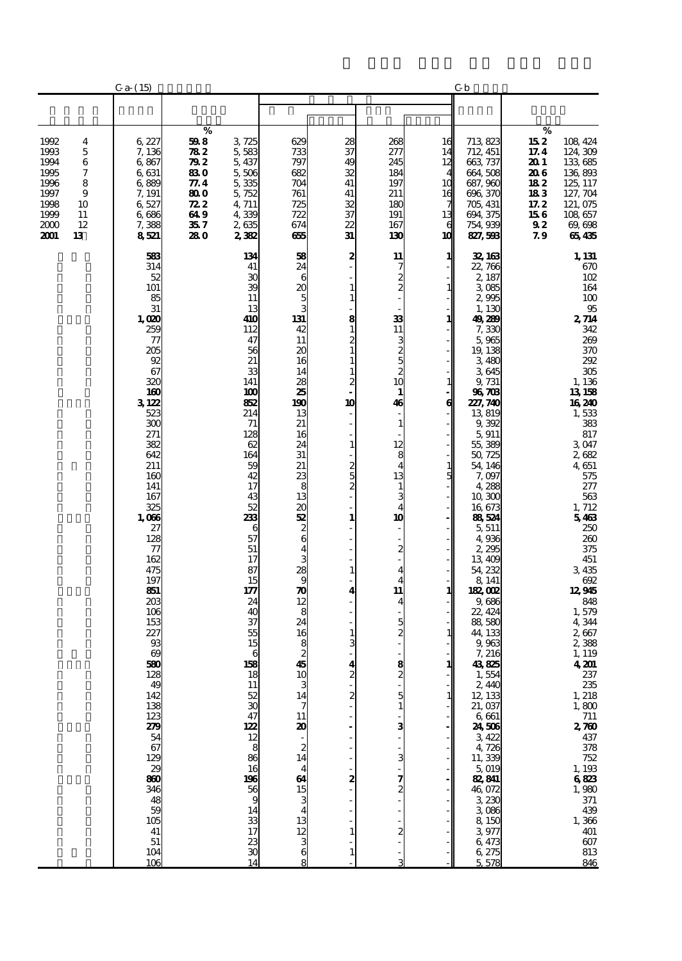|                                                                                                                                    | $C_{a-} (15)$                                                                                                                                                                                                                                                                                                                                                                                                                                               |                                                                             |                                                                                                                                                                                                                                                                                                                                                                                                                     |                                                                                                                                                                                                                                                                                                                                                                                                                    |                                                           |                                                                                                                                                                                                                                         |                                                                           | Сb                                                                                                                                                                                                                                                                                                                                                                                                                                                                                                                                                                                                       |                                                                                                                                                                                                                                                                                                                                                                                                                                                                                                                   |
|------------------------------------------------------------------------------------------------------------------------------------|-------------------------------------------------------------------------------------------------------------------------------------------------------------------------------------------------------------------------------------------------------------------------------------------------------------------------------------------------------------------------------------------------------------------------------------------------------------|-----------------------------------------------------------------------------|---------------------------------------------------------------------------------------------------------------------------------------------------------------------------------------------------------------------------------------------------------------------------------------------------------------------------------------------------------------------------------------------------------------------|--------------------------------------------------------------------------------------------------------------------------------------------------------------------------------------------------------------------------------------------------------------------------------------------------------------------------------------------------------------------------------------------------------------------|-----------------------------------------------------------|-----------------------------------------------------------------------------------------------------------------------------------------------------------------------------------------------------------------------------------------|---------------------------------------------------------------------------|----------------------------------------------------------------------------------------------------------------------------------------------------------------------------------------------------------------------------------------------------------------------------------------------------------------------------------------------------------------------------------------------------------------------------------------------------------------------------------------------------------------------------------------------------------------------------------------------------------|-------------------------------------------------------------------------------------------------------------------------------------------------------------------------------------------------------------------------------------------------------------------------------------------------------------------------------------------------------------------------------------------------------------------------------------------------------------------------------------------------------------------|
|                                                                                                                                    |                                                                                                                                                                                                                                                                                                                                                                                                                                                             |                                                                             |                                                                                                                                                                                                                                                                                                                                                                                                                     |                                                                                                                                                                                                                                                                                                                                                                                                                    |                                                           |                                                                                                                                                                                                                                         |                                                                           |                                                                                                                                                                                                                                                                                                                                                                                                                                                                                                                                                                                                          |                                                                                                                                                                                                                                                                                                                                                                                                                                                                                                                   |
| 1992<br>4<br>1993<br>5<br>1994<br>6<br>7<br>1995<br>1996<br>8<br>1997<br>9<br>1998<br>10<br>1999<br>11<br>2000<br>12<br>2001<br>13 | 6,227<br>7,136<br>6,867<br>6,631<br>6,889<br>7, 191<br>6,527<br>6,686<br>7,388<br>8521                                                                                                                                                                                                                                                                                                                                                                      | %<br>598<br>782<br>79 Z<br>830<br>77.4<br>800<br>722<br>64 9<br>35 7<br>280 | 3, 725<br>5,583<br>5, 437<br>5,506<br>5,335<br>5, 752<br>4,711<br>4339<br>2635<br>2382                                                                                                                                                                                                                                                                                                                              | 629<br>733<br>797<br>682<br>704<br>761<br>725<br>722<br>674<br>෯                                                                                                                                                                                                                                                                                                                                                   | 28<br>37<br>49<br>32<br>41<br>41<br>32<br>37<br>22<br>31  | 268<br>277<br>245<br>184<br>197<br>211<br>18C<br>191<br>167<br>130                                                                                                                                                                      | 16<br>14<br>12<br>10<br>16<br>13<br>6<br>10                               | 713, 823<br>712, 451<br>663, 737<br>664,508<br>687, 960<br>696, 370<br>705, 431<br>694, 375<br>754, 939<br>827,598                                                                                                                                                                                                                                                                                                                                                                                                                                                                                       | $\%$<br>108 424<br>15 2<br>17.4<br>124, 309<br>20 1<br>133,685<br>20 G<br>136,893<br>18 2<br>125, 117<br>127, 704<br>183<br>17.2<br>121, 075<br>156<br>108 657<br>92<br>69,698<br>79<br>65435                                                                                                                                                                                                                                                                                                                     |
|                                                                                                                                    | 583<br>314<br>52<br>101<br>85<br>31<br>1,000<br>259<br>$\tau$<br>205<br>92<br>67<br>320<br>160<br>3122<br>523<br>300<br>271<br>382<br>642<br>211<br>160<br>141<br>167<br>325<br>1,006<br>27<br>128<br>77<br>162<br>475<br>197<br>851<br>203<br>106<br>153<br>227<br>93<br>$\boldsymbol{\omega}$<br>580<br>128<br>49<br>142<br>$\frac{138}{54}$<br>$\frac{67}{129}$<br>29<br>860<br>346<br>48<br>59<br>105<br>41<br>$5\mathbf{1}$<br>104<br>$\overline{106}$ |                                                                             | 134<br>41<br>30<br>39<br>11<br>13<br>410<br>112<br>47<br>56<br>21<br>33<br>141<br>100<br>82<br>214<br>71<br>128<br>62<br>164<br>59<br>42<br>17<br>43<br>52<br>233<br>6<br>57<br>51<br>17<br>87<br>15<br>177<br>24<br>40<br>37<br>55<br>15<br>6<br>158<br>18<br>11<br>$\begin{array}{c} 52 \\ 30 \end{array}$<br>47<br>122<br>12<br>$\overline{8}$<br>86<br>16<br>196<br>56<br>9<br>14<br>33<br>17<br>23<br>30<br>14 | 58<br>24<br>6<br>20<br>$\frac{5}{3}$<br>131<br>42<br>11<br>20<br>16<br>14<br>28<br>25<br>190<br>13<br>21<br>16<br>24<br>31<br>21<br>23<br>8<br>13<br>20<br>52<br>$\frac{2}{6}$<br>$\overline{\mathbf{4}}$<br>3<br>28<br>9<br>$\frac{1}{2}$<br>8<br>24<br>16<br>$\frac{8}{45}$<br>10<br>3<br>14<br>$\overline{7}$<br>11<br>$\frac{20}{14}$<br>$\overline{\mathbf{4}}$<br>64<br>15<br>3<br>13<br>12<br>$\frac{3}{6}$ | 2<br>8<br>1<br>2<br>10<br>1<br>2<br>5<br>1<br>1<br>4<br>4 | 11<br>7<br>2<br>$\overline{c}$<br>33<br>11<br>3<br>5<br>5<br>$\overline{c}$<br>10<br>$\mathbf{1}$<br>46<br>$\mathbf{1}$<br>12<br>8<br>$\overline{4}$<br>13<br>1<br>3<br>4<br>10<br>$\overline{c}$<br>4<br>11<br>4<br>5<br>$\frac{8}{9}$ | 1<br>$\mathbf{1}$<br>1<br>1<br>6<br>1<br>5<br>1<br>1<br>1<br>$\mathbf{1}$ | 32, 163<br>22,766<br>2, 187<br>3085<br>2,995<br>1, 130<br>49,289<br>7,330<br>5,965<br>19, 138<br>3,480<br>3645<br>9, 731<br>96708<br>227,740<br>13819<br>9,392<br>5,911<br>55,389<br>50, 725<br>54, 146<br>7,097<br>4,288<br>10,300<br>16,673<br>86,524<br>5, 511<br>4,936<br>2,295<br>13,409<br>54, 232<br>8, 141<br><b>182, CO2</b><br>9,686<br>22, 424<br>88,580<br>44, 133<br>9,963<br>7, 216<br>43,825<br>1,554<br>2,440<br>12, 133<br>21,037<br>6,661<br><b>24, 506</b><br>3, 422<br>4,726<br>11,339<br>5019<br>82,841<br>46,072<br>3,230<br>$\frac{3}{8}$ 086<br>3,977<br>6,473<br>6,275<br>5 578 | 1, 131<br>670<br>102<br>164<br>100<br>95<br>2,714<br>342<br>269<br>370<br>292<br>305<br>1, 136<br>13158<br>16 24 0<br>1,533<br>383<br>817<br>3.047<br>2682<br>4,651<br>575<br>277<br>563<br>1, 712<br>5463<br>250<br>260<br>375<br>451<br>3,435<br>692<br>12945<br>848<br>1,579<br>4,344<br>2,667<br>2,388<br>1, 119<br>4.201<br>237<br>235<br>1, 218<br>1, 800<br>711<br>2, 760<br>437<br>378<br>378<br>$\frac{752}{1,193}$<br>6823<br>$\frac{1}{371}$<br>$\frac{439}{1,366}$<br>401<br>$\frac{607}{813}$<br>846 |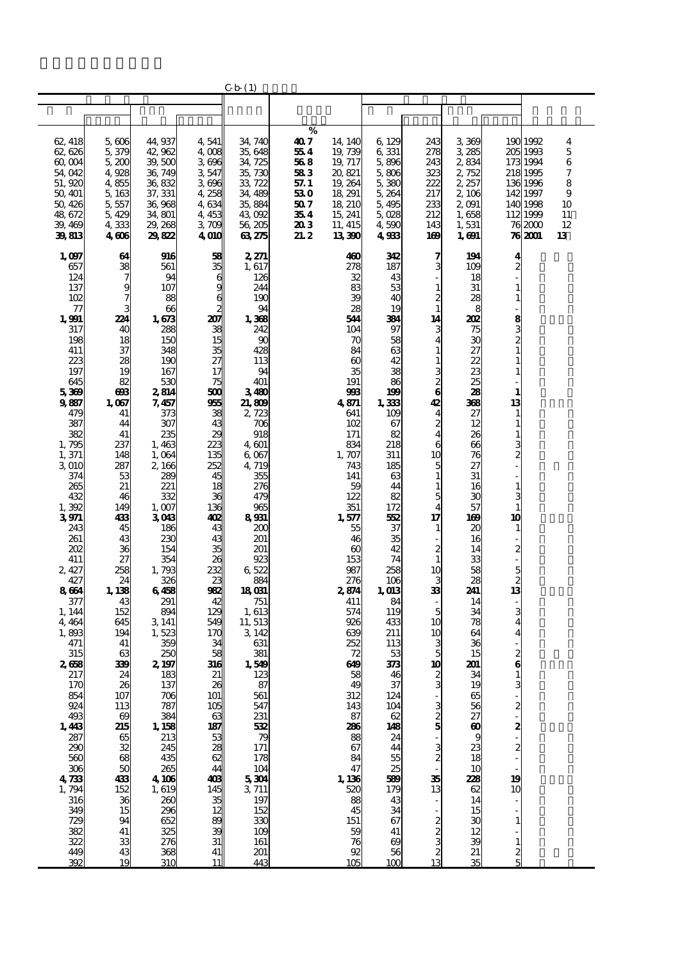|                           |                          |                                                         |                            | C b (1)           |            |                       |                       |                         |                       |                              |                    |          |
|---------------------------|--------------------------|---------------------------------------------------------|----------------------------|-------------------|------------|-----------------------|-----------------------|-------------------------|-----------------------|------------------------------|--------------------|----------|
|                           |                          |                                                         |                            |                   |            |                       |                       |                         |                       |                              |                    |          |
|                           |                          |                                                         |                            |                   |            |                       |                       |                         |                       |                              |                    |          |
|                           |                          |                                                         |                            |                   | %          |                       |                       |                         |                       |                              |                    |          |
| 62, 418                   | 5,606                    | 44, 937                                                 | 4,541                      | 34, 740           | 407        | 14, 140               | 6, 129                | 243                     | 3369                  |                              | 190 1992           | 4        |
| 62, 626                   | 5,379                    | 42,962                                                  | 4 008                      | 35,648            | 554        | 19,739                | 6 331                 | 278                     | 3,285                 |                              | 205 1993           | 5        |
| 60,004                    | 5,200                    | 39,500                                                  | 3696                       | 34, 725           | 568        | 19, 717               | 5,896                 | 243                     | 2,834                 |                              | 173 1994           | 6        |
| 54,042                    | 4,928                    | 36, 749                                                 | 3547                       | 35,730            | 583        | 20,821                | 5806                  | 323                     | 2 752                 |                              | 218 1995           | 7        |
| 51,920                    | 4855                     | 36, 832                                                 | 3696                       | 33, 722           | 57. 1      | 19, 264               | 5,380                 | 222                     | 2, 257                |                              | 136 1996           | 8        |
| 50, 401                   | 5, 163                   | 37, 331                                                 | 4,258                      | 34, 489           | 53 0       | 18, 291               | 5, 264                | 217                     | 2, 106                |                              | 142 1997           | 9        |
| 50, 426                   | 5,557                    | 36,968                                                  | 4634                       | 35,884            | 50 7       | 18, 210               | 5,495                 | 233                     | 2,091                 |                              | 140 1998           | 10       |
| 48,672<br>39, 469         | 5,429                    | 34,801<br>29, 268                                       | 4,453<br>3709              | 43,092<br>56, 205 | 354<br>203 | 15, 241<br>11, 415    | 5,028<br>4,590        | 212<br>143              | 1,658<br>1,531        |                              | 112 1999<br>762000 | 11<br>12 |
| 39,813                    | 4,333<br>4606            | 29,822                                                  | <b>4 OIO</b>               | 63,275            | 21. 2      | 13,390                | 4933                  | 169                     | 1, 691                |                              | 76 2001            | 13       |
|                           |                          |                                                         |                            |                   |            |                       |                       |                         |                       |                              |                    |          |
| 1,097                     | 64                       | 916                                                     | 58                         | 2, 271            |            | 460                   | 342                   | 7                       | 194                   | 4                            |                    |          |
| 657                       | 38                       | 561                                                     | 35                         | 1, 617            |            | 278                   | 187                   | з                       | 109                   | 2                            |                    |          |
| 124                       | $\overline{7}$           | 94                                                      | 6                          | 126               |            | 32                    | 43                    |                         | 18                    |                              |                    |          |
| 137                       | 9                        | 107                                                     | g                          | 244               |            | 83                    | 53                    | $\mathbf{1}$            | 31                    |                              |                    |          |
| 102                       | 7                        | 88                                                      | $\epsilon$                 | 190               |            | 39                    | 40                    | 2                       | 28                    | $\mathbf{1}$                 |                    |          |
| $\tau$                    |                          | 66                                                      | 2                          | 94                |            | 28                    | 19                    | $\mathbf{1}$            | 8                     |                              |                    |          |
| 1,991                     | 224                      | 1,673                                                   | 207                        | 1,368<br>242      |            | 544                   | 384                   | 14                      | 202                   |                              |                    |          |
| 317<br>198                | 40<br>18                 | 288<br>150                                              | 38<br>15                   | 90                |            | 104<br>70             | 97<br>58              | 3<br>4                  | 75<br>30              | യയ ജ                         |                    |          |
| 411                       | 37                       | 348                                                     | 35                         | 428               |            | 84                    | 63                    | 1                       | 27                    |                              |                    |          |
| 223                       | 28                       | 190                                                     | 27                         | 113               |            | $\boldsymbol{\omega}$ | 42                    | 1                       | 22                    | 1                            |                    |          |
| 197                       | 19                       | 167                                                     | 17                         | 94                |            | 35                    | 38                    | 3                       | 23                    |                              |                    |          |
| 645                       | 82                       | 530                                                     | 75                         | 401               |            | 191                   | 86                    | $\frac{2}{6}$           | 25                    |                              |                    |          |
| 5369                      | ങ                        | 2814                                                    | 500                        | 3480              |            | 998                   | 199                   |                         | 28                    | 1                            |                    |          |
| 9887                      | 1,067                    | 7, 457                                                  | 955                        | 21,809            |            | 4871                  | 1,333                 | 42                      | 368                   | 13                           |                    |          |
| 479                       | 41                       | 373                                                     | 38                         | 2,723             |            | 641                   | 109                   | $\overline{\mathbf{4}}$ | 27                    | $\mathbf{1}$                 |                    |          |
| 387<br>382                | 44<br>41                 | 307                                                     | 43<br>29                   | 706<br>918        |            | 102                   | 67<br>82              | $\frac{2}{4}$           | 12                    | $\mathbf{1}$<br>$\mathbf{1}$ |                    |          |
| 1,795                     | 237                      | 235<br>1,463                                            | 223                        | 4, 601            |            | 171<br>834            | 218                   | 6                       | 26<br>66              |                              |                    |          |
| 1,371                     | 148                      | 1,064                                                   | 135                        | 6,067             |            | 1,707                 | 311                   | 10                      | 76                    |                              |                    |          |
| 3 010                     | 287                      | 2, 166                                                  | 252                        | 4,719             |            | 743                   | 185                   | 5                       | 27                    | $\frac{2}{1}$                |                    |          |
| 374                       | 53                       | 289                                                     | 45                         | 355               |            | 141                   | 63                    | $\mathbf{1}$            | 31                    |                              |                    |          |
| 265                       | 21                       | 221                                                     | 18                         | 276               |            | 59                    | 44                    | $\mathbf{1}$            | 16                    | $\mathbf{1}$                 |                    |          |
| 432                       | 46                       | 332                                                     | 36                         | 479               |            | 122                   | 82                    | 5                       | 30                    | 3                            |                    |          |
| 1,392                     | 149                      | 1,007                                                   | 136                        | 965               |            | 351                   | 172                   | 4                       | 57                    | $\mathbf{1}$                 |                    |          |
| 3971                      | 433                      | 3043                                                    | 402                        | 8931              |            | 1,577                 | 552                   | 17                      | 169                   | 10                           |                    |          |
| 243<br>261                | 45<br>43                 | 186<br>230                                              | 43<br>43                   | 200<br>201        |            | 55<br>46              | 37<br>35              | 1                       | 20<br>16              | $\mathbf{1}$                 |                    |          |
| 202                       | 36                       | 154                                                     | 35                         | 201               |            | $\boldsymbol{\omega}$ | 42                    | 2                       | 14                    |                              |                    |          |
| 411                       | 27                       | 354                                                     | 26                         | 923               |            | 153                   | 74                    | $\mathbf{1}$            | 33                    | $\frac{2}{1}$                |                    |          |
| 2, 427                    | 258                      | 1,793                                                   | 232                        | 6522              |            | 987                   | 258                   | 10                      | 58                    | 5                            |                    |          |
| 427                       | 24                       | 326                                                     | 23                         | 884               |            | 276                   | 106                   | 3                       | 28                    | $\frac{2}{13}$               |                    |          |
| 8664                      | 1, 138                   | 6458                                                    | 982                        | 18 <sub>081</sub> |            | 2,874                 | 1, 013                | 33                      | 241                   |                              |                    |          |
| 377                       | 43                       | 291                                                     | 42                         | 751               |            | 411                   | 84                    |                         | 14                    |                              |                    |          |
| 1, 144                    | 152                      | 894                                                     | 129<br>549                 | 1,613             |            | 574<br>926            | 119<br>433            | 5<br>10                 | 34                    | 3<br>4                       |                    |          |
| 4, 464<br>1,893           | 645<br>194               | 3, 141<br>1,523                                         | 17C                        | 11, 513<br>3, 142 |            | 639                   | 211                   | 10                      | 78<br>64              | 4                            |                    |          |
| 471                       | 41                       | 359                                                     | 34                         | 631               |            | 252                   | 113                   | 3                       | 36                    |                              |                    |          |
| 315                       | 63                       | 250                                                     | 58                         | 381               |            | 72                    | 53                    | 5                       | 15                    | $\frac{2}{6}$                |                    |          |
| 2658                      | 339                      | 2, 197                                                  | 316                        | 1,549             |            | 649                   | 373                   | 10                      | 201                   |                              |                    |          |
| 217                       | 24                       | 183                                                     | 21                         | 123               |            | 58                    | 46                    |                         | 34                    |                              |                    |          |
| 170                       | 26                       | 137                                                     | 26<br>101                  | 87                |            | 49                    | 37                    | 3                       | 19                    | $\frac{3}{2}$                |                    |          |
| 854<br>924                | 107<br>113               | 706<br>787                                              | 105                        | 561<br>547        |            | 312<br>143            | 124<br>104            |                         | 65<br>56              |                              |                    |          |
| 493                       | $\boldsymbol{\omega}$    |                                                         |                            |                   |            | 87                    |                       | 380                     | 27                    |                              |                    |          |
|                           | 215                      |                                                         |                            | $\frac{231}{532}$ |            | 286                   | $\frac{62}{148}$      |                         | $\boldsymbol{\omega}$ |                              |                    |          |
| $\frac{148}{287}$         | 65                       |                                                         | 63<br>42<br>38<br>38<br>44 | 79                |            | 88                    | 24<br>44              |                         | 9                     | $\mathbf{z}$                 |                    |          |
| 290                       | $\overline{\mathbf{3}}$  |                                                         |                            | 171               |            | 67                    |                       | 3                       | 23                    | $\overline{a}$               |                    |          |
| 560                       | $\overline{\mathbf{68}}$ |                                                         |                            | 178               |            | 84                    | 55                    | $\frac{2}{2}$           | 18                    |                              |                    |          |
| $\frac{306}{4}$           | 50                       | $384$<br>1.38<br>2.34<br>3.35<br>4.10<br>6<br>4.10<br>3 |                            | 104               |            | 47                    | 25                    |                         | 10                    |                              |                    |          |
|                           | 433<br>152               |                                                         | 408                        | $\frac{5}{3}$ 304 |            | 1, 136<br>520         | 589                   | 35<br>13                | 228<br>62             | 19<br>10                     |                    |          |
| $1,794$<br>$316$<br>$349$ | 36                       | $1,619$<br>$200$<br>$296$                               | $\frac{145}{35}$           | 197               |            | 88                    | 179<br>43             |                         | 14                    |                              |                    |          |
|                           | 15                       |                                                         |                            | 152               |            | 45                    | 34                    |                         | 15                    |                              |                    |          |
| 729                       | 94                       | $\frac{652}{325}$                                       | 89<br>39                   | 330               |            | 151                   | 67                    |                         | 30                    | $\mathbf{1}$                 |                    |          |
| 382<br>322                | 41                       |                                                         |                            | 109               |            | 59                    | 41                    |                         | 12                    |                              |                    |          |
|                           | 33                       | 276                                                     | 31                         | 161               |            | 76                    | $\boldsymbol{\omega}$ | ນ ພ ນ ນ                 | 39                    | $\mathbf{1}$                 |                    |          |
| 449                       | 43                       | 368<br>310                                              | 41                         | 201               |            | 92                    | 56                    |                         | 21                    | $\frac{2}{5}$                |                    |          |
| 392                       | 19                       |                                                         |                            | 443               |            | 105                   | 100                   |                         | 35                    |                              |                    |          |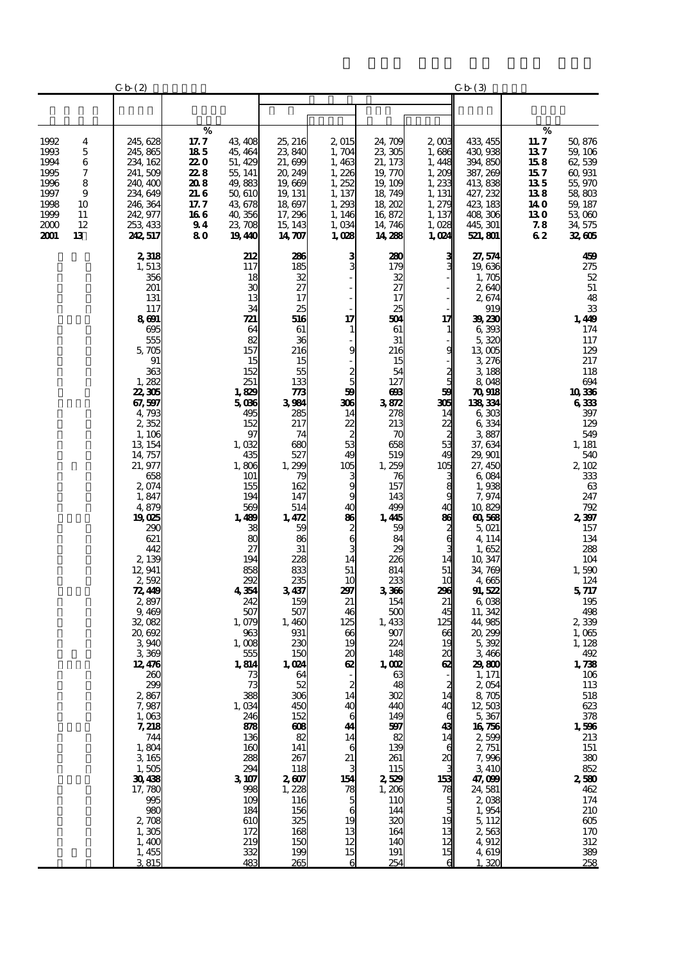|                                                                              |                                                    | C b(2)                                                                                                                                                                                                                                                                                                                                                                                                                                                                                                                     |                                                                             |                                                                                                                                                                                                                                                                                                                                                                                                                                |                                                                                                                                                                                                                                                                                                                                                                                                                        |                                                                                                                                                                                                                                                                     |                                                                                                                                                                                                                                                                                                                                                                                                                        |                                                                                                                                                                                                                                                               | C b(3)                                                                                                                                                                                                                                                                                                                                                                                                                                                                                                                                                                  |                                                                            |                                                                                                                                                                                                                                                                                                                                                                                                                                                                       |
|------------------------------------------------------------------------------|----------------------------------------------------|----------------------------------------------------------------------------------------------------------------------------------------------------------------------------------------------------------------------------------------------------------------------------------------------------------------------------------------------------------------------------------------------------------------------------------------------------------------------------------------------------------------------------|-----------------------------------------------------------------------------|--------------------------------------------------------------------------------------------------------------------------------------------------------------------------------------------------------------------------------------------------------------------------------------------------------------------------------------------------------------------------------------------------------------------------------|------------------------------------------------------------------------------------------------------------------------------------------------------------------------------------------------------------------------------------------------------------------------------------------------------------------------------------------------------------------------------------------------------------------------|---------------------------------------------------------------------------------------------------------------------------------------------------------------------------------------------------------------------------------------------------------------------|------------------------------------------------------------------------------------------------------------------------------------------------------------------------------------------------------------------------------------------------------------------------------------------------------------------------------------------------------------------------------------------------------------------------|---------------------------------------------------------------------------------------------------------------------------------------------------------------------------------------------------------------------------------------------------------------|-------------------------------------------------------------------------------------------------------------------------------------------------------------------------------------------------------------------------------------------------------------------------------------------------------------------------------------------------------------------------------------------------------------------------------------------------------------------------------------------------------------------------------------------------------------------------|----------------------------------------------------------------------------|-----------------------------------------------------------------------------------------------------------------------------------------------------------------------------------------------------------------------------------------------------------------------------------------------------------------------------------------------------------------------------------------------------------------------------------------------------------------------|
|                                                                              |                                                    |                                                                                                                                                                                                                                                                                                                                                                                                                                                                                                                            |                                                                             |                                                                                                                                                                                                                                                                                                                                                                                                                                |                                                                                                                                                                                                                                                                                                                                                                                                                        |                                                                                                                                                                                                                                                                     |                                                                                                                                                                                                                                                                                                                                                                                                                        |                                                                                                                                                                                                                                                               |                                                                                                                                                                                                                                                                                                                                                                                                                                                                                                                                                                         |                                                                            |                                                                                                                                                                                                                                                                                                                                                                                                                                                                       |
| 1992<br>1993<br>1994<br>1995<br>1996<br>1997<br>1998<br>1999<br>2000<br>2001 | 4<br>5<br>6<br>7<br>8<br>9<br>10<br>11<br>12<br>13 | 245, 628<br>245, 865<br>234, 162<br>241,509<br>240, 400<br>234, 649<br>246, 364<br>242, 977<br>253, 433<br>242, 517                                                                                                                                                                                                                                                                                                                                                                                                        | %<br>17. 7<br>185<br>22 O<br>228<br>208<br>21. G<br>17.7<br>166<br>94<br>80 | 43, 408<br>45, 464<br>51, 429<br>55, 141<br>49,883<br>50,610<br>43,678<br>40,356<br>23,708<br>1940                                                                                                                                                                                                                                                                                                                             | 25, 216<br>23,840<br>21,699<br>20, 249<br>19,669<br>19, 131<br>18,697<br>17, 296<br>15, 143<br>14, 707                                                                                                                                                                                                                                                                                                                 | 2,015<br>1,704<br>1,463<br>1,226<br>1,252<br>1, 137<br>1,293<br>1, 146<br>1,034<br>1,028                                                                                                                                                                            | 24,709<br>23, 305<br>21, 173<br>19,770<br>19, 109<br>18,749<br>18,202<br>16,872<br>14, 746<br>14,288                                                                                                                                                                                                                                                                                                                   | $2 \text{ } \text{ } 3$<br>1,686<br>1, 448<br>1,209<br>1,233<br>1, 131<br>1,279<br>1, 137<br>1,028<br>1,024                                                                                                                                                   | 433, 455<br>430,938<br>394, 850<br>387, 269<br>413838<br>427, 232<br>423, 183<br>408,306<br>445, 301<br>521, 801                                                                                                                                                                                                                                                                                                                                                                                                                                                        | %<br>11. 7<br>137<br>158<br>15 7<br>135<br>138<br>14 O<br>13 O<br>78<br>62 | 50,876<br>59, 106<br>62,539<br>60,931<br>55,970<br>58,803<br>59, 187<br>53 060<br>34,575<br>32,605                                                                                                                                                                                                                                                                                                                                                                    |
|                                                                              |                                                    | 2,318<br>1,513<br>356<br>201<br>131<br>117<br>8691<br>695<br>555<br>5,705<br>91<br>363<br>1,282<br>22, 305<br>67, 597<br>4,793<br>2352<br>1, 106<br>13 154<br>14, 757<br>21, 977<br>658<br>2,074<br>1,847<br>4,879<br>19025<br>290<br>621<br>442<br>2,139<br>12,941<br>2,592<br>72, 449<br>2,897<br>9,469<br>32,082<br>20, 692<br>3940<br>3369<br>12,476<br>260<br>299<br>2,867<br>7,987<br>1,063<br>7, 218<br>744<br>1,804<br>3 165<br>1,505<br>30438<br>17,780<br>995<br>980<br>2,708<br>1,305<br>1,400<br>1,455<br>3815 |                                                                             | 212<br>117<br>18<br>30<br>13<br>34<br>721<br>64<br>82<br>157<br>15<br>152<br>251<br>1,829<br>5086<br>495<br>152<br>97<br>1,032<br>435<br>1,806<br>101<br>155<br>194<br>569<br>1,489<br>38<br>80<br>27<br>194<br>858<br>292<br>4354<br>242<br>507<br>1,079<br>963<br>1,008<br>555<br>1,814<br>73<br>73<br>388<br>1,034<br>246<br>88<br>136<br>160<br>288<br>294<br>3107<br>998<br>109<br>184<br>610<br>172<br>219<br>332<br>483 | 286<br>185<br>32<br>27<br>17<br>25<br>516<br>61<br>36<br>216<br>15<br>55<br>133<br>773<br>3984<br>285<br>217<br>74<br>680<br>527<br>1,299<br>79<br>162<br>147<br>514<br>1,472<br>59<br>86<br>31<br>228<br>833<br>235<br>3437<br>159<br>507<br>1,460<br>931<br>230<br>150<br>1,024<br>64<br>52<br>306<br>450<br>152<br>608<br>82<br>141<br>267<br>118<br>2607<br>1,228<br>116<br>156<br>325<br>168<br>150<br>199<br>265 | з<br>17<br>9<br>5<br>59<br>306<br>14<br>22<br>53<br>49<br>105<br>9<br>40<br>86<br>$\frac{2}{6}$<br>3<br>14<br>51<br>10<br>297<br>21<br>46<br>125<br>66<br>19<br>20<br>œ<br>2<br>14<br>40<br>6<br>44<br>14<br>6<br>21<br>154<br>78<br>5<br>6<br>19<br>13<br>12<br>15 | 280<br>179<br>32<br>27<br>17<br>25<br>504<br>61<br>31<br>216<br>15<br>54<br>127<br>ങ്ങ<br>3872<br>278<br>213<br>70<br>658<br>519<br>1,259<br>76<br>157<br>143<br>499<br>1,445<br>59<br>84<br>29<br>226<br>814<br>233<br>3366<br>154<br>500<br>1,433<br>907<br>224<br>148<br>1, QQ<br>63<br>48<br>302<br>440<br>149<br>597<br>82<br>139<br>261<br>115<br>2529<br>1,206<br>110<br>144<br>320<br>164<br>140<br>191<br>254 | 17<br>g<br>58<br>306<br>14<br>22<br>53<br>49<br>105<br>8<br>40<br>86<br>٤<br>6<br>14<br>51<br>1C<br>296<br>21<br>45<br>125<br>66<br>19<br>20<br>œ<br>2<br>14<br>40<br>43<br>14<br>6<br>$\boldsymbol{\alpha}$<br>153<br>$\frac{78}{5}$<br>19<br>13<br>12<br>15 | 27, 574<br>19,636<br>1,705<br>2640<br>2674<br>919<br>39,230<br>6,393<br>5,320<br>13,005<br>3,276<br>3 188<br>8,048<br>70918<br>138334<br>6,303<br>6,334<br>3887<br>37, 634<br>29, 901<br>27, 450<br>6,084<br>1,938<br>7,974<br>10,829<br>60,568<br>5,021<br>4, 114<br>1,652<br>10, 347<br>34, 769<br>4,665<br>91,522<br>6,038<br>11, 342<br>44,985<br>20,299<br>5,392<br>3,466<br>29800<br>1, 171<br>2,054<br>8,705<br>12,503<br>5,367<br>16756<br>2,599<br>2, 751<br>7,996<br>3,410<br>47,099<br>24,581<br>2,038<br>1,954<br>5, 112<br>2563<br>4,912<br>4,619<br>1,320 |                                                                            | 459<br>275<br>$52\,$<br>$51\,$<br>48<br>${\bf 33}$<br>1,449<br>174<br>117<br>129<br>217<br>118<br>694<br>10336<br>6333<br>397<br>129<br>549<br>1, 181<br>540<br>2,102<br>333<br>63<br>247<br>792<br>2,397<br>157<br>134<br>288<br>104<br>1,590<br>124<br>5717<br>195<br>498<br>2339<br>1,065<br>1,128<br>492<br>1,738<br>106<br>113<br>518<br>623<br>$378\,$<br>1,596<br>213<br>151<br>$380\,$<br>852<br>2580<br>462<br>174<br>210<br>605<br>170<br>312<br>389<br>258 |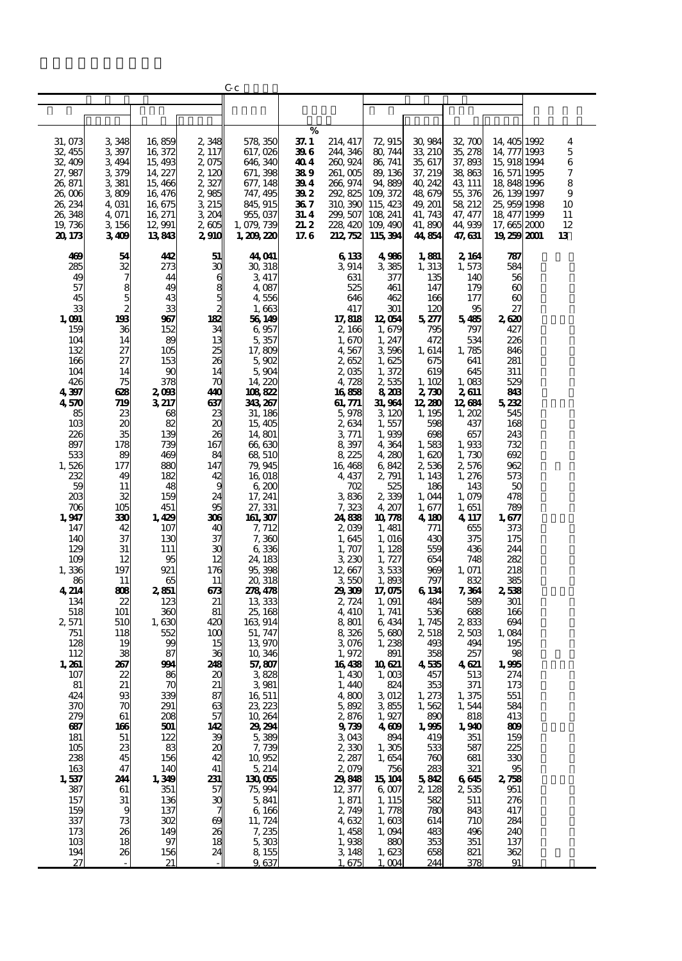|                 |                |                 |                     | Gс               |              |                          |                  |                  |                |                       |          |
|-----------------|----------------|-----------------|---------------------|------------------|--------------|--------------------------|------------------|------------------|----------------|-----------------------|----------|
|                 |                |                 |                     |                  |              |                          |                  |                  |                |                       |          |
|                 |                |                 |                     |                  |              |                          |                  |                  |                |                       |          |
|                 |                |                 |                     |                  | %            |                          |                  |                  |                |                       |          |
| 31,073          | 3,348          | 16,859          | 2,348               | 578 350          | 37. I        | 214, 417                 | 72, 915          | 30,984           | 32, 700        | 14 405 1992           | 4        |
| 32, 455         | 3,397          | 16, 372         | 2 117               | 617,026          | 39 G         | 244, 346                 | 80, 744          | 33, 210          | 35, 278        | 14, 777 1993          | 5        |
| 32,409          | 3, 494         | 15,493          | 2075                | 646, 340         | 40 4         | 260, 924                 | 86, 741          | 35, 617          | 37,893         | 15, 918 1994          | 6        |
| 27,987          | 3379           | 14, 227         | 2 120               | 671, 398         | 389          | 261,005                  | 89, 136          | 37, 219          | 38,863         | 16 571 1995           | 7        |
| 26,871          | 3 3 8 1        | 15,466          | 2327                | 677, 148         | 394          | 266, 974                 | 94,889           | 40, 242          | 43, 111        | 18,848,1996           | 8        |
| 26,006          | 3809           | 16, 476         | 2,985               | 747, 495         | 39 2         | 292, 825                 | 109, 372         | 48,679           | 55, 376        | 26, 139 1997          | 9        |
| 26, 234         | 4, 031         | 16,675          | 3 215               | 845, 915         | 36 7         | 310, 390                 | 115, 423         | 49, 201          | 58, 212        | 25, 959 1998          | 10       |
| 26,348          | 4,071          | 16, 271         | 3, 204              | 955,037          | 31. 4        | 299, 507                 | 108 241          | 41, 743          | 47, 477        | 18, 477 1999          | 11       |
| 19,736          | 3,156          | 12,991          | 2005                | 1,079,739        | 21.2<br>17.6 | 228, 420<br>212, 752     | 109, 490         | 41,890<br>44,854 | 44,939         | 17,665 2000           | 12<br>13 |
| 20, 173         | 3409           | 13843           | 2,910               | 1, 200, 220      |              |                          | 115,394          |                  | 47, 631        | 19 259 2001           |          |
| 469             | 54             | 412             | 51                  | 44,041           |              | 6 133                    | 4986             | 1,881            | 2, 164         | 787                   |          |
| 285             | $\frac{32}{7}$ | 273             | $\rm ^3C$           | 30, 318          |              | 3914                     | 3385             | 1, 313           | 1,573          | 584                   |          |
| 49              |                | 44              | 6                   | 3 417            |              | 631                      | 377              | 135              | 140            | 56                    |          |
| 57              |                | 49              | 8                   | 4 087            |              | 525                      | 461              | 147              | 179            | $\boldsymbol{\omega}$ |          |
| 45              | $\frac{8}{2}$  | 43              | 5                   | 4556             |              | 646                      | 462              | 166              | 177            | $\boldsymbol{\omega}$ |          |
| 33              |                | 33              | 2                   | 1,663            |              | 417                      | 301              | 120              | 95             | 27                    |          |
| 1,091           | 198            | 967             | 182                 | 56 149           |              | 17,818                   | 12 054           | 5,277            | 5485           | 2620                  |          |
| 159<br>104      | 36<br>14       | 152<br>89       | 34<br>13            | 6957<br>5,357    |              | 2, 166<br>1,670          | 1,679<br>1, 247  | 795<br>472       | 797<br>534     | 427<br>226            |          |
| 132             | 27             | 105             |                     | 17,809           |              | 4,567                    | 3596             | 1, 614           | 1,785          | 846                   |          |
| 166             | 27             | 153             | $\frac{25}{26}$     | 5.902            |              | 2652                     | 1,625            | 675              | 641            | 281                   |          |
| 104             | 14             | 90              | 14                  | 5,904            |              | 2,035                    | 1,372            | 619              | 645            | 311                   |          |
| 426             | 75             | 378             | $\pi$               | 14, 220          |              | 4,728                    | 2,535            | 1,102            | 1,083          | 529                   |          |
| 4397            | 628            | 2,093           | 410                 | 108822           |              | 16858                    | 8208             | 2,730            | 2611           | 843                   |          |
| 4570            | 719            | 3217            | 637                 | 343, 267         |              | 61, 771                  | 31,964           | 12,280           | 12,684         | 5232                  |          |
| 85              | 23             | 68              | 23                  | 31, 186          |              | 5,978                    | 3, 120           | 1, 195           | 1,202          | 545                   |          |
| 10 <sub>3</sub> | 20             | 82              | $\boldsymbol{\chi}$ | 15,405           |              | 2,634                    | 1,557            | 598              | 437            | 168                   |          |
| 226<br>897      | 35             | 139             | 26<br>167           | 14,801           |              | 3771                     | 1,939            | 698              | 657            | 243                   |          |
| 533             | 178<br>89      | 739<br>469      | 84                  | 66,630<br>68 510 |              | 8,397<br>8 225           | 4,364<br>4,280   | 1,583<br>1,620   | 1,933<br>1,730 | 732<br>692            |          |
| 1,526           | 177            | 880             | 147                 | 79,945           |              | 16, 468                  | 6,842            | 2536             | 2,576          | 962                   |          |
| 232             | 49             | 182             | 42                  | 16 018           |              | 4, 437                   | 2, 791           | 1, 143           | 1, 276         | 573                   |          |
| 59              | 11             | 48              | g                   | 6,200            |              | 702                      | 525              | 186              | 143            | 50                    |          |
| 203             | 32             | 159             | 24                  | 17, 241          |              | 3836                     | 2339             | 1,044            | 1,079          | 478                   |          |
| 706             | 105            | 451             | 95                  | 27, 331          |              | 7,323                    | 4, 207           | 1,677            | 1,651          | 789                   |          |
| 1,947           | 330            | 1,429           | 306                 | 161, 307         |              | 24,838                   | 10778            | 4,180            | 4, 117         | 1,677                 |          |
| 147             | 42             | 107             | 40                  | 7, 712           |              | 2000                     | 1, 481           | 771              | 655            | 373                   |          |
| 140             | 37             | 130             | 37<br>$\mathbf{C}$  | 7,360            |              | 1,645                    | 1,016            | 430              | 375            | 175                   |          |
| 129<br>109      | 31<br>12       | 111<br>95       | 12                  | 6336<br>24, 183  |              | 1,707<br>3,230           | 1, 128<br>1, 727 | 559<br>654       | 436<br>748     | 244<br>282            |          |
| 1,336           | 197            | 921             | 176                 | 95,398           |              | 12,667                   | 3533             | 969              | 1, 071         | 218                   |          |
| 86              | 11             | 65              | 11                  | 20, 318          |              | 355C                     | 1,893            | 797              | 832            | 385                   |          |
| 4 214           | 803            | 2851            | 673                 | 278478           |              | 29,309                   | 17,075           | 6 134            | 7, 364         | 2,538                 |          |
| 134             | 22             | 123             | 21                  | 13 333           |              | 2,724                    | 1,091            | 484              | 589            | 301                   |          |
| 518             | 101            | 360             | 81                  | 25, 168          |              | 4, 410                   | 1, 741           | 536              | 688            | 166                   |          |
| 2,571           | 510            | 1,630           | 420                 | 163 914          |              | 8 801                    | 6, 434           | 1, 745           | 2,833          | 694                   |          |
| 751             | 118            | 552             | 100                 | 51, 747          |              | 8,326                    | 5,680            | 2,518            | 2,503          | 1,084                 |          |
| 128<br>112      | 19<br>38       | 99<br>87        | 15<br>36            | 13 970<br>10,346 |              | 3076<br>1,972            | 1,238<br>891     | 493<br>358       | 494<br>257     | 195<br>98             |          |
| 1,261           | 267            | 994             | 248                 | 57,807           |              | 16438                    | 10621            | 4535             | 4621           | 1,995                 |          |
| 107             | 22             | 86              | 20                  | 3828             |              | 1,430                    | 1,003            | 457              | 513            | 274                   |          |
| 81              | 21             | 70              | 21                  | 3981             |              | 1, 440                   | 824              | 353              | 371            | 173                   |          |
| 424             | 93             | 339             | 87                  | 16 511           |              | 4,800                    | 3012             | 1, 273           | 1,375          | 551                   |          |
| 370             | 70             | 291             | 63                  | 23, 223          |              | 5,892                    | 3855             | 1,562            | 1,544          | 584                   |          |
| 279             | 61             | 208             | 57                  | 10,264           |              | 2,876                    | 1,927            | 890              | 818            | 413                   |          |
| 687             | 166            | 501             | 142                 | 29,294           |              | $9739$<br>3 043<br>2 330 | 4609             | 1,995            | 1,940          | 809                   |          |
| 181<br>105      | 51<br>23       | 122<br>83       | $\frac{39}{20}$     | 5,389<br>7,739   |              |                          | 894<br>1,305     | 419<br>533       | 351<br>587     | 159<br>225            |          |
| 238             | 45             | 156             | 42                  | 10,952           |              | 2, 287                   | 1,654            | 760              | 681            | 330                   |          |
| 163             | 47             | 140             | 41                  | 5214             |              | 2079                     | 756              | 283              | 321            | 95                    |          |
| 1,537           | 244            | 1,349           | 231                 | 130055           |              | 29818                    | 15 104           | 5812             | 6645           | 278                   |          |
| 387             | 61             | 351             | 57                  | 75,994           |              | 12, 377                  | 6,007            | 2,128            | 2535           | 951                   |          |
| 157             | 31             | 136             | $\mathbf{x}$        | 5,841            |              | 1, 871                   | 1, 115           | 582              | 511            | 276                   |          |
| 159             | 9              | 137             |                     | 6 16 6           |              | 2,749                    | 1,778            | 780              | 843            | 417                   |          |
| 337             | 73             | 302             | $\infty$            | 11, 724          |              | 4632                     | 1,603            | 614              | 710            | 284                   |          |
| 173             | 26             | 149             | 26                  | 7, 235           |              | $1,458$<br>$1,938$       | 1,094            | 483              | 496            | 240                   |          |
| 10 <sup>3</sup> | 18             | 97<br>156       | 18<br>24            | 5303             |              | 3 148                    | 880              | 353              | 351            | 137                   |          |
| 194<br>27       | 26             | $\overline{21}$ |                     | 8 155<br>9.637   |              | 1.675                    | 1,623<br>1.004   | 658<br>244       | 821<br>378     | 362<br>91             |          |
|                 |                |                 |                     |                  |              |                          |                  |                  |                |                       |          |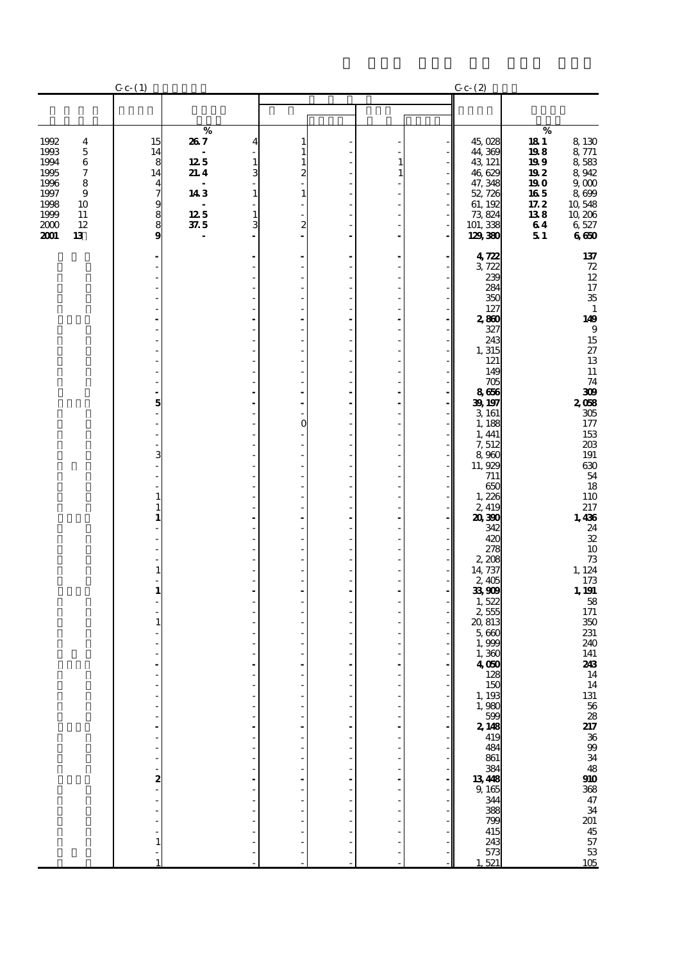|                                                                                                                                              | $C_{c-}(1)$                                                                                        |                                                             |                                                                                               |   | $C_{c}$ (2)                                                                                                                                                                                                                                                                                                                                                                                                                                                                                        |                                                                           |                                                                                                                                                                                                                                                                                                                                                                                                                                                    |
|----------------------------------------------------------------------------------------------------------------------------------------------|----------------------------------------------------------------------------------------------------|-------------------------------------------------------------|-----------------------------------------------------------------------------------------------|---|----------------------------------------------------------------------------------------------------------------------------------------------------------------------------------------------------------------------------------------------------------------------------------------------------------------------------------------------------------------------------------------------------------------------------------------------------------------------------------------------------|---------------------------------------------------------------------------|----------------------------------------------------------------------------------------------------------------------------------------------------------------------------------------------------------------------------------------------------------------------------------------------------------------------------------------------------------------------------------------------------------------------------------------------------|
|                                                                                                                                              |                                                                                                    |                                                             |                                                                                               |   |                                                                                                                                                                                                                                                                                                                                                                                                                                                                                                    |                                                                           |                                                                                                                                                                                                                                                                                                                                                                                                                                                    |
| 1992<br>4<br>1993<br>$\mathbf 5$<br>1994<br>6<br>1995<br>7<br>1996<br>8<br>9<br>1997<br>1998<br>10<br>1999<br>11<br>12<br>2000<br>2001<br>13 | 15<br>14<br>8<br>14<br>4<br>$\overline{\phantom{a}}$<br>$\begin{array}{c} 9 \\ 8 \end{array}$<br>9 | $\%$<br>267<br>125<br>21.4<br>143<br>$12.5\,$<br>$\it 37.5$ | 4<br>1<br>1<br>$\mathbf{1}$<br>1<br>3<br>2<br>$\mathbf 1$<br>1<br>$\mathbf 1$<br>3<br>2<br>L. | 1 | 45,028<br>44,369<br>43, 121<br>46,629<br>47, 348<br>52,726<br>61, 192<br>73,824<br>101, 338<br>129,380                                                                                                                                                                                                                                                                                                                                                                                             | $\%$<br>181<br>198<br>199<br>192<br>190<br>165<br>17.2<br>138<br>64<br>51 | 8,130<br>8 771<br>8,583<br>8,942<br>9 <sub>0</sub><br>8,699<br>10,548<br>10,206<br>6,527<br>660                                                                                                                                                                                                                                                                                                                                                    |
|                                                                                                                                              | 5<br>3<br>2                                                                                        |                                                             | ä,<br>÷,<br>ä,<br>ä,<br>O<br>÷,                                                               |   | 4722<br>3,722<br>239<br>284<br>350<br>127<br>2,860<br>327<br>243<br>1,315<br>121<br>149<br>705<br>8666<br>39, 197<br>3 161<br>1,188<br>1, 441<br>7,512<br>8,960<br>11,929<br>711<br>650<br>1,226<br>2,419<br>20,390<br>342<br>420<br>278<br>2,208<br>14, 737<br>2,405<br>33,909<br>1,522<br>2,555<br>20,813<br>5,660<br>1,999<br>1,360<br>4,050<br>128<br>150<br>1, 193<br>$1,980$<br>$599$<br><b>2.148</b><br>419<br>484<br>861<br>384<br>$\frac{13}{9}$<br>$\frac{48}{344}$<br>388<br>799<br>415 |                                                                           | $\frac{137}{72}$<br>$\frac{12}{17}$<br>$\frac{17}{35}$<br>$\mathbf 1$<br>149<br>$\boldsymbol{9}$<br>$\frac{15}{27}$<br>13<br>$11\,$<br>74<br>300<br>2058<br>$305\,$<br>177<br>153<br>$203\,$<br>$191\,$<br>630<br>$\frac{54}{18}$<br>$\frac{110}{217}$<br>1,436<br>$\frac{24}{32}$<br>10<br>$\frac{73}{124}$<br>173<br>1, 191<br>58<br>$171\,$<br>$350\,$<br>231<br>240<br>141<br>243<br>14 14 13 56 28 21 36 99 34 48 10 36 47 34 20 45 57 53 105 |
|                                                                                                                                              | 1                                                                                                  |                                                             |                                                                                               |   | 243<br>573<br>521                                                                                                                                                                                                                                                                                                                                                                                                                                                                                  |                                                                           |                                                                                                                                                                                                                                                                                                                                                                                                                                                    |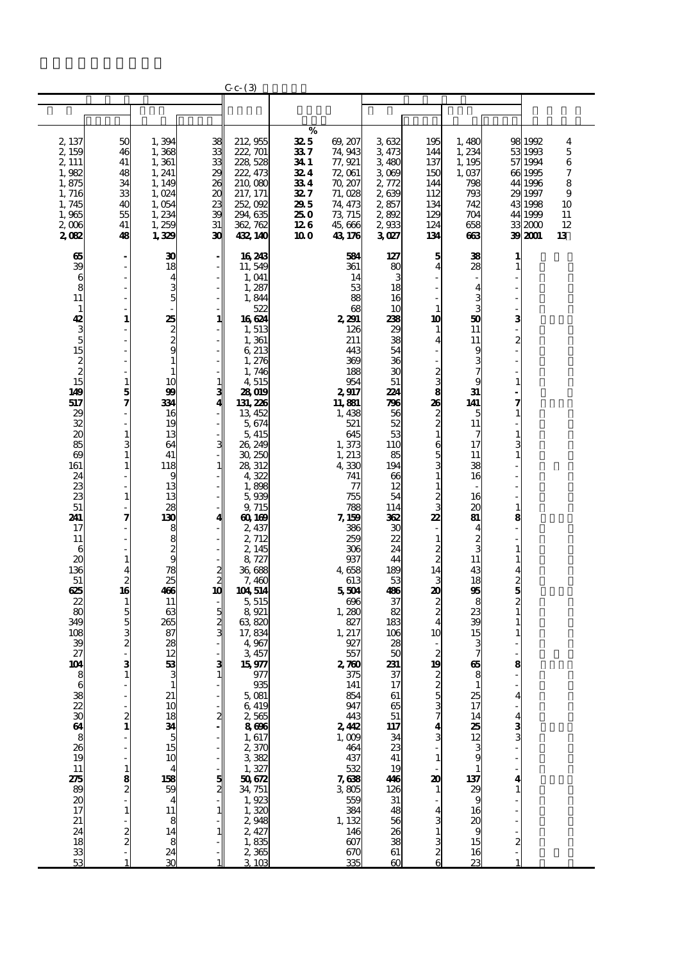|                                   |                                                        |                                        |                                             | $C_{c-}$ $(3)$                            |                         |                              |                        |                               |                         |                                         |                               |               |
|-----------------------------------|--------------------------------------------------------|----------------------------------------|---------------------------------------------|-------------------------------------------|-------------------------|------------------------------|------------------------|-------------------------------|-------------------------|-----------------------------------------|-------------------------------|---------------|
|                                   |                                                        |                                        |                                             |                                           |                         |                              |                        |                               |                         |                                         |                               |               |
|                                   |                                                        |                                        |                                             |                                           |                         |                              |                        |                               |                         |                                         |                               |               |
| 2, 137<br>2,159<br>2, 111         | 50<br>46<br>41                                         | 1,394<br>1,368<br>1,361                | 28 28 28 29                                 | 212, 955<br>222, 701<br>228 528           | %<br>325<br>337<br>34 1 | 69, 207<br>74,943<br>77, 921 | 3632<br>3473<br>3 480  | 195<br>144<br>137             | 1,480<br>1,234<br>1,195 |                                         | 98 1992<br>53 1993<br>57 1994 | 4<br>5<br>6   |
| 1,982<br>1,875                    | 48<br>34                                               | 1, 241<br>1, 149                       |                                             | 222, 473<br>210,080                       | 324<br>334              | 72,061<br>70, 207            | 3069<br>2,772          | 150<br>144                    | 1,037<br>798            |                                         | 661995<br>44 1996             | 7<br>8        |
| 1,716<br>1,745<br>1,965           | 33<br>40<br>55                                         | 1,024<br>1,054<br>1,234                | $\frac{20}{39}$                             | 217, 171<br>252,092<br>294, 635           | 327<br>295<br>250       | 71,028<br>74, 473<br>73, 715 | 2639<br>2,857<br>2,892 | 112<br>134<br>129             | 793<br>742<br>704       |                                         | 29 1997<br>43 1998<br>44 1999 | 9<br>10<br>11 |
| 2,006<br>2082                     | 41<br>48                                               | 1,259<br>1,329                         | 31<br>30                                    | 362, 762<br>432, 140                      | 126<br>100              | 45,666<br>43, 176            | 2933<br>3027           | 124<br>134                    | 658<br>ങ                |                                         | 332000<br>39 2001             | 12<br>13      |
| 65<br>39                          |                                                        | 30<br>18                               | - 1                                         | 16 243<br>11,549                          |                         | 584<br>361                   | 127<br>80              | 5<br>4                        | 38<br>28                | $\mathbf{1}$                            |                               |               |
| 6<br>8                            |                                                        | 4<br>3                                 |                                             | 1,041<br>1,287                            |                         | 14<br>53                     | 3<br>18                |                               | $\overline{\mathbf{4}}$ |                                         |                               |               |
| 11<br>$\mathbf{1}$                |                                                        | 5                                      |                                             | 1,844<br>522                              |                         | 88<br>68                     | 16<br>10               | $\mathbf{1}$                  | ვ<br>ვ                  |                                         |                               |               |
| 42                                | 1                                                      | $\frac{25}{2}$                         | 1                                           | 16624<br>1,513                            |                         | 2,291<br>126                 | 238<br>29              | 10<br>1                       | 50<br>11                | $\mathbf{3}$<br>$\overline{\mathbf{c}}$ |                               |               |
| $3535$<br>$15$<br>$15$            |                                                        | $\mathbf{1}$                           |                                             | 1,361<br>6 213<br>1, 276                  |                         | 211<br>443<br>369            | 38<br>54<br>36         | 4                             | 11<br>9<br>3            |                                         |                               |               |
|                                   | $\mathbf{1}$                                           | 1<br>10                                |                                             | 1,746<br>4,515                            |                         | 188<br>954                   | 30<br>51               | $\frac{2}{3}$                 | 9                       | 1                                       |                               |               |
| 149<br>517                        | $\frac{5}{7}$                                          | 99<br>334                              | $\frac{1}{3}$                               | 28019<br>131, 226                         |                         | 2917<br>11,881               | 224<br>796             | 26                            | 31<br>141               | 7                                       |                               |               |
| 29<br>32<br>$\boldsymbol{\alpha}$ | $\mathbf{1}$                                           | 16<br>19<br>13                         |                                             | 13, 452<br>5,674<br>5, 415                |                         | 1,438<br>521<br>645          | 56<br>52<br>53         | $\frac{2}{2}$<br>$\mathbf{1}$ | 5<br>11                 | 1                                       |                               |               |
| 85<br>69                          | 3<br>$\mathbf{1}$                                      | 64<br>41                               | $\mathbf{3}$                                | 26, 249<br>30, 250                        |                         | 1,373<br>1, 213              | 110<br>85              | 6                             | 17<br>11                | $\mathbf{1}$                            |                               |               |
| 161<br>24                         |                                                        | 118<br>9                               | 1                                           | 28, 312<br>4322                           |                         | 4,330<br>741                 | 194<br>66              | $\frac{5}{3}$<br>$\mathbf{1}$ | 38<br>16                |                                         |                               |               |
| 23<br>23<br>51                    | $\mathbf{1}$                                           | 13<br>13<br>28                         |                                             | 1,898<br>5,939<br>9, 715                  |                         | 77<br>755<br>788             | 12<br>54<br>114        | $\mathbf{1}$<br>$\frac{2}{3}$ | 16<br>20                | $\mathbf{1}$                            |                               |               |
| 241<br>17                         | 7                                                      | 130                                    | 4                                           | 60, 169<br>2,437                          |                         | 7, 159<br>386                | 362<br>30              | 22                            | 81<br>4                 | 8                                       |                               |               |
| 11<br>6                           |                                                        | 98899                                  |                                             | 2, 712<br>2, 145                          |                         | 259<br>306                   | 22<br>24               | $\mathbf{1}$<br>$\frac{2}{2}$ | $\frac{2}{3}$           |                                         |                               |               |
| 20<br>136                         | $\mathbf{1}$<br>4                                      | $\overline{78}$<br>$\overline{25}$     | $\begin{array}{c} 2 \\ 2 \\ 10 \end{array}$ | 8,727<br>36,688                           |                         | 937<br>4658<br>613           | 44<br>189              | 14                            | 11<br>43                | 1<br>4                                  |                               |               |
| 51<br>625<br>22                   | $\begin{array}{c} 2 \\ 16 \end{array}$<br>$\mathbf{1}$ | 466<br>11                              |                                             | 7,460<br>104 514<br>5, 515                |                         | 5504<br>696                  | 53<br>486<br>37        | 3<br>20                       | 18<br>95<br>8           | $\frac{2}{2}$                           |                               |               |
| 80<br>349                         | $\frac{5}{3}$                                          | 63<br>265                              | 5<br>3<br>3<br>3                            | 8,921<br>63,820                           |                         | 1,280<br>827                 | 82<br>183              | $\frac{2}{2}$<br>4            | 23<br>39                | $\mathbf{1}$                            |                               |               |
| 108<br>39                         | $\overline{\mathbf{c}}$                                | 87<br>28                               |                                             | 17,834<br>4,967                           |                         | 1, 217<br>927                | 106<br>28              | 10                            | 15                      |                                         |                               |               |
| 27<br>104<br>Ω                    | 3                                                      | 12<br>53<br>3                          | $\frac{3}{1}$                               | 3,457<br>15,977<br>977                    |                         | 557<br>270<br>375            | 50<br>231<br>37        | $\boldsymbol{z}$<br>19        | 7<br>65                 | 8                                       |                               |               |
|                                   |                                                        | $\mathbf 1$<br>21                      |                                             | 935<br>5,081                              |                         | 141<br>854                   | 17<br>61               | $\frac{2}{5}$                 | 1<br>25                 | $\overline{\mathbf{4}}$                 |                               |               |
|                                   | $\frac{2}{1}$                                          | 10                                     | $\mathbf{z}$                                | 6419<br>$2,565$<br>8696                   |                         | 947<br>443                   | 65<br>51               | $\frac{3}{7}$                 | 17<br>14                | 4                                       |                               |               |
| $888$ 19                          |                                                        | $\frac{18}{5}$ 34                      |                                             | 1,617                                     |                         | 242<br>1,009<br>464          | 117<br>34<br>23        | 4                             | $\frac{25}{12}$<br>9    | $\frac{3}{3}$                           |                               |               |
| 11                                |                                                        | 10<br>4                                |                                             | $2,370$<br>$3,382$<br>$1,327$<br>$50,672$ |                         | 437<br>532                   | 41<br>19               | $\mathbf{1}$                  |                         |                                         |                               |               |
| 275<br>89                         | $\frac{8}{2}$                                          | 158<br>$\frac{59}{4}$                  | $\frac{5}{2}$                               | 34, 751                                   |                         | 7,638<br>$3805$<br>$559$     | 446<br>126             | 20<br>$\mathbf{1}$            | 137<br>$\frac{1}{29}$   | 4                                       |                               |               |
| $\boldsymbol{\alpha}$<br>17       |                                                        | $\overline{11}$                        |                                             | 1,923                                     |                         | 384                          | 31<br>48               | 4                             | 16                      |                                         |                               |               |
| 21<br>24                          | $\frac{2}{2}$                                          | $\begin{array}{c} 8 \\ 14 \end{array}$ | $\frac{1}{2}$                               | 2948<br>$2,427$<br>1,835                  |                         | 1, 132<br>146<br>607         | 56<br>26<br>38         | 3<br>1                        | 20<br>9<br>15           |                                         |                               |               |
| $\frac{18}{33}$<br>53             |                                                        | $\frac{8}{24}$<br>30                   |                                             | 2,365<br>3.103                            |                         | 670<br>335                   | 61<br>$\infty$         | $\frac{3}{2}$<br>6            | 16<br>$\overline{2}$    | $\frac{2}{1}$                           |                               |               |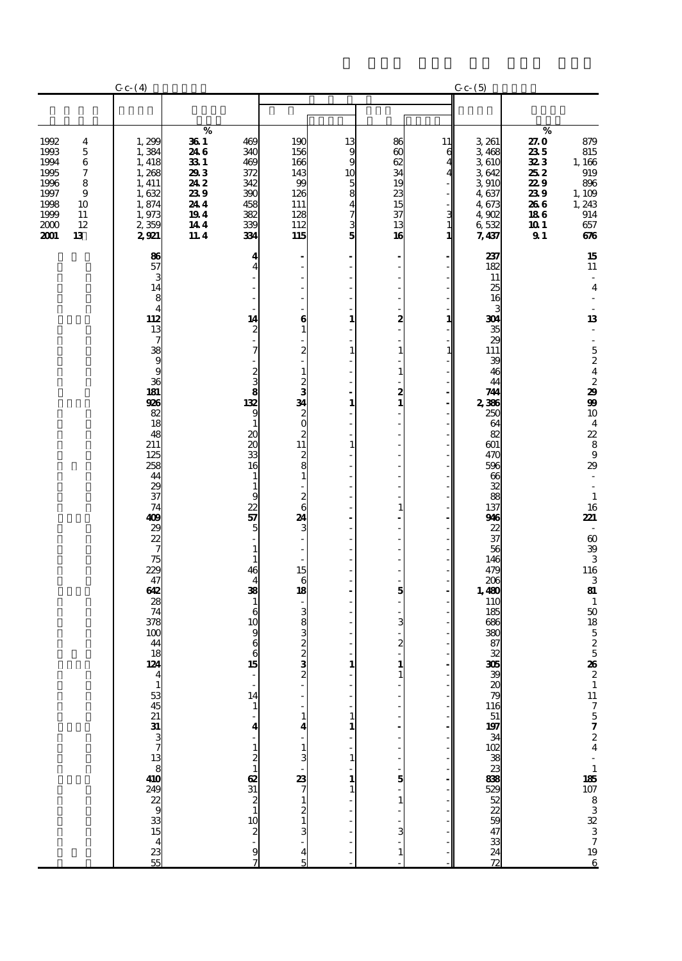|                                                                                                                                                   | $C_{c-}(4)$                                                                                                                                                                                                                                                                 |                                                                                                                                                                                                                                                                                                                                                                                                                                                                                                                     |                                                                                                                                                                                                                                                   |                                                       |                                                                       |                                   | $C_{c}$ $(5)$                                                                                                                                                                                                                                                |                                                                                                                                                                                                                                                                                                   |
|---------------------------------------------------------------------------------------------------------------------------------------------------|-----------------------------------------------------------------------------------------------------------------------------------------------------------------------------------------------------------------------------------------------------------------------------|---------------------------------------------------------------------------------------------------------------------------------------------------------------------------------------------------------------------------------------------------------------------------------------------------------------------------------------------------------------------------------------------------------------------------------------------------------------------------------------------------------------------|---------------------------------------------------------------------------------------------------------------------------------------------------------------------------------------------------------------------------------------------------|-------------------------------------------------------|-----------------------------------------------------------------------|-----------------------------------|--------------------------------------------------------------------------------------------------------------------------------------------------------------------------------------------------------------------------------------------------------------|---------------------------------------------------------------------------------------------------------------------------------------------------------------------------------------------------------------------------------------------------------------------------------------------------|
|                                                                                                                                                   |                                                                                                                                                                                                                                                                             |                                                                                                                                                                                                                                                                                                                                                                                                                                                                                                                     |                                                                                                                                                                                                                                                   |                                                       |                                                                       |                                   |                                                                                                                                                                                                                                                              |                                                                                                                                                                                                                                                                                                   |
| 1992<br>4<br>1993<br>5<br>1994<br>6<br>$\boldsymbol{7}$<br>1995<br>1996<br>8<br>1997<br>9<br>1998<br>10<br>1999<br>11<br>2000<br>12<br>2001<br>13 | 1,299<br>1,384<br>1, 418<br>1,268<br>1, 411<br>1,632<br>1,874<br>1,973<br>2,359<br>2921                                                                                                                                                                                     | $\%$<br>36 1<br>469<br>246<br>340<br>331<br>469<br>293<br>372<br>242<br>342<br>239<br>390<br>244<br>458<br>194<br>382<br>144<br>339<br>11.4<br>334                                                                                                                                                                                                                                                                                                                                                                  | 190<br>156<br>166<br>143<br>99<br>126<br>111<br>128<br>112<br>115                                                                                                                                                                                 | 13<br>9<br>9<br>10<br>$\frac{5}{4}$<br>$\frac{7}{5}$  | 86<br>$\omega$<br>62<br>34<br>19<br>$\frac{23}{15}$<br>37<br>13<br>16 | 11<br>6<br>З<br>$\mathbf{1}$<br>1 | 3 261<br>3,468<br>3610<br>3642<br>3 910<br>4,637<br>4,673<br>4,902<br>6532<br>7,437                                                                                                                                                                          | $\%$<br>27.0<br>879<br>235<br>815<br>323<br>$\frac{1,166}{919}$<br>252<br>229<br>896<br>239<br>1, 109<br>266<br>1, 243<br>186<br>914<br>10 1<br>657<br>91<br>676                                                                                                                                  |
|                                                                                                                                                   | 86<br>57<br>3<br>14<br>8<br>$\overline{4}$<br><b>28</b> 39 9 9 9 9 20<br>926<br>$\overline{\overset{82}{18}}$<br>48<br>211<br>125<br>258<br>44<br>29<br>37<br>74<br>409<br>28275<br>47<br>62<br>28<br>74<br>$\frac{378}{100}$<br>44<br>18<br>124<br>$\overline{\mathbf{A}}$ | 4<br>$\overline{4}$<br>ä,<br>÷,<br>14<br>$\boldsymbol{z}$<br>7<br>$\frac{2}{3}$<br>$\overline{\overset{8}{132}}$<br>9<br>$\mathbf 1$<br>$\boldsymbol{\alpha}$<br>$\boldsymbol{\mathsf{20}}$<br>33<br>16<br>$\mathbf{1}$<br>$\mathbf{1}$<br>9<br>22<br>57<br>5<br>$\mathbf 1$<br>$\mathbf{1}$<br>46<br>$\overline{\mathbf{4}}$<br>38<br>$\mathbf{1}$<br>6<br>10<br>9<br>6<br>6<br>15<br>14<br>$\frac{1}{1}$<br>$\overline{\mathbf{4}}$<br>$\begin{array}{c} 1 \\ 1 \\ 2 \end{array}$<br>$9.88$<br>$-5.88$<br>$-5.88$ | 6<br>$\mathbf{1}$<br>2<br>$\mathbf{1}$<br>$233$<br>$202$<br>$11$<br>$\frac{2}{8}$<br>$\mathbf{1}$<br>$\frac{2}{6}$<br>24<br>3<br>15<br>$\epsilon$<br>18<br><b>ນ ຜ ນ ນ ພ ຜ ຜ</b><br>$\mathbf{1}$<br>4<br>$-13$<br>$-23$<br>$7$<br>$12$<br>$1$<br>4 | 1<br>$\mathbf{1}$<br>1<br>$\mathbf{1}$<br>1<br>1<br>1 | 2<br>1<br>1<br>$\frac{2}{1}$<br>1<br>5<br>3<br>2<br>1<br>5<br>1       | 1<br>$\mathbf{1}$                 | 237<br>182<br>11<br>25<br>16<br>3<br>304<br>35<br>29<br>111<br>39<br>46<br>44<br>744<br>2386<br>250<br>64<br>82<br>601<br>470<br>596<br>66<br>32<br>88<br>137<br>946<br>22<br>37<br>56<br>146<br>479<br>206<br>1,480<br>110<br>185<br>686<br>380<br>87<br>32 | $\frac{15}{11}$<br>13<br>$\frac{5}{2}$<br>$\frac{2}{2}$<br>$\frac{2}{9}$<br>$\frac{9}{10}$<br>$rac{4}{8}$<br>$rac{8}{9}$<br>29<br>$16\,$<br>221<br>$\begin{array}{c} 60 \\ 39 \\ 3 \\ 116 \end{array}$<br>$\ddot{\mathbf{a}}$<br>5085258211775724<br>$\frac{1}{185}$ 185<br>107 8 3 3 3 3 7 1 9 6 |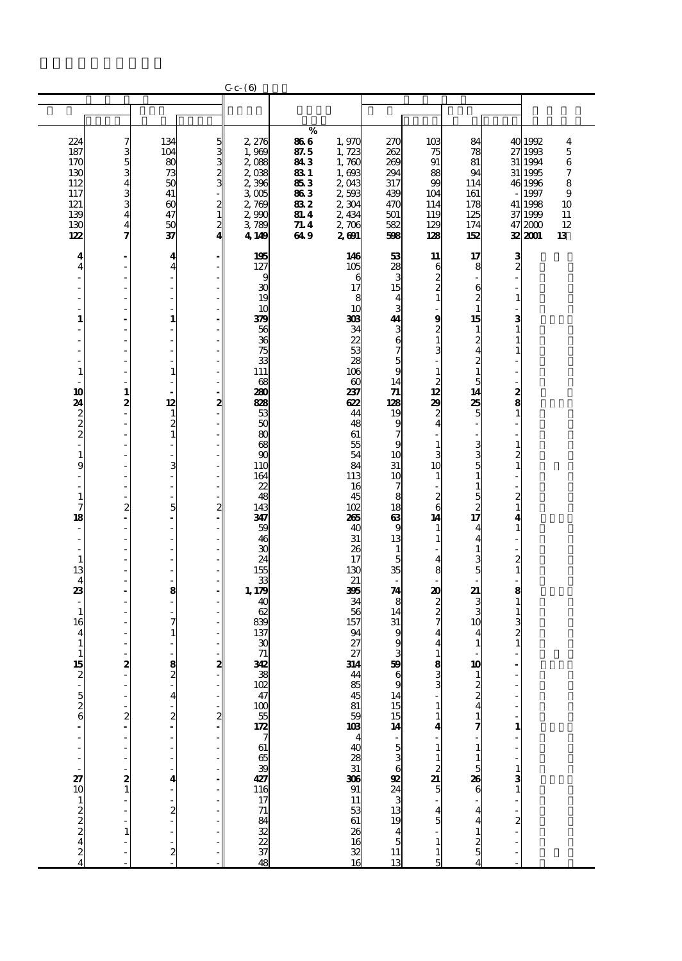| %<br>134<br>866<br>224<br>2,276<br>1,970<br>270<br>10 <sub>3</sub><br>84<br>40 1992<br>ຜ ກາດ ຕິດ<br>4<br>7<br>104<br>1,723<br>187<br>87.5<br>262<br>27 1993<br>$\mathbf 5$<br>3<br>1,969<br>75<br>78<br>$\overline{80}$<br>5<br>843<br>1,760<br>269<br>91<br>31 1994<br>$\,6$<br>170<br>2,088<br>81<br>73<br>1,693<br>130<br>2,038<br>831<br>294<br>88<br>31<br>$\boldsymbol{7}$<br>94<br>1995<br>50<br>2043<br>99<br>112<br>2,396<br>853<br>8<br>317<br>46 1996<br>114<br>41<br>863<br>2,593<br>117<br>3 <sub>005</sub><br>439<br>104<br>161<br>1997<br>9<br>$\boldsymbol{\omega}$<br>121<br>$\frac{2}{1}$<br>832<br>2,304<br>114<br>2,769<br>470<br>178<br>41 1998<br>10<br>47<br>139<br>2,990<br><b>81.4</b><br>2,434<br>125<br>501<br>119<br>37 1999<br>11<br>$\frac{2}{4}$<br>50<br>2,706<br>130<br>3,789<br>71.4<br>582<br>129<br>174<br>472000<br>12<br>4<br>37<br>122<br>4,149<br>649<br>2,601<br>128<br>32,2001<br>598<br>152<br>13<br>53<br>$\frac{3}{2}$<br>4<br>195<br>146<br>11<br>17<br>4<br>$\frac{28}{3}$<br>127<br>105<br>4<br>$\overline{4}$<br>6<br>8<br>$\frac{2}{2}$<br>6<br>9<br>17<br>15<br>30<br>$\begin{array}{c} 6 \\ 2 \\ 1 \end{array}$<br>÷,<br>÷,<br>19<br>8<br>$\overline{\mathbf{4}}$<br>$\mathbf{1}$<br>$\mathbf{1}$<br>3<br>10<br>10<br>9<br>$\mathbf{1}$<br>379<br>308<br>44<br>15<br>3<br>$\mathbf{1}$<br>56<br>34<br>$\frac{3}{6}$<br>$\frac{2}{1}$<br>$\mathbf{1}$<br>$\overline{a}$<br>1<br>$\frac{2}{4}$<br>36<br>22<br>75<br>53<br>3<br>$\frac{5}{9}$<br>$\boldsymbol{z}$<br>33<br>28<br>111<br>106<br>$\mathbf 1$<br>1<br>1<br>$\mathbf{1}$<br>14<br>$\frac{2}{12}$<br>5<br>68<br>$\boldsymbol{\omega}$<br>10<br>$\mathbf{1}$<br>280<br>237<br>$\boldsymbol{\eta}$<br>14<br>$\frac{2}{8}$<br>12<br>24<br>2<br>2<br>-<br>88<br>622<br>128<br>29<br>25<br>$\frac{2}{2}$<br>$\overline{\mathbf{c}}$<br>53<br>5<br>$\mathbf{1}$<br>$\mathbf{1}$<br>44<br>19<br>$\overline{\mathbf{c}}$<br>50<br>9<br>$\overline{\mathbf{4}}$<br>48<br>$\mathbf{1}$<br>80<br>61<br>68<br>3<br>55<br>9<br>$\mathbf{1}$<br>$\mathbf{1}$<br>$\mathbf{1}$<br>3<br>90<br>54<br>10<br>3<br>$\boldsymbol{z}$<br>9<br>3<br>31<br>5<br>110<br>84<br>10<br>10<br>164<br>113<br>$\mathbf{1}$<br>$\mathbf{1}$<br>$\overline{a}$<br>L,<br>22<br>$\mathbf{1}$<br>16<br>7<br>L,<br>$\overline{c}$<br>$\mathbf{1}$<br>48<br>$\boldsymbol{z}$<br>5<br>45<br>8<br>6<br>143<br>$\boldsymbol{z}$<br>7<br>$\overline{c}$<br>5<br>102<br>18<br>$\mathbf{1}$<br>$\boldsymbol{z}$<br>17<br>18<br>$\boldsymbol{\omega}$<br>347<br>265<br>14<br>4<br>Ĭ.<br>9<br>59<br>40<br>$\mathbf{1}$<br>$\mathbf{1}$<br>4<br>$\overline{\phantom{m}}$<br>13<br>46<br>$31\,$<br>$\mathbf 1$<br>$\overline{\mathbf{4}}$<br>$\mathbf{1}$<br>30<br>26<br>$\mathbf{1}$<br>Ĭ.<br>24<br>5<br>$\frac{3}{5}$<br>$\overline{c}$<br>$\mathbf{1}$<br>17<br>$\overline{\mathbf{4}}$<br>35<br>13<br>155<br>$\mathbf{1}$<br>130<br>8<br>$\overline{\mathbf{4}}$<br>33<br>21<br>Ĩ.<br>23<br>1,179<br>$\boldsymbol{\mathcal{A}}$<br>395<br>20<br>21<br>8<br>8<br>$\overline{\phantom{a}}$<br>34<br>8<br>40<br>$\frac{2}{7}$<br>3<br>$\mathbf{1}$<br>3<br>$\mathbf{1}$<br>62<br>56<br>14<br>$\mathbf{1}$<br>839<br>31<br>$\frac{3}{2}$<br>16<br>7<br>157<br>10<br>137<br>9<br>$\mathbf{1}$<br>94<br>4<br>4<br>4<br>$\mathbf{1}$<br>27<br>9<br>$\mathbf{1}$<br>30<br>$\mathbf{1}$<br>4<br>71<br>27<br>3<br>1<br>1<br>2<br>59<br>$\frac{8}{2}$<br>342<br>$\frac{8}{3}$<br>15<br>$\overline{\mathbf{z}}$<br>314<br>10<br><del>&amp;</del> g & x & x ± = <b>h</b> & & ส = <sub>→</sub> <b>ญ</b> ส ∃ ± ธ ะ<br>44<br>222<br>854581038403831<br>3<br>9<br>$-526$<br>14<br>4<br>15<br>15<br>14<br>5<br>3<br>3<br>3<br>3<br>3<br>3<br>3<br>3<br>3<br>3<br><br>3<br><br><br>3<br>1<br>$\boldsymbol{z}$<br>$\boldsymbol{z}$<br>$\boldsymbol{z}$<br>$\mathbf{1}$<br>7<br>4<br>$\mathbf{1}$<br>1<br>$\mathbf{1}$<br>$\begin{array}{c} 1 \\ 2 \\ 5 \end{array}$<br>5<br>306<br>91 11 53<br>61 26<br>16<br>32<br>16<br>$\frac{27}{10}$<br>2<br>26<br>$\frac{3}{1}$<br>4<br>6<br>$1222$<br>$242$<br>$\overline{\mathbf{c}}$<br>4<br>4 |  |  | $C_{c}$ $ (6)$ |  |  |  |  |
|------------------------------------------------------------------------------------------------------------------------------------------------------------------------------------------------------------------------------------------------------------------------------------------------------------------------------------------------------------------------------------------------------------------------------------------------------------------------------------------------------------------------------------------------------------------------------------------------------------------------------------------------------------------------------------------------------------------------------------------------------------------------------------------------------------------------------------------------------------------------------------------------------------------------------------------------------------------------------------------------------------------------------------------------------------------------------------------------------------------------------------------------------------------------------------------------------------------------------------------------------------------------------------------------------------------------------------------------------------------------------------------------------------------------------------------------------------------------------------------------------------------------------------------------------------------------------------------------------------------------------------------------------------------------------------------------------------------------------------------------------------------------------------------------------------------------------------------------------------------------------------------------------------------------------------------------------------------------------------------------------------------------------------------------------------------------------------------------------------------------------------------------------------------------------------------------------------------------------------------------------------------------------------------------------------------------------------------------------------------------------------------------------------------------------------------------------------------------------------------------------------------------------------------------------------------------------------------------------------------------------------------------------------------------------------------------------------------------------------------------------------------------------------------------------------------------------------------------------------------------------------------------------------------------------------------------------------------------------------------------------------------------------------------------------------------------------------------------------------------------------------------------------------------------------------------------------------------------------------------------------------------------------------------------------------------------------------------------------------------------------------------------------------------------------------------------------------------------------------------------------------------------------------------------------------------------------------------------------------------------------------------------------------------------------------------------------------------------------------------------------------------------------------------------------------------------------------------------------------------------------------------------------------------------------------------------------------------------------------------------------------------------------------------------------------------------------------|--|--|----------------|--|--|--|--|
|                                                                                                                                                                                                                                                                                                                                                                                                                                                                                                                                                                                                                                                                                                                                                                                                                                                                                                                                                                                                                                                                                                                                                                                                                                                                                                                                                                                                                                                                                                                                                                                                                                                                                                                                                                                                                                                                                                                                                                                                                                                                                                                                                                                                                                                                                                                                                                                                                                                                                                                                                                                                                                                                                                                                                                                                                                                                                                                                                                                                                                                                                                                                                                                                                                                                                                                                                                                                                                                                                                                                                                                                                                                                                                                                                                                                                                                                                                                                                                                                                                                                                    |  |  |                |  |  |  |  |
|                                                                                                                                                                                                                                                                                                                                                                                                                                                                                                                                                                                                                                                                                                                                                                                                                                                                                                                                                                                                                                                                                                                                                                                                                                                                                                                                                                                                                                                                                                                                                                                                                                                                                                                                                                                                                                                                                                                                                                                                                                                                                                                                                                                                                                                                                                                                                                                                                                                                                                                                                                                                                                                                                                                                                                                                                                                                                                                                                                                                                                                                                                                                                                                                                                                                                                                                                                                                                                                                                                                                                                                                                                                                                                                                                                                                                                                                                                                                                                                                                                                                                    |  |  |                |  |  |  |  |
|                                                                                                                                                                                                                                                                                                                                                                                                                                                                                                                                                                                                                                                                                                                                                                                                                                                                                                                                                                                                                                                                                                                                                                                                                                                                                                                                                                                                                                                                                                                                                                                                                                                                                                                                                                                                                                                                                                                                                                                                                                                                                                                                                                                                                                                                                                                                                                                                                                                                                                                                                                                                                                                                                                                                                                                                                                                                                                                                                                                                                                                                                                                                                                                                                                                                                                                                                                                                                                                                                                                                                                                                                                                                                                                                                                                                                                                                                                                                                                                                                                                                                    |  |  |                |  |  |  |  |
|                                                                                                                                                                                                                                                                                                                                                                                                                                                                                                                                                                                                                                                                                                                                                                                                                                                                                                                                                                                                                                                                                                                                                                                                                                                                                                                                                                                                                                                                                                                                                                                                                                                                                                                                                                                                                                                                                                                                                                                                                                                                                                                                                                                                                                                                                                                                                                                                                                                                                                                                                                                                                                                                                                                                                                                                                                                                                                                                                                                                                                                                                                                                                                                                                                                                                                                                                                                                                                                                                                                                                                                                                                                                                                                                                                                                                                                                                                                                                                                                                                                                                    |  |  |                |  |  |  |  |
|                                                                                                                                                                                                                                                                                                                                                                                                                                                                                                                                                                                                                                                                                                                                                                                                                                                                                                                                                                                                                                                                                                                                                                                                                                                                                                                                                                                                                                                                                                                                                                                                                                                                                                                                                                                                                                                                                                                                                                                                                                                                                                                                                                                                                                                                                                                                                                                                                                                                                                                                                                                                                                                                                                                                                                                                                                                                                                                                                                                                                                                                                                                                                                                                                                                                                                                                                                                                                                                                                                                                                                                                                                                                                                                                                                                                                                                                                                                                                                                                                                                                                    |  |  |                |  |  |  |  |
|                                                                                                                                                                                                                                                                                                                                                                                                                                                                                                                                                                                                                                                                                                                                                                                                                                                                                                                                                                                                                                                                                                                                                                                                                                                                                                                                                                                                                                                                                                                                                                                                                                                                                                                                                                                                                                                                                                                                                                                                                                                                                                                                                                                                                                                                                                                                                                                                                                                                                                                                                                                                                                                                                                                                                                                                                                                                                                                                                                                                                                                                                                                                                                                                                                                                                                                                                                                                                                                                                                                                                                                                                                                                                                                                                                                                                                                                                                                                                                                                                                                                                    |  |  |                |  |  |  |  |
|                                                                                                                                                                                                                                                                                                                                                                                                                                                                                                                                                                                                                                                                                                                                                                                                                                                                                                                                                                                                                                                                                                                                                                                                                                                                                                                                                                                                                                                                                                                                                                                                                                                                                                                                                                                                                                                                                                                                                                                                                                                                                                                                                                                                                                                                                                                                                                                                                                                                                                                                                                                                                                                                                                                                                                                                                                                                                                                                                                                                                                                                                                                                                                                                                                                                                                                                                                                                                                                                                                                                                                                                                                                                                                                                                                                                                                                                                                                                                                                                                                                                                    |  |  |                |  |  |  |  |
|                                                                                                                                                                                                                                                                                                                                                                                                                                                                                                                                                                                                                                                                                                                                                                                                                                                                                                                                                                                                                                                                                                                                                                                                                                                                                                                                                                                                                                                                                                                                                                                                                                                                                                                                                                                                                                                                                                                                                                                                                                                                                                                                                                                                                                                                                                                                                                                                                                                                                                                                                                                                                                                                                                                                                                                                                                                                                                                                                                                                                                                                                                                                                                                                                                                                                                                                                                                                                                                                                                                                                                                                                                                                                                                                                                                                                                                                                                                                                                                                                                                                                    |  |  |                |  |  |  |  |
|                                                                                                                                                                                                                                                                                                                                                                                                                                                                                                                                                                                                                                                                                                                                                                                                                                                                                                                                                                                                                                                                                                                                                                                                                                                                                                                                                                                                                                                                                                                                                                                                                                                                                                                                                                                                                                                                                                                                                                                                                                                                                                                                                                                                                                                                                                                                                                                                                                                                                                                                                                                                                                                                                                                                                                                                                                                                                                                                                                                                                                                                                                                                                                                                                                                                                                                                                                                                                                                                                                                                                                                                                                                                                                                                                                                                                                                                                                                                                                                                                                                                                    |  |  |                |  |  |  |  |
|                                                                                                                                                                                                                                                                                                                                                                                                                                                                                                                                                                                                                                                                                                                                                                                                                                                                                                                                                                                                                                                                                                                                                                                                                                                                                                                                                                                                                                                                                                                                                                                                                                                                                                                                                                                                                                                                                                                                                                                                                                                                                                                                                                                                                                                                                                                                                                                                                                                                                                                                                                                                                                                                                                                                                                                                                                                                                                                                                                                                                                                                                                                                                                                                                                                                                                                                                                                                                                                                                                                                                                                                                                                                                                                                                                                                                                                                                                                                                                                                                                                                                    |  |  |                |  |  |  |  |
|                                                                                                                                                                                                                                                                                                                                                                                                                                                                                                                                                                                                                                                                                                                                                                                                                                                                                                                                                                                                                                                                                                                                                                                                                                                                                                                                                                                                                                                                                                                                                                                                                                                                                                                                                                                                                                                                                                                                                                                                                                                                                                                                                                                                                                                                                                                                                                                                                                                                                                                                                                                                                                                                                                                                                                                                                                                                                                                                                                                                                                                                                                                                                                                                                                                                                                                                                                                                                                                                                                                                                                                                                                                                                                                                                                                                                                                                                                                                                                                                                                                                                    |  |  |                |  |  |  |  |
|                                                                                                                                                                                                                                                                                                                                                                                                                                                                                                                                                                                                                                                                                                                                                                                                                                                                                                                                                                                                                                                                                                                                                                                                                                                                                                                                                                                                                                                                                                                                                                                                                                                                                                                                                                                                                                                                                                                                                                                                                                                                                                                                                                                                                                                                                                                                                                                                                                                                                                                                                                                                                                                                                                                                                                                                                                                                                                                                                                                                                                                                                                                                                                                                                                                                                                                                                                                                                                                                                                                                                                                                                                                                                                                                                                                                                                                                                                                                                                                                                                                                                    |  |  |                |  |  |  |  |
|                                                                                                                                                                                                                                                                                                                                                                                                                                                                                                                                                                                                                                                                                                                                                                                                                                                                                                                                                                                                                                                                                                                                                                                                                                                                                                                                                                                                                                                                                                                                                                                                                                                                                                                                                                                                                                                                                                                                                                                                                                                                                                                                                                                                                                                                                                                                                                                                                                                                                                                                                                                                                                                                                                                                                                                                                                                                                                                                                                                                                                                                                                                                                                                                                                                                                                                                                                                                                                                                                                                                                                                                                                                                                                                                                                                                                                                                                                                                                                                                                                                                                    |  |  |                |  |  |  |  |
|                                                                                                                                                                                                                                                                                                                                                                                                                                                                                                                                                                                                                                                                                                                                                                                                                                                                                                                                                                                                                                                                                                                                                                                                                                                                                                                                                                                                                                                                                                                                                                                                                                                                                                                                                                                                                                                                                                                                                                                                                                                                                                                                                                                                                                                                                                                                                                                                                                                                                                                                                                                                                                                                                                                                                                                                                                                                                                                                                                                                                                                                                                                                                                                                                                                                                                                                                                                                                                                                                                                                                                                                                                                                                                                                                                                                                                                                                                                                                                                                                                                                                    |  |  |                |  |  |  |  |
|                                                                                                                                                                                                                                                                                                                                                                                                                                                                                                                                                                                                                                                                                                                                                                                                                                                                                                                                                                                                                                                                                                                                                                                                                                                                                                                                                                                                                                                                                                                                                                                                                                                                                                                                                                                                                                                                                                                                                                                                                                                                                                                                                                                                                                                                                                                                                                                                                                                                                                                                                                                                                                                                                                                                                                                                                                                                                                                                                                                                                                                                                                                                                                                                                                                                                                                                                                                                                                                                                                                                                                                                                                                                                                                                                                                                                                                                                                                                                                                                                                                                                    |  |  |                |  |  |  |  |
|                                                                                                                                                                                                                                                                                                                                                                                                                                                                                                                                                                                                                                                                                                                                                                                                                                                                                                                                                                                                                                                                                                                                                                                                                                                                                                                                                                                                                                                                                                                                                                                                                                                                                                                                                                                                                                                                                                                                                                                                                                                                                                                                                                                                                                                                                                                                                                                                                                                                                                                                                                                                                                                                                                                                                                                                                                                                                                                                                                                                                                                                                                                                                                                                                                                                                                                                                                                                                                                                                                                                                                                                                                                                                                                                                                                                                                                                                                                                                                                                                                                                                    |  |  |                |  |  |  |  |
|                                                                                                                                                                                                                                                                                                                                                                                                                                                                                                                                                                                                                                                                                                                                                                                                                                                                                                                                                                                                                                                                                                                                                                                                                                                                                                                                                                                                                                                                                                                                                                                                                                                                                                                                                                                                                                                                                                                                                                                                                                                                                                                                                                                                                                                                                                                                                                                                                                                                                                                                                                                                                                                                                                                                                                                                                                                                                                                                                                                                                                                                                                                                                                                                                                                                                                                                                                                                                                                                                                                                                                                                                                                                                                                                                                                                                                                                                                                                                                                                                                                                                    |  |  |                |  |  |  |  |
|                                                                                                                                                                                                                                                                                                                                                                                                                                                                                                                                                                                                                                                                                                                                                                                                                                                                                                                                                                                                                                                                                                                                                                                                                                                                                                                                                                                                                                                                                                                                                                                                                                                                                                                                                                                                                                                                                                                                                                                                                                                                                                                                                                                                                                                                                                                                                                                                                                                                                                                                                                                                                                                                                                                                                                                                                                                                                                                                                                                                                                                                                                                                                                                                                                                                                                                                                                                                                                                                                                                                                                                                                                                                                                                                                                                                                                                                                                                                                                                                                                                                                    |  |  |                |  |  |  |  |
|                                                                                                                                                                                                                                                                                                                                                                                                                                                                                                                                                                                                                                                                                                                                                                                                                                                                                                                                                                                                                                                                                                                                                                                                                                                                                                                                                                                                                                                                                                                                                                                                                                                                                                                                                                                                                                                                                                                                                                                                                                                                                                                                                                                                                                                                                                                                                                                                                                                                                                                                                                                                                                                                                                                                                                                                                                                                                                                                                                                                                                                                                                                                                                                                                                                                                                                                                                                                                                                                                                                                                                                                                                                                                                                                                                                                                                                                                                                                                                                                                                                                                    |  |  |                |  |  |  |  |
|                                                                                                                                                                                                                                                                                                                                                                                                                                                                                                                                                                                                                                                                                                                                                                                                                                                                                                                                                                                                                                                                                                                                                                                                                                                                                                                                                                                                                                                                                                                                                                                                                                                                                                                                                                                                                                                                                                                                                                                                                                                                                                                                                                                                                                                                                                                                                                                                                                                                                                                                                                                                                                                                                                                                                                                                                                                                                                                                                                                                                                                                                                                                                                                                                                                                                                                                                                                                                                                                                                                                                                                                                                                                                                                                                                                                                                                                                                                                                                                                                                                                                    |  |  |                |  |  |  |  |
|                                                                                                                                                                                                                                                                                                                                                                                                                                                                                                                                                                                                                                                                                                                                                                                                                                                                                                                                                                                                                                                                                                                                                                                                                                                                                                                                                                                                                                                                                                                                                                                                                                                                                                                                                                                                                                                                                                                                                                                                                                                                                                                                                                                                                                                                                                                                                                                                                                                                                                                                                                                                                                                                                                                                                                                                                                                                                                                                                                                                                                                                                                                                                                                                                                                                                                                                                                                                                                                                                                                                                                                                                                                                                                                                                                                                                                                                                                                                                                                                                                                                                    |  |  |                |  |  |  |  |
|                                                                                                                                                                                                                                                                                                                                                                                                                                                                                                                                                                                                                                                                                                                                                                                                                                                                                                                                                                                                                                                                                                                                                                                                                                                                                                                                                                                                                                                                                                                                                                                                                                                                                                                                                                                                                                                                                                                                                                                                                                                                                                                                                                                                                                                                                                                                                                                                                                                                                                                                                                                                                                                                                                                                                                                                                                                                                                                                                                                                                                                                                                                                                                                                                                                                                                                                                                                                                                                                                                                                                                                                                                                                                                                                                                                                                                                                                                                                                                                                                                                                                    |  |  |                |  |  |  |  |
|                                                                                                                                                                                                                                                                                                                                                                                                                                                                                                                                                                                                                                                                                                                                                                                                                                                                                                                                                                                                                                                                                                                                                                                                                                                                                                                                                                                                                                                                                                                                                                                                                                                                                                                                                                                                                                                                                                                                                                                                                                                                                                                                                                                                                                                                                                                                                                                                                                                                                                                                                                                                                                                                                                                                                                                                                                                                                                                                                                                                                                                                                                                                                                                                                                                                                                                                                                                                                                                                                                                                                                                                                                                                                                                                                                                                                                                                                                                                                                                                                                                                                    |  |  |                |  |  |  |  |
|                                                                                                                                                                                                                                                                                                                                                                                                                                                                                                                                                                                                                                                                                                                                                                                                                                                                                                                                                                                                                                                                                                                                                                                                                                                                                                                                                                                                                                                                                                                                                                                                                                                                                                                                                                                                                                                                                                                                                                                                                                                                                                                                                                                                                                                                                                                                                                                                                                                                                                                                                                                                                                                                                                                                                                                                                                                                                                                                                                                                                                                                                                                                                                                                                                                                                                                                                                                                                                                                                                                                                                                                                                                                                                                                                                                                                                                                                                                                                                                                                                                                                    |  |  |                |  |  |  |  |
|                                                                                                                                                                                                                                                                                                                                                                                                                                                                                                                                                                                                                                                                                                                                                                                                                                                                                                                                                                                                                                                                                                                                                                                                                                                                                                                                                                                                                                                                                                                                                                                                                                                                                                                                                                                                                                                                                                                                                                                                                                                                                                                                                                                                                                                                                                                                                                                                                                                                                                                                                                                                                                                                                                                                                                                                                                                                                                                                                                                                                                                                                                                                                                                                                                                                                                                                                                                                                                                                                                                                                                                                                                                                                                                                                                                                                                                                                                                                                                                                                                                                                    |  |  |                |  |  |  |  |
|                                                                                                                                                                                                                                                                                                                                                                                                                                                                                                                                                                                                                                                                                                                                                                                                                                                                                                                                                                                                                                                                                                                                                                                                                                                                                                                                                                                                                                                                                                                                                                                                                                                                                                                                                                                                                                                                                                                                                                                                                                                                                                                                                                                                                                                                                                                                                                                                                                                                                                                                                                                                                                                                                                                                                                                                                                                                                                                                                                                                                                                                                                                                                                                                                                                                                                                                                                                                                                                                                                                                                                                                                                                                                                                                                                                                                                                                                                                                                                                                                                                                                    |  |  |                |  |  |  |  |
|                                                                                                                                                                                                                                                                                                                                                                                                                                                                                                                                                                                                                                                                                                                                                                                                                                                                                                                                                                                                                                                                                                                                                                                                                                                                                                                                                                                                                                                                                                                                                                                                                                                                                                                                                                                                                                                                                                                                                                                                                                                                                                                                                                                                                                                                                                                                                                                                                                                                                                                                                                                                                                                                                                                                                                                                                                                                                                                                                                                                                                                                                                                                                                                                                                                                                                                                                                                                                                                                                                                                                                                                                                                                                                                                                                                                                                                                                                                                                                                                                                                                                    |  |  |                |  |  |  |  |
|                                                                                                                                                                                                                                                                                                                                                                                                                                                                                                                                                                                                                                                                                                                                                                                                                                                                                                                                                                                                                                                                                                                                                                                                                                                                                                                                                                                                                                                                                                                                                                                                                                                                                                                                                                                                                                                                                                                                                                                                                                                                                                                                                                                                                                                                                                                                                                                                                                                                                                                                                                                                                                                                                                                                                                                                                                                                                                                                                                                                                                                                                                                                                                                                                                                                                                                                                                                                                                                                                                                                                                                                                                                                                                                                                                                                                                                                                                                                                                                                                                                                                    |  |  |                |  |  |  |  |
|                                                                                                                                                                                                                                                                                                                                                                                                                                                                                                                                                                                                                                                                                                                                                                                                                                                                                                                                                                                                                                                                                                                                                                                                                                                                                                                                                                                                                                                                                                                                                                                                                                                                                                                                                                                                                                                                                                                                                                                                                                                                                                                                                                                                                                                                                                                                                                                                                                                                                                                                                                                                                                                                                                                                                                                                                                                                                                                                                                                                                                                                                                                                                                                                                                                                                                                                                                                                                                                                                                                                                                                                                                                                                                                                                                                                                                                                                                                                                                                                                                                                                    |  |  |                |  |  |  |  |
|                                                                                                                                                                                                                                                                                                                                                                                                                                                                                                                                                                                                                                                                                                                                                                                                                                                                                                                                                                                                                                                                                                                                                                                                                                                                                                                                                                                                                                                                                                                                                                                                                                                                                                                                                                                                                                                                                                                                                                                                                                                                                                                                                                                                                                                                                                                                                                                                                                                                                                                                                                                                                                                                                                                                                                                                                                                                                                                                                                                                                                                                                                                                                                                                                                                                                                                                                                                                                                                                                                                                                                                                                                                                                                                                                                                                                                                                                                                                                                                                                                                                                    |  |  |                |  |  |  |  |
|                                                                                                                                                                                                                                                                                                                                                                                                                                                                                                                                                                                                                                                                                                                                                                                                                                                                                                                                                                                                                                                                                                                                                                                                                                                                                                                                                                                                                                                                                                                                                                                                                                                                                                                                                                                                                                                                                                                                                                                                                                                                                                                                                                                                                                                                                                                                                                                                                                                                                                                                                                                                                                                                                                                                                                                                                                                                                                                                                                                                                                                                                                                                                                                                                                                                                                                                                                                                                                                                                                                                                                                                                                                                                                                                                                                                                                                                                                                                                                                                                                                                                    |  |  |                |  |  |  |  |
|                                                                                                                                                                                                                                                                                                                                                                                                                                                                                                                                                                                                                                                                                                                                                                                                                                                                                                                                                                                                                                                                                                                                                                                                                                                                                                                                                                                                                                                                                                                                                                                                                                                                                                                                                                                                                                                                                                                                                                                                                                                                                                                                                                                                                                                                                                                                                                                                                                                                                                                                                                                                                                                                                                                                                                                                                                                                                                                                                                                                                                                                                                                                                                                                                                                                                                                                                                                                                                                                                                                                                                                                                                                                                                                                                                                                                                                                                                                                                                                                                                                                                    |  |  |                |  |  |  |  |
|                                                                                                                                                                                                                                                                                                                                                                                                                                                                                                                                                                                                                                                                                                                                                                                                                                                                                                                                                                                                                                                                                                                                                                                                                                                                                                                                                                                                                                                                                                                                                                                                                                                                                                                                                                                                                                                                                                                                                                                                                                                                                                                                                                                                                                                                                                                                                                                                                                                                                                                                                                                                                                                                                                                                                                                                                                                                                                                                                                                                                                                                                                                                                                                                                                                                                                                                                                                                                                                                                                                                                                                                                                                                                                                                                                                                                                                                                                                                                                                                                                                                                    |  |  |                |  |  |  |  |
|                                                                                                                                                                                                                                                                                                                                                                                                                                                                                                                                                                                                                                                                                                                                                                                                                                                                                                                                                                                                                                                                                                                                                                                                                                                                                                                                                                                                                                                                                                                                                                                                                                                                                                                                                                                                                                                                                                                                                                                                                                                                                                                                                                                                                                                                                                                                                                                                                                                                                                                                                                                                                                                                                                                                                                                                                                                                                                                                                                                                                                                                                                                                                                                                                                                                                                                                                                                                                                                                                                                                                                                                                                                                                                                                                                                                                                                                                                                                                                                                                                                                                    |  |  |                |  |  |  |  |
|                                                                                                                                                                                                                                                                                                                                                                                                                                                                                                                                                                                                                                                                                                                                                                                                                                                                                                                                                                                                                                                                                                                                                                                                                                                                                                                                                                                                                                                                                                                                                                                                                                                                                                                                                                                                                                                                                                                                                                                                                                                                                                                                                                                                                                                                                                                                                                                                                                                                                                                                                                                                                                                                                                                                                                                                                                                                                                                                                                                                                                                                                                                                                                                                                                                                                                                                                                                                                                                                                                                                                                                                                                                                                                                                                                                                                                                                                                                                                                                                                                                                                    |  |  |                |  |  |  |  |
|                                                                                                                                                                                                                                                                                                                                                                                                                                                                                                                                                                                                                                                                                                                                                                                                                                                                                                                                                                                                                                                                                                                                                                                                                                                                                                                                                                                                                                                                                                                                                                                                                                                                                                                                                                                                                                                                                                                                                                                                                                                                                                                                                                                                                                                                                                                                                                                                                                                                                                                                                                                                                                                                                                                                                                                                                                                                                                                                                                                                                                                                                                                                                                                                                                                                                                                                                                                                                                                                                                                                                                                                                                                                                                                                                                                                                                                                                                                                                                                                                                                                                    |  |  |                |  |  |  |  |
|                                                                                                                                                                                                                                                                                                                                                                                                                                                                                                                                                                                                                                                                                                                                                                                                                                                                                                                                                                                                                                                                                                                                                                                                                                                                                                                                                                                                                                                                                                                                                                                                                                                                                                                                                                                                                                                                                                                                                                                                                                                                                                                                                                                                                                                                                                                                                                                                                                                                                                                                                                                                                                                                                                                                                                                                                                                                                                                                                                                                                                                                                                                                                                                                                                                                                                                                                                                                                                                                                                                                                                                                                                                                                                                                                                                                                                                                                                                                                                                                                                                                                    |  |  |                |  |  |  |  |
|                                                                                                                                                                                                                                                                                                                                                                                                                                                                                                                                                                                                                                                                                                                                                                                                                                                                                                                                                                                                                                                                                                                                                                                                                                                                                                                                                                                                                                                                                                                                                                                                                                                                                                                                                                                                                                                                                                                                                                                                                                                                                                                                                                                                                                                                                                                                                                                                                                                                                                                                                                                                                                                                                                                                                                                                                                                                                                                                                                                                                                                                                                                                                                                                                                                                                                                                                                                                                                                                                                                                                                                                                                                                                                                                                                                                                                                                                                                                                                                                                                                                                    |  |  |                |  |  |  |  |
|                                                                                                                                                                                                                                                                                                                                                                                                                                                                                                                                                                                                                                                                                                                                                                                                                                                                                                                                                                                                                                                                                                                                                                                                                                                                                                                                                                                                                                                                                                                                                                                                                                                                                                                                                                                                                                                                                                                                                                                                                                                                                                                                                                                                                                                                                                                                                                                                                                                                                                                                                                                                                                                                                                                                                                                                                                                                                                                                                                                                                                                                                                                                                                                                                                                                                                                                                                                                                                                                                                                                                                                                                                                                                                                                                                                                                                                                                                                                                                                                                                                                                    |  |  |                |  |  |  |  |
|                                                                                                                                                                                                                                                                                                                                                                                                                                                                                                                                                                                                                                                                                                                                                                                                                                                                                                                                                                                                                                                                                                                                                                                                                                                                                                                                                                                                                                                                                                                                                                                                                                                                                                                                                                                                                                                                                                                                                                                                                                                                                                                                                                                                                                                                                                                                                                                                                                                                                                                                                                                                                                                                                                                                                                                                                                                                                                                                                                                                                                                                                                                                                                                                                                                                                                                                                                                                                                                                                                                                                                                                                                                                                                                                                                                                                                                                                                                                                                                                                                                                                    |  |  |                |  |  |  |  |
|                                                                                                                                                                                                                                                                                                                                                                                                                                                                                                                                                                                                                                                                                                                                                                                                                                                                                                                                                                                                                                                                                                                                                                                                                                                                                                                                                                                                                                                                                                                                                                                                                                                                                                                                                                                                                                                                                                                                                                                                                                                                                                                                                                                                                                                                                                                                                                                                                                                                                                                                                                                                                                                                                                                                                                                                                                                                                                                                                                                                                                                                                                                                                                                                                                                                                                                                                                                                                                                                                                                                                                                                                                                                                                                                                                                                                                                                                                                                                                                                                                                                                    |  |  |                |  |  |  |  |
|                                                                                                                                                                                                                                                                                                                                                                                                                                                                                                                                                                                                                                                                                                                                                                                                                                                                                                                                                                                                                                                                                                                                                                                                                                                                                                                                                                                                                                                                                                                                                                                                                                                                                                                                                                                                                                                                                                                                                                                                                                                                                                                                                                                                                                                                                                                                                                                                                                                                                                                                                                                                                                                                                                                                                                                                                                                                                                                                                                                                                                                                                                                                                                                                                                                                                                                                                                                                                                                                                                                                                                                                                                                                                                                                                                                                                                                                                                                                                                                                                                                                                    |  |  |                |  |  |  |  |
|                                                                                                                                                                                                                                                                                                                                                                                                                                                                                                                                                                                                                                                                                                                                                                                                                                                                                                                                                                                                                                                                                                                                                                                                                                                                                                                                                                                                                                                                                                                                                                                                                                                                                                                                                                                                                                                                                                                                                                                                                                                                                                                                                                                                                                                                                                                                                                                                                                                                                                                                                                                                                                                                                                                                                                                                                                                                                                                                                                                                                                                                                                                                                                                                                                                                                                                                                                                                                                                                                                                                                                                                                                                                                                                                                                                                                                                                                                                                                                                                                                                                                    |  |  |                |  |  |  |  |
|                                                                                                                                                                                                                                                                                                                                                                                                                                                                                                                                                                                                                                                                                                                                                                                                                                                                                                                                                                                                                                                                                                                                                                                                                                                                                                                                                                                                                                                                                                                                                                                                                                                                                                                                                                                                                                                                                                                                                                                                                                                                                                                                                                                                                                                                                                                                                                                                                                                                                                                                                                                                                                                                                                                                                                                                                                                                                                                                                                                                                                                                                                                                                                                                                                                                                                                                                                                                                                                                                                                                                                                                                                                                                                                                                                                                                                                                                                                                                                                                                                                                                    |  |  |                |  |  |  |  |
|                                                                                                                                                                                                                                                                                                                                                                                                                                                                                                                                                                                                                                                                                                                                                                                                                                                                                                                                                                                                                                                                                                                                                                                                                                                                                                                                                                                                                                                                                                                                                                                                                                                                                                                                                                                                                                                                                                                                                                                                                                                                                                                                                                                                                                                                                                                                                                                                                                                                                                                                                                                                                                                                                                                                                                                                                                                                                                                                                                                                                                                                                                                                                                                                                                                                                                                                                                                                                                                                                                                                                                                                                                                                                                                                                                                                                                                                                                                                                                                                                                                                                    |  |  |                |  |  |  |  |
|                                                                                                                                                                                                                                                                                                                                                                                                                                                                                                                                                                                                                                                                                                                                                                                                                                                                                                                                                                                                                                                                                                                                                                                                                                                                                                                                                                                                                                                                                                                                                                                                                                                                                                                                                                                                                                                                                                                                                                                                                                                                                                                                                                                                                                                                                                                                                                                                                                                                                                                                                                                                                                                                                                                                                                                                                                                                                                                                                                                                                                                                                                                                                                                                                                                                                                                                                                                                                                                                                                                                                                                                                                                                                                                                                                                                                                                                                                                                                                                                                                                                                    |  |  |                |  |  |  |  |
|                                                                                                                                                                                                                                                                                                                                                                                                                                                                                                                                                                                                                                                                                                                                                                                                                                                                                                                                                                                                                                                                                                                                                                                                                                                                                                                                                                                                                                                                                                                                                                                                                                                                                                                                                                                                                                                                                                                                                                                                                                                                                                                                                                                                                                                                                                                                                                                                                                                                                                                                                                                                                                                                                                                                                                                                                                                                                                                                                                                                                                                                                                                                                                                                                                                                                                                                                                                                                                                                                                                                                                                                                                                                                                                                                                                                                                                                                                                                                                                                                                                                                    |  |  |                |  |  |  |  |
|                                                                                                                                                                                                                                                                                                                                                                                                                                                                                                                                                                                                                                                                                                                                                                                                                                                                                                                                                                                                                                                                                                                                                                                                                                                                                                                                                                                                                                                                                                                                                                                                                                                                                                                                                                                                                                                                                                                                                                                                                                                                                                                                                                                                                                                                                                                                                                                                                                                                                                                                                                                                                                                                                                                                                                                                                                                                                                                                                                                                                                                                                                                                                                                                                                                                                                                                                                                                                                                                                                                                                                                                                                                                                                                                                                                                                                                                                                                                                                                                                                                                                    |  |  |                |  |  |  |  |
|                                                                                                                                                                                                                                                                                                                                                                                                                                                                                                                                                                                                                                                                                                                                                                                                                                                                                                                                                                                                                                                                                                                                                                                                                                                                                                                                                                                                                                                                                                                                                                                                                                                                                                                                                                                                                                                                                                                                                                                                                                                                                                                                                                                                                                                                                                                                                                                                                                                                                                                                                                                                                                                                                                                                                                                                                                                                                                                                                                                                                                                                                                                                                                                                                                                                                                                                                                                                                                                                                                                                                                                                                                                                                                                                                                                                                                                                                                                                                                                                                                                                                    |  |  |                |  |  |  |  |
|                                                                                                                                                                                                                                                                                                                                                                                                                                                                                                                                                                                                                                                                                                                                                                                                                                                                                                                                                                                                                                                                                                                                                                                                                                                                                                                                                                                                                                                                                                                                                                                                                                                                                                                                                                                                                                                                                                                                                                                                                                                                                                                                                                                                                                                                                                                                                                                                                                                                                                                                                                                                                                                                                                                                                                                                                                                                                                                                                                                                                                                                                                                                                                                                                                                                                                                                                                                                                                                                                                                                                                                                                                                                                                                                                                                                                                                                                                                                                                                                                                                                                    |  |  |                |  |  |  |  |
|                                                                                                                                                                                                                                                                                                                                                                                                                                                                                                                                                                                                                                                                                                                                                                                                                                                                                                                                                                                                                                                                                                                                                                                                                                                                                                                                                                                                                                                                                                                                                                                                                                                                                                                                                                                                                                                                                                                                                                                                                                                                                                                                                                                                                                                                                                                                                                                                                                                                                                                                                                                                                                                                                                                                                                                                                                                                                                                                                                                                                                                                                                                                                                                                                                                                                                                                                                                                                                                                                                                                                                                                                                                                                                                                                                                                                                                                                                                                                                                                                                                                                    |  |  |                |  |  |  |  |
|                                                                                                                                                                                                                                                                                                                                                                                                                                                                                                                                                                                                                                                                                                                                                                                                                                                                                                                                                                                                                                                                                                                                                                                                                                                                                                                                                                                                                                                                                                                                                                                                                                                                                                                                                                                                                                                                                                                                                                                                                                                                                                                                                                                                                                                                                                                                                                                                                                                                                                                                                                                                                                                                                                                                                                                                                                                                                                                                                                                                                                                                                                                                                                                                                                                                                                                                                                                                                                                                                                                                                                                                                                                                                                                                                                                                                                                                                                                                                                                                                                                                                    |  |  |                |  |  |  |  |
|                                                                                                                                                                                                                                                                                                                                                                                                                                                                                                                                                                                                                                                                                                                                                                                                                                                                                                                                                                                                                                                                                                                                                                                                                                                                                                                                                                                                                                                                                                                                                                                                                                                                                                                                                                                                                                                                                                                                                                                                                                                                                                                                                                                                                                                                                                                                                                                                                                                                                                                                                                                                                                                                                                                                                                                                                                                                                                                                                                                                                                                                                                                                                                                                                                                                                                                                                                                                                                                                                                                                                                                                                                                                                                                                                                                                                                                                                                                                                                                                                                                                                    |  |  |                |  |  |  |  |
| $\overline{\mathbf{c}}$<br>5<br>4                                                                                                                                                                                                                                                                                                                                                                                                                                                                                                                                                                                                                                                                                                                                                                                                                                                                                                                                                                                                                                                                                                                                                                                                                                                                                                                                                                                                                                                                                                                                                                                                                                                                                                                                                                                                                                                                                                                                                                                                                                                                                                                                                                                                                                                                                                                                                                                                                                                                                                                                                                                                                                                                                                                                                                                                                                                                                                                                                                                                                                                                                                                                                                                                                                                                                                                                                                                                                                                                                                                                                                                                                                                                                                                                                                                                                                                                                                                                                                                                                                                  |  |  |                |  |  |  |  |
| $\mathbf{1}$                                                                                                                                                                                                                                                                                                                                                                                                                                                                                                                                                                                                                                                                                                                                                                                                                                                                                                                                                                                                                                                                                                                                                                                                                                                                                                                                                                                                                                                                                                                                                                                                                                                                                                                                                                                                                                                                                                                                                                                                                                                                                                                                                                                                                                                                                                                                                                                                                                                                                                                                                                                                                                                                                                                                                                                                                                                                                                                                                                                                                                                                                                                                                                                                                                                                                                                                                                                                                                                                                                                                                                                                                                                                                                                                                                                                                                                                                                                                                                                                                                                                       |  |  |                |  |  |  |  |
| $\frac{2}{5}$<br>$\mathbf{1}$                                                                                                                                                                                                                                                                                                                                                                                                                                                                                                                                                                                                                                                                                                                                                                                                                                                                                                                                                                                                                                                                                                                                                                                                                                                                                                                                                                                                                                                                                                                                                                                                                                                                                                                                                                                                                                                                                                                                                                                                                                                                                                                                                                                                                                                                                                                                                                                                                                                                                                                                                                                                                                                                                                                                                                                                                                                                                                                                                                                                                                                                                                                                                                                                                                                                                                                                                                                                                                                                                                                                                                                                                                                                                                                                                                                                                                                                                                                                                                                                                                                      |  |  |                |  |  |  |  |
| $\begin{array}{c}\n 4 \\  5 \\  11 \\  13\n \end{array}$<br>$\overline{c}$<br>$\mathbf{1}$                                                                                                                                                                                                                                                                                                                                                                                                                                                                                                                                                                                                                                                                                                                                                                                                                                                                                                                                                                                                                                                                                                                                                                                                                                                                                                                                                                                                                                                                                                                                                                                                                                                                                                                                                                                                                                                                                                                                                                                                                                                                                                                                                                                                                                                                                                                                                                                                                                                                                                                                                                                                                                                                                                                                                                                                                                                                                                                                                                                                                                                                                                                                                                                                                                                                                                                                                                                                                                                                                                                                                                                                                                                                                                                                                                                                                                                                                                                                                                                         |  |  |                |  |  |  |  |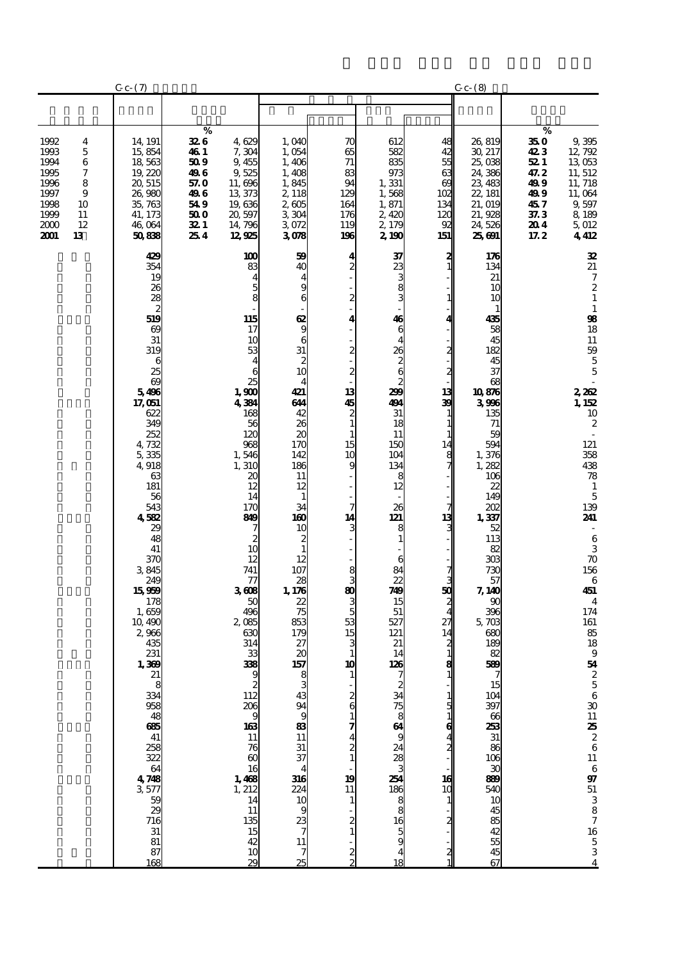|                                                                                                                                    | $C_{c}$ $(7)$                                                                                                                                                                                                                                                                                                                                                                                                                                                                            |                                                                                                                                                                                       |                                                                                                                                                                                                                                                                                                                                                                                                                                                                                                                                                                                                                                                                                                                                                                      |                                                                                                                                                                                                                                                                    |                                                                                                                                                                                                                                                                            |                                                                                                                                                                                       | $C_{c}$ $(8)$                                                                                                                                                                                                                                                                                                                                                                                    |                                                                                                                                                                                                                                                                                                                                                                                                                                                                                         |
|------------------------------------------------------------------------------------------------------------------------------------|------------------------------------------------------------------------------------------------------------------------------------------------------------------------------------------------------------------------------------------------------------------------------------------------------------------------------------------------------------------------------------------------------------------------------------------------------------------------------------------|---------------------------------------------------------------------------------------------------------------------------------------------------------------------------------------|----------------------------------------------------------------------------------------------------------------------------------------------------------------------------------------------------------------------------------------------------------------------------------------------------------------------------------------------------------------------------------------------------------------------------------------------------------------------------------------------------------------------------------------------------------------------------------------------------------------------------------------------------------------------------------------------------------------------------------------------------------------------|--------------------------------------------------------------------------------------------------------------------------------------------------------------------------------------------------------------------------------------------------------------------|----------------------------------------------------------------------------------------------------------------------------------------------------------------------------------------------------------------------------------------------------------------------------|---------------------------------------------------------------------------------------------------------------------------------------------------------------------------------------|--------------------------------------------------------------------------------------------------------------------------------------------------------------------------------------------------------------------------------------------------------------------------------------------------------------------------------------------------------------------------------------------------|-----------------------------------------------------------------------------------------------------------------------------------------------------------------------------------------------------------------------------------------------------------------------------------------------------------------------------------------------------------------------------------------------------------------------------------------------------------------------------------------|
|                                                                                                                                    |                                                                                                                                                                                                                                                                                                                                                                                                                                                                                          |                                                                                                                                                                                       |                                                                                                                                                                                                                                                                                                                                                                                                                                                                                                                                                                                                                                                                                                                                                                      |                                                                                                                                                                                                                                                                    |                                                                                                                                                                                                                                                                            |                                                                                                                                                                                       |                                                                                                                                                                                                                                                                                                                                                                                                  |                                                                                                                                                                                                                                                                                                                                                                                                                                                                                         |
| 1992<br>4<br>1993<br>5<br>1994<br>6<br>7<br>1995<br>1996<br>8<br>1997<br>9<br>1998<br>10<br>1999<br>11<br>2000<br>12<br>2001<br>13 | 14, 191<br>15,854<br>18,563<br>19,220<br>20, 515<br>26,980<br>35,763<br>41, 173<br>46,064<br>50838                                                                                                                                                                                                                                                                                                                                                                                       | $\%$<br>326<br>4629<br><b>46</b> 1<br>7,304<br>50 9<br>9,455<br>496<br>9525<br>57. O<br>11,696<br>496<br>13,373<br>549<br>19,636<br>50 O<br>20, 597<br>321<br>14, 796<br>254<br>12925 | 1,040<br>1,054<br>1,406<br>1,408<br>1,845<br>2, 118<br>2,605<br>3304<br>3072<br>3078                                                                                                                                                                                                                                                                                                                                                                                                                                                                                                                                                                                                                                                                                 | 70<br>65<br>71<br>83<br>94<br>129<br>164<br>176<br>119<br>196                                                                                                                                                                                                      | 612<br>582<br>835<br>973<br>1,331<br>1,568<br>1,871<br>2,420<br>2, 179<br>2,190                                                                                                                                                                                            | 48<br>42<br>55<br>63<br>$\alpha$<br>102<br>134<br>120<br>92<br>151                                                                                                                    | 26,819<br>30, 217<br>25,038<br>24,386<br>23, 483<br>22, 181<br>21, 019<br>21,928<br>24,526<br>25,691                                                                                                                                                                                                                                                                                             | $\%$<br>35 0<br>9,395<br>423<br>12,792<br>13 053<br>52 I<br>11, 512<br>47.2<br>499<br>11, 718<br>11,064<br>499<br>457<br>9,597<br>8 18 9<br>37.3<br>204<br>5,012<br>4412<br>17.2                                                                                                                                                                                                                                                                                                        |
|                                                                                                                                    | 429<br>354<br>19<br>26<br>$\overline{28}$<br>$\boldsymbol{z}$<br>519<br>$\boldsymbol{\omega}$<br>31<br>319<br>6<br>25<br>$\omega$<br>5496<br>17,051<br>622<br>349<br>252<br>4,732<br>5,335<br>4,918<br>63<br>181<br>56<br>543<br>4582<br>29<br>48<br>41<br>370<br>3845<br>249<br>15959<br>178<br>1,659<br>10,490<br>2,966<br>435<br>231<br>1,369<br>$218$<br>$334$<br>$958$<br>$48$<br>$665$<br>$41$<br>258<br>322<br>64<br>4<br>3<br>577<br>5<br>2<br>2<br>716<br>31<br>$\frac{81}{87}$ | 1,900<br>4384<br>1,546<br>1,310<br>3608<br>2085<br>$\begin{array}{c} 16 \\ 1,468 \\ 1,212 \\ 14 \end{array}$                                                                          | 100<br>59<br>83<br>40<br>4<br>$\frac{5}{8}$<br>$\frac{1}{9}$<br>115<br>17<br>6<br>10<br>31<br>53<br>$\begin{array}{c} 2 \\ 10 \end{array}$<br>4<br>6<br>25<br>4<br>421<br>644<br>42<br>168<br>26<br>56<br>$\boldsymbol{\alpha}$<br>120<br>170<br>968<br>142<br>186<br>11<br>20<br>12<br>12<br>14<br>$\mathbf{1}$<br>34<br>170<br>160<br>849<br>10<br>$\frac{2}{10}$<br>$\frac{2}{1}$<br>12<br>12<br>107<br>741<br>28<br>77<br>1,178<br>22<br>50<br>75<br>496<br>853<br>630<br>179<br>314<br>27<br>20<br>33<br>157<br>338<br>9<br>$\frac{212}{206}$<br>$\frac{103}{11}$<br>$\frac{76}{60}$<br>$rac{31}{37}$<br>$\overline{\mathbf{4}}$<br>$\frac{316}{240}$<br>$\frac{23}{7}$<br>$\frac{11}{11}$<br>$\frac{11}{135}$<br>$\frac{15}{42}$<br>$\overline{7}$<br>29<br>25 | 4<br>$\overline{c}$<br>$\overline{4}$<br>9<br>6<br>2<br>4<br>2<br>2<br>13<br>45<br>$\boldsymbol{z}$<br>$\mathbf{1}$<br>1<br>15<br>10<br>9<br>7<br>14<br>8<br>3<br>80<br>5<br>53<br>15<br>з<br>1<br>10<br>2<br>6<br>$\frac{4}{2}$<br>19<br>11<br>1<br>$\frac{2}{2}$ | 37<br>.<br>ഒരേ ഒ<br>46<br>6<br>4<br>26<br>$\frac{2}{2}$<br>299<br>491<br>31<br>18<br>11<br>150<br>104<br>134<br>8<br>12<br>26<br>121<br>8<br>$\mathbf{1}$<br>6<br>84<br>22<br>749<br>15<br>51<br>527<br>121<br>21<br>14<br>126<br>ឆឯ១៣៑∞∞ឨូឌី «ន& » ក្នុង១ <b>ា</b> ន្ត្រី | $\frac{2}{1}$<br>11<br>4<br>$\boldsymbol{z}$<br>2<br>13<br>39<br>1<br>$\mathbf{1}$<br>14<br>8<br>7<br>13<br>50<br>27<br>14<br>2<br>$\frac{8}{1}$<br>1<br>5<br>6<br>2<br>16<br>10<br>2 | 176<br>134<br>21<br>10<br>10<br>1<br>435<br>58<br>45<br>182<br>45<br>37<br>68<br>10876<br>3906<br>135<br>71<br>59<br>594<br>1,376<br>1,282<br>106<br>22<br>149<br>202<br>1,337<br>52<br>113<br>82<br>303<br>730<br>57<br>7, 140<br>90<br>396<br>5,703<br>$\infty$<br>189<br>82<br>589<br>15<br>104<br>397<br>66<br>$\frac{253}{31}$<br>$\frac{86}{106}$<br>30<br>890<br>540<br>10<br>68886<br>67 | 32<br>21<br>$\boldsymbol{7}$<br>$\boldsymbol{z}$<br>$\mathbf{1}$<br>$\mathbf{1}$<br>$\pmb{\mathfrak{B}}$<br>18<br>11<br>59<br>$\overline{5}$<br>5<br>2,262<br>1, 152<br>10<br>$\boldsymbol{2}$<br>121<br>358<br>438<br>78<br>$\mathbf{1}$<br>$\overline{5}$<br>139<br>241<br>$\,6$<br>$\overline{3}$<br>$\boldsymbol{\pi}$<br>156<br>$\,6$<br>451<br>$\overline{\mathbf{4}}$<br>174<br>161<br>85<br>18<br>$\boldsymbol{9}$<br>54<br>2 5 6 30 11 <b>25</b> 2 6 11 6 97 51 3 8 7 16 5 3 4 |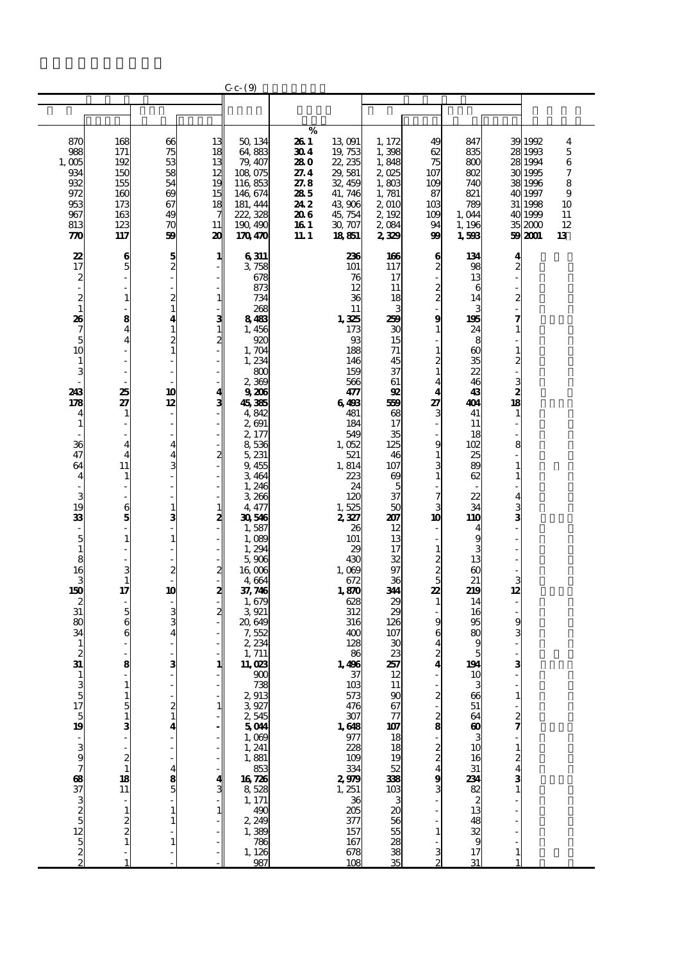|                                             |                                               |                         |                   | $C_{c-}$ $(9)$                |              |                          |                                                       |                                  |                             |                         |                    |          |
|---------------------------------------------|-----------------------------------------------|-------------------------|-------------------|-------------------------------|--------------|--------------------------|-------------------------------------------------------|----------------------------------|-----------------------------|-------------------------|--------------------|----------|
|                                             |                                               |                         |                   |                               |              |                          |                                                       |                                  |                             |                         |                    |          |
|                                             |                                               |                         |                   |                               |              |                          |                                                       |                                  |                             |                         |                    |          |
| 870                                         | 168                                           | 66                      | 13                | 50, 134                       | %<br>26 1    | 13 091                   | 1, 172                                                | 49                               | 847                         |                         | 39 1992            | 4        |
| 988                                         | 171                                           | 75                      | 18                | 64,883                        | 30 4         | 19, 753                  | 1,398                                                 | 62                               | 835                         |                         | 28 1993            | $\bf 5$  |
| 1,005                                       | 192                                           | 53                      | 13                | 79, 407                       | 280          | 22, 235                  | 1,848                                                 | 75                               | 800                         |                         | 28 1994            | 6        |
| 934                                         | 150                                           | 58                      | 12                | 108,075                       | 27.4         | 29,581                   | 2025                                                  | 107                              | 802                         | 30                      | 1995               | 7        |
| 932<br>972                                  | 155<br>160                                    | 54<br>69                | 19<br>15          | 116 853<br>146, 674           | 27.8<br>285  | 32, 459<br>41, 746       | 1,803<br>1,781                                        | 109<br>87                        | 740<br>821                  |                         | 38 1996<br>40 1997 | 8<br>9   |
| 953                                         | 173                                           | 67                      | 18                | 181, 444                      | 24 2         | 43 906                   | 2 010                                                 | 10 <sub>3</sub>                  | 789                         | 31                      | 1998               | 10       |
| 967                                         | 163                                           | 49                      | 7                 | 222, 328                      | 20 G         | 45, 754                  | 2,192                                                 | 109                              | 1,044                       |                         | 40 1999            | 11       |
| 813<br>770                                  | 123<br>117                                    | 70<br>59                | 11<br>20          | 190, 490<br>170470            | 16 1<br>11.1 | 30 707<br>18851          | 2084<br>2329                                          | 94<br>99                         | 1, 196<br>1,598             |                         | 352000<br>59 2001  | 12<br>13 |
|                                             |                                               |                         |                   |                               |              |                          |                                                       |                                  |                             |                         |                    |          |
| 22                                          | 6                                             | 5                       | 1                 | 6311                          |              | 236                      | 166                                                   | 6                                | 134                         | 4                       |                    |          |
| 17                                          | 5                                             | $\overline{\mathbf{c}}$ |                   | 3,758<br>678                  |              | 101<br>76                | 117<br>17                                             | $\boldsymbol{z}$                 | 98<br>13                    | 2                       |                    |          |
| $\frac{2}{1}$                               |                                               |                         |                   | 873                           |              | 12                       | 11                                                    |                                  | 6                           |                         |                    |          |
| $\frac{2}{1}$                               | $\mathbf{1}$                                  | $\boldsymbol{z}$        | 1                 | 734                           |              | 36                       | 18                                                    | $\frac{2}{2}$                    | 14                          | $\overline{\mathbf{c}}$ |                    |          |
| 26                                          | 8                                             | $\mathbf{1}$<br>4       |                   | 268<br>8483                   |              | 11<br>1,325              | 3<br>259                                              | $\bf{9}$                         | 195                         |                         |                    |          |
|                                             | 4                                             | $\mathbf 1$             | 3<br>$\mathbf{1}$ | 1,456                         |              | 173                      | 30                                                    | 1                                | 24                          | 1                       |                    |          |
| $\begin{array}{c} 7 \\ 5 \\ 10 \end{array}$ |                                               | $\overline{c}$          | $\mathbf{z}$      | 920                           |              | 93                       | 15                                                    |                                  | 8                           |                         |                    |          |
| $\mathbf{1}$                                |                                               | $\mathbf{1}$            |                   | 1,704<br>1,234                |              | 188<br>146               | 71<br>45                                              | $\mathbf{1}$<br>$\boldsymbol{z}$ | $\omega$<br>35              | 1<br>2                  |                    |          |
| 3                                           |                                               |                         |                   | 800                           |              | 159                      | 37                                                    | 1                                | 22                          |                         |                    |          |
|                                             |                                               |                         |                   | 2,369                         |              | 566                      | 61                                                    | $\overline{\mathbf{4}}$          | 46                          |                         |                    |          |
| 243<br>178                                  | 25<br>27                                      | 10<br>12                | $\frac{4}{3}$     | 9206<br>45,385                |              | 477<br>6498              | 92<br>569                                             | $\overline{\mathbf{4}}$<br>27    | 43<br>404                   | $\frac{3}{18}$          |                    |          |
| 4                                           | $\mathbf{1}$                                  | L,                      |                   | 4,842                         |              | 481                      | 68                                                    | 3                                | 41                          | $\mathbf{1}$            |                    |          |
| $\mathbf{1}$                                |                                               |                         |                   | 2,691                         |              | 184                      | 17                                                    |                                  | 11                          |                         |                    |          |
| 36                                          |                                               | 4                       |                   | 2,177<br>8,536                |              | 549<br>1,052             | 35<br>125                                             | 9                                | 18<br>102                   | 8                       |                    |          |
| 47                                          | $\overline{4}$                                | 4                       | 2                 | 5, 231                        |              | 521                      | 46                                                    | $\mathbf{1}$                     | 25                          |                         |                    |          |
| 64                                          | 11                                            | 3                       |                   | 9,455                         |              | 1,814                    | 107                                                   | 3                                | 89                          |                         |                    |          |
| 4                                           | $\mathbf{1}$                                  |                         |                   | 3,464<br>1,246                |              | 223<br>24                | $\boldsymbol{\omega}$<br>5                            | $\mathbf{1}$                     | 62                          | 1                       |                    |          |
| 3                                           |                                               |                         |                   | 3,266                         |              | 120                      | 37                                                    | 7                                | 22                          | 4                       |                    |          |
| 19                                          | 6                                             | $\mathbf{1}$            | 1                 | 4, 477                        |              | 1,525                    | 50                                                    | 3                                | 34                          | 3                       |                    |          |
| 33                                          | 5                                             | 3                       | 2                 | 30546<br>1,587                |              | 2,327<br>26              | 207<br>12                                             | 10                               | 110                         | 3                       |                    |          |
| $\overline{5}$                              |                                               | 1                       |                   | 1,089                         |              | 101                      | 13                                                    |                                  | 9                           |                         |                    |          |
| $\mathbf{1}$                                |                                               |                         |                   | 1,294                         |              | 29                       | 17                                                    | 1                                | 3                           |                         |                    |          |
| $\overline{8}$<br>16                        |                                               | $\mathbf{z}$            | $\boldsymbol{z}$  | 5,906<br>16,006               |              | 430<br>1,089             | 32<br>97                                              | $\frac{2}{5}$                    | 13<br>$\omega$              |                         |                    |          |
| 3                                           | $\mathbf{1}$                                  |                         |                   | 4,664                         |              | 672                      | 36                                                    |                                  | 21                          | 3                       |                    |          |
| 150                                         | 17                                            | 10                      | 2                 | 37,746                        |              | 1,870                    | 344                                                   | 22                               | 219                         | 12                      |                    |          |
| $\boldsymbol{z}$<br>31                      | 5                                             | 3                       | 2                 | 1,679<br>3921                 |              | 628<br>312               | 29<br>29                                              | $\mathbf{1}$                     | 14<br>16                    |                         |                    |          |
| 80                                          | 6                                             | 3                       |                   | 20,649                        |              | 316                      | 126                                                   | 9                                | 95                          | 9                       |                    |          |
| 34<br>$\mathbf{1}$                          |                                               | 4                       |                   | 7,552<br>2,234                |              | 400<br>128               | 107<br>30                                             | 6<br>4                           | 80<br>9                     |                         |                    |          |
| $\boldsymbol{z}$                            |                                               |                         |                   | 1, 711                        |              | 86                       | 23                                                    | $\boldsymbol{z}$                 | 5                           |                         |                    |          |
| 31                                          | 8                                             | 3                       | 1                 | 11,023                        |              | 1,496                    | 257                                                   | 4                                | 194                         | 3                       |                    |          |
|                                             |                                               |                         |                   | 900<br>738                    |              | 37<br>103                | 12<br>11                                              |                                  | 1C<br>3                     |                         |                    |          |
| $\begin{array}{c}\n3 \\ 10\n\end{array}$    |                                               |                         |                   | 2913                          |              | 573                      | 90                                                    | 2                                | 66                          | $\mathbf{1}$            |                    |          |
|                                             |                                               | 2                       | 1                 | 3927                          |              | 476                      | 67                                                    |                                  | 51                          |                         |                    |          |
|                                             |                                               | $\mathbf{1}$            |                   | 2,545<br>5044                 |              |                          | $\frac{77}{107}$                                      | $\frac{2}{8}$                    | 64<br>$\boldsymbol{\omega}$ | $\frac{2}{7}$           |                    |          |
|                                             |                                               |                         |                   | 1,009                         |              | $\frac{307}{160}$        | 18                                                    |                                  | з                           |                         |                    |          |
|                                             |                                               |                         |                   |                               |              | 228<br>109               |                                                       |                                  | 10                          | 1                       |                    |          |
| - a g                                       | $\overline{\mathbf{c}}$                       |                         |                   | $1, 241$<br>$1, 881$<br>$853$ |              | 334                      | $\frac{18}{19}$<br>$\frac{52}{38}$<br>$\frac{338}{3}$ | $\frac{2}{4}$                    | 16<br>31                    | $\frac{2}{4}$           |                    |          |
|                                             | $\begin{array}{c} \n 18 \\  11\n \end{array}$ | $\frac{8}{5}$           |                   | 16 726                        |              |                          |                                                       | 9                                |                             | 3                       |                    |          |
|                                             |                                               |                         |                   | 8,528                         |              | $2979$<br>1, $251$<br>36 |                                                       | 3                                | $\frac{231}{28}$            |                         |                    |          |
|                                             | $\mathbf{1}$                                  |                         |                   | 1, 171                        |              |                          |                                                       |                                  |                             |                         |                    |          |
|                                             |                                               |                         |                   | $\frac{490}{2,249}$           |              | 205<br>377               |                                                       |                                  | 48                          |                         |                    |          |
| ៰៷៰៲¤ ៰៷៰ៜៜ                                 |                                               |                         |                   | 1,389<br>786                  |              | 157<br>167               | 3888588                                               | 1                                | 32<br>9                     |                         |                    |          |
|                                             |                                               | 1                       |                   | 1, 126                        |              | 678                      |                                                       | 3                                | 17                          | 1                       |                    |          |
|                                             |                                               |                         |                   | 987                           |              | 108                      |                                                       |                                  | 31                          |                         |                    |          |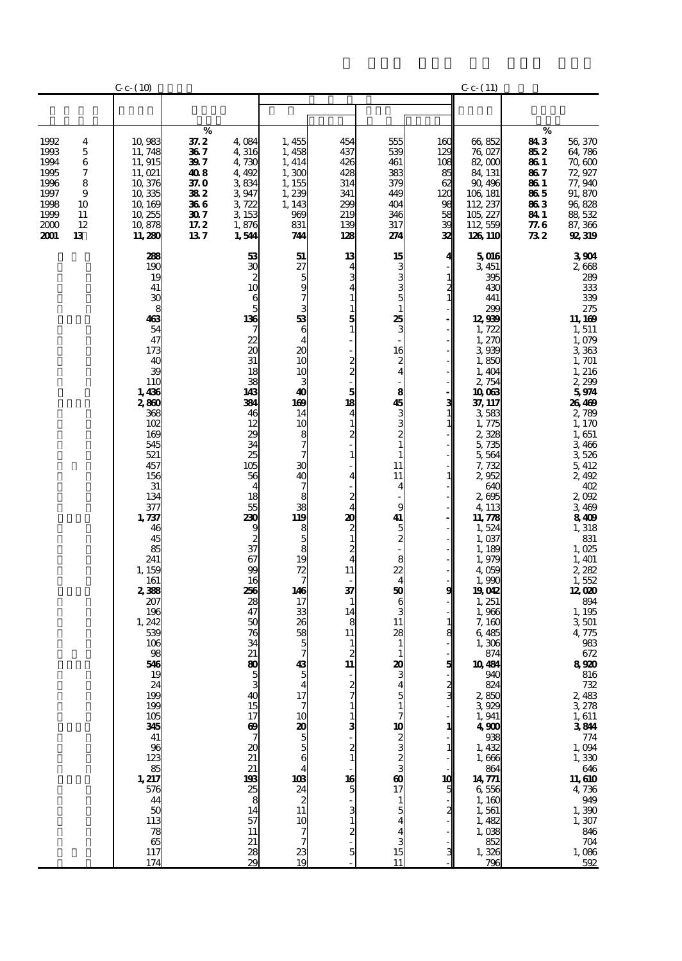|                                                                                                                                    | $C_{c}$ (10)                                                                                                                                                                                                                                                                                                                                                                                                       |                                                                                 |                                                                                                                                                                                                                                                                                                                                                                                                   |                                                                                                                                                                                                                                                                                                                                                                                                                                  |                                                                                                                                                                                     |                                                                                                                                                                                                                                                                                              |                                                                                                       | $C_{C}$ (11)                                                                                                                                                                                                                                                                                                                                                                                                                                                                                                                                    |                                                                                |                                                                                                                                                                                                                                                                                                                                                                                                                                                                                                                             |
|------------------------------------------------------------------------------------------------------------------------------------|--------------------------------------------------------------------------------------------------------------------------------------------------------------------------------------------------------------------------------------------------------------------------------------------------------------------------------------------------------------------------------------------------------------------|---------------------------------------------------------------------------------|---------------------------------------------------------------------------------------------------------------------------------------------------------------------------------------------------------------------------------------------------------------------------------------------------------------------------------------------------------------------------------------------------|----------------------------------------------------------------------------------------------------------------------------------------------------------------------------------------------------------------------------------------------------------------------------------------------------------------------------------------------------------------------------------------------------------------------------------|-------------------------------------------------------------------------------------------------------------------------------------------------------------------------------------|----------------------------------------------------------------------------------------------------------------------------------------------------------------------------------------------------------------------------------------------------------------------------------------------|-------------------------------------------------------------------------------------------------------|-------------------------------------------------------------------------------------------------------------------------------------------------------------------------------------------------------------------------------------------------------------------------------------------------------------------------------------------------------------------------------------------------------------------------------------------------------------------------------------------------------------------------------------------------|--------------------------------------------------------------------------------|-----------------------------------------------------------------------------------------------------------------------------------------------------------------------------------------------------------------------------------------------------------------------------------------------------------------------------------------------------------------------------------------------------------------------------------------------------------------------------------------------------------------------------|
|                                                                                                                                    |                                                                                                                                                                                                                                                                                                                                                                                                                    |                                                                                 |                                                                                                                                                                                                                                                                                                                                                                                                   |                                                                                                                                                                                                                                                                                                                                                                                                                                  |                                                                                                                                                                                     |                                                                                                                                                                                                                                                                                              |                                                                                                       |                                                                                                                                                                                                                                                                                                                                                                                                                                                                                                                                                 |                                                                                |                                                                                                                                                                                                                                                                                                                                                                                                                                                                                                                             |
| 1992<br>4<br>1993<br>5<br>1994<br>6<br>1995<br>7<br>1996<br>8<br>1997<br>9<br>1998<br>10<br>1999<br>11<br>2000<br>12<br>2001<br>13 | 10,983<br>11, 748<br>11, 915<br>11, 021<br>10,376<br>10,335<br>10, 169<br>10, 255<br>10,878<br>11, 280                                                                                                                                                                                                                                                                                                             | $\%$<br>37.2<br>367<br>39 7<br>408<br>37. O<br>382<br>366<br>307<br>17.2<br>137 | 4,084<br>4,316<br>4,730<br>4,492<br>3834<br>3947<br>3722<br>3 153<br>1,876<br>1,544                                                                                                                                                                                                                                                                                                               | 1,455<br>1,458<br>1, 414<br>1,300<br>1, 155<br>1,239<br>1, 143<br>969<br>831<br>744                                                                                                                                                                                                                                                                                                                                              | 454<br>437<br>426<br>428<br>314<br>341<br>299<br>219<br>139<br>128                                                                                                                  | 555<br>539<br>461<br>383<br>379<br>449<br>404<br>346<br>317<br>274                                                                                                                                                                                                                           | 16C<br>129<br>108<br>85<br>62<br>120<br>98<br>58<br>æ<br>32                                           | 66,852<br>76,027<br>82,000<br>84, 131<br>90, 496<br>106, 181<br>112, 237<br>105, 227<br>112, 559<br>126 110                                                                                                                                                                                                                                                                                                                                                                                                                                     | %<br>843<br>852<br>86 1<br>86 7<br>86 1<br>865<br>863<br>84 1<br>77. G<br>73 2 | 56,370<br>64,786<br>70,600<br>72,927<br>77,940<br>91, 870<br>96,828<br>88, 532<br>87, 366<br>92,319                                                                                                                                                                                                                                                                                                                                                                                                                         |
|                                                                                                                                    | 288<br>190<br>19<br>41<br>30<br>8<br>463<br>54<br>47<br>173<br>40<br>39<br>110<br>1,436<br>2,860<br>368<br>102<br>169<br>545<br>521<br>457<br>156<br>31<br>134<br>377<br>1,737<br>46<br>45<br>85<br>241<br>1, 159<br>161<br>2,388<br>207<br>196<br>1,242<br>539<br>106<br>98<br>546<br>19<br>24<br>199<br>199<br>105<br>345<br>41<br>96<br>123<br>85<br>1, 217<br>576<br>44<br>50<br>113<br>78<br>65<br>117<br>174 |                                                                                 | 53<br>30<br>2<br>10<br>6<br>5<br>136<br>7<br>22<br>20<br>31<br>18<br>38<br>143<br>334<br>46<br>12<br>29<br>34<br>25<br>105<br>56<br>$\overline{4}$<br>18<br>55<br>230<br>9<br>$rac{2}{37}$<br>67<br>99<br>16<br>256<br>28<br>47<br>50<br>76<br>34<br>21<br>80<br>3<br>40<br>15<br>17<br>$\boldsymbol{\omega}$<br>7<br>20<br>21<br>21<br>198<br>$\frac{25}{8}$<br>14<br>57<br>11<br>21<br>28<br>29 | 51<br>27<br>5<br>9<br>7<br>3<br>53<br>6<br>4<br>20<br>10<br>10<br>3<br>40<br>169<br>14<br>10<br>8<br>$\overline{7}$<br>7<br>$\mathbf{30}$<br>40<br>$\overline{\phantom{a}}$<br>8<br>38<br>119<br>8<br>$\frac{5}{8}$<br>19<br>72<br>7<br>146<br>17<br>33<br>26<br>58<br>5<br>7<br>43<br>$\frac{17}{7}$<br>10<br>$\frac{20}{5}$<br>4<br>103<br>24<br>$\overline{\mathbf{c}}$<br>11<br>10<br>7<br>$\overline{7}$<br>$\frac{23}{19}$ | 13<br>4<br>5<br>1<br>2<br>5<br>18<br>4<br>1<br>$\overline{c}$<br>1<br>4<br>2<br>4<br>20<br>2<br>$\mathbf{1}$<br>2<br>4<br>11<br>37<br>1<br>14<br>8<br>11<br>2<br>11<br>16<br>5<br>5 | 15<br>25<br>3<br>16<br>$\boldsymbol{z}$<br>$\overline{4}$<br>8<br>$\frac{45}{3}$<br>1<br>11<br>11<br>4<br>9<br>41<br>5<br>$\boldsymbol{z}$<br>8<br>22<br>$\overline{4}$<br>50<br>6<br>11<br>28<br>$\mathbf{1}$<br>20<br>10<br>ယလည<br>$\boldsymbol{\omega}$<br>17<br>$\mathbf{1}$<br>15<br>11 | 4<br>$\mathbf{z}$<br>$\mathbf{1}$<br>$\mathbf{3}$<br>$\mathbf{1}$<br>1<br>g<br>1<br>8<br>5<br>2<br>10 | 5016<br>3,451<br>395<br>430<br>441<br>299<br>12,939<br>1,722<br>1,270<br>3,939<br>1,850<br>1,404<br>2,754<br>10063<br>37, 117<br>3583<br>1,775<br>2,328<br>5,735<br>5,564<br>7,732<br>2952<br>640<br>2695<br>4, 113<br>11, 778<br>1,524<br>1,037<br>1, 189<br>1,979<br>4,059<br>1,990<br>19012<br>1, 251<br>1,966<br>7,160<br>6,485<br>1,306<br>874<br>10484<br>940<br>824<br>2,850<br>3,929<br>1,941<br>$4\overline{90}$<br>1,432<br>1,666<br>864<br>14,771<br>6,556<br>1,160<br>$\frac{1}{1}$ , 561<br>1, 482<br>1,038<br>852<br>1,326<br>796 |                                                                                | 3904<br>2,668<br>289<br>333<br>339<br>275<br>11, 169<br>1,511<br>1,079<br>3363<br>1, 701<br>1, 216<br>2,299<br>5974<br>26469<br>2,789<br>1,170<br>1,651<br>3,466<br>3526<br>5,412<br>2,492<br>402<br>2,092<br>3,469<br>8409<br>1,318<br>831<br>1,025<br>1, 401<br>2,282<br>1,552<br>12,020<br>894<br>1, 195<br>3501<br>4,775<br>983<br>672<br>8920<br>$816\,$<br>732<br>2,483<br>3278<br>1, 611<br>3844<br>$774$<br>1, 094<br>1, 330<br>$646$<br>11, 610<br>4,736<br>949<br>1,390<br>1,307<br>846<br>$704$<br>1, 086<br>592 |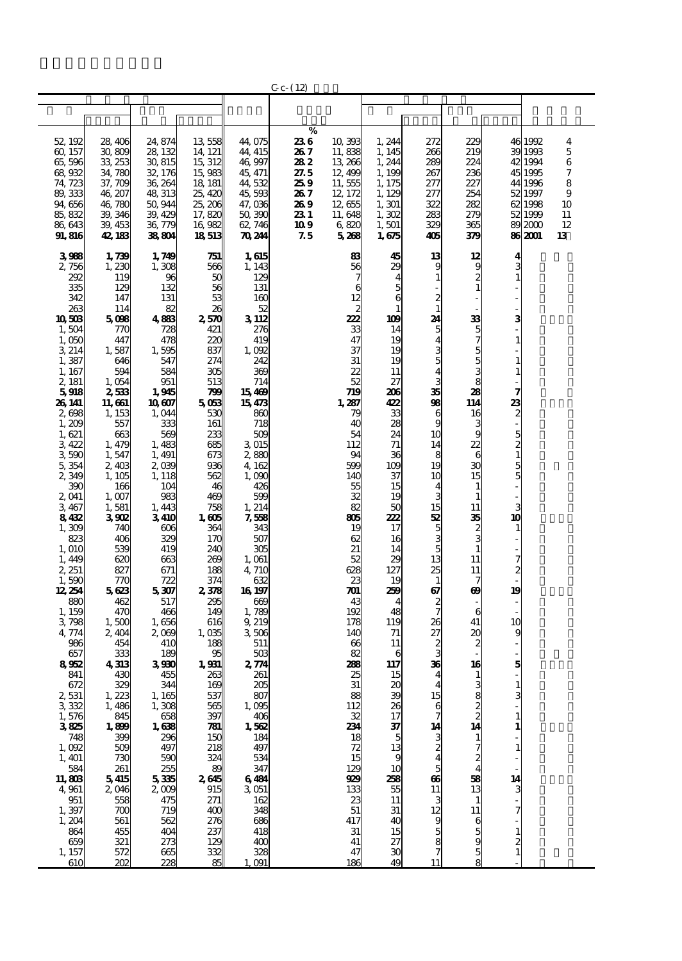|                   |                    |                  |                                |                  | $C_{C}$ - (12) |               |                |                |                |                     |                   |          |
|-------------------|--------------------|------------------|--------------------------------|------------------|----------------|---------------|----------------|----------------|----------------|---------------------|-------------------|----------|
|                   |                    |                  |                                |                  |                |               |                |                |                |                     |                   |          |
|                   |                    |                  |                                |                  |                |               |                |                |                |                     |                   |          |
|                   |                    |                  |                                |                  | $\%$           |               |                |                |                |                     |                   |          |
| 52, 192           | 28, 406            | 24, 874          | 13558                          | 44,075           | 236            | 10,393        | 1, 244         | 272            | 229            |                     | 46 1992           | 4        |
| 60, 157           | 30,809             | 28, 132          | 14, 121                        | 44, 415          | 267            | 11,838        | 1.145          | 266            | 219            |                     | 39 1993           | 5        |
| 65,596            | 33, 253            | 30, 815          | 15, 312                        | 46,997           | 282            | 13 266        | 1, 244         | 289            | 224            |                     | 42 1994           | 6        |
| 68,932            | 34,780             | 32, 176          | 15,983                         | 45, 471          | 27.5           | 12,499        | 1, 199         | 267            | 236            |                     | 45 1995           | 7        |
| 74, 723           | 37,709             | 36, 264          | 18 181                         | 44,532           | 259            | 11,555        | 1, 175         | 277            | 227            |                     | 44 1996           | 8        |
| 89,333            | 46, 207            | 48, 313          | 25, 420                        | 45,593           | 267            | 12, 172       | 1, 129         | 277            | 254            |                     | 52 1997           | 9        |
| 94,656            | 46,780             | 50,944           | 25, 206                        | 47,036           | 269            | 12,655        | 1, 301         | 322            | 282            |                     | 621998            | 10       |
| 85, 832<br>86,643 | 39, 346<br>39, 453 | 39, 429          | 17,820<br>16 982               | 50,390<br>62,746 | 23 1           | 11,648        | 1,302          | 283<br>329     | 279<br>365     |                     | 52 1999           | 11<br>12 |
| 91,816            | 42, 183            | 36, 779<br>38804 | 18513                          | 70, 244          | 10 9<br>75     | 6820<br>5,268 | 1,501<br>1,675 | 405            | 379            |                     | 892000<br>86 2001 | 13       |
|                   |                    |                  |                                |                  |                |               |                |                |                |                     |                   |          |
| 3988              | 1,739              | 1,749            | 751                            | 1,615            |                | 83            | 45             | 13             | 12             | 4                   |                   |          |
| 2,756             | 1,230              | 1,308            | 566                            | 1, 143           |                | 56            | 29             | 9              | 9              | 3                   |                   |          |
| 292               | 119                | 96               | 5C                             | 129              |                | 7             |                | 1              | $\overline{a}$ |                     |                   |          |
| 335               | 129                | 132              | 56                             | 131              |                | 6             |                |                | 1              |                     |                   |          |
| 342               | 147                | 131              | 53<br>26                       | 160              |                | 12            | 6              | 2<br>1         |                |                     |                   |          |
| 263<br>10503      | 114<br>5088        | 82<br>4883       | 2,570                          | 52<br>3 112      |                | 222           | 109            | 24             | 33             | 3                   |                   |          |
| 1,504             | 770                | 728              | 421                            | 276              |                | 33            | 14             | 5              | 5              |                     |                   |          |
| 1,050             | 447                | 478              | 220                            | 419              |                | 47            | 19             | 4              | 7              |                     |                   |          |
| 3 214             | 1,587              | 1,595            | 837                            | 1,092            |                | 37            | 19             | 3              | 5              |                     |                   |          |
| 1,387             | 646                | 547              | 274                            | 242              |                | 31            | 19             | 5              | 5              |                     |                   |          |
| 1, 167            | 594                | 584              | 305                            | 369              |                | 22            | 11             | 4              | 3              |                     |                   |          |
| 2, 181            | 1,054              | 951              | 513                            | 714              |                | 52            | 27             | 3<br>35        | 8              |                     |                   |          |
| 5918<br>26 141    | 2,533<br>11, 661   | 1,945<br>10 607  | 799<br>5063                    | 15469<br>15473   |                | 719<br>1,287  | 206<br>422     | 98             | 28<br>114      | 7                   |                   |          |
| 2,698             | 1, 153             | 1,044            | 530                            | 860              |                | 79            | 33             | 6              | 16             | <b>23</b><br>2      |                   |          |
| 1,209             | 557                | 333              | 161                            | 718              |                | 40            | 28             | 9              |                |                     |                   |          |
| 1,621             | 663                | 569              | 233                            | 509              |                | 54            | 24             | 10             | g              |                     |                   |          |
| 3422              | 1,479              | 1,483            | 685                            | 3015             |                | 112           | 71             | 14             | 22             | $\frac{5}{2}$       |                   |          |
| 3,590             | 1,547              | 1, 491           | 673                            | 2,880            |                | 94            | 36             | 8              | 6              |                     |                   |          |
| 5,354             | 2,403              | 2,039            | 936                            | 4, 162           |                | 599           | 109            | 19             | 30             | $\frac{5}{5}$       |                   |          |
| 2,349             | 1, 105             | 1, 118           | 562<br>46                      | 1,000            |                | 140           | 37             | 10             | 15             |                     |                   |          |
| 390<br>2,041      | 166<br>1,007       | 104<br>983       | 469                            | 426<br>599       |                | 55<br>32      | 15<br>19       | 4<br>3         | 1              |                     |                   |          |
| 3,467             | 1,581              | 1, 443           | 758                            | 1, 214           |                | 82            | 50             | 15             | 11             | 3                   |                   |          |
| 8432              | 3 SO 2             | 3410             | 1,605                          | 7,558            |                | ஐ             | 222            | 52             | 35             | 10                  |                   |          |
| 1,309             | 740                | 606              | 364                            | 343              |                | 19            | 17             | 5              |                | $\mathbf{1}$        |                   |          |
| 823               | 406                | 329              | 17C                            | 507              |                | 62            | 16             | 3              | $\frac{2}{3}$  |                     |                   |          |
| 1, O1C            | 539                | 419              | 240                            | 305              |                | 21            | 14             | 5              |                |                     |                   |          |
| 1,449             | 620                | 663              | 269                            | 1,061            |                | 52            | 29<br>127      | 13<br>25       | 11             | 7<br>$\overline{c}$ |                   |          |
| 2, 251<br>1,590   | 827<br>770         | 671<br>722       | 188<br>374                     | 4, 710<br>632    |                | 628<br>23     | 19             | $\mathbf{1}$   | 11<br>7        |                     |                   |          |
| 12, 254           | 5623               | 5,307            | 2,378                          | 16 197           |                | 701           | 259            | 67             | œ              | 19                  |                   |          |
| 880               | 462                | 517              | 295                            | 669              |                | 43            | 4              | 2              |                |                     |                   |          |
| 1, 159            | 470                | 466              | 149                            | 1,789            |                | 192           | 48             | 7              | 6              |                     |                   |          |
| 3798              | 1,500              | 1,656            | 616                            | 9, 219           |                | 178           | 119            | 26             | 41             | 10                  |                   |          |
| 4,774             | 2,404              | 2,000            | 1,035                          | 3506             |                | 140           | 71             | 27             | х              | 9                   |                   |          |
| 986               | 454                | 410              | 188                            | 511              |                | 66            | 11<br>6        |                |                |                     |                   |          |
| 657<br>8952       | 333<br>4313        | 189<br>3930      | 95<br>1,931                    | 503<br>2,774     |                | 82<br>288     | 117            | 36             | 16             | 5                   |                   |          |
| 841               | 430                | 455              | 263                            | 261              |                | 25            | 15             |                |                |                     |                   |          |
| 672               | 329                | 344              | 169                            | 205              |                | 31            | 20             | 4              | 3              |                     |                   |          |
| 2,531             | 1.223              | 1, 165           | 537                            | 807              |                | 88            | 39             | 15             |                | 3                   |                   |          |
| 3322              | 1,486              | 1,308            | 565                            | 1,095            |                | 112           | 26             | 6              | 8<br>2<br>2    |                     |                   |          |
| 1,576             | 845                | 658              | 397                            | 406              |                | 32            | 17             | $\overline{7}$ |                |                     |                   |          |
| 3825              | 1,899              | 1,638            | $\overline{\mathbf{z}}$<br>15C | 1,562            |                | 234           | 37<br>5        | 14             | 14             |                     |                   |          |
| 748<br>1,092      | 399<br>509         | 296<br>497       | 218                            | 184<br>497       |                | 18<br>72      | 13             | $\frac{3}{2}$  | 1<br>7         |                     |                   |          |
| 1, 401            | 730                | 590              | 324                            | 534              |                | 15            | 9              | 4              | 2              |                     |                   |          |
| 584               | 261                | 255              | 89                             | 347              |                | 129           | 10             | 5              | 4              |                     |                   |          |
| 11,803            | 5415               | 5335             | 2645                           | 6484             |                | 99            | 258            | 66             | 58             | 14                  |                   |          |
| 4,961             | 2,046              | 2000             | 915                            | 3051             |                | 133           | 55             | 11             | 13             | 3                   |                   |          |
| 951               | 558                | 475              | 271                            | 162              |                | 23            | 11             | 3              | 1              |                     |                   |          |
| 1,397             | 700                | 719              | 400                            | 348              |                | 51            | 31             | 12             | 11             |                     |                   |          |
| 1, 204<br>864     | 561<br>455         | 562<br>404       | 276<br>237                     | 686<br>418       |                | 417<br>31     | 40<br>15       | 9<br>5         | 6<br>5         | $\mathbf{1}$        |                   |          |
| 659               | 321                | 273              | 129                            | 400              |                | 41            | 27             |                | 9              |                     |                   |          |
| 1, 157            | 572                | 665              | 332                            | 328              |                | 47            | 30             | $\frac{8}{7}$  | 5              | $\frac{2}{1}$       |                   |          |
| 610               | 202                | 228              |                                | $\Omega$         |                | 186           | 49             | 11             |                |                     |                   |          |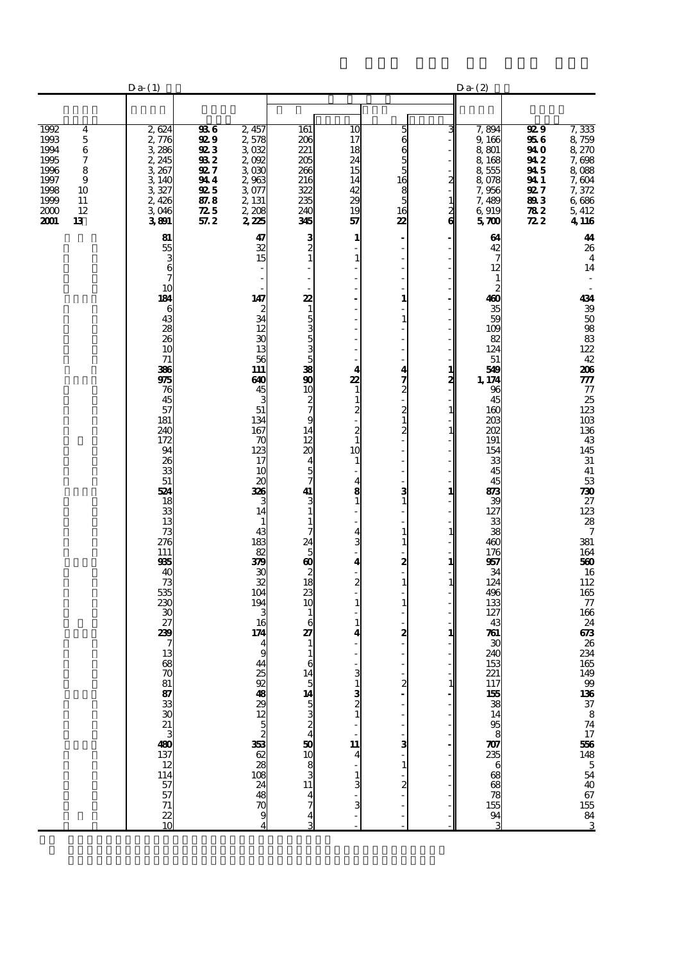|                                                                                                                                                  | $Da-(1)$                                                                                                                                                                                                                                                                                                               |                                                                                                             |                                                                                                                                                                                                                                                                                                                                                                       |                                                                                                                                                                                                                                                                          |                                                                                                                                                                                                                                                                                                                                     |                                                                                                                                                                             |                           | Da(2)                                                                                                                                                                                                                                                                                                                                   |                                                                                               |                                                                                                                                                                                                                                                                                                                                                                                                       |
|--------------------------------------------------------------------------------------------------------------------------------------------------|------------------------------------------------------------------------------------------------------------------------------------------------------------------------------------------------------------------------------------------------------------------------------------------------------------------------|-------------------------------------------------------------------------------------------------------------|-----------------------------------------------------------------------------------------------------------------------------------------------------------------------------------------------------------------------------------------------------------------------------------------------------------------------------------------------------------------------|--------------------------------------------------------------------------------------------------------------------------------------------------------------------------------------------------------------------------------------------------------------------------|-------------------------------------------------------------------------------------------------------------------------------------------------------------------------------------------------------------------------------------------------------------------------------------------------------------------------------------|-----------------------------------------------------------------------------------------------------------------------------------------------------------------------------|---------------------------|-----------------------------------------------------------------------------------------------------------------------------------------------------------------------------------------------------------------------------------------------------------------------------------------------------------------------------------------|-----------------------------------------------------------------------------------------------|-------------------------------------------------------------------------------------------------------------------------------------------------------------------------------------------------------------------------------------------------------------------------------------------------------------------------------------------------------------------------------------------------------|
|                                                                                                                                                  |                                                                                                                                                                                                                                                                                                                        |                                                                                                             |                                                                                                                                                                                                                                                                                                                                                                       |                                                                                                                                                                                                                                                                          |                                                                                                                                                                                                                                                                                                                                     |                                                                                                                                                                             |                           |                                                                                                                                                                                                                                                                                                                                         |                                                                                               |                                                                                                                                                                                                                                                                                                                                                                                                       |
| 1992<br>4<br>1993<br>$\mathbf 5$<br>$\,6$<br>1994<br>1995<br>7<br>1996<br>8<br>1997<br>9<br>1998<br>10<br>1999<br>11<br>2000<br>12<br>2001<br>13 | 2,624<br>2,776<br>3,286<br>2, 245<br>3,267<br>3,140<br>3,327<br>2,426<br>3046<br>3801                                                                                                                                                                                                                                  | 936<br><b>929</b><br><b>923</b><br>932<br><b>927</b><br>944<br><b>92</b> 5<br>87.8<br>$\mathbb{Z}5$<br>57.2 | 2,457<br>2,578<br>3032<br>2,092<br>3030<br>2,963<br>3077<br>2, 131<br>2,208<br>225                                                                                                                                                                                                                                                                                    | 161<br>206<br>221<br>205<br>266<br>216<br>322<br>235<br>240<br>345                                                                                                                                                                                                       | 10<br>17<br>18<br>24<br>15<br>14<br>42<br>29<br>19<br>57                                                                                                                                                                                                                                                                            | 56655<br>$\frac{16}{5}$<br>16<br>22                                                                                                                                         | З<br>2<br>$\frac{1}{2}$ 6 | 7,894<br>9,166<br>8.801<br>8,168<br>8555<br>8,078<br>7,956<br>7,489<br>6,919<br>570                                                                                                                                                                                                                                                     | 92 9<br>956<br>94 O<br>94 2<br>945<br>941<br>92 7<br>893<br>$\boldsymbol{z}$<br>$\mathbb{Z}2$ | 7,333<br>$\frac{8}{8}$ 759<br>8 270<br>7,698<br>8088<br>7,604<br>7,372<br>6 686<br>5,412<br>4,116                                                                                                                                                                                                                                                                                                     |
|                                                                                                                                                  | 81<br>55<br>3<br>6<br>10<br>184<br>6<br>43<br>$\frac{28}{26}$<br>10<br>71<br>386<br>975<br>76<br>45<br>57<br>181<br>240<br>172<br>94<br>26<br>33<br>51<br>524<br>18<br>33<br>13<br>73<br>276<br>111<br>935<br>40<br>$\frac{73}{535}$<br>230<br>30<br>27<br>239<br>13<br>68<br>5 សង់ កាន់ ក្នុង បាន កាន់ កាន់ កាន់<br>ក |                                                                                                             | 47<br>$\frac{32}{15}$<br>147<br>$\begin{array}{c}\n2 \\ 34 \\ 12\n\end{array}$<br>$\overline{30}$<br>13<br>56<br>111<br>640<br>$\frac{45}{3}$<br>$\frac{51}{134}$<br>167<br>70<br>123<br>17<br>10<br>20<br>326<br>3<br>14<br>$\mathbf{1}$<br>43<br>183<br>82<br>379<br>30<br>$\frac{32}{104}$<br>$\frac{194}{3}$<br>16<br>174<br>9<br>44<br>25<br>8232333252332828329 | $\frac{3}{2}$<br>22<br>15353535<br>10<br>$\frac{2}{7}$<br>14<br>12<br>$\boldsymbol{\alpha}$<br>4<br>$\frac{5}{7}$<br>$\frac{41}{3}$<br>$\frac{1}{7}$<br>$28880$<br>$0880$<br>$\mathbf{1}$<br>6<br>27<br>$\mathbf{1}$<br>$\begin{array}{c} 1 \\ 6 \\ 14 \end{array}$<br>4 | 1<br>$\mathbf{1}$<br>$\overline{a}$<br>l,<br>L,<br>$\overline{\mathbf{4}}$<br>22<br>$\mathbf{1}$<br>$\mathbf{1}$<br>$\overline{c}$<br>$\frac{2}{1}$<br>10<br>$\mathbf{1}$<br>4<br>8<br>$\mathbf{1}$<br>4<br>3<br>4<br>$\frac{2}{1}$<br>$\mathbf{1}$<br>$\mathbf{1}$<br>4<br>R<br>$\mathbf{1}$<br>$\frac{3}{2}$<br>11<br>4<br>1<br>3 | 1<br>$\mathbf{1}$<br>4<br>$\frac{7}{2}$<br>$\frac{2}{1}$<br>2<br>з<br>$\mathbf{1}$<br>$\mathbf{1}$<br>$\mathbf{1}$<br>2<br>$\mathbf{1}$<br>$\mathbf{1}$<br>2<br>2<br>1<br>2 | 1<br>2<br>1<br>1          | 64<br>$\frac{42}{7}$<br>12<br>$\mathbf{1}$<br>$\frac{2}{400}$<br>35<br>59<br>109<br>82<br>124<br>51<br>549<br>1, 174<br>96<br>45<br>160<br>203<br>202<br>191<br>154<br>33<br>45<br>45<br>83<br>39<br>127<br>33<br>38<br>460<br>176<br>957<br>34<br>124<br>496<br>133<br>127<br>43<br>761<br>30<br>240<br>153<br>22175538349586888785343 |                                                                                               | 44<br>26<br>$\overline{\mathbf{4}}$<br>14<br>434<br>39.8888<br>42<br>206<br>777<br>$\frac{77}{25}$<br>$\frac{25}{123}$<br>$\frac{123}{103}$<br>$\begin{array}{c} 136 \\ 43 \end{array}$<br>145<br>$\frac{31}{41}$<br>$\frac{730}{27}$<br>123<br>28<br>$\overline{7}$<br>381<br>164<br>560<br>$\frac{16}{112}$<br>165<br>$77\,$<br>166<br>24<br>673<br>26<br>234<br>1654999666378741766485544067558431 |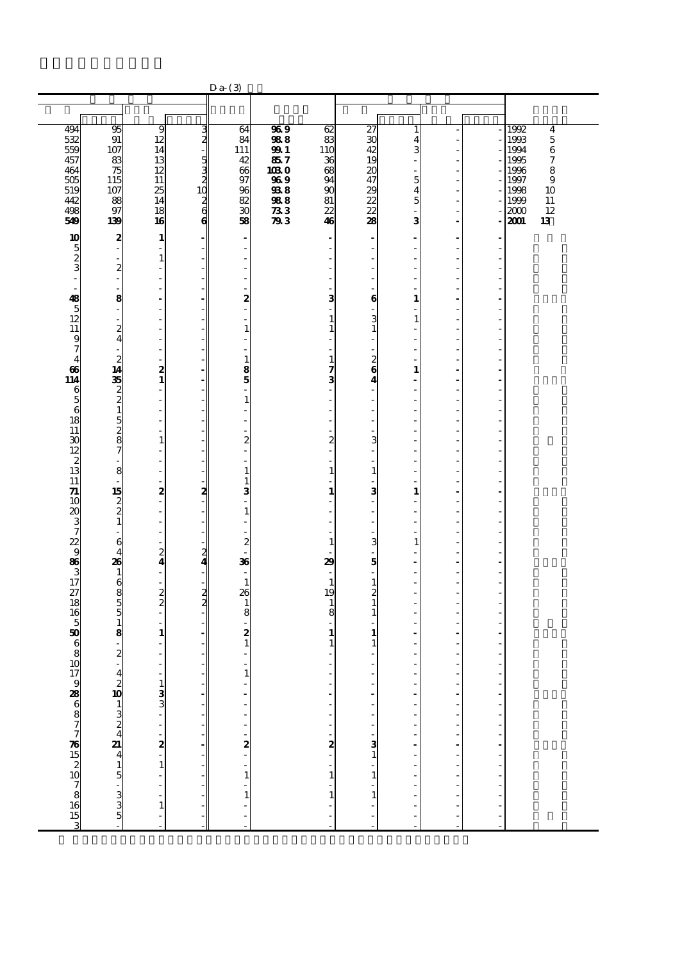|                                            |                                                    |                                           |                                        | $Da (3)$                                            |                         |                                              |                                                                    |                    |                                 |                      |                                                        |
|--------------------------------------------|----------------------------------------------------|-------------------------------------------|----------------------------------------|-----------------------------------------------------|-------------------------|----------------------------------------------|--------------------------------------------------------------------|--------------------|---------------------------------|----------------------|--------------------------------------------------------|
|                                            |                                                    |                                           |                                        |                                                     |                         |                                              |                                                                    |                    |                                 |                      |                                                        |
| 494<br>532                                 | 95<br>91                                           | 9<br>12                                   | 3<br>$\mathbf{z}$                      | 64<br>84                                            | $\overline{369}$<br>988 | 62<br>83                                     | $\overline{z}$<br>30                                               | $\mathbf{1}$<br>4  |                                 |                      | 1992<br>$\overline{\mathbf{4}}$<br>$\mathbf 5$<br>1993 |
| 559<br>457                                 | 107<br>83                                          | 14<br>13                                  | $\frac{5}{3}$                          | 111<br>42                                           | <b>991</b><br>857       | 110<br>36                                    | 42<br>19                                                           | 3                  |                                 |                      | $\,6$<br>1994<br>$\boldsymbol{7}$<br>1995              |
| 464<br>505                                 | 75<br>115                                          | 12<br>11                                  | $\begin{array}{c} 2 \\ 10 \end{array}$ | 66<br>97                                            | 1030<br>969             | 68<br>94                                     | $\boldsymbol{\chi}$<br>47                                          | ä,<br>5            |                                 |                      | 1996<br>8<br>1997<br>9                                 |
| 519<br>442<br>498                          | 107<br>88<br>97                                    | 25<br>14<br>18                            | $\frac{2}{6}$                          | 96<br>82<br>30                                      | 938<br>988<br>$\pi$     | 90<br>81<br>22                               | 29<br>22<br>22                                                     | 4<br>5             |                                 |                      | 1998<br>10<br>1999<br>11<br>12<br>2000                 |
| 549                                        | 139                                                | 16                                        | $\boldsymbol{6}$                       | 58                                                  | 793                     | 46                                           | 28                                                                 | 3                  |                                 |                      | 13<br>2001                                             |
| 10                                         | 2<br>ł,                                            | $\mathbf{1}$<br>÷                         |                                        | $\overline{a}$<br>÷,                                |                         | $\overline{\phantom{a}}$                     | $\blacksquare$<br>÷                                                | ٠<br>L,            | ٠<br>J.                         | ٠<br>$\overline{a}$  |                                                        |
| $\frac{5}{3}$<br>$\overline{\phantom{a}}$  | ÷.<br>$\boldsymbol{z}$<br>$\overline{\phantom{a}}$ | $\mathbf{1}$<br>$\overline{\phantom{a}}$  |                                        |                                                     |                         |                                              | L.<br>$\overline{\phantom{0}}$<br>$\overline{\phantom{0}}$         |                    |                                 |                      |                                                        |
| $\overline{\phantom{a}}$<br>48             | Ĭ.<br>8                                            | ÷,                                        |                                        | 2                                                   |                         | $\overline{\phantom{a}}$<br>3                | Ĭ.<br>$\bf{6}$                                                     | $\mathbf{1}$       |                                 |                      |                                                        |
| $\frac{5}{12}$                             | ÷,<br>$\overline{a}$                               | ٠<br>٠                                    |                                        | Ĭ.<br>L,                                            |                         | $\overline{\phantom{a}}$<br>$\mathbf{1}$     | ÷,<br>3                                                            | L,<br>$\mathbf{1}$ |                                 |                      |                                                        |
| 11<br>$\frac{9}{7}$                        | $\frac{2}{4}$                                      | $\overline{\phantom{a}}$                  |                                        | $\mathbf{1}$                                        |                         | $\mathbf{1}$<br>$\overline{\phantom{a}}$     | $\mathbf{1}$<br>$\overline{\phantom{a}}$                           |                    |                                 |                      |                                                        |
| $\overline{4}$<br>66                       | $\overline{c}$<br>14                               |                                           |                                        | $\mathbf{1}$<br>8                                   |                         | $\mathbf{1}$<br>7                            | L,<br>$\overline{\mathbf{c}}$<br>$\bf{6}$                          | $\mathbf{1}$       |                                 |                      |                                                        |
| 114                                        | 35                                                 | $\frac{2}{1}$<br>$\overline{\phantom{a}}$ |                                        | 5<br>Ĭ.                                             |                         | 3<br>$\overline{\phantom{a}}$                | 4<br>$\overline{a}$                                                | ä,<br>٠            | ÷.                              | $\overline{a}$       |                                                        |
| $\begin{array}{c} 6 \\ 5 \\ 6 \end{array}$ |                                                    | $\overline{\phantom{a}}$<br>÷             |                                        | $\mathbf{1}$                                        |                         | ٠<br>ä,                                      | $\overline{\phantom{a}}$<br>L,                                     |                    |                                 |                      |                                                        |
| 18<br>11                                   | 281527                                             | ÷<br>$\overline{\phantom{a}}$             |                                        |                                                     |                         | $\overline{\phantom{a}}$                     | ÷,<br>$\overline{\phantom{0}}$                                     | ÷.                 |                                 |                      |                                                        |
| 30<br>12                                   | $\overline{\phantom{a}}$                           | $\mathbf 1$<br>÷<br>÷                     |                                        | $\overline{c}$<br>Ĭ.                                |                         | $\boldsymbol{z}$<br>$\overline{\phantom{a}}$ | 3<br>÷,<br>$\overline{a}$                                          | ÷,                 |                                 |                      |                                                        |
| $\frac{2}{13}$<br>11                       | 8                                                  | ٠<br>$\overline{\phantom{a}}$             |                                        | $\mathbf{1}$<br>$\mathbf{1}$                        |                         | $\mathbf{1}$<br>$\overline{\phantom{a}}$     | $\mathbf{1}% _{T}\left  \mathbf{1}\right\rangle$<br>$\overline{a}$ |                    |                                 |                      |                                                        |
| 71<br>10                                   | 15                                                 | 2<br>÷                                    | 2                                      | 3                                                   |                         | $\mathbf{1}$<br>ä,                           | 3<br>$\overline{\phantom{a}}$                                      | $\mathbf{1}$       |                                 |                      |                                                        |
| 20<br>3<br>7<br>3<br>3<br>3<br>3<br>7      | $\begin{smallmatrix}2\2\1\end{smallmatrix}$        | $\overline{\phantom{a}}$                  |                                        | $\mathbf{1}$                                        |                         |                                              | $\overline{\phantom{0}}$<br>÷,                                     |                    |                                 |                      |                                                        |
|                                            | ÷,<br>6<br>4                                       | ÷<br>$\overline{\phantom{a}}$             | 2                                      | $\overline{\mathbf{c}}$                             |                         | $\mathbf{1}$                                 | $\overline{a}$<br>3<br>÷,                                          | $\mathbf{1}$       |                                 |                      |                                                        |
|                                            | 26<br>1                                            | $\frac{2}{4}$<br>÷,                       | 4                                      | 36<br>٠                                             |                         | 29                                           | 5<br>÷,                                                            | ٠<br>L,            | ÷                               | $\blacksquare$       |                                                        |
| $\overline{z}$                             | 6855                                               | $\overline{\phantom{a}}$<br>$\frac{2}{2}$ | $\frac{2}{2}$                          | $\mathbf{1}$<br>26                                  |                         | $\mathbf{1}$<br>19                           | $\mathbf{1}$<br>2                                                  |                    |                                 |                      |                                                        |
| 18<br>16                                   |                                                    | $\overline{\phantom{a}}$                  |                                        | $\mathbf{1}$<br>8                                   |                         | $\mathbf{1}$<br>8                            | $\mathbf 1$<br>$\mathbf{1}$                                        |                    |                                 |                      |                                                        |
| $\frac{5}{50}$                             | $\mathbf{1}$<br>8<br>L,                            | $\mathbf{1}$                              |                                        | 2<br>$\mathbf{1}$                                   |                         | $\mathbf{1}$<br>$\mathbf{1}$                 | $\mathbf{1}$<br>1                                                  |                    |                                 |                      |                                                        |
| $\overline{\frac{6}{8}}$<br>10             | $\boldsymbol{z}$<br>$\frac{1}{2}$                  |                                           |                                        | ÷,                                                  |                         |                                              | ä,<br>÷,                                                           | J.<br>÷,           |                                 |                      |                                                        |
|                                            |                                                    |                                           | -                                      | 1                                                   |                         | $\frac{1}{2}$                                |                                                                    |                    |                                 | Î,                   |                                                        |
|                                            |                                                    |                                           |                                        |                                                     |                         | $\overline{\phantom{a}}$                     |                                                                    | $\frac{1}{2}$      | $\frac{1}{2}$<br>$\overline{a}$ | $\frac{1}{2}$        |                                                        |
|                                            |                                                    |                                           |                                        |                                                     |                         | $\overline{\phantom{a}}$                     |                                                                    |                    | J.<br>l,                        |                      |                                                        |
| 1798868777615210781653                     | $42013244$<br>$2441344$<br>$15.335$                | $133 - 2 - 1 - 1 -$                       |                                        | $\mathbf{a}$ $\mathbf{b}$ $\mathbf{b}$ $\mathbf{c}$ |                         | $\frac{1}{2}$                                |                                                                    | $\frac{1}{1}$      | l,<br>Ĭ.                        | $\overline{a}$<br>÷, |                                                        |
|                                            |                                                    |                                           |                                        |                                                     |                         | $\frac{1}{1}$                                |                                                                    |                    | $\frac{1}{2}$                   |                      |                                                        |
|                                            |                                                    |                                           |                                        | $\frac{1}{1}$                                       |                         |                                              |                                                                    |                    | l,<br>ł,                        |                      |                                                        |
|                                            |                                                    |                                           |                                        | $\frac{1}{1}$                                       |                         |                                              |                                                                    | $\overline{a}$     | $\overline{a}$                  |                      |                                                        |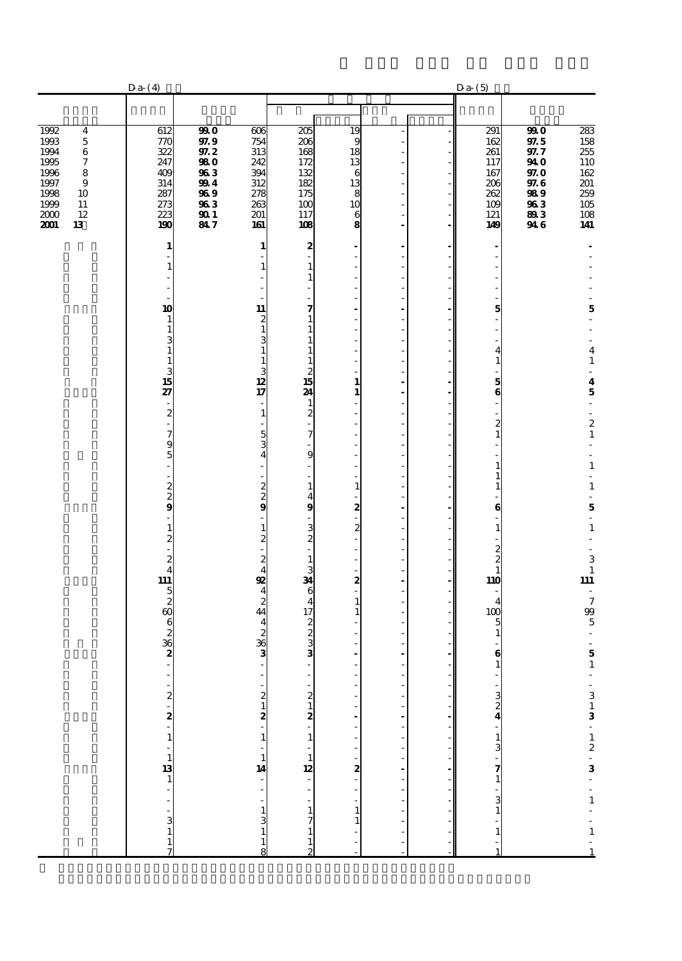|                                                                                                                                                                  | Da(4)                                                                              |                                                                          |                                                                                   |                                                                                            |                                                                                               |                                                         | Da(5)                                                                     |                                                                            |                                                                                                              |
|------------------------------------------------------------------------------------------------------------------------------------------------------------------|------------------------------------------------------------------------------------|--------------------------------------------------------------------------|-----------------------------------------------------------------------------------|--------------------------------------------------------------------------------------------|-----------------------------------------------------------------------------------------------|---------------------------------------------------------|---------------------------------------------------------------------------|----------------------------------------------------------------------------|--------------------------------------------------------------------------------------------------------------|
|                                                                                                                                                                  |                                                                                    |                                                                          |                                                                                   |                                                                                            |                                                                                               |                                                         |                                                                           |                                                                            |                                                                                                              |
| 1992<br>$\bf{4}$<br>$\mathbf 5$<br>1993<br>1994<br>$\bf 6$<br>1995<br>7<br>1996<br>8<br>$\bf{9}$<br>1997<br>1998<br>10<br>1999<br>11<br>12<br>2000<br>13<br>2001 | 612<br>770<br>322<br>247<br>409<br>314<br>287<br>273<br>223<br>190                 | 990<br>97.9<br>$97.2\,$<br>980<br>963<br>994<br>969<br>963<br>901<br>847 | 606<br>754<br>313<br>242<br>394<br>312<br>278<br>263<br>201<br>161                | 205<br>206<br>$\frac{1}{68}$<br>172<br>132<br>182<br>175<br>100<br>117<br>$\overline{108}$ | 19<br>9<br>18<br>13<br>6<br>13<br>8<br>10<br>6<br>8                                           | ×,<br>J.<br>÷.                                          | 291<br>162<br>261<br>117<br>167<br>206<br>262<br>109<br>121<br>149        | 99 O<br>97.5<br>$97.7$<br>94 0<br>97.O<br>97.6<br>989<br>963<br>893<br>946 | 283<br>158<br>$255\,$<br>$\frac{110}{162}$<br>201<br>259<br>$105\,$<br>$108\,$<br>$141$                      |
|                                                                                                                                                                  | 1<br>1                                                                             |                                                                          | $\mathbf{1}$<br>1                                                                 | $\boldsymbol{z}$<br>$\mathbf{1}$<br>1                                                      | $\blacksquare$<br>÷,<br>Ĭ.<br>$\overline{a}$                                                  | ÷,<br>J.                                                | $\overline{a}$                                                            |                                                                            |                                                                                                              |
|                                                                                                                                                                  | 10<br>1<br>1<br>3                                                                  |                                                                          | 11<br>$\overline{c}$<br>$\mathbf{1}$                                              | 7<br>$\mathbf{1}$<br>$\mathbf{1}$<br>1                                                     | i,<br>÷,<br>i,<br>$\overline{a}$<br>L,                                                        | J.                                                      | ÷.<br>5<br>÷,<br>L,                                                       |                                                                            | ${\bf 5}$                                                                                                    |
|                                                                                                                                                                  | 1<br>1<br>3<br>15<br>27                                                            |                                                                          | 1<br>12<br>17                                                                     | $\mathbf{1}$<br>$\mathbf 1$<br>$\begin{array}{c}\n2 \\ 15\n\end{array}$<br>24              | $\overline{a}$<br>ä,<br>$\mathbf{1}$<br>$\mathbf{1}$                                          |                                                         | 4<br>$\mathbf{1}$<br>$\frac{5}{6}$                                        |                                                                            | $\bf 4$<br>$\mathbf{1}$<br>$\frac{1}{2}$<br>$\frac{4}{5}$                                                    |
|                                                                                                                                                                  | $\boldsymbol{z}$<br>7<br>9<br>5                                                    |                                                                          | $\mathbf{1}$<br>5                                                                 | $\mathbf{1}$<br>$\overline{c}$<br>7<br>9                                                   | L,<br>Ĭ.<br>Ĭ.<br>$\overline{a}$<br>÷,<br>Ĭ.                                                  | Î.                                                      | Ĭ.<br>2<br>$\mathbf{1}$                                                   |                                                                            | $\overline{\phantom{a}}$<br>L,<br>$\overline{\mathbf{c}}$<br>$\mathbf 1$<br>L                                |
|                                                                                                                                                                  | $\frac{2}{9}$                                                                      |                                                                          | $\frac{2}{2}$<br>9                                                                | $\mathbf{1}$<br>$\overline{\mathbf{4}}$<br>9                                               | $\overline{a}$<br>$\overline{a}$<br>$\mathbf{1}$<br>2                                         | J.                                                      | 1<br>1<br>1<br>6                                                          |                                                                            | $\mathbf 1$<br>÷,<br>$\mathbf 1$<br>$\overline{\phantom{a}}$<br>$\mathbf 5$                                  |
|                                                                                                                                                                  | 1<br>$\overline{\mathbf{z}}$<br>2                                                  |                                                                          | $\mathbf{1}$<br>2<br>$\mathbf{z}$                                                 | $\overline{\phantom{a}}$<br>$\frac{3}{2}$<br>$\mathbf{1}$                                  | L,<br>$\overline{\mathbf{c}}$<br>$\overline{\phantom{a}}$<br>$\overline{a}$<br>$\overline{a}$ | J.<br>J.<br>J.                                          | L,<br>$\mathbf{1}$<br>$\begin{smallmatrix} 2 \\ 2 \\ 1 \end{smallmatrix}$ |                                                                            | ÷,<br>$\mathbf 1$                                                                                            |
|                                                                                                                                                                  | $\overline{4}$<br>111<br>$\overline{5}$<br>$\overline{c}$<br>$\boldsymbol{\omega}$ |                                                                          | $\overline{4}$<br>$\mathbf{Q}$<br>$\overline{\mathbf{4}}$<br>$\overline{c}$<br>44 | 3<br>34<br>6<br>$\overline{\mathbf{4}}$<br>17                                              | $\frac{2}{1}$<br>$\mathbf{1}$<br>$\mathbf{1}$                                                 | Ĭ.<br>J.                                                | 110<br>$\overline{\mathbf{4}}$<br>100                                     |                                                                            | $\begin{array}{c} 3 \\ 1 \\ 111 \end{array}$<br>$\frac{1}{2}$<br>$\begin{array}{c} 7 \\ 99 \\ 5 \end{array}$ |
|                                                                                                                                                                  | 6<br>ນ<br>36<br>2                                                                  |                                                                          | $\overline{4}$<br>$\frac{36}{3}$                                                  | အအအ                                                                                        | L,<br>ä,<br>$\overline{a}$                                                                    |                                                         | 5<br>1<br>6<br>$\mathbf{1}$                                               |                                                                            | ÷,<br>$\frac{5}{1}$                                                                                          |
|                                                                                                                                                                  | $2 - 2 - 1$                                                                        |                                                                          | $-21$<br>$2 - 1$                                                                  |                                                                                            | $\frac{1}{1}$                                                                                 | $\ddot{\phantom{0}}$                                    |                                                                           |                                                                            |                                                                                                              |
|                                                                                                                                                                  |                                                                                    |                                                                          | $\frac{1}{14}$                                                                    | $22 + 22 = 1$                                                                              |                                                                                               | $\overline{a}$<br>$\overline{a}$<br>÷,<br>$\frac{1}{2}$ | 334 - 1 32 - 1 - 31 - 31 - 1                                              |                                                                            | $-313 - 12 - 3 - 1 - 1$                                                                                      |
|                                                                                                                                                                  | $-1$<br>3<br>$-1$<br>3<br>$-1$<br>3                                                |                                                                          | $\frac{1}{3}$                                                                     | $\frac{1}{7}$                                                                              |                                                                                               | ÷                                                       |                                                                           |                                                                            |                                                                                                              |
|                                                                                                                                                                  | $\frac{1}{7}$                                                                      |                                                                          | я                                                                                 | $\mathbf{1}$<br>$\frac{1}{2}$                                                              | $\frac{1}{1}$                                                                                 |                                                         |                                                                           |                                                                            | $\mathbf{1}$                                                                                                 |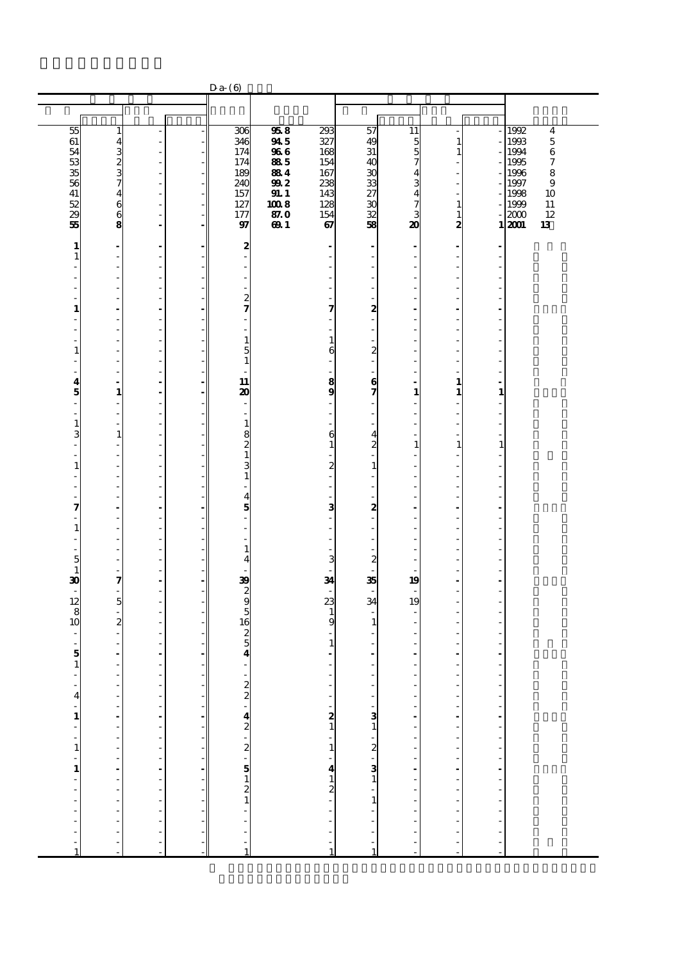|                                                      |                                                      |                                                      |                          | $Da (6)$                   |              |                                |                                                                                                                                                                                                                                                                                                                                       |                              |                         |                                                  |                              |
|------------------------------------------------------|------------------------------------------------------|------------------------------------------------------|--------------------------|----------------------------|--------------|--------------------------------|---------------------------------------------------------------------------------------------------------------------------------------------------------------------------------------------------------------------------------------------------------------------------------------------------------------------------------------|------------------------------|-------------------------|--------------------------------------------------|------------------------------|
|                                                      |                                                      |                                                      |                          |                            |              |                                |                                                                                                                                                                                                                                                                                                                                       |                              |                         |                                                  |                              |
|                                                      |                                                      |                                                      |                          |                            |              |                                |                                                                                                                                                                                                                                                                                                                                       |                              |                         |                                                  |                              |
| 55<br>61                                             | $\mathbf{1}$                                         | ÷,                                                   |                          | 306<br>346                 | 958<br>945   | 293<br>327                     | 57<br>49                                                                                                                                                                                                                                                                                                                              | 11<br>5                      | $\mathbf{1}$            |                                                  | 1992<br>4<br>1993<br>$\bf 5$ |
| 54                                                   | $\frac{4}{3}$<br>3<br>2<br>3<br>7                    | $\overline{\phantom{a}}$                             | $\overline{\phantom{a}}$ | 174                        | 966          | 168                            | 31                                                                                                                                                                                                                                                                                                                                    | 5                            | 1                       |                                                  | 6<br>1994                    |
| 53<br>35                                             |                                                      | $\overline{\phantom{a}}$<br>$\overline{\phantom{a}}$ |                          | 174<br>189                 | 885<br>884   | 154<br>167                     | 40<br>30                                                                                                                                                                                                                                                                                                                              | 7<br>4                       |                         |                                                  | 1995<br>7<br>1996<br>8       |
| 56                                                   |                                                      | $\overline{\phantom{a}}$                             | $\overline{\phantom{a}}$ | 240                        | 992          | 238                            | 33                                                                                                                                                                                                                                                                                                                                    | 3                            |                         |                                                  | $\bf{9}$<br>1997             |
| 41<br>52                                             | $\overline{\mathbf{4}}$<br>$\mathbf{6}$              | ÷,                                                   | $\sim$                   | 157<br>127                 | 91.1<br>1008 | 143<br>128                     | 27<br>$\boldsymbol{\mathfrak{A}}$                                                                                                                                                                                                                                                                                                     | $\overline{\mathbf{4}}$<br>7 |                         |                                                  | 1998<br>10<br>11<br>1999     |
| $\overline{29}$                                      | 6                                                    | $\overline{\phantom{a}}$<br>÷,                       | $\overline{\phantom{a}}$ | 177                        | 87.0         | 154                            | 32                                                                                                                                                                                                                                                                                                                                    | 3                            | 1<br>1                  |                                                  | 12<br>2000                   |
| 55                                                   | 8                                                    | $\overline{a}$                                       | $\blacksquare$           | 97                         | 691          | 67                             | 58                                                                                                                                                                                                                                                                                                                                    | 20                           | 2                       |                                                  | 13<br>1 2001                 |
| $\mathbf{1}$                                         | ÷                                                    | $\overline{\phantom{a}}$                             |                          | $\boldsymbol{2}$           |              |                                | $\qquad \qquad \blacksquare$                                                                                                                                                                                                                                                                                                          | -                            |                         |                                                  |                              |
| $\mathbf{1}$                                         | $\overline{\phantom{a}}$                             | ÷,<br>÷,                                             |                          |                            |              | $\frac{1}{2}$                  | Ĭ.<br>÷,                                                                                                                                                                                                                                                                                                                              |                              |                         |                                                  |                              |
| ä,                                                   | $\overline{\phantom{a}}$<br>$\overline{\phantom{a}}$ | $\overline{\phantom{a}}$                             |                          |                            |              | ٠<br>$\frac{1}{2}$             | $\overline{\phantom{a}}$                                                                                                                                                                                                                                                                                                              | ÷,                           |                         |                                                  |                              |
| ٠                                                    | $\overline{\phantom{a}}$                             | L,                                                   |                          |                            |              | ÷,                             | $\overline{a}$                                                                                                                                                                                                                                                                                                                        | ÷,                           |                         |                                                  |                              |
| ٠<br>1                                               | $\overline{\phantom{a}}$<br>$\blacksquare$           | ÷,<br>$\overline{a}$                                 |                          | $\overline{c}$<br>7        |              | ٠<br>7                         | ÷,<br>$\boldsymbol{z}$                                                                                                                                                                                                                                                                                                                | ٠<br>ä,                      | ÷.                      |                                                  |                              |
|                                                      | $\overline{\phantom{a}}$                             | $\overline{\phantom{a}}$                             |                          |                            |              | $\overline{a}$                 | ÷,                                                                                                                                                                                                                                                                                                                                    |                              |                         |                                                  |                              |
| $\overline{a}$<br>٠                                  | $\overline{\phantom{a}}$<br>$\overline{\phantom{a}}$ | ÷,<br>L,                                             |                          | 1                          |              | $\frac{1}{2}$<br>$\mathbf{1}$  | $\overline{\phantom{a}}$<br>L,                                                                                                                                                                                                                                                                                                        | ٠                            |                         |                                                  |                              |
| $\mathbf{1}$                                         | $\overline{\phantom{a}}$                             | ÷                                                    |                          | 5                          |              | 6                              | $\boldsymbol{z}$                                                                                                                                                                                                                                                                                                                      | ÷.                           |                         |                                                  |                              |
|                                                      | $\overline{\phantom{a}}$<br>$\overline{\phantom{a}}$ | $\overline{\phantom{a}}$<br>L,                       |                          | $\mathbf{1}$               |              | -<br>$\overline{a}$            | -<br>$\overline{a}$                                                                                                                                                                                                                                                                                                                   | ÷,                           |                         |                                                  |                              |
| 4                                                    | $\blacksquare$                                       | ä,                                                   |                          | 11                         |              | $\frac{8}{9}$                  | 6                                                                                                                                                                                                                                                                                                                                     | ÷                            | 1                       |                                                  |                              |
| 5<br>$\frac{1}{2}$                                   | $\mathbf{1}$<br>$\overline{\phantom{a}}$             | $\blacksquare$<br>L,                                 |                          | 20                         |              | $\overline{a}$                 | 7<br>$\frac{1}{2}$                                                                                                                                                                                                                                                                                                                    | $\mathbf{1}$                 | 1                       | $\mathbf{1}$                                     |                              |
| $\overline{a}$                                       | $\overline{\phantom{a}}$                             | ÷,                                                   |                          | ٠                          |              | ÷,                             | ÷                                                                                                                                                                                                                                                                                                                                     | ÷,                           |                         |                                                  |                              |
| $\mathbf{1}$                                         | $\overline{\phantom{a}}$                             | $\overline{\phantom{a}}$                             |                          | $\mathbf{1}$               |              | ÷,                             | $\overline{a}$                                                                                                                                                                                                                                                                                                                        | ÷,                           |                         |                                                  |                              |
| 3<br>$\frac{1}{2}$                                   | $\mathbf{1}$<br>$\overline{\phantom{a}}$             | $\overline{\phantom{a}}$<br>÷,                       |                          | 8<br>2                     |              | 6<br>$\mathbf 1$               | $\overline{\mathbf{4}}$<br>$\boldsymbol{z}$                                                                                                                                                                                                                                                                                           | $\mathbf{1}$                 | 1                       | $\mathbf{1}$                                     |                              |
| ÷,                                                   | $\overline{\phantom{a}}$                             | $\overline{\phantom{m}}$                             |                          | $\mathbf{1}$               |              | L,                             | ÷,                                                                                                                                                                                                                                                                                                                                    |                              |                         |                                                  |                              |
| $\mathbf{1}$<br>$\overline{a}$                       | $\overline{\phantom{a}}$<br>$\overline{\phantom{a}}$ | $\overline{\phantom{a}}$<br>÷,                       |                          | 3<br>$\mathbf{1}$          |              | $\overline{\mathbf{c}}$<br>ä,  | $1\,$<br>$\overline{\phantom{a}}$                                                                                                                                                                                                                                                                                                     | ÷,                           |                         |                                                  |                              |
| ٠                                                    | $\overline{\phantom{a}}$                             | ÷,                                                   |                          |                            |              | L.                             | $\overline{\phantom{a}}$                                                                                                                                                                                                                                                                                                              | ÷,                           | Î.                      |                                                  |                              |
| 7                                                    | ÷,<br>$\overline{\phantom{a}}$                       | ÷,<br>$\blacksquare$                                 |                          | 4<br>5                     |              | $\overline{a}$<br>3            | ÷,<br>2                                                                                                                                                                                                                                                                                                                               | $\overline{\phantom{a}}$     |                         |                                                  |                              |
|                                                      | $\overline{\phantom{a}}$                             | ÷,                                                   |                          |                            |              | $\frac{1}{2}$                  | $\overline{\phantom{a}}$                                                                                                                                                                                                                                                                                                              |                              |                         |                                                  |                              |
| $\mathbf{1}$<br>$\overline{\phantom{a}}$             | ÷,<br>$\overline{\phantom{a}}$                       | ÷<br>$\overline{\phantom{a}}$                        |                          |                            |              | ä,<br>$\overline{\phantom{a}}$ | $\overline{\phantom{a}}$<br>$\overline{\phantom{m}}$                                                                                                                                                                                                                                                                                  |                              |                         |                                                  |                              |
| $\frac{1}{2}$                                        | $\overline{\phantom{a}}$                             | ÷,                                                   |                          | 1                          |              | $\frac{1}{2}$                  | $\overline{a}$                                                                                                                                                                                                                                                                                                                        |                              |                         |                                                  |                              |
| 5<br>$\mathbf{1}$                                    | $\overline{\phantom{a}}$<br>$\overline{\phantom{a}}$ | ÷,<br>÷                                              |                          | 4                          |              | 3<br>L,                        | $\overline{\mathbf{c}}$<br>÷,                                                                                                                                                                                                                                                                                                         | ٠                            |                         |                                                  |                              |
| 30                                                   | 7                                                    | $\overline{\phantom{a}}$                             |                          | 39                         |              | 34                             | 35                                                                                                                                                                                                                                                                                                                                    | 19                           |                         |                                                  |                              |
| $\overline{\phantom{a}}$<br>12                       | $\overline{\phantom{a}}$<br>$\overline{5}$           | ÷,<br>$\frac{1}{2}$                                  |                          | $\frac{2}{9}$              |              | 23                             | ÷,<br>34                                                                                                                                                                                                                                                                                                                              | ÷,<br>19                     |                         |                                                  |                              |
| 8                                                    | ÷,                                                   | $\overline{\phantom{a}}$                             |                          | 5                          |              | $\mathbf{1}$                   |                                                                                                                                                                                                                                                                                                                                       |                              |                         |                                                  |                              |
| 10                                                   | $\overline{\mathbf{c}}$                              | ÷,                                                   |                          | 16                         |              | 9                              | $\mathbf{1}$                                                                                                                                                                                                                                                                                                                          | ÷,                           |                         |                                                  |                              |
| $\overline{\phantom{a}}$<br>$\overline{\phantom{a}}$ | $\overline{\phantom{a}}$<br>$\overline{\phantom{a}}$ | ÷,<br>÷                                              |                          | $\frac{2}{5}$              |              | $\overline{a}$<br>$\mathbf{1}$ | ÷,<br>÷                                                                                                                                                                                                                                                                                                                               |                              |                         |                                                  |                              |
| 5                                                    | $\overline{\phantom{a}}$                             | $\overline{\phantom{a}}$                             |                          | 4                          |              |                                | $\qquad \qquad \blacksquare$                                                                                                                                                                                                                                                                                                          | $\overline{a}$               |                         |                                                  |                              |
| $\mathbf{1}$                                         | $\overline{\phantom{a}}$                             | L,<br>٠                                              |                          |                            |              |                                | $\overline{a}$<br>٠                                                                                                                                                                                                                                                                                                                   |                              |                         |                                                  |                              |
| ÷                                                    | ÷,                                                   |                                                      | $\mathbb{I}$             |                            |              |                                |                                                                                                                                                                                                                                                                                                                                       |                              |                         |                                                  |                              |
| $\overline{\mathbf{4}}$                              |                                                      |                                                      |                          |                            |              |                                |                                                                                                                                                                                                                                                                                                                                       |                              |                         |                                                  |                              |
|                                                      |                                                      |                                                      | $\frac{1}{2}$            |                            |              |                                |                                                                                                                                                                                                                                                                                                                                       |                              |                         |                                                  |                              |
|                                                      |                                                      |                                                      |                          |                            |              |                                |                                                                                                                                                                                                                                                                                                                                       |                              |                         |                                                  |                              |
| - 1 - - 1 - 1 - - - - - - - - 1                      | - - - - - - - - - - - - - - - -                      |                                                      | $\frac{1}{2}$            | - מט - 4 מ - מ - מ – מ – - |              |                                | $\begin{bmatrix} 1 & 1 & 1 \\ 1 & 1 & 1 \\ 1 & 1 & 1 \\ 1 & 1 & 1 \\ 1 & 1 & 1 \\ 1 & 1 & 1 \\ 1 & 1 & 1 \\ 1 & 1 & 1 \\ 1 & 1 & 1 \\ 1 & 1 & 1 \\ 1 & 1 & 1 \\ 1 & 1 & 1 \\ 1 & 1 & 1 \\ 1 & 1 & 1 \\ 1 & 1 & 1 \\ 1 & 1 & 1 \\ 1 & 1 & 1 \\ 1 & 1 & 1 \\ 1 & 1 & 1 \\ 1 & 1 & 1 \\ 1 & 1 & 1 \\ 1 & 1 & 1 \\ 1 & 1 & 1 \\ 1 & 1 & $ | --------------------         | - - - - - - - - - - - - | ---------------                                  |                              |
|                                                      |                                                      |                                                      |                          |                            |              |                                |                                                                                                                                                                                                                                                                                                                                       |                              |                         |                                                  |                              |
|                                                      |                                                      |                                                      | $\frac{1}{2}$            |                            |              |                                |                                                                                                                                                                                                                                                                                                                                       |                              |                         |                                                  |                              |
|                                                      |                                                      |                                                      |                          |                            |              |                                |                                                                                                                                                                                                                                                                                                                                       |                              |                         |                                                  |                              |
|                                                      |                                                      |                                                      | -1                       |                            |              |                                |                                                                                                                                                                                                                                                                                                                                       |                              | $\frac{1}{2}$           |                                                  |                              |
|                                                      |                                                      |                                                      | $\frac{1}{2}$            |                            |              |                                |                                                                                                                                                                                                                                                                                                                                       |                              |                         |                                                  |                              |
|                                                      | ÷,                                                   |                                                      | ÷                        | $\overline{a}$<br>l,       |              |                                |                                                                                                                                                                                                                                                                                                                                       |                              | $\overline{a}$<br>ŀ     | $\ddot{\phantom{0}}$<br>$\overline{\phantom{a}}$ |                              |
|                                                      | $\overline{a}$                                       |                                                      |                          |                            |              | $\frac{1}{1}$                  | $\mathbf{1}$                                                                                                                                                                                                                                                                                                                          |                              | l,                      |                                                  |                              |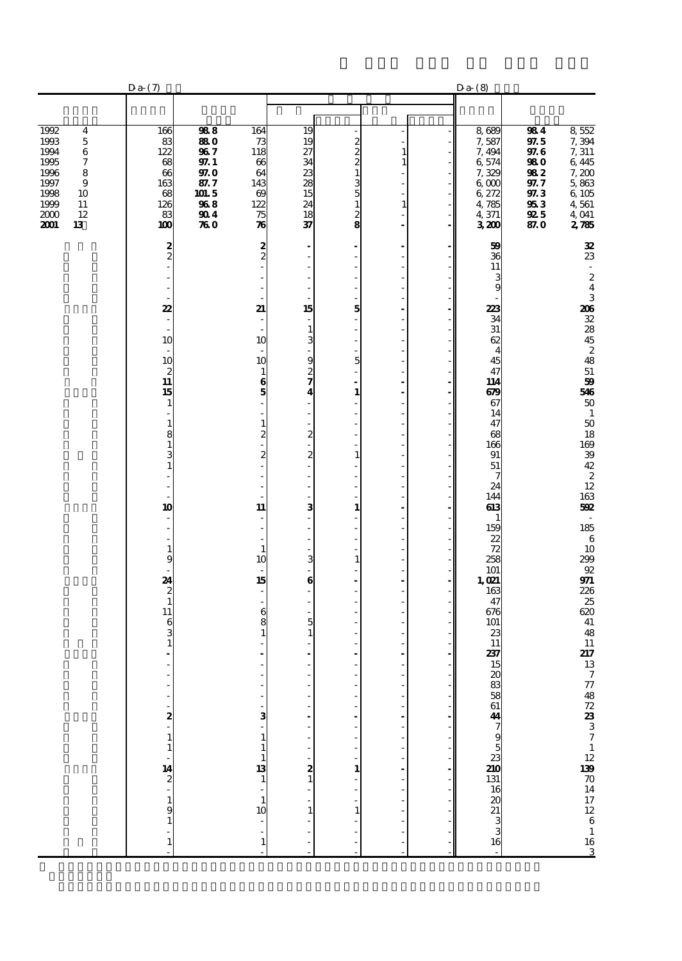|                                                                                                                                                                 | Da(7)                                                                            |                                                                          |                                                                              |                                                                                                 |                                                                                                    |                                              | $Da-$ (8)                                                                                       |                                                                             |                                                                                                      |
|-----------------------------------------------------------------------------------------------------------------------------------------------------------------|----------------------------------------------------------------------------------|--------------------------------------------------------------------------|------------------------------------------------------------------------------|-------------------------------------------------------------------------------------------------|----------------------------------------------------------------------------------------------------|----------------------------------------------|-------------------------------------------------------------------------------------------------|-----------------------------------------------------------------------------|------------------------------------------------------------------------------------------------------|
|                                                                                                                                                                 |                                                                                  |                                                                          |                                                                              |                                                                                                 |                                                                                                    |                                              |                                                                                                 |                                                                             |                                                                                                      |
| 1992<br>4<br>1993<br>$\mathbf 5$<br>1994<br>$\,6$<br>$\boldsymbol{7}$<br>1995<br>1996<br>8<br>1997<br>9<br>1998<br>10<br>1999<br>11<br>2000<br>12<br>2001<br>13 | 166<br>83<br>122<br>68<br>$\boldsymbol{\alpha}$<br>163<br>68<br>126<br>83<br>100 | 988<br>880<br>967<br>97. 1<br>97.O<br>87.7<br>101.5<br>968<br>904<br>760 | 164<br>73<br>118<br>66<br>64<br>143<br>69<br>122<br>75<br>$\boldsymbol{\pi}$ | 19<br>19<br>27<br>34<br>$\overline{23}$<br>$\overline{28}$<br>15<br>24<br>$\overline{18}$<br>37 | $\frac{2}{2}$<br>$\overline{\mathbf{c}}$<br>$\mathbf 1$<br>3<br>5<br>$\mathbf{1}$<br>$\frac{2}{8}$ | $\mathbf{1}$<br>$\mathbf{1}$<br>$\mathbf{1}$ | 8,689<br>7,587<br>7,494<br>6,574<br>7,329<br>6 <sub>0</sub><br>6,272<br>4,785<br>4,371<br>3,200 | 984<br>97.5<br>97.6<br>98 O<br>982<br>97. 7<br>97.3<br>953<br>92 5<br>87. O | $\frac{8}{7}$ $\frac{552}{7}$<br>7, 311<br>6445<br>7,200<br>5,863<br>6 105<br>4,561<br>4,041<br>2785 |
|                                                                                                                                                                 | $\frac{2}{2}$                                                                    |                                                                          | $\frac{2}{2}$                                                                |                                                                                                 | ٠<br>÷,                                                                                            | $\overline{\phantom{a}}$                     | 59<br>36                                                                                        |                                                                             | 32<br>23                                                                                             |
|                                                                                                                                                                 |                                                                                  |                                                                          |                                                                              |                                                                                                 | $\overline{a}$<br>÷,                                                                               |                                              | 11<br>3<br>9                                                                                    |                                                                             | $\overline{\phantom{a}}$<br>$\boldsymbol{z}$<br>$\overline{\mathbf{4}}$                              |
|                                                                                                                                                                 | 22<br>٠                                                                          |                                                                          | 21<br>÷,                                                                     | 15<br>÷,                                                                                        | 5<br>$\overline{a}$                                                                                | J.                                           | 223<br>34                                                                                       |                                                                             | $\,$ 3 $\,$                                                                                          |
|                                                                                                                                                                 | 10                                                                               |                                                                          | 10                                                                           | $\mathbf{1}$<br>3                                                                               | $\overline{a}$                                                                                     | Ĭ.                                           | 31<br>62<br>$\overline{4}$                                                                      |                                                                             | $\frac{206}{32}$ $\frac{32}{45}$ $\frac{45}{2}$                                                      |
|                                                                                                                                                                 | 10<br>$\boldsymbol{z}$                                                           |                                                                          | 10<br>$\mathbf{1}$                                                           | $\frac{9}{2}$                                                                                   | 5                                                                                                  | Ĭ.<br>J.                                     | 45<br>47                                                                                        |                                                                             | 48<br>${\bf 51}$                                                                                     |
|                                                                                                                                                                 | 11<br>15<br>1                                                                    |                                                                          | 6<br>5                                                                       | 4                                                                                               | $\overline{a}$<br>$\mathbf{1}$<br>÷,                                                               | ÷,<br>$\overline{\phantom{a}}$               | 114<br>679<br>67                                                                                |                                                                             | 59<br><b>546</b><br>50                                                                               |
|                                                                                                                                                                 | 1<br>8                                                                           |                                                                          | $\mathbf{1}$                                                                 |                                                                                                 | $\overline{a}$<br>L,                                                                               | J.                                           | 14<br>47<br>68                                                                                  |                                                                             | $\,$ 1<br>$50\,$                                                                                     |
|                                                                                                                                                                 | 1<br>3                                                                           |                                                                          | $\mathbf{z}$                                                                 | $\frac{2}{1}$<br>2                                                                              | Ĭ.<br>$\mathbf{1}$<br>÷,                                                                           | J.                                           | 166<br>91<br>51                                                                                 |                                                                             | $\frac{18}{169}$                                                                                     |
|                                                                                                                                                                 |                                                                                  |                                                                          |                                                                              |                                                                                                 | Ĭ.<br>Ĭ.                                                                                           |                                              | 7<br>24                                                                                         |                                                                             | $\frac{39}{42}$<br>$\frac{2}{12}$                                                                    |
|                                                                                                                                                                 | 10                                                                               |                                                                          | 11                                                                           | з                                                                                               | $\overline{a}$<br>$\mathbf{1}$<br>÷,                                                               | ٠                                            | 144<br>613<br>$\mathbf{1}$                                                                      |                                                                             | 163<br>592<br>$\overline{\phantom{a}}$                                                               |
|                                                                                                                                                                 | 1                                                                                |                                                                          | $\mathbf{1}$                                                                 |                                                                                                 | $\overline{a}$<br>$\overline{a}$<br>$\overline{a}$                                                 | ł,<br>J.                                     | 159<br>22<br>72                                                                                 |                                                                             | 185<br>$\frac{6}{10}$<br>299                                                                         |
|                                                                                                                                                                 | 9<br>24                                                                          |                                                                          | 10<br>15                                                                     | 3<br>6                                                                                          | $\mathbf{1}$<br>Ĭ.<br>ä,                                                                           | ٠                                            | 258<br>101<br>1,021                                                                             |                                                                             | $92\,$                                                                                               |
|                                                                                                                                                                 | $\boldsymbol{z}$<br>$\mathbf{1}$                                                 |                                                                          |                                                                              |                                                                                                 | $\overline{a}$<br>Ĭ.<br>÷,                                                                         | Ĭ.                                           | 163<br>47                                                                                       |                                                                             | <b>971</b><br>226<br>25                                                                              |
|                                                                                                                                                                 | 11<br>6<br>3                                                                     |                                                                          | 6<br>8                                                                       | 5<br>$\mathbf{1}$                                                                               | Ĭ.                                                                                                 |                                              | 676<br>101<br>23                                                                                |                                                                             | $\frac{620}{41}$<br>48                                                                               |
|                                                                                                                                                                 | 1                                                                                |                                                                          |                                                                              |                                                                                                 | $\overline{a}$<br>$\overline{a}$                                                                   |                                              | 11<br>237<br>15                                                                                 |                                                                             | ${\bf 11}$<br>$\frac{217}{13}$                                                                       |
|                                                                                                                                                                 |                                                                                  |                                                                          |                                                                              |                                                                                                 |                                                                                                    |                                              |                                                                                                 |                                                                             |                                                                                                      |
|                                                                                                                                                                 | 2                                                                                |                                                                          | з                                                                            |                                                                                                 |                                                                                                    |                                              |                                                                                                 |                                                                             |                                                                                                      |
|                                                                                                                                                                 | 1<br>$\mathbf{1}$                                                                |                                                                          |                                                                              |                                                                                                 |                                                                                                    |                                              |                                                                                                 |                                                                             |                                                                                                      |
|                                                                                                                                                                 | $\frac{14}{2}$                                                                   |                                                                          | 13<br>$\mathbf{1}$                                                           | $\frac{2}{1}$                                                                                   | $\mathbf{1}$                                                                                       |                                              |                                                                                                 |                                                                             |                                                                                                      |
|                                                                                                                                                                 | $\mathbf{1}$<br>9                                                                |                                                                          | 10                                                                           |                                                                                                 | 1                                                                                                  |                                              |                                                                                                 |                                                                             |                                                                                                      |
|                                                                                                                                                                 | 1                                                                                |                                                                          | 1                                                                            |                                                                                                 |                                                                                                    |                                              |                                                                                                 |                                                                             | 7774872.23337112.900014172261163                                                                     |
|                                                                                                                                                                 |                                                                                  |                                                                          |                                                                              |                                                                                                 |                                                                                                    |                                              |                                                                                                 |                                                                             |                                                                                                      |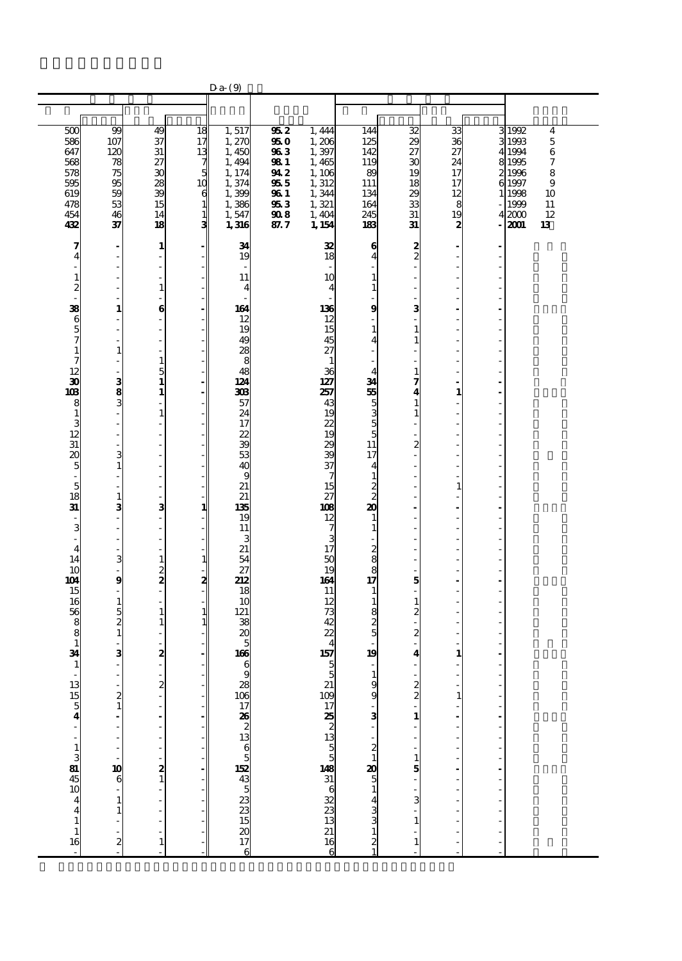|                                                                                                                                                                                                                                                                                                                                                                                                                                                           |                                                                                                                                                                                                                                                                                                                                                                                                                          |                                                                                                                                                                                                                                                                                                                                                                                                                                                                                                                                                                                                                                                                                                                    |                                                               | $Da-9$                                                                                                                                                                                                                                                                                                                          |                                                                                     |                                                                                                                                                                                                                                                                                                                                       |                                                                                                                                                                                                                                                                                                                                                                                                                                                                                                             |                                                                                                                                                                                                                                                 |                                                           |   |                                                                                                                                                                                               |
|-----------------------------------------------------------------------------------------------------------------------------------------------------------------------------------------------------------------------------------------------------------------------------------------------------------------------------------------------------------------------------------------------------------------------------------------------------------|--------------------------------------------------------------------------------------------------------------------------------------------------------------------------------------------------------------------------------------------------------------------------------------------------------------------------------------------------------------------------------------------------------------------------|--------------------------------------------------------------------------------------------------------------------------------------------------------------------------------------------------------------------------------------------------------------------------------------------------------------------------------------------------------------------------------------------------------------------------------------------------------------------------------------------------------------------------------------------------------------------------------------------------------------------------------------------------------------------------------------------------------------------|---------------------------------------------------------------|---------------------------------------------------------------------------------------------------------------------------------------------------------------------------------------------------------------------------------------------------------------------------------------------------------------------------------|-------------------------------------------------------------------------------------|---------------------------------------------------------------------------------------------------------------------------------------------------------------------------------------------------------------------------------------------------------------------------------------------------------------------------------------|-------------------------------------------------------------------------------------------------------------------------------------------------------------------------------------------------------------------------------------------------------------------------------------------------------------------------------------------------------------------------------------------------------------------------------------------------------------------------------------------------------------|-------------------------------------------------------------------------------------------------------------------------------------------------------------------------------------------------------------------------------------------------|-----------------------------------------------------------|---|-----------------------------------------------------------------------------------------------------------------------------------------------------------------------------------------------|
|                                                                                                                                                                                                                                                                                                                                                                                                                                                           |                                                                                                                                                                                                                                                                                                                                                                                                                          |                                                                                                                                                                                                                                                                                                                                                                                                                                                                                                                                                                                                                                                                                                                    |                                                               |                                                                                                                                                                                                                                                                                                                                 |                                                                                     |                                                                                                                                                                                                                                                                                                                                       |                                                                                                                                                                                                                                                                                                                                                                                                                                                                                                             |                                                                                                                                                                                                                                                 |                                                           |   |                                                                                                                                                                                               |
| 500<br>586<br>647<br>568<br>578<br>595<br>619<br>478<br>454<br>432                                                                                                                                                                                                                                                                                                                                                                                        | 99<br>107<br>120<br>78<br>75<br>95<br>59<br>53<br>46<br>37                                                                                                                                                                                                                                                                                                                                                               | 49<br>37<br>31<br>27<br>30<br>28<br>39<br>15<br>14<br>18                                                                                                                                                                                                                                                                                                                                                                                                                                                                                                                                                                                                                                                           | 18<br>17<br>13<br>7<br>5<br>10<br>6<br>1<br>$\mathbf{1}$<br>3 | 1,517<br>1,27C<br>1,450<br>1,494<br>1, 174<br>1,374<br>1,399<br>1,386<br>1,547<br>1,316                                                                                                                                                                                                                                         | 952<br>95 <sub>0</sub><br>963<br>98 1<br>94 2<br>955<br>96 1<br>953<br>908<br>87. 7 | 1,444<br>1,206<br>1,397<br>1,465<br>1,106<br>1,312<br>1,344<br>1,321<br>1,404<br>1, 154                                                                                                                                                                                                                                               | 144<br>125<br>142<br>119<br>89<br>111<br>134<br>164<br>245<br>183                                                                                                                                                                                                                                                                                                                                                                                                                                           | 32<br>29<br>27<br>30<br>19<br>18<br>29<br>33<br>31<br>31                                                                                                                                                                                        | 33<br>36<br>27<br>24<br>17<br>17<br>12<br>8<br>19<br>2    | 3 | 31992<br>$\overline{\mathbf{4}}$<br>1993<br>$\mathbf 5$<br>4 1994<br>$\,6$<br>8 1995<br>7<br>2 1996<br>8<br>$\mathbf{9}$<br>6 1997<br>1 1998<br>10<br>1999<br>11<br>12<br>42000<br>2001<br>13 |
| 7<br>$\overline{\mathbf{4}}$<br>$\overline{a}$<br>$\mathbf{1}$<br>$\frac{2}{38}$<br>$\mathbf{6}$<br>$\frac{5}{7}$<br>$\mathbf{1}$<br>7<br>12<br>$\overline{\mathbf{3}}$<br>103<br>8<br>$\mathbf{1}$<br>$\frac{3}{12}$<br>31<br>20<br>5<br>$\overline{\phantom{a}}$<br>$\overline{5}$<br>18<br>31<br>$\overline{\phantom{a}}$<br>3<br>$\overline{\phantom{a}}$<br>$\overline{4}$<br>14<br>10<br>104<br>15<br>16<br>56<br>8<br>8<br>$\mathbf{1}$<br>34<br>1 | ÷,<br>÷,<br>ä,<br>J.<br>Ĩ.<br>ä,<br>$\mathbf{1}$<br>$\overline{a}$<br>Ĭ.<br>L,<br>$\mathbf{1}$<br>L,<br>$\frac{3}{3}$<br>$\overline{a}$<br>L<br>$\frac{1}{2}$<br>l,<br>3<br>$\mathbf{1}$<br>$\frac{1}{2}$<br>÷,<br>$\mathbf{1}$<br>3<br>Ĩ.<br>ł,<br>Ĭ.<br>$\overline{a}$<br>3<br>ä,<br>9<br>Ĭ.<br>$\mathbf{1}$<br>$\frac{5}{2}$<br>÷,<br>з<br>Ĭ.<br>$\frac{2}{1}$<br>l,<br>l,<br>10<br>6<br>$\mathbf{1}$<br>$\mathbf{1}$ | $\mathbf{1}$<br>$\overline{\phantom{a}}$<br>$\overline{\phantom{a}}$<br>÷,<br>$\mathbf{1}$<br>÷,<br>6<br>$\overline{\phantom{a}}$<br>÷,<br>$\overline{\phantom{a}}$<br>÷<br>$\mathbf{1}$<br>5<br>$\mathbf{1}$<br>1<br>÷,<br>$\mathbf{1}$<br>÷,<br>$\overline{\phantom{a}}$<br>÷,<br>$\overline{\phantom{a}}$<br>$\overline{\phantom{m}}$<br>÷,<br>$\overline{\phantom{a}}$<br>$\overline{\phantom{a}}$<br>3<br>$\blacksquare$<br>$\overline{\phantom{a}}$<br>$\overline{\phantom{a}}$<br>$\overline{\phantom{a}}$<br>$\mathbf{1}$<br>$\frac{2}{2}$<br>$\overline{\phantom{a}}$<br>$\mathbf 1$<br>$\mathbf 1$<br>÷,<br>L,<br>$\boldsymbol{z}$<br>$\overline{\phantom{a}}$<br>$\boldsymbol{z}$<br>÷<br>$\frac{2}{1}$ | $\mathbf{1}$<br>$\mathbf{1}$<br>2<br>$\mathbf{1}$<br>1        | 34<br>19<br>11<br>$\overline{4}$<br>164<br>12<br>19<br>49<br>28<br>8<br>48<br>124<br>308<br>57<br>24<br>17<br>22<br>æ<br>53<br>4C<br>g<br>21<br>21<br>135<br>19<br>11<br>3<br>21<br>54<br>27<br>212<br>18<br>10<br>121<br>38<br>$\boldsymbol{\chi}$<br>5<br>166<br>6<br>$\mathbf{Q}$<br>28 M 77 M 58 M 58 M 58 M 58 M 58 M 58 M |                                                                                     | 32<br>18<br>10<br>4<br>136<br>12<br>15<br>45<br>27<br>1<br>36<br>127<br>257<br>43<br>19<br>22<br>19<br>29<br>39<br>37<br>7<br>15<br>27<br>108<br>12<br>7<br>3<br>17<br>50<br>19<br>164<br>11<br>12<br>73<br>42<br>22<br>4<br>157<br>5<br>$\overline{5}$<br>21 109 17 25 26 26 28 28 28 28 28 28 28 28 28 28 28 28 29 20 30 31 21 16 6 | 6<br>$\overline{\mathbf{4}}$<br>ä,<br>$\mathbf{1}$<br>$\mathbf{1}$<br>L.<br>9<br>$\overline{\phantom{0}}$<br>$\mathbf 1$<br>4<br>÷,<br>$\overline{4}$<br>34<br>55<br>5<br>3<br>5<br>5<br>11<br>17<br>$\overline{\mathbf{4}}$<br>$\mathbf{1}$<br>$\boldsymbol{z}$<br>$\overline{\mathbf{c}}$<br>20<br>1<br>$\mathbf{1}$<br>$\boldsymbol{z}$<br>8<br>8<br>17<br>1<br>$\mathbf{1}$<br>8<br>$\frac{2}{5}$<br>L,<br>19<br>$\overline{\phantom{a}}$<br>$\mathbf{1}$<br>9<br>9<br>$-2$ $-2$ $-1$<br>$\frac{20}{5}$ | $\frac{2}{2}$<br>L,<br>3<br>$\mathbf{1}$<br>1<br>4<br>1<br>$\mathbf{z}$<br>L,<br>J.<br>÷,<br>÷,<br>÷,<br>÷,<br>l,<br>J.<br>5<br>$\frac{1}{2}$<br>$\mathbf{1}$<br>2<br>$\overline{c}$<br>$\overline{\mathbf{4}}$<br>$\frac{2}{2}$<br>1<br>1<br>5 | J,<br>1<br>Î.<br>$\mathbf{1}$<br>Ĭ.<br>Ĭ.<br>Î.<br>1<br>1 |   |                                                                                                                                                                                               |
| $\begin{array}{c} 1 \\ 16 \end{array}$                                                                                                                                                                                                                                                                                                                                                                                                                    | 2                                                                                                                                                                                                                                                                                                                                                                                                                        | $\mathbf{1}$                                                                                                                                                                                                                                                                                                                                                                                                                                                                                                                                                                                                                                                                                                       |                                                               | 6                                                                                                                                                                                                                                                                                                                               |                                                                                     |                                                                                                                                                                                                                                                                                                                                       | $\frac{4}{3}$<br>3<br>2<br>$\mathbf{1}$                                                                                                                                                                                                                                                                                                                                                                                                                                                                     |                                                                                                                                                                                                                                                 |                                                           |   |                                                                                                                                                                                               |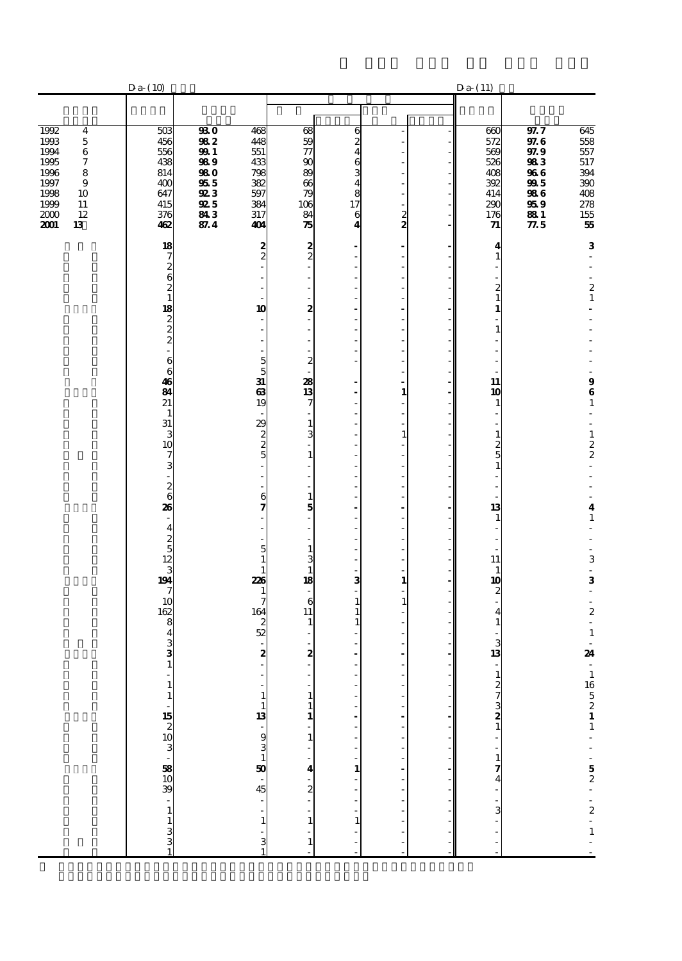|                                                                                                                                                                                   | $Da-(10)$                                                                 |                                                                                                |                                                                    |                                                                     |                                                                                                                   |                     | $Da-(11)$                                                                                          |                                                                               |                                                                                 |
|-----------------------------------------------------------------------------------------------------------------------------------------------------------------------------------|---------------------------------------------------------------------------|------------------------------------------------------------------------------------------------|--------------------------------------------------------------------|---------------------------------------------------------------------|-------------------------------------------------------------------------------------------------------------------|---------------------|----------------------------------------------------------------------------------------------------|-------------------------------------------------------------------------------|---------------------------------------------------------------------------------|
|                                                                                                                                                                                   |                                                                           |                                                                                                |                                                                    |                                                                     |                                                                                                                   |                     |                                                                                                    |                                                                               |                                                                                 |
| 1992<br>$\overline{\mathbf{4}}$<br>1993<br>$\bf 5$<br>1994<br>$\,6$<br>$\boldsymbol{7}$<br>1995<br>1996<br>8<br>1997<br>9<br>1998<br>10<br>1999<br>11<br>12<br>2000<br>2001<br>13 | 503<br>456<br>556<br>438<br>814<br>400<br>647<br>415<br>376<br>462        | $\overline{330}$<br>982<br><b>991</b><br>989<br><b>980</b><br>955<br>923<br>925<br>843<br>87.4 | 468<br>448<br>551<br>433<br>798<br>382<br>597<br>384<br>317<br>404 | 68<br>59<br>$\tau$<br>$\infty$<br>89<br>66<br>79<br>106<br>84<br>75 | 6<br>2<br>$\overline{\mathbf{4}}$<br>6<br>3<br>$\overline{\mathbf{4}}$<br>8<br>17<br>6<br>$\overline{\mathbf{4}}$ | Ĭ.<br>$\frac{2}{2}$ | 660<br>572<br>569<br>526<br>408<br>392<br>414<br>290<br>176<br>71                                  | 97.7<br>97.6<br>97.9<br>983<br>966<br>995<br>986<br>959<br>88 1<br>$\rm 77.5$ | 645<br>558<br>557<br>517<br>394<br>$390\,$<br>408<br>278<br>155<br>${\bf 55}$   |
|                                                                                                                                                                                   | 18<br>7<br>$\boldsymbol{z}$                                               |                                                                                                | $\frac{2}{2}$                                                      | $\frac{2}{2}$                                                       | ٠<br>÷,<br>$\overline{a}$                                                                                         | Î.<br>J.            | 4<br>$\mathbf{1}$                                                                                  |                                                                               | 3<br>÷                                                                          |
|                                                                                                                                                                                   | 6<br>$\overline{\mathbf{c}}$<br>$\mathbf{1}$<br>18<br>$\frac{2}{2}$       |                                                                                                | 10<br>$\overline{\phantom{a}}$<br>$\overline{a}$                   | ÷.<br>2<br>$\overline{a}$<br>ä,                                     | l,<br>÷,<br>Ĭ.<br>$\overline{a}$<br>÷,<br>÷,                                                                      | J.<br>J.            | $\frac{2}{1}$<br>1<br>÷,<br>$\mathbf{1}$                                                           |                                                                               | $\begin{smallmatrix}2\\1\end{smallmatrix}$                                      |
|                                                                                                                                                                                   | 6<br>6<br>46<br>84<br>21                                                  |                                                                                                | $\overline{5}$<br>5<br>31<br>63<br>19                              | $\overline{\phantom{a}}$<br>$\boldsymbol{z}$<br>28<br>13<br>7       | Ĭ.<br>÷,<br>÷,<br>$\overline{a}$<br>$\overline{a}$<br>L,                                                          | Ĭ.<br>í,<br>÷,<br>1 | L,<br>÷,<br>11<br>10<br>$\mathbf{1}$                                                               |                                                                               | $\begin{array}{c} 9 \\ 6 \\ 1 \end{array}$                                      |
|                                                                                                                                                                                   | $\mathbf{1}$<br>31<br>3<br>10<br>7<br>3                                   |                                                                                                | ÷,<br>29<br>2<br>5<br>5<br>÷,                                      | $\mathbf{1}$<br>3<br>L,<br>$\mathbf 1$<br>٠                         | ÷,<br>÷,<br>÷,<br>L,<br>L,<br>÷,<br>÷,                                                                            | $\mathbf{1}$<br>J.  | L,<br>$\mathbf{1}$<br>$\frac{2}{5}$<br>$\mathbf{1}$<br>L,                                          |                                                                               | $\overline{a}$<br>$\frac{1}{2}$<br>$\frac{1}{2}$<br>$\overline{a}$              |
|                                                                                                                                                                                   | $\begin{matrix}2\\6\end{matrix}$<br>26<br>$\overline{4}$<br>$\frac{2}{5}$ |                                                                                                | 6<br>7                                                             | $\mathbf{1}$<br>5<br>ä,<br>÷,                                       | Ĭ.<br>÷,<br>$\overline{a}$<br>÷,<br>÷,<br>÷,                                                                      | Ĭ.<br>J.<br>J.      | $\overline{\phantom{a}}$<br>$\overline{\phantom{a}}$<br>13<br>$\mathbf{1}$<br>L,<br>$\overline{a}$ |                                                                               | $\frac{4}{1}$                                                                   |
|                                                                                                                                                                                   | 12<br>3<br>194<br>7<br>10<br>162                                          |                                                                                                | 5<br>$\mathbf{1}$<br>1<br>226<br>1<br>164                          | $\mathbf{1}$<br>3<br>$\mathbf{1}$<br>18<br>÷,<br>6<br>11            | ÷,<br>Ĭ.<br>$\overline{a}$<br>3<br>÷,<br>$\mathbf{1}$<br>$\mathbf{1}$                                             | 1<br>1              | ÷.<br>11<br>$\mathbf{1}$<br>10<br>$\boldsymbol{z}$<br>$\overline{a}$                               |                                                                               | L,<br>3<br>$\frac{1}{2}$<br>3<br>÷,<br>$\frac{1}{2}$<br>$\boldsymbol{2}$        |
|                                                                                                                                                                                   | 8<br>4<br>3<br>3<br>$\mathbf{1}$                                          |                                                                                                | $\begin{array}{c}\n2 \\ 52\n\end{array}$<br>÷,<br>$\mathbf{z}$     | $\mathbf{1}$<br>2                                                   | $\mathbf{1}$<br>ä,<br>L,                                                                                          |                     | $\overline{\mathbf{4}}$<br>$\mathbf{1}$<br>3<br>13<br>$\mathcal{L}_{\mathcal{A}}$                  |                                                                               | $\overline{\phantom{a}}$<br>$\mathbf 1$<br>$\overline{\phantom{a}}$<br>24<br>ä, |
|                                                                                                                                                                                   | $\mathbf{1}$<br>$\mathbf{1}$                                              |                                                                                                | $\mathbf{1}$<br>$\mathbf{1}$                                       | $\mathbf{1}$<br>$\mathbf{1}$<br>1<br>$\mathbf{1}$                   |                                                                                                                   |                     | $127321 - 174$                                                                                     |                                                                               |                                                                                 |
|                                                                                                                                                                                   | . 385 388 - 305 305<br>$\mathbf{1}$                                       |                                                                                                | 13 - 93 - 93 - 94<br>- -                                           | 4<br>$\frac{1}{2}$                                                  | $\overline{a}$<br>$\mathbf{1}$                                                                                    |                     | $\sim$ 3 $\sim$                                                                                    |                                                                               | $165211 - 52 - 2 - 1$                                                           |
|                                                                                                                                                                                   | $\begin{array}{c} 1 \\ 3 \\ 3 \end{array}$                                |                                                                                                | $\mathbf{1}$<br>$\frac{3}{1}$                                      | $\mathbf{1}$<br>$\mathbf{1}$                                        | $\mathbf{1}$<br>i,                                                                                                |                     | $\frac{1}{2}$                                                                                      |                                                                               |                                                                                 |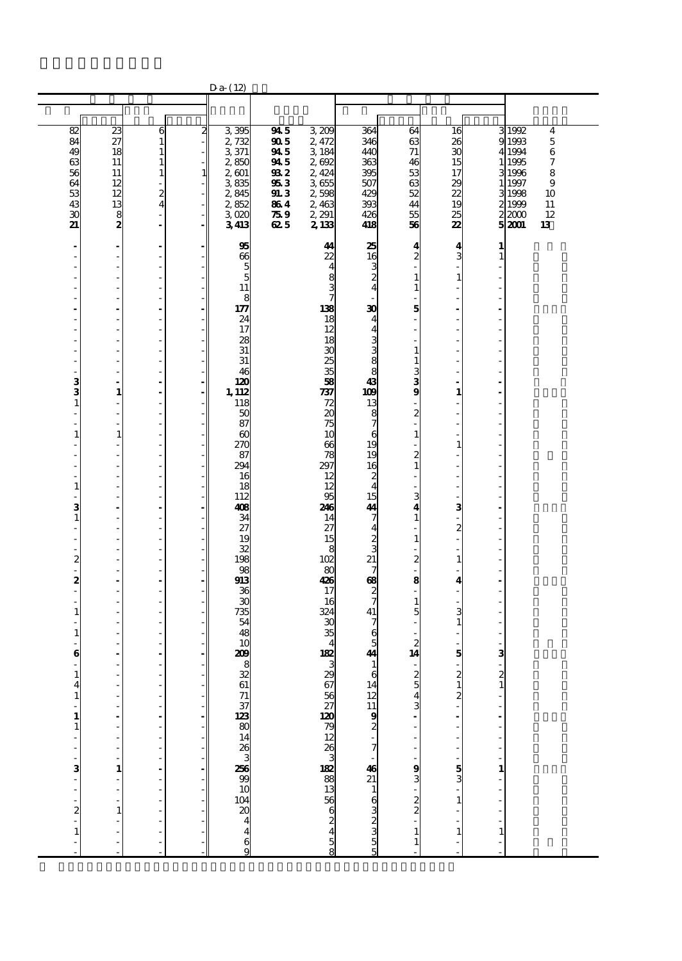|                                                                                                                                         |                                                                                                                                                                                                                                                                                                                                                                                                                                                                                                                                                                                                                                                                                                                                                                                       |                                                                                                                                                                                                                                                                                                                                                                                                                                                                                                                                                                              |                                                                                                                                                                                                                                                                                                                                                                                                                                                                                                                 | $Da-(12)$                                                                                                                                                                                                                                                                                    |                                                                             |                                                                                                                                                                                                                                                                                         |                                                                                                                                                                                                                                                                                                                                           |                                                                                                                                                                                                                                                                        |                                                                                                                              |                                                                                      |                                                                                                                                                                                         |
|-----------------------------------------------------------------------------------------------------------------------------------------|---------------------------------------------------------------------------------------------------------------------------------------------------------------------------------------------------------------------------------------------------------------------------------------------------------------------------------------------------------------------------------------------------------------------------------------------------------------------------------------------------------------------------------------------------------------------------------------------------------------------------------------------------------------------------------------------------------------------------------------------------------------------------------------|------------------------------------------------------------------------------------------------------------------------------------------------------------------------------------------------------------------------------------------------------------------------------------------------------------------------------------------------------------------------------------------------------------------------------------------------------------------------------------------------------------------------------------------------------------------------------|-----------------------------------------------------------------------------------------------------------------------------------------------------------------------------------------------------------------------------------------------------------------------------------------------------------------------------------------------------------------------------------------------------------------------------------------------------------------------------------------------------------------|----------------------------------------------------------------------------------------------------------------------------------------------------------------------------------------------------------------------------------------------------------------------------------------------|-----------------------------------------------------------------------------|-----------------------------------------------------------------------------------------------------------------------------------------------------------------------------------------------------------------------------------------------------------------------------------------|-------------------------------------------------------------------------------------------------------------------------------------------------------------------------------------------------------------------------------------------------------------------------------------------------------------------------------------------|------------------------------------------------------------------------------------------------------------------------------------------------------------------------------------------------------------------------------------------------------------------------|------------------------------------------------------------------------------------------------------------------------------|--------------------------------------------------------------------------------------|-----------------------------------------------------------------------------------------------------------------------------------------------------------------------------------------|
|                                                                                                                                         |                                                                                                                                                                                                                                                                                                                                                                                                                                                                                                                                                                                                                                                                                                                                                                                       |                                                                                                                                                                                                                                                                                                                                                                                                                                                                                                                                                                              |                                                                                                                                                                                                                                                                                                                                                                                                                                                                                                                 |                                                                                                                                                                                                                                                                                              |                                                                             |                                                                                                                                                                                                                                                                                         |                                                                                                                                                                                                                                                                                                                                           |                                                                                                                                                                                                                                                                        |                                                                                                                              |                                                                                      |                                                                                                                                                                                         |
|                                                                                                                                         |                                                                                                                                                                                                                                                                                                                                                                                                                                                                                                                                                                                                                                                                                                                                                                                       |                                                                                                                                                                                                                                                                                                                                                                                                                                                                                                                                                                              |                                                                                                                                                                                                                                                                                                                                                                                                                                                                                                                 |                                                                                                                                                                                                                                                                                              |                                                                             |                                                                                                                                                                                                                                                                                         |                                                                                                                                                                                                                                                                                                                                           |                                                                                                                                                                                                                                                                        |                                                                                                                              |                                                                                      |                                                                                                                                                                                         |
| 82<br>84<br>49<br>$\frac{63}{56}$<br>64<br>53<br>43<br>30<br>21                                                                         | 23<br>27<br>18<br>11<br>11<br>12<br>12<br>13<br>$\frac{8}{2}$                                                                                                                                                                                                                                                                                                                                                                                                                                                                                                                                                                                                                                                                                                                         | 6<br>$\mathbf{1}$<br>$\mathbf{1}$<br>$\mathbf{1}$<br>$\mathbf{1}$<br>$\overline{a}$<br>$\boldsymbol{2}$<br>$\overline{4}$<br>$\overline{a}$<br>÷,                                                                                                                                                                                                                                                                                                                                                                                                                            | $\overline{\mathbf{z}}$<br>$\overline{a}$<br>$\overline{\phantom{a}}$<br>٠<br>$\mathbf{1}$<br>$\overline{\phantom{a}}$<br>$\overline{a}$<br>$\equiv$<br>$\blacksquare$                                                                                                                                                                                                                                                                                                                                          | 3395<br>2,732<br>3 371<br>2,850<br>2,601<br>3835<br>2,845<br>2,852<br>3,020<br>3413                                                                                                                                                                                                          | 945<br>905<br>945<br>945<br>932<br>953<br><b>91.3</b><br>864<br>759<br>62 5 | 3,209<br>2,472<br>3 184<br>2,692<br>2,424<br>3655<br>2,598<br>2,463<br>2, 291<br>2,133                                                                                                                                                                                                  | 364<br>346<br>440<br>363<br>395<br>507<br>429<br>393<br>426<br>418                                                                                                                                                                                                                                                                        | 64<br>63<br>71<br>46<br>53<br>63<br>52<br>44<br>55<br>56                                                                                                                                                                                                               | 16<br>26<br>30<br>15<br>17<br>29<br>22<br>19<br>25<br>22                                                                     | 9<br>1 <sup>1</sup><br>3<br>2                                                        | 3 1992<br>$\boldsymbol{4}$<br>1993<br>$\mathbf 5$<br>4 1994<br>$\,6$<br>1995<br>7<br>1996<br>8<br>$\boldsymbol{9}$<br>1 1997<br>31998<br>10<br>1999<br>11<br>12<br>22000<br>52001<br>13 |
| ÷,<br>÷<br>3<br>$\mathbf{1}$<br>ä,<br>$\mathbf{1}$<br>1<br>3<br>$\mathbf{1}$<br>ä,<br>2<br>2<br>$\mathbf{1}$<br>1<br>$\bf{6}$<br>1<br>4 | $\overline{\phantom{a}}$<br>$\overline{\phantom{a}}$<br>$\overline{\phantom{a}}$<br>÷,<br>$\overline{\phantom{a}}$<br>÷,<br>÷.<br>$\overline{\phantom{m}}$<br>$\frac{1}{2}$<br>ä,<br>$\overline{\phantom{a}}$<br>$\overline{\phantom{a}}$<br>$\overline{a}$<br>1<br>$\overline{\phantom{a}}$<br>$\overline{\phantom{a}}$<br>$\overline{\phantom{a}}$<br>$\mathbf{1}$<br>$\frac{1}{2}$<br>$\overline{\phantom{a}}$<br>$\frac{1}{2}$<br>$\overline{\phantom{a}}$<br>$\overline{\phantom{a}}$<br>$\frac{1}{2}$<br>$\blacksquare$<br>$\overline{\phantom{a}}$<br>$\overline{\phantom{a}}$<br>$\frac{1}{2}$<br>$\overline{\phantom{a}}$<br>÷,<br>L,<br>$\overline{\phantom{a}}$<br>$\frac{1}{2}$<br>$\overline{\phantom{a}}$<br>$\overline{\phantom{m}}$<br>$\frac{1}{2}$<br>٠<br>L,<br>÷, | $\overline{\phantom{a}}$<br>$\overline{a}$<br>÷,<br>$\frac{1}{2}$<br>$\overline{a}$<br>$\overline{a}$<br>÷,<br>Ĭ.<br>$\overline{a}$<br>$\overline{a}$<br>$\frac{1}{2}$<br>Ĭ.<br>$\qquad \qquad \blacksquare$<br>$\overline{a}$<br>$\overline{a}$<br>÷,<br>$\frac{1}{2}$<br>÷<br>l,<br>$\frac{1}{2}$<br>÷<br>l,<br>$\qquad \qquad \blacksquare$<br>÷<br>$\overline{\phantom{a}}$<br>$\overline{a}$<br>÷<br>Ĭ.<br>$\overline{a}$<br>$\overline{a}$<br>÷,<br>$\overline{\phantom{a}}$<br>$\overline{a}$<br>$\overline{a}$<br>Ĭ.<br>$\overline{a}$<br>÷,<br>Ĭ.<br>$\overline{a}$ | ٠<br>÷.<br>$\overline{\phantom{a}}$<br>$\overline{\phantom{a}}$<br>$\sim$<br>$\overline{\phantom{a}}$<br>$\overline{\phantom{a}}$<br>$\overline{\phantom{a}}$<br>$\overline{\phantom{a}}$<br>÷<br>$\overline{\phantom{a}}$<br>÷,<br>$\overline{\phantom{a}}$<br>$\sim$<br>٠<br>$\overline{\phantom{a}}$<br>$\overline{\phantom{a}}$<br>$\overline{\phantom{a}}$<br>$\overline{\phantom{a}}$<br>$\overline{\phantom{a}}$<br>$\overline{\phantom{a}}$<br>٠<br>$\equiv$<br>$\overline{\phantom{a}}$<br>$\sim$<br>٠ | 95<br>66<br>5<br>5<br>11<br>8<br>177<br>24<br>17<br>28<br>31<br>31<br>46<br>120<br>1, 112<br>118<br>50<br>87<br>$\boldsymbol{\omega}$<br>270<br>87<br>294<br>16<br>18<br>112<br>408<br>34<br>27<br>19<br>32<br>198<br>98<br>913<br>36<br>30<br>735<br>54<br>48<br>10<br>209<br>8<br>32<br>61 |                                                                             | 44<br>22<br>4<br>8<br>$\frac{3}{7}$<br>138<br>18<br>12<br>18<br>30<br>25<br>35<br>58<br>737<br>72<br>20<br>75<br>10<br>66<br>78<br>297<br>12<br>12<br>95<br>246<br>14<br>27<br>15<br>8<br>102<br>80<br>426<br>17<br>16<br>324<br>$\mathbf{C}$<br>35<br>$\overline{4}$<br>182<br>3<br>29 | 25<br>16<br>3<br>$\boldsymbol{z}$<br>$\overline{4}$<br>30<br>4<br>$\overline{\mathbf{4}}$<br>3<br>3<br>8<br>8<br>43<br>109<br>13<br>8<br>7<br>6<br>19<br>19<br>16<br>2<br>$\overline{4}$<br>15<br>44<br>7<br>$\overline{4}$<br>2<br>3<br>21<br>7<br>$\boldsymbol{\alpha}$<br>2<br>7<br>41<br>7<br>6<br>5<br>44<br>$\mathbf{1}$<br>6<br>14 | 4<br>2<br>1<br>1<br>5<br>$\mathbf{1}$<br>$\mathbf{1}$<br>3<br>$\frac{3}{9}$<br>2<br>$\mathbf{1}$<br>$\frac{2}{1}$<br>3<br>4<br>$\mathbf{1}$<br>$\mathbf{1}$<br>2<br>8<br>ä,<br>$\mathbf{1}$<br>5<br>$\overline{c}$<br>14<br>$\overline{\phantom{a}}$<br>$\mathfrak{p}$ | 4<br>3<br>$\mathbf{1}$<br>1<br>1<br>з<br>$\mathbf{z}$<br>$\mathbf{1}$<br>4<br>3<br>1<br>5<br>$\mathfrak{p}$<br>$\frac{1}{2}$ | 1<br>$\mathbf{1}$<br>з<br>$\overline{\phantom{a}}$<br>$\overline{c}$<br>$\mathbf{1}$ |                                                                                                                                                                                         |
| $\mathbf{1}$<br>$\overline{\phantom{a}}$<br>1<br>$\mathbf{1}$<br>ä,<br>-<br>3<br>÷,<br>$\overline{a}$<br>$\frac{1}{2}$<br>$\mathbf{1}$  | Ĭ.<br>L,<br>÷.<br>$\frac{1}{2}$<br>÷<br>1<br>$\frac{1}{2}$<br>$\mathbf{1}$<br>$\overline{a}$<br>-                                                                                                                                                                                                                                                                                                                                                                                                                                                                                                                                                                                                                                                                                     | $\frac{1}{2}$<br>$\overline{a}$<br>÷,<br>$\overline{a}$<br>$\overline{a}$<br>$\frac{1}{2}$<br>$\frac{1}{2}$<br>$\frac{1}{2}$<br>$\frac{1}{2}$                                                                                                                                                                                                                                                                                                                                                                                                                                |                                                                                                                                                                                                                                                                                                                                                                                                                                                                                                                 | ್ದ ಜ ಪ ಪ ಪ<br>ಎ ಜ ದ ಹ<br>28<br>8 S ∆ & 4<br>4<br>$\frac{6}{9}$                                                                                                                                                                                                                               |                                                                             | ∞ on A & O & Q & Q & O & B & D & B & B                                                                                                                                                                                                                                                  | $1211$<br>$922000000$<br>$16911$<br>$02100000$<br>5                                                                                                                                                                                                                                                                                       | $\frac{5}{3}$<br>່ອອ່າ<br>$\mathbf{1}$<br>$\mathbf{1}$                                                                                                                                                                                                                 | $\frac{5}{3}$<br>$\mathbf{1}$<br>$\mathbf{1}$                                                                                | $\overline{a}$<br>1<br>$\mathbf{1}$<br>÷,                                            |                                                                                                                                                                                         |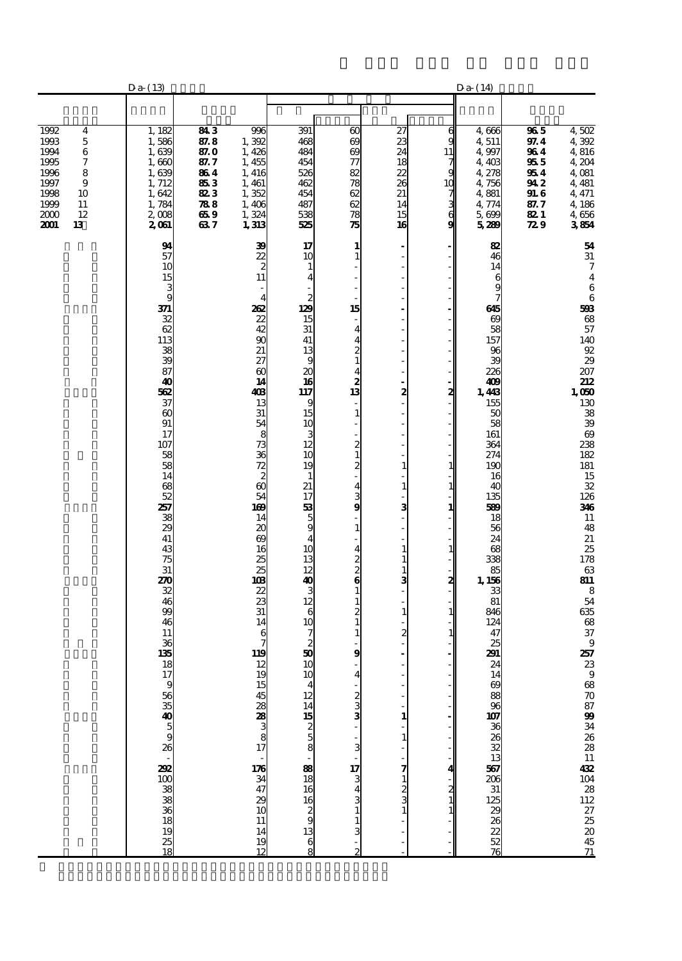|                                                                                                                                    | $Da-(13)$                                                                                                                                                                                                                                                                                                             |                                                                          |                                                                                                                                                                                                                                                                                                                                                                                             |                                                                                                                                                                                                                                                                                                                                                                                                                                                                                                                                                                                                                                                                                                                                         |                                                                                                                                                                                                                                                                                                                                                                                                                                                                                              |                                                                                                                                                       |                                                                | $Da-(14)$                                                                                                                                                                                                                                                                                                                       |                                                                                                    |                                                                                                                                                                                                                                                                                                                                                                                                                                       |
|------------------------------------------------------------------------------------------------------------------------------------|-----------------------------------------------------------------------------------------------------------------------------------------------------------------------------------------------------------------------------------------------------------------------------------------------------------------------|--------------------------------------------------------------------------|---------------------------------------------------------------------------------------------------------------------------------------------------------------------------------------------------------------------------------------------------------------------------------------------------------------------------------------------------------------------------------------------|-----------------------------------------------------------------------------------------------------------------------------------------------------------------------------------------------------------------------------------------------------------------------------------------------------------------------------------------------------------------------------------------------------------------------------------------------------------------------------------------------------------------------------------------------------------------------------------------------------------------------------------------------------------------------------------------------------------------------------------------|----------------------------------------------------------------------------------------------------------------------------------------------------------------------------------------------------------------------------------------------------------------------------------------------------------------------------------------------------------------------------------------------------------------------------------------------------------------------------------------------|-------------------------------------------------------------------------------------------------------------------------------------------------------|----------------------------------------------------------------|---------------------------------------------------------------------------------------------------------------------------------------------------------------------------------------------------------------------------------------------------------------------------------------------------------------------------------|----------------------------------------------------------------------------------------------------|---------------------------------------------------------------------------------------------------------------------------------------------------------------------------------------------------------------------------------------------------------------------------------------------------------------------------------------------------------------------------------------------------------------------------------------|
|                                                                                                                                    |                                                                                                                                                                                                                                                                                                                       |                                                                          |                                                                                                                                                                                                                                                                                                                                                                                             |                                                                                                                                                                                                                                                                                                                                                                                                                                                                                                                                                                                                                                                                                                                                         |                                                                                                                                                                                                                                                                                                                                                                                                                                                                                              |                                                                                                                                                       |                                                                |                                                                                                                                                                                                                                                                                                                                 |                                                                                                    |                                                                                                                                                                                                                                                                                                                                                                                                                                       |
| 1992<br>4<br>1993<br>5<br>1994<br>6<br>1995<br>7<br>1996<br>8<br>1997<br>9<br>1998<br>10<br>1999<br>11<br>2000<br>12<br>2001<br>13 | 1, 182<br>1,586<br>1,639<br>1,660<br>1,639<br>1, 712<br>1,642<br>1,784<br>2,008<br>2061                                                                                                                                                                                                                               | 843<br>87.8<br>87. O<br>87. 7<br>864<br>853<br>823<br>788<br>65 9<br>637 | 996<br>1,392<br>1,426<br>1,455<br>1, 416<br>1,461<br>1,352<br>1,406<br>1,324<br>1,313                                                                                                                                                                                                                                                                                                       | 391<br>468<br>484<br>454<br>526<br>462<br>454<br>487<br>538<br>525                                                                                                                                                                                                                                                                                                                                                                                                                                                                                                                                                                                                                                                                      | $\boldsymbol{\omega}$<br>69<br>69<br>77<br>82<br>78<br>62<br>62<br>78<br>75                                                                                                                                                                                                                                                                                                                                                                                                                  | 27<br>23<br>24<br>18<br>22<br>26<br>21<br>14<br>15<br>16                                                                                              | 6<br>g<br>11<br>$\frac{7}{9}$<br>1C<br>7<br>$\frac{3}{6}$<br>g | 4,666<br>4,511<br>4,997<br>4,403<br>4,278<br>4,756<br>4,881<br>4,774<br>5,699<br>5289                                                                                                                                                                                                                                           | $\overline{\bm{36}}$ 5<br>97.4<br>964<br>955<br>954<br>94 2<br><b>91.6</b><br>87. 7<br>82 I<br>729 | 4,502<br>4 392<br>4,816<br>4,204<br>4,081<br>4 4 8 1<br>4, 471<br>4,186<br>4,656<br>3854                                                                                                                                                                                                                                                                                                                                              |
|                                                                                                                                    | 94<br>57<br>10<br>15<br>3<br>9<br>371<br>32<br>62<br>113<br>38<br>39<br>87<br>40<br>562<br>37<br>$\infty$<br>91<br>17<br>107<br>58<br>58<br>14<br>68<br>52<br>257<br>38<br>29<br>41<br>43<br>75<br>31<br>270<br>32<br>46<br>99<br>46<br>11<br>36<br>135<br>18<br>$\overline{17}$<br>9<br>88<br>1888 8888 8888 8888 88 |                                                                          | 39<br>$\frac{2}{2}$<br>$\frac{2}{11}$<br>$\overline{4}$<br>262<br>22<br>42<br>$\frac{90}{21}$<br>27<br>$\boldsymbol{\omega}$<br>14<br>403<br>13<br>31<br>$\overline{54}$<br>8<br>ಶಿ ನಿ ನೆ ಜಿ ಬೆ<br>54<br>169<br>14<br>20<br>69<br>16<br>$\frac{25}{25}$<br>103<br>22<br>23<br>31<br>14<br>6<br>119<br>12<br>ដែលមាន ២១ និង មាន ២១ និងមាន ២១<br>$\begin{array}{c} 14 \\ 19 \\ 12 \end{array}$ | 17<br>10<br>$\mathbf{1}$<br>$\overline{\mathbf{4}}$<br>$\begin{array}{c}\n2 \\ 129\n\end{array}$<br>15<br>31<br>41<br>13<br>9<br>$\frac{20}{16}$<br>117<br>9<br>15<br>10<br>3<br>12<br>10<br>19<br>$\mathbf{1}$<br>21<br>17<br>$\begin{array}{c}\n 33 \\  50 \\  4\n \end{array}$<br>10<br>$\overline{10}$<br>$\frac{4}{12} \frac{14}{15} \frac{15}{2} \frac{5}{6} \frac{8}{8} \cdot \frac{8}{18} \cdot \frac{8}{18} \cdot \frac{8}{18} \cdot \frac{8}{18} \cdot \frac{8}{18} \cdot \frac{8}{18} \cdot \frac{8}{18} \cdot \frac{8}{18} \cdot \frac{8}{18} \cdot \frac{8}{18} \cdot \frac{8}{18} \cdot \frac{8}{18} \cdot \frac{8}{18} \cdot \frac{8}{18} \cdot \frac{8}{18} \cdot \frac{8}{18} \cdot \frac{8}{18} \cdot \frac{8}{18} \$ | 1<br>1<br>÷,<br>15<br>Ĭ.<br>4<br>4<br>$\boldsymbol{z}$<br>$\mathbf{1}$<br>4<br>2<br>13<br>÷,<br>$\mathbf{1}$<br>$\boldsymbol{z}$<br>$\mathbf{1}$<br>$\frac{2}{1}$<br>$\overline{\mathbf{4}}$<br>3<br>9<br>$\overline{a}$<br>$\mathbf{1}$<br>4<br>$\frac{2}{2}$<br>$\bf{6}$<br>$\mathbf{1}$<br>$\mathbf{1}$<br>2<br>$\mathbf{1}$<br>$\mathbf{1}$<br>9<br>$\overline{a}$<br>$\frac{2}{3}$<br>$\overline{\textbf{3}}$<br>$\frac{17}{3}$<br>$\frac{3}{1}$<br>$\mathbf{1}$<br>3<br>$\overline{2}$ | ÷<br>$\overline{\phantom{a}}$<br>2<br>$\mathbf{1}$<br>$\mathbf{1}$<br>з<br>1<br>1<br>1<br>3<br>1<br>2<br>1<br>1<br>7<br>$\mathbf{1}$<br>$\frac{2}{3}$ | 2<br>1<br>1<br>2<br>2                                          | 82<br>46<br>14<br>6<br>9<br>7<br>645<br>69<br>58<br>157<br>96<br>39<br>226<br>409<br>1,443<br>155<br>50<br>58<br>161<br>364<br>274<br>190<br>16<br>40<br>135<br>589<br>18<br>56<br>24<br>68<br>338<br>85<br>1, 156<br>33<br>81<br>846<br>124<br>47<br>25<br>291<br>24<br>ន្ត្រី<br>និងនិង ក្នុងនិង ក្នុងនិងនិង <b>ក្នុ</b> ងនិង |                                                                                                    | 54<br>${\bf 31}$<br>$\boldsymbol{7}$<br>$\bf 4$<br>$\,6$<br>$\,$ 6 $\,$<br>598<br>$\frac{68}{57}$<br>140<br>$^{92}_{29}$<br>207<br>212<br>1,050<br>$\frac{130}{38}$<br>$\frac{38}{39}$<br>$\frac{69}{238}$<br>182<br>$\frac{181}{15}$<br>$\frac{32}{126}$<br>346<br>${\bf 11}$<br>48<br>$\frac{21}{25}$<br>178<br>$63\,$<br>811<br>$\frac{8}{54}$<br>635<br>68<br>37<br>$\boldsymbol{9}$<br>25723988708799342628114220421212725204571 |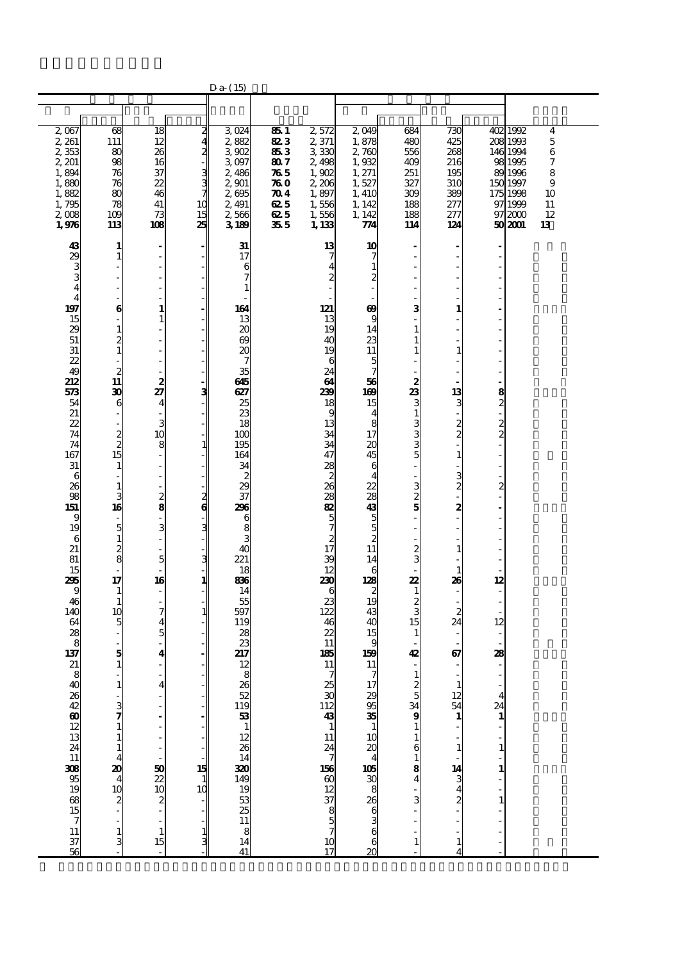|                                                                                                                                                                                                                                                                                                          |                                                                                                                                                                                                                                                                                                                                                                                                                                                                                                                                                            |                                                                                                                                                                                                                                                                                                                                                                                                                                                                                     |                                                          | $Da-$ (15)                                                                                                                                                                                                                                                                                                                                                       |                                                                        |                                                                                                                                                                                                                                                                                                                                                      |                                                                                                                                                                                                                                                                                                                                     |                                                                                                                                                                                                                                                                                                     |                                                                                                                                                                            |                                                                                                                                                                                                                                                              |                                                                                                                                                                                     |
|----------------------------------------------------------------------------------------------------------------------------------------------------------------------------------------------------------------------------------------------------------------------------------------------------------|------------------------------------------------------------------------------------------------------------------------------------------------------------------------------------------------------------------------------------------------------------------------------------------------------------------------------------------------------------------------------------------------------------------------------------------------------------------------------------------------------------------------------------------------------------|-------------------------------------------------------------------------------------------------------------------------------------------------------------------------------------------------------------------------------------------------------------------------------------------------------------------------------------------------------------------------------------------------------------------------------------------------------------------------------------|----------------------------------------------------------|------------------------------------------------------------------------------------------------------------------------------------------------------------------------------------------------------------------------------------------------------------------------------------------------------------------------------------------------------------------|------------------------------------------------------------------------|------------------------------------------------------------------------------------------------------------------------------------------------------------------------------------------------------------------------------------------------------------------------------------------------------------------------------------------------------|-------------------------------------------------------------------------------------------------------------------------------------------------------------------------------------------------------------------------------------------------------------------------------------------------------------------------------------|-----------------------------------------------------------------------------------------------------------------------------------------------------------------------------------------------------------------------------------------------------------------------------------------------------|----------------------------------------------------------------------------------------------------------------------------------------------------------------------------|--------------------------------------------------------------------------------------------------------------------------------------------------------------------------------------------------------------------------------------------------------------|-------------------------------------------------------------------------------------------------------------------------------------------------------------------------------------|
|                                                                                                                                                                                                                                                                                                          |                                                                                                                                                                                                                                                                                                                                                                                                                                                                                                                                                            |                                                                                                                                                                                                                                                                                                                                                                                                                                                                                     |                                                          |                                                                                                                                                                                                                                                                                                                                                                  |                                                                        |                                                                                                                                                                                                                                                                                                                                                      |                                                                                                                                                                                                                                                                                                                                     |                                                                                                                                                                                                                                                                                                     |                                                                                                                                                                            |                                                                                                                                                                                                                                                              |                                                                                                                                                                                     |
| 2,067<br>2, 261<br>2353<br>2, 201<br>1,894<br>1,880<br>1,882<br>1,795<br>2,008<br>1,976                                                                                                                                                                                                                  | 68<br>111<br>80<br>98<br>76<br>76<br>80<br>78<br>109<br>113                                                                                                                                                                                                                                                                                                                                                                                                                                                                                                | 18<br>12<br>26<br>16<br>37<br>22<br>46<br>41<br>73<br>108                                                                                                                                                                                                                                                                                                                                                                                                                           | 2<br>4<br>2<br>3<br>3<br>7<br>10<br>15<br>25             | 3024<br>2,882<br>3.902<br>3.097<br>2,486<br>2,901<br>2695<br>2,491<br>2566<br>3189                                                                                                                                                                                                                                                                               | 851<br>823<br>853<br>807<br>765<br>76 O<br>TO 4<br>62 5<br>62 5<br>355 | 2,572<br>2,371<br>3330<br>2,498<br>1,902<br>2,206<br>1,897<br>1,556<br>1,556<br>1, 133                                                                                                                                                                                                                                                               | 2,049<br>1,878<br>2,760<br>1,932<br>1, 271<br>1,527<br>1, 410<br>1, 142<br>1, 142<br>74                                                                                                                                                                                                                                             | 684<br>480<br>556<br>409<br>251<br>327<br>309<br>188<br>188<br>114                                                                                                                                                                                                                                  | 730<br>425<br>268<br>216<br>195<br>310<br>389<br>277<br>277<br>124                                                                                                         |                                                                                                                                                                                                                                                              | 402 1992<br>4<br>208 1993<br>$\mathbf 5$<br>146 1994<br>$\,6$<br>98 1995<br>7<br>89 1996<br>8<br>9<br>150 1997<br>175 1998<br>10<br>97 1999<br>11<br>12<br>97 2000<br>50 2001<br>13 |
| 43<br>29<br>3<br>4<br>4<br>197<br>15<br>29<br>51<br>31<br>$\boldsymbol{z}$<br>49<br>212<br>573<br>54<br>21<br>22<br>74<br>74<br>167<br>$31\,$<br>6<br>26<br>98<br>151<br>9<br>19<br>6<br>21<br>81<br>15<br>295<br>9<br>46<br>140<br>64<br>28<br>8<br>137<br>21<br>8<br>40名496012132411308951988157113756 | 1<br>1<br>÷,<br>÷.<br>÷,<br>٠<br>6<br>$\frac{1}{2}$<br>$\mathbf{1}$<br>$\overline{c}$<br>$\mathbf{1}$<br>$\overline{c}$<br>11<br>30<br>6<br>$\overline{\phantom{m}}$<br>$\frac{2}{2}$<br>15<br>1<br>$\mathbf{1}$<br>3<br>16<br>$\overline{\phantom{a}}$<br>5<br>$\mathbf{1}$<br>$\boldsymbol{2}$<br>8<br>17<br>1<br>1<br>10<br>5<br>$\overline{\phantom{m}}$<br>5<br>$\mathbf{1}$<br>1<br>$\begin{array}{c} 3 \\ 7 \\ 1 \end{array}$<br>$\mathbf{1}$<br>$\mathbf{1}$<br>$\overline{\mathbf{4}}$<br>20<br>$\frac{4}{10}$<br>$\frac{2}{10}$<br>$\frac{1}{3}$ | $\qquad \qquad \blacksquare$<br>J.<br>÷<br>$\overline{\phantom{a}}$<br>1<br>$\mathbf{1}$<br>$\overline{a}$<br>L,<br>$\overline{a}$<br>÷,<br>2<br>27<br>4<br>3<br>10<br>8<br>÷,<br>$\overline{\phantom{a}}$<br>$\overline{\phantom{a}}$<br>$\overline{\phantom{a}}$<br>$\frac{2}{8}$<br>$\overline{\phantom{a}}$<br>3<br>÷,<br>$\overline{\phantom{a}}$<br>5<br>L.<br>16<br>÷,<br>7<br>4<br>5<br>4<br>$\overline{a}$<br>4<br>$\frac{50}{22}$<br>$\frac{20}{2}$<br>$\mathbf{1}$<br>15 | з<br>$\mathbf{z}$<br>в<br>3<br>1<br>15<br>$\frac{1}{10}$ | 31<br>17<br>6<br>164<br>13<br>$\boldsymbol{\chi}$<br>69<br>20<br>35<br>645<br>627<br>25<br>23<br>18<br>100<br>195<br>164<br>34<br>$\boldsymbol{z}$<br>29<br>$\overline{37}$<br>296<br>6<br>8<br>4C<br>221<br>18<br>86<br>14<br>55<br>597<br>119<br>28<br>23<br>217<br>12<br>я<br>$\begin{array}{c} 26 \\ 52 \\ 19 \\ 33 \\ 1 \end{array}$<br>12.8888888888<br>41 |                                                                        | 13<br>7<br>$\overline{\mathbf{4}}$<br>$\overline{c}$<br>121<br>13<br>19<br>40<br>19<br>6<br>24<br>64<br>239<br>18<br>9<br>13<br>34<br>34<br>47<br>28<br>$rac{2}{26}$<br>28<br>82<br>$\frac{5}{7}$<br>$\frac{2}{17}$<br>39<br>12<br>230<br>6<br>23<br>122<br>46<br>22<br>11<br>185<br>11<br>7<br>25<br>30<br>1243 1 124 7 156 60 12 37 8 5 7 10<br>17 | 10<br>7<br>1<br>2<br>$\boldsymbol{\omega}$<br>9<br>14<br>23<br>11<br>5<br>7<br>56<br>169<br>15<br>4<br>8<br>17<br>20<br>45<br>6<br>4<br>22<br>28<br>43<br>5<br>5<br>2<br>11<br>14<br>6<br>128<br>$\boldsymbol{z}$<br>19<br>43<br>40<br>15<br>9<br>159<br>11<br>$\mathcal I$<br>17<br>295351024105308636<br>6<br>$\overline{\alpha}$ | 3<br>$\mathbf{1}$<br>$\begin{smallmatrix} 2\ 3\ 1\ \end{smallmatrix}$<br>თ  ა ა ა<br>323<br>$\frac{2}{3}$<br>22<br>$\mathbf{1}$<br>$\frac{2}{3}$<br>15<br>$\mathbf{1}$<br>42<br>$\overline{\phantom{a}}$<br>$\mathbf{1}$<br>ය %<br>ශ<br>$\mathbf{1}$<br>6<br>$\mathbf{1}$<br>8<br>4<br>$\mathbf{1}$ | 1<br>1<br>13<br>3<br>$\frac{2}{2}$<br>1<br>3<br>$\overline{c}$<br>2<br>1<br>1<br>26<br>$\boldsymbol{2}$<br>24<br>67<br>1<br>12<br>54<br>1<br>14<br>$\frac{3}{4}$<br>1<br>4 | $\frac{8}{2}$<br>$\frac{2}{2}$<br>$\overline{\mathcal{Z}}$<br>12<br>L,<br>$\overline{\phantom{a}}$<br>12<br>$\overline{\phantom{a}}$<br>$\overline{\phantom{a}}$<br>28<br>$\overline{\mathbf{4}}$<br>24<br>$\mathbf{1}$<br>$\mathbf{1}$<br>$\mathbf{1}$<br>1 |                                                                                                                                                                                     |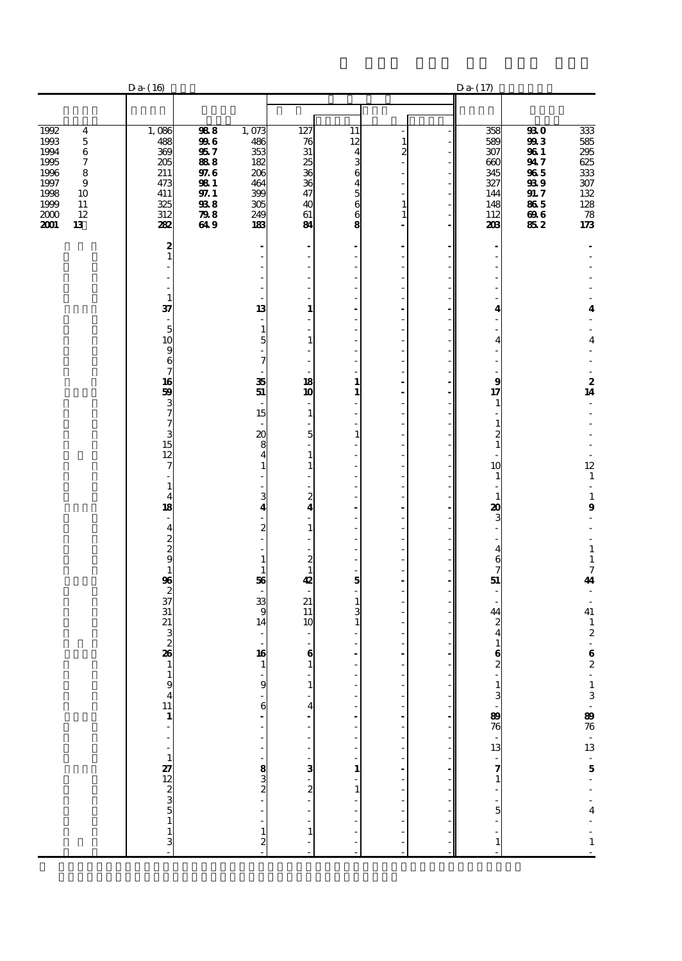|                                                                                                                                          | $Da-(16)$                                                            |                                                                                               |                                                                      |                                                           |                                                                        |                                                     | $Da-(17)$                                                                                   |                                                                             |                                                                                                     |
|------------------------------------------------------------------------------------------------------------------------------------------|----------------------------------------------------------------------|-----------------------------------------------------------------------------------------------|----------------------------------------------------------------------|-----------------------------------------------------------|------------------------------------------------------------------------|-----------------------------------------------------|---------------------------------------------------------------------------------------------|-----------------------------------------------------------------------------|-----------------------------------------------------------------------------------------------------|
|                                                                                                                                          |                                                                      |                                                                                               |                                                                      |                                                           |                                                                        |                                                     |                                                                                             |                                                                             |                                                                                                     |
| 1992<br>4<br>1993<br>$\bf 5$<br>1994<br>6<br>1995<br>7<br>1996<br>8<br>1997<br>9<br>1998<br>10<br>1999<br>11<br>12<br>2000<br>2001<br>13 | 1,086<br>488<br>369<br>205<br>211<br>473<br>411<br>325<br>312<br>282 | 988<br>996<br>957<br>888<br>97.6<br><b>981</b><br>97.1<br>${\bf \mathfrak{B8}}$<br>798<br>649 | 1,073<br>486<br>353<br>182<br>206<br>464<br>399<br>305<br>249<br>183 | 127<br>76<br>31<br>25<br>36<br>36<br>47<br>40<br>61<br>84 | 11<br>12<br>$\overline{\mathbf{4}}$<br>3<br>6<br>4<br>5<br>6<br>6<br>8 | 1<br>$\overline{c}$<br>$\mathbf{1}$<br>$\mathbf{1}$ | 358<br>589<br>307<br>660<br>345<br>327<br>144<br>148<br>112<br>208                          | <b>930</b><br>993<br>961<br>947<br>965<br>93 9<br>91.7<br>865<br>696<br>852 | $\overline{333}$<br>585<br>$\overline{295}$<br>625<br>$333\,$<br>$307$<br>132<br>128<br>78<br>$173$ |
|                                                                                                                                          | 2<br>$\mathbf{1}$                                                    |                                                                                               | ٠                                                                    |                                                           | $\overline{a}$<br>$\overline{\phantom{a}}$<br>ä,                       |                                                     | $\overline{a}$                                                                              |                                                                             |                                                                                                     |
|                                                                                                                                          |                                                                      |                                                                                               |                                                                      |                                                           | Ĭ.<br>÷,                                                               |                                                     |                                                                                             |                                                                             |                                                                                                     |
|                                                                                                                                          | $\mathbf{1}$<br>37<br>÷,                                             |                                                                                               | 13<br>$\overline{\phantom{a}}$                                       | $\mathbf{1}$<br>$\frac{1}{2}$                             | ÷,<br>ä,<br>÷,                                                         |                                                     | 4                                                                                           |                                                                             | 4                                                                                                   |
|                                                                                                                                          | 5<br>10<br>9                                                         |                                                                                               | $\mathbf{1}$<br>5                                                    | ٠<br>$\mathbf{1}$                                         | ÷,<br>J.<br>Ĭ.                                                         |                                                     | 4                                                                                           |                                                                             | 4                                                                                                   |
|                                                                                                                                          | 6<br>7                                                               |                                                                                               | 7                                                                    |                                                           | Ĭ.<br>ä,                                                               |                                                     | $\overline{a}$<br>÷.                                                                        |                                                                             |                                                                                                     |
|                                                                                                                                          | 16<br>59<br>3                                                        |                                                                                               | 35<br>51<br>÷,                                                       | 18<br>10<br>$\overline{\phantom{a}}$                      | $\mathbf{1}$<br>$\mathbf{1}$<br>÷,                                     |                                                     | $\boldsymbol{9}$<br>17<br>1                                                                 |                                                                             | $\frac{2}{14}$<br>$\overline{a}$                                                                    |
|                                                                                                                                          | 7<br>7<br>3                                                          |                                                                                               | 15<br>$\boldsymbol{\alpha}$                                          | $\mathbf{1}$<br>5                                         | ÷,<br>Ĭ.<br>$\mathbf{1}$                                               |                                                     | $\frac{1}{2}$<br>$\mathbf{1}$                                                               |                                                                             |                                                                                                     |
|                                                                                                                                          | 15<br>12<br>7                                                        |                                                                                               | 8<br>4                                                               | $\mathbf{1}$<br>$\mathbf{1}$                              | ÷,<br>i,<br>÷,                                                         |                                                     | $\frac{2}{1}$<br>10                                                                         |                                                                             | 12                                                                                                  |
|                                                                                                                                          | 1                                                                    |                                                                                               |                                                                      |                                                           | L,<br>÷,                                                               |                                                     | $\mathbf{1}$<br>÷                                                                           |                                                                             | $\mathbf{1}$<br>$\overline{\phantom{a}}$                                                            |
|                                                                                                                                          | $\overline{4}$<br>18<br>٠                                            |                                                                                               | 3<br>4                                                               | 2<br>4<br>ä,                                              | Ĭ.<br>$\overline{a}$<br>÷,                                             |                                                     | $\mathbf{1}$<br>20<br>3                                                                     |                                                                             | $\mathbf 1$<br>9<br>÷,                                                                              |
|                                                                                                                                          | $\overline{\mathbf{4}}$<br>$\frac{2}{9}$                             |                                                                                               | $\overline{c}$                                                       | $\mathbf{1}$                                              | Ĭ.<br>$\overline{a}$<br>÷,                                             | Î.                                                  | $\overline{\phantom{a}}$<br>$\overline{\mathbf{4}}$                                         |                                                                             | $\mathbf 1$                                                                                         |
|                                                                                                                                          | 1                                                                    |                                                                                               | $\mathbf{1}$<br>1                                                    | $\boldsymbol{z}$<br>$\mathbf{1}$                          | ÷,                                                                     |                                                     | $\frac{6}{7}$                                                                               |                                                                             | $\mathbf 1$<br>$\frac{7}{41}$                                                                       |
|                                                                                                                                          | 96<br>$\boldsymbol{z}$<br>$\overline{37}$                            |                                                                                               | 56<br>33                                                             | 42<br>21                                                  | 5<br>L.<br>$\mathbf{1}$                                                | Ĭ.                                                  | 51<br>$\overline{\phantom{a}}$<br>÷.                                                        |                                                                             | ÷,<br>$\overline{\phantom{a}}$                                                                      |
|                                                                                                                                          | 31<br>21<br>3                                                        |                                                                                               | 9<br>14                                                              | 11<br>10<br>٠                                             | 3<br>1                                                                 |                                                     | 44<br>$\frac{2}{4}$                                                                         |                                                                             | ${\bf 41}$<br>$\frac{1}{2}$                                                                         |
|                                                                                                                                          | $\boldsymbol{2}$<br>26                                               |                                                                                               | 16                                                                   | 6                                                         |                                                                        |                                                     | $\mathbf{1}$<br>$\bf{6}$                                                                    |                                                                             | $\frac{6}{2}$                                                                                       |
|                                                                                                                                          | 1<br>$\mathbf{1}$<br>9                                               |                                                                                               | 1<br>9                                                               | $\mathbf{1}$<br>$\mathbf{1}$                              | $\overline{a}$                                                         |                                                     | $\boldsymbol{2}$                                                                            |                                                                             |                                                                                                     |
|                                                                                                                                          | $\overline{\mathbf{4}}$<br>$\frac{11}{1}$                            |                                                                                               | 6                                                                    | 4                                                         |                                                                        |                                                     |                                                                                             |                                                                             |                                                                                                     |
|                                                                                                                                          |                                                                      |                                                                                               |                                                                      |                                                           | $\overline{a}$<br>$\overline{a}$                                       |                                                     |                                                                                             |                                                                             |                                                                                                     |
|                                                                                                                                          | $\overline{a}$<br>$\mathbf{1}$                                       |                                                                                               | ł                                                                    | 3                                                         | i,<br>$\overline{a}$<br>$\mathbf{1}$                                   |                                                     |                                                                                             |                                                                             |                                                                                                     |
|                                                                                                                                          |                                                                      |                                                                                               | $\frac{1}{2}$ $\frac{1}{2}$                                          | -<br>2                                                    | l,<br>$\mathbf{1}$                                                     |                                                     |                                                                                             |                                                                             | $1\ 3\ -\ 89\$ 76 - $13\ -\ 5\ -\ -\ 4\ -\$                                                         |
|                                                                                                                                          | $27$<br>$12$<br>$2$<br>$3$<br>$5$<br>$1$<br>$1$<br>$3$               |                                                                                               | $\overline{\phantom{a}}$                                             |                                                           |                                                                        |                                                     | $\frac{1}{3}$ $\frac{3}{1}$ $\frac{30}{10}$ $\frac{30}{10}$ $\frac{30}{10}$ $\frac{30}{10}$ |                                                                             |                                                                                                     |
|                                                                                                                                          |                                                                      |                                                                                               | $\mathbf{1}$<br>$\overline{\mathbf{c}}$                              | $\mathbf{1}$                                              |                                                                        |                                                     | $\mathbf{1}$                                                                                |                                                                             | $\frac{1}{1}$                                                                                       |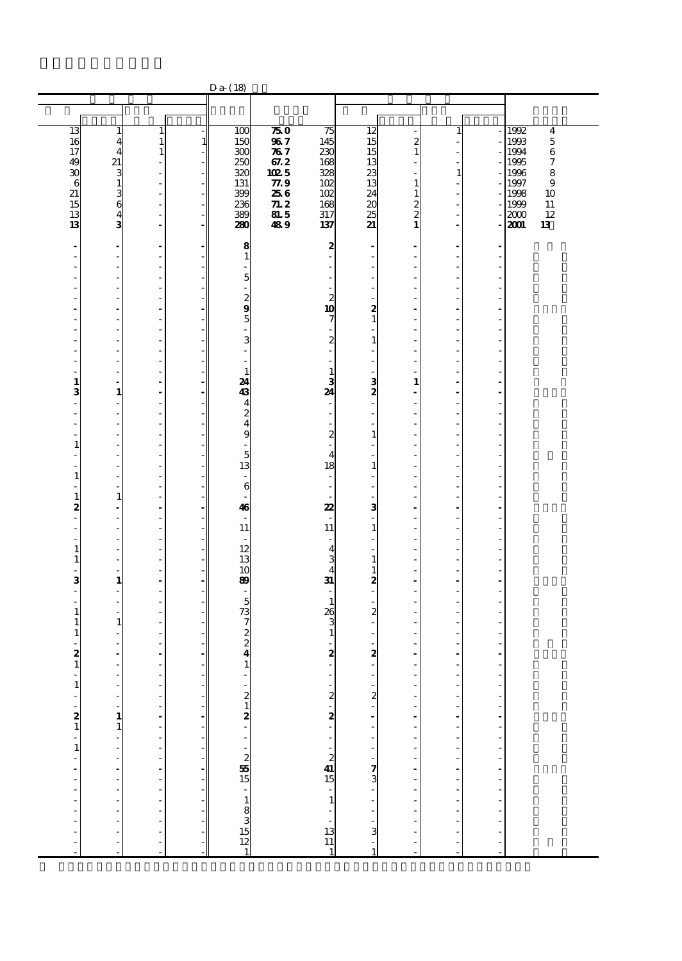|                                                  |                                                      |                                                      |                                | Da-(18)                            |              |                                                                           |                                            |                  |                      |                |                              |
|--------------------------------------------------|------------------------------------------------------|------------------------------------------------------|--------------------------------|------------------------------------|--------------|---------------------------------------------------------------------------|--------------------------------------------|------------------|----------------------|----------------|------------------------------|
|                                                  |                                                      |                                                      |                                |                                    |              |                                                                           |                                            |                  |                      |                |                              |
|                                                  |                                                      |                                                      |                                |                                    |              |                                                                           |                                            |                  |                      |                |                              |
| 13<br>16                                         | $\mathbf{1}$<br>$\overline{\mathbf{4}}$              | $\mathbf{1}$<br>$\mathbf 1$                          | $\mathbf{1}$                   | 100<br>150                         | 750<br>967   | 75<br>145                                                                 | 12<br>15                                   | $\boldsymbol{z}$ | 1                    |                | 1992<br>4<br>$\bf 5$<br>1993 |
| 17                                               | $\overline{4}$                                       | $\mathbf{1}$                                         |                                | 300                                | 787          | 230                                                                       | 15                                         | $\mathbf{1}$     |                      |                | 1994<br>$\,6$                |
| 49<br>30                                         | 21                                                   | $\overline{\phantom{a}}$<br>$\overline{\phantom{a}}$ |                                | 250<br>320                         | 67.2<br>1025 | 168<br>328                                                                | 13<br>23                                   |                  | $\mathbf{1}$         |                | 1995<br>7<br>1996<br>8       |
| $\epsilon$                                       | 3<br>$\mathbf 1$                                     | $\overline{\phantom{a}}$                             | ÷,                             | 131                                | 77.9         | 102                                                                       | 13                                         | $\mathbf{1}$     |                      |                | 1997<br>$\boldsymbol{9}$     |
| 21                                               |                                                      | $\overline{\phantom{a}}$                             | ٠                              | 399                                | 256          | 102                                                                       | 24                                         | $\mathbf{1}$     |                      |                | 1998<br>10                   |
| 15<br>13                                         | $\frac{3}{6}$                                        | Ĭ.<br>$\blacksquare$                                 | $\overline{\phantom{a}}$       | 236<br>389                         | 71.2<br>81.5 | 168<br>317                                                                | 20<br>25                                   | $\frac{2}{2}$    | J.                   |                | 11<br>1999<br>12<br>2000     |
| 13                                               | 3                                                    | $\overline{\phantom{a}}$                             | ä,                             | 280                                | 489          | 137                                                                       | 21                                         | $\mathbf{1}$     | Ĭ.                   |                | 13<br>2001                   |
| $\overline{\phantom{a}}$                         | $\overline{\phantom{a}}$                             | $\overline{\phantom{a}}$                             |                                | 8                                  |              | $\boldsymbol{z}$                                                          | ٠                                          |                  |                      |                |                              |
| $\overline{a}$                                   | $\frac{1}{2}$                                        | $\overline{a}$                                       |                                | 1                                  |              | $\frac{1}{2}$                                                             | ä,                                         | L,               |                      |                |                              |
| ٠<br>J.                                          | ٠<br>$\overline{\phantom{a}}$                        | $\overline{\phantom{a}}$<br>$\overline{\phantom{a}}$ |                                | 5                                  |              | $\overline{\phantom{a}}$<br>$\overline{\phantom{a}}$                      | ٠<br>$\overline{\phantom{a}}$              | L,               |                      |                |                              |
| Ĭ.                                               | ÷,                                                   | $\overline{a}$                                       |                                |                                    |              | ÷,                                                                        | $\overline{\phantom{0}}$                   |                  |                      |                |                              |
| J.                                               | ٠<br>ä,                                              | ÷,<br>$\overline{\phantom{a}}$                       |                                | 2<br>9                             |              | $\boldsymbol{z}$<br>10                                                    | ä,<br>$\boldsymbol{z}$                     | J.<br>÷          | J.                   |                |                              |
| $\overline{\phantom{a}}$                         |                                                      | $\overline{\phantom{a}}$                             |                                | 5                                  |              | 7                                                                         | $\mathbf 1$                                |                  |                      |                |                              |
| J.                                               | $\overline{a}$                                       | ÷,                                                   |                                |                                    |              | $\overline{\phantom{a}}$                                                  | $\overline{\phantom{0}}$                   |                  |                      |                |                              |
| J.<br>J.                                         | $\overline{\phantom{a}}$<br>$\overline{\phantom{a}}$ | $\overline{\phantom{a}}$<br>$\overline{\phantom{a}}$ |                                | 3                                  |              | $\overline{\mathbf{c}}$<br>ä,                                             | $\mathbf{1}$<br>÷,                         | J.<br>÷.         |                      |                |                              |
|                                                  | $\overline{\phantom{a}}$                             | $\overline{\phantom{a}}$                             |                                |                                    |              | ٠                                                                         | $\overline{\phantom{0}}$                   |                  |                      |                |                              |
| J.<br>1                                          | $\overline{\phantom{a}}$<br>÷                        | $\overline{\phantom{a}}$<br>$\overline{\phantom{a}}$ |                                | $\mathbf{1}$<br>24                 |              | $\mathbf{1}$<br>3                                                         | ä,                                         | $\mathbf{1}$     | ÷.                   | J.             |                              |
| 3                                                | $\mathbf{1}$                                         | $\blacksquare$                                       |                                | 43                                 |              | 24                                                                        | $\frac{3}{2}$                              |                  |                      |                |                              |
| Ĭ.<br>÷,                                         | ÷,<br>$\overline{\phantom{a}}$                       | $\overline{a}$<br>$\overline{\phantom{a}}$           |                                | 4<br>$\overline{c}$                |              | $\overline{\phantom{a}}$                                                  | $\overline{a}$<br>$\overline{\phantom{0}}$ | L,               | J.                   |                |                              |
| Ĭ.                                               | $\overline{\phantom{a}}$                             | ÷                                                    |                                | 4                                  |              | $\overline{\phantom{m}}$                                                  | $\overline{a}$                             | ÷.               |                      |                |                              |
| $\mathbf{1}$                                     | $\overline{a}$<br>$\overline{\phantom{a}}$           | $\overline{\phantom{0}}$<br>$\blacksquare$           |                                | 9                                  |              | $\boldsymbol{z}$<br>$\blacksquare$                                        | $\mathbf{1}$<br>$\overline{\phantom{0}}$   | ÷,               |                      |                |                              |
| J.                                               | $\overline{a}$                                       | $\overline{\phantom{a}}$                             |                                | 5                                  |              | $\overline{4}$                                                            | Ĭ.                                         | ÷.               |                      |                |                              |
| $\mathbf{1}$                                     | $\overline{\phantom{a}}$                             | $\overline{\phantom{0}}$<br>$\blacksquare$           |                                | 13                                 |              | 18<br>$\overline{\phantom{a}}$                                            | $\mathbf 1$<br>$\overline{\phantom{0}}$    | ÷,               |                      |                |                              |
| L,                                               | $\overline{\phantom{a}}$                             | $\overline{\phantom{a}}$                             |                                | 6                                  |              | $\overline{\phantom{a}}$                                                  | ÷,                                         | ٠                | ÷.                   |                |                              |
| $\mathbf{1}$<br>2                                | $\mathbf{1}$                                         | ÷,<br>$\overline{\phantom{a}}$                       |                                | 46                                 |              | 22                                                                        | ä,<br>з                                    |                  |                      |                |                              |
| $\overline{\phantom{a}}$                         | $\overline{\phantom{a}}$<br>÷,                       | ÷,                                                   |                                |                                    |              |                                                                           | $\overline{\phantom{0}}$                   | Ĭ.               |                      |                |                              |
| ÷.                                               | $\overline{\phantom{a}}$                             | ÷,                                                   |                                | 11                                 |              | 11                                                                        | $\mathbf{1}$                               |                  |                      |                |                              |
| $\overline{\phantom{a}}$<br>$\mathbf{1}$         | $\overline{\phantom{a}}$<br>÷,                       | $\overline{\phantom{a}}$<br>÷,                       |                                | 12                                 |              | $\overline{\phantom{a}}$<br>$\overline{\mathbf{4}}$                       | $\overline{\phantom{0}}$<br>$\overline{a}$ | ÷,               |                      |                |                              |
| 1                                                | ٠                                                    | ÷,                                                   | ٠                              | 13                                 |              | $\frac{3}{4}$                                                             | $\mathbf 1$                                | J.               |                      |                |                              |
| ÷,<br>3                                          | $\overline{a}$<br>$\mathbf{1}$                       | ÷<br>$\overline{\phantom{a}}$                        |                                | 10<br>89                           |              | $\mathbf{31}$                                                             | $\mathbf{1}$<br>2                          | L,               |                      |                |                              |
| $\overline{\phantom{a}}$                         | $\overline{\phantom{a}}$                             | ÷,                                                   |                                |                                    |              |                                                                           | $\frac{1}{2}$                              |                  |                      |                |                              |
| $\overline{\phantom{a}}$<br>$\mathbf{1}$         | $\overline{\phantom{a}}$<br>÷,                       | $\overline{\phantom{a}}$<br>$\overline{\phantom{0}}$ |                                | 5<br>73                            |              | $\mathbf{1}$<br>26                                                        | ÷,<br>2                                    |                  |                      |                |                              |
| 1                                                | $\mathbf{1}$                                         | ÷,                                                   |                                | 7                                  |              | 3                                                                         | $\overline{\phantom{0}}$                   |                  |                      |                |                              |
| $\mathbf{1}$                                     | ä,<br>÷.                                             | ÷,<br>ä,                                             |                                | $\boldsymbol{z}$<br>$\overline{c}$ |              | $\mathbf{1}$<br>L.                                                        | ÷,<br>ä,                                   |                  |                      |                |                              |
| $\boldsymbol{z}$                                 | $\overline{\phantom{a}}$                             | $\overline{\phantom{a}}$                             |                                | 4                                  |              | 2                                                                         | 2                                          |                  |                      |                |                              |
| $\mathbf{1}$                                     | Ĭ.                                                   | ÷,                                                   |                                | $\mathbf{1}$                       |              |                                                                           | $\frac{1}{2}$                              |                  |                      |                |                              |
| $\mathbf{1}$                                     |                                                      | ÷                                                    |                                |                                    |              |                                                                           |                                            |                  | ł,                   | f              |                              |
|                                                  | i,<br>÷,                                             | l,                                                   | ۰                              |                                    |              |                                                                           |                                            | ÷,               | Ĭ.<br>Ĭ.             | $\overline{a}$ |                              |
| $\frac{1}{2}$                                    | $\frac{1}{1}$                                        | $\frac{1}{2}$                                        | ä,                             |                                    |              |                                                                           |                                            | $\overline{a}$   | $\overline{a}$       | $\frac{1}{2}$  |                              |
|                                                  |                                                      | i,                                                   |                                |                                    |              |                                                                           |                                            | $\overline{a}$   | Ĭ.                   |                |                              |
| ÷<br>$\mathbf{1}$                                | f<br>÷,                                              | $\frac{1}{2}$                                        | $\overline{\phantom{a}}$<br>÷, |                                    |              | $2 - 2$<br>15<br>15                                                       | . מייייי <b>צ</b> טיי                      | ÷,               | $\overline{a}$       | $\frac{1}{2}$  |                              |
|                                                  | l,                                                   | l,                                                   |                                |                                    |              |                                                                           |                                            |                  | J.                   | ÷,             |                              |
| $\begin{bmatrix} 1 \\ 1 \\ 1 \\ 1 \end{bmatrix}$ | $\frac{1}{2}$                                        | ÷<br>$\overline{a}$                                  | ۰<br>÷,                        |                                    |              |                                                                           |                                            | ÷,               | $\ddot{\phantom{a}}$ | $\overline{a}$ |                              |
|                                                  |                                                      | l,                                                   |                                |                                    |              |                                                                           |                                            |                  |                      |                |                              |
| $\frac{1}{2}$                                    | $\overline{\phantom{a}}$<br>$\overline{a}$           | İ                                                    |                                |                                    |              |                                                                           |                                            |                  | $\overline{a}$       | l,             |                              |
|                                                  | $\overline{a}$                                       | $\overline{a}$                                       |                                |                                    |              | $\begin{array}{c} \n\cdot \\ 1 \\ \cdot \\ 13 \\ \hline\n11\n\end{array}$ | ່ ຜ່                                       |                  |                      |                |                              |
| $\frac{1}{2}$                                    | Ĭ,<br>-                                              | $\overline{a}$<br>÷,                                 |                                |                                    |              |                                                                           |                                            |                  |                      |                |                              |
|                                                  |                                                      |                                                      |                                |                                    |              | $\mathbf{1}$                                                              |                                            |                  |                      |                |                              |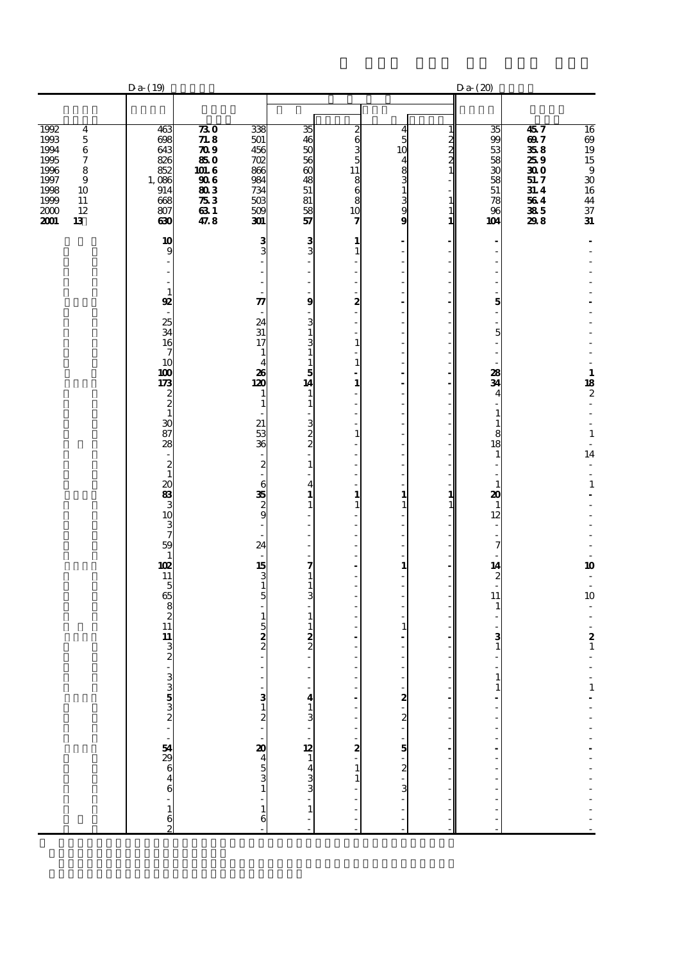|                                                                                                                                                                                                 | $Da-(19)$                                                                                                                                                                                                                                                                                                                                                                                 |                                                                                                |                                                                                                                                                                                                                                                                                                  |                                                                                                                                                                                                   |                                                                                                                                                                                                                                                                                                                                                                                                                                                                                            |                                                                          |                                                                 | Da(20)                                                                                                                                                                                                                                                                                                                                                               |                                                                                                       |                                                                                                                                                                                                                                                                                   |
|-------------------------------------------------------------------------------------------------------------------------------------------------------------------------------------------------|-------------------------------------------------------------------------------------------------------------------------------------------------------------------------------------------------------------------------------------------------------------------------------------------------------------------------------------------------------------------------------------------|------------------------------------------------------------------------------------------------|--------------------------------------------------------------------------------------------------------------------------------------------------------------------------------------------------------------------------------------------------------------------------------------------------|---------------------------------------------------------------------------------------------------------------------------------------------------------------------------------------------------|--------------------------------------------------------------------------------------------------------------------------------------------------------------------------------------------------------------------------------------------------------------------------------------------------------------------------------------------------------------------------------------------------------------------------------------------------------------------------------------------|--------------------------------------------------------------------------|-----------------------------------------------------------------|----------------------------------------------------------------------------------------------------------------------------------------------------------------------------------------------------------------------------------------------------------------------------------------------------------------------------------------------------------------------|-------------------------------------------------------------------------------------------------------|-----------------------------------------------------------------------------------------------------------------------------------------------------------------------------------------------------------------------------------------------------------------------------------|
|                                                                                                                                                                                                 |                                                                                                                                                                                                                                                                                                                                                                                           |                                                                                                |                                                                                                                                                                                                                                                                                                  |                                                                                                                                                                                                   |                                                                                                                                                                                                                                                                                                                                                                                                                                                                                            |                                                                          |                                                                 |                                                                                                                                                                                                                                                                                                                                                                      |                                                                                                       |                                                                                                                                                                                                                                                                                   |
| 1992<br>$\bf{4}$<br>1993<br>$\mathbf 5$<br>1994<br>$\bf 6$<br>$\boldsymbol{7}$<br>1995<br>1996<br>8<br>1997<br>$\boldsymbol{9}$<br>1998<br>10<br>1999<br>$11\,$<br>2000<br>$12\,$<br>2001<br>13 | 463<br>698<br>643<br>826<br>852<br>$\frac{1,086}{914}$<br>668<br>807<br>630                                                                                                                                                                                                                                                                                                               | 730<br>71.8<br>$\overline{209}$<br>850<br>101.6<br><b>906</b><br>803<br>$\pi_3$<br>631<br>47.8 | 338<br>501<br>456<br>702<br>866<br>984<br>734<br>503<br>509<br>301                                                                                                                                                                                                                               | 35<br>46<br>50<br>56<br>$\overline{\omega}$<br>48<br>51<br>81<br>58<br>57                                                                                                                         | 2<br>6<br>3<br>5<br>$1\overline{1}$<br>$\begin{matrix} 8 \\ 6 \end{matrix}$<br>8<br>10<br>7                                                                                                                                                                                                                                                                                                                                                                                                | 4<br>5<br>10<br>4<br>$\frac{8}{3}$<br>$\mathbf{1}$<br>$\frac{3}{9}$<br>9 | 1<br>$2 \times 2$<br>$\begin{array}{c} 1 \\ 1 \\ 1 \end{array}$ | 35<br>99<br>53<br>58<br>$\overline{30}$<br>58<br>51<br>78<br>96<br>104                                                                                                                                                                                                                                                                                               | 457<br>697<br>358<br>259<br>$\overline{\boldsymbol{30}}$<br>51.7<br>31.4<br>564<br>${\bf 335}$<br>298 | 16 09 19 15 9 30 16 44 37 31                                                                                                                                                                                                                                                      |
|                                                                                                                                                                                                 | 10<br>9<br>$\mathbf{1}$<br>$\mathbf{R}$<br>25<br>34<br>16<br>7<br>10<br>100<br>173<br>$\frac{2}{2}$<br>$\mathbf{1}$<br>$\frac{1}{87}$<br>28<br>$\boldsymbol{2}$<br>$\mathbf{1}$<br>$\boldsymbol{\alpha}$<br>$\frac{83}{3}$<br>10<br>3<br>7<br>59<br>$\mathbf{1}$<br>102<br>11<br>5<br>65<br>$\begin{bmatrix} 8 \\ 2 \\ 11 \end{bmatrix}$<br>11<br>3<br>$\boldsymbol{z}$<br>$\overline{a}$ |                                                                                                | 3 <sub>3</sub><br>$\boldsymbol{\pi}$<br>24<br>31<br>17<br>$\mathbf{1}$<br>4<br>26<br>120<br>1<br>$\mathbf{1}$<br>21<br>$\frac{53}{36}$<br>$\overline{\mathbf{c}}$<br>6<br>$\frac{35}{2}$<br>L.<br>24<br>$\frac{15}{3}$<br>$\overline{5}$<br>$\mathbf{1}$<br>$\frac{5}{2}$<br>ä,<br>$\frac{3}{2}$ | 3 <sub>3</sub><br>9<br>3<br>1<br>3<br>$\mathbf{1}$<br>1<br>5<br>14<br>1<br>$\mathbf{1}$<br>з<br>$\frac{2}{2}$<br>$\mathbf{1}$<br>4<br>1<br>1<br>7<br>1<br>3<br>1<br>1<br>$\frac{2}{2}$<br>J.<br>4 | 1<br>$\mathbf{1}$<br>L.<br>L.<br>L.<br>2<br>÷,<br>$\overline{\phantom{a}}$<br>÷,<br>$\mathbf{1}$<br>L.<br>$\mathbf{1}$<br>$\overline{a}$<br>1<br>÷,<br>L<br>÷,<br>$\overline{a}$<br>$\mathbf{1}$<br>$\overline{\phantom{a}}$<br>$\overline{a}$<br>Ĭ.<br>÷,<br>$\overline{\phantom{a}}$<br>1<br>$\mathbf{1}$<br>÷<br>L,<br>Ĭ.<br>Ĭ.<br>$\overline{\phantom{a}}$<br>$\overline{a}$<br>÷,<br>$\overline{a}$<br>÷,<br>÷,<br>L.<br>$\overline{a}$<br>$\overline{a}$<br>÷<br>Ĭ.<br>$\frac{1}{2}$ | ٠<br>÷.<br>٠<br>$\mathbf{1}$<br>$\mathbf{1}$<br>$\mathbf{1}$<br>1        | 1<br>$\mathbf{1}$                                               | $\overline{\phantom{a}}$<br>÷,<br>5<br>i,<br>$\overline{a}$<br>5<br>$\frac{1}{2}$<br>÷,<br>28<br>34<br>$\overline{\mathbf{4}}$<br>1<br>$\mathbf{1}$<br>$\frac{8}{18}$<br>$\mathbf 1$<br>$\frac{1}{2}$<br>$\mathbf{1}$<br>20<br>$\mathbf{1}$<br>12<br>÷,<br>7<br>14<br>$\frac{2}{1}$<br>11<br>1<br>з<br>$\mathbf{1}$<br>1<br>$\mathbf{1}$<br>$\overline{\phantom{a}}$ |                                                                                                       | $\begin{array}{c} 1 \\ 18 \\ 2 \end{array}$<br>÷,<br>$\mathbf 1$<br>$\Box$<br>14<br>$\frac{1}{2}$<br>$\overline{a}$<br>$\mathbf 1$<br>$\frac{1}{2}$<br>10<br>$\overline{\phantom{a}}$<br>$\overline{\phantom{a}}$<br>10<br>$\begin{array}{c} 2 \\ 1 \end{array}$<br>$\frac{1}{1}$ |
|                                                                                                                                                                                                 | െ പെ കൈ ഈ ജീ പരാമയെ പ                                                                                                                                                                                                                                                                                                                                                                     |                                                                                                | $\frac{40}{4}$ 5<br>3<br>1<br>$\frac{1}{6}$                                                                                                                                                                                                                                                      | $\frac{1}{2}$ - $\frac{1}{2}$ - $\frac{1}{2}$ - $\frac{1}{2}$<br>$\mathbf{1}$                                                                                                                     | $2$<br>$1$<br>$1$<br>$1$<br>Ĭ.<br>L                                                                                                                                                                                                                                                                                                                                                                                                                                                        | <u> ຜ່າຜ່າຫ່ານ 18</u>                                                    |                                                                 |                                                                                                                                                                                                                                                                                                                                                                      |                                                                                                       |                                                                                                                                                                                                                                                                                   |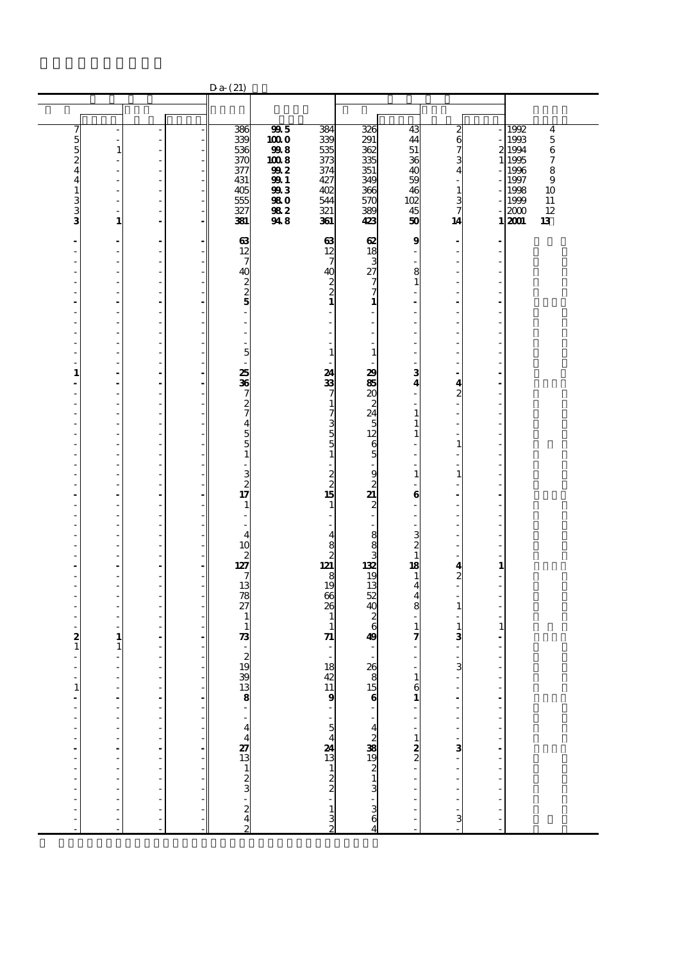|                                             |                                          |                                  |    | $Da-(21)$                                              |                   |                                                     |                               |                                  |                       |                |                                               |
|---------------------------------------------|------------------------------------------|----------------------------------|----|--------------------------------------------------------|-------------------|-----------------------------------------------------|-------------------------------|----------------------------------|-----------------------|----------------|-----------------------------------------------|
|                                             |                                          |                                  |    |                                                        |                   |                                                     |                               |                                  |                       |                |                                               |
|                                             |                                          |                                  |    |                                                        |                   |                                                     |                               |                                  |                       |                |                                               |
| 7                                           |                                          |                                  |    | 386                                                    | 995<br>1000       | 384<br>339                                          | 326<br>291                    | 43<br>44                         | $\boldsymbol{z}$      |                | 1992<br>$\overline{\bf 4}$<br>1993<br>$\bf 5$ |
| $\frac{5}{4}$                               | $\overline{\phantom{a}}$<br>$\mathbf{1}$ | $\overline{\phantom{a}}$         |    | 339<br>536                                             | 998               | 535                                                 | 362                           | 51                               | 6<br>7                |                | 2 1994<br>$\,6$                               |
|                                             | ٠                                        | ٠                                |    | 370                                                    | 1008              | 373                                                 | 335                           | 36                               | 3                     | $\mathbf{1}$   | $\boldsymbol{7}$<br>1995                      |
|                                             | ٠                                        | ÷,                               |    | 377                                                    | 992               | 374                                                 | $\overline{351}$              | 40<br>59                         | 4                     |                | 1996<br>8                                     |
| 4                                           | ÷.<br>L,                                 | ÷,<br>$\frac{1}{2}$              |    | 431<br>405                                             | <b>991</b><br>993 | 427<br>402                                          | 349<br>366                    | 46                               | 1                     |                | 1997<br>9<br>1998<br>10                       |
|                                             |                                          |                                  |    | 555                                                    | 980               | 544                                                 | 570                           | 102                              | з                     |                | 1999<br>$11\,$                                |
| $\frac{1}{3}$                               | $\overline{\phantom{a}}$<br>$\mathbf{1}$ | $\overline{\phantom{0}}$         |    | 327<br>381                                             | 982<br>948        | 321<br>361                                          | 389<br>423                    | 45<br>50                         | 7                     |                | 12<br>2000                                    |
|                                             |                                          | $\overline{a}$                   |    |                                                        |                   |                                                     |                               |                                  | 14                    |                | 13<br>12001                                   |
| ÷                                           | ÷                                        | $\blacksquare$                   |    | 63                                                     |                   | 63                                                  | œ                             | 9                                |                       |                |                                               |
| ٠<br>J.                                     | ٠<br>٠                                   | $\overline{\phantom{a}}$<br>÷,   |    | 12<br>7                                                |                   | 12<br>$\overline{7}$                                | 18<br>3                       | ÷,                               |                       |                |                                               |
|                                             | ÷,                                       | ÷,                               |    | 40                                                     |                   | 40                                                  | 27                            | 8                                |                       |                |                                               |
|                                             | ÷,                                       | $\frac{1}{2}$                    |    | 2                                                      |                   |                                                     | 7                             | $\mathbf{1}$                     |                       |                |                                               |
|                                             |                                          |                                  |    | $\boldsymbol{2}$                                       |                   | $\frac{2}{1}$                                       | 7                             |                                  |                       |                |                                               |
| Ĭ.                                          | $\overline{\phantom{a}}$<br>÷,           | $\blacksquare$<br>$\overline{a}$ |    | 5                                                      |                   | $\overline{a}$                                      | 1<br>$\overline{a}$           |                                  |                       |                |                                               |
|                                             | $\overline{a}$                           | ÷,                               |    |                                                        |                   |                                                     | $\overline{a}$                |                                  |                       |                |                                               |
| J.                                          | $\overline{\phantom{a}}$                 | ÷,                               |    |                                                        |                   | ٠                                                   | ÷,                            |                                  |                       |                |                                               |
| J.<br>J.                                    | $\overline{\phantom{a}}$<br>÷,           | ÷,<br>$\frac{1}{2}$              |    | 5                                                      |                   | ٠<br>$\mathbf{1}$                                   | ÷,<br>$\mathbf{1}$            | L,                               |                       |                |                                               |
|                                             | ÷.                                       | ÷,                               |    |                                                        |                   |                                                     |                               |                                  |                       |                |                                               |
| $\mathbf{1}$                                | $\overline{\phantom{a}}$                 | $\frac{1}{2}$                    |    | 25                                                     |                   | 24<br>33                                            | 29                            | 3                                |                       |                |                                               |
| Ĭ.                                          | Ĭ.<br>$\overline{a}$                     | $\overline{\phantom{a}}$<br>÷,   |    | 36<br>7                                                |                   | 7                                                   | 85<br>20                      | $\overline{\mathbf{4}}$          | 4<br>$\boldsymbol{z}$ |                |                                               |
|                                             | L,                                       | $\overline{a}$                   |    | $\boldsymbol{z}$                                       |                   | $\mathbf{1}$                                        | $\boldsymbol{z}$              |                                  |                       |                |                                               |
| L,                                          | ٠                                        | ÷                                |    | 7                                                      |                   | 7355                                                | 24                            | $\mathbf{1}$                     |                       |                |                                               |
|                                             | $\overline{\phantom{a}}$<br>÷.           | ÷,<br>÷,                         |    | 4<br>5                                                 |                   |                                                     | 5<br>12                       | $\mathbf{1}$                     |                       |                |                                               |
| J.                                          | $\overline{a}$                           | $\frac{1}{2}$                    |    | 5                                                      |                   |                                                     | 6                             |                                  | 1                     |                |                                               |
|                                             |                                          | $\overline{\phantom{0}}$         |    | 1                                                      |                   |                                                     | 5                             |                                  |                       |                |                                               |
|                                             | $\overline{\phantom{m}}$<br>÷,           | ÷,<br>$\overline{a}$             |    | 3                                                      |                   | ۰                                                   | 9                             | $\mathbf{1}$                     | 1                     |                |                                               |
| Ĭ.                                          | $\overline{\phantom{a}}$                 | $\blacksquare$                   |    | $\overline{\mathbf{c}}$                                |                   | $\begin{array}{c}\n2 \\ 2 \\ 15\n\end{array}$       | $\boldsymbol{2}$              |                                  |                       |                |                                               |
| ٠                                           | $\blacksquare$                           | $\overline{\phantom{a}}$         |    | 17                                                     |                   |                                                     | 21                            | 6                                |                       |                |                                               |
|                                             | ٠<br>$\overline{a}$                      | ÷,<br>$\frac{1}{2}$              |    | 1                                                      |                   | $\mathbf{1}$<br>$\overline{\phantom{a}}$            | $\overline{\mathbf{c}}$<br>÷  |                                  |                       |                |                                               |
|                                             | ÷,                                       | $\qquad \qquad \blacksquare$     |    |                                                        |                   | ٠                                                   | ä,                            |                                  |                       |                |                                               |
|                                             | $\overline{\phantom{a}}$                 | $\overline{\phantom{a}}$         |    | 4                                                      |                   | $\begin{array}{c}\n4 \\ 8 \\ 2 \\ 121\n\end{array}$ | 8                             | 3                                |                       |                |                                               |
| Ĭ.                                          | $\overline{a}$                           | $\overline{\phantom{a}}$         |    | 10<br>$\mathbf{z}$                                     |                   |                                                     | 8<br>3                        | $\boldsymbol{z}$<br>$\mathbf{1}$ |                       |                |                                               |
| ÷,                                          | ÷,                                       | $\overline{a}$                   |    | 127                                                    |                   |                                                     | 132                           | 18                               | 4                     | 1              |                                               |
|                                             | ٠                                        | ÷,                               |    |                                                        |                   | 8<br>19                                             | 19<br>$\overline{13}$         | $\mathbf{1}$                     | $\boldsymbol{z}$      |                |                                               |
|                                             | ٠<br>L,                                  | ÷,<br>÷,                         |    | 13<br>78                                               |                   | 66                                                  | 52                            | $\overline{\mathbf{4}}$<br>4     |                       |                |                                               |
|                                             | L,                                       | $\frac{1}{2}$                    |    | 27                                                     |                   | 26                                                  | 40                            | 8                                | 1                     |                |                                               |
|                                             | ÷.                                       | ÷,                               |    | 1                                                      |                   | $\mathbf{1}$                                        | $\boldsymbol{2}$<br>6         | $\mathbf{1}$                     |                       |                |                                               |
| $\boldsymbol{z}$                            | $\overline{a}$<br>1                      | $\overline{\phantom{0}}$         |    | 1<br>$\boldsymbol{\mathcal{R}}$                        |                   | $\mathbf{1}$<br>71                                  | 49                            | 7                                | 1<br>3                | 1              |                                               |
| $\mathbf{1}$                                | 1                                        | $\qquad \qquad \blacksquare$     |    |                                                        |                   |                                                     |                               |                                  |                       |                |                                               |
|                                             | ÷,                                       | Ĭ.<br>÷,                         |    | $\frac{2}{19}$                                         |                   | 18                                                  | 26                            |                                  |                       |                |                                               |
| ٠<br>$\overline{\phantom{a}}$               | $\overline{\phantom{a}}$                 |                                  |    |                                                        |                   |                                                     |                               | L,<br>1                          | 3                     |                |                                               |
| $\begin{array}{c} 1 \\ 1 \\ -1 \end{array}$ |                                          |                                  |    | $-8.38$                                                |                   | $\frac{42}{11}$<br>9                                |                               | $\frac{6}{1}$                    |                       |                |                                               |
|                                             | Ĭ.                                       | L,                               |    |                                                        |                   |                                                     |                               |                                  |                       | $\overline{a}$ |                                               |
|                                             |                                          |                                  |    |                                                        |                   |                                                     | $\frac{8}{15}$ $\frac{15}{1}$ |                                  |                       |                |                                               |
| j,                                          | Ĭ.                                       |                                  |    |                                                        |                   |                                                     |                               |                                  |                       |                |                                               |
| $\overline{a}$<br>$\overline{a}$            | $\frac{1}{2}$                            | i,<br>$\overline{a}$             | ÷, | $\frac{4}{27}$<br>$\frac{4}{13}$<br>$\frac{1}{2}$<br>3 |                   |                                                     |                               | $\frac{1}{2}$                    | Ĭ.<br>3               | Ĩ.             |                                               |
| l,                                          | $\overline{a}$<br>J.                     | Ĭ.                               | ۰  |                                                        |                   |                                                     |                               |                                  |                       | Ĭ.             |                                               |
| ł,                                          | $\overline{a}$                           | ÷,                               |    |                                                        |                   |                                                     |                               |                                  | ł,                    |                |                                               |
| l,                                          |                                          | ÷,                               |    |                                                        |                   |                                                     |                               |                                  |                       |                |                                               |
|                                             |                                          |                                  |    |                                                        |                   |                                                     |                               |                                  |                       |                |                                               |
| $\frac{1}{2}$                               | Ĭ,                                       | ÷                                |    | $\frac{2}{4}$                                          |                   |                                                     | കയി ഗ⊣ഗ ∂98 പ                 | ÷                                | ×,                    |                |                                               |
|                                             |                                          | Ĭ.                               |    |                                                        |                   | $-54$<br>$-132$<br>$-132$                           | 4                             | L                                | 3                     |                |                                               |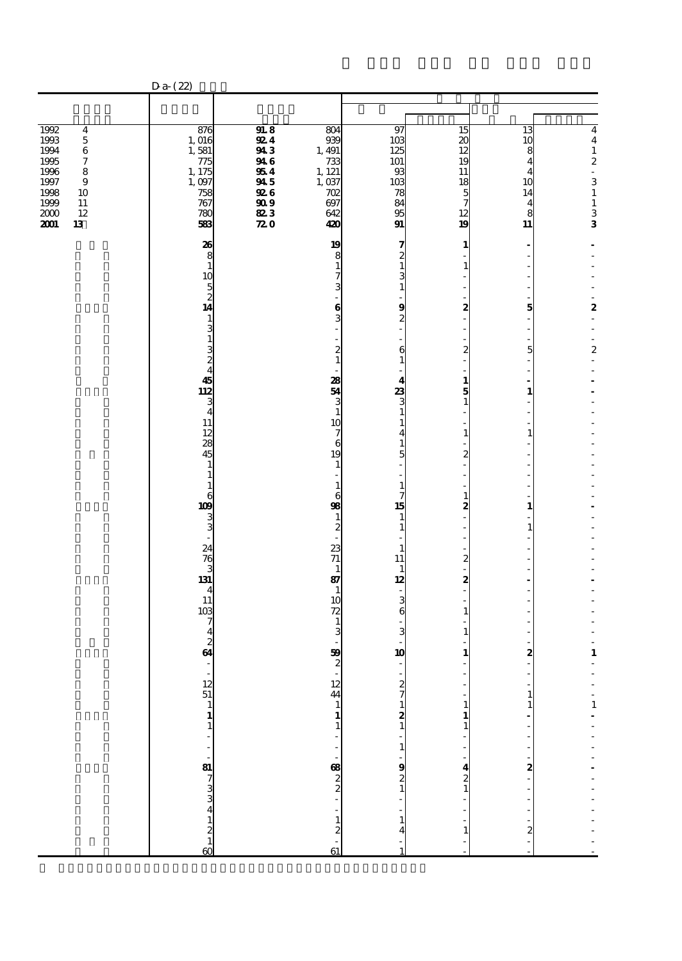|                                                                                                                                                                                                             | $Da-(22)$                                                                                                                                                                                                                                                                                                                                                                                                                                        |                                                                                                                     |                                                                                                                                                                                                                                                                                                                                                                                                                     |                                                                                                                                                                                                                                                                                                             |                                                                                                                                                                                                                                                                                         |                                                                                                                          |                                                                                                                               |
|-------------------------------------------------------------------------------------------------------------------------------------------------------------------------------------------------------------|--------------------------------------------------------------------------------------------------------------------------------------------------------------------------------------------------------------------------------------------------------------------------------------------------------------------------------------------------------------------------------------------------------------------------------------------------|---------------------------------------------------------------------------------------------------------------------|---------------------------------------------------------------------------------------------------------------------------------------------------------------------------------------------------------------------------------------------------------------------------------------------------------------------------------------------------------------------------------------------------------------------|-------------------------------------------------------------------------------------------------------------------------------------------------------------------------------------------------------------------------------------------------------------------------------------------------------------|-----------------------------------------------------------------------------------------------------------------------------------------------------------------------------------------------------------------------------------------------------------------------------------------|--------------------------------------------------------------------------------------------------------------------------|-------------------------------------------------------------------------------------------------------------------------------|
|                                                                                                                                                                                                             |                                                                                                                                                                                                                                                                                                                                                                                                                                                  |                                                                                                                     |                                                                                                                                                                                                                                                                                                                                                                                                                     |                                                                                                                                                                                                                                                                                                             |                                                                                                                                                                                                                                                                                         |                                                                                                                          |                                                                                                                               |
| 1992<br>$\overline{\mathbf{4}}$<br>1993<br>$\mathbf 5$<br>1994<br>$\,6\,$<br>1995<br>$\boldsymbol{7}$<br>1996<br>$\bf8$<br>1997<br>$\boldsymbol{9}$<br>1998<br>10<br>1999<br>11<br>2000<br>12<br>2001<br>13 | 876<br>1,016<br>1,581<br>775<br>1, 175<br>1,097<br>758<br>767<br>780<br>583                                                                                                                                                                                                                                                                                                                                                                      | 918<br><b>924</b><br>943<br>946<br>954<br>945<br>926<br>$\overset{9}{\phantom{1}8}\overset{9}{2}$<br>$\mathbf{z}$ o | 804<br>939<br>1, 491<br>733<br>1, 121<br>1,037<br>702<br>697<br>642<br>420                                                                                                                                                                                                                                                                                                                                          | 97<br>103<br>125<br>101<br>93<br>103<br>78<br>84<br>95<br>$\mathbf{g}_1$                                                                                                                                                                                                                                    | 15<br>$\boldsymbol{\mathsf{20}}$<br>12<br>19<br>11<br>18<br>$\overline{5}$<br>7<br>12<br>19                                                                                                                                                                                             | 13<br>10<br>8<br>4<br>4<br>10<br>14<br>$\overline{\mathbf{4}}$<br>8<br>11                                                | $\overline{\mathbf{4}}$<br>$\boldsymbol{4}$<br>$\frac{1}{2}$<br>3<br>$\begin{array}{c} 1 \\ 1 \\ 3 \\ \mathbf{3} \end{array}$ |
|                                                                                                                                                                                                             | 26<br>8<br>$\mathbf{1}$<br>10<br>$\overline{5}$<br>$\overline{c}$<br>14<br>1<br>3<br>$\mathbf{1}$<br>$\frac{3}{2}$<br>$\overline{4}$<br>45<br>112<br>3<br>$\overline{4}$<br>11<br>12<br>28<br>45<br>1<br>1<br>1<br>6<br>109<br>3<br>3<br>24<br>76<br>3<br>131<br>4<br>11<br>10 <sub>3</sub><br>7<br>4<br>$\boldsymbol{z}$<br>64<br>$\begin{array}{c} 12 \\ 51 \\ 1 \end{array}$<br>$\frac{1}{1}$<br>÷,<br>$\frac{81}{7}$ 3 3 4 1 2 1<br>$\alpha$ |                                                                                                                     | 19<br>8<br>1<br>7<br>3<br>6<br>3<br>$\boldsymbol{z}$<br>$\mathbf{1}$<br>28<br>54<br>3<br>1<br>10<br>7<br>6<br>19<br>1<br>1<br>6<br>98<br>1<br>$\boldsymbol{z}$<br>23<br>$71$<br>1<br>87<br>1<br>10<br>72<br>3<br>59<br>$\boldsymbol{z}$<br>$\begin{array}{c} 12 \\ 44 \\ 1 \end{array}$<br>$\mathbf{1}$<br>$\mathbf{1}$<br>ł,<br>$\frac{1}{2}$<br>. 83<br>$\mathbf{1}$<br>$\overline{\mathbf{c}}$<br>$\frac{1}{61}$ | 7<br>$\frac{2}{1}$<br>$\frac{3}{1}$<br>9<br>$\boldsymbol{z}$<br>6<br>4<br>$\frac{3}{1}$<br>1<br>4<br>1<br>5<br>1<br>7<br>15<br>$\mathbf{1}$<br>1<br>1<br>11<br>$\mathbf{1}$<br>12<br>$\frac{3}{6}$<br>3<br>10<br>÷,<br>27121<br>Ĭ.<br>$\mathbf{1}$<br>Ĭ.<br>$\begin{array}{c} 9 \\ 2 \\ 1 \end{array}$<br>4 | 1<br>1<br>×,<br>2<br>J.<br>$\boldsymbol{z}$<br>$\mathbf{1}$<br>5<br>$\mathbf{1}$<br>Ĭ.<br>J.<br>1<br>$\boldsymbol{z}$<br>ł,<br>1<br>$\boldsymbol{z}$<br>٠<br>J.<br>$\boldsymbol{z}$<br>l,<br>$\boldsymbol{z}$<br>$\mathbf{1}$<br>1<br>1<br>1<br>1<br>$\mathbf{1}$<br>$\frac{4}{2}$<br>1 | Ĭ.<br>5<br>J.<br>5<br>ä,<br>1<br>1<br>1<br>1<br>2<br>$\mathbf{1}$<br>$\mathbf{1}$<br>Ļ<br>Ĭ.<br>2<br>$\overline{a}$<br>2 | ÷,<br>2<br>÷,<br>ä,<br>$\overline{\mathbf{c}}$<br>$\frac{1}{2}$<br>$\mathbf 1$<br>$\mathbf{1}$                                |